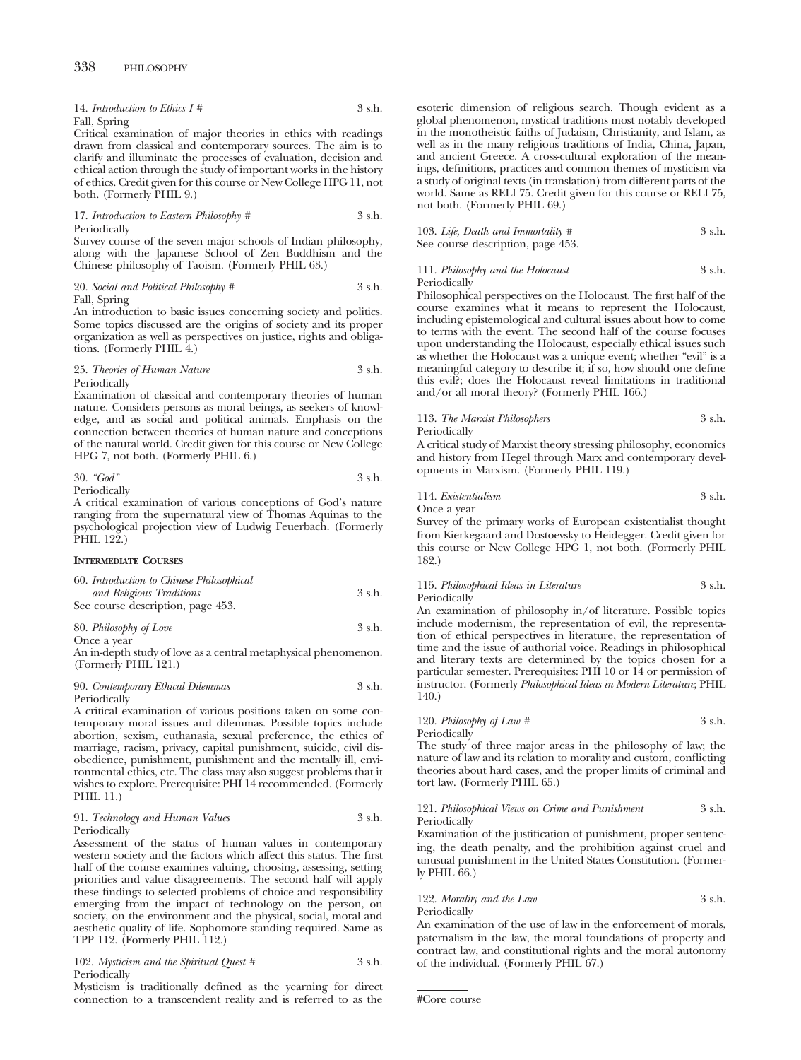| 14. Introduction to Ethics $I \#$ | 3 s.h. |
|-----------------------------------|--------|
| Fall, Spring                      |        |

Critical examination of major theories in ethics with readings drawn from classical and contemporary sources. The aim is to clarify and illuminate the processes of evaluation, decision and ethical action through the study of important works in the history of ethics. Credit given for this course or New College HPG 11, not both. (Formerly PHIL 9.)

17. *Introduction to Eastern Philosophy #* 3 s.h. Periodically

Survey course of the seven major schools of Indian philosophy, along with the Japanese School of Zen Buddhism and the Chinese philosophy of Taoism. (Formerly PHIL 63.)

20. *Social and Political Philosophy #* 3 s.h. Fall, Spring

An introduction to basic issues concerning society and politics. Some topics discussed are the origins of society and its proper organization as well as perspectives on justice, rights and obligations. (Formerly PHIL 4.)

#### 25. *Theories of Human Nature* 3 s.h. Periodically

Examination of classical and contemporary theories of human nature. Considers persons as moral beings, as seekers of knowledge, and as social and political animals. Emphasis on the connection between theories of human nature and conceptions of the natural world. Credit given for this course or New College HPG 7, not both. (Formerly PHIL 6.)

30. 
$$
"God"
$$

\n3 s.h.

Periodically

A critical examination of various conceptions of God's nature ranging from the supernatural view of Thomas Aquinas to the psychological projection view of Ludwig Feuerbach. (Formerly PHIL 122.)

#### **INTERMEDIATE COURSES**

| 60. Introduction to Chinese Philosophical |        |
|-------------------------------------------|--------|
| and Religious Traditions                  | 3 s.h. |
| See course description, page 453.         |        |
| 80. Philosophy of Love                    | 3 s.h. |

Once a year

An in-depth study of love as a central metaphysical phenomenon. (Formerly PHIL 121.)

90. *Contemporary Ethical Dilemmas* 3 s.h. Periodically

A critical examination of various positions taken on some contemporary moral issues and dilemmas. Possible topics include abortion, sexism, euthanasia, sexual preference, the ethics of marriage, racism, privacy, capital punishment, suicide, civil disobedience, punishment, punishment and the mentally ill, environmental ethics, etc. The class may also suggest problems that it wishes to explore. Prerequisite: PHI 14 recommended. (Formerly PHIL 11.)

#### 91. *Technology and Human Values* 3 s.h. Periodically

Assessment of the status of human values in contemporary western society and the factors which affect this status. The first half of the course examines valuing, choosing, assessing, setting priorities and value disagreements. The second half will apply these findings to selected problems of choice and responsibility emerging from the impact of technology on the person, on society, on the environment and the physical, social, moral and aesthetic quality of life. Sophomore standing required. Same as TPP 112. (Formerly PHIL 112.)

102. *Mysticism and the Spiritual Quest #* 3 s.h. Periodically

Mysticism is traditionally defined as the yearning for direct connection to a transcendent reality and is referred to as the esoteric dimension of religious search. Though evident as a global phenomenon, mystical traditions most notably developed in the monotheistic faiths of Judaism, Christianity, and Islam, as well as in the many religious traditions of India, China, Japan, and ancient Greece. A cross-cultural exploration of the meanings, definitions, practices and common themes of mysticism via a study of original texts (in translation) from different parts of the world. Same as RELI 75. Credit given for this course or RELI 75, not both. (Formerly PHIL 69.)

| 103. Life, Death and Immortality $#$ | 3 s.h. |
|--------------------------------------|--------|
| See course description, page 453.    |        |

## 111. *Philosophy and the Holocaust* 3 s.h. Periodically

Philosophical perspectives on the Holocaust. The first half of the course examines what it means to represent the Holocaust, including epistemological and cultural issues about how to come to terms with the event. The second half of the course focuses upon understanding the Holocaust, especially ethical issues such as whether the Holocaust was a unique event; whether "evil" is a meaningful category to describe it; if so, how should one define this evil?; does the Holocaust reveal limitations in traditional and/or all moral theory? (Formerly PHIL 166.)

## 113. *The Marxist Philosophers* 3 s.h. Periodically

A critical study of Marxist theory stressing philosophy, economics and history from Hegel through Marx and contemporary developments in Marxism. (Formerly PHIL 119.)

114. *Existentialism* 3 s.h. Once a year

Survey of the primary works of European existentialist thought from Kierkegaard and Dostoevsky to Heidegger. Credit given for this course or New College HPG 1, not both. (Formerly PHIL 182.)

## 115. *Philosophical Ideas in Literature* 3 s.h. Periodically

An examination of philosophy in/of literature. Possible topics include modernism, the representation of evil, the representation of ethical perspectives in literature, the representation of time and the issue of authorial voice. Readings in philosophical and literary texts are determined by the topics chosen for a particular semester. Prerequisites: PHI 10 or 14 or permission of instructor. (Formerly *Philosophical Ideas in Modern Literature*; PHIL 140.)

# 120. *Philosophy of Law* # 3 s.h. Periodically

The study of three major areas in the philosophy of law; the nature of law and its relation to morality and custom, conflicting theories about hard cases, and the proper limits of criminal and tort law. (Formerly PHIL 65.)

## 121. *Philosophical Views on Crime and Punishment* 3 s.h. Periodically

Examination of the justification of punishment, proper sentencing, the death penalty, and the prohibition against cruel and unusual punishment in the United States Constitution. (Formerly PHIL 66.)

## 122. *Morality and the Law* 3 s.h. Periodically

An examination of the use of law in the enforcement of morals, paternalism in the law, the moral foundations of property and contract law, and constitutional rights and the moral autonomy of the individual. (Formerly PHIL 67.)

```
#Core course
```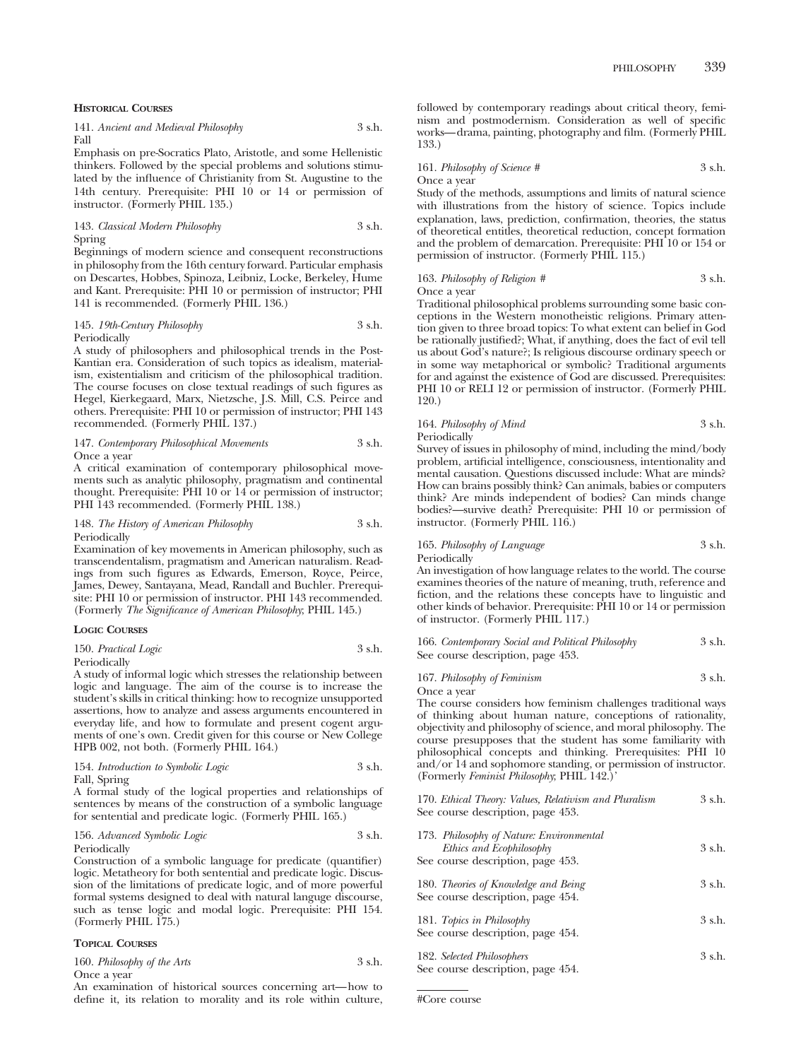#### **HISTORICAL COURSES**

|      | 141. Ancient and Medieval Philosophy | 3 s.h. |
|------|--------------------------------------|--------|
| Fall |                                      |        |

Emphasis on pre-Socratics Plato, Aristotle, and some Hellenistic thinkers. Followed by the special problems and solutions stimulated by the influence of Christianity from St. Augustine to the 14th century. Prerequisite: PHI 10 or 14 or permission of instructor. (Formerly PHIL 135.)

## 143. *Classical Modern Philosophy* 3 s.h. Spring

Beginnings of modern science and consequent reconstructions in philosophy from the 16th century forward. Particular emphasis on Descartes, Hobbes, Spinoza, Leibniz, Locke, Berkeley, Hume and Kant. Prerequisite: PHI 10 or permission of instructor; PHI 141 is recommended. (Formerly PHIL 136.)

## 145. *19th-Century Philosophy* 3 s.h. **Periodically**

A study of philosophers and philosophical trends in the Post-Kantian era. Consideration of such topics as idealism, materialism, existentialism and criticism of the philosophical tradition. The course focuses on close textual readings of such figures as Hegel, Kierkegaard, Marx, Nietzsche, J.S. Mill, C.S. Peirce and others. Prerequisite: PHI 10 or permission of instructor; PHI 143 recommended. (Formerly PHIL 137.)

#### 147. *Contemporary Philosophical Movements* 3 s.h. Once a year

A critical examination of contemporary philosophical movements such as analytic philosophy, pragmatism and continental thought. Prerequisite: PHI 10 or 14 or permission of instructor; PHI 143 recommended. (Formerly PHIL 138.)

#### 148. *The History of American Philosophy* 3 s.h. Periodically

Examination of key movements in American philosophy, such as transcendentalism, pragmatism and American naturalism. Readings from such figures as Edwards, Emerson, Royce, Peirce, James, Dewey, Santayana, Mead, Randall and Buchler. Prerequisite: PHI 10 or permission of instructor. PHI 143 recommended. (Formerly *The Significance of American Philosophy*; PHIL 145.)

#### **LOGIC COURSES**

| 150. Practical Logic | 3 s.h. |
|----------------------|--------|
|----------------------|--------|

Periodically

A study of informal logic which stresses the relationship between logic and language. The aim of the course is to increase the student's skills in critical thinking: how to recognize unsupported assertions, how to analyze and assess arguments encountered in everyday life, and how to formulate and present cogent arguments of one's own. Credit given for this course or New College HPB 002, not both. (Formerly PHIL 164.)

| 154. Introduction to Symbolic Logic | 3 s.h. |
|-------------------------------------|--------|
| Fall, Spring                        |        |

A formal study of the logical properties and relationships of sentences by means of the construction of a symbolic language for sentential and predicate logic. (Formerly PHIL 165.)

## 156. *Advanced Symbolic Logic* 3 s.h. Periodically

Construction of a symbolic language for predicate (quantifier) logic. Metatheory for both sentential and predicate logic. Discussion of the limitations of predicate logic, and of more powerful formal systems designed to deal with natural languge discourse, such as tense logic and modal logic. Prerequisite: PHI 154. (Formerly PHIL 175.)

## **TOPICAL COURSES**

| 160. Philosophy of the Arts | 3 s.h. |
|-----------------------------|--------|
| Once a year                 |        |

An examination of historical sources concerning art—how to define it, its relation to morality and its role within culture, followed by contemporary readings about critical theory, feminism and postmodernism. Consideration as well of specific works—drama, painting, photography and film. (Formerly PHIL 133.)

161. *Philosophy of Science #* 3 s.h. Once a year

Study of the methods, assumptions and limits of natural science with illustrations from the history of science. Topics include explanation, laws, prediction, confirmation, theories, the status of theoretical entitles, theoretical reduction, concept formation and the problem of demarcation. Prerequisite: PHI 10 or 154 or permission of instructor. (Formerly PHIL 115.)

#### 163. *Philosophy of Religion* # 3 s.h. Once a year

Traditional philosophical problems surrounding some basic conceptions in the Western monotheistic religions. Primary attention given to three broad topics: To what extent can belief in God be rationally justified?; What, if anything, does the fact of evil tell us about God's nature?; Is religious discourse ordinary speech or in some way metaphorical or symbolic? Traditional arguments for and against the existence of God are discussed. Prerequisites: PHI 10 or RELI 12 or permission of instructor. (Formerly PHIL

120.)

# 164. *Philosophy of Mind* 3 s.h. Periodically

Survey of issues in philosophy of mind, including the mind/body problem, artificial intelligence, consciousness, intentionality and mental causation. Questions discussed include: What are minds? How can brains possibly think? Can animals, babies or computers think? Are minds independent of bodies? Can minds change bodies?—survive death? Prerequisite: PHI 10 or permission of instructor. (Formerly PHIL 116.)

## 165. *Philosophy of Language* 3 s.h. Periodically

An investigation of how language relates to the world. The course examines theories of the nature of meaning, truth, reference and fiction, and the relations these concepts have to linguistic and other kinds of behavior. Prerequisite: PHI 10 or 14 or permission of instructor. (Formerly PHIL 117.)

166. *Contemporary Social and Political Philosophy* 3 s.h. See course description, page 453.

## 167. *Philosophy of Feminism* 3 s.h. Once a year

The course considers how feminism challenges traditional ways of thinking about human nature, conceptions of rationality, objectivity and philosophy of science, and moral philosophy. The course presupposes that the student has some familiarity with philosophical concepts and thinking. Prerequisites: PHI 10 and/or 14 and sophomore standing, or permission of instructor. (Formerly *Feminist Philosophy*; PHIL 142.)'

170. *Ethical Theory: Values, Relativism and Pluralism* 3 s.h. See course description, page 453.

| 173. Philosophy of Nature: Environmental<br>Ethics and Ecophilosophy      | 3 s.h. |
|---------------------------------------------------------------------------|--------|
| See course description, page 453.                                         |        |
| 180. Theories of Knowledge and Being<br>See course description, page 454. | 3 s.h. |
| 181. Topics in Philosophy<br>See course description, page 454.            | 3 s.h. |
| 182. Selected Philosophers<br>See course description, page 454.           | 3 s.h. |

#Core course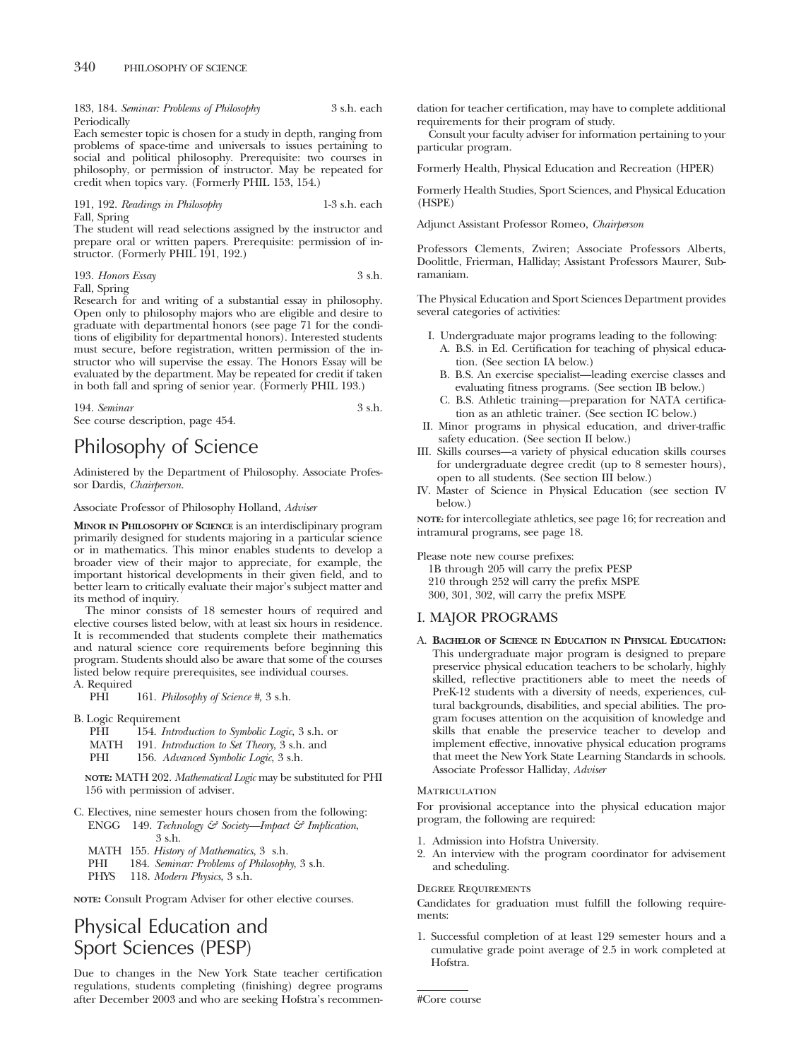183, 184. *Seminar: Problems of Philosophy* 3 s.h. each Periodically

Each semester topic is chosen for a study in depth, ranging from problems of space-time and universals to issues pertaining to social and political philosophy. Prerequisite: two courses in philosophy, or permission of instructor. May be repeated for credit when topics vary. (Formerly PHIL 153, 154.)

191, 192. *Readings in Philosophy* 1-3 s.h. each Fall, Spring

The student will read selections assigned by the instructor and prepare oral or written papers. Prerequisite: permission of instructor. (Formerly PHIL 191, 192.)

193. *Honors Essay* 3 s.h. Fall, Spring

Research for and writing of a substantial essay in philosophy. Open only to philosophy majors who are eligible and desire to graduate with departmental honors (see page 71 for the conditions of eligibility for departmental honors). Interested students must secure, before registration, written permission of the instructor who will supervise the essay. The Honors Essay will be evaluated by the department. May be repeated for credit if taken in both fall and spring of senior year. (Formerly PHIL 193.)

194. *Seminar* 3 s.h.

See course description, page 454.

# Philosophy of Science

Adinistered by the Department of Philosophy. Associate Professor Dardis, *Chairperson.*

Associate Professor of Philosophy Holland, *Adviser*

**MINOR IN PHILOSOPHY OF SCIENCE** is an interdisclipinary program primarily designed for students majoring in a particular science or in mathematics. This minor enables students to develop a broader view of their major to appreciate, for example, the important historical developments in their given field, and to better learn to critically evaluate their major's subject matter and its method of inquiry.

The minor consists of 18 semester hours of required and elective courses listed below, with at least six hours in residence. It is recommended that students complete their mathematics and natural science core requirements before beginning this program. Students should also be aware that some of the courses listed below require prerequisites, see individual courses.

A. Required 161. *Philosophy of Science* #, 3 s.h.

B. Logic Requirement

- PHI 154. *Introduction to Symbolic Logic*, 3 s.h. or
- MATH 191. *Introduction to Set Theory*, 3 s.h. and
- PHI 156. *Advanced Symbolic Logic*, 3 s.h.

**NOTE:** MATH 202. *Mathematical Logic* may be substituted for PHI 156 with permission of adviser.

- C. Electives, nine semester hours chosen from the following: ENGG 149. *Technology & Society—Impact & Implication*, 3 s.h.
	- MATH 155. *History of Mathematics*, 3 s.h.
	- PHI 184. *Seminar: Problems of Philosophy*, 3 s.h.
	- PHYS 118. *Modern Physics*, 3 s.h.

**NOTE:** Consult Program Adviser for other elective courses.

# Physical Education and Sport Sciences (PESP)

Due to changes in the New York State teacher certification regulations, students completing (finishing) degree programs after December 2003 and who are seeking Hofstra's recommendation for teacher certification, may have to complete additional requirements for their program of study.

Consult your faculty adviser for information pertaining to your particular program.

Formerly Health, Physical Education and Recreation (HPER)

Formerly Health Studies, Sport Sciences, and Physical Education (HSPE)

Adjunct Assistant Professor Romeo, *Chairperson*

Professors Clements, Zwiren; Associate Professors Alberts, Doolittle, Frierman, Halliday; Assistant Professors Maurer, Subramaniam.

The Physical Education and Sport Sciences Department provides several categories of activities:

- I. Undergraduate major programs leading to the following: A. B.S. in Ed. Certification for teaching of physical education. (See section IA below.)
	- B. B.S. An exercise specialist—leading exercise classes and evaluating fitness programs. (See section IB below.)
	- C. B.S. Athletic training—preparation for NATA certification as an athletic trainer. (See section IC below.)
- II. Minor programs in physical education, and driver-traffic safety education. (See section II below.)
- III. Skills courses—a variety of physical education skills courses for undergraduate degree credit (up to 8 semester hours), open to all students. (See section III below.)
- IV. Master of Science in Physical Education (see section IV below.)

**NOTE:** for intercollegiate athletics, see page 16; for recreation and intramural programs, see page 18.

Please note new course prefixes:

1B through 205 will carry the prefix PESP

210 through 252 will carry the prefix MSPE

300, 301, 302, will carry the prefix MSPE

## I. MAJOR PROGRAMS

A. **BACHELOR OF SCIENCE IN EDUCATION IN PHYSICAL EDUCATION:** This undergraduate major program is designed to prepare preservice physical education teachers to be scholarly, highly skilled, reflective practitioners able to meet the needs of PreK-12 students with a diversity of needs, experiences, cultural backgrounds, disabilities, and special abilities. The program focuses attention on the acquisition of knowledge and skills that enable the preservice teacher to develop and implement effective, innovative physical education programs that meet the New York State Learning Standards in schools. Associate Professor Halliday, *Adviser*

## **MATRICULATION**

For provisional acceptance into the physical education major program, the following are required:

- 1. Admission into Hofstra University.
- 2. An interview with the program coordinator for advisement and scheduling.

#### Degree Requirements

Candidates for graduation must fulfill the following requirements:

1. Successful completion of at least 129 semester hours and a cumulative grade point average of 2.5 in work completed at Hofstra.

#Core course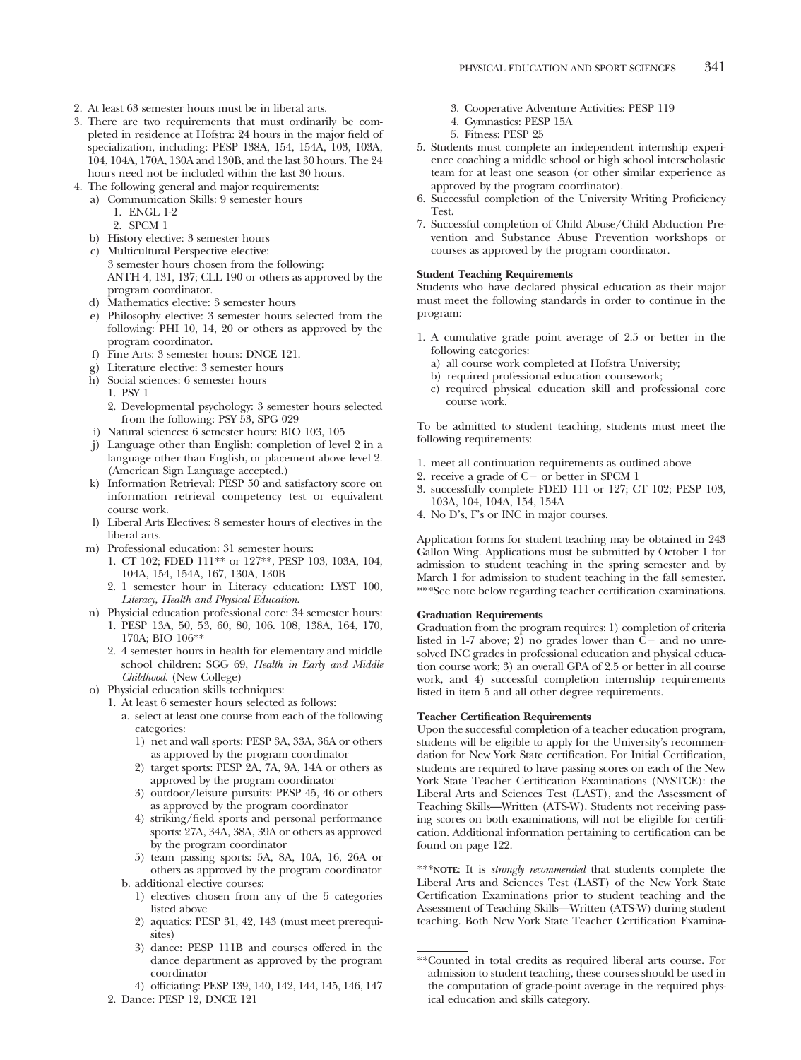- 2. At least 63 semester hours must be in liberal arts.
- 3. There are two requirements that must ordinarily be completed in residence at Hofstra: 24 hours in the major field of specialization, including: PESP 138A, 154, 154A, 103, 103A, 104, 104A, 170A, 130A and 130B, and the last 30 hours. The 24 hours need not be included within the last 30 hours.
- 4. The following general and major requirements: a) Communication Skills: 9 semester hours
	- 1. ENGL 1-2
		- 2. SPCM 1
	- b) History elective: 3 semester hours
	- c) Multicultural Perspective elective: 3 semester hours chosen from the following: ANTH 4, 131, 137; CLL 190 or others as approved by the program coordinator.
	- d) Mathematics elective: 3 semester hours
	- e) Philosophy elective: 3 semester hours selected from the following: PHI 10, 14, 20 or others as approved by the program coordinator.
	- f) Fine Arts: 3 semester hours: DNCE 121.
	- g) Literature elective: 3 semester hours
	- h) Social sciences: 6 semester hours
		- 1. PSY 1
		- 2. Developmental psychology: 3 semester hours selected from the following: PSY 53, SPG 029
	- i) Natural sciences: 6 semester hours: BIO 103, 105
	- j) Language other than English: completion of level 2 in a language other than English, or placement above level 2. (American Sign Language accepted.)
	- k) Information Retrieval: PESP 50 and satisfactory score on information retrieval competency test or equivalent course work.
	- l) Liberal Arts Electives: 8 semester hours of electives in the liberal arts.
	- m) Professional education: 31 semester hours:
		- 1. CT 102; FDED 111\*\* or 127\*\*, PESP 103, 103A, 104, 104A, 154, 154A, 167, 130A, 130B
		- 2. 1 semester hour in Literacy education: LYST 100, *Literacy, Health and Physical Education*.
	- n) Physicial education professional core: 34 semester hours: 1. PESP 13A, 50, 53, 60, 80, 106. 108, 138A, 164, 170, 170A; BIO 106\*\*
		- 2. 4 semester hours in health for elementary and middle school children: SGG 69, *Health in Early and Middle Childhood*. (New College)
	- o) Physicial education skills techniques:
		- 1. At least 6 semester hours selected as follows:
			- a. select at least one course from each of the following categories:
				- 1) net and wall sports: PESP 3A, 33A, 36A or others as approved by the program coordinator
				- 2) target sports: PESP 2A, 7A, 9A, 14A or others as approved by the program coordinator
				- 3) outdoor/leisure pursuits: PESP 45, 46 or others as approved by the program coordinator
				- 4) striking/field sports and personal performance sports: 27A, 34A, 38A, 39A or others as approved by the program coordinator
				- 5) team passing sports: 5A, 8A, 10A, 16, 26A or others as approved by the program coordinator
			- b. additional elective courses:
				- 1) electives chosen from any of the 5 categories listed above
				- 2) aquatics: PESP 31, 42, 143 (must meet prerequisites)
				- 3) dance: PESP 111B and courses offered in the dance department as approved by the program coordinator
				- 4) officiating: PESP 139, 140, 142, 144, 145, 146, 147
		- 2. Dance: PESP 12, DNCE 121
- 3. Cooperative Adventure Activities: PESP 119
- 4. Gymnastics: PESP 15A
- 5. Fitness: PESP 25
- 5. Students must complete an independent internship experience coaching a middle school or high school interscholastic team for at least one season (or other similar experience as approved by the program coordinator).
- 6. Successful completion of the University Writing Proficiency Test.
- 7. Successful completion of Child Abuse/Child Abduction Prevention and Substance Abuse Prevention workshops or courses as approved by the program coordinator.

## **Student Teaching Requirements**

Students who have declared physical education as their major must meet the following standards in order to continue in the program:

- 1. A cumulative grade point average of 2.5 or better in the following categories:
	- a) all course work completed at Hofstra University;
	- b) required professional education coursework;
	- c) required physical education skill and professional core course work.

To be admitted to student teaching, students must meet the following requirements:

- 1. meet all continuation requirements as outlined above
- 2. receive a grade of  $C$  or better in SPCM 1
- 3. successfully complete FDED 111 or 127; CT 102; PESP 103, 103A, 104, 104A, 154, 154A
- 4. No D's, F's or INC in major courses.

Application forms for student teaching may be obtained in 243 Gallon Wing. Applications must be submitted by October 1 for admission to student teaching in the spring semester and by March 1 for admission to student teaching in the fall semester. \*\*\*See note below regarding teacher certification examinations.

## **Graduation Requirements**

Graduation from the program requires: 1) completion of criteria listed in 1-7 above; 2) no grades lower than  $\overline{C}$  and no unresolved INC grades in professional education and physical education course work; 3) an overall GPA of 2.5 or better in all course work, and 4) successful completion internship requirements listed in item 5 and all other degree requirements.

## **Teacher Certification Requirements**

Upon the successful completion of a teacher education program, students will be eligible to apply for the University's recommendation for New York State certification. For Initial Certification, students are required to have passing scores on each of the New York State Teacher Certification Examinations (NYSTCE): the Liberal Arts and Sciences Test (LAST), and the Assessment of Teaching Skills—Written (ATS-W). Students not receiving passing scores on both examinations, will not be eligible for certification. Additional information pertaining to certification can be found on page 122.

\*\*\***NOTE**: It is *strongly recommended* that students complete the Liberal Arts and Sciences Test (LAST) of the New York State Certification Examinations prior to student teaching and the Assessment of Teaching Skills—Written (ATS-W) during student teaching. Both New York State Teacher Certification Examina-

<sup>\*\*</sup>Counted in total credits as required liberal arts course. For admission to student teaching, these courses should be used in the computation of grade-point average in the required physical education and skills category.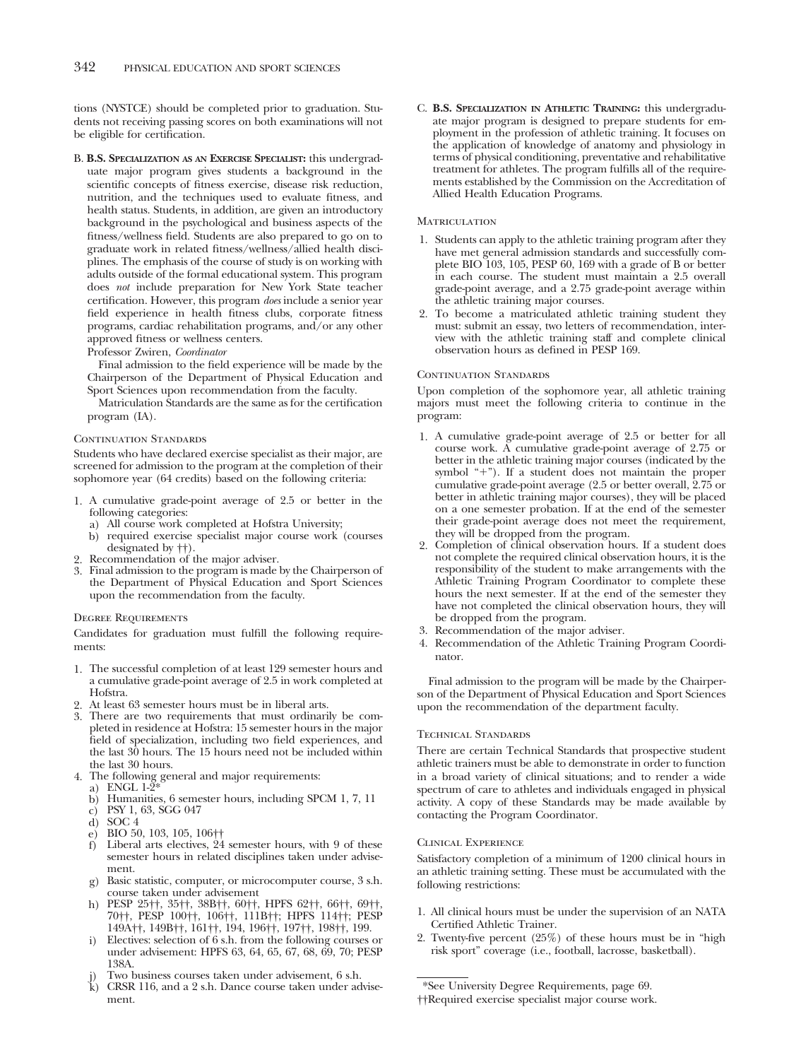tions (NYSTCE) should be completed prior to graduation. Students not receiving passing scores on both examinations will not be eligible for certification.

B. **B.S. SPECIALIZATION AS AN EXERCISE SPECIALIST:** this undergraduate major program gives students a background in the scientific concepts of fitness exercise, disease risk reduction, nutrition, and the techniques used to evaluate fitness, and health status. Students, in addition, are given an introductory background in the psychological and business aspects of the fitness/wellness field. Students are also prepared to go on to graduate work in related fitness/wellness/allied health disciplines. The emphasis of the course of study is on working with adults outside of the formal educational system. This program does *not* include preparation for New York State teacher certification. However, this program *does* include a senior year field experience in health fitness clubs, corporate fitness programs, cardiac rehabilitation programs, and/or any other approved fitness or wellness centers.

Professor Zwiren, *Coordinator*

Final admission to the field experience will be made by the Chairperson of the Department of Physical Education and Sport Sciences upon recommendation from the faculty.

Matriculation Standards are the same as for the certification program (IA).

#### CONTINUATION STANDARDS

Students who have declared exercise specialist as their major, are screened for admission to the program at the completion of their sophomore year (64 credits) based on the following criteria:

- 1. A cumulative grade-point average of 2.5 or better in the following categories:
	- a) All course work completed at Hofstra University;
	- b) required exercise specialist major course work (courses designated by ††).
- 2. Recommendation of the major adviser.
- 3. Final admission to the program is made by the Chairperson of the Department of Physical Education and Sport Sciences upon the recommendation from the faculty.

#### Degree Requirements

Candidates for graduation must fulfill the following requirements:

- 1. The successful completion of at least 129 semester hours and a cumulative grade-point average of 2.5 in work completed at Hofstra.
- 2. At least 63 semester hours must be in liberal arts.
- 3. There are two requirements that must ordinarily be completed in residence at Hofstra: 15 semester hours in the major field of specialization, including two field experiences, and the last 30 hours. The 15 hours need not be included within the last 30 hours.
- 4. The following general and major requirements:
	- a) ENGL 1-2\*
	- b) Humanities, 6 semester hours, including SPCM 1, 7, 11
	- c) PSY 1, 63, SGG 047
	- d) SOC 4
	- e) BIO 50, 103, 105, 106††
	- f) Liberal arts electives, 24 semester hours, with 9 of these semester hours in related disciplines taken under advisement.
	- g) Basic statistic, computer, or microcomputer course, 3 s.h. course taken under advisement
	- h) PESP 25††, 35††, 38B††, 60††, HPFS 62††, 66††, 69††, 70††, PESP 100††, 106††, 111B††; HPFS 114††; PESP 149A††, 149B††, 161††, 194, 196††, 197††, 198††, 199.
	- i) Electives: selection of 6 s.h. from the following courses or under advisement: HPFS 63, 64, 65, 67, 68, 69, 70; PESP 138A.
	- Two business courses taken under advisement, 6 s.h.
	- k) CRSR 116, and a 2 s.h. Dance course taken under advisement.

C. **B.S. SPECIALIZATION IN ATHLETIC TRAINING:** this undergraduate major program is designed to prepare students for employment in the profession of athletic training. It focuses on the application of knowledge of anatomy and physiology in terms of physical conditioning, preventative and rehabilitative treatment for athletes. The program fulfills all of the requirements established by the Commission on the Accreditation of Allied Health Education Programs.

#### **MATRICULATION**

- 1. Students can apply to the athletic training program after they have met general admission standards and successfully complete BIO 103, 105, PESP 60, 169 with a grade of B or better in each course. The student must maintain a 2.5 overall grade-point average, and a 2.75 grade-point average within the athletic training major courses.
- 2. To become a matriculated athletic training student they must: submit an essay, two letters of recommendation, interview with the athletic training staff and complete clinical observation hours as defined in PESP 169.

#### CONTINUATION STANDARDS

Upon completion of the sophomore year, all athletic training majors must meet the following criteria to continue in the program:

- 1. A cumulative grade-point average of 2.5 or better for all course work. A cumulative grade-point average of 2.75 or better in the athletic training major courses (indicated by the symbol "-"). If a student does not maintain the proper cumulative grade-point average (2.5 or better overall, 2.75 or better in athletic training major courses), they will be placed on a one semester probation. If at the end of the semester their grade-point average does not meet the requirement, they will be dropped from the program.
- 2. Completion of clinical observation hours. If a student does not complete the required clinical observation hours, it is the responsibility of the student to make arrangements with the Athletic Training Program Coordinator to complete these hours the next semester. If at the end of the semester they have not completed the clinical observation hours, they will be dropped from the program.
- 3. Recommendation of the major adviser.
- 4. Recommendation of the Athletic Training Program Coordinator.

Final admission to the program will be made by the Chairperson of the Department of Physical Education and Sport Sciences upon the recommendation of the department faculty.

#### Technical Standards

There are certain Technical Standards that prospective student athletic trainers must be able to demonstrate in order to function in a broad variety of clinical situations; and to render a wide spectrum of care to athletes and individuals engaged in physical activity. A copy of these Standards may be made available by contacting the Program Coordinator.

#### Clinical Experience

Satisfactory completion of a minimum of 1200 clinical hours in an athletic training setting. These must be accumulated with the following restrictions:

- 1. All clinical hours must be under the supervision of an NATA Certified Athletic Trainer.
- 2. Twenty-five percent (25%) of these hours must be in "high risk sport" coverage (i.e., football, lacrosse, basketball).

<sup>\*</sup>See University Degree Requirements, page 69.

<sup>††</sup>Required exercise specialist major course work.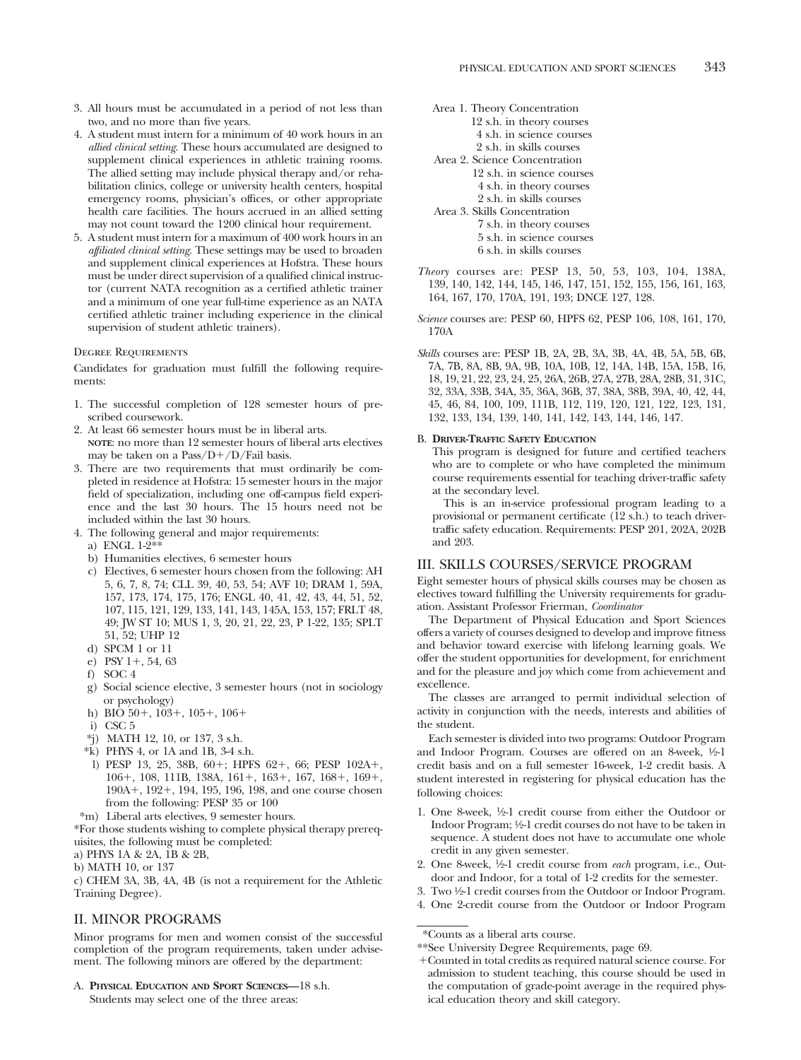- 3. All hours must be accumulated in a period of not less than two, and no more than five years.
- 4. A student must intern for a minimum of 40 work hours in an *allied clinical setting*. These hours accumulated are designed to supplement clinical experiences in athletic training rooms. The allied setting may include physical therapy and/or rehabilitation clinics, college or university health centers, hospital emergency rooms, physician's offices, or other appropriate health care facilities. The hours accrued in an allied setting may not count toward the 1200 clinical hour requirement.
- 5. A student must intern for a maximum of 400 work hours in an *affiliated clinical setting*. These settings may be used to broaden and supplement clinical experiences at Hofstra. These hours must be under direct supervision of a qualified clinical instructor (current NATA recognition as a certified athletic trainer and a minimum of one year full-time experience as an NATA certified athletic trainer including experience in the clinical supervision of student athletic trainers).

#### Degree Requirements

Candidates for graduation must fulfill the following requirements:

- 1. The successful completion of 128 semester hours of prescribed coursework.
- 2. At least 66 semester hours must be in liberal arts. **NOTE**: no more than 12 semester hours of liberal arts electives may be taken on a Pass/D+/D/Fail basis.
- 3. There are two requirements that must ordinarily be completed in residence at Hofstra: 15 semester hours in the major field of specialization, including one off-campus field experience and the last 30 hours. The 15 hours need not be included within the last 30 hours.
- 4. The following general and major requirements:
	- a) ENGL 1-2\*
	- b) Humanities electives, 6 semester hours
	- c) Electives, 6 semester hours chosen from the following: AH 5, 6, 7, 8, 74; CLL 39, 40, 53, 54; AVF 10; DRAM 1, 59A, 157, 173, 174, 175, 176; ENGL 40, 41, 42, 43, 44, 51, 52, 107, 115, 121, 129, 133, 141, 143, 145A, 153, 157; FRLT 48, 49; JW ST 10; MUS 1, 3, 20, 21, 22, 23, P 1-22, 135; SPLT 51, 52; UHP 12
	- d) SPCM 1 or 11
	- e) PSY 1+, 54, 63
	- f) SOC 4
	- g) Social science elective, 3 semester hours (not in sociology or psychology)
	- h) BIO 50+, 103+, 105+, 106+
	- i) CSC 5
	- \*j) MATH 12, 10, or 137, 3 s.h.
	- \*k) PHYS 4, or 1A and 1B, 3-4 s.h.
	- 1) PESP 13, 25, 38B, 60+; HPFS 62+, 66; PESP 102A+, 106+, 108, 111B, 138A, 161+, 163+, 167, 168+, 169+, 190A-, 192-, 194, 195, 196, 198, and one course chosen from the following: PESP 35 or 100
- \*m) Liberal arts electives, 9 semester hours.
- \*For those students wishing to complete physical therapy prerequisites, the following must be completed:
- a) PHYS 1A & 2A, 1B & 2B,
- b) MATH 10, or 137

c) CHEM 3A, 3B, 4A, 4B (is not a requirement for the Athletic Training Degree).

## II. MINOR PROGRAMS

Minor programs for men and women consist of the successful completion of the program requirements, taken under advisement. The following minors are offered by the department:

A. **PHYSICAL EDUCATION AND SPORT SCIENCES—**18 s.h. Students may select one of the three areas:

| Area 1. Theory Concentration  |
|-------------------------------|
| 12 s.h. in theory courses     |
| 4 s.h. in science courses     |
| 2 s.h. in skills courses      |
| Area 2. Science Concentration |
| 12 s.h. in science courses    |
| 4 s.h. in theory courses      |
| 2 s.h. in skills courses      |
| Area 3. Skills Concentration  |
| 7 s.h. in theory courses      |
| 5 s.h. in science courses     |
| 6 s.h. in skills courses      |
|                               |

*Theory* courses are: PESP 13, 50, 53, 103, 104, 138A, 139, 140, 142, 144, 145, 146, 147, 151, 152, 155, 156, 161, 163, 164, 167, 170, 170A, 191, 193; DNCE 127, 128.

*Science* courses are: PESP 60, HPFS 62, PESP 106, 108, 161, 170, 170A

*Skills* courses are: PESP 1B, 2A, 2B, 3A, 3B, 4A, 4B, 5A, 5B, 6B, 7A, 7B, 8A, 8B, 9A, 9B, 10A, 10B, 12, 14A, 14B, 15A, 15B, 16, 18, 19, 21, 22, 23, 24, 25, 26A, 26B, 27A, 27B, 28A, 28B, 31, 31C, 32, 33A, 33B, 34A, 35, 36A, 36B, 37, 38A, 38B, 39A, 40, 42, 44, 45, 46, 84, 100, 109, 111B, 112, 119, 120, 121, 122, 123, 131, 132, 133, 134, 139, 140, 141, 142, 143, 144, 146, 147.

## B. **DRIVER-TRAFFIC SAFETY EDUCATION**

This program is designed for future and certified teachers who are to complete or who have completed the minimum course requirements essential for teaching driver-traffic safety at the secondary level.

This is an in-service professional program leading to a provisional or permanent certificate (12 s.h.) to teach drivertraffic safety education. Requirements: PESP 201, 202A, 202B and 203.

## III. SKILLS COURSES/SERVICE PROGRAM

Eight semester hours of physical skills courses may be chosen as electives toward fulfilling the University requirements for graduation. Assistant Professor Frierman, *Coordinator*

The Department of Physical Education and Sport Sciences offers a variety of courses designed to develop and improve fitness and behavior toward exercise with lifelong learning goals. We offer the student opportunities for development, for enrichment and for the pleasure and joy which come from achievement and excellence.

The classes are arranged to permit individual selection of activity in conjunction with the needs, interests and abilities of the student.

Each semester is divided into two programs: Outdoor Program and Indoor Program. Courses are offered on an 8-week, 1/2-1 credit basis and on a full semester 16-week, 1-2 credit basis. A student interested in registering for physical education has the following choices:

- 1. One 8-week, 1⁄2-1 credit course from either the Outdoor or Indoor Program; 1⁄2-1 credit courses do not have to be taken in sequence. A student does not have to accumulate one whole credit in any given semester.
- 2. One 8-week, 1⁄2-1 credit course from *each* program, i.e., Outdoor and Indoor, for a total of 1-2 credits for the semester.
- 3. Two 1⁄2-1 credit courses from the Outdoor or Indoor Program.
- 4. One 2-credit course from the Outdoor or Indoor Program

<sup>\*</sup>Counts as a liberal arts course.

<sup>\*\*</sup>See University Degree Requirements, page 69.

<sup>-</sup>Counted in total credits as required natural science course. For admission to student teaching, this course should be used in the computation of grade-point average in the required physical education theory and skill category.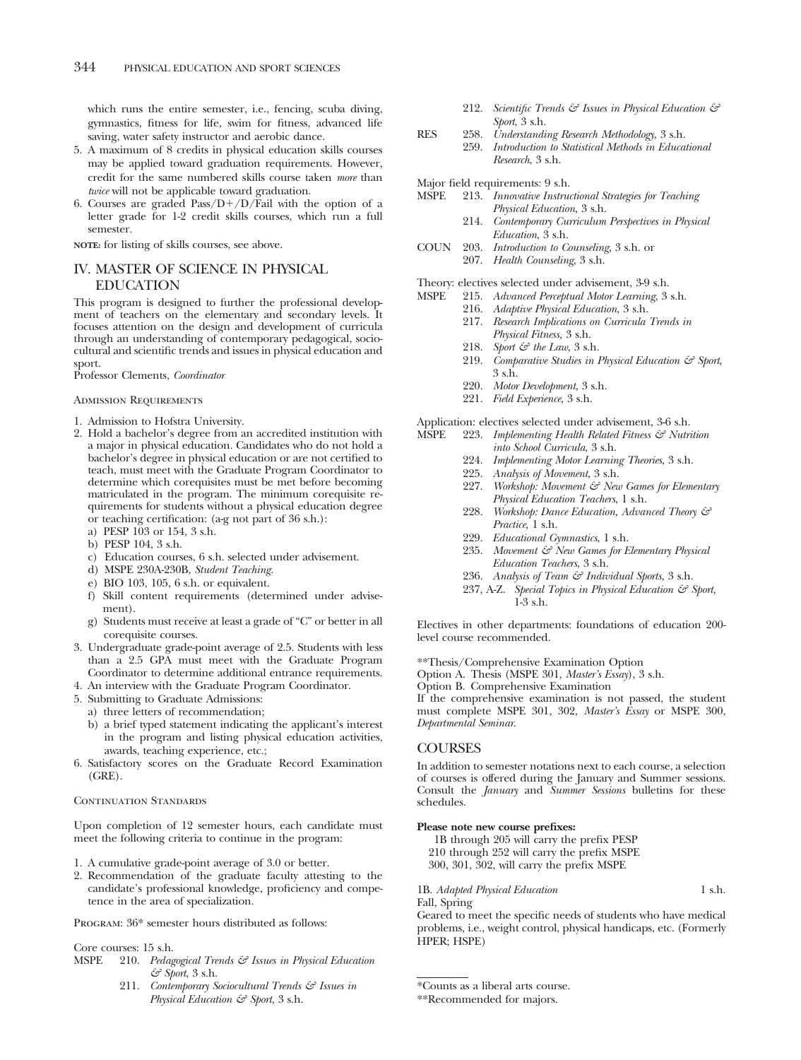which runs the entire semester, i.e., fencing, scuba diving, gymnastics, fitness for life, swim for fitness, advanced life saving, water safety instructor and aerobic dance.

- 5. A maximum of 8 credits in physical education skills courses may be applied toward graduation requirements. However, credit for the same numbered skills course taken *more* than *twice* will not be applicable toward graduation.
- 6. Courses are graded  $Pass/D+/D/Fall$  with the option of a letter grade for 1-2 credit skills courses, which run a full semester.

**NOTE:** for listing of skills courses, see above.

## IV. MASTER OF SCIENCE IN PHYSICAL EDUCATION

This program is designed to further the professional development of teachers on the elementary and secondary levels. It focuses attention on the design and development of curricula through an understanding of contemporary pedagogical, sociocultural and scientific trends and issues in physical education and sport.

Professor Clements, *Coordinator*

#### Admission Requirements

- 1. Admission to Hofstra University.
- 2. Hold a bachelor's degree from an accredited institution with a major in physical education. Candidates who do not hold a bachelor's degree in physical education or are not certified to teach, must meet with the Graduate Program Coordinator to determine which corequisites must be met before becoming matriculated in the program. The minimum corequisite requirements for students without a physical education degree or teaching certification: (a-g not part of 36 s.h.):
	- a) PESP 103 or 154, 3 s.h.
	- b) PESP 104, 3 s.h.
	- c) Education courses, 6 s.h. selected under advisement.
	- d) MSPE 230A-230B, *Student Teaching.*
	- e) BIO 103, 105, 6 s.h. or equivalent.
	- f) Skill content requirements (determined under advisement).
	- g) Students must receive at least a grade of "C" or better in all corequisite courses.
- 3. Undergraduate grade-point average of 2.5. Students with less than a 2.5 GPA must meet with the Graduate Program Coordinator to determine additional entrance requirements.
- 4. An interview with the Graduate Program Coordinator.
- 5. Submitting to Graduate Admissions:
	- a) three letters of recommendation;
	- b) a brief typed statement indicating the applicant's interest in the program and listing physical education activities, awards, teaching experience, etc.;
- 6. Satisfactory scores on the Graduate Record Examination (GRE).

#### CONTINUATION STANDARDS

Upon completion of 12 semester hours, each candidate must meet the following criteria to continue in the program:

1. A cumulative grade-point average of 3.0 or better.

2. Recommendation of the graduate faculty attesting to the candidate's professional knowledge, proficiency and competence in the area of specialization.

Program: 36\* semester hours distributed as follows:

Core courses: 15 s.h.<br>MSPE 210. Pedag

- 210. *Pedagogical Trends & Issues in Physical Education & Sport*, 3 s.h.
	- 211. *Contemporary Sociocultural Trends & Issues in Physical Education & Sport*, 3 s.h.
- 212. *Scientific Trends & Issues in Physical Education & Sport*, 3 s.h.
- RES 258. *Understanding Research Methodology*, 3 s.h. 259. *Introduction to Statistical Methods in Educational Research*, 3 s.h.
- Major field requirements: 9 s.h.<br>MSPE 213. Innovative Instru
- 213. *Innovative Instructional Strategies for Teaching Physical Education*, 3 s.h.
	- 214. *Contemporary Curriculum Perspectives in Physical Education*, 3 s.h.
- COUN 203. *Introduction to Counseling*, 3 s.h. or 207. *Health Counseling*, 3 s.h.
- Theory: electives selected under advisement, 3-9 s.h.<br>MSPE 215. Advanced Perceptual Motor Learning. 3
	- 215. *Advanced Perceptual Motor Learning*, 3 s.h.
		- 216. *Adaptive Physical Education*, 3 s.h.
		- 217. *Research Implications on Curricula Trends in Physical Fitness,* 3 s.h.
		- 218. *Sport & the Law*, 3 s.h.
		- 219. *Comparative Studies in Physical Education & Sport*, 3 s.h.
		- 220. *Motor Development*, 3 s.h.
		- 221. *Field Experience*, 3 s.h.

Application: electives selected under advisement, 3-6 s.h.<br>MSPE 223. Implementing Health Related Fitness  $\mathcal{F}$  Nutri

- 223. *Implementing Health Related Fitness & Nutrition into School Curricula*, 3 s.h.
	- 224. *Implementing Motor Learning Theories*, 3 s.h.
	- 225. *Analysis of Movement*, 3 s.h.
	-
	- 227. *Workshop: Movement & New Games for Elementary Physical Education Teachers*, 1 s.h.
	- 228. *Workshop: Dance Education, Advanced Theory & Practice,* 1 s.h.
	- 229. *Educational Gymnastics*, 1 s.h.
	- 235. *Movement & New Games for Elementary Physical Education Teachers*, 3 s.h.
	- 236. *Analysis of Team & Individual Sports,* 3 s.h.
	- 237, A-Z. *Special Topics in Physical Education & Sport,* 1-3 s.h.

Electives in other departments: foundations of education 200 level course recommended.

\*\*Thesis/Comprehensive Examination Option

Option A. Thesis (MSPE 301, *Master's Essay*), 3 s.h.

Option B. Comprehensive Examination

If the comprehensive examination is not passed, the student must complete MSPE 301, 302, *Master's Essay* or MSPE 300, *Departmental Seminar*.

# **COURSES**

Fall, Spring

In addition to semester notations next to each course, a selection of courses is offered during the January and Summer sessions. Consult the *January* and *Summer Sessions* bulletins for these schedules.

#### **Please note new course prefixes:**

1B through 205 will carry the prefix PESP 210 through 252 will carry the prefix MSPE 300, 301, 302, will carry the prefix MSPE

1B. *Adapted Physical Education* 1 s.h.

Geared to meet the specific needs of students who have medical problems, i.e., weight control, physical handicaps, etc. (Formerly HPER; HSPE)

\*Counts as a liberal arts course.

<sup>\*\*</sup>Recommended for majors.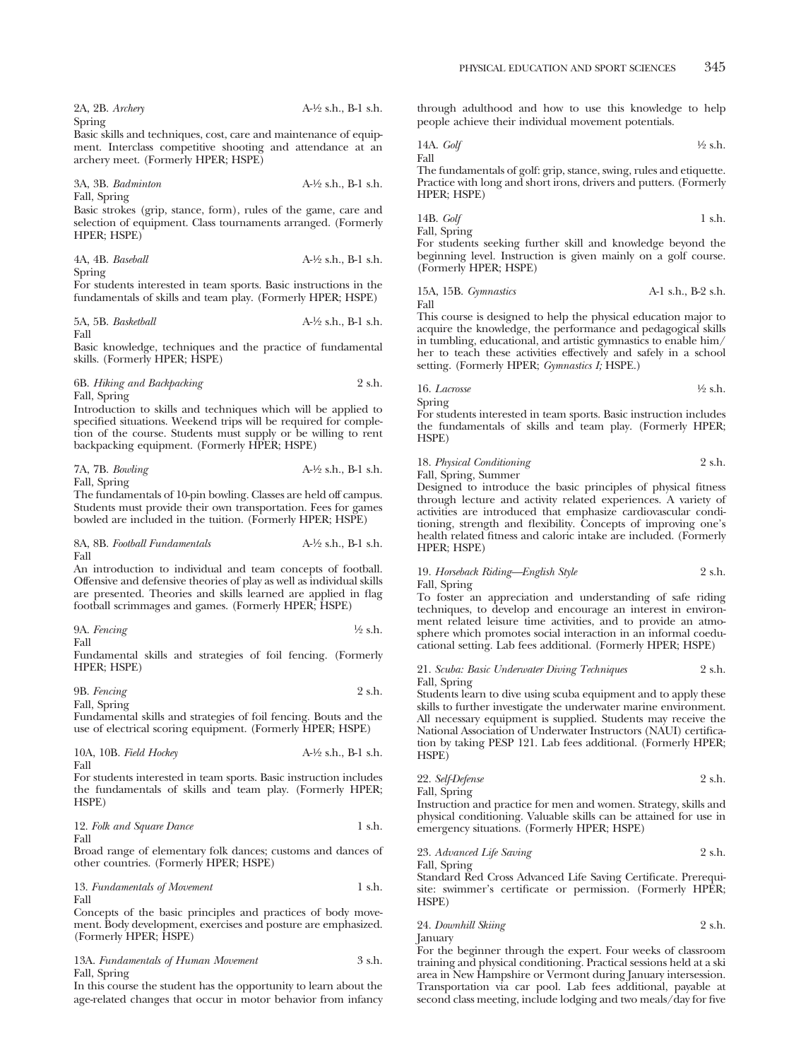| 2A, 2B. Archery | $A-\frac{1}{2}$ s.h., B-1 s.h. |
|-----------------|--------------------------------|
| Spring          |                                |

Basic skills and techniques, cost, care and maintenance of equipment. Interclass competitive shooting and attendance at an archery meet. (Formerly HPER; HSPE)

3A, 3B. *Badminton* A-1⁄2 s.h., B-1 s.h. Fall, Spring

Basic strokes (grip, stance, form), rules of the game, care and selection of equipment. Class tournaments arranged. (Formerly HPER; HSPE)

| 4A, 4B. Baseball | $A-\frac{1}{2}$ s.h., B-1 s.h. |
|------------------|--------------------------------|
| Spring           |                                |

For students interested in team sports. Basic instructions in the fundamentals of skills and team play. (Formerly HPER; HSPE)

| 5A, 5B. Basketball | $A-\frac{1}{2}$ s.h., B-1 s.h. |
|--------------------|--------------------------------|
| Fall               |                                |

Basic knowledge, techniques and the practice of fundamental skills. (Formerly HPER; HSPE)

6B. *Hiking and Backpacking* 2 s.h. Fall, Spring

Introduction to skills and techniques which will be applied to specified situations. Weekend trips will be required for completion of the course. Students must supply or be willing to rent backpacking equipment. (Formerly HPER; HSPE)

| 7A, 7B. Bowling | $A-\frac{1}{2}$ s.h., B-1 s.h. |
|-----------------|--------------------------------|
| Fall, Spring    |                                |

The fundamentals of 10-pin bowling. Classes are held off campus. Students must provide their own transportation. Fees for games bowled are included in the tuition. (Formerly HPER; HSPE)

8A, 8B. *Football Fundamentals* A-1⁄2 s.h., B-1 s.h. Fall

An introduction to individual and team concepts of football. Offensive and defensive theories of play as well as individual skills are presented. Theories and skills learned are applied in flag football scrimmages and games. (Formerly HPER; HSPE)

9A. *Fencing* 1⁄2 s.h.

Fall

Fundamental skills and strategies of foil fencing. (Formerly HPER; HSPE)

9B. *Fencing* 2 s.h. Fall, Spring

Fundamental skills and strategies of foil fencing. Bouts and the use of electrical scoring equipment. (Formerly HPER; HSPE)

| 10A, 10B. Field Hockey | $A1/2$ s.h., B-1 s.h. |
|------------------------|-----------------------|
| Fall                   |                       |

For students interested in team sports. Basic instruction includes the fundamentals of skills and team play. (Formerly HPER; HSPE)

12. *Folk and Square Dance* 1 s.h.

Fall

Broad range of elementary folk dances; customs and dances of other countries. (Formerly HPER; HSPE)

$$
13. \; Fundamentals of Movement \qquad \qquad 1 s.h. \;
$$
 
$$
1
$$

Concepts of the basic principles and practices of body movement. Body development, exercises and posture are emphasized. (Formerly HPER; HSPE)

13A. *Fundamentals of Human Movement* 3 s.h. Fall, Spring

In this course the student has the opportunity to learn about the age-related changes that occur in motor behavior from infancy through adulthood and how to use this knowledge to help people achieve their individual movement potentials.

14A. *Golf* 1⁄2 s.h. Fall The fundamentals of golf: grip, stance, swing, rules and etiquette.

Practice with long and short irons, drivers and putters. (Formerly HPER; HSPE)

$$
14B. \text{ Golf} \qquad \qquad 1 \text{ s.h.}
$$

Fall, Spring For students seeking further skill and knowledge beyond the beginning level. Instruction is given mainly on a golf course. (Formerly HPER; HSPE)

15A, 15B. *Gymnastics* A-1 s.h., B-2 s.h. Fall

This course is designed to help the physical education major to acquire the knowledge, the performance and pedagogical skills in tumbling, educational, and artistic gymnastics to enable him/ her to teach these activities effectively and safely in a school setting. (Formerly HPER; *Gymnastics I;* HSPE.)

$$
16. Lacrose
$$

Spring

For students interested in team sports. Basic instruction includes the fundamentals of skills and team play. (Formerly HPER; HSPE)

18. *Physical Conditioning* 2 s.h. Fall, Spring, Summer

Designed to introduce the basic principles of physical fitness through lecture and activity related experiences. A variety of activities are introduced that emphasize cardiovascular conditioning, strength and flexibility. Concepts of improving one's health related fitness and caloric intake are included. (Formerly HPER; HSPE)

## 19. *Horseback Riding—English Style* 2 s.h. Fall, Spring

To foster an appreciation and understanding of safe riding techniques, to develop and encourage an interest in environment related leisure time activities, and to provide an atmosphere which promotes social interaction in an informal coeducational setting. Lab fees additional. (Formerly HPER; HSPE)

21. *Scuba: Basic Underwater Diving Techniques* 2 s.h. Fall, Spring

Students learn to dive using scuba equipment and to apply these skills to further investigate the underwater marine environment. All necessary equipment is supplied. Students may receive the National Association of Underwater Instructors (NAUI) certification by taking PESP 121. Lab fees additional. (Formerly HPER; HSPE)

| 22. Self-Defense |  |  |  |  | 2 s.h. |
|------------------|--|--|--|--|--------|
| Fall, Spring     |  |  |  |  |        |
| . .              |  |  |  |  |        |

Instruction and practice for men and women. Strategy, skills and physical conditioning. Valuable skills can be attained for use in emergency situations. (Formerly HPER; HSPE)

23. *Advanced Life Saving* 2 s.h.

Fall, Spring Standard Red Cross Advanced Life Saving Certificate. Prerequisite: swimmer's certificate or permission. (Formerly HPER; HSPE)

24. *Downhill Skiing* 2 s.h.

January For the beginner through the expert. Four weeks of classroom training and physical conditioning. Practical sessions held at a ski area in New Hampshire or Vermont during January intersession. Transportation via car pool. Lab fees additional, payable at second class meeting, include lodging and two meals/day for five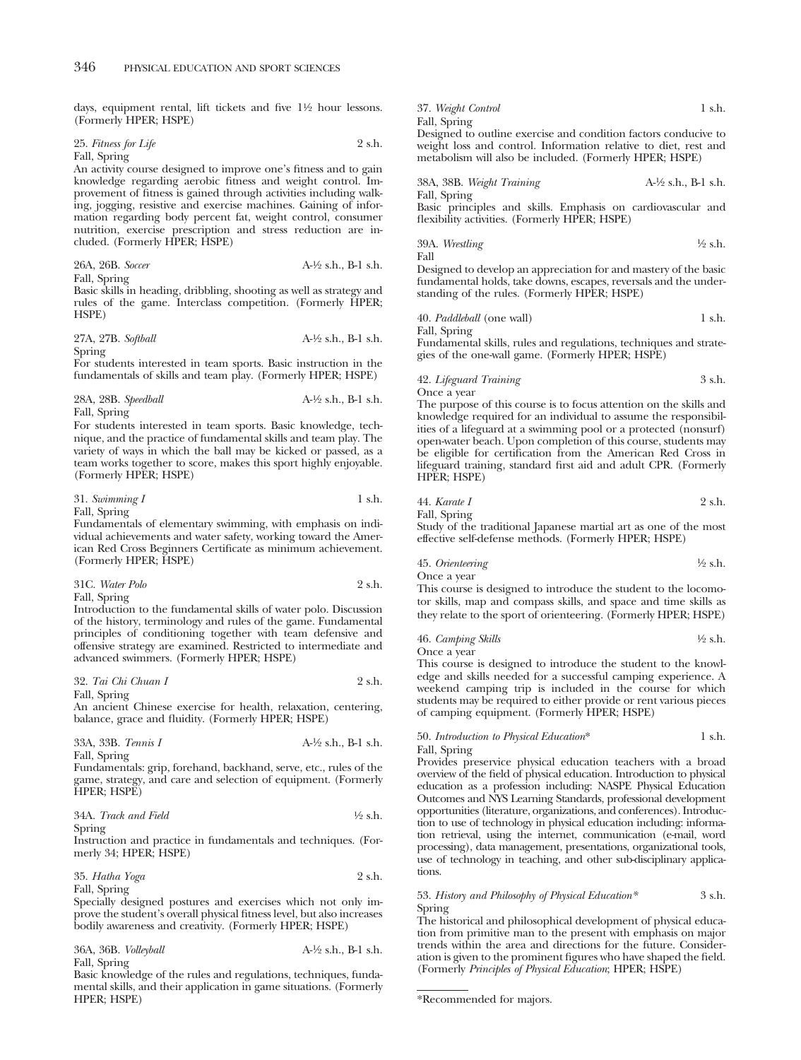days, equipment rental, lift tickets and five  $1\frac{1}{2}$  hour lessons. (Formerly HPER; HSPE)

25. *Fitness for Life* 2 s.h. Fall, Spring

An activity course designed to improve one's fitness and to gain knowledge regarding aerobic fitness and weight control. Improvement of fitness is gained through activities including walking, jogging, resistive and exercise machines. Gaining of information regarding body percent fat, weight control, consumer nutrition, exercise prescription and stress reduction are included. (Formerly HPER; HSPE)

| 26A, 26B. Soccer | $A-\frac{1}{2}$ s.h., B-1 s.h. |
|------------------|--------------------------------|
| Fall, Spring     |                                |

Basic skills in heading, dribbling, shooting as well as strategy and rules of the game. Interclass competition. (Formerly HPER; HSPE)

| 27A, 27B. Softball | $A-\frac{1}{2}$ s.h., B-1 s.h. |
|--------------------|--------------------------------|
|                    |                                |

Spring

For students interested in team sports. Basic instruction in the fundamentals of skills and team play. (Formerly HPER; HSPE)

| 28A, 28B. Speedball | $A-\frac{1}{2}$ s.h., B-1 s.h. |
|---------------------|--------------------------------|
| Fall, Spring        |                                |

For students interested in team sports. Basic knowledge, technique, and the practice of fundamental skills and team play. The variety of ways in which the ball may be kicked or passed, as a team works together to score, makes this sport highly enjoyable. (Formerly HPER; HSPE)

| 31. Swimming I | 1 s.h. |
|----------------|--------|
| Fall, Spring   |        |

Fundamentals of elementary swimming, with emphasis on individual achievements and water safety, working toward the American Red Cross Beginners Certificate as minimum achievement. (Formerly HPER; HSPE)

| 31C. Water Polo | 2 s.h. |
|-----------------|--------|
| Fall, Spring    |        |

Introduction to the fundamental skills of water polo. Discussion of the history, terminology and rules of the game. Fundamental principles of conditioning together with team defensive and offensive strategy are examined. Restricted to intermediate and advanced swimmers. (Formerly HPER; HSPE)

| 32. Tai Chi Chuan I | 2 s.h. |
|---------------------|--------|
| Fall, Spring        |        |

An ancient Chinese exercise for health, relaxation, centering, balance, grace and fluidity. (Formerly HPER; HSPE)

33A, 33B. *Tennis I* A-
$$
\frac{1}{2}
$$
 s.h., B-1 s.h.

Fall, Spring Fundamentals: grip, forehand, backhand, serve, etc., rules of the game, strategy, and care and selection of equipment. (Formerly HPER; HSPE)

| 34A. Track and Field | $\frac{1}{2}$ s.h. |
|----------------------|--------------------|
| Spring               |                    |

Instruction and practice in fundamentals and techniques. (Formerly 34; HPER; HSPE)

35. *Hatha Yoga* 2 s.h. Fall, Spring

Specially designed postures and exercises which not only improve the student's overall physical fitness level, but also increases bodily awareness and creativity. (Formerly HPER; HSPE)

36A, 36B. *Volleyball* A-1⁄2 s.h., B-1 s.h. Fall, Spring

Basic knowledge of the rules and regulations, techniques, fundamental skills, and their application in game situations. (Formerly HPER; HSPE)

37. *Weight Control* 1 s.h. Fall, Spring

Designed to outline exercise and condition factors conducive to weight loss and control. Information relative to diet, rest and metabolism will also be included. (Formerly HPER; HSPE)

38A, 38B. *Weight Training* A-1⁄2 s.h., B-1 s.h. Fall, Spring

Basic principles and skills. Emphasis on cardiovascular and flexibility activities. (Formerly HPER; HSPE)

39A. *Wrestling* 
$$
\frac{1}{2}
$$
 s.h. Fall

Designed to develop an appreciation for and mastery of the basic fundamental holds, take downs, escapes, reversals and the understanding of the rules. (Formerly HPER; HSPE)

40. *Paddleball* (one wall) 1 s.h. Fall, Spring

Fundamental skills, rules and regulations, techniques and strategies of the one-wall game. (Formerly HPER; HSPE)

42. *Lifeguard Training* 3 s.h. Once a year

The purpose of this course is to focus attention on the skills and knowledge required for an individual to assume the responsibilities of a lifeguard at a swimming pool or a protected (nonsurf) open-water beach. Upon completion of this course, students may be eligible for certification from the American Red Cross in lifeguard training, standard first aid and adult CPR. (Formerly HPER; HSPE)

44. *Karate I* 
$$
2 \, \text{sh.}
$$

Fall, Spring

Study of the traditional Japanese martial art as one of the most effective self-defense methods. (Formerly HPER; HSPE)

45. Orienteering 
$$
\frac{1}{2}
$$
 s.h.

Once a year

This course is designed to introduce the student to the locomotor skills, map and compass skills, and space and time skills as they relate to the sport of orienteering. (Formerly HPER; HSPE)

46. *Camping Skills* 
$$
\frac{1}{2}
$$
 s.h. Once a year

This course is designed to introduce the student to the knowledge and skills needed for a successful camping experience. A weekend camping trip is included in the course for which students may be required to either provide or rent various pieces of camping equipment. (Formerly HPER; HSPE)

## 50. *Introduction to Physical Education*\* 1 s.h. Fall, Spring

Provides preservice physical education teachers with a broad overview of the field of physical education. Introduction to physical education as a profession including: NASPE Physical Education Outcomes and NYS Learning Standards, professional development opportunities (literature, organizations, and conferences). Introduction to use of technology in physical education including: information retrieval, using the internet, communication (e-mail, word processing), data management, presentations, organizational tools, use of technology in teaching, and other sub-disciplinary applications.

## 53. *History and Philosophy of Physical Education\** 3 s.h. Spring

The historical and philosophical development of physical education from primitive man to the present with emphasis on major trends within the area and directions for the future. Consideration is given to the prominent figures who have shaped the field. (Formerly *Principles of Physical Education*; HPER; HSPE)

<sup>\*</sup>Recommended for majors.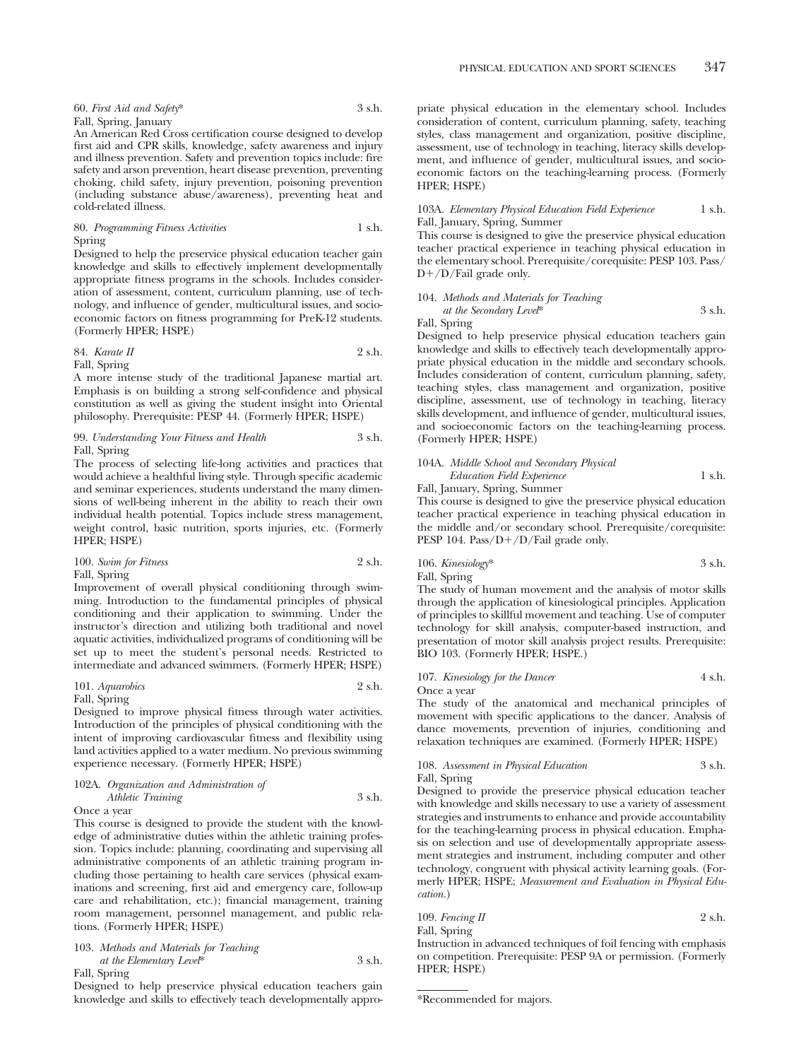| 60. First Aid and Safety* | 3 s.h. |
|---------------------------|--------|
| Fall, Spring, January     |        |

An American Red Cross certification course designed to develop first aid and CPR skills, knowledge, safety awareness and injury and illness prevention. Safety and prevention topics include: fire safety and arson prevention, heart disease prevention, preventing choking, child safety, injury prevention, poisoning prevention (including substance abuse/awareness), preventing heat and cold-related illness.

80. *Programming Fitness Activities* 1 s.h. Spring

Designed to help the preservice physical education teacher gain knowledge and skills to effectively implement developmentally appropriate fitness programs in the schools. Includes consideration of assessment, content, curriculum planning, use of technology, and influence of gender, multicultural issues, and socioeconomic factors on fitness programming for PreK-12 students. (Formerly HPER; HSPE)

## 84. *Karate II* 2 s.h. Fall, Spring

A more intense study of the traditional Japanese martial art. Emphasis is on building a strong self-confidence and physical constitution as well as giving the student insight into Oriental philosophy. Prerequisite: PESP 44. (Formerly HPER; HSPE)

## 99. *Understanding Your Fitness and Health* 3 s.h. Fall, Spring

The process of selecting life-long activities and practices that would achieve a healthful living style. Through specific academic and seminar experiences, students understand the many dimensions of well-being inherent in the ability to reach their own individual health potential. Topics include stress management, weight control, basic nutrition, sports injuries, etc. (Formerly HPER; HSPE)

| 100. Swim for Fitness | 2 s.h. |
|-----------------------|--------|
| Fall, Spring          |        |

Improvement of overall physical conditioning through swimming. Introduction to the fundamental principles of physical conditioning and their application to swimming. Under the instructor's direction and utilizing both traditional and novel aquatic activities, individualized programs of conditioning will be set up to meet the student's personal needs. Restricted to intermediate and advanced swimmers. (Formerly HPER; HSPE)

# 101. *Aquarobics* 2 s.h.

## Fall, Spring

Designed to improve physical fitness through water activities. Introduction of the principles of physical conditioning with the intent of improving cardiovascular fitness and flexibility using land activities applied to a water medium. No previous swimming experience necessary. (Formerly HPER; HSPE)

## 102A. *Organization and Administration of Athletic Training* 3 s.h.

Once a year

This course is designed to provide the student with the knowledge of administrative duties within the athletic training profession. Topics include: planning, coordinating and supervising all administrative components of an athletic training program including those pertaining to health care services (physical examinations and screening, first aid and emergency care, follow-up care and rehabilitation, etc.); financial management, training room management, personnel management, and public relations. (Formerly HPER; HSPE)

103. *Methods and Materials for Teaching at the Elementary Level*\* 3 s.h. Fall, Spring

Designed to help preservice physical education teachers gain knowledge and skills to effectively teach developmentally appropriate physical education in the elementary school. Includes consideration of content, curriculum planning, safety, teaching styles, class management and organization, positive discipline, assessment, use of technology in teaching, literacy skills development, and influence of gender, multicultural issues, and socioeconomic factors on the teaching-learning process. (Formerly HPER; HSPE)

## 103A. *Elementary Physical Education Field Experience* 1 s.h. Fall, January, Spring, Summer

This course is designed to give the preservice physical education teacher practical experience in teaching physical education in the elementary school. Prerequisite/corequisite: PESP 103. Pass/ D-/D/Fail grade only.

## 104. *Methods and Materials for Teaching*

*at the Secondary Level*\* 3 s.h. Fall, Spring

Designed to help preservice physical education teachers gain knowledge and skills to effectively teach developmentally appropriate physical education in the middle and secondary schools. Includes consideration of content, curriculum planning, safety, teaching styles, class management and organization, positive discipline, assessment, use of technology in teaching, literacy skills development, and influence of gender, multicultural issues, and socioeconomic factors on the teaching-learning process. (Formerly HPER; HSPE)

## 104A. *Middle School and Secondary Physical Education Field Experience* 1 s.h. Fall, January, Spring, Summer

This course is designed to give the preservice physical education teacher practical experience in teaching physical education in the middle and/or secondary school. Prerequisite/corequisite: PESP 104. Pass/D+/D/Fail grade only.

106. *Kinesiology*\* 3 s.h. Fall, Spring

The study of human movement and the analysis of motor skills through the application of kinesiological principles. Application of principles to skillful movement and teaching. Use of computer technology for skill analysis, computer-based instruction, and presentation of motor skill analysis project results. Prerequisite: BIO 103. (Formerly HPER; HSPE.)

## 107. *Kinesiology for the Dancer* 4 s.h. Once a year

The study of the anatomical and mechanical principles of movement with specific applications to the dancer. Analysis of dance movements, prevention of injuries, conditioning and relaxation techniques are examined. (Formerly HPER; HSPE)

## 108. *Assessment in Physical Education* 3 s.h. Fall, Spring

Designed to provide the preservice physical education teacher with knowledge and skills necessary to use a variety of assessment strategies and instruments to enhance and provide accountability for the teaching-learning process in physical education. Emphasis on selection and use of developmentally appropriate assessment strategies and instrument, including computer and other technology, congruent with physical activity learning goals. (Formerly HPER; HSPE; *Measurement and Evaluation in Physical Education.*)

109. *Fencing II* 2 s.h. Fall, Spring

Instruction in advanced techniques of foil fencing with emphasis on competition. Prerequisite: PESP 9A or permission. (Formerly HPER; HSPE)

<sup>\*</sup>Recommended for majors.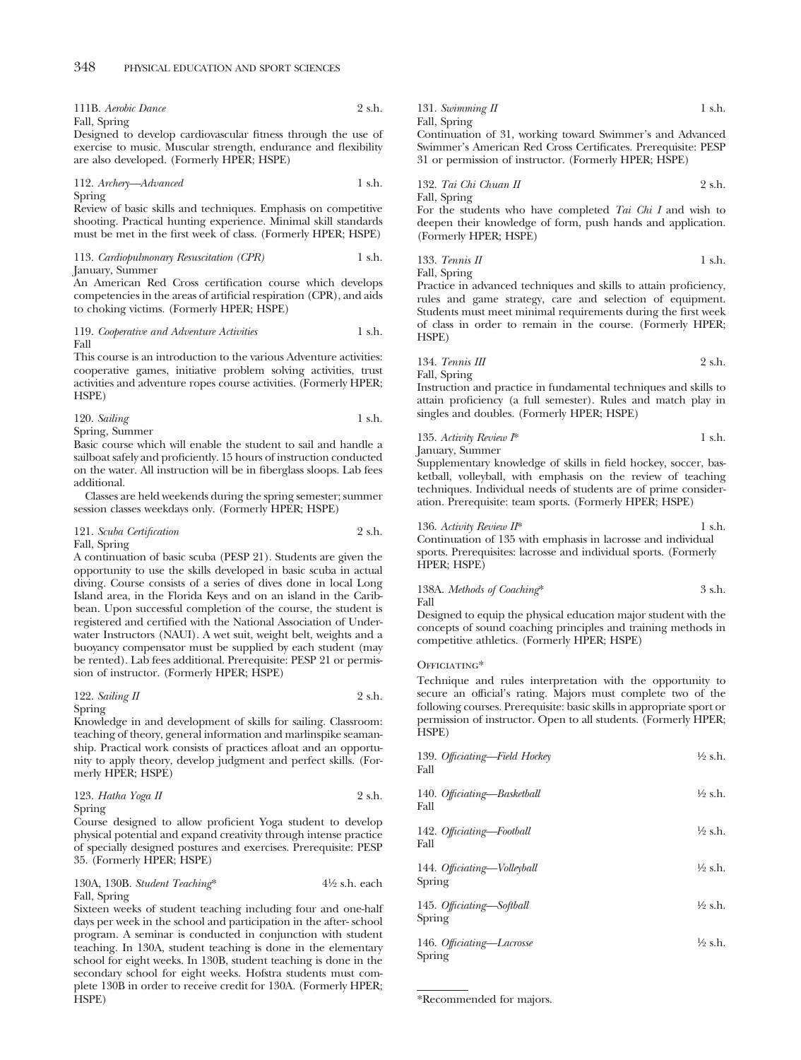111B. *Aerobic Dance* 2 s.h. Fall, Spring

Designed to develop cardiovascular fitness through the use of exercise to music. Muscular strength, endurance and flexibility are also developed. (Formerly HPER; HSPE)

112. *Archery—Advanced* 1 s.h. Spring

Review of basic skills and techniques. Emphasis on competitive shooting. Practical hunting experience. Minimal skill standards must be met in the first week of class. (Formerly HPER; HSPE)

113. *Cardiopulmonary Resuscitation (CPR)* 1 s.h. January, Summer

An American Red Cross certification course which develops competencies in the areas of artificial respiration (CPR), and aids to choking victims. (Formerly HPER; HSPE)

119. *Cooperative and Adventure Activities* 1 s.h. Fall

This course is an introduction to the various Adventure activities: cooperative games, initiative problem solving activities, trust activities and adventure ropes course activities. (Formerly HPER; HSPE)

| 120. Sailing   | 1 s.h. |
|----------------|--------|
| Spring, Summer |        |

Basic course which will enable the student to sail and handle a sailboat safely and proficiently. 15 hours of instruction conducted on the water. All instruction will be in fiberglass sloops. Lab fees additional.

Classes are held weekends during the spring semester; summer session classes weekdays only. (Formerly HPER; HSPE)

#### 121. *Scuba Certification* 2 s.h. Fall, Spring

A continuation of basic scuba (PESP 21). Students are given the opportunity to use the skills developed in basic scuba in actual diving. Course consists of a series of dives done in local Long Island area, in the Florida Keys and on an island in the Caribbean. Upon successful completion of the course, the student is registered and certified with the National Association of Underwater Instructors (NAUI). A wet suit, weight belt, weights and a buoyancy compensator must be supplied by each student (may be rented). Lab fees additional. Prerequisite: PESP 21 or permission of instructor. (Formerly HPER; HSPE)

# 122. *Sailing II* 2 s.h.

Spring Knowledge in and development of skills for sailing. Classroom: teaching of theory, general information and marlinspike seamanship. Practical work consists of practices afloat and an opportunity to apply theory, develop judgment and perfect skills. (Formerly HPER; HSPE)

123. *Hatha Yoga II* 2 s.h. Spring

Course designed to allow proficient Yoga student to develop physical potential and expand creativity through intense practice of specially designed postures and exercises. Prerequisite: PESP 35. (Formerly HPER; HSPE)

130A, 130B. *Student Teaching*\* 41⁄2 s.h. each Fall, Spring

Sixteen weeks of student teaching including four and one-half days per week in the school and participation in the after- school program. A seminar is conducted in conjunction with student teaching. In 130A, student teaching is done in the elementary school for eight weeks. In 130B, student teaching is done in the secondary school for eight weeks. Hofstra students must complete 130B in order to receive credit for 130A. (Formerly HPER; HSPE)

131. *Swimming II* 1 s.h. Fall, Spring

Continuation of 31, working toward Swimmer's and Advanced Swimmer's American Red Cross Certificates. Prerequisite: PESP 31 or permission of instructor. (Formerly HPER; HSPE)

132. *Tai Chi Chuan II* 2 s.h. Fall, Spring

For the students who have completed *Tai Chi I* and wish to deepen their knowledge of form, push hands and application. (Formerly HPER; HSPE)

133. *Tennis II* 1 s.h. Fall, Spring

Practice in advanced techniques and skills to attain proficiency, rules and game strategy, care and selection of equipment. Students must meet minimal requirements during the first week of class in order to remain in the course. (Formerly HPER; HSPE)

134. *Tennis III* 2 s.h. Fall, Spring

Instruction and practice in fundamental techniques and skills to attain proficiency (a full semester). Rules and match play in singles and doubles. (Formerly HPER; HSPE)

135. *Activity Review I*\* 1 s.h. January, Summer

Supplementary knowledge of skills in field hockey, soccer, basketball, volleyball, with emphasis on the review of teaching techniques. Individual needs of students are of prime consideration. Prerequisite: team sports. (Formerly HPER; HSPE)

# 136. *Activity Review II*<sup>\*</sup> 1 s.h.

Continuation of 135 with emphasis in lacrosse and individual sports. Prerequisites: lacrosse and individual sports. (Formerly HPER; HSPE)

## 138A. *Methods of Coaching*\* 3 s.h. Fall

Designed to equip the physical education major student with the concepts of sound coaching principles and training methods in competitive athletics. (Formerly HPER; HSPE)

## OFFICIATING\*

Technique and rules interpretation with the opportunity to secure an official's rating. Majors must complete two of the following courses. Prerequisite: basic skills in appropriate sport or permission of instructor. Open to all students. (Formerly HPER; HSPE)

| 139. Officiating—Field Hockey<br>Fall | $\frac{1}{2}$ s.h. |
|---------------------------------------|--------------------|
| 140. Officiating-Basketball<br>Fall   | $\frac{1}{2}$ s.h. |
| 142. Officiating-Football<br>Fall     | $\frac{1}{2}$ s.h. |
| 144. Officiating—Volleyball<br>Spring | $\frac{1}{2}$ s.h. |
| 145. Officiating-Softball<br>Spring   | $\frac{1}{2}$ s.h. |
| 146. Officiating-Lacrosse<br>Spring   | $\frac{1}{2}$ s.h. |

<sup>\*</sup>Recommended for majors.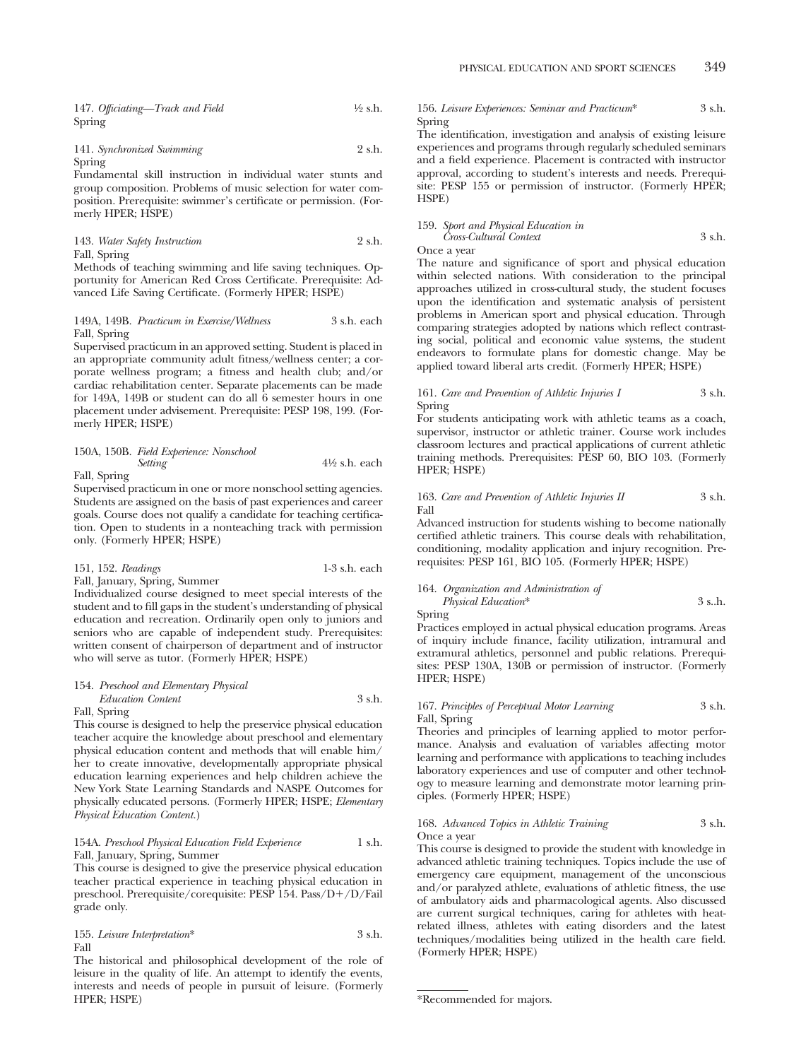147. *Officiating—Track and Field* 1⁄2 s.h. Spring

#### 141. *Synchronized Swimming* 2 s.h. Spring

Fundamental skill instruction in individual water stunts and group composition. Problems of music selection for water composition. Prerequisite: swimmer's certificate or permission. (Formerly HPER; HSPE)

| 143. Water Safety Instruction | 2 s.h. |
|-------------------------------|--------|
| Fall, Spring                  |        |

Methods of teaching swimming and life saving techniques. Opportunity for American Red Cross Certificate. Prerequisite: Advanced Life Saving Certificate. (Formerly HPER; HSPE)

## 149A, 149B. *Practicum in Exercise/Wellness* 3 s.h. each Fall, Spring

Supervised practicum in an approved setting. Student is placed in an appropriate community adult fitness/wellness center; a corporate wellness program; a fitness and health club; and/or cardiac rehabilitation center. Separate placements can be made for 149A, 149B or student can do all 6 semester hours in one placement under advisement. Prerequisite: PESP 198, 199. (Formerly HPER; HSPE)

#### 150A, 150B. *Field Experience: Nonschool Setting* 41⁄2 s.h. each Fall, Spring

Supervised practicum in one or more nonschool setting agencies. Students are assigned on the basis of past experiences and career goals. Course does not qualify a candidate for teaching certification. Open to students in a nonteaching track with permission only. (Formerly HPER; HSPE)

## 151, 152. *Readings* 1-3 s.h. each Fall, January, Spring, Summer

Individualized course designed to meet special interests of the student and to fill gaps in the student's understanding of physical education and recreation. Ordinarily open only to juniors and seniors who are capable of independent study. Prerequisites: written consent of chairperson of department and of instructor who will serve as tutor. (Formerly HPER; HSPE)

## 154. *Preschool and Elementary Physical Education Content* 3 s.h.

#### Fall, Spring

This course is designed to help the preservice physical education teacher acquire the knowledge about preschool and elementary physical education content and methods that will enable him/ her to create innovative, developmentally appropriate physical education learning experiences and help children achieve the New York State Learning Standards and NASPE Outcomes for physically educated persons. (Formerly HPER; HSPE; *Elementary Physical Education Content.*)

## 154A. *Preschool Physical Education Field Experience* 1 s.h. Fall, January, Spring, Summer

This course is designed to give the preservice physical education teacher practical experience in teaching physical education in preschool. Prerequisite/corequisite: PESP 154. Pass/D+/D/Fail grade only.

#### 155. *Leisure Interpretation*\* 3 s.h. Fall

The historical and philosophical development of the role of leisure in the quality of life. An attempt to identify the events, interests and needs of people in pursuit of leisure. (Formerly HPER; HSPE)

156. *Leisure Experiences: Seminar and Practicum*\* 3 s.h. Spring

The identification, investigation and analysis of existing leisure experiences and programs through regularly scheduled seminars and a field experience. Placement is contracted with instructor approval, according to student's interests and needs. Prerequisite: PESP 155 or permission of instructor. (Formerly HPER; HSPE)

# 159. *Sport and Physical Education in Cross-Cultural Context* 3 s.h.

Once a year

The nature and significance of sport and physical education within selected nations. With consideration to the principal approaches utilized in cross-cultural study, the student focuses upon the identification and systematic analysis of persistent problems in American sport and physical education. Through comparing strategies adopted by nations which reflect contrasting social, political and economic value systems, the student endeavors to formulate plans for domestic change. May be applied toward liberal arts credit. (Formerly HPER; HSPE)

#### 161. *Care and Prevention of Athletic Injuries I* 3 s.h. Spring

For students anticipating work with athletic teams as a coach, supervisor, instructor or athletic trainer. Course work includes classroom lectures and practical applications of current athletic training methods. Prerequisites: PESP 60, BIO 103. (Formerly HPER; HSPE)

#### 163. *Care and Prevention of Athletic Injuries II* 3 s.h. Fall

Advanced instruction for students wishing to become nationally certified athletic trainers. This course deals with rehabilitation, conditioning, modality application and injury recognition. Prerequisites: PESP 161, BIO 105. (Formerly HPER; HSPE)

#### 164. *Organization and Administration of Physical Education*\* 3 s..h.

Spring

Practices employed in actual physical education programs. Areas of inquiry include finance, facility utilization, intramural and extramural athletics, personnel and public relations. Prerequisites: PESP 130A, 130B or permission of instructor. (Formerly HPER; HSPE)

## 167. *Principles of Perceptual Motor Learning* 3 s.h. Fall, Spring

Theories and principles of learning applied to motor performance. Analysis and evaluation of variables affecting motor learning and performance with applications to teaching includes laboratory experiences and use of computer and other technology to measure learning and demonstrate motor learning principles. (Formerly HPER; HSPE)

#### 168. *Advanced Topics in Athletic Training* 3 s.h. Once a year

This course is designed to provide the student with knowledge in advanced athletic training techniques. Topics include the use of emergency care equipment, management of the unconscious and/or paralyzed athlete, evaluations of athletic fitness, the use of ambulatory aids and pharmacological agents. Also discussed are current surgical techniques, caring for athletes with heatrelated illness, athletes with eating disorders and the latest techniques/modalities being utilized in the health care field. (Formerly HPER; HSPE)

<sup>\*</sup>Recommended for majors.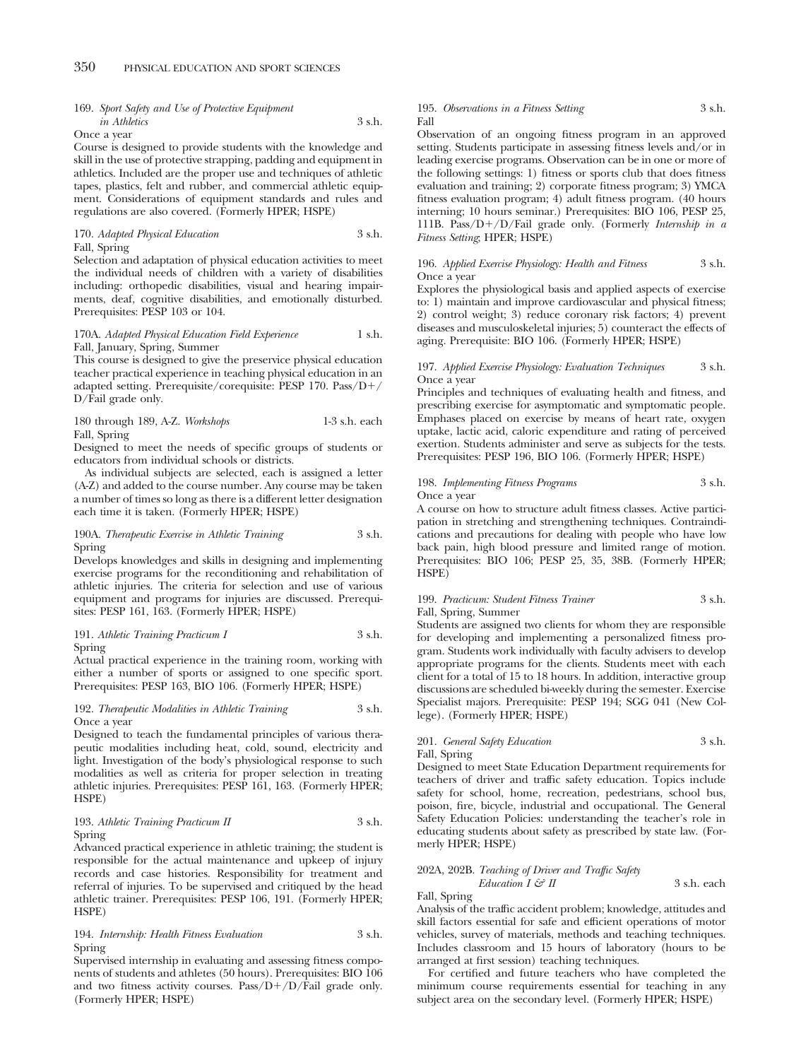# 169. *Sport Safety and Use of Protective Equipment in Athletics* 3 s.h.

Once a year

Course is designed to provide students with the knowledge and skill in the use of protective strapping, padding and equipment in athletics. Included are the proper use and techniques of athletic tapes, plastics, felt and rubber, and commercial athletic equipment. Considerations of equipment standards and rules and regulations are also covered. (Formerly HPER; HSPE)

#### 170. *Adapted Physical Education* 3 s.h. Fall, Spring

Selection and adaptation of physical education activities to meet the individual needs of children with a variety of disabilities including: orthopedic disabilities, visual and hearing impairments, deaf, cognitive disabilities, and emotionally disturbed. Prerequisites: PESP 103 or 104.

## 170A. *Adapted Physical Education Field Experience* 1 s.h. Fall, January, Spring, Summer

This course is designed to give the preservice physical education teacher practical experience in teaching physical education in an adapted setting. Prerequisite/corequisite: PESP 170. Pass/D-/ D/Fail grade only.

| 180 through 189, A-Z. Workshops | 1-3 s.h. each |  |
|---------------------------------|---------------|--|
| Fall, Spring                    |               |  |

Designed to meet the needs of specific groups of students or educators from individual schools or districts.

As individual subjects are selected, each is assigned a letter (A-Z) and added to the course number. Any course may be taken a number of times so long as there is a different letter designation each time it is taken. (Formerly HPER; HSPE)

#### 190A. *Therapeutic Exercise in Athletic Training* 3 s.h. Spring

Develops knowledges and skills in designing and implementing exercise programs for the reconditioning and rehabilitation of athletic injuries. The criteria for selection and use of various equipment and programs for injuries are discussed. Prerequisites: PESP 161, 163. (Formerly HPER; HSPE)

## 191. *Athletic Training Practicum I* 3 s.h. Spring

Actual practical experience in the training room, working with either a number of sports or assigned to one specific sport. Prerequisites: PESP 163, BIO 106. (Formerly HPER; HSPE)

#### 192. *Therapeutic Modalities in Athletic Training* 3 s.h. Once a year

Designed to teach the fundamental principles of various therapeutic modalities including heat, cold, sound, electricity and light. Investigation of the body's physiological response to such modalities as well as criteria for proper selection in treating athletic injuries. Prerequisites: PESP 161, 163. (Formerly HPER; HSPE)

## 193. *Athletic Training Practicum II* 3 s.h. Spring

Advanced practical experience in athletic training; the student is responsible for the actual maintenance and upkeep of injury records and case histories. Responsibility for treatment and referral of injuries. To be supervised and critiqued by the head athletic trainer. Prerequisites: PESP 106, 191. (Formerly HPER; HSPE)

## 194. *Internship: Health Fitness Evaluation* 3 s.h. Spring

Supervised internship in evaluating and assessing fitness components of students and athletes (50 hours). Prerequisites: BIO 106 and two fitness activity courses. Pass/D+/D/Fail grade only. (Formerly HPER; HSPE)

#### 195. *Observations in a Fitness Setting* 3 s.h. Fall

Observation of an ongoing fitness program in an approved setting. Students participate in assessing fitness levels and/or in leading exercise programs. Observation can be in one or more of the following settings: 1) fitness or sports club that does fitness evaluation and training; 2) corporate fitness program; 3) YMCA fitness evaluation program; 4) adult fitness program. (40 hours interning; 10 hours seminar.) Prerequisites: BIO 106, PESP 25, 111B. Pass/D-/D/Fail grade only. (Formerly *Internship in a Fitness Setting*; HPER; HSPE)

## 196. *Applied Exercise Physiology: Health and Fitness* 3 s.h. Once a year

Explores the physiological basis and applied aspects of exercise to: 1) maintain and improve cardiovascular and physical fitness; 2) control weight; 3) reduce coronary risk factors; 4) prevent diseases and musculoskeletal injuries; 5) counteract the effects of aging. Prerequisite: BIO 106. (Formerly HPER; HSPE)

#### 197. *Applied Exercise Physiology: Evaluation Techniques* 3 s.h. Once a year

Principles and techniques of evaluating health and fitness, and prescribing exercise for asymptomatic and symptomatic people. Emphases placed on exercise by means of heart rate, oxygen uptake, lactic acid, caloric expenditure and rating of perceived exertion. Students administer and serve as subjects for the tests. Prerequisites: PESP 196, BIO 106. (Formerly HPER; HSPE)

#### 198. *Implementing Fitness Programs* 3 s.h. Once a year

A course on how to structure adult fitness classes. Active participation in stretching and strengthening techniques. Contraindications and precautions for dealing with people who have low back pain, high blood pressure and limited range of motion. Prerequisites: BIO 106; PESP 25, 35, 38B. (Formerly HPER; HSPE)

## 199. *Practicum: Student Fitness Trainer* 3 s.h. Fall, Spring, Summer

Students are assigned two clients for whom they are responsible for developing and implementing a personalized fitness program. Students work individually with faculty advisers to develop appropriate programs for the clients. Students meet with each client for a total of 15 to 18 hours. In addition, interactive group discussions are scheduled bi-weekly during the semester. Exercise Specialist majors. Prerequisite: PESP 194; SGG 041 (New College). (Formerly HPER; HSPE)

# 201. *General Safety Education* 3 s.h. Fall, Spring

Designed to meet State Education Department requirements for teachers of driver and traffic safety education. Topics include safety for school, home, recreation, pedestrians, school bus, poison, fire, bicycle, industrial and occupational. The General Safety Education Policies: understanding the teacher's role in educating students about safety as prescribed by state law. (Formerly HPER; HSPE)

## 202A, 202B. *Teaching of Driver and Traffic Safety*

*Education I & II* 3 s.h. each Fall, Spring

Analysis of the traffic accident problem; knowledge, attitudes and skill factors essential for safe and efficient operations of motor vehicles, survey of materials, methods and teaching techniques. Includes classroom and 15 hours of laboratory (hours to be arranged at first session) teaching techniques.

For certified and future teachers who have completed the minimum course requirements essential for teaching in any subject area on the secondary level. (Formerly HPER; HSPE)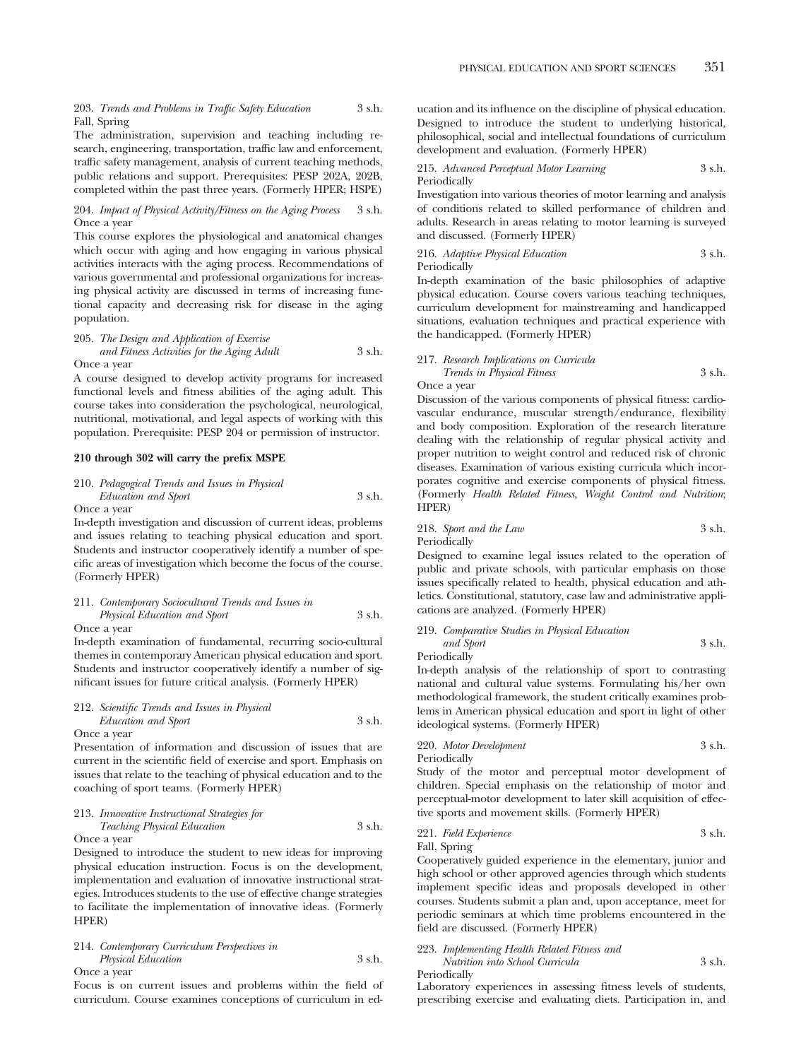203. *Trends and Problems in Traffic Safety Education* 3 s.h. Fall, Spring

The administration, supervision and teaching including research, engineering, transportation, traffic law and enforcement, traffic safety management, analysis of current teaching methods, public relations and support. Prerequisites: PESP 202A, 202B, completed within the past three years. (Formerly HPER; HSPE)

204. *Impact of Physical Activity/Fitness on the Aging Process* 3 s.h. Once a year

This course explores the physiological and anatomical changes which occur with aging and how engaging in various physical activities interacts with the aging process. Recommendations of various governmental and professional organizations for increasing physical activity are discussed in terms of increasing functional capacity and decreasing risk for disease in the aging population.

205. *The Design and Application of Exercise and Fitness Activities for the Aging Adult* 3 s.h. Once a year

A course designed to develop activity programs for increased functional levels and fitness abilities of the aging adult. This course takes into consideration the psychological, neurological, nutritional, motivational, and legal aspects of working with this population. Prerequisite: PESP 204 or permission of instructor.

#### **210 through 302 will carry the prefix MSPE**

210. *Pedagogical Trends and Issues in Physical Education and Sport* 3 s.h.

Once a year

In-depth investigation and discussion of current ideas, problems and issues relating to teaching physical education and sport. Students and instructor cooperatively identify a number of specific areas of investigation which become the focus of the course. (Formerly HPER)

#### 211. *Contemporary Sociocultural Trends and Issues in Physical Education and Sport* 3 s.h. Once a year

In-depth examination of fundamental, recurring socio-cultural themes in contemporary American physical education and sport. Students and instructor cooperatively identify a number of significant issues for future critical analysis. (Formerly HPER)

## 212. *Scientific Trends and Issues in Physical Education and Sport* 3 s.h. Once a year

Presentation of information and discussion of issues that are current in the scientific field of exercise and sport. Emphasis on issues that relate to the teaching of physical education and to the coaching of sport teams. (Formerly HPER)

213. *Innovative Instructional Strategies for Teaching Physical Education* 3 s.h.

Once a year

Designed to introduce the student to new ideas for improving physical education instruction. Focus is on the development, implementation and evaluation of innovative instructional strategies. Introduces students to the use of effective change strategies to facilitate the implementation of innovative ideas. (Formerly HPER)

# 214. *Contemporary Curriculum Perspectives in Physical Education* 3 s.h.

Once a year

Focus is on current issues and problems within the field of curriculum. Course examines conceptions of curriculum in education and its influence on the discipline of physical education. Designed to introduce the student to underlying historical, philosophical, social and intellectual foundations of curriculum development and evaluation. (Formerly HPER)

215. *Advanced Perceptual Motor Learning* 3 s.h. Periodically

Investigation into various theories of motor learning and analysis of conditions related to skilled performance of children and adults. Research in areas relating to motor learning is surveyed and discussed. (Formerly HPER)

216. *Adaptive Physical Education* 3 s.h. Periodically

In-depth examination of the basic philosophies of adaptive physical education. Course covers various teaching techniques, curriculum development for mainstreaming and handicapped situations, evaluation techniques and practical experience with the handicapped. (Formerly HPER)

## 217. *Research Implications on Curricula Trends in Physical Fitness* 3 s.h.

Once a year

Discussion of the various components of physical fitness: cardiovascular endurance, muscular strength/endurance, flexibility and body composition. Exploration of the research literature dealing with the relationship of regular physical activity and proper nutrition to weight control and reduced risk of chronic diseases. Examination of various existing curricula which incorporates cognitive and exercise components of physical fitness. (Formerly *Health Related Fitness, Weight Control and Nutrition*; HPER)

218. *Sport and the Law* 3 s.h. Periodically

Designed to examine legal issues related to the operation of public and private schools, with particular emphasis on those issues specifically related to health, physical education and athletics. Constitutional, statutory, case law and administrative applications are analyzed. (Formerly HPER)

219. *Comparative Studies in Physical Education*

*and Sport* 3 s.h. Periodically

In-depth analysis of the relationship of sport to contrasting national and cultural value systems. Formulating his/her own methodological framework, the student critically examines problems in American physical education and sport in light of other ideological systems. (Formerly HPER)

220. *Motor Development* 3 s.h. Periodically

Study of the motor and perceptual motor development of children. Special emphasis on the relationship of motor and perceptual-motor development to later skill acquisition of effective sports and movement skills. (Formerly HPER)

## 221. *Field Experience* 3 s.h. Fall, Spring

Cooperatively guided experience in the elementary, junior and high school or other approved agencies through which students implement specific ideas and proposals developed in other courses. Students submit a plan and, upon acceptance, meet for periodic seminars at which time problems encountered in the field are discussed. (Formerly HPER)

# 223. *Implementing Health Related Fitness and Nutrition into School Curricula* 3 s.h.

Periodically

Laboratory experiences in assessing fitness levels of students, prescribing exercise and evaluating diets. Participation in, and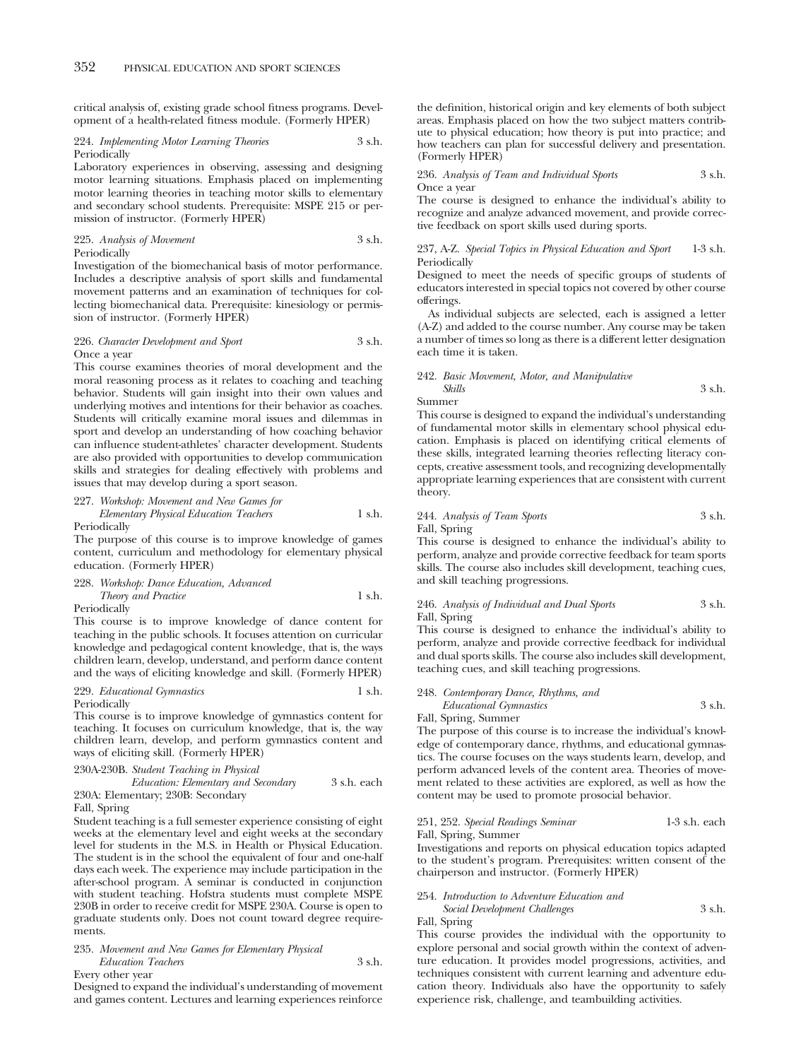critical analysis of, existing grade school fitness programs. Development of a health-related fitness module. (Formerly HPER)

## 224. *Implementing Motor Learning Theories* 3 s.h. Periodically

Laboratory experiences in observing, assessing and designing motor learning situations. Emphasis placed on implementing motor learning theories in teaching motor skills to elementary and secondary school students. Prerequisite: MSPE 215 or permission of instructor. (Formerly HPER)

225. *Analysis of Movement* 3 s.h. Periodically

Investigation of the biomechanical basis of motor performance. Includes a descriptive analysis of sport skills and fundamental movement patterns and an examination of techniques for collecting biomechanical data. Prerequisite: kinesiology or permission of instructor. (Formerly HPER)

#### 226. *Character Development and Sport* 3 s.h. Once a year

This course examines theories of moral development and the moral reasoning process as it relates to coaching and teaching behavior. Students will gain insight into their own values and underlying motives and intentions for their behavior as coaches. Students will critically examine moral issues and dilemmas in sport and develop an understanding of how coaching behavior can influence student-athletes' character development. Students are also provided with opportunities to develop communication skills and strategies for dealing effectively with problems and issues that may develop during a sport season.

227. *Workshop: Movement and New Games for Elementary Physical Education Teachers* 1 s.h.

Periodically

The purpose of this course is to improve knowledge of games content, curriculum and methodology for elementary physical education. (Formerly HPER)

228. *Workshop: Dance Education, Advanced Theory and Practice* 1 s.h. Periodically

This course is to improve knowledge of dance content for teaching in the public schools. It focuses attention on curricular knowledge and pedagogical content knowledge, that is, the ways children learn, develop, understand, and perform dance content and the ways of eliciting knowledge and skill. (Formerly HPER)

## 229. *Educational Gymnastics* Periodically

This course is to improve knowledge of gymnastics content for teaching. It focuses on curriculum knowledge, that is, the way children learn, develop, and perform gymnastics content and ways of eliciting skill. (Formerly HPER)

#### 230A-230B. *Student Teaching in Physical*

| Education: Elementary and Secondary | 3 s.h. each |  |
|-------------------------------------|-------------|--|
| 230A: Elementary; 230B: Secondary   |             |  |

#### Fall, Spring

Student teaching is a full semester experience consisting of eight weeks at the elementary level and eight weeks at the secondary level for students in the M.S. in Health or Physical Education. The student is in the school the equivalent of four and one-half days each week. The experience may include participation in the after-school program. A seminar is conducted in conjunction with student teaching. Hofstra students must complete MSPE 230B in order to receive credit for MSPE 230A. Course is open to graduate students only. Does not count toward degree requirements.

235. *Movement and New Games for Elementary Physical Education Teachers* 3 s.h.

Every other year

Designed to expand the individual's understanding of movement and games content. Lectures and learning experiences reinforce the definition, historical origin and key elements of both subject areas. Emphasis placed on how the two subject matters contribute to physical education; how theory is put into practice; and how teachers can plan for successful delivery and presentation. (Formerly HPER)

236. *Analysis of Team and Individual Sports* 3 s.h. Once a year

The course is designed to enhance the individual's ability to recognize and analyze advanced movement, and provide corrective feedback on sport skills used during sports.

#### 237, A-Z. *Special Topics in Physical Education and Sport* 1-3 s.h. Periodically

Designed to meet the needs of specific groups of students of educators interested in special topics not covered by other course offerings.

As individual subjects are selected, each is assigned a letter (A-Z) and added to the course number. Any course may be taken a number of times so long as there is a different letter designation each time it is taken.

## 242. *Basic Movement, Motor, and Manipulative Skills* 3 s.h.

Summer

This course is designed to expand the individual's understanding of fundamental motor skills in elementary school physical education. Emphasis is placed on identifying critical elements of these skills, integrated learning theories reflecting literacy concepts, creative assessment tools, and recognizing developmentally appropriate learning experiences that are consistent with current theory.

244. *Analysis of Team Sports* 3 s.h. Fall, Spring

This course is designed to enhance the individual's ability to perform, analyze and provide corrective feedback for team sports skills. The course also includes skill development, teaching cues, and skill teaching progressions.

## 246. *Analysis of Individual and Dual Sports* 3 s.h. Fall, Spring

This course is designed to enhance the individual's ability to perform, analyze and provide corrective feedback for individual and dual sports skills. The course also includes skill development, teaching cues, and skill teaching progressions.

## 248. *Contemporary Dance, Rhythms, and*

*Educational Gymnastics* 3 s.h. Fall, Spring, Summer

The purpose of this course is to increase the individual's knowledge of contemporary dance, rhythms, and educational gymnastics. The course focuses on the ways students learn, develop, and perform advanced levels of the content area. Theories of movement related to these activities are explored, as well as how the content may be used to promote prosocial behavior.

## 251, 252. *Special Readings Seminar* 1-3 s.h. each Fall, Spring, Summer

Investigations and reports on physical education topics adapted to the student's program. Prerequisites: written consent of the chairperson and instructor. (Formerly HPER)

# 254. *Introduction to Adventure Education and*

| Social Development Challenges | 3 s.h. |
|-------------------------------|--------|
| Fall, Spring                  |        |

This course provides the individual with the opportunity to explore personal and social growth within the context of adventure education. It provides model progressions, activities, and techniques consistent with current learning and adventure education theory. Individuals also have the opportunity to safely experience risk, challenge, and teambuilding activities.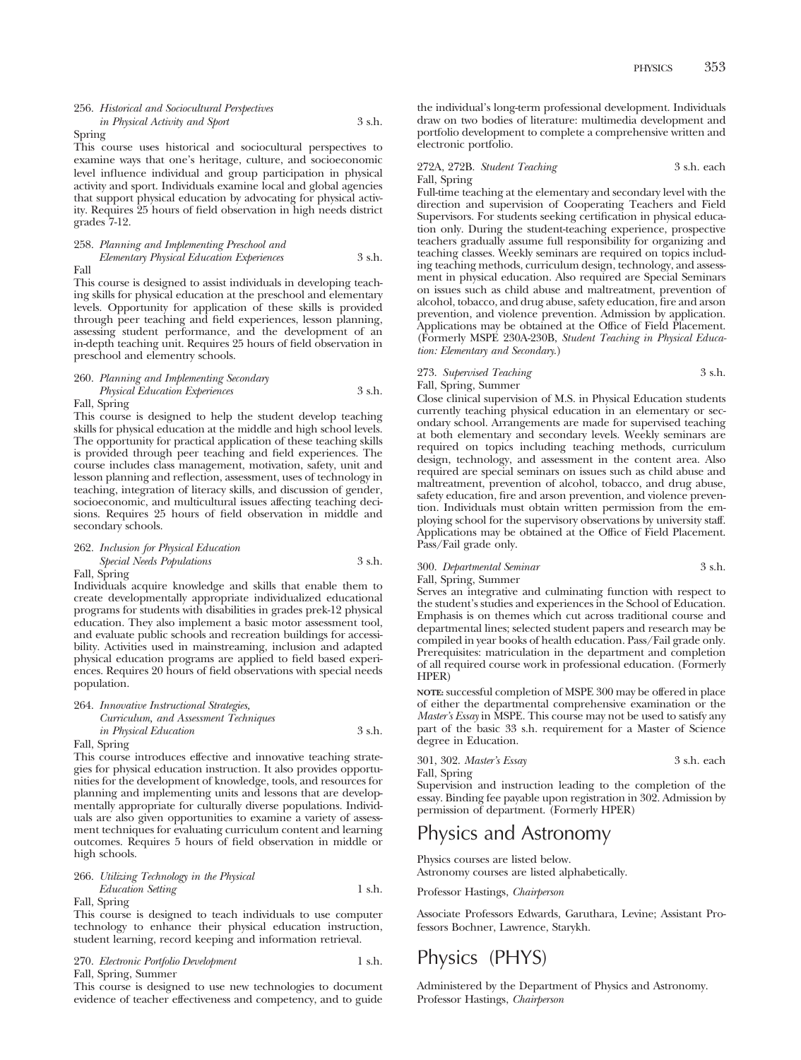## 256. *Historical and Sociocultural Perspectives in Physical Activity and Sport* 3 s.h.

Spring

This course uses historical and sociocultural perspectives to examine ways that one's heritage, culture, and socioeconomic level influence individual and group participation in physical activity and sport. Individuals examine local and global agencies that support physical education by advocating for physical activity. Requires 25 hours of field observation in high needs district grades 7-12.

#### 258. *Planning and Implementing Preschool and Elementary Physical Education Experiences* 3 s.h. Fall

This course is designed to assist individuals in developing teaching skills for physical education at the preschool and elementary levels. Opportunity for application of these skills is provided through peer teaching and field experiences, lesson planning, assessing student performance, and the development of an in-depth teaching unit. Requires 25 hours of field observation in preschool and elementry schools.

#### 260. *Planning and Implementing Secondary*

*Physical Education Experiences* 3 s.h.

Fall, Spring

This course is designed to help the student develop teaching skills for physical education at the middle and high school levels. The opportunity for practical application of these teaching skills is provided through peer teaching and field experiences. The course includes class management, motivation, safety, unit and lesson planning and reflection, assessment, uses of technology in teaching, integration of literacy skills, and discussion of gender, socioeconomic, and multicultural issues affecting teaching decisions. Requires 25 hours of field observation in middle and secondary schools.

## 262. *Inclusion for Physical Education Special Needs Populations* 3 s.h.

Fall, Spring

Individuals acquire knowledge and skills that enable them to create developmentally appropriate individualized educational programs for students with disabilities in grades prek-12 physical education. They also implement a basic motor assessment tool, and evaluate public schools and recreation buildings for accessibility. Activities used in mainstreaming, inclusion and adapted physical education programs are applied to field based experiences. Requires 20 hours of field observations with special needs population.

#### 264. *Innovative Instructional Strategies, Curriculum, and Assessment Techniques*

| $Cov1v \omega w \omega m$ , $\omega v \omega$ <i>issuessmene</i> <b>i</b> continuitives |        |
|-----------------------------------------------------------------------------------------|--------|
| <i>in Physical Education</i>                                                            | 3 s.h. |
| Fall, Spring                                                                            |        |

This course introduces effective and innovative teaching strategies for physical education instruction. It also provides opportunities for the development of knowledge, tools, and resources for planning and implementing units and lessons that are developmentally appropriate for culturally diverse populations. Individuals are also given opportunities to examine a variety of assessment techniques for evaluating curriculum content and learning outcomes. Requires 5 hours of field observation in middle or high schools.

266. *Utilizing Technology in the Physical Education Setting* 1 s.h. Fall, Spring

This course is designed to teach individuals to use computer technology to enhance their physical education instruction, student learning, record keeping and information retrieval.

| 270. Electronic Portfolio Development | 1 s.h. |
|---------------------------------------|--------|
| Fall, Spring, Summer                  |        |

This course is designed to use new technologies to document evidence of teacher effectiveness and competency, and to guide the individual's long-term professional development. Individuals draw on two bodies of literature: multimedia development and portfolio development to complete a comprehensive written and electronic portfolio.

## 272A, 272B. *Student Teaching* 3 s.h. each Fall, Spring

Full-time teaching at the elementary and secondary level with the direction and supervision of Cooperating Teachers and Field Supervisors. For students seeking certification in physical education only. During the student-teaching experience, prospective teachers gradually assume full responsibility for organizing and teaching classes. Weekly seminars are required on topics including teaching methods, curriculum design, technology, and assessment in physical education. Also required are Special Seminars on issues such as child abuse and maltreatment, prevention of alcohol, tobacco, and drug abuse, safety education, fire and arson prevention, and violence prevention. Admission by application. Applications may be obtained at the Office of Field Placement. (Formerly MSPE 230A-230B, *Student Teaching in Physical Education: Elementary and Secondary*.)

273. Supervised Teaching 3 s.h.

Fall, Spring, Summer

Close clinical supervision of M.S. in Physical Education students currently teaching physical education in an elementary or secondary school. Arrangements are made for supervised teaching at both elementary and secondary levels. Weekly seminars are required on topics including teaching methods, curriculum design, technology, and assessment in the content area. Also required are special seminars on issues such as child abuse and maltreatment, prevention of alcohol, tobacco, and drug abuse, safety education, fire and arson prevention, and violence prevention. Individuals must obtain written permission from the employing school for the supervisory observations by university staff. Applications may be obtained at the Office of Field Placement. Pass/Fail grade only.

300. *Departmental Seminar* 3 s.h.

HPER)

#### Fall, Spring, Summer Serves an integrative and culminating function with respect to the student's studies and experiences in the School of Education. Emphasis is on themes which cut across traditional course and departmental lines; selected student papers and research may be compiled in year books of health education. Pass/Fail grade only. Prerequisites: matriculation in the department and completion of all required course work in professional education. (Formerly

**NOTE:** successful completion of MSPE 300 may be offered in place of either the departmental comprehensive examination or the *Master's Essay* in MSPE. This course may not be used to satisfy any part of the basic 33 s.h. requirement for a Master of Science degree in Education.

| 301, 302. Master's Essay | 3 s.h. each |  |
|--------------------------|-------------|--|
| Fall, Spring             |             |  |

Supervision and instruction leading to the completion of the essay. Binding fee payable upon registration in 302. Admission by permission of department. (Formerly HPER)

# Physics and Astronomy

Physics courses are listed below. Astronomy courses are listed alphabetically.

Professor Hastings, *Chairperson*

Associate Professors Edwards, Garuthara, Levine; Assistant Professors Bochner, Lawrence, Starykh.

# Physics (PHYS)

Administered by the Department of Physics and Astronomy. Professor Hastings, *Chairperson*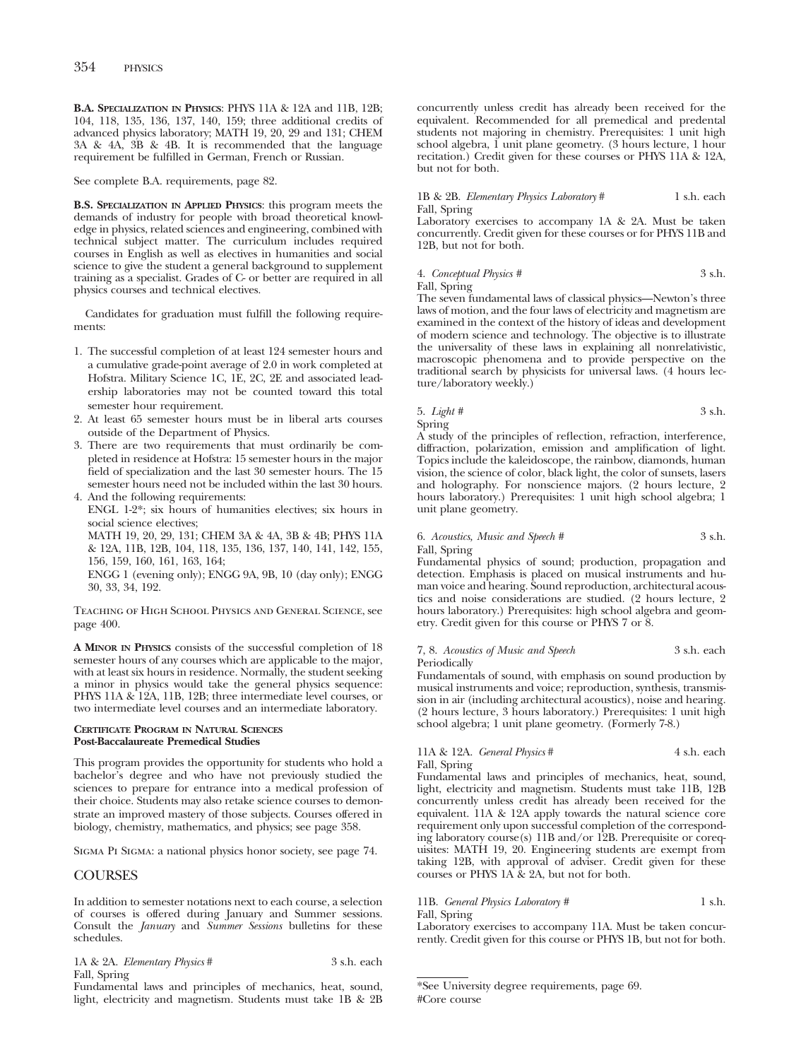**B.A. SPECIALIZATION IN PHYSICS**: PHYS 11A & 12A and 11B, 12B; 104, 118, 135, 136, 137, 140, 159; three additional credits of advanced physics laboratory; MATH 19, 20, 29 and 131; CHEM 3A & 4A, 3B & 4B. It is recommended that the language requirement be fulfilled in German, French or Russian.

See complete B.A. requirements, page 82.

**B.S. SPECIALIZATION IN APPLIED PHYSICS**: this program meets the demands of industry for people with broad theoretical knowledge in physics, related sciences and engineering, combined with technical subject matter. The curriculum includes required courses in English as well as electives in humanities and social science to give the student a general background to supplement training as a specialist. Grades of C- or better are required in all physics courses and technical electives.

Candidates for graduation must fulfill the following requirements:

- 1. The successful completion of at least 124 semester hours and a cumulative grade-point average of 2.0 in work completed at Hofstra. Military Science 1C, 1E, 2C, 2E and associated leadership laboratories may not be counted toward this total semester hour requirement.
- 2. At least 65 semester hours must be in liberal arts courses outside of the Department of Physics.
- 3. There are two requirements that must ordinarily be completed in residence at Hofstra: 15 semester hours in the major field of specialization and the last 30 semester hours. The 15 semester hours need not be included within the last 30 hours.
- 4. And the following requirements: ENGL 1-2\*; six hours of humanities electives; six hours in social science electives;

MATH 19, 20, 29, 131; CHEM 3A & 4A, 3B & 4B; PHYS 11A & 12A, 11B, 12B, 104, 118, 135, 136, 137, 140, 141, 142, 155, 156, 159, 160, 161, 163, 164;

ENGG 1 (evening only); ENGG 9A, 9B, 10 (day only); ENGG 30, 33, 34, 192.

Teaching of High School Physics and General Science, see page 400.

**A MINOR IN PHYSICS** consists of the successful completion of 18 semester hours of any courses which are applicable to the major, with at least six hours in residence. Normally, the student seeking a minor in physics would take the general physics sequence: PHYS 11A & 12A, 11B, 12B; three intermediate level courses, or two intermediate level courses and an intermediate laboratory.

## **CERTIFICATE PROGRAM IN NATURAL SCIENCES Post-Baccalaureate Premedical Studies**

This program provides the opportunity for students who hold a bachelor's degree and who have not previously studied the sciences to prepare for entrance into a medical profession of their choice. Students may also retake science courses to demonstrate an improved mastery of those subjects. Courses offered in biology, chemistry, mathematics, and physics; see page 358.

Sigma Pi Sigma: a national physics honor society, see page 74.

# **COURSES**

In addition to semester notations next to each course, a selection of courses is offered during January and Summer sessions. Consult the *January* and *Summer Sessions* bulletins for these schedules.

1A & 2A. *Elementary Physics* # 3 s.h. each Fall, Spring

Fundamental laws and principles of mechanics, heat, sound, light, electricity and magnetism. Students must take 1B & 2B concurrently unless credit has already been received for the equivalent. Recommended for all premedical and predental students not majoring in chemistry. Prerequisites: 1 unit high school algebra, 1 unit plane geometry. (3 hours lecture, 1 hour recitation.) Credit given for these courses or PHYS 11A & 12A, but not for both.

## 1B & 2B. *Elementary Physics Laboratory* # 1 s.h. each Fall, Spring

Laboratory exercises to accompany 1A & 2A. Must be taken concurrently. Credit given for these courses or for PHYS 11B and 12B, but not for both.

#### 4. *Conceptual Physics #* 3 s.h. Fall, Spring

The seven fundamental laws of classical physics—Newton's three laws of motion, and the four laws of electricity and magnetism are examined in the context of the history of ideas and development of modern science and technology. The objective is to illustrate the universality of these laws in explaining all nonrelativistic, macroscopic phenomena and to provide perspective on the traditional search by physicists for universal laws. (4 hours lec-

ture/laboratory weekly.)

5. *Light #* 3 s.h. Spring

A study of the principles of reflection, refraction, interference, diffraction, polarization, emission and amplification of light. Topics include the kaleidoscope, the rainbow, diamonds, human vision, the science of color, black light, the color of sunsets, lasers and holography. For nonscience majors. (2 hours lecture, 2 hours laboratory.) Prerequisites: 1 unit high school algebra; 1 unit plane geometry.

## 6. *Acoustics, Music and Speech #* 3 s.h. Fall, Spring

Fundamental physics of sound; production, propagation and detection. Emphasis is placed on musical instruments and human voice and hearing. Sound reproduction, architectural acoustics and noise considerations are studied. (2 hours lecture, 2 hours laboratory.) Prerequisites: high school algebra and geometry. Credit given for this course or PHYS 7 or 8.

#### 7, 8. *Acoustics of Music and Speech* 3 s.h. each Periodically

Fundamentals of sound, with emphasis on sound production by musical instruments and voice; reproduction, synthesis, transmission in air (including architectural acoustics), noise and hearing. (2 hours lecture, 3 hours laboratory.) Prerequisites: 1 unit high school algebra; 1 unit plane geometry. (Formerly 7-8.)

11A & 12A. *General Physics* # 4 s.h. each Fall, Spring

Fundamental laws and principles of mechanics, heat, sound, light, electricity and magnetism. Students must take 11B, 12B concurrently unless credit has already been received for the equivalent. 11A & 12A apply towards the natural science core requirement only upon successful completion of the corresponding laboratory course(s) 11B and/or 12B. Prerequisite or corequisites: MATH 19, 20. Engineering students are exempt from taking 12B, with approval of adviser. Credit given for these courses or PHYS 1A & 2A, but not for both.

#### 11B. *General Physics Laboratory* # 1 s.h. Fall, Spring

Laboratory exercises to accompany 11A. Must be taken concurrently. Credit given for this course or PHYS 1B, but not for both.

<sup>\*</sup>See University degree requirements, page 69. #Core course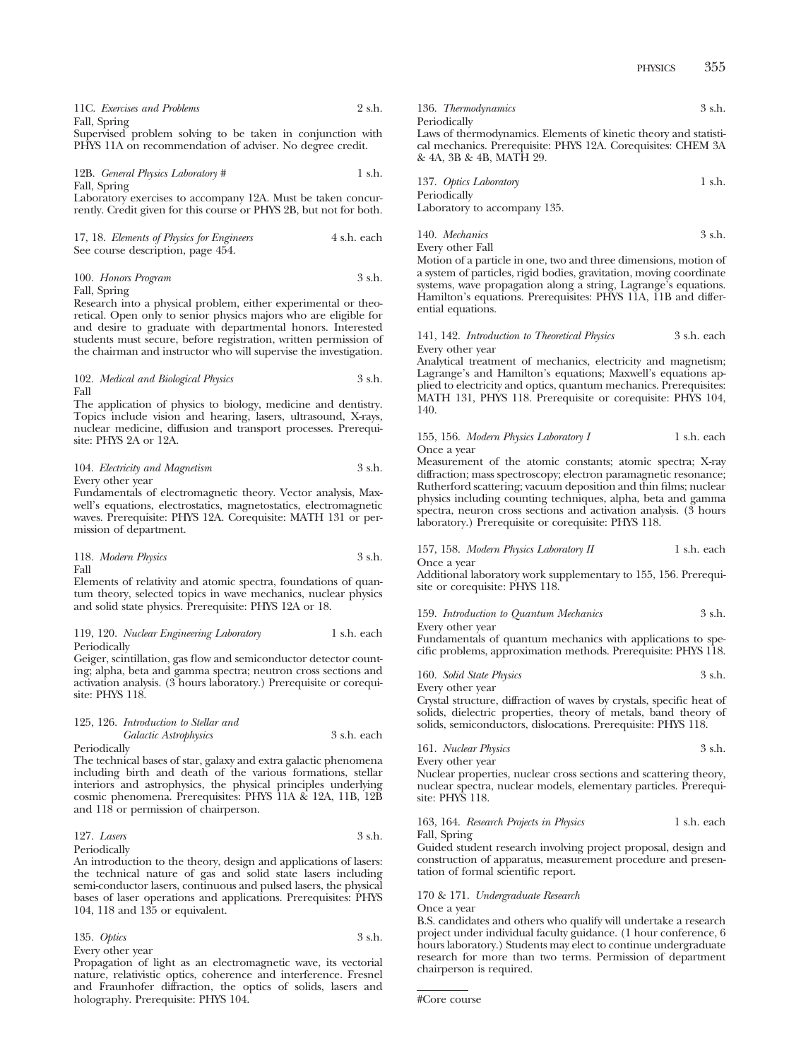PHYSICS 355

| 11C. Exercises and Problems                                | 2 s.h. |
|------------------------------------------------------------|--------|
| Fall, Spring                                               |        |
| Supervised problem solving to be taken in conjunction with |        |

problem solving to be taken in conjunction PHYS 11A on recommendation of adviser. No degree credit.

12B. *General Physics Laboratory* # 1 s.h. Fall, Spring

Laboratory exercises to accompany 12A. Must be taken concurrently. Credit given for this course or PHYS 2B, but not for both.

| 17, 18. Elements of Physics for Engineers | 4 s.h. each |
|-------------------------------------------|-------------|
| See course description, page 454.         |             |

| 100. Honors Program     | 3 s.h. |
|-------------------------|--------|
| $_{\text{Fall Smrinc}}$ |        |

Fall, Spring

Research into a physical problem, either experimental or theoretical. Open only to senior physics majors who are eligible for and desire to graduate with departmental honors. Interested students must secure, before registration, written permission of the chairman and instructor who will supervise the investigation.

102. *Medical and Biological Physics* 3 s.h. Fall

The application of physics to biology, medicine and dentistry. Topics include vision and hearing, lasers, ultrasound, X-rays, nuclear medicine, diffusion and transport processes. Prerequisite: PHYS 2A or 12A.

#### 104. *Electricity and Magnetism* 3 s.h. Every other year

Fundamentals of electromagnetic theory. Vector analysis, Maxwell's equations, electrostatics, magnetostatics, electromagnetic waves. Prerequisite: PHYS 12A. Corequisite: MATH 131 or permission of department.

118. *Modern Physics* 3 s.h. Fall

Elements of relativity and atomic spectra, foundations of quantum theory, selected topics in wave mechanics, nuclear physics and solid state physics. Prerequisite: PHYS 12A or 18.

#### 119, 120. *Nuclear Engineering Laboratory* 1 s.h. each Periodically

Geiger, scintillation, gas flow and semiconductor detector counting; alpha, beta and gamma spectra; neutron cross sections and activation analysis. (3 hours laboratory.) Prerequisite or corequisite: PHYS 118.

|              | 125, 126. Introduction to Stellar and |             |
|--------------|---------------------------------------|-------------|
|              | Galactic Astrophysics                 | 3 s.h. each |
| Periodically |                                       |             |

The technical bases of star, galaxy and extra galactic phenomena including birth and death of the various formations, stellar interiors and astrophysics, the physical principles underlying cosmic phenomena. Prerequisites: PHYS 11A & 12A, 11B, 12B and 118 or permission of chairperson.

127. *Lasers* 3 s.h. Periodically

An introduction to the theory, design and applications of lasers: the technical nature of gas and solid state lasers including semi-conductor lasers, continuous and pulsed lasers, the physical bases of laser operations and applications. Prerequisites: PHYS 104, 118 and 135 or equivalent.

135. *Optics* 3 s.h. Every other year

Propagation of light as an electromagnetic wave, its vectorial nature, relativistic optics, coherence and interference. Fresnel and Fraunhofer diffraction, the optics of solids, lasers and holography. Prerequisite: PHYS 104.

136. *Thermodynamics* 3 s.h. Periodically Laws of thermodynamics. Elements of kinetic theory and statistical mechanics. Prerequisite: PHYS 12A. Corequisites: CHEM 3A

& 4A, 3B & 4B, MATH 29.

| 137. Optics Laboratory       | 1 s.h. |
|------------------------------|--------|
| Periodically                 |        |
| Laboratory to accompany 135. |        |

| 140. Mechanics   | 3 s.h. |
|------------------|--------|
| Every other Fall |        |

Motion of a particle in one, two and three dimensions, motion of a system of particles, rigid bodies, gravitation, moving coordinate systems, wave propagation along a string, Lagrange's equations. Hamilton's equations. Prerequisites: PHYS 11A, 11B and differential equations.

141, 142. *Introduction to Theoretical Physics* 3 s.h. each Every other year

Analytical treatment of mechanics, electricity and magnetism; Lagrange's and Hamilton's equations; Maxwell's equations applied to electricity and optics, quantum mechanics. Prerequisites: MATH 131, PHYS 118. Prerequisite or corequisite: PHYS 104, 140.

155, 156. *Modern Physics Laboratory I* 1 s.h. each Once a year

Measurement of the atomic constants; atomic spectra; X-ray diffraction; mass spectroscopy; electron paramagnetic resonance; Rutherford scattering; vacuum deposition and thin films; nuclear physics including counting techniques, alpha, beta and gamma spectra, neuron cross sections and activation analysis. (3 hours laboratory.) Prerequisite or corequisite: PHYS 118.

157, 158. *Modern Physics Laboratory II* 1 s.h. each Once a year

Additional laboratory work supplementary to 155, 156. Prerequisite or corequisite: PHYS 118.

159. *Introduction to Quantum Mechanics* 3 s.h. Every other year

Fundamentals of quantum mechanics with applications to specific problems, approximation methods. Prerequisite: PHYS 118.

|  | 160. Solid State Physics | 3 s.h. |
|--|--------------------------|--------|
|--|--------------------------|--------|

Every other year

Crystal structure, diffraction of waves by crystals, specific heat of solids, dielectric properties, theory of metals, band theory of solids, semiconductors, dislocations. Prerequisite: PHYS 118.

161. *Nuclear Physics* 3 s.h. Every other year

Nuclear properties, nuclear cross sections and scattering theory, nuclear spectra, nuclear models, elementary particles. Prerequisite: PHYS 118.

163, 164. *Research Projects in Physics* 1 s.h. each Fall, Spring

Guided student research involving project proposal, design and construction of apparatus, measurement procedure and presentation of formal scientific report.

## 170 & 171. *Undergraduate Research*

Once a year

B.S. candidates and others who qualify will undertake a research project under individual faculty guidance. (1 hour conference, 6 hours laboratory.) Students may elect to continue undergraduate research for more than two terms. Permission of department chairperson is required.

```
#Core course
```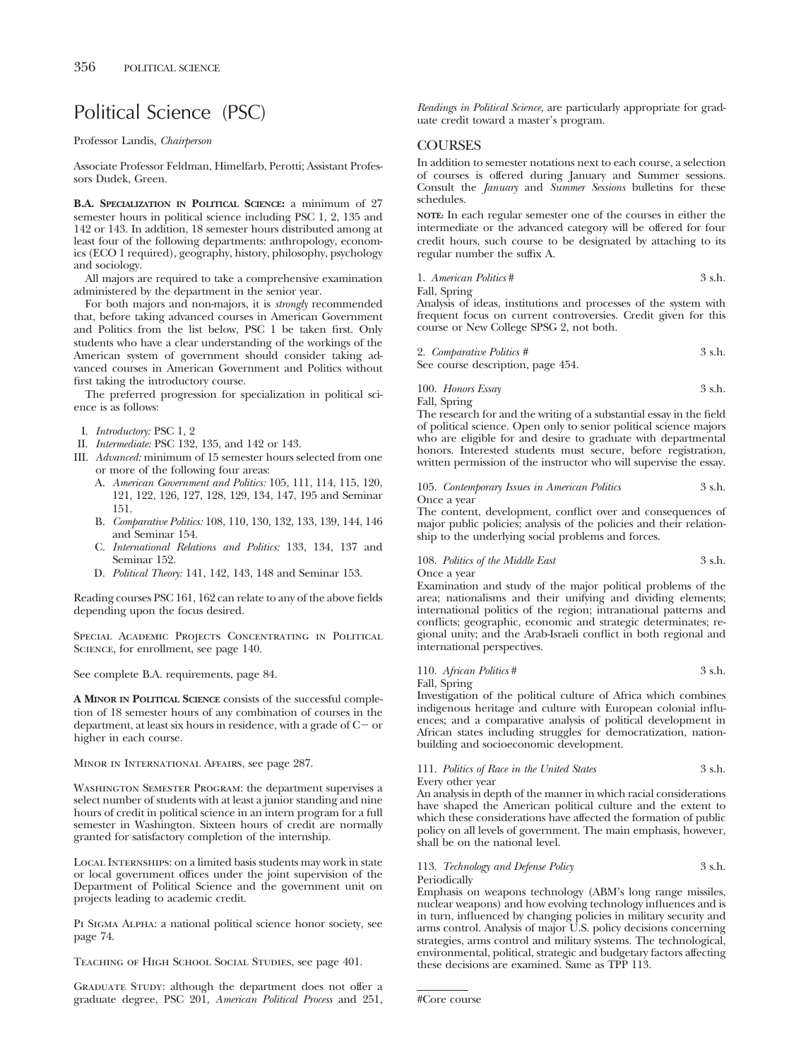# Political Science (PSC)

Professor Landis, *Chairperson*

Associate Professor Feldman, Himelfarb, Perotti; Assistant Professors Dudek, Green.

**B.A. SPECIALIZATION IN POLITICAL SCIENCE:** a minimum of 27 semester hours in political science including PSC 1, 2, 135 and 142 or 143. In addition, 18 semester hours distributed among at least four of the following departments: anthropology, economics (ECO 1 required), geography, history, philosophy, psychology and sociology.

All majors are required to take a comprehensive examination administered by the department in the senior year.

For both majors and non-majors, it is *strongly* recommended that, before taking advanced courses in American Government and Politics from the list below, PSC 1 be taken first. Only students who have a clear understanding of the workings of the American system of government should consider taking advanced courses in American Government and Politics without first taking the introductory course.

The preferred progression for specialization in political science is as follows:

- I. *Introductory:* PSC 1, 2
- II. *Intermediate:* PSC 132, 135, and 142 or 143.
- III. *Advanced:* minimum of 15 semester hours selected from one or more of the following four areas:
	- A. *American Government and Politics:* 105, 111, 114, 115, 120, 121, 122, 126, 127, 128, 129, 134, 147, 195 and Seminar 151.
	- B. *Comparative Politics:* 108, 110, 130, 132, 133, 139, 144, 146 and Seminar 154.
	- C. *International Relations and Politics:* 133, 134, 137 and Seminar 152.
	- D. *Political Theory:* 141, 142, 143, 148 and Seminar 153.

Reading courses PSC 161, 162 can relate to any of the above fields depending upon the focus desired.

SPECIAL ACADEMIC PROJECTS CONCENTRATING IN POLITICAL SCIENCE, for enrollment, see page 140.

See complete B.A. requirements, page 84.

**A MINOR IN POLITICAL SCIENCE** consists of the successful completion of 18 semester hours of any combination of courses in the department, at least six hours in residence, with a grade of  $C-$  or higher in each course.

Minor in International Affairs, see page 287.

WASHINGTON SEMESTER PROGRAM: the department supervises a select number of students with at least a junior standing and nine hours of credit in political science in an intern program for a full semester in Washington. Sixteen hours of credit are normally granted for satisfactory completion of the internship.

Local Internships: on a limited basis students may work in state or local government offices under the joint supervision of the Department of Political Science and the government unit on projects leading to academic credit.

PI SIGMA ALPHA: a national political science honor society, see page 74.

Teaching of High School Social Studies, see page 401.

GRADUATE STUDY: although the department does not offer a graduate degree, PSC 201, *American Political Process* and 251, *Readings in Political Science,* are particularly appropriate for graduate credit toward a master's program.

# **COURSES**

In addition to semester notations next to each course, a selection of courses is offered during January and Summer sessions. Consult the *January* and *Summer Sessions* bulletins for these schedules.

**NOTE:** In each regular semester one of the courses in either the intermediate or the advanced category will be offered for four credit hours, such course to be designated by attaching to its regular number the suffix A.

1. *American Politics* # 3 s.h.

Fall, Spring

Analysis of ideas, institutions and processes of the system with frequent focus on current controversies. Credit given for this course or New College SPSG 2, not both.

| 2. Comparative Politics #         | 3 s.h. |
|-----------------------------------|--------|
| See course description, page 454. |        |

100. *Honors Essay* 3 s.h.

Fall, Spring

The research for and the writing of a substantial essay in the field of political science. Open only to senior political science majors who are eligible for and desire to graduate with departmental honors. Interested students must secure, before registration, written permission of the instructor who will supervise the essay.

105. *Contemporary Issues in American Politics* 3 s.h. Once a year

The content, development, conflict over and consequences of major public policies; analysis of the policies and their relationship to the underlying social problems and forces.

## 108. *Politics of the Middle East* 3 s.h. Once a year

Examination and study of the major political problems of the area; nationalisms and their unifying and dividing elements; international politics of the region; intranational patterns and conflicts; geographic, economic and strategic determinates; regional unity; and the Arab-Israeli conflict in both regional and international perspectives.

110. *African Politics* # 3 s.h. Fall, Spring

Investigation of the political culture of Africa which combines indigenous heritage and culture with European colonial influences; and a comparative analysis of political development in African states including struggles for democratization, nationbuilding and socioeconomic development.

# 111. *Politics of Race in the United States* 3 s.h.

Every other year

An analysis in depth of the manner in which racial considerations have shaped the American political culture and the extent to which these considerations have affected the formation of public policy on all levels of government. The main emphasis, however, shall be on the national level.

## 113. *Technology and Defense Policy* 3 s.h. Periodically

Emphasis on weapons technology (ABM's long range missiles, nuclear weapons) and how evolving technology influences and is in turn, influenced by changing policies in military security and arms control. Analysis of major U.S. policy decisions concerning strategies, arms control and military systems. The technological, environmental, political, strategic and budgetary factors affecting these decisions are examined. Same as TPP 113.

#Core course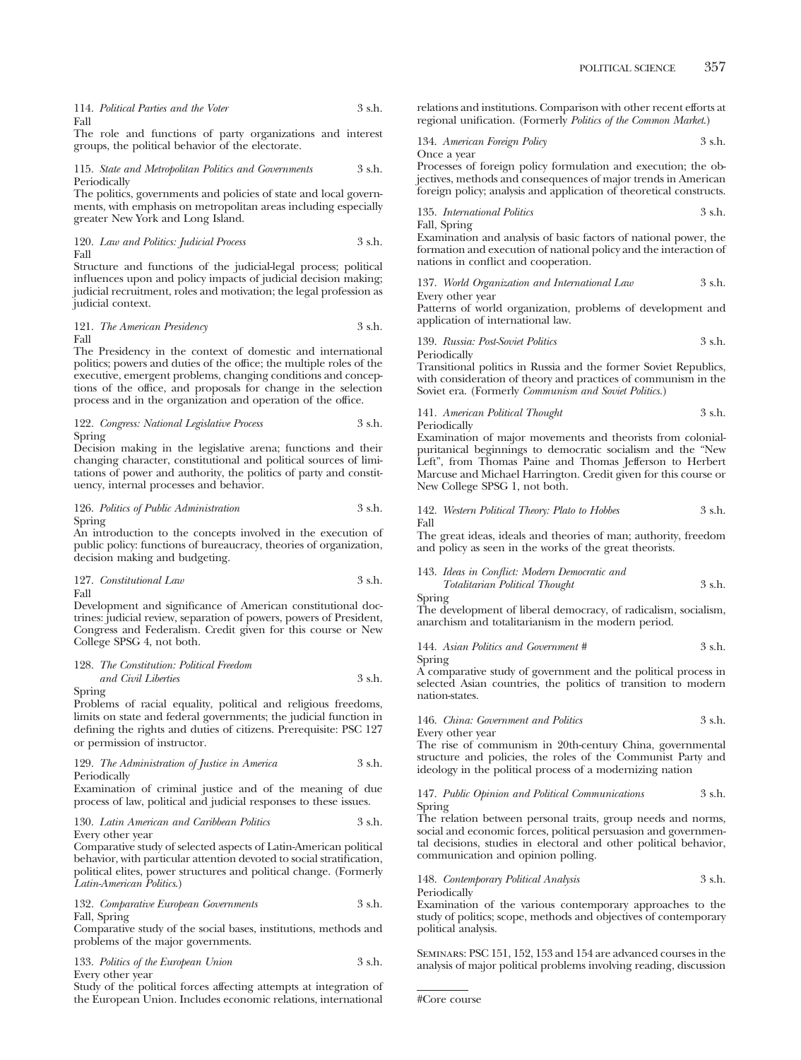|      | 114. Political Parties and the Voter | 3 s.h. |
|------|--------------------------------------|--------|
| Fall |                                      |        |

The role and functions of party organizations and interest groups, the political behavior of the electorate.

115. *State and Metropolitan Politics and Governments* 3 s.h. Periodically

The politics, governments and policies of state and local governments, with emphasis on metropolitan areas including especially greater New York and Long Island.

120. *Law and Politics: Judicial Process* 3 s.h. Fall

Structure and functions of the judicial-legal process; political influences upon and policy impacts of judicial decision making; judicial recruitment, roles and motivation; the legal profession as judicial context.

121. *The American Presidency* 3 s.h. Fall

The Presidency in the context of domestic and international politics; powers and duties of the office; the multiple roles of the executive, emergent problems, changing conditions and conceptions of the office, and proposals for change in the selection process and in the organization and operation of the office.

122. *Congress: National Legislative Process* 3 s.h. Spring

Decision making in the legislative arena; functions and their changing character, constitutional and political sources of limitations of power and authority, the politics of party and constituency, internal processes and behavior.

126. *Politics of Public Administration* 3 s.h. Spring

An introduction to the concepts involved in the execution of public policy: functions of bureaucracy, theories of organization, decision making and budgeting.

127. *Constitutional Law* 3 s.h. Fall

Development and significance of American constitutional doctrines: judicial review, separation of powers, powers of President, Congress and Federalism. Credit given for this course or New College SPSG 4, not both.

## 128. *The Constitution: Political Freedom*

*and Civil Liberties* 3 s.h. Spring

Problems of racial equality, political and religious freedoms, limits on state and federal governments; the judicial function in defining the rights and duties of citizens. Prerequisite: PSC 127 or permission of instructor.

## 129. *The Administration of Justice in America* 3 s.h. Periodically

Examination of criminal justice and of the meaning of due process of law, political and judicial responses to these issues.

130. *Latin American and Caribbean Politics* 3 s.h. Every other year

Comparative study of selected aspects of Latin-American political behavior, with particular attention devoted to social stratification, political elites, power structures and political change. (Formerly *Latin-American Politics*.)

132. *Comparative European Governments* 3 s.h. Fall, Spring

Comparative study of the social bases, institutions, methods and problems of the major governments.

|                  | 133. Politics of the European Union | 3 s.h. |
|------------------|-------------------------------------|--------|
| Every other year |                                     |        |

Study of the political forces affecting attempts at integration of the European Union. Includes economic relations, international

relations and institutions. Comparison with other recent efforts at regional unification. (Formerly *Politics of the Common Market*.)

134. *American Foreign Policy* 3 s.h. Once a year

Processes of foreign policy formulation and execution; the objectives, methods and consequences of major trends in American foreign policy; analysis and application of theoretical constructs.

135. *International Politics* 3 s.h.

Fall, Spring Examination and analysis of basic factors of national power, the formation and execution of national policy and the interaction of

nations in conflict and cooperation. 137. *World Organization and International Law* 3 s.h.

Every other year

Patterns of world organization, problems of development and application of international law.

139. *Russia: Post-Soviet Politics* 3 s.h. Periodically

Transitional politics in Russia and the former Soviet Republics, with consideration of theory and practices of communism in the Soviet era. (Formerly *Communism and Soviet Politics.*)

## 141. *American Political Thought* 3 s.h. Periodically

Examination of major movements and theorists from colonialpuritanical beginnings to democratic socialism and the "New Left", from Thomas Paine and Thomas Jefferson to Herbert Marcuse and Michael Harrington. Credit given for this course or New College SPSG 1, not both.

#### 142. *Western Political Theory: Plato to Hobbes* 3 s.h. Fall

The great ideas, ideals and theories of man; authority, freedom and policy as seen in the works of the great theorists.

# 143. *Ideas in Conflict: Modern Democratic and*

*Totalitarian Political Thought* 3 s.h. Spring

The development of liberal democracy, of radicalism, socialism, anarchism and totalitarianism in the modern period.

144. *Asian Politics and Government #* 3 s.h. Spring

A comparative study of government and the political process in selected Asian countries, the politics of transition to modern nation-states.

## 146. *China: Government and Politics* 3 s.h.

Every other year

The rise of communism in 20th-century China, governmental structure and policies, the roles of the Communist Party and ideology in the political process of a modernizing nation

#### 147. *Public Opinion and Political Communications* 3 s.h. Spring

The relation between personal traits, group needs and norms, social and economic forces, political persuasion and governmental decisions, studies in electoral and other political behavior, communication and opinion polling.

148. *Contemporary Political Analysis* 3 s.h.

Periodically

Examination of the various contemporary approaches to the study of politics; scope, methods and objectives of contemporary political analysis.

Seminars: PSC 151, 152, 153 and 154 are advanced courses in the analysis of major political problems involving reading, discussion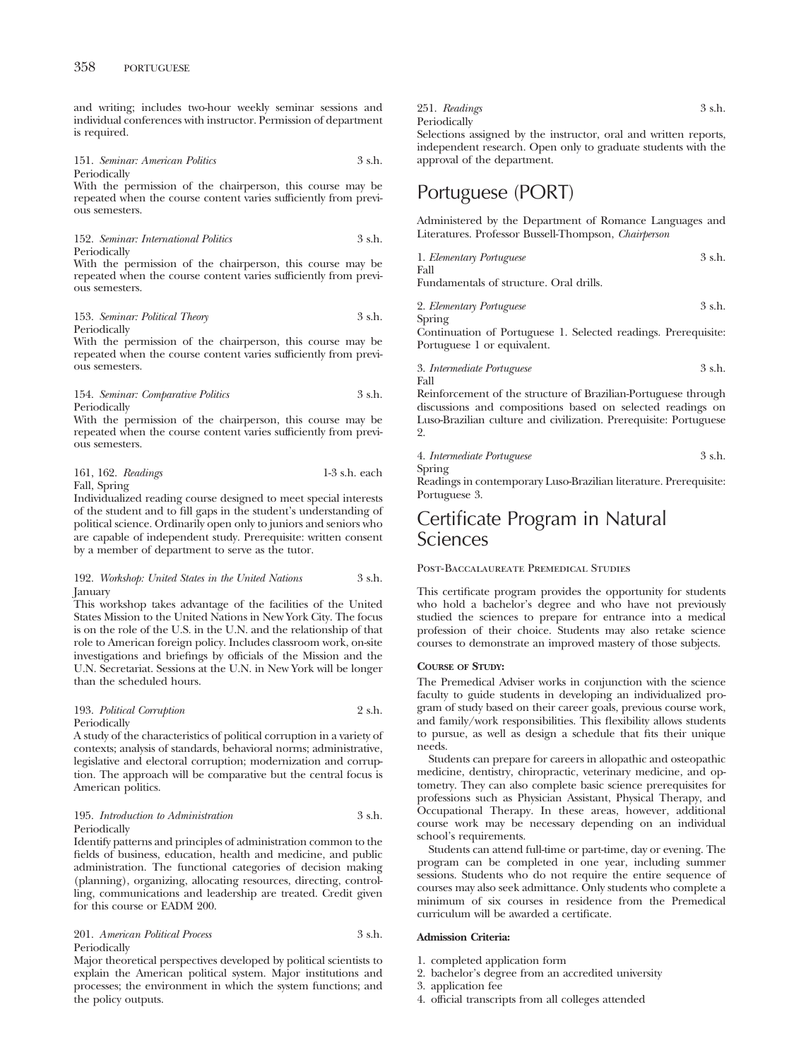and writing; includes two-hour weekly seminar sessions and individual conferences with instructor. Permission of department is required.

151. *Seminar: American Politics* 3 s.h. Periodically

With the permission of the chairperson, this course may be repeated when the course content varies sufficiently from previous semesters.

152. *Seminar: International Politics* 3 s.h. Periodically

With the permission of the chairperson, this course may be repeated when the course content varies sufficiently from previous semesters.

#### 153. *Seminar: Political Theory* 3 s.h. Periodically

With the permission of the chairperson, this course may be repeated when the course content varies sufficiently from previous semesters.

## 154. *Seminar: Comparative Politics* 3 s.h. Periodically

With the permission of the chairperson, this course may be repeated when the course content varies sufficiently from previous semesters.

|                               | 161, 162. Readings | $1-3$ s.h. each |
|-------------------------------|--------------------|-----------------|
| $\Gamma$ 11 $\alpha$ $\cdots$ |                    |                 |

Fall, Spring

Individualized reading course designed to meet special interests of the student and to fill gaps in the student's understanding of political science. Ordinarily open only to juniors and seniors who are capable of independent study. Prerequisite: written consent by a member of department to serve as the tutor.

192. *Workshop: United States in the United Nations* 3 s.h. January

This workshop takes advantage of the facilities of the United States Mission to the United Nations in New York City. The focus is on the role of the U.S. in the U.N. and the relationship of that role to American foreign policy. Includes classroom work, on-site investigations and briefings by officials of the Mission and the U.N. Secretariat. Sessions at the U.N. in New York will be longer than the scheduled hours.

#### 193. *Political Corruption* 2 s.h. Periodically

A study of the characteristics of political corruption in a variety of contexts; analysis of standards, behavioral norms; administrative, legislative and electoral corruption; modernization and corruption. The approach will be comparative but the central focus is American politics.

## 195. *Introduction to Administration* 3 s.h. Periodically

Identify patterns and principles of administration common to the fields of business, education, health and medicine, and public administration. The functional categories of decision making (planning), organizing, allocating resources, directing, controlling, communications and leadership are treated. Credit given for this course or EADM 200.

201. *American Political Process* 3 s.h. Periodically

Major theoretical perspectives developed by political scientists to explain the American political system. Major institutions and processes; the environment in which the system functions; and the policy outputs.

251. *Readings* 3 s.h. Periodically Selections assigned by the instructor, oral and written reports,

independent research. Open only to graduate students with the approval of the department.

# Portuguese (PORT)

Administered by the Department of Romance Languages and Literatures. Professor Bussell-Thompson, *Chairperson*

| 1. Elementary Portuguese                | 3 s.h. |
|-----------------------------------------|--------|
| Fall                                    |        |
| Fundamentals of structure. Oral drills. |        |

2. *Elementary Portuguese* 3 s.h. Spring

Continuation of Portuguese 1. Selected readings. Prerequisite: Portuguese 1 or equivalent.

## 3. *Intermediate Portuguese* 3 s.h. Fall

Reinforcement of the structure of Brazilian-Portuguese through discussions and compositions based on selected readings on Luso-Brazilian culture and civilization. Prerequisite: Portuguese 2.

4. *Intermediate Portuguese* 3 s.h.

Spring Readings in contemporary Luso-Brazilian literature. Prerequisite: Portuguese 3.

# Certificate Program in Natural Sciences

## Post-Baccalaureate Premedical Studies

This certificate program provides the opportunity for students who hold a bachelor's degree and who have not previously studied the sciences to prepare for entrance into a medical profession of their choice. Students may also retake science courses to demonstrate an improved mastery of those subjects.

## **COURSE OF STUDY:**

The Premedical Adviser works in conjunction with the science faculty to guide students in developing an individualized program of study based on their career goals, previous course work, and family/work responsibilities. This flexibility allows students to pursue, as well as design a schedule that fits their unique needs.

Students can prepare for careers in allopathic and osteopathic medicine, dentistry, chiropractic, veterinary medicine, and optometry. They can also complete basic science prerequisites for professions such as Physician Assistant, Physical Therapy, and Occupational Therapy. In these areas, however, additional course work may be necessary depending on an individual school's requirements.

Students can attend full-time or part-time, day or evening. The program can be completed in one year, including summer sessions. Students who do not require the entire sequence of courses may also seek admittance. Only students who complete a minimum of six courses in residence from the Premedical curriculum will be awarded a certificate.

## **Admission Criteria:**

- 1. completed application form
- 2. bachelor's degree from an accredited university
- 3. application fee
- 4. official transcripts from all colleges attended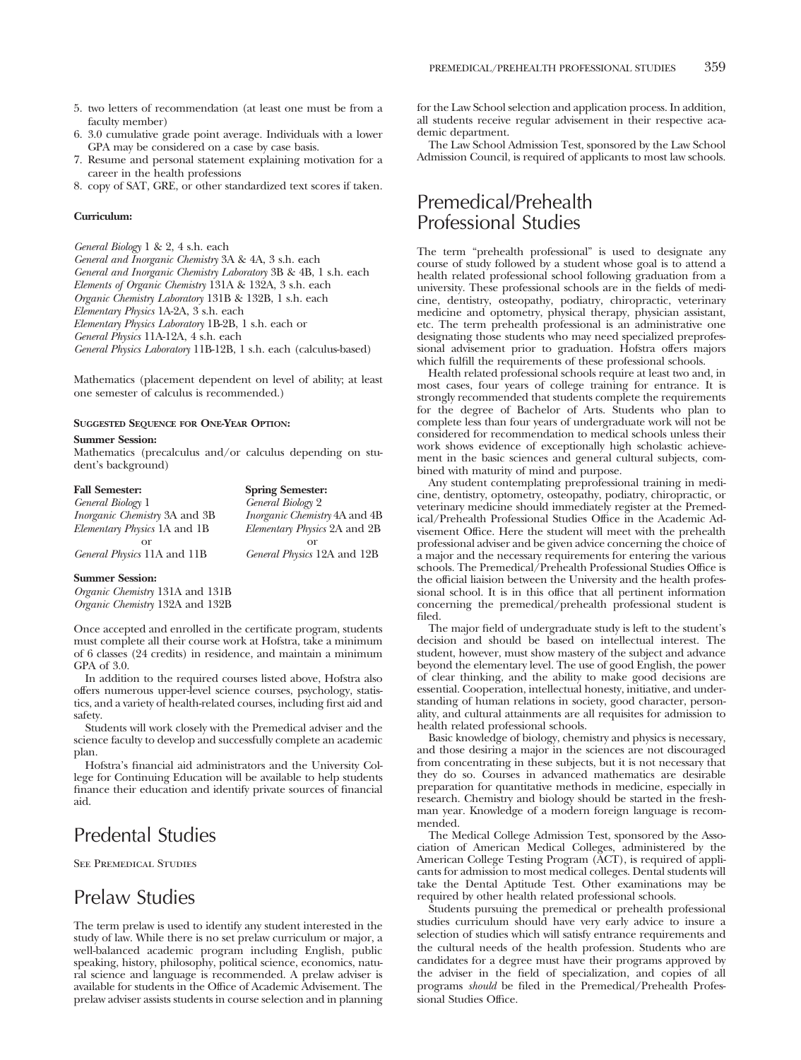- 5. two letters of recommendation (at least one must be from a faculty member)
- 6. 3.0 cumulative grade point average. Individuals with a lower GPA may be considered on a case by case basis.
- 7. Resume and personal statement explaining motivation for a career in the health professions
- 8. copy of SAT, GRE, or other standardized text scores if taken.

#### **Curriculum:**

*General Biology* 1 & 2, 4 s.h. each *General and Inorganic Chemistry* 3A & 4A, 3 s.h. each *General and Inorganic Chemistry Laboratory* 3B & 4B, 1 s.h. each *Elements of Organic Chemistry* 131A & 132A, 3 s.h. each *Organic Chemistry Laboratory* 131B & 132B, 1 s.h. each *Elementary Physics* 1A-2A, 3 s.h. each *Elementary Physics Laboratory* 1B-2B, 1 s.h. each or *General Physics* 11A-12A, 4 s.h. each *General Physics Laboratory* 11B-12B, 1 s.h. each (calculus-based)

Mathematics (placement dependent on level of ability; at least one semester of calculus is recommended.)

#### **SUGGESTED SEQUENCE FOR ONE-YEAR OPTION:**

#### **Summer Session:**

Mathematics (precalculus and/or calculus depending on student's background)

| <b>Fall Semester:</b>                | <b>Spring Semester:</b>              |
|--------------------------------------|--------------------------------------|
| General Biology 1                    | General Biology 2                    |
| <i>Inorganic Chemistry</i> 3A and 3B | <i>Inorganic Chemistry</i> 4A and 4B |
| Elementary Physics 1A and 1B         | Elementary Physics 2A and 2B         |
| or                                   | $\alpha$                             |
| General Physics 11A and 11B          | General Physics 12A and 12B          |
| <b>Summer Session:</b>               |                                      |

*Organic Chemistry* 131A and 131B

*Organic Chemistry* 132A and 132B

Once accepted and enrolled in the certificate program, students must complete all their course work at Hofstra, take a minimum of 6 classes (24 credits) in residence, and maintain a minimum GPA of 3.0.

In addition to the required courses listed above, Hofstra also offers numerous upper-level science courses, psychology, statistics, and a variety of health-related courses, including first aid and safety.

Students will work closely with the Premedical adviser and the science faculty to develop and successfully complete an academic plan.

Hofstra's financial aid administrators and the University College for Continuing Education will be available to help students finance their education and identify private sources of financial aid.

# Predental Studies

See Premedical Studies

# Prelaw Studies

The term prelaw is used to identify any student interested in the study of law. While there is no set prelaw curriculum or major, a well-balanced academic program including English, public speaking, history, philosophy, political science, economics, natural science and language is recommended. A prelaw adviser is available for students in the Office of Academic Advisement. The prelaw adviser assists students in course selection and in planning

for the Law School selection and application process. In addition, all students receive regular advisement in their respective academic department.

The Law School Admission Test, sponsored by the Law School Admission Council, is required of applicants to most law schools.

# Premedical/Prehealth Professional Studies

The term "prehealth professional" is used to designate any course of study followed by a student whose goal is to attend a health related professional school following graduation from a university. These professional schools are in the fields of medicine, dentistry, osteopathy, podiatry, chiropractic, veterinary medicine and optometry, physical therapy, physician assistant, etc. The term prehealth professional is an administrative one designating those students who may need specialized preprofessional advisement prior to graduation. Hofstra offers majors which fulfill the requirements of these professional schools.

Health related professional schools require at least two and, in most cases, four years of college training for entrance. It is strongly recommended that students complete the requirements for the degree of Bachelor of Arts. Students who plan to complete less than four years of undergraduate work will not be considered for recommendation to medical schools unless their work shows evidence of exceptionally high scholastic achievement in the basic sciences and general cultural subjects, combined with maturity of mind and purpose.

Any student contemplating preprofessional training in medicine, dentistry, optometry, osteopathy, podiatry, chiropractic, or veterinary medicine should immediately register at the Premedical/Prehealth Professional Studies Office in the Academic Advisement Office. Here the student will meet with the prehealth professional adviser and be given advice concerning the choice of a major and the necessary requirements for entering the various schools. The Premedical/Prehealth Professional Studies Office is the official liaision between the University and the health professional school. It is in this office that all pertinent information concerning the premedical/prehealth professional student is filed.

The major field of undergraduate study is left to the student's decision and should be based on intellectual interest. The student, however, must show mastery of the subject and advance beyond the elementary level. The use of good English, the power of clear thinking, and the ability to make good decisions are essential. Cooperation, intellectual honesty, initiative, and understanding of human relations in society, good character, personality, and cultural attainments are all requisites for admission to health related professional schools.

Basic knowledge of biology, chemistry and physics is necessary, and those desiring a major in the sciences are not discouraged from concentrating in these subjects, but it is not necessary that they do so. Courses in advanced mathematics are desirable preparation for quantitative methods in medicine, especially in research. Chemistry and biology should be started in the freshman year. Knowledge of a modern foreign language is recommended.

The Medical College Admission Test, sponsored by the Association of American Medical Colleges, administered by the American College Testing Program (ACT), is required of applicants for admission to most medical colleges. Dental students will take the Dental Aptitude Test. Other examinations may be required by other health related professional schools.

Students pursuing the premedical or prehealth professional studies curriculum should have very early advice to insure a selection of studies which will satisfy entrance requirements and the cultural needs of the health profession. Students who are candidates for a degree must have their programs approved by the adviser in the field of specialization, and copies of all programs *should* be filed in the Premedical/Prehealth Professional Studies Office.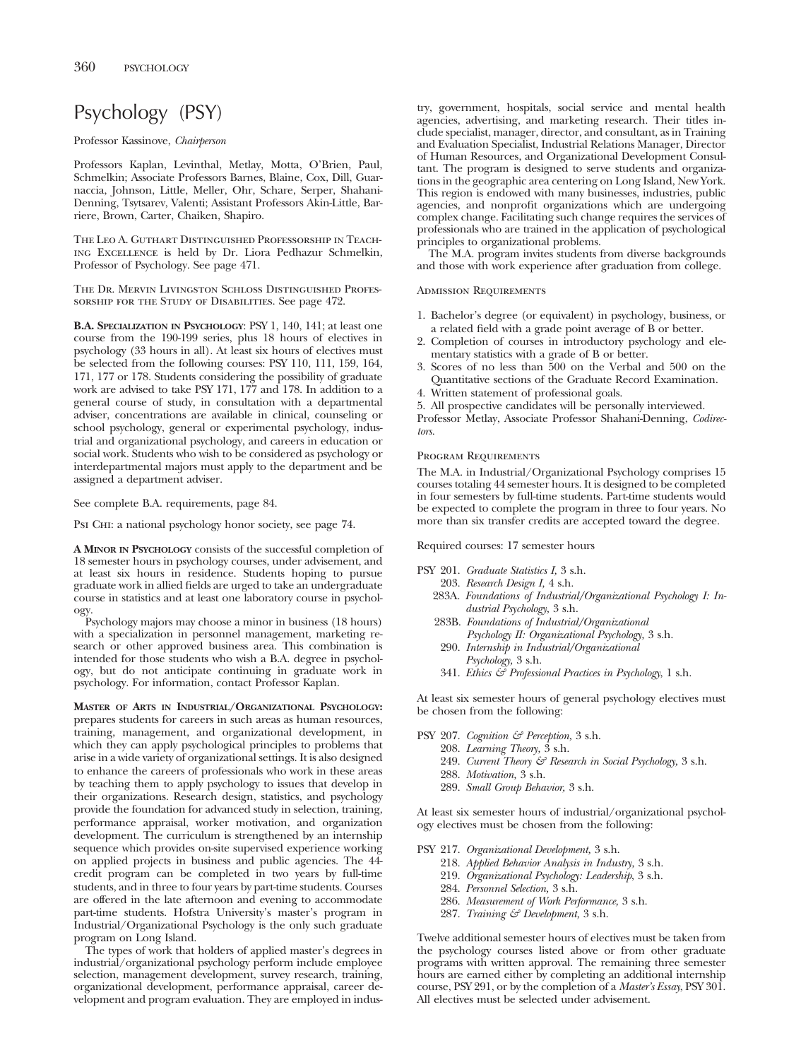# Psychology (PSY)

## Professor Kassinove, *Chairperson*

Professors Kaplan, Levinthal, Metlay, Motta, O'Brien, Paul, Schmelkin; Associate Professors Barnes, Blaine, Cox, Dill, Guarnaccia, Johnson, Little, Meller, Ohr, Schare, Serper, Shahani-Denning, Tsytsarev, Valenti; Assistant Professors Akin-Little, Barriere, Brown, Carter, Chaiken, Shapiro.

The Leo A. Guthart Distinguished Professorship in Teaching Excellence is held by Dr. Liora Pedhazur Schmelkin, Professor of Psychology. See page 471.

The Dr. Mervin Livingston Schloss Distinguished Professorship for the Study of Disabilities. See page 472.

**B.A. SPECIALIZATION IN PSYCHOLOGY**: PSY 1, 140, 141; at least one course from the 190-199 series, plus 18 hours of electives in psychology (33 hours in all). At least six hours of electives must be selected from the following courses: PSY 110, 111, 159, 164, 171, 177 or 178. Students considering the possibility of graduate work are advised to take PSY 171, 177 and 178. In addition to a general course of study, in consultation with a departmental adviser, concentrations are available in clinical, counseling or school psychology, general or experimental psychology, industrial and organizational psychology, and careers in education or social work. Students who wish to be considered as psychology or interdepartmental majors must apply to the department and be assigned a department adviser.

See complete B.A. requirements, page 84.

Psi CHI: a national psychology honor society, see page 74.

**A MINOR IN PSYCHOLOGY** consists of the successful completion of 18 semester hours in psychology courses, under advisement, and at least six hours in residence. Students hoping to pursue graduate work in allied fields are urged to take an undergraduate course in statistics and at least one laboratory course in psychology.

Psychology majors may choose a minor in business (18 hours) with a specialization in personnel management, marketing research or other approved business area. This combination is intended for those students who wish a B.A. degree in psychology, but do not anticipate continuing in graduate work in psychology. For information, contact Professor Kaplan.

**MASTER OF ARTS IN INDUSTRIAL/ORGANIZATIONAL PSYCHOLOGY:** prepares students for careers in such areas as human resources, training, management, and organizational development, in which they can apply psychological principles to problems that arise in a wide variety of organizational settings. It is also designed to enhance the careers of professionals who work in these areas by teaching them to apply psychology to issues that develop in their organizations. Research design, statistics, and psychology provide the foundation for advanced study in selection, training, performance appraisal, worker motivation, and organization development. The curriculum is strengthened by an internship sequence which provides on-site supervised experience working on applied projects in business and public agencies. The 44 credit program can be completed in two years by full-time students, and in three to four years by part-time students. Courses are offered in the late afternoon and evening to accommodate part-time students. Hofstra University's master's program in Industrial/Organizational Psychology is the only such graduate program on Long Island.

The types of work that holders of applied master's degrees in industrial/organizational psychology perform include employee selection, management development, survey research, training, organizational development, performance appraisal, career development and program evaluation. They are employed in industry, government, hospitals, social service and mental health agencies, advertising, and marketing research. Their titles include specialist, manager, director, and consultant, as in Training and Evaluation Specialist, Industrial Relations Manager, Director of Human Resources, and Organizational Development Consultant. The program is designed to serve students and organizations in the geographic area centering on Long Island, New York. This region is endowed with many businesses, industries, public agencies, and nonprofit organizations which are undergoing complex change. Facilitating such change requires the services of professionals who are trained in the application of psychological principles to organizational problems.

The M.A. program invites students from diverse backgrounds and those with work experience after graduation from college.

## Admission Requirements

- 1. Bachelor's degree (or equivalent) in psychology, business, or a related field with a grade point average of B or better.
- 2. Completion of courses in introductory psychology and elementary statistics with a grade of B or better.
- 3. Scores of no less than 500 on the Verbal and 500 on the Quantitative sections of the Graduate Record Examination.
- 4. Written statement of professional goals.

5. All prospective candidates will be personally interviewed. Professor Metlay, Associate Professor Shahani-Denning, *Codirectors.*

#### Program Requirements

The M.A. in Industrial/Organizational Psychology comprises 15 courses totaling 44 semester hours. It is designed to be completed in four semesters by full-time students. Part-time students would be expected to complete the program in three to four years. No more than six transfer credits are accepted toward the degree.

Required courses: 17 semester hours

- PSY 201. *Graduate Statistics I,* 3 s.h.
	- 203. *Research Design I,* 4 s.h.
	- 283A. *Foundations of Industrial/Organizational Psychology I: Industrial Psychology,* 3 s.h.
	- 283B. *Foundations of Industrial/Organizational Psychology II: Organizational Psychology,* 3 s.h.
	- 290. *Internship in Industrial/Organizational*
	- *Psychology,* 3 s.h. 341. *Ethics & Professional Practices in Psychology*, 1 s.h.

At least six semester hours of general psychology electives must be chosen from the following:

- PSY 207. *Cognition & Perception,* 3 s.h.
	- 208. *Learning Theory,* 3 s.h.
	- 249. *Current Theory & Research in Social Psychology,* 3 s.h.
	- 288. *Motivation,* 3 s.h.
	- 289. *Small Group Behavior,* 3 s.h.

At least six semester hours of industrial/organizational psychology electives must be chosen from the following:

- PSY 217. *Organizational Development,* 3 s.h.
	- 218. *Applied Behavior Analysis in Industry,* 3 s.h.
	- 219. *Organizational Psychology: Leadership*, 3 s.h.
	- 284. *Personnel Selection,* 3 s.h.
	- 286. *Measurement of Work Performance,* 3 s.h.
	- 287. *Training & Development,* 3 s.h.

Twelve additional semester hours of electives must be taken from the psychology courses listed above or from other graduate programs with written approval. The remaining three semester hours are earned either by completing an additional internship course, PSY 291, or by the completion of a *Master's Essay*, PSY 301. All electives must be selected under advisement.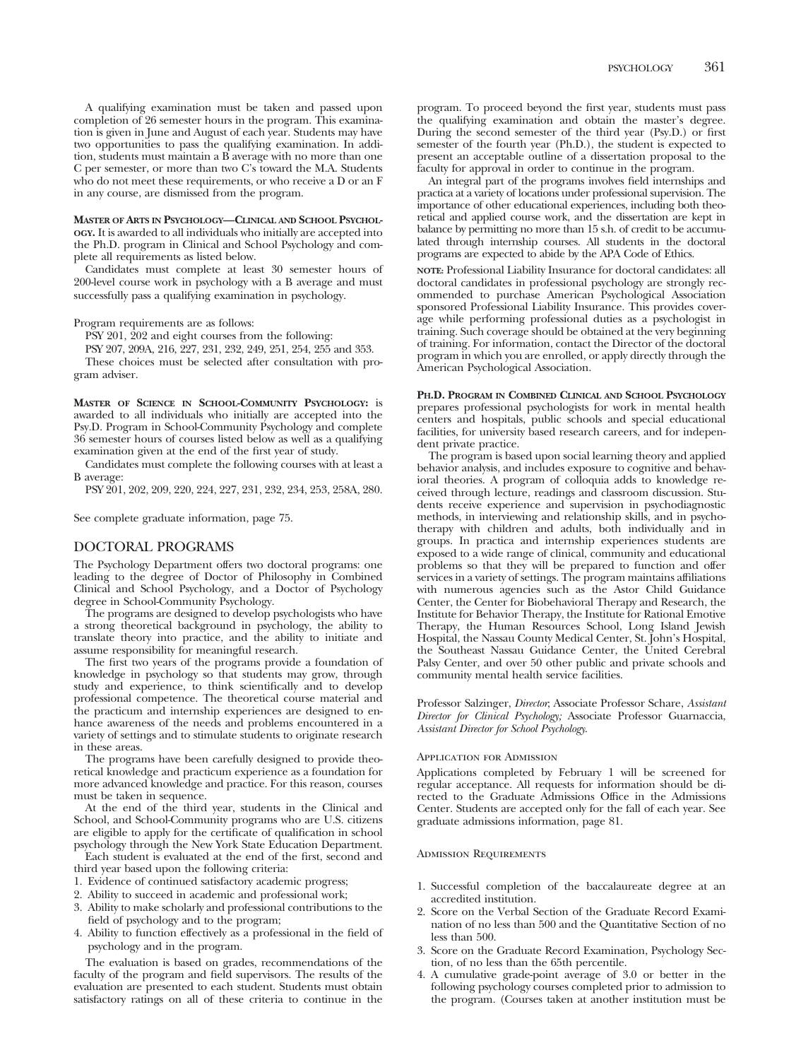A qualifying examination must be taken and passed upon completion of 26 semester hours in the program. This examination is given in June and August of each year. Students may have two opportunities to pass the qualifying examination. In addition, students must maintain a B average with no more than one C per semester, or more than two C's toward the M.A. Students who do not meet these requirements, or who receive a D or an F in any course, are dismissed from the program.

**MASTER OF ARTS IN PSYCHOLOGY—CLINICAL AND SCHOOL PSYCHOL-OGY.** It is awarded to all individuals who initially are accepted into the Ph.D. program in Clinical and School Psychology and complete all requirements as listed below.

Candidates must complete at least 30 semester hours of 200-level course work in psychology with a B average and must successfully pass a qualifying examination in psychology.

Program requirements are as follows:

PSY 201, 202 and eight courses from the following:

PSY 207, 209A, 216, 227, 231, 232, 249, 251, 254, 255 and 353. These choices must be selected after consultation with program adviser.

**MASTER OF SCIENCE IN SCHOOL-COMMUNITY PSYCHOLOGY:** is awarded to all individuals who initially are accepted into the Psy.D. Program in School-Community Psychology and complete 36 semester hours of courses listed below as well as a qualifying examination given at the end of the first year of study.

Candidates must complete the following courses with at least a B average:

PSY 201, 202, 209, 220, 224, 227, 231, 232, 234, 253, 258A, 280.

See complete graduate information, page 75.

## DOCTORAL PROGRAMS

The Psychology Department offers two doctoral programs: one leading to the degree of Doctor of Philosophy in Combined Clinical and School Psychology, and a Doctor of Psychology degree in School-Community Psychology.

The programs are designed to develop psychologists who have a strong theoretical background in psychology, the ability to translate theory into practice, and the ability to initiate and assume responsibility for meaningful research.

The first two years of the programs provide a foundation of knowledge in psychology so that students may grow, through study and experience, to think scientifically and to develop professional competence. The theoretical course material and the practicum and internship experiences are designed to enhance awareness of the needs and problems encountered in a variety of settings and to stimulate students to originate research in these areas.

The programs have been carefully designed to provide theoretical knowledge and practicum experience as a foundation for more advanced knowledge and practice. For this reason, courses must be taken in sequence.

At the end of the third year, students in the Clinical and School, and School-Community programs who are U.S. citizens are eligible to apply for the certificate of qualification in school psychology through the New York State Education Department.

Each student is evaluated at the end of the first, second and third year based upon the following criteria:

- 1. Evidence of continued satisfactory academic progress;
- 2. Ability to succeed in academic and professional work;
- 3. Ability to make scholarly and professional contributions to the field of psychology and to the program;
- 4. Ability to function effectively as a professional in the field of psychology and in the program.

The evaluation is based on grades, recommendations of the faculty of the program and field supervisors. The results of the evaluation are presented to each student. Students must obtain satisfactory ratings on all of these criteria to continue in the program. To proceed beyond the first year, students must pass the qualifying examination and obtain the master's degree. During the second semester of the third year (Psy.D.) or first semester of the fourth year (Ph.D.), the student is expected to present an acceptable outline of a dissertation proposal to the faculty for approval in order to continue in the program.

An integral part of the programs involves field internships and practica at a variety of locations under professional supervision. The importance of other educational experiences, including both theoretical and applied course work, and the dissertation are kept in balance by permitting no more than 15 s.h. of credit to be accumulated through internship courses. All students in the doctoral programs are expected to abide by the APA Code of Ethics.

**NOTE:** Professional Liability Insurance for doctoral candidates: all doctoral candidates in professional psychology are strongly recommended to purchase American Psychological Association sponsored Professional Liability Insurance. This provides coverage while performing professional duties as a psychologist in training. Such coverage should be obtained at the very beginning of training. For information, contact the Director of the doctoral program in which you are enrolled, or apply directly through the American Psychological Association.

**PH.D. PROGRAM IN COMBINED CLINICAL AND SCHOOL PSYCHOLOGY** prepares professional psychologists for work in mental health centers and hospitals, public schools and special educational facilities, for university based research careers, and for independent private practice.

The program is based upon social learning theory and applied behavior analysis, and includes exposure to cognitive and behavioral theories. A program of colloquia adds to knowledge received through lecture, readings and classroom discussion. Students receive experience and supervision in psychodiagnostic methods, in interviewing and relationship skills, and in psychotherapy with children and adults, both individually and in groups. In practica and internship experiences students are exposed to a wide range of clinical, community and educational problems so that they will be prepared to function and offer services in a variety of settings. The program maintains affiliations with numerous agencies such as the Astor Child Guidance Center, the Center for Biobehavioral Therapy and Research, the Institute for Behavior Therapy, the Institute for Rational Emotive Therapy, the Human Resources School, Long Island Jewish Hospital, the Nassau County Medical Center, St. John's Hospital, the Southeast Nassau Guidance Center, the United Cerebral Palsy Center, and over 50 other public and private schools and community mental health service facilities.

Professor Salzinger, *Director*; Associate Professor Schare, *Assistant Director for Clinical Psychology;* Associate Professor Guarnaccia, *Assistant Director for School Psychology*.

#### Application for Admission

Applications completed by February 1 will be screened for regular acceptance. All requests for information should be directed to the Graduate Admissions Office in the Admissions Center. Students are accepted only for the fall of each year. See graduate admissions information, page 81.

#### Admission Requirements

- 1. Successful completion of the baccalaureate degree at an accredited institution.
- 2. Score on the Verbal Section of the Graduate Record Examination of no less than 500 and the Quantitative Section of no less than 500.
- 3. Score on the Graduate Record Examination, Psychology Section, of no less than the 65th percentile.
- 4. A cumulative grade-point average of 3.0 or better in the following psychology courses completed prior to admission to the program. (Courses taken at another institution must be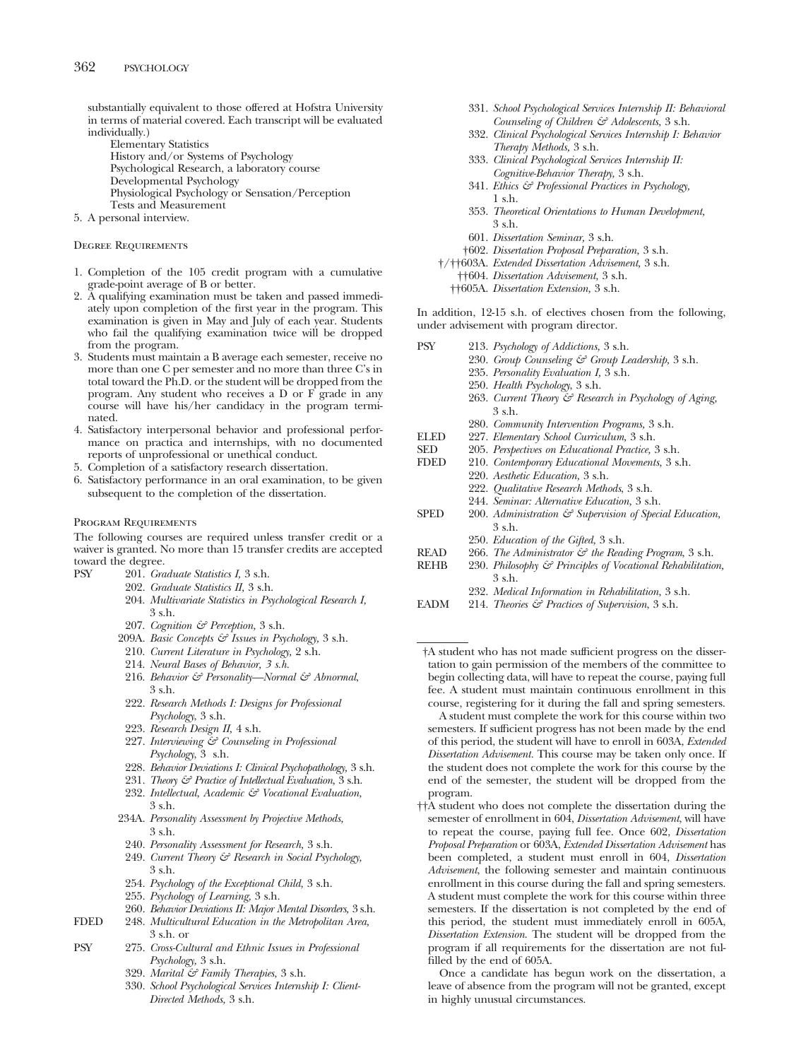substantially equivalent to those offered at Hofstra University in terms of material covered. Each transcript will be evaluated individually.)

Elementary Statistics History and/or Systems of Psychology Psychological Research, a laboratory course Developmental Psychology Physiological Psychology or Sensation/Perception Tests and Measurement

5. A personal interview.

#### Degree Requirements

- 1. Completion of the 105 credit program with a cumulative grade-point average of B or better.
- 2. A qualifying examination must be taken and passed immediately upon completion of the first year in the program. This examination is given in May and July of each year. Students who fail the qualifying examination twice will be dropped from the program.
- 3. Students must maintain a B average each semester, receive no more than one C per semester and no more than three C's in total toward the Ph.D. or the student will be dropped from the program. Any student who receives a D or F grade in any course will have his/her candidacy in the program terminated.
- 4. Satisfactory interpersonal behavior and professional performance on practica and internships, with no documented reports of unprofessional or unethical conduct.
- 5. Completion of a satisfactory research dissertation.
- 6. Satisfactory performance in an oral examination, to be given subsequent to the completion of the dissertation.

## Program Requirements

The following courses are required unless transfer credit or a waiver is granted. No more than 15 transfer credits are accepted toward the degree.

- PSY 201. *Graduate Statistics I,* 3 s.h.
	- 202. *Graduate Statistics II,* 3 s.h.
		- 204. *Multivariate Statistics in Psychological Research I,* 3 s.h.
		- 207. *Cognition & Perception,* 3 s.h.
	- 209A. *Basic Concepts & Issues in Psychology,* 3 s.h.
	- 210. *Current Literature in Psychology,* 2 s.h.
	- 214. *Neural Bases of Behavior, 3 s.h.*
	- 216. *Behavior & Personality—Normal & Abnormal*, 3 s.h.
	- 222. *Research Methods I: Designs for Professional Psychology*, 3 s.h.
	- 223. *Research Design II,* 4 s.h.
	- 227. *Interviewing & Counseling in Professional Psychology*, 3 s.h.
	- 228. *Behavior Deviations I: Clinical Psychopathology,* 3 s.h.
	- 231. *Theory & Practice of Intellectual Evaluation,* 3 s.h.
	- 232. *Intellectual, Academic & Vocational Evaluation,* 3 s.h.
	- 234A. *Personality Assessment by Projective Methods,* 3 s.h.
		- 240. *Personality Assessment for Research,* 3 s.h.
		- 249. *Current Theory & Research in Social Psychology,* 3 s.h.
		- 254. *Psychology of the Exceptional Child,* 3 s.h.
	- 255. *Psychology of Learning,* 3 s.h.
	- 260. *Behavior Deviations II: Major Mental Disorders,* 3 s.h.
- FDED 248. *Multicultural Education in the Metropolitan Area,* 3 s.h. or
- PSY 275. *Cross-Cultural and Ethnic Issues in Professional Psychology,* 3 s.h.
	- 329. *Marital & Family Therapies,* 3 s.h.
	- 330. *School Psychological Services Internship I: Client-Directed Methods,* 3 s.h.
- 331. *School Psychological Services Internship II: Behavioral Counseling of Children & Adolescents,* 3 s.h.
- 332. *Clinical Psychological Services Internship I: Behavior Therapy Methods,* 3 s.h.
- 333. *Clinical Psychological Services Internship II: Cognitive-Behavior Therapy,* 3 s.h.
- 341. *Ethics & Professional Practices in Psychology,* 1 s.h.
- 353. *Theoretical Orientations to Human Development,* 3 s.h.
- 601. *Dissertation Seminar,* 3 s.h.
- †602. *Dissertation Proposal Preparation,* 3 s.h.
- †/††603A. *Extended Dissertation Advisement,* 3 s.h. ††604. *Dissertation Advisement,* 3 s.h.
	-
	- ††605A. *Dissertation Extension,* 3 s.h.

In addition, 12-15 s.h. of electives chosen from the following, under advisement with program director.

| <b>PSY</b>  | 213. Psychology of Addictions, 3 s.h.                               |
|-------------|---------------------------------------------------------------------|
|             | 230. Group Counseling & Group Leadership, 3 s.h.                    |
|             | 235. Personality Evaluation I, 3 s.h.                               |
|             | 250. Health Psychology, 3 s.h.                                      |
|             | 263. Current Theory & Research in Psychology of Aging,              |
|             | 3 s.h.                                                              |
|             | 280. Community Intervention Programs, 3 s.h.                        |
| <b>ELED</b> | 227. Elementary School Curriculum, 3 s.h.                           |
| <b>SED</b>  | 205. Perspectives on Educational Practice, 3 s.h.                   |
| <b>FDED</b> | 210. Contemporary Educational Movements, 3 s.h.                     |
|             | 220. Aesthetic Education, 3 s.h.                                    |
|             | 222. Qualitative Research Methods, 3 s.h.                           |
|             | 244. Seminar: Alternative Education, 3 s.h.                         |
| <b>SPED</b> | 200. Administration $\mathcal{F}$ Supervision of Special Education, |
|             | 3 s.h.                                                              |
|             | 250. Education of the Gifted, 3 s.h.                                |
| <b>READ</b> | 266. The Administrator & the Reading Program, 3 s.h.                |
| <b>REHB</b> | 230. Philosophy & Principles of Vocational Rehabilitation,          |
|             | 3 s.h.                                                              |
|             | 232. Medical Information in Rehabilitation, 3 s.h.                  |
|             |                                                                     |

EADM 214. *Theories & Practices of Supervision*, 3 s.h.

†A student who has not made sufficient progress on the dissertation to gain permission of the members of the committee to begin collecting data, will have to repeat the course, paying full fee. A student must maintain continuous enrollment in this course, registering for it during the fall and spring semesters.

A student must complete the work for this course within two semesters. If sufficient progress has not been made by the end of this period, the student will have to enroll in 603A, *Extended Dissertation Advisement.* This course may be taken only once. If the student does not complete the work for this course by the end of the semester, the student will be dropped from the program.

††A student who does not complete the dissertation during the semester of enrollment in 604, *Dissertation Advisement*, will have to repeat the course, paying full fee. Once 602, *Dissertation Proposal Preparation* or 603A, *Extended Dissertation Advisement* has been completed, a student must enroll in 604, *Dissertation Advisement*, the following semester and maintain continuous enrollment in this course during the fall and spring semesters. A student must complete the work for this course within three semesters. If the dissertation is not completed by the end of this period, the student must immediately enroll in 605A, *Dissertation Extension*. The student will be dropped from the program if all requirements for the dissertation are not fulfilled by the end of 605A.

Once a candidate has begun work on the dissertation, a leave of absence from the program will not be granted, except in highly unusual circumstances.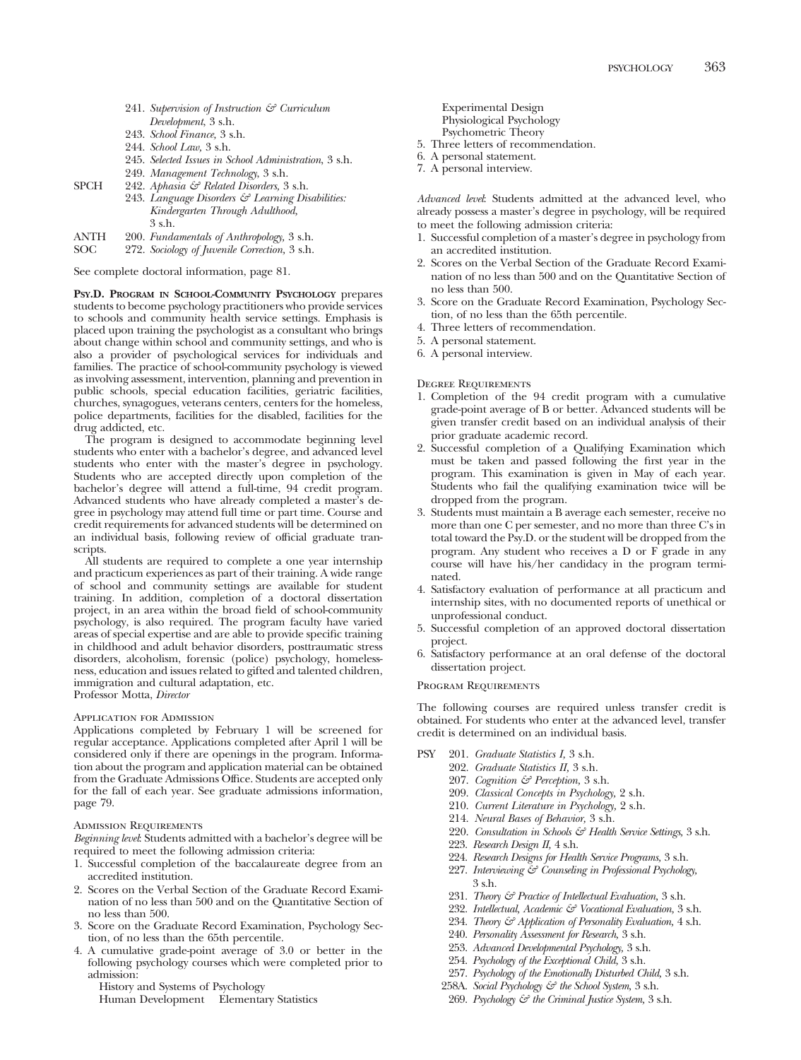- 241. *Supervision of Instruction & Curriculum Development*, 3 s.h.
- 243. *School Finance,* 3 s.h.
- 244. *School Law,* 3 s.h.
- 245. *Selected Issues in School Administration*, 3 s.h.
- 249. *Management Technology*, 3 s.h.
- SPCH 242. *Aphasia & Related Disorders,* 3 s.h.
	- 243. *Language Disorders & Learning Disabilities: Kindergarten Through Adulthood,* 3 s.h.
- ANTH 200. *Fundamentals of Anthropology,* 3 s.h.
- 272. Sociology of Juvenile Correction, 3 s.h.

See complete doctoral information, page 81.

**PSY.D. PROGRAM IN SCHOOL-COMMUNITY PSYCHOLOGY** prepares students to become psychology practitioners who provide services to schools and community health service settings. Emphasis is placed upon training the psychologist as a consultant who brings about change within school and community settings, and who is also a provider of psychological services for individuals and families. The practice of school-community psychology is viewed as involving assessment, intervention, planning and prevention in public schools, special education facilities, geriatric facilities, churches, synagogues, veterans centers, centers for the homeless, police departments, facilities for the disabled, facilities for the drug addicted, etc.

The program is designed to accommodate beginning level students who enter with a bachelor's degree, and advanced level students who enter with the master's degree in psychology. Students who are accepted directly upon completion of the bachelor's degree will attend a full-time, 94 credit program. Advanced students who have already completed a master's degree in psychology may attend full time or part time. Course and credit requirements for advanced students will be determined on an individual basis, following review of official graduate transcripts.

All students are required to complete a one year internship and practicum experiences as part of their training. A wide range of school and community settings are available for student training. In addition, completion of a doctoral dissertation project, in an area within the broad field of school-community psychology, is also required. The program faculty have varied areas of special expertise and are able to provide specific training in childhood and adult behavior disorders, posttraumatic stress disorders, alcoholism, forensic (police) psychology, homelessness, education and issues related to gifted and talented children, immigration and cultural adaptation, etc. Professor Motta, *Director*

#### Application for Admission

Applications completed by February 1 will be screened for regular acceptance. Applications completed after April 1 will be considered only if there are openings in the program. Information about the program and application material can be obtained from the Graduate Admissions Office. Students are accepted only for the fall of each year. See graduate admissions information, page 79.

#### Admission Requirements

*Beginning level*: Students admitted with a bachelor's degree will be required to meet the following admission criteria:

- 1. Successful completion of the baccalaureate degree from an accredited institution.
- 2. Scores on the Verbal Section of the Graduate Record Examination of no less than 500 and on the Quantitative Section of no less than 500.
- 3. Score on the Graduate Record Examination, Psychology Section, of no less than the 65th percentile.
- 4. A cumulative grade-point average of 3.0 or better in the following psychology courses which were completed prior to admission:
	- History and Systems of Psychology
	- Human Development Elementary Statistics

Experimental Design Physiological Psychology Psychometric Theory

- 5. Three letters of recommendation.
- 6. A personal statement.
- 7. A personal interview.

*Advanced level*: Students admitted at the advanced level, who already possess a master's degree in psychology, will be required to meet the following admission criteria:

- 1. Successful completion of a master's degree in psychology from an accredited institution.
- 2. Scores on the Verbal Section of the Graduate Record Examination of no less than 500 and on the Quantitative Section of no less than 500.
- 3. Score on the Graduate Record Examination, Psychology Section, of no less than the 65th percentile.
- 4. Three letters of recommendation.
- 5. A personal statement.
- 6. A personal interview.

#### Degree Requirements

- 1. Completion of the 94 credit program with a cumulative grade-point average of B or better. Advanced students will be given transfer credit based on an individual analysis of their prior graduate academic record.
- 2. Successful completion of a Qualifying Examination which must be taken and passed following the first year in the program. This examination is given in May of each year. Students who fail the qualifying examination twice will be dropped from the program.
- 3. Students must maintain a B average each semester, receive no more than one C per semester, and no more than three C's in total toward the Psy.D. or the student will be dropped from the program. Any student who receives a D or F grade in any course will have his/her candidacy in the program terminated.
- 4. Satisfactory evaluation of performance at all practicum and internship sites, with no documented reports of unethical or unprofessional conduct.
- 5. Successful completion of an approved doctoral dissertation project.
- 6. Satisfactory performance at an oral defense of the doctoral dissertation project.

#### Program Requirements

The following courses are required unless transfer credit is obtained. For students who enter at the advanced level, transfer credit is determined on an individual basis.

- PSY 201. *Graduate Statistics I,* 3 s.h.
	- 202. *Graduate Statistics II,* 3 s.h.
	- 207. *Cognition & Perception,* 3 s.h.
	- 209. *Classical Concepts in Psychology,* 2 s.h.
	- 210. *Current Literature in Psychology,* 2 s.h.
	- 214. *Neural Bases of Behavior,* 3 s.h.
	- 220. *Consultation in Schools & Health Service Settings,* 3 s.h.
	- 223. *Research Design II,* 4 s.h.
	- 224. *Research Designs for Health Service Programs,* 3 s.h.
	- 227. *Interviewing & Counseling in Professional Psychology,* 3 s.h.
	- 231. *Theory & Practice of Intellectual Evaluation,* 3 s.h.
	- 232. *Intellectual, Academic & Vocational Evaluation,* 3 s.h.
	- 234. *Theory & Application of Personality Evaluation,* 4 s.h.
	- 240. *Personality Assessment for Research,* 3 s.h.
	- 253. *Advanced Developmental Psychology,* 3 s.h.
	- 254. *Psychology of the Exceptional Child,* 3 s.h.
	- 257. *Psychology of the Emotionally Disturbed Child,* 3 s.h.
	- 258A. *Social Psychology & the School System,* 3 s.h.
	- 269. *Psychology & the Criminal Justice System,* 3 s.h.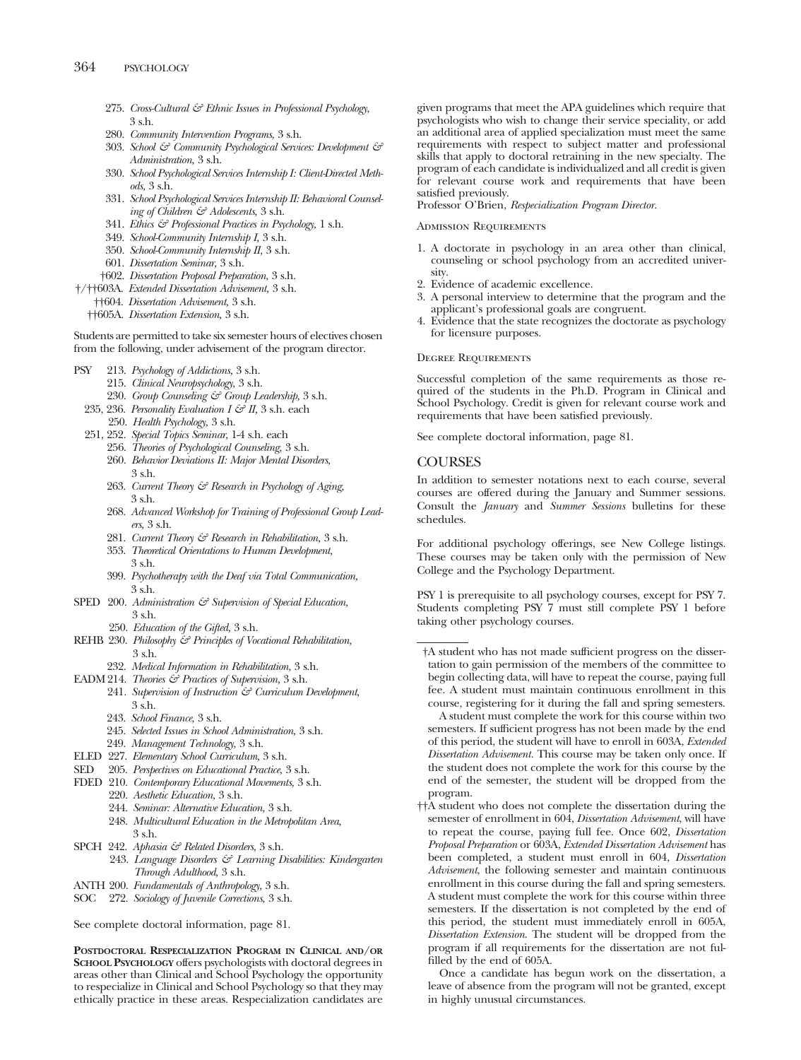- 275. *Cross-Cultural & Ethnic Issues in Professional Psychology,* 3 s.h.
- 280. *Community Intervention Programs,* 3 s.h.
- 303. *School & Community Psychological Services: Development & Administration,* 3 s.h.
- 330. *School Psychological Services Internship I: Client-Directed Methods,* 3 s.h.
- 331. *School Psychological Services Internship II: Behavioral Counseling of Children & Adolescents,* 3 s.h.
- 341. *Ethics & Professional Practices in Psychology,* 1 s.h.
- 349. *School-Community Internship I,* 3 s.h.
- 350. *School-Community Internship II,* 3 s.h.
- 601. *Dissertation Seminar,* 3 s.h.
- †602. *Dissertation Proposal Preparation,* 3 s.h.
- †/††603A. *Extended Dissertation Advisement,* 3 s.h.
	- ††604. *Dissertation Advisement,* 3 s.h.
	- ††605A. *Dissertation Extension,* 3 s.h.

Students are permitted to take six semester hours of electives chosen from the following, under advisement of the program director.

- PSY 213. *Psychology of Addictions,* 3 s.h.
	- 215. *Clinical Neuropsychology,* 3 s.h.
	- 230. *Group Counseling & Group Leadership,* 3 s.h.
	- 235, 236. *Personality Evaluation I & II,* 3 s.h. each 250. *Health Psychology,* 3 s.h.
	- 251, 252. *Special Topics Seminar,* 1-4 s.h. each
		- 256. *Theories of Psychological Counseling,* 3 s.h.
		- 260. *Behavior Deviations II: Major Mental Disorders,* 3 s.h.
		- 263. *Current Theory & Research in Psychology of Aging,* 3 s.h.
		- 268. *Advanced Workshop for Training of Professional Group Leaders,* 3 s.h.
		- 281. *Current Theory & Research in Rehabilitation,* 3 s.h.
		- 353. *Theoretical Orientations to Human Development,* 3 s.h.
		- 399. *Psychotherapy with the Deaf via Total Communication,* 3 s.h.
- SPED 200. Administration  $\mathcal{C}$  Supervision of Special Education, 3 s.h.
	- 250. *Education of the Gifted,* 3 s.h.
- REHB 230. *Philosophy & Principles of Vocational Rehabilitation,* 3 s.h.
- 232. *Medical Information in Rehabilitation,* 3 s.h.
- EADM 214. *Theories & Practices of Supervision,* 3 s.h.
	- 241. *Supervision of Instruction & Curriculum Development,* 3 s.h.
		- 243. *School Finance,* 3 s.h.
	- 245. *Selected Issues in School Administration,* 3 s.h.
- 249. *Management Technology,* 3 s.h.
- ELED 227. *Elementary School Curriculum,* 3 s.h.
- SED 205. *Perspectives on Educational Practice,* 3 s.h.
- FDED 210. *Contemporary Educational Movements,* 3 s.h.
	- 220. *Aesthetic Education,* 3 s.h.
	- 244. *Seminar: Alternative Education,* 3 s.h.
	- 248. *Multicultural Education in the Metropolitan Area,* 3 s.h.
- SPCH 242. *Aphasia & Related Disorders,* 3 s.h. 243. *Language Disorders & Learning Disabilities: Kindergarten Through Adulthood,* 3 s.h.
- ANTH 200. *Fundamentals of Anthropology,* 3 s.h.
- SOC 272. *Sociology of Juvenile Corrections,* 3 s.h.

See complete doctoral information, page 81.

**POSTDOCTORAL RESPECIALIZATION PROGRAM IN CLINICAL AND/OR SCHOOL PSYCHOLOGY** offers psychologists with doctoral degrees in areas other than Clinical and School Psychology the opportunity to respecialize in Clinical and School Psychology so that they may ethically practice in these areas. Respecialization candidates are given programs that meet the APA guidelines which require that psychologists who wish to change their service speciality, or add an additional area of applied specialization must meet the same requirements with respect to subject matter and professional skills that apply to doctoral retraining in the new specialty. The program of each candidate is individualized and all credit is given for relevant course work and requirements that have been satisfied previously.

Professor O'Brien, *Respecialization Program Director.*

#### Admission Requirements

- 1. A doctorate in psychology in an area other than clinical, counseling or school psychology from an accredited university.
- 2. Evidence of academic excellence.
- 3. A personal interview to determine that the program and the applicant's professional goals are congruent.
- 4. Evidence that the state recognizes the doctorate as psychology for licensure purposes.

#### Degree Requirements

Successful completion of the same requirements as those required of the students in the Ph.D. Program in Clinical and School Psychology. Credit is given for relevant course work and requirements that have been satisfied previously.

See complete doctoral information, page 81.

## **COURSES**

In addition to semester notations next to each course, several courses are offered during the January and Summer sessions. Consult the *January* and *Summer Sessions* bulletins for these schedules.

For additional psychology offerings, see New College listings. These courses may be taken only with the permission of New College and the Psychology Department.

PSY 1 is prerequisite to all psychology courses, except for PSY 7. Students completing PSY 7 must still complete PSY 1 before taking other psychology courses.

†A student who has not made sufficient progress on the dissertation to gain permission of the members of the committee to begin collecting data, will have to repeat the course, paying full fee. A student must maintain continuous enrollment in this course, registering for it during the fall and spring semesters.

A student must complete the work for this course within two semesters. If sufficient progress has not been made by the end of this period, the student will have to enroll in 603A, *Extended Dissertation Advisement.* This course may be taken only once. If the student does not complete the work for this course by the end of the semester, the student will be dropped from the program.

††A student who does not complete the dissertation during the semester of enrollment in 604, *Dissertation Advisement*, will have to repeat the course, paying full fee. Once 602, *Dissertation Proposal Preparation* or 603A, *Extended Dissertation Advisement* has been completed, a student must enroll in 604, *Dissertation Advisement*, the following semester and maintain continuous enrollment in this course during the fall and spring semesters. A student must complete the work for this course within three semesters. If the dissertation is not completed by the end of this period, the student must immediately enroll in 605A, *Dissertation Extension*. The student will be dropped from the program if all requirements for the dissertation are not fulfilled by the end of 605A.

Once a candidate has begun work on the dissertation, a leave of absence from the program will not be granted, except in highly unusual circumstances.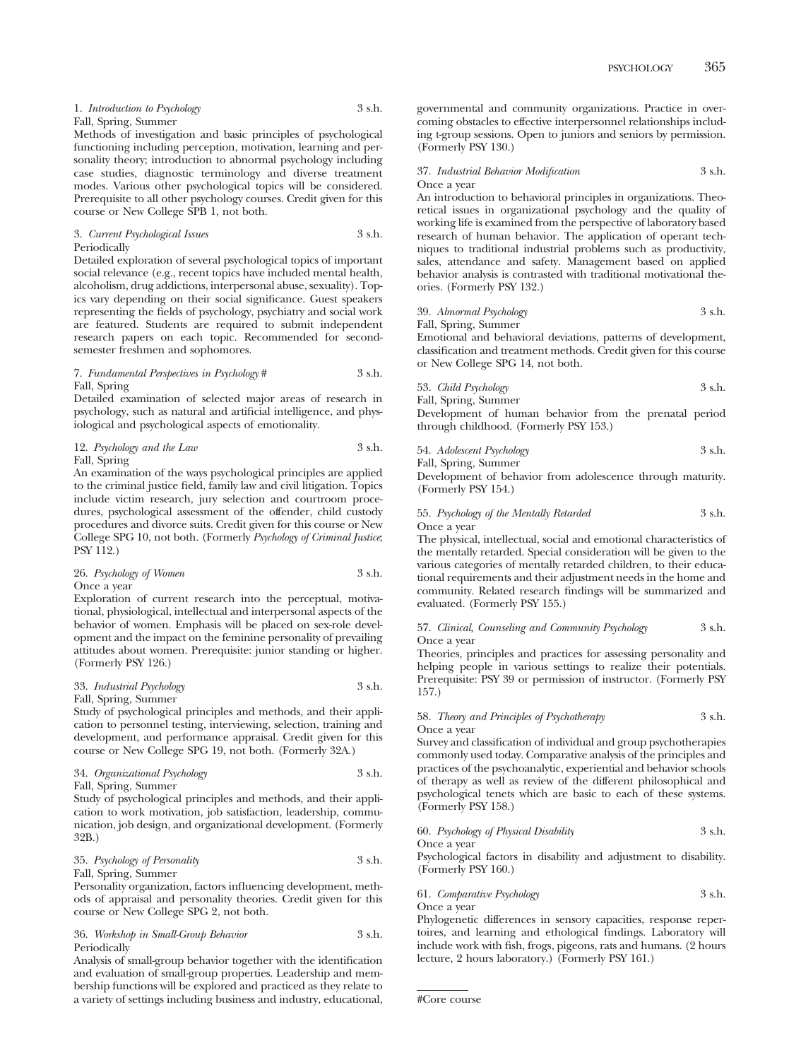| 1. Introduction to Psychology | 3 s.h. |
|-------------------------------|--------|
| Fall, Spring, Summer          |        |

Methods of investigation and basic principles of psychological functioning including perception, motivation, learning and personality theory; introduction to abnormal psychology including case studies, diagnostic terminology and diverse treatment modes. Various other psychological topics will be considered. Prerequisite to all other psychology courses. Credit given for this course or New College SPB 1, not both.

#### 3. *Current Psychological Issues* 3 s.h. Periodically

Detailed exploration of several psychological topics of important social relevance (e.g., recent topics have included mental health, alcoholism, drug addictions, interpersonal abuse, sexuality). Topics vary depending on their social significance. Guest speakers representing the fields of psychology, psychiatry and social work are featured. Students are required to submit independent research papers on each topic. Recommended for secondsemester freshmen and sophomores.

#### 7. *Fundamental Perspectives in Psychology* # 3 s.h. Fall, Spring

Detailed examination of selected major areas of research in psychology, such as natural and artificial intelligence, and physiological and psychological aspects of emotionality.

12. *Psychology and the Law* 3 s.h. Fall, Spring

An examination of the ways psychological principles are applied to the criminal justice field, family law and civil litigation. Topics include victim research, jury selection and courtroom procedures, psychological assessment of the offender, child custody procedures and divorce suits. Credit given for this course or New College SPG 10, not both. (Formerly *Psychology of Criminal Justice*; PSY 112.)

26. *Psychology of Women* 3 s.h. Once a year

Exploration of current research into the perceptual, motivational, physiological, intellectual and interpersonal aspects of the behavior of women. Emphasis will be placed on sex-role development and the impact on the feminine personality of prevailing attitudes about women. Prerequisite: junior standing or higher. (Formerly PSY 126.)

## 33. *Industrial Psychology* 3 s.h. Fall, Spring, Summer

Study of psychological principles and methods, and their application to personnel testing, interviewing, selection, training and development, and performance appraisal. Credit given for this course or New College SPG 19, not both. (Formerly 32A.)

34. *Organizational Psychology* 3 s.h. Fall, Spring, Summer

Study of psychological principles and methods, and their application to work motivation, job satisfaction, leadership, communication, job design, and organizational development. (Formerly 32B.)

35. *Psychology of Personality* 3 s.h. Fall, Spring, Summer

Personality organization, factors influencing development, methods of appraisal and personality theories. Credit given for this course or New College SPG 2, not both.

## 36. *Workshop in Small-Group Behavior* 3 s.h. Periodically

Analysis of small-group behavior together with the identification and evaluation of small-group properties. Leadership and membership functions will be explored and practiced as they relate to a variety of settings including business and industry, educational, governmental and community organizations. Practice in overcoming obstacles to effective interpersonnel relationships including t-group sessions. Open to juniors and seniors by permission. (Formerly PSY 130.)

37. *Industrial Behavior Modification* 3 s.h. Once a year

An introduction to behavioral principles in organizations. Theoretical issues in organizational psychology and the quality of working life is examined from the perspective of laboratory based research of human behavior. The application of operant techniques to traditional industrial problems such as productivity, sales, attendance and safety. Management based on applied behavior analysis is contrasted with traditional motivational theories. (Formerly PSY 132.)

39. *Abnormal Psychology* 3 s.h.

Fall, Spring, Summer Emotional and behavioral deviations, patterns of development, classification and treatment methods. Credit given for this course or New College SPG 14, not both.

53. *Child Psychology* 3 s.h. Fall, Spring, Summer

Development of human behavior from the prenatal period through childhood. (Formerly PSY 153.)

54. *Adolescent Psychology* 3 s.h.

Fall, Spring, Summer Development of behavior from adolescence through maturity. (Formerly PSY 154.)

## 55. *Psychology of the Mentally Retarded* 3 s.h. Once a year

The physical, intellectual, social and emotional characteristics of the mentally retarded. Special consideration will be given to the various categories of mentally retarded children, to their educational requirements and their adjustment needs in the home and community. Related research findings will be summarized and evaluated. (Formerly PSY 155.)

#### 57. *Clinical, Counseling and Community Psychology* 3 s.h. Once a year

Theories, principles and practices for assessing personality and helping people in various settings to realize their potentials. Prerequisite: PSY 39 or permission of instructor. (Formerly PSY 157.)

## 58. *Theory and Principles of Psychotherapy* 3 s.h. Once a year

Survey and classification of individual and group psychotherapies commonly used today. Comparative analysis of the principles and practices of the psychoanalytic, experiential and behavior schools of therapy as well as review of the different philosophical and psychological tenets which are basic to each of these systems. (Formerly PSY 158.)

60. *Psychology of Physical Disability* 3 s.h.

Once a year

Psychological factors in disability and adjustment to disability. (Formerly PSY 160.)

## 61. *Comparative Psychology* 3 s.h. Once a year

Phylogenetic differences in sensory capacities, response repertoires, and learning and ethological findings. Laboratory will include work with fish, frogs, pigeons, rats and humans. (2 hours lecture, 2 hours laboratory.) (Formerly PSY 161.)

<sup>#</sup>Core course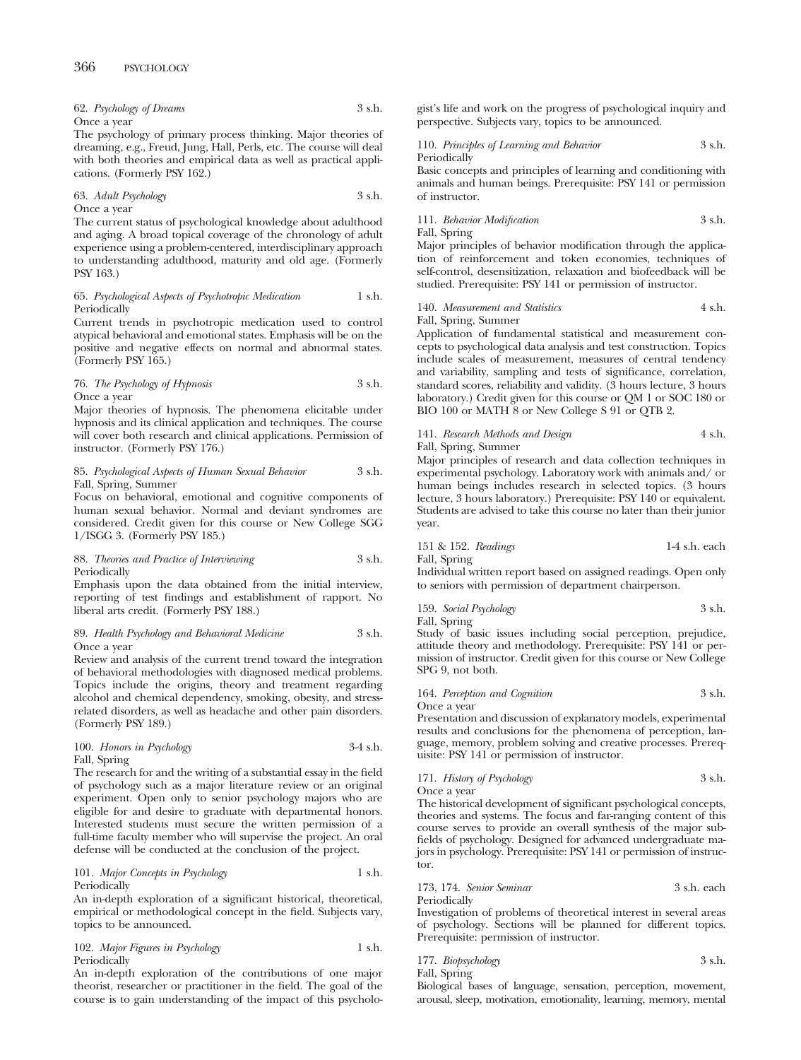| 62. Psychology of Dreams | 3 s.h. |
|--------------------------|--------|
| Once a year              |        |

The psychology of primary process thinking. Major theories of dreaming, e.g., Freud, Jung, Hall, Perls, etc. The course will deal with both theories and empirical data as well as practical applications. (Formerly PSY 162.)

63. *Adult Psychology* 3 s.h. Once a year

The current status of psychological knowledge about adulthood and aging. A broad topical coverage of the chronology of adult experience using a problem-centered, interdisciplinary approach to understanding adulthood, maturity and old age. (Formerly PSY 163.)

#### 65. *Psychological Aspects of Psychotropic Medication* 1 s.h. Periodically

Current trends in psychotropic medication used to control atypical behavioral and emotional states. Emphasis will be on the positive and negative effects on normal and abnormal states. (Formerly PSY 165.)

#### 76. *The Psychology of Hypnosis* 3 s.h. Once a year

Major theories of hypnosis. The phenomena elicitable under hypnosis and its clinical application and techniques. The course will cover both research and clinical applications. Permission of instructor. (Formerly PSY 176.)

## 85. *Psychological Aspects of Human Sexual Behavior* 3 s.h. Fall, Spring, Summer

Focus on behavioral, emotional and cognitive components of human sexual behavior. Normal and deviant syndromes are considered. Credit given for this course or New College SGG 1/ISGG 3. (Formerly PSY 185.)

#### 88. *Theories and Practice of Interviewing* 3 s.h. Periodically

Emphasis upon the data obtained from the initial interview, reporting of test findings and establishment of rapport. No liberal arts credit. (Formerly PSY 188.)

#### 89. *Health Psychology and Behavioral Medicine* 3 s.h. Once a year

Review and analysis of the current trend toward the integration of behavioral methodologies with diagnosed medical problems. Topics include the origins, theory and treatment regarding alcohol and chemical dependency, smoking, obesity, and stressrelated disorders, as well as headache and other pain disorders. (Formerly PSY 189.)

#### 100. *Honors in Psychology* 3-4 s.h. Fall, Spring

The research for and the writing of a substantial essay in the field of psychology such as a major literature review or an original experiment. Open only to senior psychology majors who are eligible for and desire to graduate with departmental honors. Interested students must secure the written permission of a full-time faculty member who will supervise the project. An oral defense will be conducted at the conclusion of the project.

## 101. *Major Concepts in Psychology* 1 s.h. Periodically

An in-depth exploration of a significant historical, theoretical, empirical or methodological concept in the field. Subjects vary, topics to be announced.

102. *Major Figures in Psychology* 1 s.h. Periodically

An in-depth exploration of the contributions of one major theorist, researcher or practitioner in the field. The goal of the course is to gain understanding of the impact of this psychologist's life and work on the progress of psychological inquiry and perspective. Subjects vary, topics to be announced.

#### 110. *Principles of Learning and Behavior* 3 s.h. Periodically

Basic concepts and principles of learning and conditioning with animals and human beings. Prerequisite: PSY 141 or permission of instructor.

111. *Behavior Modification* 3 s.h. Fall, Spring

Major principles of behavior modification through the application of reinforcement and token economies, techniques of self-control, desensitization, relaxation and biofeedback will be studied. Prerequisite: PSY 141 or permission of instructor.

## 140. *Measurement and Statistics* 4 s.h. Fall, Spring, Summer

Application of fundamental statistical and measurement concepts to psychological data analysis and test construction. Topics include scales of measurement, measures of central tendency and variability, sampling and tests of significance, correlation, standard scores, reliability and validity. (3 hours lecture, 3 hours laboratory.) Credit given for this course or QM 1 or SOC 180 or BIO 100 or MATH 8 or New College S 91 or QTB 2.

# 141. *Research Methods and Design* 4 s.h.

Fall, Spring, Summer

Major principles of research and data collection techniques in experimental psychology. Laboratory work with animals and/ or human beings includes research in selected topics. (3 hours lecture, 3 hours laboratory.) Prerequisite: PSY 140 or equivalent. Students are advised to take this course no later than their junior year.

151 & 152. *Readings* 1-4 s.h. each Fall, Spring

Individual written report based on assigned readings. Open only to seniors with permission of department chairperson.

159. *Social Psychology* 3 s.h.

Fall, Spring Study of basic issues including social perception, prejudice, attitude theory and methodology. Prerequisite: PSY 141 or permission of instructor. Credit given for this course or New College SPG 9, not both.

## 164. *Perception and Cognition* 3 s.h. Once a year

Presentation and discussion of explanatory models, experimental results and conclusions for the phenomena of perception, language, memory, problem solving and creative processes. Prerequisite: PSY 141 or permission of instructor.

171. *History of Psychology* 3 s.h. Once a year

The historical development of significant psychological concepts, theories and systems. The focus and far-ranging content of this course serves to provide an overall synthesis of the major subfields of psychology. Designed for advanced undergraduate majors in psychology. Prerequisite: PSY 141 or permission of instructor.

173, 174. *Senior Seminar* 3 s.h. each Periodically

Investigation of problems of theoretical interest in several areas of psychology. Sections will be planned for different topics. Prerequisite: permission of instructor.

| 3 s.h. |
|--------|
|        |

Fall, Spring

Biological bases of language, sensation, perception, movement, arousal, sleep, motivation, emotionality, learning, memory, mental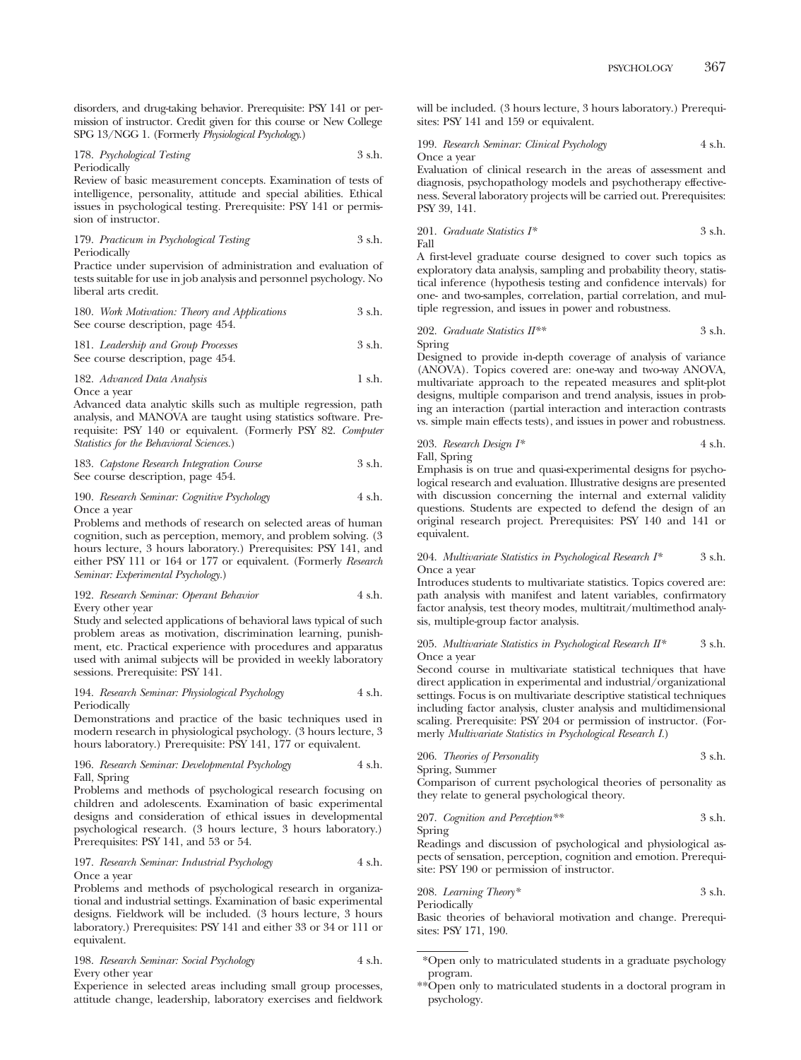disorders, and drug-taking behavior. Prerequisite: PSY 141 or permission of instructor. Credit given for this course or New College SPG 13/NGG 1. (Formerly *Physiological Psychology*.)

178. *Psychological Testing* 3 s.h. Periodically

Review of basic measurement concepts. Examination of tests of intelligence, personality, attitude and special abilities. Ethical issues in psychological testing. Prerequisite: PSY 141 or permission of instructor.

179. *Practicum in Psychological Testing* 3 s.h. Periodically

Practice under supervision of administration and evaluation of tests suitable for use in job analysis and personnel psychology. No liberal arts credit.

| 180. Work Motivation: Theory and Applications | 3 s.h. |
|-----------------------------------------------|--------|
| See course description, page 454.             |        |

181. *Leadership and Group Processes* 3 s.h. See course description, page 454.

182. *Advanced Data Analysis* 1 s.h. Once a year

Advanced data analytic skills such as multiple regression, path analysis, and MANOVA are taught using statistics software. Prerequisite: PSY 140 or equivalent. (Formerly PSY 82. *Computer Statistics for the Behavioral Sciences.*)

183. *Capstone Research Integration Course* 3 s.h. See course description, page 454.

#### 190. *Research Seminar: Cognitive Psychology* 4 s.h. Once a year

Problems and methods of research on selected areas of human cognition, such as perception, memory, and problem solving. (3 hours lecture, 3 hours laboratory.) Prerequisites: PSY 141, and either PSY 111 or 164 or 177 or equivalent. (Formerly *Research Seminar: Experimental Psychology.*)

#### 192. *Research Seminar: Operant Behavior* 4 s.h. Every other year

Study and selected applications of behavioral laws typical of such problem areas as motivation, discrimination learning, punishment, etc. Practical experience with procedures and apparatus used with animal subjects will be provided in weekly laboratory sessions. Prerequisite: PSY 141.

#### 194. *Research Seminar: Physiological Psychology* 4 s.h. Periodically

Demonstrations and practice of the basic techniques used in modern research in physiological psychology. (3 hours lecture, 3 hours laboratory.) Prerequisite: PSY 141, 177 or equivalent.

## 196. *Research Seminar: Developmental Psychology* 4 s.h. Fall, Spring

Problems and methods of psychological research focusing on children and adolescents. Examination of basic experimental designs and consideration of ethical issues in developmental psychological research. (3 hours lecture, 3 hours laboratory.) Prerequisites: PSY 141, and 53 or 54.

## 197. *Research Seminar: Industrial Psychology* 4 s.h. Once a year

Problems and methods of psychological research in organizational and industrial settings. Examination of basic experimental designs. Fieldwork will be included. (3 hours lecture, 3 hours laboratory.) Prerequisites: PSY 141 and either 33 or 34 or 111 or equivalent.

| 198. Research Seminar: Social Psychology | 4 s.h. |
|------------------------------------------|--------|
| Every other year                         |        |

Experience in selected areas including small group processes, attitude change, leadership, laboratory exercises and fieldwork will be included. (3 hours lecture, 3 hours laboratory.) Prerequisites: PSY 141 and 159 or equivalent.

199. *Research Seminar: Clinical Psychology* 4 s.h. Once a year

Evaluation of clinical research in the areas of assessment and diagnosis, psychopathology models and psychotherapy effectiveness. Several laboratory projects will be carried out. Prerequisites: PSY 39, 141.

201. *Graduate Statistics* 
$$
I^*
$$
  $3 \, \text{ s.h.}$  Fall

A first-level graduate course designed to cover such topics as exploratory data analysis, sampling and probability theory, statistical inference (hypothesis testing and confidence intervals) for one- and two-samples, correlation, partial correlation, and multiple regression, and issues in power and robustness.

202. *Graduate Statistics II\*\** 3 s.h. Spring

Designed to provide in-depth coverage of analysis of variance (ANOVA). Topics covered are: one-way and two-way ANOVA, multivariate approach to the repeated measures and split-plot designs, multiple comparison and trend analysis, issues in probing an interaction (partial interaction and interaction contrasts vs. simple main effects tests), and issues in power and robustness.

203. *Research Design I\** 4 s.h. Fall, Spring

Emphasis is on true and quasi-experimental designs for psychological research and evaluation. Illustrative designs are presented with discussion concerning the internal and external validity questions. Students are expected to defend the design of an original research project. Prerequisites: PSY 140 and 141 or equivalent.

204. *Multivariate Statistics in Psychological Research I\** 3 s.h. Once a year

Introduces students to multivariate statistics. Topics covered are: path analysis with manifest and latent variables, confirmatory factor analysis, test theory modes, multitrait/multimethod analysis, multiple-group factor analysis.

#### 205. *Multivariate Statistics in Psychological Research II\** 3 s.h. Once a year

Second course in multivariate statistical techniques that have direct application in experimental and industrial/organizational settings. Focus is on multivariate descriptive statistical techniques including factor analysis, cluster analysis and multidimensional scaling. Prerequisite: PSY 204 or permission of instructor. (Formerly *Multivariate Statistics in Psychological Research I.*)

206. *Theories of Personality* 3 s.h.

Spring, Summer

Comparison of current psychological theories of personality as they relate to general psychological theory.

207. *Cognition and Perception\*\** 3 s.h. Spring

Readings and discussion of psychological and physiological aspects of sensation, perception, cognition and emotion. Prerequisite: PSY 190 or permission of instructor.

208. *Learning Theory\** 3 s.h. Periodically

Basic theories of behavioral motivation and change. Prerequisites: PSY 171, 190.

\*\*Open only to matriculated students in a doctoral program in psychology.

<sup>\*</sup>Open only to matriculated students in a graduate psychology program.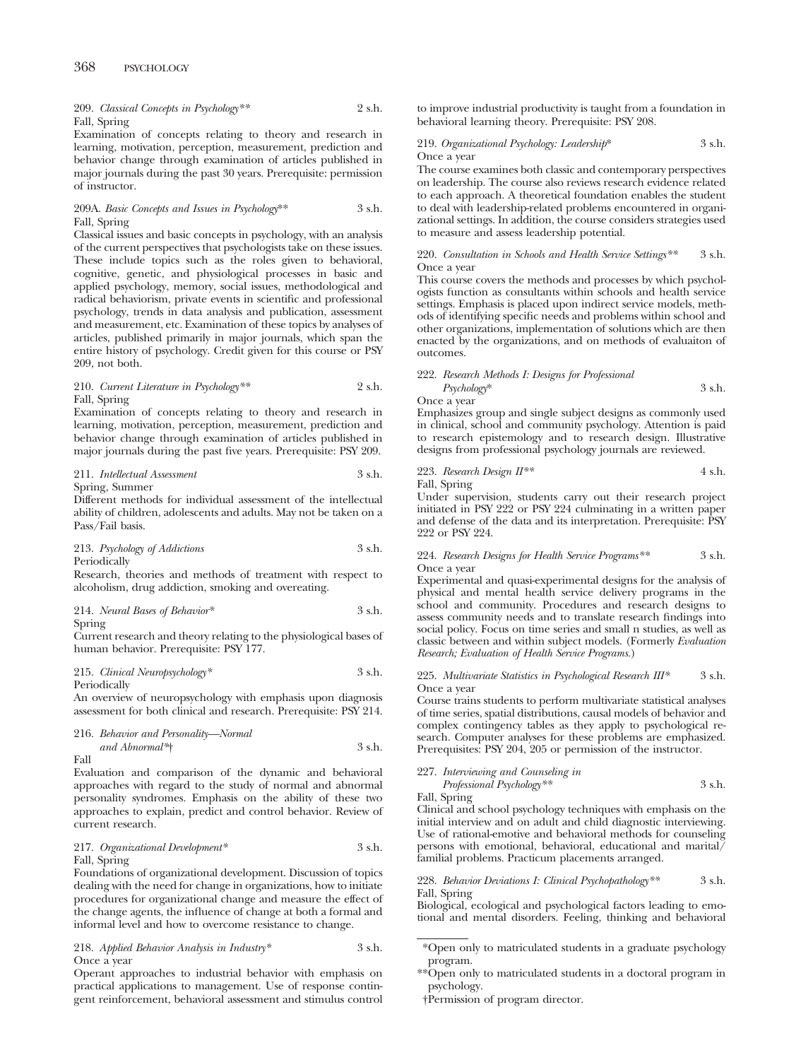# 368 PSYCHOLOGY

209. *Classical Concepts in Psychology\*\** 2 s.h. Fall, Spring

Examination of concepts relating to theory and research in learning, motivation, perception, measurement, prediction and behavior change through examination of articles published in major journals during the past 30 years. Prerequisite: permission of instructor.

## 209A. *Basic Concepts and Issues in Psychology*\*\* 3 s.h. Fall, Spring

Classical issues and basic concepts in psychology, with an analysis of the current perspectives that psychologists take on these issues. These include topics such as the roles given to behavioral, cognitive, genetic, and physiological processes in basic and applied psychology, memory, social issues, methodological and radical behaviorism, private events in scientific and professional psychology, trends in data analysis and publication, assessment and measurement, etc. Examination of these topics by analyses of articles, published primarily in major journals, which span the entire history of psychology. Credit given for this course or PSY 209, not both.

#### 210. *Current Literature in Psychology\*\** 2 s.h. Fall, Spring

Examination of concepts relating to theory and research in learning, motivation, perception, measurement, prediction and behavior change through examination of articles published in major journals during the past five years. Prerequisite: PSY 209.

# 211. *Intellectual Assessment* 3 s.h.

Spring, Summer

Different methods for individual assessment of the intellectual ability of children, adolescents and adults. May not be taken on a Pass/Fail basis.

213. *Psychology of Addictions* 3 s.h. Periodically

Research, theories and methods of treatment with respect to alcoholism, drug addiction, smoking and overeating.

214. *Neural Bases of Behavior\** 3 s.h.

Spring

Current research and theory relating to the physiological bases of human behavior. Prerequisite: PSY 177.

## 215. *Clinical Neuropsychology\** 3 s.h. Periodically

An overview of neuropsychology with emphasis upon diagnosis assessment for both clinical and research. Prerequisite: PSY 214.

216. *Behavior and Personality—Normal and Abnormal\**† 3 s.h. Fall

Evaluation and comparison of the dynamic and behavioral approaches with regard to the study of normal and abnormal personality syndromes. Emphasis on the ability of these two approaches to explain, predict and control behavior. Review of current research.

## 217. *Organizational Development\** 3 s.h. Fall, Spring

Foundations of organizational development. Discussion of topics dealing with the need for change in organizations, how to initiate procedures for organizational change and measure the effect of the change agents, the influence of change at both a formal and informal level and how to overcome resistance to change.

#### 218. *Applied Behavior Analysis in Industry\** 3 s.h. Once a year

Operant approaches to industrial behavior with emphasis on practical applications to management. Use of response contingent reinforcement, behavioral assessment and stimulus control to improve industrial productivity is taught from a foundation in behavioral learning theory. Prerequisite: PSY 208.

## 219. *Organizational Psychology: Leadership*\* 3 s.h. Once a year

The course examines both classic and contemporary perspectives on leadership. The course also reviews research evidence related to each approach. A theoretical foundation enables the student to deal with leadership-related problems encountered in organizational settings. In addition, the course considers strategies used to measure and assess leadership potential.

#### 220. *Consultation in Schools and Health Service Settings\*\** 3 s.h. Once a year

This course covers the methods and processes by which psychologists function as consultants within schools and health service settings. Emphasis is placed upon indirect service models, methods of identifying specific needs and problems within school and other organizations, implementation of solutions which are then enacted by the organizations, and on methods of evaluaiton of outcomes.

# 222. *Research Methods I: Designs for Professional Psychology*\* 3 s.h.

Once a year

Emphasizes group and single subject designs as commonly used in clinical, school and community psychology. Attention is paid to research epistemology and to research design. Illustrative designs from professional psychology journals are reviewed.

223. Research Design 
$$
II^{**}
$$
 4 s.h.

Fall, Spring

Under supervision, students carry out their research project initiated in PSY 222 or PSY 224 culminating in a written paper and defense of the data and its interpretation. Prerequisite: PSY 222 or PSY 224.

## 224. *Research Designs for Health Service Programs\**\* 3 s.h. Once a year

Experimental and quasi-experimental designs for the analysis of physical and mental health service delivery programs in the school and community. Procedures and research designs to assess community needs and to translate research findings into social policy. Focus on time series and small n studies, as well as classic between and within subject models. (Formerly *Evaluation Research; Evaluation of Health Service Programs.*)

## 225. *Multivariate Statistics in Psychological Research III\** 3 s.h. Once a year

Course trains students to perform multivariate statistical analyses of time series, spatial distributions, causal models of behavior and complex contingency tables as they apply to psychological research. Computer analyses for these problems are emphasized. Prerequisites: PSY 204, 205 or permission of the instructor.

# 227. *Interviewing and Counseling in Professional Psychology\*\** 3 s.h.

Fall, Spring

Clinical and school psychology techniques with emphasis on the initial interview and on adult and child diagnostic interviewing. Use of rational-emotive and behavioral methods for counseling persons with emotional, behavioral, educational and marital/ familial problems. Practicum placements arranged.

228. *Behavior Deviations I: Clinical Psychopathology\*\** 3 s.h. Fall, Spring

Biological, ecological and psychological factors leading to emotional and mental disorders. Feeling, thinking and behavioral

\*\*Open only to matriculated students in a doctoral program in psychology.

†Permission of program director.

<sup>\*</sup>Open only to matriculated students in a graduate psychology program.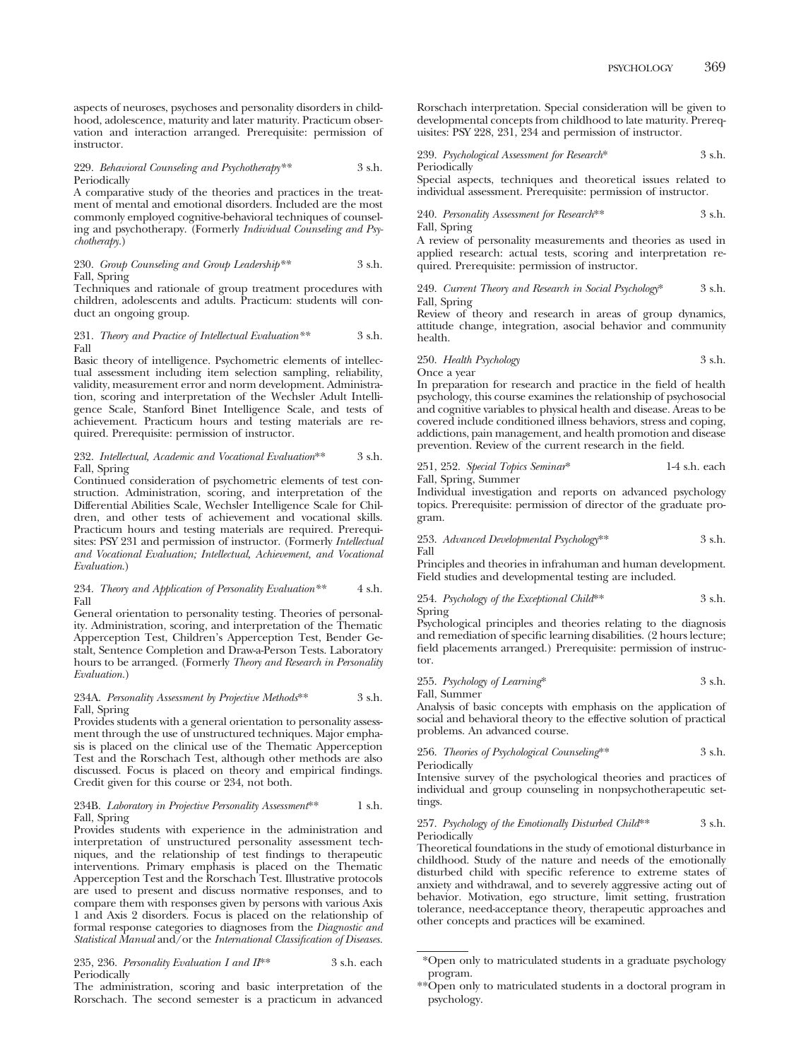aspects of neuroses, psychoses and personality disorders in childhood, adolescence, maturity and later maturity. Practicum observation and interaction arranged. Prerequisite: permission of instructor.

#### 229. *Behavioral Counseling and Psychotherapy\*\** 3 s.h. Periodically

A comparative study of the theories and practices in the treatment of mental and emotional disorders. Included are the most commonly employed cognitive-behavioral techniques of counseling and psychotherapy. (Formerly *Individual Counseling and Psychotherapy.*)

#### 230. *Group Counseling and Group Leadership\*\** 3 s.h. Fall, Spring

Techniques and rationale of group treatment procedures with children, adolescents and adults. Practicum: students will conduct an ongoing group.

#### 231. *Theory and Practice of Intellectual Evaluation\*\** 3 s.h. Fall

Basic theory of intelligence. Psychometric elements of intellectual assessment including item selection sampling, reliability, validity, measurement error and norm development. Administration, scoring and interpretation of the Wechsler Adult Intelligence Scale, Stanford Binet Intelligence Scale, and tests of achievement. Practicum hours and testing materials are required. Prerequisite: permission of instructor.

#### 232. *Intellectual, Academic and Vocational Evaluation*\*\* 3 s.h. Fall, Spring

Continued consideration of psychometric elements of test construction. Administration, scoring, and interpretation of the Differential Abilities Scale, Wechsler Intelligence Scale for Children, and other tests of achievement and vocational skills. Practicum hours and testing materials are required. Prerequisites: PSY 231 and permission of instructor. (Formerly *Intellectual and Vocational Evaluation; Intellectual, Achievement, and Vocational Evaluation*.)

#### 234. *Theory and Application of Personality Evaluation\*\** 4 s.h. Fall

General orientation to personality testing. Theories of personality. Administration, scoring, and interpretation of the Thematic Apperception Test, Children's Apperception Test, Bender Gestalt, Sentence Completion and Draw-a-Person Tests. Laboratory hours to be arranged. (Formerly *Theory and Research in Personality Evaluation.*)

#### 234A. *Personality Assessment by Projective Methods*\*\* 3 s.h. Fall, Spring

Provides students with a general orientation to personality assessment through the use of unstructured techniques. Major emphasis is placed on the clinical use of the Thematic Apperception Test and the Rorschach Test, although other methods are also discussed. Focus is placed on theory and empirical findings. Credit given for this course or 234, not both.

## 234B. *Laboratory in Projective Personality Assessment*\*\* 1 s.h. Fall, Spring

Provides students with experience in the administration and interpretation of unstructured personality assessment techniques, and the relationship of test findings to therapeutic interventions. Primary emphasis is placed on the Thematic Apperception Test and the Rorschach Test. Illustrative protocols are used to present and discuss normative responses, and to compare them with responses given by persons with various Axis 1 and Axis 2 disorders. Focus is placed on the relationship of formal response categories to diagnoses from the *Diagnostic and Statistical Manual* and/or the *International Classification of Diseases.*

235, 236. *Personality Evaluation I and II*\*\* 3 s.h. each Periodically

The administration, scoring and basic interpretation of the Rorschach. The second semester is a practicum in advanced Rorschach interpretation. Special consideration will be given to developmental concepts from childhood to late maturity. Prerequisites: PSY 228, 231, 234 and permission of instructor.

239. *Psychological Assessment for Research*\* 3 s.h. Periodically

Special aspects, techniques and theoretical issues related to individual assessment. Prerequisite: permission of instructor.

240. *Personality Assessment for Research*\*\* 3 s.h. Fall, Spring

A review of personality measurements and theories as used in applied research: actual tests, scoring and interpretation required. Prerequisite: permission of instructor.

249. *Current Theory and Research in Social Psychology*\* 3 s.h. Fall, Spring

Review of theory and research in areas of group dynamics, attitude change, integration, asocial behavior and community health.

## 250. *Health Psychology* 3 s.h. Once a year

In preparation for research and practice in the field of health psychology, this course examines the relationship of psychosocial and cognitive variables to physical health and disease. Areas to be covered include conditioned illness behaviors, stress and coping, addictions, pain management, and health promotion and disease prevention. Review of the current research in the field.

251, 252. *Special Topics Seminar*\* 1-4 s.h. each Fall, Spring, Summer

Individual investigation and reports on advanced psychology topics. Prerequisite: permission of director of the graduate program.

$$
253.
$$
 *Advanced Developmental Psychology*<sup>\*\*</sup>  $3 \, \sh.$  Fall

Principles and theories in infrahuman and human development. Field studies and developmental testing are included.

254. *Psychology of the Exceptional Child*\*\* 3 s.h. Spring

Psychological principles and theories relating to the diagnosis and remediation of specific learning disabilities. (2 hours lecture; field placements arranged.) Prerequisite: permission of instructor.

255. *Psychology of Learning*\* 3 s.h. Fall, Summer

Analysis of basic concepts with emphasis on the application of social and behavioral theory to the effective solution of practical problems. An advanced course.

```
256. Theories of Psychological Counseling** 3 s.h.
Periodically
```
Intensive survey of the psychological theories and practices of individual and group counseling in nonpsychotherapeutic settings.

#### 257. *Psychology of the Emotionally Disturbed Child*\*\* 3 s.h. Periodically

Theoretical foundations in the study of emotional disturbance in childhood. Study of the nature and needs of the emotionally disturbed child with specific reference to extreme states of anxiety and withdrawal, and to severely aggressive acting out of behavior. Motivation, ego structure, limit setting, frustration tolerance, need-acceptance theory, therapeutic approaches and other concepts and practices will be examined.

<sup>\*</sup>Open only to matriculated students in a graduate psychology program.

<sup>\*\*</sup>Open only to matriculated students in a doctoral program in psychology.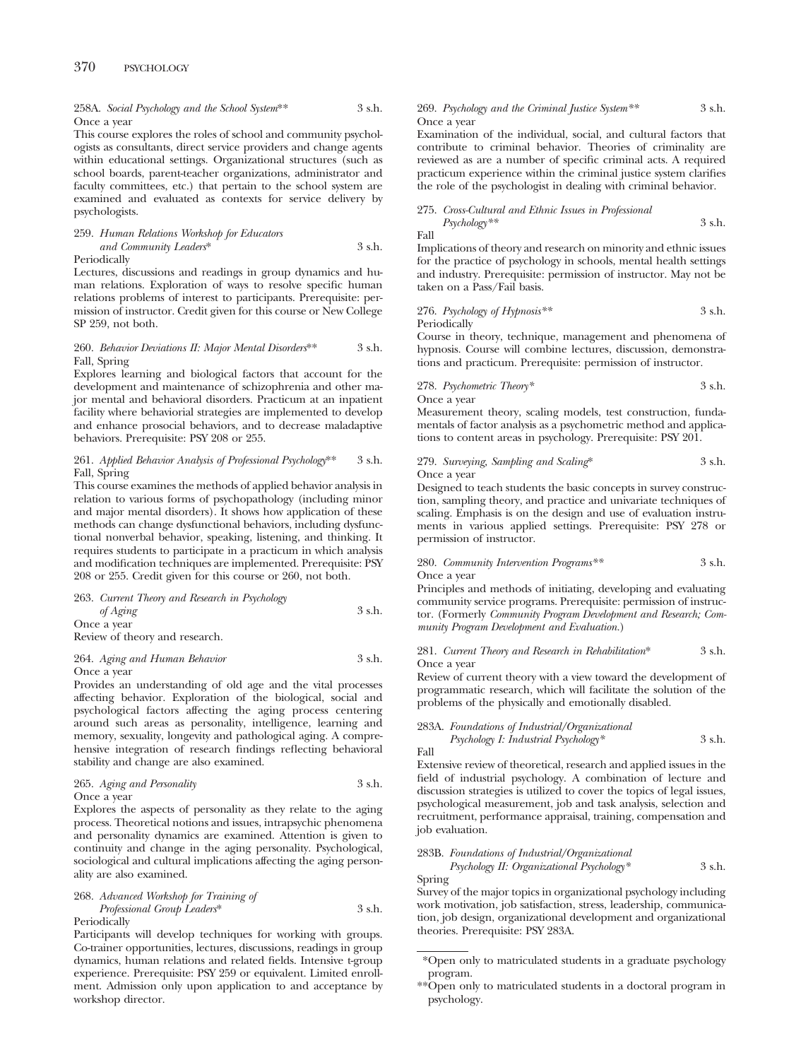# 370 PSYCHOLOGY

## 258A. *Social Psychology and the School System*\*\* 3 s.h. Once a year

This course explores the roles of school and community psychologists as consultants, direct service providers and change agents within educational settings. Organizational structures (such as school boards, parent-teacher organizations, administrator and faculty committees, etc.) that pertain to the school system are examined and evaluated as contexts for service delivery by psychologists.

#### 259. *Human Relations Workshop for Educators and Community Leaders*\* 3 s.h. Periodically

Lectures, discussions and readings in group dynamics and human relations. Exploration of ways to resolve specific human relations problems of interest to participants. Prerequisite: permission of instructor. Credit given for this course or New College SP 259, not both.

## 260. *Behavior Deviations II: Major Mental Disorders*\*\* 3 s.h. Fall, Spring

Explores learning and biological factors that account for the development and maintenance of schizophrenia and other major mental and behavioral disorders. Practicum at an inpatient facility where behaviorial strategies are implemented to develop and enhance prosocial behaviors, and to decrease maladaptive behaviors. Prerequisite: PSY 208 or 255.

## 261. *Applied Behavior Analysis of Professional Psychology*\*\* 3 s.h. Fall, Spring

This course examines the methods of applied behavior analysis in relation to various forms of psychopathology (including minor and major mental disorders). It shows how application of these methods can change dysfunctional behaviors, including dysfunctional nonverbal behavior, speaking, listening, and thinking. It requires students to participate in a practicum in which analysis and modification techniques are implemented. Prerequisite: PSY 208 or 255. Credit given for this course or 260, not both.

263. *Current Theory and Research in Psychology of Aging* 3 s.h. Once a year

Review of theory and research.

## 264. *Aging and Human Behavior* 3 s.h. Once a year

Provides an understanding of old age and the vital processes affecting behavior. Exploration of the biological, social and psychological factors affecting the aging process centering around such areas as personality, intelligence, learning and memory, sexuality, longevity and pathological aging. A comprehensive integration of research findings reflecting behavioral stability and change are also examined.

| 265. Aging and Personality | 3 s.h. |
|----------------------------|--------|
| Once a year                |        |

Explores the aspects of personality as they relate to the aging process. Theoretical notions and issues, intrapsychic phenomena and personality dynamics are examined. Attention is given to continuity and change in the aging personality. Psychological, sociological and cultural implications affecting the aging personality are also examined.

## 268. *Advanced Workshop for Training of Professional Group Leaders*\* 3 s.h. Periodically

Participants will develop techniques for working with groups. Co-trainer opportunities, lectures, discussions, readings in group dynamics, human relations and related fields. Intensive t-group experience. Prerequisite: PSY 259 or equivalent. Limited enrollment. Admission only upon application to and acceptance by workshop director.

## 269. *Psychology and the Criminal Justice System\*\** 3 s.h. Once a year

Examination of the individual, social, and cultural factors that contribute to criminal behavior. Theories of criminality are reviewed as are a number of specific criminal acts. A required practicum experience within the criminal justice system clarifies the role of the psychologist in dealing with criminal behavior.

## 275. *Cross-Cultural and Ethnic Issues in Professional Psychology\*\** 3 s.h.

Fall

Implications of theory and research on minority and ethnic issues for the practice of psychology in schools, mental health settings and industry. Prerequisite: permission of instructor. May not be taken on a Pass/Fail basis.

276. *Psychology of Hypnosis\*\** 3 s.h. Periodically

Course in theory, technique, management and phenomena of hypnosis. Course will combine lectures, discussion, demonstrations and practicum. Prerequisite: permission of instructor.

278. *Psychometric Theory\** 3 s.h.

Once a year

Measurement theory, scaling models, test construction, fundamentals of factor analysis as a psychometric method and applications to content areas in psychology. Prerequisite: PSY 201.

#### 279. *Surveying, Sampling and Scaling*\* 3 s.h. Once a year

Designed to teach students the basic concepts in survey construction, sampling theory, and practice and univariate techniques of scaling. Emphasis is on the design and use of evaluation instruments in various applied settings. Prerequisite: PSY 278 or permission of instructor.

## 280. *Community Intervention Programs\*\** 3 s.h. Once a year

Principles and methods of initiating, developing and evaluating community service programs. Prerequisite: permission of instructor. (Formerly *Community Program Development and Research; Community Program Development and Evaluation.*)

## 281. *Current Theory and Research in Rehabilitation*\* 3 s.h. Once a year

Review of current theory with a view toward the development of programmatic research, which will facilitate the solution of the problems of the physically and emotionally disabled.

#### 283A. *Foundations of Industrial/Organizational Psychology I: Industrial Psychology\** 3 s.h. Fall

Extensive review of theoretical, research and applied issues in the field of industrial psychology. A combination of lecture and discussion strategies is utilized to cover the topics of legal issues, psychological measurement, job and task analysis, selection and recruitment, performance appraisal, training, compensation and job evaluation.

# 283B. *Foundations of Industrial/Organizational*

*Psychology II: Organizational Psychology\** 3 s.h. Spring

Survey of the major topics in organizational psychology including work motivation, job satisfaction, stress, leadership, communication, job design, organizational development and organizational theories. Prerequisite: PSY 283A.

<sup>\*</sup>Open only to matriculated students in a graduate psychology program.

<sup>\*\*</sup>Open only to matriculated students in a doctoral program in psychology.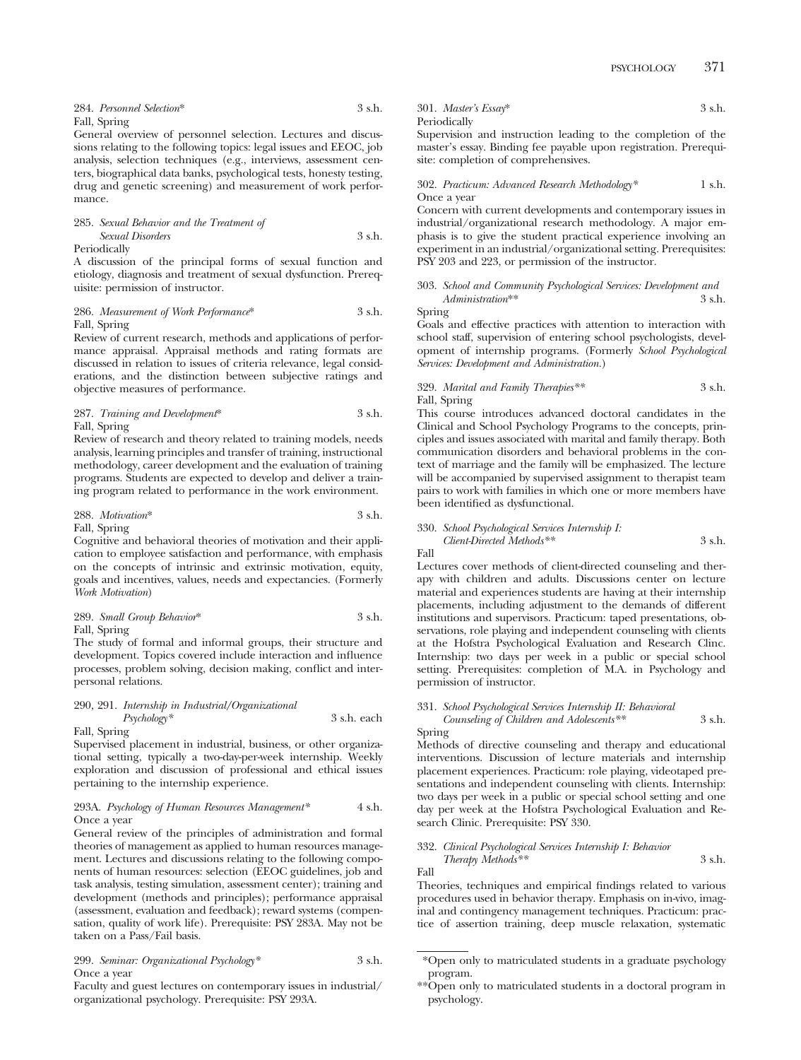| 284. Personnel Selection* | 3 s.h. |
|---------------------------|--------|
| Fall, Spring              |        |

General overview of personnel selection. Lectures and discussions relating to the following topics: legal issues and EEOC, job analysis, selection techniques (e.g., interviews, assessment centers, biographical data banks, psychological tests, honesty testing, drug and genetic screening) and measurement of work performance.

# 285. *Sexual Behavior and the Treatment of Sexual Disorders* 3 s.h.

Periodically

A discussion of the principal forms of sexual function and etiology, diagnosis and treatment of sexual dysfunction. Prerequisite: permission of instructor.

286. *Measurement of Work Performance*\* 3 s.h. Fall, Spring

Review of current research, methods and applications of performance appraisal. Appraisal methods and rating formats are discussed in relation to issues of criteria relevance, legal considerations, and the distinction between subjective ratings and objective measures of performance.

#### 287. *Training and Development*\* 3 s.h. Fall, Spring

Review of research and theory related to training models, needs analysis, learning principles and transfer of training, instructional methodology, career development and the evaluation of training programs. Students are expected to develop and deliver a training program related to performance in the work environment.

## 288. *Motivation*\* 3 s.h.

#### Fall, Spring

Cognitive and behavioral theories of motivation and their application to employee satisfaction and performance, with emphasis on the concepts of intrinsic and extrinsic motivation, equity, goals and incentives, values, needs and expectancies. (Formerly *Work Motivation*)

289. *Small Group Behavior*\* 3 s.h. Fall, Spring

The study of formal and informal groups, their structure and development. Topics covered include interaction and influence processes, problem solving, decision making, conflict and interpersonal relations.

290, 291. *Internship in Industrial/Organizational Psychology\** 3 s.h. each Fall, Spring

Supervised placement in industrial, business, or other organizational setting, typically a two-day-per-week internship. Weekly exploration and discussion of professional and ethical issues pertaining to the internship experience.

#### 293A. *Psychology of Human Resources Management\** 4 s.h. Once a year

General review of the principles of administration and formal theories of management as applied to human resources management. Lectures and discussions relating to the following components of human resources: selection (EEOC guidelines, job and task analysis, testing simulation, assessment center); training and development (methods and principles); performance appraisal (assessment, evaluation and feedback); reward systems (compensation, quality of work life). Prerequisite: PSY 283A. May not be taken on a Pass/Fail basis.

299. *Seminar: Organizational Psychology\** 3 s.h. Once a year

Faculty and guest lectures on contemporary issues in industrial/ organizational psychology. Prerequisite: PSY 293A.

301. *Master's Essay*\* 3 s.h. Periodically

Supervision and instruction leading to the completion of the master's essay. Binding fee payable upon registration. Prerequisite: completion of comprehensives.

#### 302. *Practicum: Advanced Research Methodology*\* 1 s.h. Once a year

Concern with current developments and contemporary issues in industrial/organizational research methodology. A major emphasis is to give the student practical experience involving an experiment in an industrial/organizational setting. Prerequisites: PSY 203 and 223, or permission of the instructor.

## 303. *School and Community Psychological Services: Development and*  $Adminisation^{**}$

Spring

Goals and effective practices with attention to interaction with school staff, supervision of entering school psychologists, development of internship programs. (Formerly *School Psychological Services: Development and Administration.*)

## 329. *Marital and Family Therapies\*\** 3 s.h. Fall, Spring

This course introduces advanced doctoral candidates in the Clinical and School Psychology Programs to the concepts, principles and issues associated with marital and family therapy. Both communication disorders and behavioral problems in the context of marriage and the family will be emphasized. The lecture will be accompanied by supervised assignment to therapist team pairs to work with families in which one or more members have been identified as dysfunctional.

330. *School Psychological Services Internship I: Client-Directed Methods\*\** 3 s.h. Fall

Lectures cover methods of client-directed counseling and therapy with children and adults. Discussions center on lecture material and experiences students are having at their internship placements, including adjustment to the demands of different institutions and supervisors. Practicum: taped presentations, observations, role playing and independent counseling with clients at the Hofstra Psychological Evaluation and Research Clinc. Internship: two days per week in a public or special school setting. Prerequisites: completion of M.A. in Psychology and permission of instructor.

## 331. *School Psychological Services Internship II: Behavioral Counseling of Children and Adolescents\*\** 3 s.h.

Spring

Methods of directive counseling and therapy and educational interventions. Discussion of lecture materials and internship placement experiences. Practicum: role playing, videotaped presentations and independent counseling with clients. Internship: two days per week in a public or special school setting and one day per week at the Hofstra Psychological Evaluation and Research Clinic. Prerequisite: PSY 330.

## 332. *Clinical Psychological Services Internship I: Behavior*

*Therapy Methods\*\** 3 s.h. Fall

Theories, techniques and empirical findings related to various procedures used in behavior therapy. Emphasis on in-vivo, imaginal and contingency management techniques. Practicum: practice of assertion training, deep muscle relaxation, systematic

<sup>\*</sup>Open only to matriculated students in a graduate psychology program.

<sup>\*\*</sup>Open only to matriculated students in a doctoral program in psychology.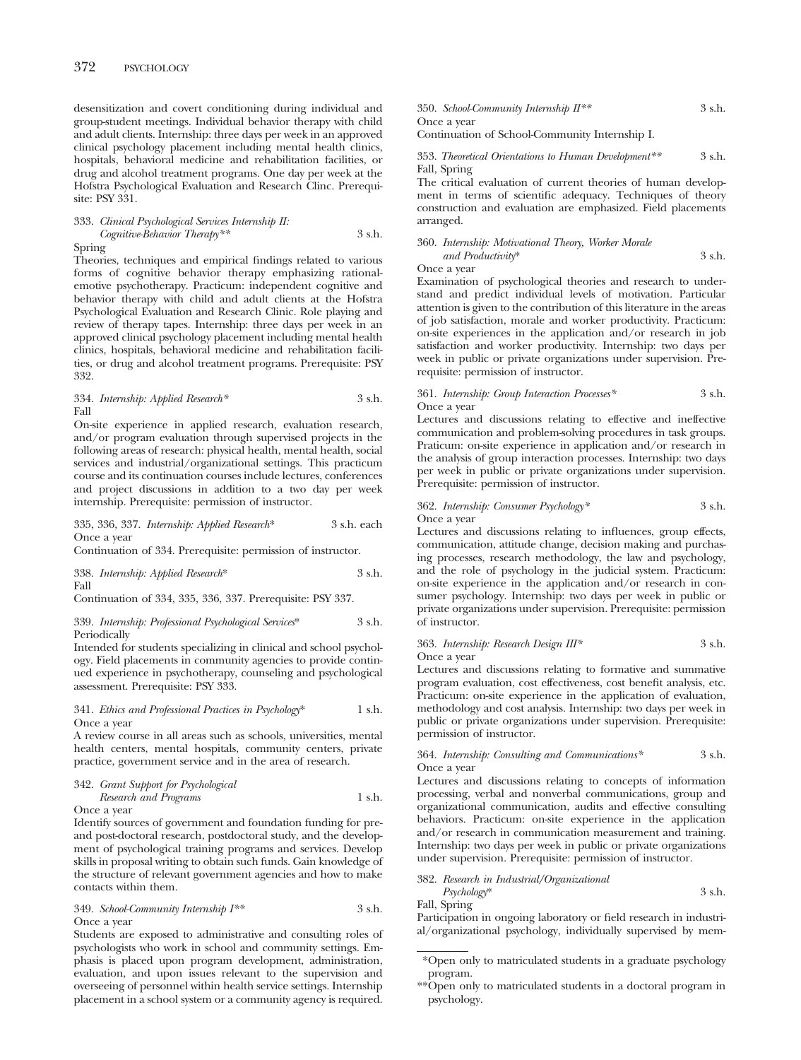desensitization and covert conditioning during individual and group-student meetings. Individual behavior therapy with child and adult clients. Internship: three days per week in an approved clinical psychology placement including mental health clinics, hospitals, behavioral medicine and rehabilitation facilities, or drug and alcohol treatment programs. One day per week at the Hofstra Psychological Evaluation and Research Clinc. Prerequisite: PSY 331.

#### 333. *Clinical Psychological Services Internship II: Cognitive-Behavior Therapy\*\** 3 s.h. Spring

Theories, techniques and empirical findings related to various forms of cognitive behavior therapy emphasizing rationalemotive psychotherapy. Practicum: independent cognitive and behavior therapy with child and adult clients at the Hofstra Psychological Evaluation and Research Clinic. Role playing and review of therapy tapes. Internship: three days per week in an approved clinical psychology placement including mental health clinics, hospitals, behavioral medicine and rehabilitation facilities, or drug and alcohol treatment programs. Prerequisite: PSY 332.

334. *Internship: Applied Research\** 3 s.h. Fall

On-site experience in applied research, evaluation research, and/or program evaluation through supervised projects in the following areas of research: physical health, mental health, social services and industrial/organizational settings. This practicum course and its continuation courses include lectures, conferences and project discussions in addition to a two day per week internship. Prerequisite: permission of instructor.

#### 335, 336, 337. *Internship: Applied Research*\* 3 s.h. each Once a year

Continuation of 334. Prerequisite: permission of instructor.

|      | 338. Internship: Applied Research* | 3 s.h. |
|------|------------------------------------|--------|
| Fall |                                    |        |

Continuation of 334, 335, 336, 337. Prerequisite: PSY 337.

#### 339. *Internship: Professional Psychological Services*\* 3 s.h. Periodically

Intended for students specializing in clinical and school psychology. Field placements in community agencies to provide continued experience in psychotherapy, counseling and psychological assessment. Prerequisite: PSY 333.

#### 341. *Ethics and Professional Practices in Psychology*\* 1 s.h. Once a year

A review course in all areas such as schools, universities, mental health centers, mental hospitals, community centers, private practice, government service and in the area of research.

#### 342. *Grant Support for Psychological*

#### *Research and Programs* 1 s.h. Once a year

Identify sources of government and foundation funding for preand post-doctoral research, postdoctoral study, and the development of psychological training programs and services. Develop skills in proposal writing to obtain such funds. Gain knowledge of the structure of relevant government agencies and how to make contacts within them.

349. *School-Community Internship I\*\** 3 s.h. Once a year

Students are exposed to administrative and consulting roles of psychologists who work in school and community settings. Emphasis is placed upon program development, administration, evaluation, and upon issues relevant to the supervision and overseeing of personnel within health service settings. Internship placement in a school system or a community agency is required.

350. *School-Community Internship II\*\** 3 s.h. Once a year Continuation of School-Community Internship I.

353. *Theoretical Orientations to Human Development\*\** 3 s.h. Fall, Spring

The critical evaluation of current theories of human development in terms of scientific adequacy. Techniques of theory construction and evaluation are emphasized. Field placements arranged.

360. *Internship: Motivational Theory, Worker Morale and Productivity*\* 3 s.h.

Once a year

Examination of psychological theories and research to understand and predict individual levels of motivation. Particular attention is given to the contribution of this literature in the areas of job satisfaction, morale and worker productivity. Practicum: on-site experiences in the application and/or research in job satisfaction and worker productivity. Internship: two days per week in public or private organizations under supervision. Prerequisite: permission of instructor.

#### 361. *Internship: Group Interaction Processes\** 3 s.h. Once a year

Lectures and discussions relating to effective and ineffective communication and problem-solving procedures in task groups. Praticum: on-site experience in application and/or research in the analysis of group interaction processes. Internship: two days per week in public or private organizations under supervision. Prerequisite: permission of instructor.

## 362. *Internship: Consumer Psychology\** 3 s.h. Once a year

Lectures and discussions relating to influences, group effects, communication, attitude change, decision making and purchasing processes, research methodology, the law and psychology, and the role of psychology in the judicial system. Practicum: on-site experience in the application and/or research in consumer psychology. Internship: two days per week in public or private organizations under supervision. Prerequisite: permission of instructor.

## 363. *Internship: Research Design III\** 3 s.h. Once a year

Lectures and discussions relating to formative and summative program evaluation, cost effectiveness, cost benefit analysis, etc. Practicum: on-site experience in the application of evaluation, methodology and cost analysis. Internship: two days per week in public or private organizations under supervision. Prerequisite: permission of instructor.

364. *Internship: Consulting and Communications\** 3 s.h. Once a year

Lectures and discussions relating to concepts of information processing, verbal and nonverbal communications, group and organizational communication, audits and effective consulting behaviors. Practicum: on-site experience in the application and/or research in communication measurement and training. Internship: two days per week in public or private organizations under supervision. Prerequisite: permission of instructor.

## 382. *Research in Industrial/Organizational*

*Psychology*\* 3 s.h. Fall, Spring

Participation in ongoing laboratory or field research in industrial/organizational psychology, individually supervised by mem-

\*\*Open only to matriculated students in a doctoral program in psychology.

<sup>\*</sup>Open only to matriculated students in a graduate psychology program.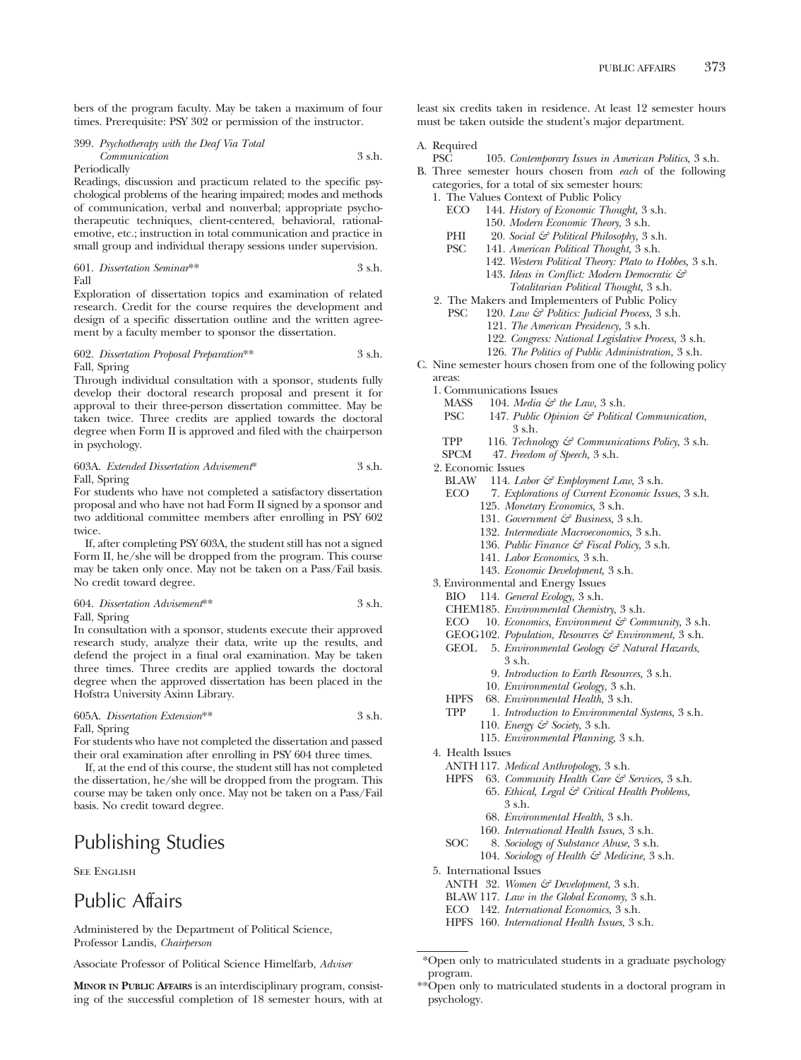bers of the program faculty. May be taken a maximum of four times. Prerequisite: PSY 302 or permission of the instructor.

399. *Psychotherapy with the Deaf Via Total Communication* 3 s.h. Periodically

Readings, discussion and practicum related to the specific psychological problems of the hearing impaired; modes and methods of communication, verbal and nonverbal; appropriate psychotherapeutic techniques, client-centered, behavioral, rationalemotive, etc.; instruction in total communication and practice in small group and individual therapy sessions under supervision.

601. *Dissertation Seminar*\*\* 3 s.h. Fall

Exploration of dissertation topics and examination of related research. Credit for the course requires the development and design of a specific dissertation outline and the written agreement by a faculty member to sponsor the dissertation.

#### 602. *Dissertation Proposal Preparation*\*\* 3 s.h. Fall, Spring

Through individual consultation with a sponsor, students fully develop their doctoral research proposal and present it for approval to their three-person dissertation committee. May be taken twice. Three credits are applied towards the doctoral degree when Form II is approved and filed with the chairperson in psychology.

603A. *Extended Dissertation Advisement*\* 3 s.h. Fall, Spring

For students who have not completed a satisfactory dissertation proposal and who have not had Form II signed by a sponsor and two additional committee members after enrolling in PSY 602 twice.

If, after completing PSY 603A, the student still has not a signed Form II, he/she will be dropped from the program. This course may be taken only once. May not be taken on a Pass/Fail basis. No credit toward degree.

|    | 604. Dissertation Advisement <sup>**</sup> | 3 s.h. |
|----|--------------------------------------------|--------|
| -- |                                            |        |

Fall, Spring

In consultation with a sponsor, students execute their approved research study, analyze their data, write up the results, and defend the project in a final oral examination. May be taken three times. Three credits are applied towards the doctoral degree when the approved dissertation has been placed in the Hofstra University Axinn Library.

# 605A. *Dissertation Extension*\*\* 3 s.h.

Fall, Spring

For students who have not completed the dissertation and passed their oral examination after enrolling in PSY 604 three times.

If, at the end of this course, the student still has not completed the dissertation, he/she will be dropped from the program. This course may be taken only once. May not be taken on a Pass/Fail basis. No credit toward degree.

# Publishing Studies

SEE ENGLISH

# Public Affairs

Administered by the Department of Political Science, Professor Landis, *Chairperson*

Associate Professor of Political Science Himelfarb, *Adviser*

**MINOR IN PUBLIC AFFAIRS** is an interdisciplinary program, consisting of the successful completion of 18 semester hours, with at least six credits taken in residence. At least 12 semester hours must be taken outside the student's major department.

# A. Required

105. *Contemporary Issues in American Politics*, 3 s.h. B. Three semester hours chosen from *each* of the following

- categories, for a total of six semester hours:
- 1. The Values Context of Public Policy<br>ECO 144. History of Economic Thou
	- ECO 144. *History of Economic Thought,* 3 s.h. 150. *Modern Economic Theory,* 3 s.h.
		-
	- PHI 20. *Social & Political Philosophy*, 3 s.h.<br>PSC 141. *American Political Thought*, 3 s.h. PSC 141. *American Political Thought,* 3 s.h.
		- 142. *Western Political Theory: Plato to Hobbes,* 3 s.h. 143. *Ideas in Conflict: Modern Democratic &*
			- *Totalitarian Political Thought,* 3 s.h.
- 2. The Makers and Implementers of Public Policy
	- PSC 120. *Law & Politics: Judicial Process,* 3 s.h.
		- 121. *The American Presidency,* 3 s.h.
			-
		- 122. *Congress: National Legislative Process,* 3 s.h. 126. *The Politics of Public Administration,* 3 s.h.
- C. Nine semester hours chosen from one of the following policy areas:
	- 1. Communications Issues<br>MASS 104 *Media*  $\xi \vec{\tau}$ 
		- MASS 104. *Media*  $\mathcal{E}^{\sigma}$  the Law, 3 s.h.<br>PSC 147. Public Obinion  $\mathcal{E}^{\sigma}$  Politice
		- 147. Public Opinion & Political Communication, 3 s.h.
		- TPP 116. *Technology & Communications Policy*, 3 s.h.<br>SPCM 47. *Freedom of Speech*. 3 s.h.
		- SPCM 47. *Freedom of Speech,* 3 s.h.
	- 2. Economic Issues<br>BLAW 114. La
		- 114. *Labor & Employment Law*, 3 s.h.
		- ECO 7. *Explorations of Current Economic Issues,* 3 s.h. 125. *Monetary Economics,* 3 s.h.
			-
			- 131. *Government & Business,* 3 s.h.
			- 132. *Intermediate Macroeconomics,* 3 s.h.
			- 136. *Public Finance & Fiscal Policy,* 3 s.h.
			- 141. *Labor Economics,* 3 s.h.
			- 143. *Economic Development,* 3 s.h.
	- 3. Environmental and Energy Issues
	- BIO 114. *General Ecology,* 3 s.h.
	- CHEM185. *Environmental Chemistry,* 3 s.h.
	- 10. *Economics, Environment & Community*, 3 s.h.
	- GEOG102. *Population, Resources & Environment,* 3 s.h.
	- GEOL 5. *Environmental Geology & Natural Hazards,* 3 s.h.
		- 9. *Introduction to Earth Resources,* 3 s.h.
		- 10. *Environmental Geology,* 3 s.h.
	- HPFS 68. *Environmental Health,* 3 s.h.
	- TPP 1. *Introduction to Environmental Systems,* 3 s.h.
		- 110. *Energy & Society,* 3 s.h.
		- 115. *Environmental Planning,* 3 s.h.
	- 4. Health Issues
		- ANTH 117. *Medical Anthropology,* 3 s.h.
		- HPFS 63. *Community Health Care & Services,* 3 s.h. 65. *Ethical, Legal & Critical Health Problems,*
			- 3 s.h. 68. *Environmental Health,* 3 s.h.
			- 160. *International Health Issues,* 3 s.h.
			-
		- SOC 8. *Sociology of Substance Abuse,* 3 s.h. 104. *Sociology of Health & Medicine*, 3 s.h.
	- 5. International Issues
		- ANTH 32. *Women & Development,* 3 s.h.
		- BLAW 117. *Law in the Global Economy,* 3 s.h.
		- ECO 142. *International Economics,* 3 s.h.
		- HPFS 160. *International Health Issues,* 3 s.h.

\*\*Open only to matriculated students in a doctoral program in psychology.

<sup>\*</sup>Open only to matriculated students in a graduate psychology program.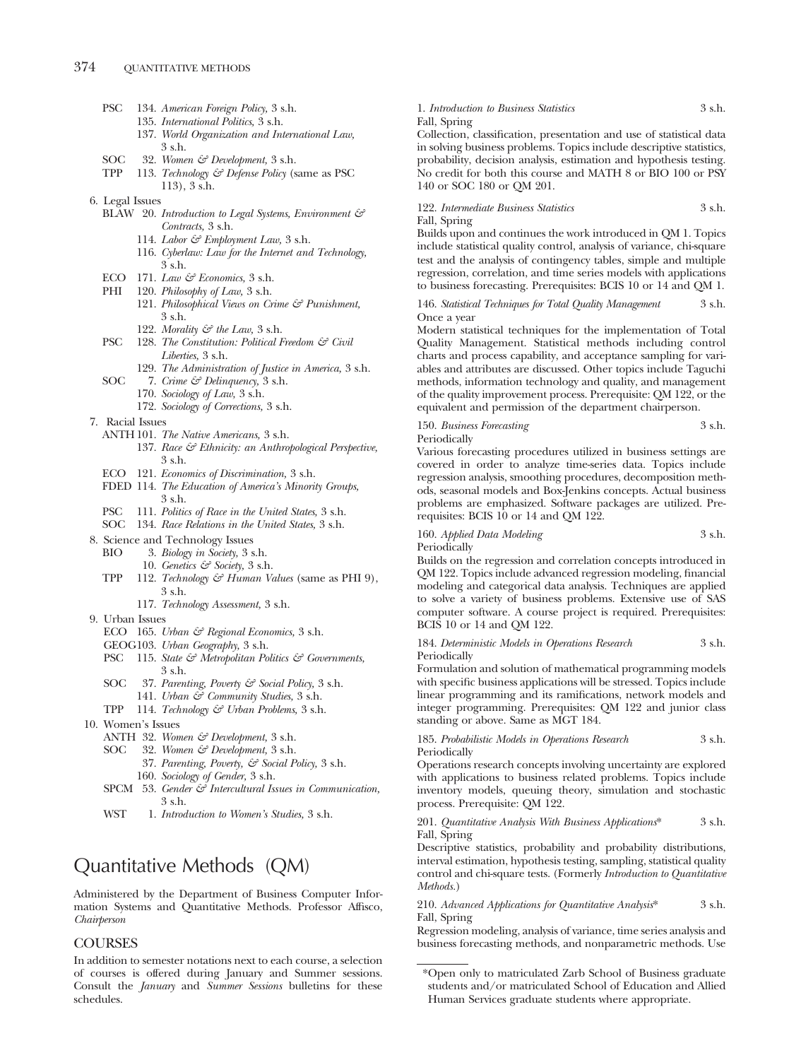| PSC 1 | 134. American Foreign Policy, 3 s.h. |  |  |
|-------|--------------------------------------|--|--|
|       |                                      |  |  |

- 135. *International Politics,* 3 s.h.
- 137. *World Organization and International Law,* 3 s.h.
- SOC 32. *Women & Development,* 3 s.h.
- TPP 113. *Technology & Defense Policy* (same as PSC 113), 3 s.h.
- 6. Legal Issues
	- BLAW 20. *Introduction to Legal Systems, Environment & Contracts,* 3 s.h.
		- 114. *Labor & Employment Law,* 3 s.h.
		- 116. *Cyberlaw: Law for the Internet and Technology,* 3 s.h.
	- ECO 171. *Law & Economics,* 3 s.h.
	- PHI 120. *Philosophy of Law,* 3 s.h.
		- 121. *Philosophical Views on Crime & Punishment,* 3 s.h.
			- 122. *Morality & the Law,* 3 s.h.
	- PSC 128. *The Constitution: Political Freedom & Civil Liberties,* 3 s.h.
	- 129. *The Administration of Justice in America,* 3 s.h. SOC 7. *Crime & Delinquency,* 3 s.h.
		- 170. *Sociology of Law,* 3 s.h.
			- 172. *Sociology of Corrections,* 3 s.h.
- 7. Racial Issues
	- ANTH 101. *The Native Americans,* 3 s.h.
		- 137. *Race & Ethnicity: an Anthropological Perspective,* 3 s.h.
	- ECO 121. *Economics of Discrimination,* 3 s.h.
	- FDED 114. *The Education of America's Minority Groups,* 3 s.h.
	- PSC 111. *Politics of Race in the United States,* 3 s.h.
	- SOC 134. *Race Relations in the United States,* 3 s.h.
- 8. Science and Technology Issues
	- BIO 3. *Biology in Society,* 3 s.h.
		- 10. *Genetics & Society,* 3 s.h.
	- TPP 112. *Technology & Human Values* (same as PHI 9), 3 s.h.
		- 117. *Technology Assessment,* 3 s.h.
- 9. Urban Issues
	- ECO 165. *Urban & Regional Economics,* 3 s.h.
	- GEOG103. *Urban Geography,* 3 s.h. PSC 115. *State & Metropolitan Politics & Governments,*
	- 3 s.h.
	- SOC 37. *Parenting, Poverty & Social Policy,* 3 s.h. 141. *Urban & Community Studies,* 3 s.h.
	- TPP 114. *Technology & Urban Problems,* 3 s.h.
- 10. Women's Issues
	- ANTH 32. *Women & Development,* 3 s.h.
	- SOC 32. *Women & Development,* 3 s.h.
		- 37. *Parenting, Poverty, & Social Policy,* 3 s.h. 160. *Sociology of Gender,* 3 s.h.
	- SPCM 53. *Gender & Intercultural Issues in Communication,* 3 s.h.
	- WST 1. *Introduction to Women's Studies,* 3 s.h.

# Quantitative Methods (QM)

Administered by the Department of Business Computer Information Systems and Quantitative Methods. Professor Affisco, *Chairperson*

# **COURSES**

In addition to semester notations next to each course, a selection of courses is offered during January and Summer sessions. Consult the *January* and *Summer Sessions* bulletins for these schedules.

# 1. *Introduction to Business Statistics* 3 s.h. Fall, Spring

Collection, classification, presentation and use of statistical data in solving business problems. Topics include descriptive statistics, probability, decision analysis, estimation and hypothesis testing. No credit for both this course and MATH 8 or BIO 100 or PSY 140 or SOC 180 or QM 201.

# 122. *Intermediate Business Statistics* 3 s.h. Fall, Spring

Builds upon and continues the work introduced in QM 1. Topics include statistical quality control, analysis of variance, chi-square test and the analysis of contingency tables, simple and multiple regression, correlation, and time series models with applications to business forecasting. Prerequisites: BCIS 10 or 14 and QM 1.

146. *Statistical Techniques for Total Quality Management* 3 s.h. Once a year

Modern statistical techniques for the implementation of Total Quality Management. Statistical methods including control charts and process capability, and acceptance sampling for variables and attributes are discussed. Other topics include Taguchi methods, information technology and quality, and management of the quality improvement process. Prerequisite: QM 122, or the equivalent and permission of the department chairperson.

150. *Business Forecasting* 3 s.h. Periodically

Various forecasting procedures utilized in business settings are covered in order to analyze time-series data. Topics include regression analysis, smoothing procedures, decomposition methods, seasonal models and Box-Jenkins concepts. Actual business problems are emphasized. Software packages are utilized. Prerequisites: BCIS 10 or 14 and QM 122.

# 160. *Applied Data Modeling* 3 s.h.

Periodically

Builds on the regression and correlation concepts introduced in QM 122. Topics include advanced regression modeling, financial modeling and categorical data analysis. Techniques are applied to solve a variety of business problems. Extensive use of SAS computer software. A course project is required. Prerequisites: BCIS 10 or 14 and QM 122.

## 184. *Deterministic Models in Operations Research* 3 s.h. Periodically

Formulation and solution of mathematical programming models with specific business applications will be stressed. Topics include linear programming and its ramifications, network models and integer programming. Prerequisites: QM 122 and junior class standing or above. Same as MGT 184.

185. *Probabilistic Models in Operations Research* 3 s.h. Periodically

Operations research concepts involving uncertainty are explored with applications to business related problems. Topics include inventory models, queuing theory, simulation and stochastic process. Prerequisite: QM 122.

# 201. *Quantitative Analysis With Business Applications*\* 3 s.h. Fall, Spring

Descriptive statistics, probability and probability distributions, interval estimation, hypothesis testing, sampling, statistical quality control and chi-square tests. (Formerly *Introduction to Quantitative Methods.*)

210. *Advanced Applications for Quantitative Analysis*\* 3 s.h. Fall, Spring

Regression modeling, analysis of variance, time series analysis and business forecasting methods, and nonparametric methods. Use

<sup>\*</sup>Open only to matriculated Zarb School of Business graduate students and/or matriculated School of Education and Allied Human Services graduate students where appropriate.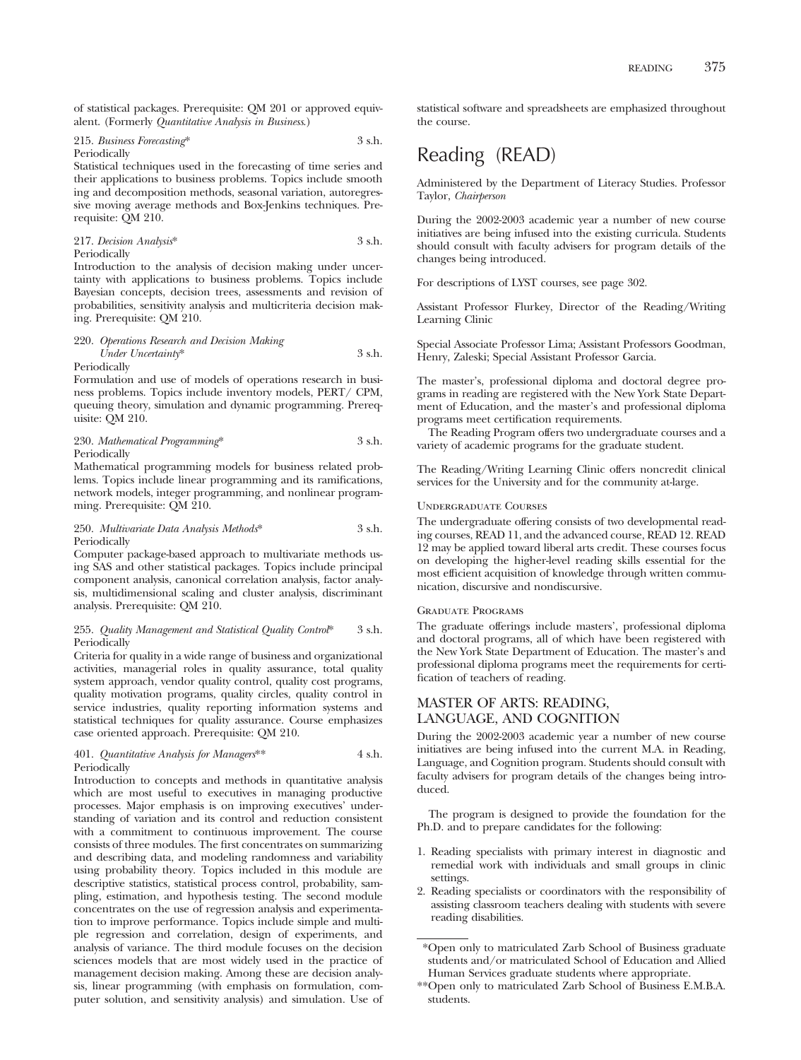of statistical packages. Prerequisite: QM 201 or approved equivalent. (Formerly *Quantitative Analysis in Business*.)

215. *Business Forecasting*\* 3 s.h. Periodically

Statistical techniques used in the forecasting of time series and their applications to business problems. Topics include smooth ing and decomposition methods, seasonal variation, autoregressive moving average methods and Box-Jenkins techniques. Prerequisite: QM 210.

217. *Decision Analysis*\* 3 s.h. Periodically

Introduction to the analysis of decision making under uncertainty with applications to business problems. Topics include Bayesian concepts, decision trees, assessments and revision of probabilities, sensitivity analysis and multicriteria decision making. Prerequisite: QM 210.

# 220. *Operations Research and Decision Making Under Uncertainty*\* 3 s.h. Periodically

Formulation and use of models of operations research in business problems. Topics include inventory models, PERT/ CPM, queuing theory, simulation and dynamic programming. Prerequisite: QM 210.

230. *Mathematical Programming*\* 3 s.h. Periodically

Mathematical programming models for business related problems. Topics include linear programming and its ramifications, network models, integer programming, and nonlinear programming. Prerequisite: QM 210.

### 250. *Multivariate Data Analysis Methods*\* 3 s.h. **Periodically**

Computer package-based approach to multivariate methods using SAS and other statistical packages. Topics include principal component analysis, canonical correlation analysis, factor analysis, multidimensional scaling and cluster analysis, discriminant analysis. Prerequisite: QM 210.

# 255. *Quality Management and Statistical Quality Control*\* 3 s.h. Periodically

Criteria for quality in a wide range of business and organizational activities, managerial roles in quality assurance, total quality system approach, vendor quality control, quality cost programs, quality motivation programs, quality circles, quality control in service industries, quality reporting information systems and statistical techniques for quality assurance. Course emphasizes case oriented approach. Prerequisite: QM 210.

401. *Quantitative Analysis for Managers*\*\* 4 s.h. Periodically

Introduction to concepts and methods in quantitative analysis which are most useful to executives in managing productive processes. Major emphasis is on improving executives' understanding of variation and its control and reduction consistent with a commitment to continuous improvement. The course consists of three modules. The first concentrates on summarizing and describing data, and modeling randomness and variability using probability theory. Topics included in this module are descriptive statistics, statistical process control, probability, sampling, estimation, and hypothesis testing. The second module concentrates on the use of regression analysis and experimentation to improve performance. Topics include simple and multiple regression and correlation, design of experiments, and analysis of variance. The third module focuses on the decision sciences models that are most widely used in the practice of management decision making. Among these are decision analysis, linear programming (with emphasis on formulation, computer solution, and sensitivity analysis) and simulation. Use of

statistical software and spreadsheets are emphasized throughout the course.

# Reading (READ)

Administered by the Department of Literacy Studies. Professor Taylor, *Chairperson*

During the 2002-2003 academic year a number of new course initiatives are being infused into the existing curricula. Students should consult with faculty advisers for program details of the changes being introduced.

For descriptions of LYST courses, see page 302.

Assistant Professor Flurkey, Director of the Reading/Writing Learning Clinic

Special Associate Professor Lima; Assistant Professors Goodman, Henry, Zaleski; Special Assistant Professor Garcia.

The master's, professional diploma and doctoral degree programs in reading are registered with the New York State Department of Education, and the master's and professional diploma programs meet certification requirements.

The Reading Program offers two undergraduate courses and a variety of academic programs for the graduate student.

The Reading/Writing Learning Clinic offers noncredit clinical services for the University and for the community at-large.

# Undergraduate Courses

The undergraduate offering consists of two developmental reading courses, READ 11, and the advanced course, READ 12. READ 12 may be applied toward liberal arts credit. These courses focus on developing the higher-level reading skills essential for the most efficient acquisition of knowledge through written communication, discursive and nondiscursive.

# Graduate Programs

The graduate offerings include masters', professional diploma and doctoral programs, all of which have been registered with the New York State Department of Education. The master's and professional diploma programs meet the requirements for certification of teachers of reading.

# MASTER OF ARTS: READING, LANGUAGE, AND COGNITION

During the 2002-2003 academic year a number of new course initiatives are being infused into the current M.A. in Reading, Language, and Cognition program. Students should consult with faculty advisers for program details of the changes being introduced.

The program is designed to provide the foundation for the Ph.D. and to prepare candidates for the following:

- 1. Reading specialists with primary interest in diagnostic and remedial work with individuals and small groups in clinic settings.
- 2. Reading specialists or coordinators with the responsibility of assisting classroom teachers dealing with students with severe reading disabilities.

<sup>\*</sup>Open only to matriculated Zarb School of Business graduate students and/or matriculated School of Education and Allied Human Services graduate students where appropriate.

<sup>\*\*</sup>Open only to matriculated Zarb School of Business E.M.B.A. students.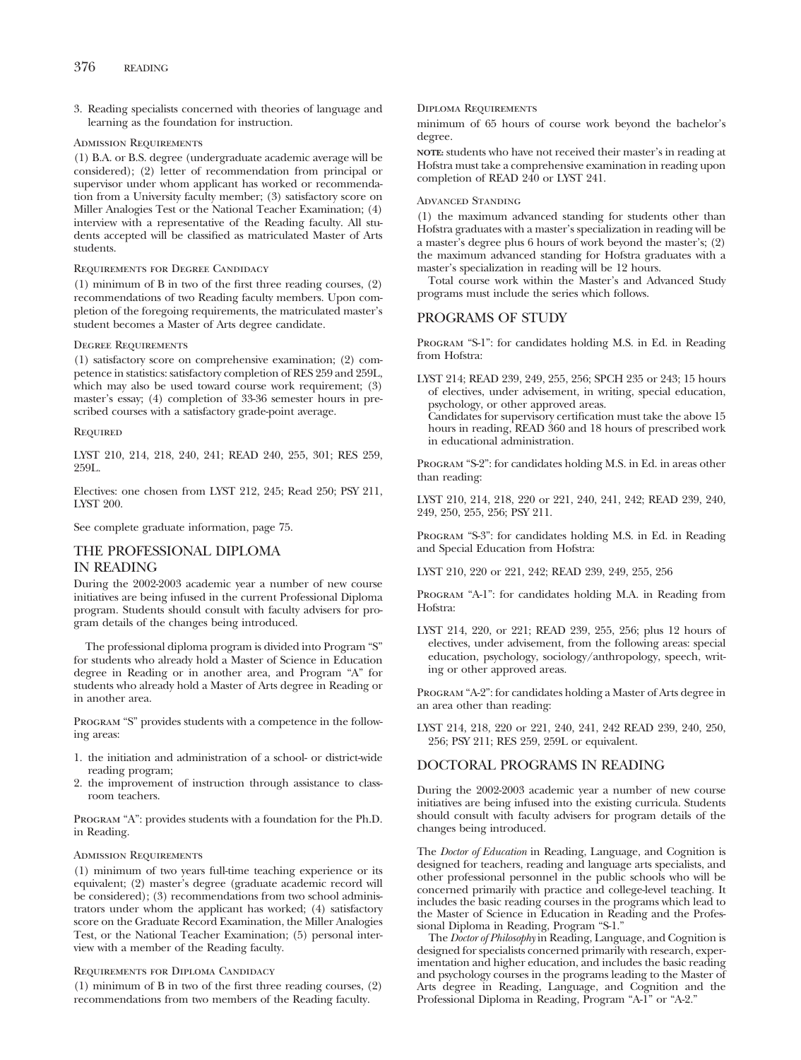3. Reading specialists concerned with theories of language and learning as the foundation for instruction.

# Admission Requirements

(1) B.A. or B.S. degree (undergraduate academic average will be considered); (2) letter of recommendation from principal or supervisor under whom applicant has worked or recommendation from a University faculty member; (3) satisfactory score on Miller Analogies Test or the National Teacher Examination; (4) interview with a representative of the Reading faculty. All students accepted will be classified as matriculated Master of Arts students.

# Requirements for Degree Candidacy

(1) minimum of B in two of the first three reading courses, (2) recommendations of two Reading faculty members. Upon completion of the foregoing requirements, the matriculated master's student becomes a Master of Arts degree candidate.

# Degree Requirements

(1) satisfactory score on comprehensive examination; (2) competence in statistics: satisfactory completion of RES 259 and 259L, which may also be used toward course work requirement; (3) master's essay; (4) completion of 33-36 semester hours in prescribed courses with a satisfactory grade-point average.

# **REQUIRED**

LYST 210, 214, 218, 240, 241; READ 240, 255, 301; RES 259, 259L.

Electives: one chosen from LYST 212, 245; Read 250; PSY 211, LYST 200.

See complete graduate information, page 75.

# THE PROFESSIONAL DIPLOMA IN READING

During the 2002-2003 academic year a number of new course initiatives are being infused in the current Professional Diploma program. Students should consult with faculty advisers for program details of the changes being introduced.

The professional diploma program is divided into Program "S" for students who already hold a Master of Science in Education degree in Reading or in another area, and Program "A" for students who already hold a Master of Arts degree in Reading or in another area.

PROGRAM "S" provides students with a competence in the following areas:

- 1. the initiation and administration of a school- or district-wide reading program;
- 2. the improvement of instruction through assistance to classroom teachers.

Program "A": provides students with a foundation for the Ph.D. in Reading.

# Admission Requirements

(1) minimum of two years full-time teaching experience or its equivalent; (2) master's degree (graduate academic record will be considered); (3) recommendations from two school administrators under whom the applicant has worked; (4) satisfactory score on the Graduate Record Examination, the Miller Analogies Test, or the National Teacher Examination; (5) personal interview with a member of the Reading faculty.

# Requirements for Diploma Candidacy

(1) minimum of B in two of the first three reading courses, (2) recommendations from two members of the Reading faculty.

# Diploma Requirements

minimum of 65 hours of course work beyond the bachelor's degree.

**NOTE:** students who have not received their master's in reading at Hofstra must take a comprehensive examination in reading upon completion of READ 240 or LYST 241.

# Advanced Standing

(1) the maximum advanced standing for students other than Hofstra graduates with a master's specialization in reading will be a master's degree plus 6 hours of work beyond the master's; (2) the maximum advanced standing for Hofstra graduates with a master's specialization in reading will be 12 hours.

Total course work within the Master's and Advanced Study programs must include the series which follows.

# PROGRAMS OF STUDY

Program "S-1": for candidates holding M.S. in Ed. in Reading from Hofstra:

LYST 214; READ 239, 249, 255, 256; SPCH 235 or 243; 15 hours of electives, under advisement, in writing, special education, psychology, or other approved areas. Candidates for supervisory certification must take the above 15 hours in reading, READ 360 and 18 hours of prescribed work in educational administration.

Program "S-2": for candidates holding M.S. in Ed. in areas other than reading:

LYST 210, 214, 218, 220 or 221, 240, 241, 242; READ 239, 240, 249, 250, 255, 256; PSY 211.

Program "S-3": for candidates holding M.S. in Ed. in Reading and Special Education from Hofstra:

LYST 210, 220 or 221, 242; READ 239, 249, 255, 256

Program "A-1": for candidates holding M.A. in Reading from Hofstra:

LYST 214, 220, or 221; READ 239, 255, 256; plus 12 hours of electives, under advisement, from the following areas: special education, psychology, sociology/anthropology, speech, writing or other approved areas.

Program "A-2": for candidates holding a Master of Arts degree in an area other than reading:

LYST 214, 218, 220 or 221, 240, 241, 242 READ 239, 240, 250, 256; PSY 211; RES 259, 259L or equivalent.

# DOCTORAL PROGRAMS IN READING

During the 2002-2003 academic year a number of new course initiatives are being infused into the existing curricula. Students should consult with faculty advisers for program details of the changes being introduced.

The *Doctor of Education* in Reading, Language, and Cognition is designed for teachers, reading and language arts specialists, and other professional personnel in the public schools who will be concerned primarily with practice and college-level teaching. It includes the basic reading courses in the programs which lead to the Master of Science in Education in Reading and the Professional Diploma in Reading, Program "S-1."

The *Doctor of Philosophy* in Reading, Language, and Cognition is designed for specialists concerned primarily with research, experimentation and higher education, and includes the basic reading and psychology courses in the programs leading to the Master of Arts degree in Reading, Language, and Cognition and the Professional Diploma in Reading, Program "A-1" or "A-2."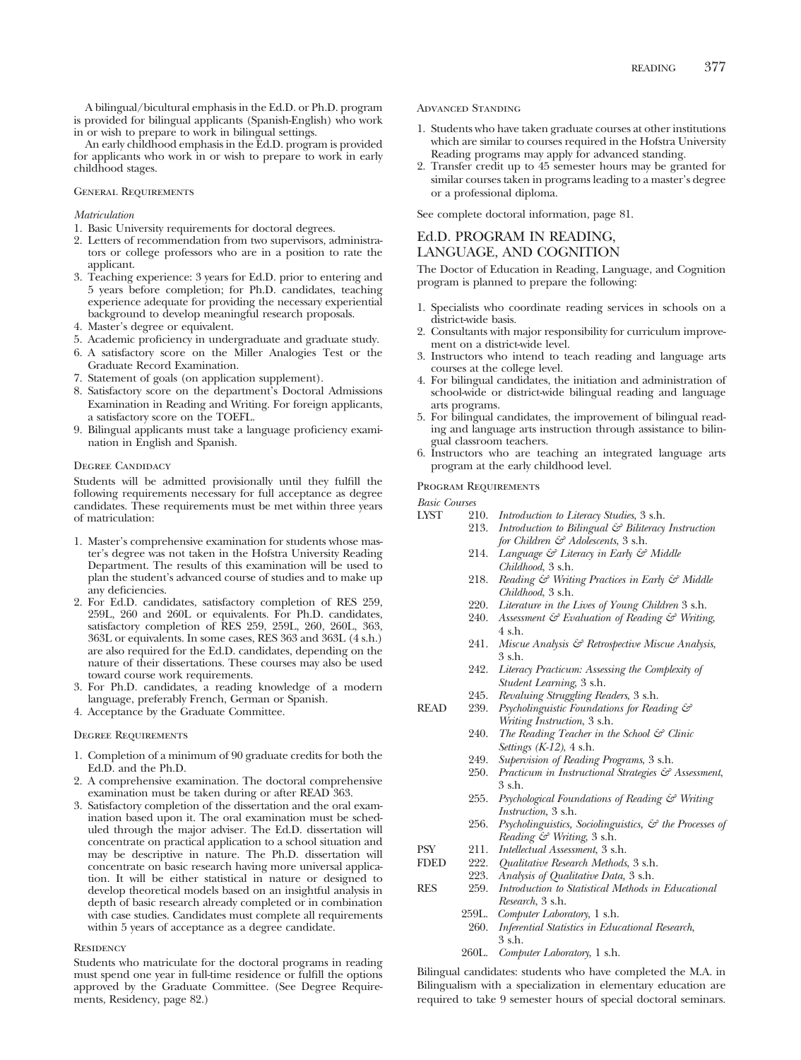A bilingual/bicultural emphasis in the Ed.D. or Ph.D. program is provided for bilingual applicants (Spanish-English) who work in or wish to prepare to work in bilingual settings.

An early childhood emphasis in the Ed.D. program is provided for applicants who work in or wish to prepare to work in early childhood stages.

# General Requirements

# *Matriculation*

- 1. Basic University requirements for doctoral degrees.
- 2. Letters of recommendation from two supervisors, administrators or college professors who are in a position to rate the applicant.
- 3. Teaching experience: 3 years for Ed.D. prior to entering and 5 years before completion; for Ph.D. candidates, teaching experience adequate for providing the necessary experiential background to develop meaningful research proposals.
- 4. Master's degree or equivalent.
- 5. Academic proficiency in undergraduate and graduate study.
- 6. A satisfactory score on the Miller Analogies Test or the Graduate Record Examination.
- 7. Statement of goals (on application supplement).
- 8. Satisfactory score on the department's Doctoral Admissions Examination in Reading and Writing. For foreign applicants, a satisfactory score on the TOEFL.
- 9. Bilingual applicants must take a language proficiency examination in English and Spanish.

### Degree Candidacy

Students will be admitted provisionally until they fulfill the following requirements necessary for full acceptance as degree candidates. These requirements must be met within three years of matriculation:

- 1. Master's comprehensive examination for students whose master's degree was not taken in the Hofstra University Reading Department. The results of this examination will be used to plan the student's advanced course of studies and to make up any deficiencies.
- 2. For Ed.D. candidates, satisfactory completion of RES 259, 259L, 260 and 260L or equivalents. For Ph.D. candidates, satisfactory completion of RES 259, 259L, 260, 260L, 363, 363L or equivalents. In some cases, RES 363 and 363L (4 s.h.) are also required for the Ed.D. candidates, depending on the nature of their dissertations. These courses may also be used toward course work requirements.
- 3. For Ph.D. candidates, a reading knowledge of a modern language, preferably French, German or Spanish.
- 4. Acceptance by the Graduate Committee.

### Degree Requirements

- 1. Completion of a minimum of 90 graduate credits for both the Ed.D. and the Ph.D.
- 2. A comprehensive examination. The doctoral comprehensive examination must be taken during or after READ 363.
- 3. Satisfactory completion of the dissertation and the oral examination based upon it. The oral examination must be scheduled through the major adviser. The Ed.D. dissertation will concentrate on practical application to a school situation and may be descriptive in nature. The Ph.D. dissertation will concentrate on basic research having more universal application. It will be either statistical in nature or designed to develop theoretical models based on an insightful analysis in depth of basic research already completed or in combination with case studies. Candidates must complete all requirements within 5 years of acceptance as a degree candidate.

# **RESIDENCY**

Students who matriculate for the doctoral programs in reading must spend one year in full-time residence or fulfill the options approved by the Graduate Committee. (See Degree Requirements, Residency, page 82.)

Advanced Standing

- 1. Students who have taken graduate courses at other institutions which are similar to courses required in the Hofstra University Reading programs may apply for advanced standing.
- 2. Transfer credit up to 45 semester hours may be granted for similar courses taken in programs leading to a master's degree or a professional diploma.

See complete doctoral information, page 81.

# Ed.D. PROGRAM IN READING,

# LANGUAGE, AND COGNITION

The Doctor of Education in Reading, Language, and Cognition program is planned to prepare the following:

- 1. Specialists who coordinate reading services in schools on a district-wide basis.
- 2. Consultants with major responsibility for curriculum improvement on a district-wide level.
- 3. Instructors who intend to teach reading and language arts courses at the college level.
- 4. For bilingual candidates, the initiation and administration of school-wide or district-wide bilingual reading and language arts programs.
- 5. For bilingual candidates, the improvement of bilingual reading and language arts instruction through assistance to bilingual classroom teachers.
- 6. Instructors who are teaching an integrated language arts program at the early childhood level.

# Program Requirements

*Basic Courses*

- LYST 210. *Introduction to Literacy Studies*, 3 s.h.
	- 213. *Introduction to Bilingual & Biliteracy Instruction for Children & Adolescents*, 3 s.h.
	- 214. *Language & Literacy in Early & Middle Childhood*, 3 s.h.
	- 218. *Reading & Writing Practices in Early & Middle Childhood*, 3 s.h.
	- 220. *Literature in the Lives of Young Children* 3 s.h.
	- 240. *Assessment & Evaluation of Reading & Writing*, 4 s.h.
	- 241. *Miscue Analysis & Retrospective Miscue Analysis*, 3 s.h.
	- 242. *Literacy Practicum: Assessing the Complexity of Student Learning*, 3 s.h.
	- 245. *Revaluing Struggling Readers*, 3 s.h.
- READ 239. *Psycholinguistic Foundations for Reading & Writing Instruction*, 3 s.h.
	- 240. *The Reading Teacher in the School & Clinic Settings (K-12)*, 4 s.h.
	- 249. *Supervision of Reading Programs*, 3 s.h.
	- 250. *Practicum in Instructional Strategies & Assessment*, 3 s.h.
	- 255. *Psychological Foundations of Reading & Writing Instruction*, 3 s.h.
	- 256. *Psycholinguistics, Sociolinguistics, & the Processes of Reading & Writing*, 3 s.h.
- PSY 211. *Intellectual Assessment*, 3 s.h.
	- 222. Qualitative Research Methods, 3 s.h.
	- 223. *Analysis of Qualitative Data,* 3 s.h.
- RES 259. *Introduction to Statistical Methods in Educational Research*, 3 s.h.
	- 259L. *Computer Laboratory*, 1 s.h.
		- 260. *Inferential Statistics in Educational Research*, 3 s.h.
	- 260L. *Computer Laboratory*, 1 s.h.

Bilingual candidates: students who have completed the M.A. in Bilingualism with a specialization in elementary education are required to take 9 semester hours of special doctoral seminars.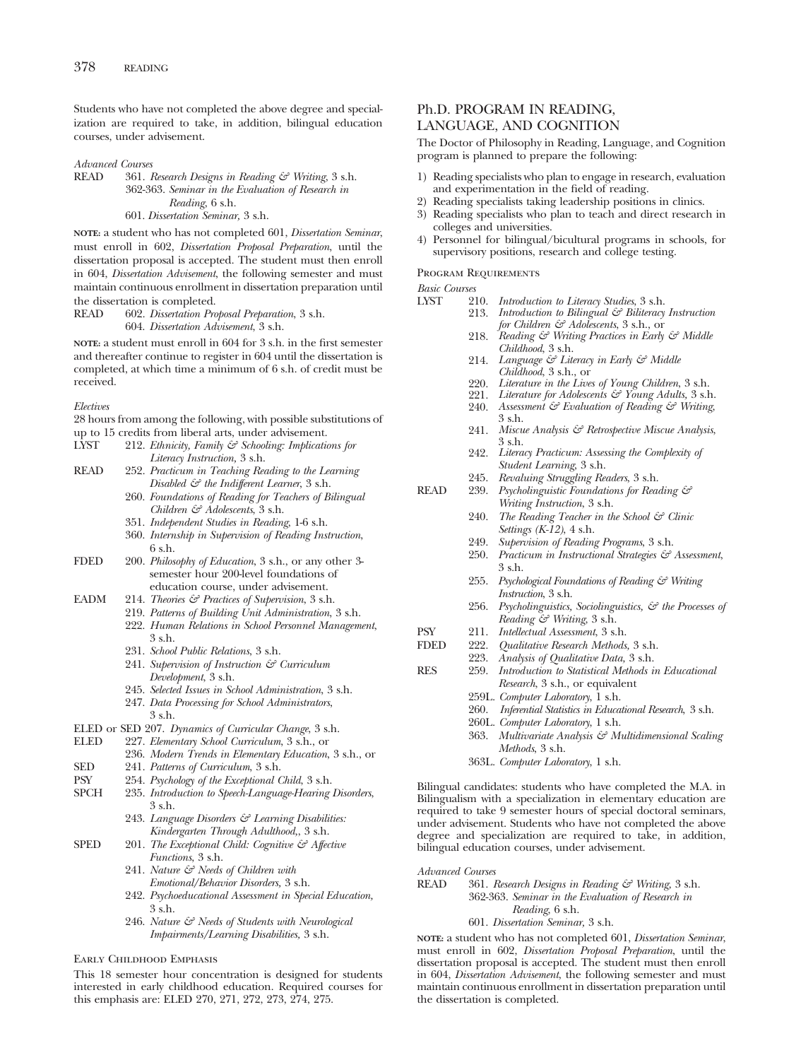Students who have not completed the above degree and specialization are required to take, in addition, bilingual education courses, under advisement.

*Advanced Courses*

READ 361. *Research Designs in Reading & Writing*, 3 s.h. 362-363. *Seminar in the Evaluation of Research in Reading*, 6 s.h. 601. *Dissertation Seminar,* 3 s.h.

**NOTE:** a student who has not completed 601, *Dissertation Seminar*, must enroll in 602, *Dissertation Proposal Preparation*, until the dissertation proposal is accepted. The student must then enroll in 604, *Dissertation Advisement*, the following semester and must maintain continuous enrollment in dissertation preparation until the dissertation is completed.

READ 602. *Dissertation Proposal Preparation*, 3 s.h. 604. *Dissertation Advisement*, 3 s.h.

**NOTE:** a student must enroll in 604 for 3 s.h. in the first semester and thereafter continue to register in 604 until the dissertation is completed, at which time a minimum of 6 s.h. of credit must be received.

*Electives*

28 hours from among the following, with possible substitutions of up to 15 credits from liberal arts, under advisement.<br>
LYST 212. *Ethnicity, Family & Schooling: Implication* 

- 212. *Ethnicity, Family & Schooling: Implications for Literacy Instruction,* 3 s.h.
- READ 252. *Practicum in Teaching Reading to the Learning Disabled & the Indifferent Learner*, 3 s.h.
	- 260. *Foundations of Reading for Teachers of Bilingual Children & Adolescents*, 3 s.h.
	- 351. *Independent Studies in Reading*, 1-6 s.h.
	- 360. *Internship in Supervision of Reading Instruction*, 6 s.h.
- FDED 200. *Philosophy of Education*, 3 s.h., or any other 3 semester hour 200-level foundations of education course, under advisement.
- EADM 214. *Theories & Practices of Supervision*, 3 s.h.
	- 219. *Patterns of Building Unit Administration*, 3 s.h.
		- 222. *Human Relations in School Personnel Management*, 3 s.h.
		- 231. *School Public Relations*, 3 s.h.
		- 241. *Supervision of Instruction & Curriculum Development*, 3 s.h.
		- 245. *Selected Issues in School Administration*, 3 s.h.
		- 247. *Data Processing for School Administrators*,  $3$  sh.
- 
- ELED or SED 207. *Dynamics of Curricular Change*, 3 s.h. 227. *Elementary School Curriculum*, 3 s.h., or
- 236. *Modern Trends in Elementary Education*, 3 s.h., or
- SED 241. *Patterns of Curriculum*, 3 s.h.<br>PSY 254. *Psychology of the Exceptional C*
- 
- PSY 254. *Psychology of the Exceptional Child*, 3 s.h. 235. *Introduction to Speech-Language-Hearing Disorders*, 3 s.h.
	- 243. *Language Disorders & Learning Disabilities: Kindergarten Through Adulthood,*, 3 s.h.
- SPED 201. *The Exceptional Child: Cognitive & Affective Functions*, 3 s.h.
	- 241. *Nature & Needs of Children with Emotional/Behavior Disorders,* 3 s.h.
	- 242. *Psychoeducational Assessment in Special Education,* 3 s.h.
	- 246. *Nature & Needs of Students with Neurological Impairments/Learning Disabilities,* 3 s.h.

# Early Childhood Emphasis

This 18 semester hour concentration is designed for students interested in early childhood education. Required courses for this emphasis are: ELED 270, 271, 272, 273, 274, 275.

# Ph.D. PROGRAM IN READING, LANGUAGE, AND COGNITION

The Doctor of Philosophy in Reading, Language, and Cognition program is planned to prepare the following:

- 1) Reading specialists who plan to engage in research, evaluation and experimentation in the field of reading.
- 2) Reading specialists taking leadership positions in clinics.
- 3) Reading specialists who plan to teach and direct research in colleges and universities.
- 4) Personnel for bilingual/bicultural programs in schools, for supervisory positions, research and college testing.

# Program Requirements

*Basic Courses*

- 210. *Introduction to Literacy Studies*, 3 s.h.<br>213. *Introduction to Bilingual & Biliteracy* 
	- 213. *Introduction to Bilingual & Biliteracy Instruction for Children & Adolescents*, 3 s.h., or
		- 218. *Reading & Writing Practices in Early & Middle Childhood*, 3 s.h.
		- 214. *Language & Literacy in Early & Middle Childhood*, 3 s.h., or
		- 220. *Literature in the Lives of Young Children*, 3 s.h.
		- 221. *Literature for Adolescents & Young Adults,* 3 s.h. 240. *Assessment & Evaluation of Reading & Writing*,
		- 3 s.h.
		- 241. *Miscue Analysis & Retrospective Miscue Analysis*, 3 s.h.
		- 242. *Literacy Practicum: Assessing the Complexity of Student Learning*, 3 s.h.
	- 245. *Revaluing Struggling Readers*, 3 s.h.
- READ 239. *Psycholinguistic Foundations for Reading & Writing Instruction*, 3 s.h.
	- 240. *The Reading Teacher in the School & Clinic Settings (K-12)*, 4 s.h.
	- 249. *Supervision of Reading Programs*, 3 s.h.
	- 250. *Practicum in Instructional Strategies & Assessment*, 3 s.h.
	- 255. *Psychological Foundations of Reading & Writing Instruction*, 3 s.h.
	- 256. *Psycholinguistics, Sociolinguistics, & the Processes of Reading & Writing*, 3 s.h.
- PSY 211. *Intellectual Assessment*, 3 s.h.
- FDED 222. *Qualitative Research Methods,* 3 s.h.
	- 223. *Analysis of Qualitative Data,* 3 s.h.
- RES 259. *Introduction to Statistical Methods in Educational Research*, 3 s.h., or equivalent
	- 259L. *Computer Laboratory*, 1 s.h.
		- 260. *Inferential Statistics in Educational Research*, 3 s.h.
		-
		- 260L. *Computer Laboratory*, 1 s.h. 363. *Multivariate Analysis & Multidimensional Scaling Methods*, 3 s.h.
		- 363L. *Computer Laboratory*, 1 s.h.

Bilingual candidates: students who have completed the M.A. in Bilingualism with a specialization in elementary education are required to take 9 semester hours of special doctoral seminars, under advisement. Students who have not completed the above degree and specialization are required to take, in addition, bilingual education courses, under advisement.

# *Advanced Courses*

READ 361. *Research Designs in Reading & Writing,* 3 s.h. 362-363. *Seminar in the Evaluation of Research in Reading*, 6 s.h.

# 601. *Dissertation Seminar,* 3 s.h.

**NOTE:** a student who has not completed 601, *Dissertation Seminar*, must enroll in 602, *Dissertation Proposal Preparation*, until the dissertation proposal is accepted. The student must then enroll in 604, *Dissertation Advisement*, the following semester and must maintain continuous enrollment in dissertation preparation until the dissertation is completed.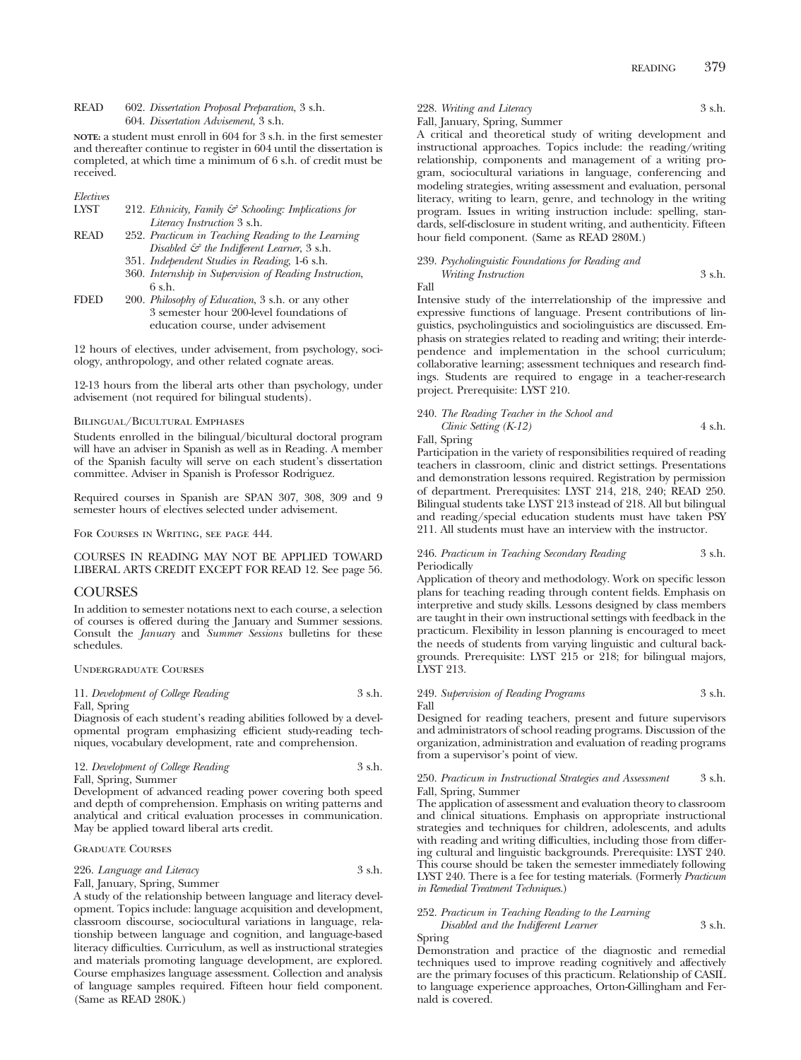# READ 602. *Dissertation Proposal Preparation*, 3 s.h. 604. *Dissertation Advisement*, 3 s.h.

**NOTE:** a student must enroll in 604 for 3 s.h. in the first semester and thereafter continue to register in 604 until the dissertation is completed, at which time a minimum of 6 s.h. of credit must be received.

# *Electives*

| LYST |  |  |  |                             | 212. Ethnicity, Family $\mathcal{C}^{\circ}$ Schooling: Implications for |  |
|------|--|--|--|-----------------------------|--------------------------------------------------------------------------|--|
|      |  |  |  | Literacy Instruction 3 s.h. |                                                                          |  |
| ---- |  |  |  |                             |                                                                          |  |

- READ 252. *Practicum in Teaching Reading to the Learning Disabled & the Indifferent Learner*, 3 s.h.
	- 351. *Independent Studies in Reading*, 1-6 s.h.
	- 360. *Internship in Supervision of Reading Instruction*, 6 s.h.
- FDED 200. *Philosophy of Education*, 3 s.h. or any other 3 semester hour 200-level foundations of education course, under advisement

12 hours of electives, under advisement, from psychology, sociology, anthropology, and other related cognate areas.

12-13 hours from the liberal arts other than psychology, under advisement (not required for bilingual students).

### BILINGUAL/BICULTURAL EMPHASES

Students enrolled in the bilingual/bicultural doctoral program will have an adviser in Spanish as well as in Reading. A member of the Spanish faculty will serve on each student's dissertation committee. Adviser in Spanish is Professor Rodriguez.

Required courses in Spanish are SPAN 307, 308, 309 and 9 semester hours of electives selected under advisement.

For Courses in Writing, see page 444.

COURSES IN READING MAY NOT BE APPLIED TOWARD LIBERAL ARTS CREDIT EXCEPT FOR READ 12. See page 56.

### COURSES

In addition to semester notations next to each course, a selection of courses is offered during the January and Summer sessions. Consult the *January* and *Summer Sessions* bulletins for these schedules.

Undergraduate Courses

## 11. *Development of College Reading* 3 s.h. Fall, Spring

Diagnosis of each student's reading abilities followed by a developmental program emphasizing efficient study-reading techniques, vocabulary development, rate and comprehension.

# 12. *Development of College Reading* 3 s.h. Fall, Spring, Summer

Development of advanced reading power covering both speed and depth of comprehension. Emphasis on writing patterns and analytical and critical evaluation processes in communication. May be applied toward liberal arts credit.

# Graduate Courses

226. *Language and Literacy* 3 s.h. Fall, January, Spring, Summer

A study of the relationship between language and literacy development. Topics include: language acquisition and development, classroom discourse, sociocultural variations in language, relationship between language and cognition, and language-based literacy difficulties. Curriculum, as well as instructional strategies and materials promoting language development, are explored. Course emphasizes language assessment. Collection and analysis of language samples required. Fifteen hour field component. (Same as READ 280K.)

228. *Writing and Literacy* 3 s.h. Fall, January, Spring, Summer

A critical and theoretical study of writing development and instructional approaches. Topics include: the reading/writing relationship, components and management of a writing program, sociocultural variations in language, conferencing and modeling strategies, writing assessment and evaluation, personal literacy, writing to learn, genre, and technology in the writing program. Issues in writing instruction include: spelling, standards, self-disclosure in student writing, and authenticity. Fifteen hour field component. (Same as READ 280M.)

# 239. *Psycholinguistic Foundations for Reading and Writing Instruction* 3 s.h.

Fall

Intensive study of the interrelationship of the impressive and expressive functions of language. Present contributions of linguistics, psycholinguistics and sociolinguistics are discussed. Emphasis on strategies related to reading and writing; their interdependence and implementation in the school curriculum; collaborative learning; assessment techniques and research findings. Students are required to engage in a teacher-research project. Prerequisite: LYST 210.

# 240. *The Reading Teacher in the School and Clinic Setting (K-12)* 4 s.h.

Fall, Spring

Participation in the variety of responsibilities required of reading teachers in classroom, clinic and district settings. Presentations and demonstration lessons required. Registration by permission of department. Prerequisites: LYST 214, 218, 240; READ 250. Bilingual students take LYST 213 instead of 218. All but bilingual and reading/special education students must have taken PSY 211. All students must have an interview with the instructor.

# 246. *Practicum in Teaching Secondary Reading* 3 s.h. Periodically

Application of theory and methodology. Work on specific lesson plans for teaching reading through content fields. Emphasis on interpretive and study skills. Lessons designed by class members are taught in their own instructional settings with feedback in the practicum. Flexibility in lesson planning is encouraged to meet the needs of students from varying linguistic and cultural backgrounds. Prerequisite: LYST 215 or 218; for bilingual majors, LYST 213.

# 249. *Supervision of Reading Programs* 3 s.h. Fall

Designed for reading teachers, present and future supervisors and administrators of school reading programs. Discussion of the organization, administration and evaluation of reading programs from a supervisor's point of view.

### 250. *Practicum in Instructional Strategies and Assessment* 3 s.h. Fall, Spring, Summer

The application of assessment and evaluation theory to classroom and clinical situations. Emphasis on appropriate instructional strategies and techniques for children, adolescents, and adults with reading and writing difficulties, including those from differing cultural and linguistic backgrounds. Prerequisite: LYST 240. This course should be taken the semester immediately following LYST 240. There is a fee for testing materials. (Formerly *Practicum in Remedial Treatment Techniques.*)

### 252. *Practicum in Teaching Reading to the Learning Disabled and the Indifferent Learner* 3 s.h.

Spring

Demonstration and practice of the diagnostic and remedial techniques used to improve reading cognitively and affectively are the primary focuses of this practicum. Relationship of CASIL to language experience approaches, Orton-Gillingham and Fernald is covered.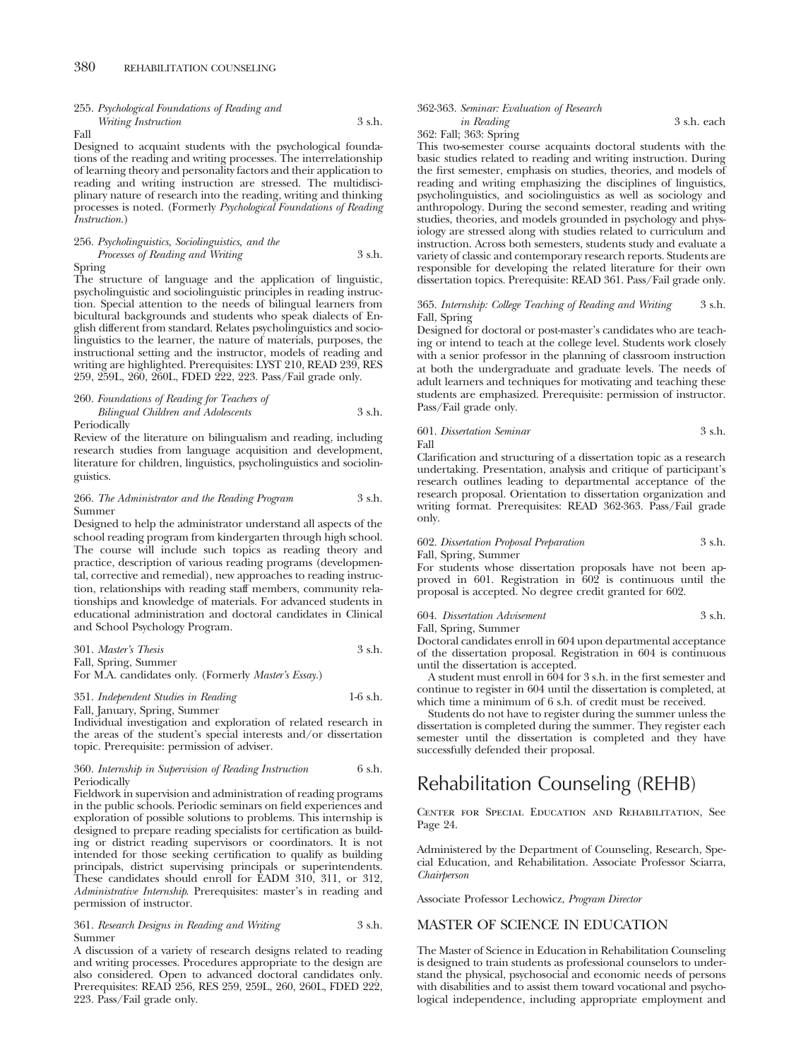# 255. *Psychological Foundations of Reading and Writing Instruction* 3 s.h.

Fall

Designed to acquaint students with the psychological foundations of the reading and writing processes. The interrelationship of learning theory and personality factors and their application to reading and writing instruction are stressed. The multidisciplinary nature of research into the reading, writing and thinking processes is noted. (Formerly *Psychological Foundations of Reading Instruction.*)

# 256. *Psycholinguistics, Sociolinguistics, and the Processes of Reading and Writing* 3 s.h.

Spring

The structure of language and the application of linguistic, psycholinguistic and sociolinguistic principles in reading instruction. Special attention to the needs of bilingual learners from bicultural backgrounds and students who speak dialects of English different from standard. Relates psycholinguistics and sociolinguistics to the learner, the nature of materials, purposes, the instructional setting and the instructor, models of reading and writing are highlighted. Prerequisites: LYST 210, READ 239, RES 259, 259L, 260, 260L, FDED 222, 223. Pass/Fail grade only.

260. *Foundations of Reading for Teachers of Bilingual Children and Adolescents* 3 s.h. Periodically

Review of the literature on bilingualism and reading, including research studies from language acquisition and development, literature for children, linguistics, psycholinguistics and sociolinguistics.

# 266. *The Administrator and the Reading Program* 3 s.h. Summer

Designed to help the administrator understand all aspects of the school reading program from kindergarten through high school. The course will include such topics as reading theory and practice, description of various reading programs (developmental, corrective and remedial), new approaches to reading instruction, relationships with reading staff members, community relationships and knowledge of materials. For advanced students in educational administration and doctoral candidates in Clinical and School Psychology Program.

| 301. Master's Thesis | 3 s.h. |
|----------------------|--------|
| Fall, Spring, Summer |        |

For M.A. candidates only. (Formerly *Master's Essay.*)

351. *Independent Studies in Reading* 1-6 s.h.

Fall, January, Spring, Summer

Individual investigation and exploration of related research in the areas of the student's special interests and/or dissertation topic. Prerequisite: permission of adviser.

### 360. *Internship in Supervision of Reading Instruction* 6 s.h. **Periodically**

Fieldwork in supervision and administration of reading programs in the public schools. Periodic seminars on field experiences and exploration of possible solutions to problems. This internship is designed to prepare reading specialists for certification as building or district reading supervisors or coordinators. It is not intended for those seeking certification to qualify as building principals, district supervising principals or superintendents. These candidates should enroll for EADM 310, 311, or 312, *Administrative Internship*. Prerequisites: master's in reading and permission of instructor.

361. *Research Designs in Reading and Writing* 3 s.h. Summer

A discussion of a variety of research designs related to reading and writing processes. Procedures appropriate to the design are also considered. Open to advanced doctoral candidates only. Prerequisites: READ 256, RES 259, 259L, 260, 260L, FDED 222, 223. Pass/Fail grade only.

362-363. *Seminar: Evaluation of Research*

362: Fall; 363: Spring

This two-semester course acquaints doctoral students with the basic studies related to reading and writing instruction. During the first semester, emphasis on studies, theories, and models of reading and writing emphasizing the disciplines of linguistics, psycholinguistics, and sociolinguistics as well as sociology and anthropology. During the second semester, reading and writing studies, theories, and models grounded in psychology and physiology are stressed along with studies related to curriculum and instruction. Across both semesters, students study and evaluate a variety of classic and contemporary research reports. Students are responsible for developing the related literature for their own dissertation topics. Prerequisite: READ 361. Pass/Fail grade only.

# 365. *Internship: College Teaching of Reading and Writing* 3 s.h. Fall, Spring

Designed for doctoral or post-master's candidates who are teaching or intend to teach at the college level. Students work closely with a senior professor in the planning of classroom instruction at both the undergraduate and graduate levels. The needs of adult learners and techniques for motivating and teaching these students are emphasized. Prerequisite: permission of instructor. Pass/Fail grade only.

# 601. *Dissertation Seminar* 3 s.h. Fall

Clarification and structuring of a dissertation topic as a research undertaking. Presentation, analysis and critique of participant's research outlines leading to departmental acceptance of the research proposal. Orientation to dissertation organization and writing format. Prerequisites: READ 362-363. Pass/Fail grade only.

# 602. *Dissertation Proposal Preparation* 3 s.h.

Fall, Spring, Summer

For students whose dissertation proposals have not been approved in 601. Registration in 602 is continuous until the proposal is accepted. No degree credit granted for 602.

# 604. *Dissertation Advisement* 3 s.h.

Fall, Spring, Summer

Doctoral candidates enroll in 604 upon departmental acceptance of the dissertation proposal. Registration in 604 is continuous until the dissertation is accepted.

A student must enroll in 604 for 3 s.h. in the first semester and continue to register in 604 until the dissertation is completed, at which time a minimum of 6 s.h. of credit must be received.

Students do not have to register during the summer unless the dissertation is completed during the summer. They register each semester until the dissertation is completed and they have successfully defended their proposal.

# Rehabilitation Counseling (REHB)

Center for Special Education and Rehabilitation, See Page 24.

Administered by the Department of Counseling, Research, Special Education, and Rehabilitation. Associate Professor Sciarra, *Chairperson*

Associate Professor Lechowicz, *Program Director*

# MASTER OF SCIENCE IN EDUCATION

The Master of Science in Education in Rehabilitation Counseling is designed to train students as professional counselors to understand the physical, psychosocial and economic needs of persons with disabilities and to assist them toward vocational and psychological independence, including appropriate employment and

*in Reading* 3 s.h. each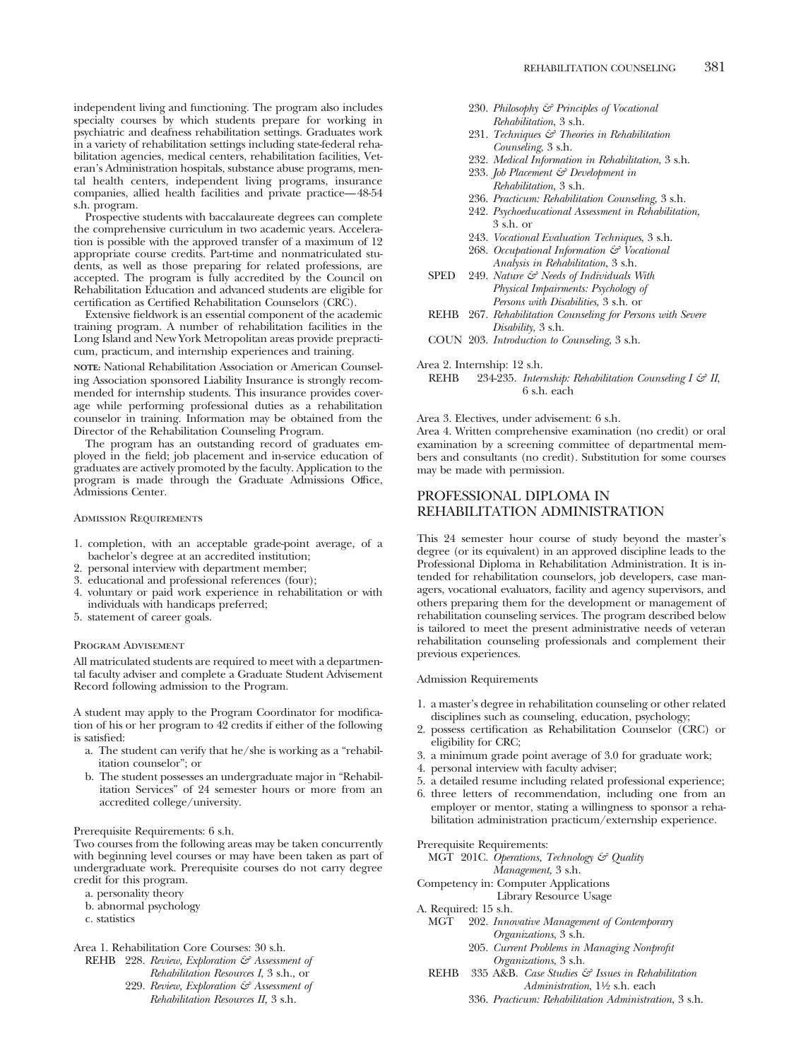independent living and functioning. The program also includes specialty courses by which students prepare for working in psychiatric and deafness rehabilitation settings. Graduates work in a variety of rehabilitation settings including state-federal rehabilitation agencies, medical centers, rehabilitation facilities, Veteran's Administration hospitals, substance abuse programs, mental health centers, independent living programs, insurance companies, allied health facilities and private practice—48-54 s.h. program.

Prospective students with baccalaureate degrees can complete the comprehensive curriculum in two academic years. Acceleration is possible with the approved transfer of a maximum of 12 appropriate course credits. Part-time and nonmatriculated students, as well as those preparing for related professions, are accepted. The program is fully accredited by the Council on Rehabilitation Education and advanced students are eligible for certification as Certified Rehabilitation Counselors (CRC).

Extensive fieldwork is an essential component of the academic training program. A number of rehabilitation facilities in the Long Island and New York Metropolitan areas provide prepracticum, practicum, and internship experiences and training.

**NOTE:** National Rehabilitation Association or American Counseling Association sponsored Liability Insurance is strongly recommended for internship students. This insurance provides coverage while performing professional duties as a rehabilitation counselor in training. Information may be obtained from the Director of the Rehabilitation Counseling Program.

The program has an outstanding record of graduates employed in the field; job placement and in-service education of graduates are actively promoted by the faculty. Application to the program is made through the Graduate Admissions Office, Admissions Center.

### Admission Requirements

- 1. completion, with an acceptable grade-point average, of a bachelor's degree at an accredited institution;
- 2. personal interview with department member;
- 3. educational and professional references (four);
- 4. voluntary or paid work experience in rehabilitation or with individuals with handicaps preferred;
- 5. statement of career goals.

### Program Advisement

All matriculated students are required to meet with a departmental faculty adviser and complete a Graduate Student Advisement Record following admission to the Program.

A student may apply to the Program Coordinator for modification of his or her program to 42 credits if either of the following is satisfied:

- a. The student can verify that he/she is working as a "rehabilitation counselor"; or
- b. The student possesses an undergraduate major in "Rehabilitation Services" of 24 semester hours or more from an accredited college/university.

# Prerequisite Requirements: 6 s.h.

Two courses from the following areas may be taken concurrently with beginning level courses or may have been taken as part of undergraduate work. Prerequisite courses do not carry degree credit for this program.

a. personality theory

- b. abnormal psychology
- c. statistics

Area 1. Rehabilitation Core Courses: 30 s.h.

REHB 228. *Review, Exploration & Assessment of*

- *Rehabilitation Resources I*, 3 s.h., or
- 229. *Review, Exploration & Assessment of Rehabilitation Resources II,* 3 s.h.
- 230. *Philosophy & Principles of Vocational Rehabilitation*, 3 s.h.
- 231. *Techniques & Theories in Rehabilitation Counseling*, 3 s.h.
- 232. *Medical Information in Rehabilitation*, 3 s.h.
- 233. *Job Placement & Development in Rehabilitation*, 3 s.h.
- 236. *Practicum: Rehabilitation Counseling*, 3 s.h.
- 242. *Psychoeducational Assessment in Rehabilitation*, 3 s.h. or
- 243. *Vocational Evaluation Techniques*, 3 s.h.
- 268. *Occupational Information & Vocational Analysis in Rehabilitation*, 3 s.h.
- SPED 249. *Nature & Needs of Individuals With Physical Impairments: Psychology of Persons with Disabilities,* 3 s.h. or
- REHB 267. *Rehabilitation Counseling for Persons with Severe Disability*, 3 s.h.
- COUN 203. *Introduction to Counseling*, 3 s.h.

## Area 2. Internship: 12 s.h.

REHB 234-235. *Internship: Rehabilitation Counseling I & II*, 6 s.h. each

Area 3. Electives, under advisement: 6 s.h.

Area 4. Written comprehensive examination (no credit) or oral examination by a screening committee of departmental members and consultants (no credit). Substitution for some courses may be made with permission.

# PROFESSIONAL DIPLOMA IN REHABILITATION ADMINISTRATION

This 24 semester hour course of study beyond the master's degree (or its equivalent) in an approved discipline leads to the Professional Diploma in Rehabilitation Administration. It is intended for rehabilitation counselors, job developers, case managers, vocational evaluators, facility and agency supervisors, and others preparing them for the development or management of rehabilitation counseling services. The program described below is tailored to meet the present administrative needs of veteran rehabilitation counseling professionals and complement their previous experiences.

# Admission Requirements

- 1. a master's degree in rehabilitation counseling or other related disciplines such as counseling, education, psychology;
- 2. possess certification as Rehabilitation Counselor (CRC) or eligibility for CRC;
- 3. a minimum grade point average of 3.0 for graduate work;
- 4. personal interview with faculty adviser;
- 5. a detailed resume including related professional experience;
- 6. three letters of recommendation, including one from an employer or mentor, stating a willingness to sponsor a rehabilitation administration practicum/externship experience.

# Prerequisite Requirements:

MGT 201C. *Operations, Technology & Quality Management,* 3 s.h.

Competency in: Computer Applications

Library Resource Usage

- A. Required: 15 s.h.
	- MGT 202. *Innovative Management of Contemporary Organizations*, 3 s.h.
		- 205. *Current Problems in Managing Nonprofit Organizations*, 3 s.h.
	- REHB 335 A&B. *Case Studies & Issues in Rehabilitation Administration*, 11⁄2 s.h. each
		- 336. *Practicum: Rehabilitation Administration*, 3 s.h.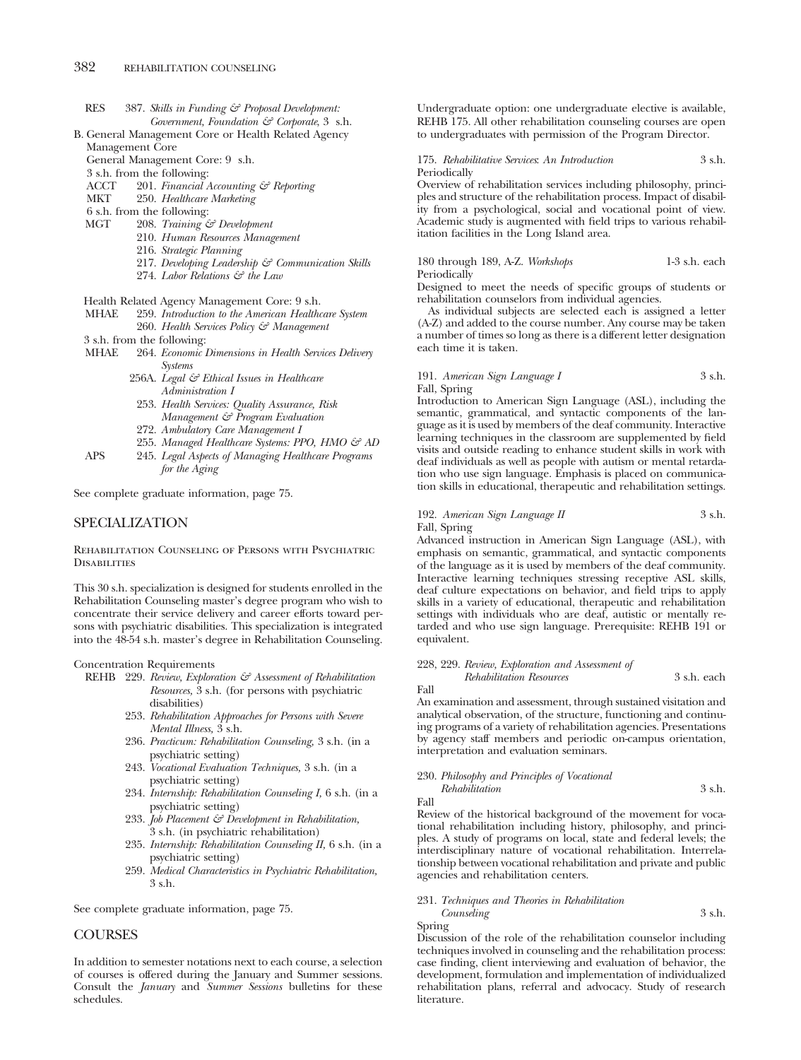- RES 387. *Skills in Funding & Proposal Development: Government, Foundation & Corporate*, 3 s.h.
- B. General Management Core or Health Related Agency Management Core

General Management Core: 9 s.h.

- 3 s.h. from the following:
- ACCT 201. *Financial Accounting & Reporting*
- MKT 250. *Healthcare Marketing*
- 6 s.h. from the following:
- MGT 208. *Training & Development*
	- 210. *Human Resources Management*
	- 216. *Strategic Planning*
	- 217. *Developing Leadership & Communication Skills*
	- 274. *Labor Relations & the Law*

Health Related Agency Management Core: 9 s.h.<br>MHAE 259. Introduction to the American Healthc

- 259. *Introduction to the American Healthcare System* 260. *Health Services Policy & Management*
- 3 s.h. from the following:<br>MHAE 264. *Economic*
- 264. *Economic Dimensions in Health Services Delivery Systems*
	- 256A. *Legal & Ethical Issues in Healthcare Administration I*
	- 253. *Health Services: Quality Assurance, Risk Management & Program Evaluation*
	- 272. *Ambulatory Care Management I*
	- 255. Managed Healthcare Systems: PPO, HMO & AD
- APS 245. *Legal Aspects of Managing Healthcare Programs for the Aging*

See complete graduate information, page 75.

# SPECIALIZATION

Rehabilitation Counseling of Persons with Psychiatric **DISABILITIES** 

This 30 s.h. specialization is designed for students enrolled in the Rehabilitation Counseling master's degree program who wish to concentrate their service delivery and career efforts toward persons with psychiatric disabilities. This specialization is integrated into the 48-54 s.h. master's degree in Rehabilitation Counseling.

Concentration Requirements

- REHB 229. *Review, Exploration & Assessment of Rehabilitation Resources,* 3 s.h. (for persons with psychiatric disabilities)
	- 253. *Rehabilitation Approaches for Persons with Severe Mental Illness,* 3 s.h.
	- 236. *Practicum: Rehabilitation Counseling,* 3 s.h. (in a psychiatric setting)
	- 243. *Vocational Evaluation Techniques,* 3 s.h. (in a psychiatric setting)
	- 234. *Internship: Rehabilitation Counseling I,* 6 s.h. (in a psychiatric setting)
	- 233. *Job Placement & Development in Rehabilitation,* 3 s.h. (in psychiatric rehabilitation)
	- 235. *Internship: Rehabilitation Counseling II,* 6 s.h. (in a psychiatric setting)
	- 259. *Medical Characteristics in Psychiatric Rehabilitation,* 3 s.h.

See complete graduate information, page 75.

# **COURSES**

In addition to semester notations next to each course, a selection of courses is offered during the January and Summer sessions. Consult the *January* and *Summer Sessions* bulletins for these schedules.

Undergraduate option: one undergraduate elective is available, REHB 175. All other rehabilitation counseling courses are open to undergraduates with permission of the Program Director.

# 175. *Rehabilitative Services*: *An Introduction* 3 s.h. Periodically

Overview of rehabilitation services including philosophy, principles and structure of the rehabilitation process. Impact of disability from a psychological, social and vocational point of view. Academic study is augmented with field trips to various rehabilitation facilities in the Long Island area.

180 through 189, A-Z. *Workshops* 1-3 s.h. each Periodically

Designed to meet the needs of specific groups of students or rehabilitation counselors from individual agencies.

As individual subjects are selected each is assigned a letter (A-Z) and added to the course number. Any course may be taken a number of times so long as there is a different letter designation each time it is taken.

# 191. *American Sign Language I* 3 s.h. Fall, Spring

Introduction to American Sign Language (ASL), including the semantic, grammatical, and syntactic components of the language as it is used by members of the deaf community. Interactive learning techniques in the classroom are supplemented by field visits and outside reading to enhance student skills in work with deaf individuals as well as people with autism or mental retardation who use sign language. Emphasis is placed on communication skills in educational, therapeutic and rehabilitation settings.

# 192. *American Sign Language II* 3 s.h. Fall, Spring

Advanced instruction in American Sign Language (ASL), with emphasis on semantic, grammatical, and syntactic components of the language as it is used by members of the deaf community. Interactive learning techniques stressing receptive ASL skills, deaf culture expectations on behavior, and field trips to apply skills in a variety of educational, therapeutic and rehabilitation settings with individuals who are deaf, autistic or mentally retarded and who use sign language. Prerequisite: REHB 191 or equivalent.

228, 229. *Review, Exploration and Assessment of Rehabilitation Resources* 3 s.h. each

Fall

An examination and assessment, through sustained visitation and analytical observation, of the structure, functioning and continuing programs of a variety of rehabilitation agencies. Presentations by agency staff members and periodic on-campus orientation, interpretation and evaluation seminars.

230. *Philosophy and Principles of Vocational Rehabilitation* 3 s.h.

Fall

Review of the historical background of the movement for vocational rehabilitation including history, philosophy, and principles. A study of programs on local, state and federal levels; the interdisciplinary nature of vocational rehabilitation. Interrelationship between vocational rehabilitation and private and public agencies and rehabilitation centers.

# 231. *Techniques and Theories in Rehabilitation*

*Counseling* 3 s.h. Spring

Discussion of the role of the rehabilitation counselor including techniques involved in counseling and the rehabilitation process: case finding, client interviewing and evaluation of behavior, the development, formulation and implementation of individualized rehabilitation plans, referral and advocacy. Study of research literature.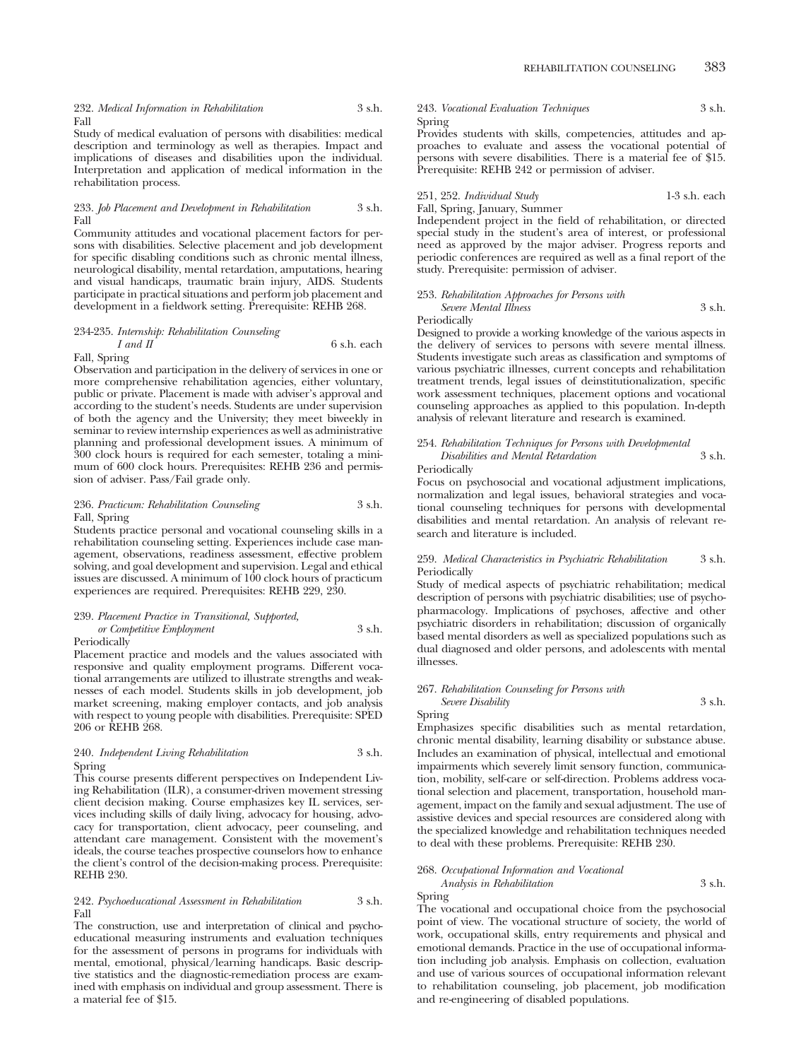Study of medical evaluation of persons with disabilities: medical description and terminology as well as therapies. Impact and implications of diseases and disabilities upon the individual. Interpretation and application of medical information in the rehabilitation process.

# 233. *Job Placement and Development in Rehabilitation* 3 s.h. Fall

Community attitudes and vocational placement factors for persons with disabilities. Selective placement and job development for specific disabling conditions such as chronic mental illness, neurological disability, mental retardation, amputations, hearing and visual handicaps, traumatic brain injury, AIDS. Students participate in practical situations and perform job placement and development in a fieldwork setting. Prerequisite: REHB 268.

# 234-235. *Internship: Rehabilitation Counseling I* and *II* 6 s.h. each Fall, Spring

Observation and participation in the delivery of services in one or more comprehensive rehabilitation agencies, either voluntary, public or private. Placement is made with adviser's approval and according to the student's needs. Students are under supervision of both the agency and the University; they meet biweekly in seminar to review internship experiences as well as administrative

planning and professional development issues. A minimum of 300 clock hours is required for each semester, totaling a minimum of 600 clock hours. Prerequisites: REHB 236 and permission of adviser. Pass/Fail grade only.

# 236. *Practicum: Rehabilitation Counseling* 3 s.h. Fall, Spring

Students practice personal and vocational counseling skills in a rehabilitation counseling setting. Experiences include case management, observations, readiness assessment, effective problem solving, and goal development and supervision. Legal and ethical issues are discussed. A minimum of 100 clock hours of practicum experiences are required. Prerequisites: REHB 229, 230.

# 239. *Placement Practice in Transitional, Supported, or Competitive Employment* 3 s.h.

**Periodically** 

Placement practice and models and the values associated with responsive and quality employment programs. Different vocational arrangements are utilized to illustrate strengths and weaknesses of each model. Students skills in job development, job market screening, making employer contacts, and job analysis with respect to young people with disabilities. Prerequisite: SPED 206 or REHB 268.

# 240. *Independent Living Rehabilitation* 3 s.h. Spring

This course presents different perspectives on Independent Living Rehabilitation (ILR), a consumer-driven movement stressing client decision making. Course emphasizes key IL services, services including skills of daily living, advocacy for housing, advocacy for transportation, client advocacy, peer counseling, and attendant care management. Consistent with the movement's ideals, the course teaches prospective counselors how to enhance the client's control of the decision-making process. Prerequisite: REHB 230.

# 242. *Psychoeducational Assessment in Rehabilitation* 3 s.h. Fall

The construction, use and interpretation of clinical and psychoeducational measuring instruments and evaluation techniques for the assessment of persons in programs for individuals with mental, emotional, physical/learning handicaps. Basic descriptive statistics and the diagnostic-remediation process are examined with emphasis on individual and group assessment. There is a material fee of \$15.

# 243. *Vocational Evaluation Techniques* 3 s.h. Spring

Provides students with skills, competencies, attitudes and approaches to evaluate and assess the vocational potential of persons with severe disabilities. There is a material fee of \$15. Prerequisite: REHB 242 or permission of adviser.

251, 252. *Individual Study* 1-3 s.h. each Fall, Spring, January, Summer

Independent project in the field of rehabilitation, or directed special study in the student's area of interest, or professional need as approved by the major adviser. Progress reports and periodic conferences are required as well as a final report of the study. Prerequisite: permission of adviser.

# 253. *Rehabilitation Approaches for Persons with*

*Severe Mental Illness* 3 s.h. Periodically

Designed to provide a working knowledge of the various aspects in the delivery of services to persons with severe mental illness. Students investigate such areas as classification and symptoms of various psychiatric illnesses, current concepts and rehabilitation treatment trends, legal issues of deinstitutionalization, specific work assessment techniques, placement options and vocational counseling approaches as applied to this population. In-depth analysis of relevant literature and research is examined.

### 254. *Rehabilitation Techniques for Persons with Developmental Disabilities and Mental Retardation* 3 s.h. Periodically

Focus on psychosocial and vocational adjustment implications, normalization and legal issues, behavioral strategies and vocational counseling techniques for persons with developmental disabilities and mental retardation. An analysis of relevant research and literature is included.

# 259. *Medical Characteristics in Psychiatric Rehabilitation* 3 s.h. Periodically

Study of medical aspects of psychiatric rehabilitation; medical description of persons with psychiatric disabilities; use of psychopharmacology. Implications of psychoses, affective and other psychiatric disorders in rehabilitation; discussion of organically based mental disorders as well as specialized populations such as dual diagnosed and older persons, and adolescents with mental illnesses.

# 267. *Rehabilitation Counseling for Persons with Severe Disability* 3 s.h.

Spring

Emphasizes specific disabilities such as mental retardation, chronic mental disability, learning disability or substance abuse. Includes an examination of physical, intellectual and emotional impairments which severely limit sensory function, communication, mobility, self-care or self-direction. Problems address vocational selection and placement, transportation, household management, impact on the family and sexual adjustment. The use of assistive devices and special resources are considered along with the specialized knowledge and rehabilitation techniques needed to deal with these problems. Prerequisite: REHB 230.

## 268. *Occupational Information and Vocational*

*Analysis in Rehabilitation* 3 s.h. Spring

The vocational and occupational choice from the psychosocial point of view. The vocational structure of society, the world of work, occupational skills, entry requirements and physical and emotional demands. Practice in the use of occupational information including job analysis. Emphasis on collection, evaluation and use of various sources of occupational information relevant to rehabilitation counseling, job placement, job modification and re-engineering of disabled populations.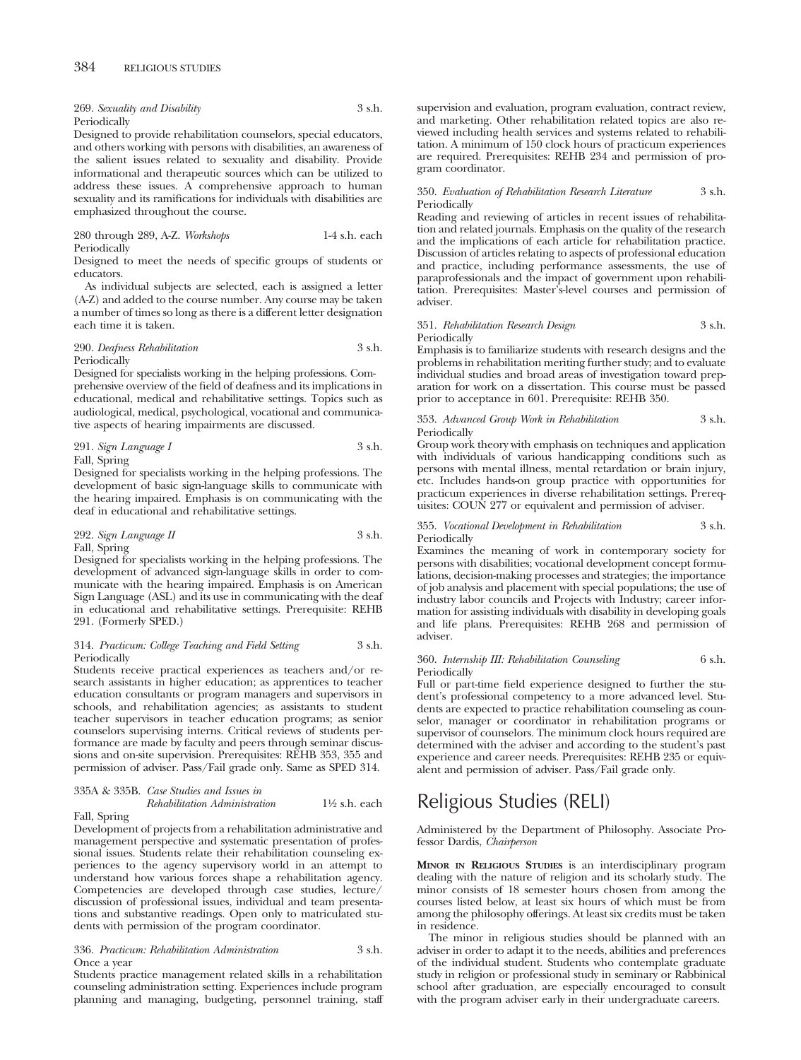269. *Sexuality and Disability* 3 s.h. Periodically

Designed to provide rehabilitation counselors, special educators, and others working with persons with disabilities, an awareness of the salient issues related to sexuality and disability. Provide informational and therapeutic sources which can be utilized to address these issues. A comprehensive approach to human sexuality and its ramifications for individuals with disabilities are emphasized throughout the course.

280 through 289, A-Z. *Workshops* 1-4 s.h. each Periodically

Designed to meet the needs of specific groups of students or educators.

As individual subjects are selected, each is assigned a letter (A-Z) and added to the course number. Any course may be taken a number of times so long as there is a different letter designation each time it is taken.

## 290. *Deafness Rehabilitation* 3 s.h. Periodically

Designed for specialists working in the helping professions. Comprehensive overview of the field of deafness and its implications in educational, medical and rehabilitative settings. Topics such as audiological, medical, psychological, vocational and communicative aspects of hearing impairments are discussed.

291. *Sign Language I* 3 s.h. Fall, Spring

Designed for specialists working in the helping professions. The development of basic sign-language skills to communicate with the hearing impaired. Emphasis is on communicating with the deaf in educational and rehabilitative settings.

# 292. *Sign Language II* 3 s.h. Fall, Spring

Designed for specialists working in the helping professions. The development of advanced sign-language skills in order to communicate with the hearing impaired. Emphasis is on American Sign Language (ASL) and its use in communicating with the deaf in educational and rehabilitative settings. Prerequisite: REHB 291. (Formerly SPED.)

# 314. *Practicum: College Teaching and Field Setting* 3 s.h. Periodically

Students receive practical experiences as teachers and/or research assistants in higher education; as apprentices to teacher education consultants or program managers and supervisors in schools, and rehabilitation agencies; as assistants to student teacher supervisors in teacher education programs; as senior counselors supervising interns. Critical reviews of students performance are made by faculty and peers through seminar discussions and on-site supervision. Prerequisites: REHB 353, 355 and permission of adviser. Pass/Fail grade only. Same as SPED 314.

# 335A & 335B. *Case Studies and Issues in Rehabilitation Administration* 11⁄2 s.h. each

Fall, Spring

Development of projects from a rehabilitation administrative and management perspective and systematic presentation of professional issues. Students relate their rehabilitation counseling experiences to the agency supervisory world in an attempt to understand how various forces shape a rehabilitation agency. Competencies are developed through case studies, lecture/ discussion of professional issues, individual and team presentations and substantive readings. Open only to matriculated students with permission of the program coordinator.

# 336. *Practicum: Rehabilitation Administration* 3 s.h. Once a year

Students practice management related skills in a rehabilitation counseling administration setting. Experiences include program planning and managing, budgeting, personnel training, staff supervision and evaluation, program evaluation, contract review, and marketing. Other rehabilitation related topics are also reviewed including health services and systems related to rehabilitation. A minimum of 150 clock hours of practicum experiences are required. Prerequisites: REHB 234 and permission of program coordinator.

# 350. *Evaluation of Rehabilitation Research Literature* 3 s.h. Periodically

Reading and reviewing of articles in recent issues of rehabilitation and related journals. Emphasis on the quality of the research and the implications of each article for rehabilitation practice. Discussion of articles relating to aspects of professional education and practice, including performance assessments, the use of paraprofessionals and the impact of government upon rehabilitation. Prerequisites: Master's-level courses and permission of adviser.

# 351. *Rehabilitation Research Design* 3 s.h. Periodically

Emphasis is to familiarize students with research designs and the problems in rehabilitation meriting further study; and to evaluate individual studies and broad areas of investigation toward preparation for work on a dissertation. This course must be passed prior to acceptance in 601. Prerequisite: REHB 350.

353. *Advanced Group Work in Rehabilitation* 3 s.h. Periodically

Group work theory with emphasis on techniques and application with individuals of various handicapping conditions such as persons with mental illness, mental retardation or brain injury, etc. Includes hands-on group practice with opportunities for practicum experiences in diverse rehabilitation settings. Prerequisites: COUN 277 or equivalent and permission of adviser.

### 355. *Vocational Development in Rehabilitation* 3 s.h. Periodically

Examines the meaning of work in contemporary society for persons with disabilities; vocational development concept formulations, decision-making processes and strategies; the importance of job analysis and placement with special populations; the use of industry labor councils and Projects with Industry; career information for assisting individuals with disability in developing goals and life plans. Prerequisites: REHB 268 and permission of adviser.

# 360. *Internship III: Rehabilitation Counseling* 6 s.h. Periodically

Full or part-time field experience designed to further the student's professional competency to a more advanced level. Students are expected to practice rehabilitation counseling as counselor, manager or coordinator in rehabilitation programs or supervisor of counselors. The minimum clock hours required are determined with the adviser and according to the student's past experience and career needs. Prerequisites: REHB 235 or equivalent and permission of adviser. Pass/Fail grade only.

# Religious Studies (RELI)

Administered by the Department of Philosophy. Associate Professor Dardis, *Chairperson*

**MINOR IN RELIGIOUS STUDIES** is an interdisciplinary program dealing with the nature of religion and its scholarly study. The minor consists of 18 semester hours chosen from among the courses listed below, at least six hours of which must be from among the philosophy offerings. At least six credits must be taken in residence.

The minor in religious studies should be planned with an adviser in order to adapt it to the needs, abilities and preferences of the individual student. Students who contemplate graduate study in religion or professional study in seminary or Rabbinical school after graduation, are especially encouraged to consult with the program adviser early in their undergraduate careers.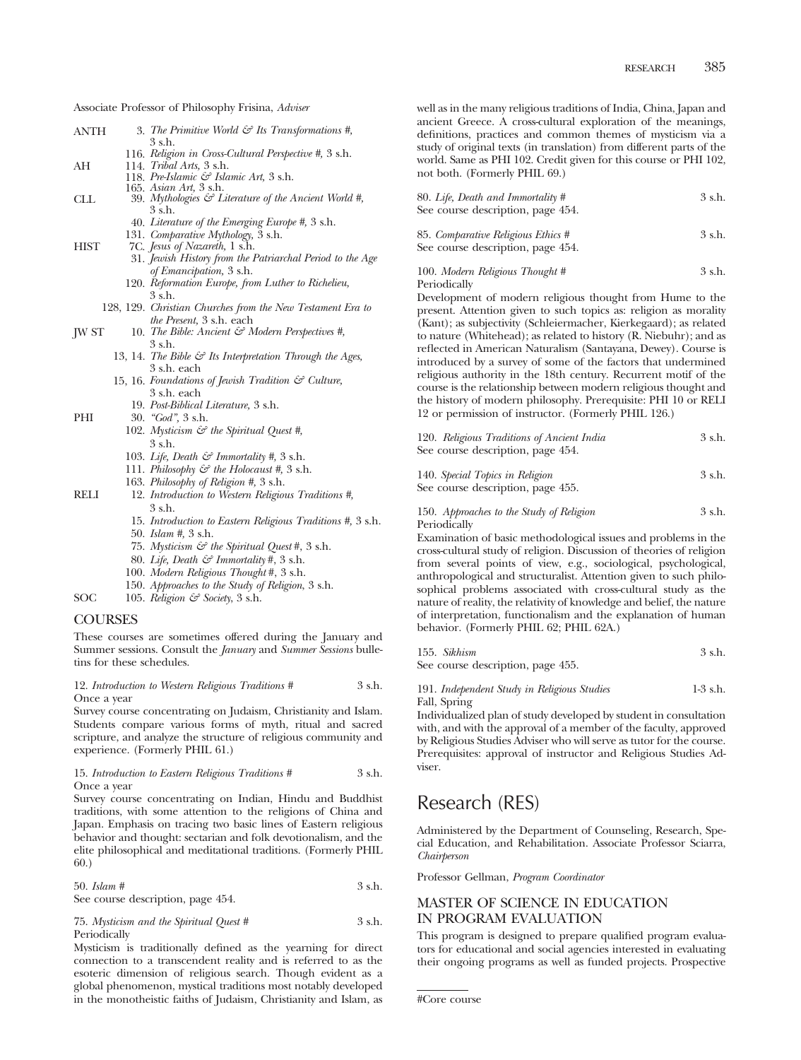Associate Professor of Philosophy Frisina, *Adviser*

| ANTH  | 3. The Primitive World $\mathcal{C}$ Its Transformations #,          |
|-------|----------------------------------------------------------------------|
|       | 3 s.h.                                                               |
|       | 116. Religion in Cross-Cultural Perspective #, 3 s.h.                |
| AН    | 114. Tribal Arts, 3 s.h.                                             |
|       | 118. Pre-Islamic & Islamic Art, 3 s.h.                               |
|       | 165. Asian Art, 3 s.h.                                               |
| CLL   | 39. Mythologies $\mathcal{C}$ Literature of the Ancient World #,     |
|       | 3 s.h.                                                               |
|       | 40. Literature of the Emerging Europe #, 3 s.h.                      |
|       | 131. Comparative Mythology, 3 s.h.                                   |
| HIST  | 7C. Jesus of Nazareth, 1 s.h.                                        |
|       | 31. Jewish History from the Patriarchal Period to the Age            |
|       | of Emancipation, 3 s.h.                                              |
|       | 120. Reformation Europe, from Luther to Richelieu,                   |
|       | 3 s.h.                                                               |
|       | 128, 129. Christian Churches from the New Testament Era to           |
|       | <i>the Present</i> , 3 s.h. each                                     |
| JW ST | 10. The Bible: Ancient $\mathcal{C}$ Modern Perspectives #,          |
|       | 3 s.h.                                                               |
|       | 13, 14. The Bible $\mathcal{G}$ Its Interpretation Through the Ages, |
|       | 3 s.h. each                                                          |
|       | 15, 16. Foundations of Jewish Tradition & Culture,                   |
|       | 3 s.h. each                                                          |
|       | 19. Post-Biblical Literature, 3 s.h.                                 |
| PHI   | $30.$ "God", $3 \text{ s.h.}$                                        |
|       | 102. Mysticism & the Spiritual Quest #,                              |
|       | 3 s.h.                                                               |
|       | 103. Life, Death $\mathcal{E}$ Immortality #, 3 s.h.                 |
|       | 111. Philosophy $\mathcal{C}$ the Holocaust #, 3 s.h.                |
|       |                                                                      |

- 163. *Philosophy of Religion #,* 3 s.h.
- RELI 12. *Introduction to Western Religious Traditions #,* 3 s.h.
	- 15. *Introduction to Eastern Religious Traditions #,* 3 s.h. 50. *Islam #,* 3 s.h.
	- 75. *Mysticism & the Spiritual Quest* #, 3 s.h.
	- 80. *Life, Death & Immortality* #, 3 s.h.
	- 100. *Modern Religious Thought* #, 3 s.h.
	- 150. *Approaches to the Study of Religion*, 3 s.h.
- SOC 105. *Religion & Society*, 3 s.h.

# COURSES

These courses are sometimes offered during the January and Summer sessions. Consult the *January* and *Summer Sessions* bulletins for these schedules.

# 12. *Introduction to Western Religious Traditions #* 3 s.h. Once a year

Survey course concentrating on Judaism, Christianity and Islam. Students compare various forms of myth, ritual and sacred scripture, and analyze the structure of religious community and experience. (Formerly PHIL 61.)

### 15. *Introduction to Eastern Religious Traditions #* 3 s.h. Once a year

Survey course concentrating on Indian, Hindu and Buddhist traditions, with some attention to the religions of China and Japan. Emphasis on tracing two basic lines of Eastern religious behavior and thought: sectarian and folk devotionalism, and the elite philosophical and meditational traditions. (Formerly PHIL 60.)

| $50.$ Islam #                     | 3 s.h. |
|-----------------------------------|--------|
| See course description, page 454. |        |

75. *Mysticism and the Spiritual Quest #* 3 s.h. Periodically

Mysticism is traditionally defined as the yearning for direct connection to a transcendent reality and is referred to as the esoteric dimension of religious search. Though evident as a global phenomenon, mystical traditions most notably developed in the monotheistic faiths of Judaism, Christianity and Islam, as

well as in the many religious traditions of India, China, Japan and ancient Greece. A cross-cultural exploration of the meanings, definitions, practices and common themes of mysticism via a study of original texts (in translation) from different parts of the world. Same as PHI 102. Credit given for this course or PHI 102, not both. (Formerly PHIL 69.)

| 80. Life, Death and Immortality # | 3 s.h. |
|-----------------------------------|--------|
| See course description, page 454. |        |
| 85 Comparative Policians Ethics # | 2ch    |

| 85. Comparative Religious Ethics # | 3 s.h. |
|------------------------------------|--------|
| See course description, page 454.  |        |

100. *Modern Religious Thought #* 3 s.h. Periodically

Development of modern religious thought from Hume to the present. Attention given to such topics as: religion as morality (Kant); as subjectivity (Schleiermacher, Kierkegaard); as related to nature (Whitehead); as related to history (R. Niebuhr); and as reflected in American Naturalism (Santayana, Dewey). Course is introduced by a survey of some of the factors that undermined religious authority in the 18th century. Recurrent motif of the course is the relationship between modern religious thought and the history of modern philosophy. Prerequisite: PHI 10 or RELI 12 or permission of instructor. (Formerly PHIL 126.)

| 120. Religious Traditions of Ancient India | 3 s.h. |
|--------------------------------------------|--------|
| See course description, page 454.          |        |

| 140. Special Topics in Religion   | 3 s.h. |
|-----------------------------------|--------|
| See course description, page 455. |        |

150. *Approaches to the Study of Religion* 3 s.h. Periodically

Examination of basic methodological issues and problems in the cross-cultural study of religion. Discussion of theories of religion from several points of view, e.g., sociological, psychological, anthropological and structuralist. Attention given to such philosophical problems associated with cross-cultural study as the nature of reality, the relativity of knowledge and belief, the nature of interpretation, functionalism and the explanation of human behavior. (Formerly PHIL 62; PHIL 62A.)

| 155. Sikhism                 | 3 s.h. |
|------------------------------|--------|
| Cas samus daramatan naga 455 |        |

See course description, page 455.

# 191. *Independent Study in Religious Studies* 1-3 s.h. Fall, Spring

Individualized plan of study developed by student in consultation with, and with the approval of a member of the faculty, approved by Religious Studies Adviser who will serve as tutor for the course. Prerequisites: approval of instructor and Religious Studies Adviser.

# Research (RES)

Administered by the Department of Counseling, Research, Special Education, and Rehabilitation. Associate Professor Sciarra, *Chairperson*

Professor Gellman, *Program Coordinator*

# MASTER OF SCIENCE IN EDUCATION IN PROGRAM EVALUATION

This program is designed to prepare qualified program evaluators for educational and social agencies interested in evaluating their ongoing programs as well as funded projects. Prospective

<sup>#</sup>Core course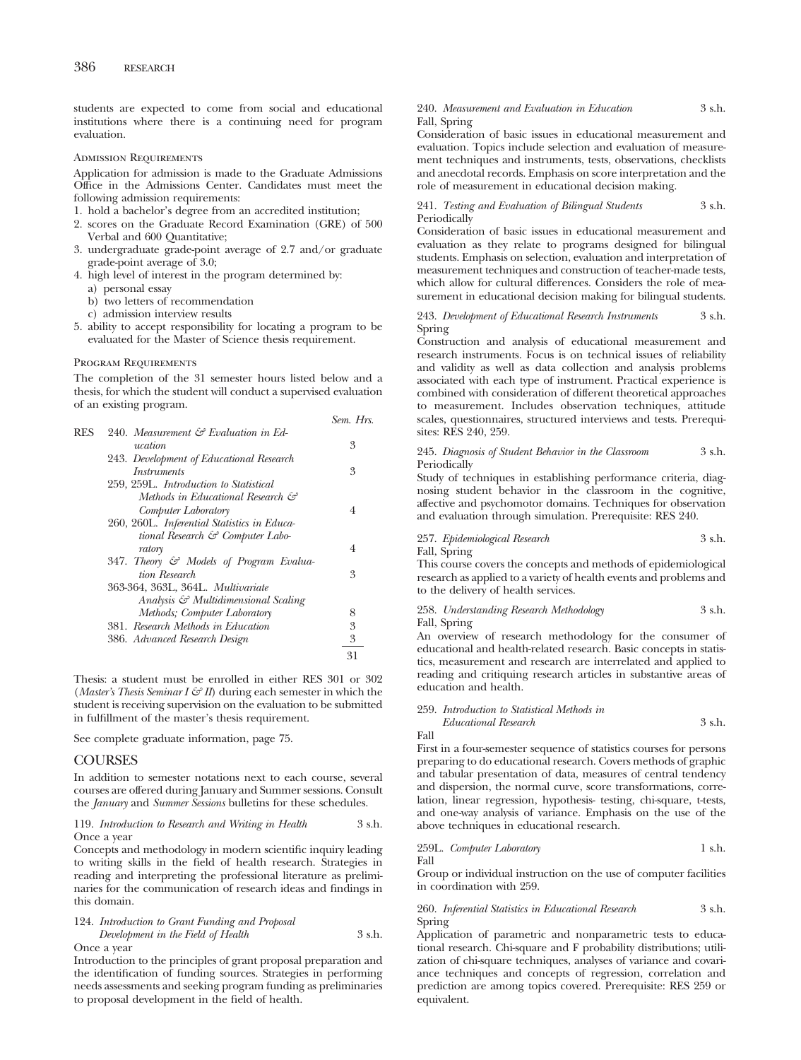students are expected to come from social and educational institutions where there is a continuing need for program evaluation.

Admission Requirements

Application for admission is made to the Graduate Admissions Office in the Admissions Center. Candidates must meet the following admission requirements:

1. hold a bachelor's degree from an accredited institution;

- 2. scores on the Graduate Record Examination (GRE) of 500 Verbal and 600 Quantitative;
- 3. undergraduate grade-point average of 2.7 and/or graduate grade-point average of 3.0;
- 4. high level of interest in the program determined by:
	- a) personal essay
	- b) two letters of recommendation
	- c) admission interview results
- 5. ability to accept responsibility for locating a program to be evaluated for the Master of Science thesis requirement.

### Program Requirements

The completion of the 31 semester hours listed below and a thesis, for which the student will conduct a supervised evaluation of an existing program.

|            |                                                 | OG116. 1113. |
|------------|-------------------------------------------------|--------------|
| <b>RES</b> | 240. Measurement $\mathcal G$ Evaluation in Ed- |              |
|            | ucation                                         | 3            |
|            | 243. Development of Educational Research        |              |
|            | <i>Instruments</i>                              | 3            |
|            | 259, 259L. Introduction to Statistical          |              |
|            | Methods in Educational Research &               |              |
|            | Computer Laboratory                             | 4            |
|            | 260, 260L. Inferential Statistics in Educa-     |              |
|            | tional Research $\mathcal{C}$ Computer Labo-    |              |
|            | ratory                                          | 4            |
|            | 347. Theory & Models of Program Evalua-         |              |
|            | tion Research                                   | 3            |
|            | 363-364, 363L, 364L, Multivariate               |              |
|            | Analysis & Multidimensional Scaling             |              |
|            | Methods; Computer Laboratory                    | 8            |
|            | 381. Research Methods in Education              | 3            |
|            | 386. Advanced Research Design                   | 3            |
|            |                                                 | 31           |
|            |                                                 |              |

Thesis: a student must be enrolled in either RES 301 or 302 (*Master's Thesis Seminar I*  $\mathcal{F}$  *II*) during each semester in which the student is receiving supervision on the evaluation to be submitted in fulfillment of the master's thesis requirement.

See complete graduate information, page 75.

# **COURSES**

In addition to semester notations next to each course, several courses are offered during January and Summer sessions. Consult the *January* and *Summer Sessions* bulletins for these schedules.

### 119. *Introduction to Research and Writing in Health* 3 s.h. Once a year

Concepts and methodology in modern scientific inquiry leading to writing skills in the field of health research. Strategies in reading and interpreting the professional literature as preliminaries for the communication of research ideas and findings in this domain.

# 124. *Introduction to Grant Funding and Proposal Development in the Field of Health* 3 s.h. Once a year

Introduction to the principles of grant proposal preparation and the identification of funding sources. Strategies in performing needs assessments and seeking program funding as preliminaries to proposal development in the field of health.

# 240. *Measurement and Evaluation in Education* 3 s.h. Fall, Spring

Consideration of basic issues in educational measurement and evaluation. Topics include selection and evaluation of measurement techniques and instruments, tests, observations, checklists and anecdotal records. Emphasis on score interpretation and the role of measurement in educational decision making.

241. *Testing and Evaluation of Bilingual Students* 3 s.h. **Periodically** 

Consideration of basic issues in educational measurement and evaluation as they relate to programs designed for bilingual students. Emphasis on selection, evaluation and interpretation of measurement techniques and construction of teacher-made tests, which allow for cultural differences. Considers the role of measurement in educational decision making for bilingual students.

# 243. *Development of Educational Research Instruments* 3 s.h. Spring

Construction and analysis of educational measurement and research instruments. Focus is on technical issues of reliability and validity as well as data collection and analysis problems associated with each type of instrument. Practical experience is combined with consideration of different theoretical approaches to measurement. Includes observation techniques, attitude scales, questionnaires, structured interviews and tests. Prerequisites: RES 240, 259.

## 245. *Diagnosis of Student Behavior in the Classroom* 3 s.h. Periodically

Study of techniques in establishing performance criteria, diagnosing student behavior in the classroom in the cognitive, affective and psychomotor domains. Techniques for observation and evaluation through simulation. Prerequisite: RES 240.

# 257. *Epidemiological Research* 3 s.h.

Fall, Spring

*Sem. Hrs.*

This course covers the concepts and methods of epidemiological research as applied to a variety of health events and problems and to the delivery of health services.

# 258. *Understanding Research Methodology* 3 s.h. Fall, Spring

An overview of research methodology for the consumer of educational and health-related research. Basic concepts in statistics, measurement and research are interrelated and applied to reading and critiquing research articles in substantive areas of education and health.

259. *Introduction to Statistical Methods in Educational Research* 3 s.h.

Fall

First in a four-semester sequence of statistics courses for persons preparing to do educational research. Covers methods of graphic and tabular presentation of data, measures of central tendency and dispersion, the normal curve, score transformations, correlation, linear regression, hypothesis- testing, chi-square, t-tests, and one-way analysis of variance. Emphasis on the use of the above techniques in educational research.

259L. *Computer Laboratory* 1 s.h. Fall

Group or individual instruction on the use of computer facilities in coordination with 259.

# 260. *Inferential Statistics in Educational Research* 3 s.h. Spring

Application of parametric and nonparametric tests to educational research. Chi-square and F probability distributions; utilization of chi-square techniques, analyses of variance and covariance techniques and concepts of regression, correlation and prediction are among topics covered. Prerequisite: RES 259 or equivalent.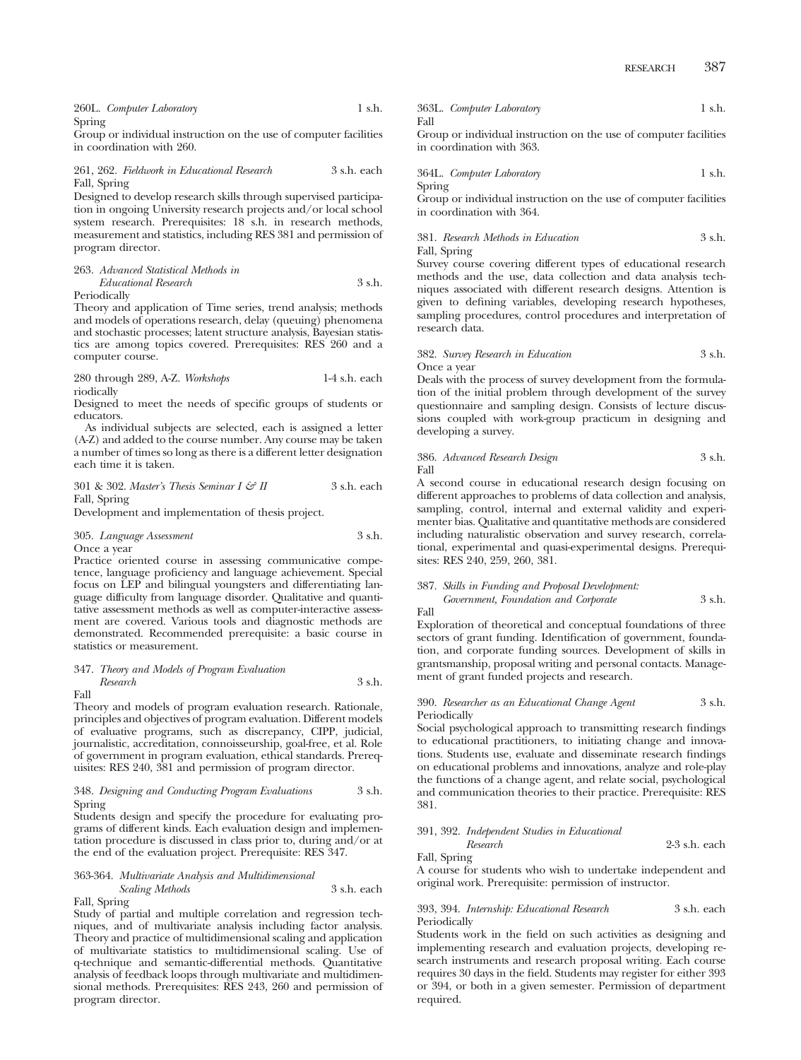|        | 260L. Computer Laboratory | 1 s.h. |
|--------|---------------------------|--------|
| Spring |                           |        |

Group or individual instruction on the use of computer facilities in coordination with 260.

# 261, 262. *Fieldwork in Educational Research* 3 s.h. each Fall, Spring

Designed to develop research skills through supervised participation in ongoing University research projects and/or local school system research. Prerequisites: 18 s.h. in research methods, measurement and statistics, including RES 381 and permission of program director.

## 263. *Advanced Statistical Methods in Educational Research* 3 s.h.

Periodically

Theory and application of Time series, trend analysis; methods and models of operations research, delay (queuing) phenomena and stochastic processes; latent structure analysis, Bayesian statistics are among topics covered. Prerequisites: RES 260 and a computer course.

# 280 through 289, A-Z. *Workshops* 1-4 s.h. each riodically

Designed to meet the needs of specific groups of students or educators.

As individual subjects are selected, each is assigned a letter (A-Z) and added to the course number. Any course may be taken a number of times so long as there is a different letter designation each time it is taken.

## 301 & 302. *Master's Thesis Seminar I & II* 3 s.h. each Fall, Spring

Development and implementation of thesis project.

# 305. *Language Assessment* 3 s.h. Once a year

Practice oriented course in assessing communicative competence, language proficiency and language achievement. Special focus on LEP and bilingual youngsters and differentiating language difficulty from language disorder. Qualitative and quantitative assessment methods as well as computer-interactive assessment are covered. Various tools and diagnostic methods are demonstrated. Recommended prerequisite: a basic course in statistics or measurement.

# 347. *Theory and Models of Program Evaluation*

*Research* 3 s.h. Fall

Theory and models of program evaluation research. Rationale, principles and objectives of program evaluation. Different models of evaluative programs, such as discrepancy, CIPP, judicial, journalistic, accreditation, connoisseurship, goal-free, et al. Role of government in program evaluation, ethical standards. Prerequisites: RES 240, 381 and permission of program director.

# 348. *Designing and Conducting Program Evaluations* 3 s.h. Spring

Students design and specify the procedure for evaluating programs of different kinds. Each evaluation design and implementation procedure is discussed in class prior to, during and/or at the end of the evaluation project. Prerequisite: RES 347.

# 363-364. *Multivariate Analysis and Multidimensional Scaling Methods* 3 s.h. each

Fall, Spring Study of partial and multiple correlation and regression techniques, and of multivariate analysis including factor analysis. Theory and practice of multidimensional scaling and application of multivariate statistics to multidimensional scaling. Use of q-technique and semantic-differential methods. Quantitative analysis of feedback loops through multivariate and multidimensional methods. Prerequisites: RES 243, 260 and permission of program director.

363L. *Computer Laboratory* 1 s.h. Fall

Group or individual instruction on the use of computer facilities in coordination with 363.

364L. *Computer Laboratory* 1 s.h. Spring

Group or individual instruction on the use of computer facilities in coordination with 364.

# 381. *Research Methods in Education* 3 s.h. Fall, Spring

Survey course covering different types of educational research methods and the use, data collection and data analysis techniques associated with different research designs. Attention is given to defining variables, developing research hypotheses, sampling procedures, control procedures and interpretation of research data.

# 382. *Survey Research in Education* 3 s.h. Once a year

Deals with the process of survey development from the formulation of the initial problem through development of the survey questionnaire and sampling design. Consists of lecture discussions coupled with work-group practicum in designing and developing a survey.

# 386. *Advanced Research Design* 3 s.h. Fall

A second course in educational research design focusing on different approaches to problems of data collection and analysis, sampling, control, internal and external validity and experimenter bias. Qualitative and quantitative methods are considered including naturalistic observation and survey research, correlational, experimental and quasi-experimental designs. Prerequisites: RES 240, 259, 260, 381.

# 387. *Skills in Funding and Proposal Development: Government, Foundation and Corporate* 3 s.h.

Fall

Exploration of theoretical and conceptual foundations of three sectors of grant funding. Identification of government, foundation, and corporate funding sources. Development of skills in grantsmanship, proposal writing and personal contacts. Management of grant funded projects and research.

# 390. *Researcher as an Educational Change Agent* 3 s.h. Periodically

Social psychological approach to transmitting research findings to educational practitioners, to initiating change and innovations. Students use, evaluate and disseminate research findings on educational problems and innovations, analyze and role-play the functions of a change agent, and relate social, psychological and communication theories to their practice. Prerequisite: RES 381.

# 391, 392. *Independent Studies in Educational*

Fall, Spring

A course for students who wish to undertake independent and original work. Prerequisite: permission of instructor.

*Research* 2-3 s.h. each

# 393, 394. *Internship: Educational Research* 3 s.h. each Periodically

Students work in the field on such activities as designing and implementing research and evaluation projects, developing research instruments and research proposal writing. Each course requires 30 days in the field. Students may register for either 393 or 394, or both in a given semester. Permission of department required.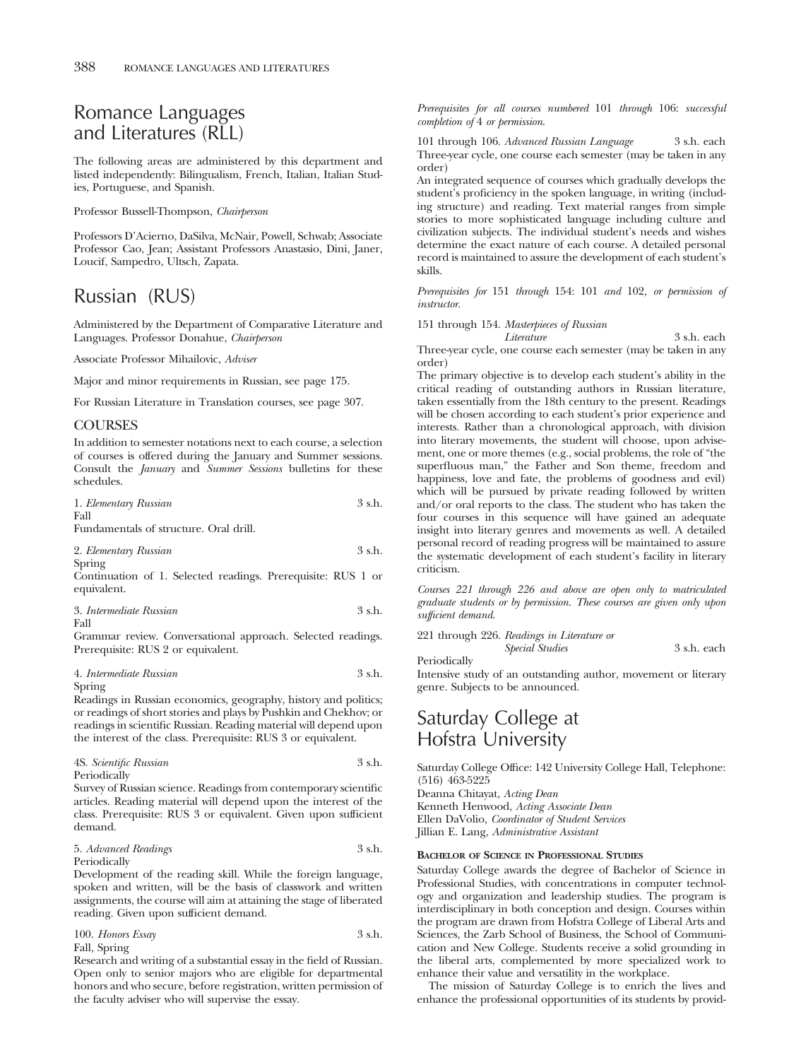# Romance Languages and Literatures (RLL)

The following areas are administered by this department and listed independently: Bilingualism, French, Italian, Italian Studies, Portuguese, and Spanish.

Professor Bussell-Thompson, *Chairperson*

Professors D'Acierno, DaSilva, McNair, Powell, Schwab; Associate Professor Cao, Jean; Assistant Professors Anastasio, Dini, Janer, Loucif, Sampedro, Ultsch, Zapata.

# Russian (RUS)

Administered by the Department of Comparative Literature and Languages. Professor Donahue, *Chairperson*

Associate Professor Mihailovic, *Adviser*

Major and minor requirements in Russian, see page 175.

For Russian Literature in Translation courses, see page 307.

# COURSES

In addition to semester notations next to each course, a selection of courses is offered during the January and Summer sessions. Consult the *January* and *Summer Sessions* bulletins for these schedules.

| 1. Elementary Russian                  | $3$ s.h. |
|----------------------------------------|----------|
| Fall                                   |          |
| Fundamentals of structure. Oral drill. |          |
|                                        |          |

2. *Elementary Russian* 3 s.h. Spring

Continuation of 1. Selected readings. Prerequisite: RUS 1 or equivalent.

| 3. Intermediate Russian | 3 s.h. |  |
|-------------------------|--------|--|
| ----                    |        |  |

Fall

Grammar review. Conversational approach. Selected readings. Prerequisite: RUS 2 or equivalent.

|                               | 4. Intermediate Russian | 3 s.h. |
|-------------------------------|-------------------------|--------|
| $\mathbf{C}$ and $\mathbf{C}$ |                         |        |

Spring

Readings in Russian economics, geography, history and politics; or readings of short stories and plays by Pushkin and Chekhov; or readings in scientific Russian. Reading material will depend upon the interest of the class. Prerequisite: RUS 3 or equivalent.

| 4S. Scientific Russian | 3 s.h. |
|------------------------|--------|
| Periodically           |        |

Survey of Russian science. Readings from contemporary scientific articles. Reading material will depend upon the interest of the class. Prerequisite: RUS 3 or equivalent. Given upon sufficient demand.

```
5. Advanced Readings 3 s.h.
```
Periodically

Development of the reading skill. While the foreign language, spoken and written, will be the basis of classwork and written assignments, the course will aim at attaining the stage of liberated reading. Given upon sufficient demand.

```
100. Honors Essay 3 s.h.
Fall, Spring
```
Research and writing of a substantial essay in the field of Russian. Open only to senior majors who are eligible for departmental honors and who secure, before registration, written permission of the faculty adviser who will supervise the essay.

*Prerequisites for all courses numbered* 101 *through* 106: *successful completion of* 4 *or permission*.

101 through 106. *Advanced Russian Language* 3 s.h. each Three-year cycle, one course each semester (may be taken in any order)

An integrated sequence of courses which gradually develops the student's proficiency in the spoken language, in writing (including structure) and reading. Text material ranges from simple stories to more sophisticated language including culture and civilization subjects. The individual student's needs and wishes determine the exact nature of each course. A detailed personal record is maintained to assure the development of each student's skills.

*Prerequisites for* 151 *through* 154: 101 *and* 102*, or permission of instructor*.

151 through 154. *Masterpieces of Russian*

*Literature* 3 s.h. each Three-year cycle, one course each semester (may be taken in any order)

The primary objective is to develop each student's ability in the critical reading of outstanding authors in Russian literature, taken essentially from the 18th century to the present. Readings will be chosen according to each student's prior experience and interests. Rather than a chronological approach, with division into literary movements, the student will choose, upon advisement, one or more themes (e.g., social problems, the role of "the superfluous man," the Father and Son theme, freedom and happiness, love and fate, the problems of goodness and evil) which will be pursued by private reading followed by written and/or oral reports to the class. The student who has taken the four courses in this sequence will have gained an adequate insight into literary genres and movements as well. A detailed personal record of reading progress will be maintained to assure the systematic development of each student's facility in literary criticism.

*Courses 221 through 226 and above are open only to matriculated graduate students or by permission. These courses are given only upon sufficient demand*.

221 through 226. *Readings in Literature or Special Studies* 3 s.h. each

Periodically

Intensive study of an outstanding author, movement or literary genre. Subjects to be announced.

# Saturday College at Hofstra University

Saturday College Office: 142 University College Hall, Telephone: (516) 463-5225

Deanna Chitayat, *Acting Dean* Kenneth Henwood, *Acting Associate Dean* Ellen DaVolio, *Coordinator of Student Services* Jillian E. Lang, *Administrative Assistant*

# **BACHELOR OF SCIENCE IN PROFESSIONAL STUDIES**

Saturday College awards the degree of Bachelor of Science in Professional Studies, with concentrations in computer technology and organization and leadership studies. The program is interdisciplinary in both conception and design. Courses within the program are drawn from Hofstra College of Liberal Arts and Sciences, the Zarb School of Business, the School of Communication and New College. Students receive a solid grounding in the liberal arts, complemented by more specialized work to enhance their value and versatility in the workplace.

The mission of Saturday College is to enrich the lives and enhance the professional opportunities of its students by provid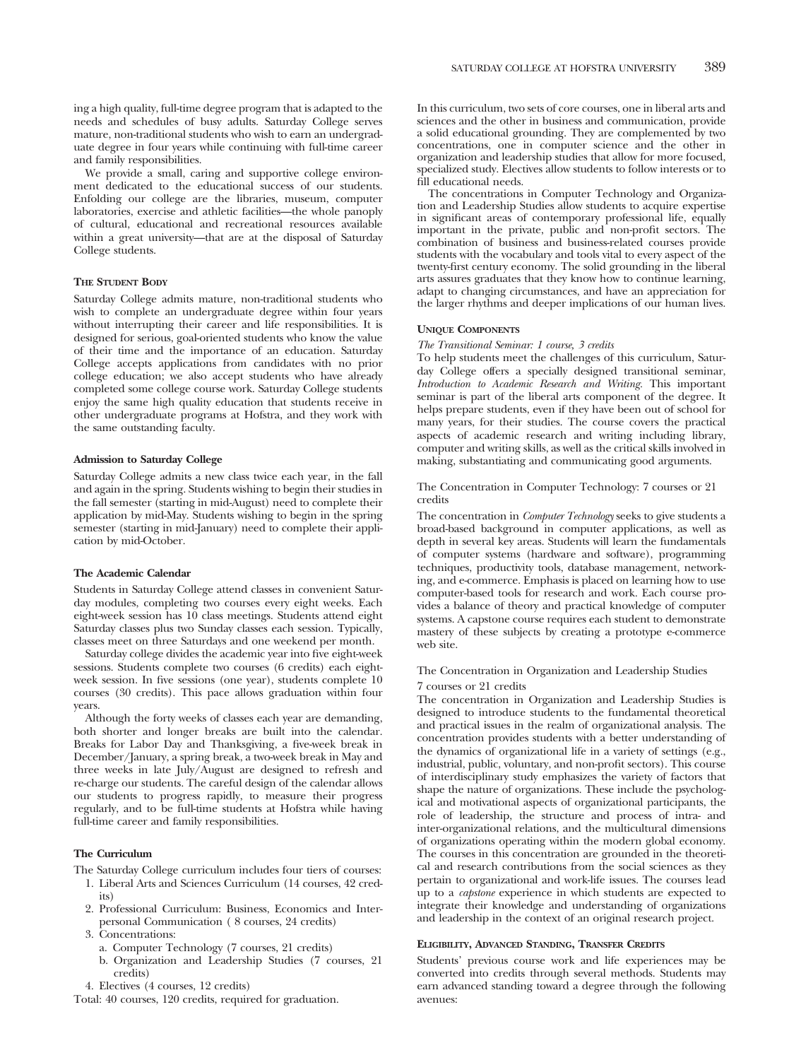ing a high quality, full-time degree program that is adapted to the needs and schedules of busy adults. Saturday College serves mature, non-traditional students who wish to earn an undergraduate degree in four years while continuing with full-time career and family responsibilities.

We provide a small, caring and supportive college environment dedicated to the educational success of our students. Enfolding our college are the libraries, museum, computer laboratories, exercise and athletic facilities—the whole panoply of cultural, educational and recreational resources available within a great university—that are at the disposal of Saturday College students.

### **THE STUDENT BODY**

Saturday College admits mature, non-traditional students who wish to complete an undergraduate degree within four years without interrupting their career and life responsibilities. It is designed for serious, goal-oriented students who know the value of their time and the importance of an education. Saturday College accepts applications from candidates with no prior college education; we also accept students who have already completed some college course work. Saturday College students enjoy the same high quality education that students receive in other undergraduate programs at Hofstra, and they work with the same outstanding faculty.

# **Admission to Saturday College**

Saturday College admits a new class twice each year, in the fall and again in the spring. Students wishing to begin their studies in the fall semester (starting in mid-August) need to complete their application by mid-May. Students wishing to begin in the spring semester (starting in mid-January) need to complete their application by mid-October.

# **The Academic Calendar**

Students in Saturday College attend classes in convenient Saturday modules, completing two courses every eight weeks. Each eight-week session has 10 class meetings. Students attend eight Saturday classes plus two Sunday classes each session. Typically, classes meet on three Saturdays and one weekend per month.

Saturday college divides the academic year into five eight-week sessions. Students complete two courses (6 credits) each eightweek session. In five sessions (one year), students complete 10 courses (30 credits). This pace allows graduation within four years.

Although the forty weeks of classes each year are demanding, both shorter and longer breaks are built into the calendar. Breaks for Labor Day and Thanksgiving, a five-week break in December/January, a spring break, a two-week break in May and three weeks in late July/August are designed to refresh and re-charge our students. The careful design of the calendar allows our students to progress rapidly, to measure their progress regularly, and to be full-time students at Hofstra while having full-time career and family responsibilities.

### **The Curriculum**

- The Saturday College curriculum includes four tiers of courses:
	- 1. Liberal Arts and Sciences Curriculum (14 courses, 42 credits)
	- 2. Professional Curriculum: Business, Economics and Interpersonal Communication ( 8 courses, 24 credits)
	- 3. Concentrations:
	- a. Computer Technology (7 courses, 21 credits)
	- b. Organization and Leadership Studies (7 courses, 21 credits)
	- 4. Electives (4 courses, 12 credits)

Total: 40 courses, 120 credits, required for graduation.

In this curriculum, two sets of core courses, one in liberal arts and sciences and the other in business and communication, provide a solid educational grounding. They are complemented by two concentrations, one in computer science and the other in organization and leadership studies that allow for more focused, specialized study. Electives allow students to follow interests or to fill educational needs.

The concentrations in Computer Technology and Organization and Leadership Studies allow students to acquire expertise in significant areas of contemporary professional life, equally important in the private, public and non-profit sectors. The combination of business and business-related courses provide students with the vocabulary and tools vital to every aspect of the twenty-first century economy. The solid grounding in the liberal arts assures graduates that they know how to continue learning, adapt to changing circumstances, and have an appreciation for the larger rhythms and deeper implications of our human lives.

# **UNIQUE COMPONENTS**

### *The Transitional Seminar: 1 course, 3 credits*

To help students meet the challenges of this curriculum, Saturday College offers a specially designed transitional seminar, *Introduction to Academic Research and Writing.* This important seminar is part of the liberal arts component of the degree. It helps prepare students, even if they have been out of school for many years, for their studies. The course covers the practical aspects of academic research and writing including library, computer and writing skills, as well as the critical skills involved in making, substantiating and communicating good arguments.

# The Concentration in Computer Technology: 7 courses or 21 credits

The concentration in *Computer Technology* seeks to give students a broad-based background in computer applications, as well as depth in several key areas. Students will learn the fundamentals of computer systems (hardware and software), programming techniques, productivity tools, database management, networking, and e-commerce. Emphasis is placed on learning how to use computer-based tools for research and work. Each course provides a balance of theory and practical knowledge of computer systems. A capstone course requires each student to demonstrate mastery of these subjects by creating a prototype e-commerce web site.

# The Concentration in Organization and Leadership Studies 7 courses or 21 credits

The concentration in Organization and Leadership Studies is designed to introduce students to the fundamental theoretical and practical issues in the realm of organizational analysis. The concentration provides students with a better understanding of the dynamics of organizational life in a variety of settings (e.g., industrial, public, voluntary, and non-profit sectors). This course of interdisciplinary study emphasizes the variety of factors that shape the nature of organizations. These include the psychological and motivational aspects of organizational participants, the role of leadership, the structure and process of intra- and inter-organizational relations, and the multicultural dimensions of organizations operating within the modern global economy. The courses in this concentration are grounded in the theoretical and research contributions from the social sciences as they pertain to organizational and work-life issues. The courses lead up to a *capstone* experience in which students are expected to integrate their knowledge and understanding of organizations and leadership in the context of an original research project.

# **ELIGIBILITY, ADVANCED STANDING, TRANSFER CREDITS**

Students' previous course work and life experiences may be converted into credits through several methods. Students may earn advanced standing toward a degree through the following avenues: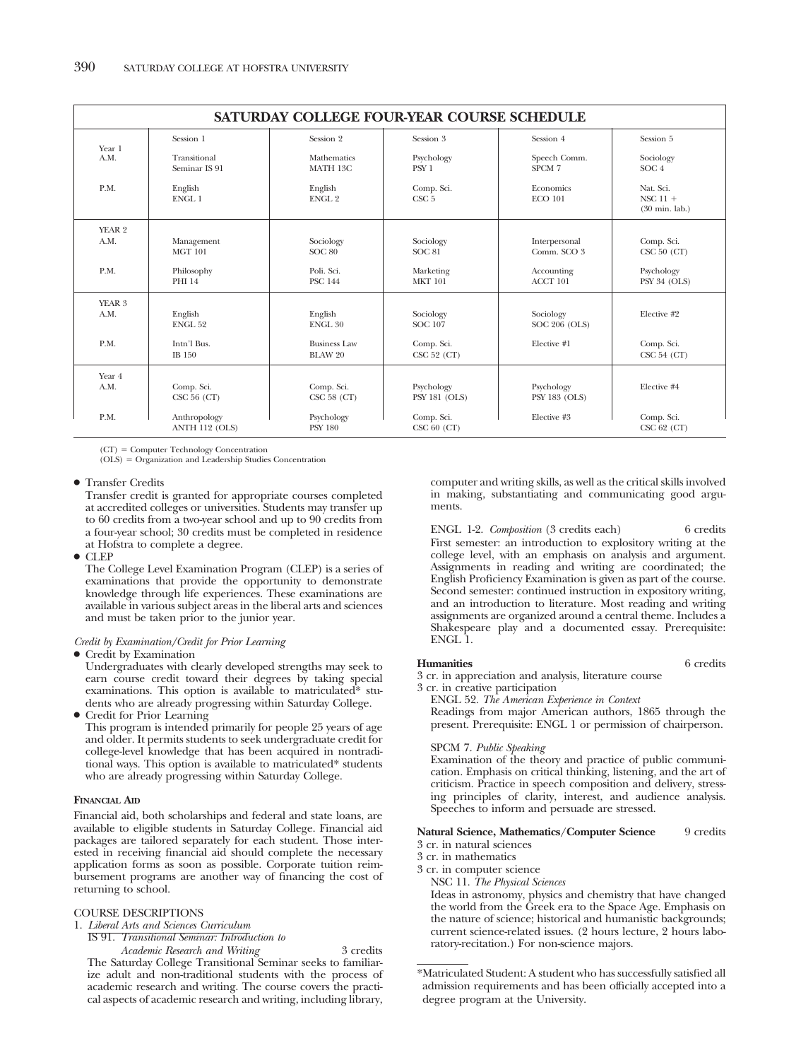| SATURDAY COLLEGE FOUR-YEAR COURSE SCHEDULE |                                |                                       |                                    |                                    |                                                     |  |
|--------------------------------------------|--------------------------------|---------------------------------------|------------------------------------|------------------------------------|-----------------------------------------------------|--|
| Year 1                                     | Session 1                      | Session 2                             | Session 3                          | Session 4                          | Session 5                                           |  |
| A.M.                                       | Transitional<br>Seminar IS 91  | Mathematics<br>MATH 13C               | Psychology<br>PSY <sub>1</sub>     | Speech Comm.<br>SPCM 7             | Sociology<br>SOC <sub>4</sub>                       |  |
| P.M.                                       | English<br>ENGL 1              | English<br>ENGL <sub>2</sub>          | Comp. Sci.<br>CSC <sub>5</sub>     | Economics<br><b>ECO 101</b>        | Nat. Sci.<br>NSC $11 +$<br>$(30 \text{ min.}$ lab.) |  |
| YEAR <sub>2</sub>                          |                                |                                       |                                    |                                    |                                                     |  |
| A.M.                                       | Management<br><b>MGT 101</b>   | Sociology<br><b>SOC 80</b>            | Sociology<br><b>SOC 81</b>         | Interpersonal<br>Comm. SCO 3       | Comp. Sci.<br>CSC 50 (CT)                           |  |
| P.M.                                       | Philosophy<br><b>PHI 14</b>    | Poli. Sci.<br><b>PSC 144</b>          | Marketing<br><b>MKT 101</b>        | Accounting<br>ACCT 101             | Psychology<br>PSY 34 (OLS)                          |  |
| YEAR 3<br>A.M.                             | English<br><b>ENGL 52</b>      | English<br>ENGL <sub>30</sub>         | Sociology<br><b>SOC 107</b>        | Sociology<br>SOC 206 (OLS)         | Elective #2                                         |  |
| P.M.                                       | Intn'l Bus.<br>IB 150          | <b>Business Law</b><br><b>BLAW 20</b> | Comp. Sci.<br>CSC 52 (CT)          | Elective #1                        | Comp. Sci.<br>CSC 54 (CT)                           |  |
| Year 4                                     |                                |                                       |                                    |                                    |                                                     |  |
| A.M.                                       | Comp. Sci.<br>CSC 56 (CT)      | Comp. Sci.<br>CSC 58 (CT)             | Psychology<br><b>PSY 181 (OLS)</b> | Psychology<br><b>PSY 183 (OLS)</b> | Elective #4                                         |  |
| P.M.                                       | Anthropology<br>ANTH 112 (OLS) | Psychology<br><b>PSY 180</b>          | Comp. Sci.<br>CSC 60 (CT)          | Elective #3                        | Comp. Sci.<br>CSC 62 (CT)                           |  |

(CT) Computer Technology Concentration  $(OLS) =$  Organization and Leadership Studies Concentration

### ● Transfer Credits

Transfer credit is granted for appropriate courses completed at accredited colleges or universities. Students may transfer up to 60 credits from a two-year school and up to 90 credits from a four-year school; 30 credits must be completed in residence at Hofstra to complete a degree.

● CLEP

The College Level Examination Program (CLEP) is a series of examinations that provide the opportunity to demonstrate knowledge through life experiences. These examinations are available in various subject areas in the liberal arts and sciences and must be taken prior to the junior year.

## *Credit by Examination/Credit for Prior Learning*

● Credit by Examination

Undergraduates with clearly developed strengths may seek to earn course credit toward their degrees by taking special examinations. This option is available to matriculated\* students who are already progressing within Saturday College.

● Credit for Prior Learning This program is intended primarily for people 25 years of age and older. It permits students to seek undergraduate credit for college-level knowledge that has been acquired in nontraditional ways. This option is available to matriculated\* students who are already progressing within Saturday College.

# **FINANCIAL AID**

Financial aid, both scholarships and federal and state loans, are available to eligible students in Saturday College. Financial aid packages are tailored separately for each student. Those interested in receiving financial aid should complete the necessary application forms as soon as possible. Corporate tuition reimbursement programs are another way of financing the cost of returning to school.

# COURSE DESCRIPTIONS

1. *Liberal Arts and Sciences Curriculum*

IS 91. *Transitional Seminar: Introduction to*

*Academic Research and Writing* 3 credits The Saturday College Transitional Seminar seeks to familiarize adult and non-traditional students with the process of academic research and writing. The course covers the practical aspects of academic research and writing, including library, computer and writing skills, as well as the critical skills involved in making, substantiating and communicating good arguments.

ENGL 1-2. *Composition* (3 credits each) 6 credits First semester: an introduction to explository writing at the college level, with an emphasis on analysis and argument. Assignments in reading and writing are coordinated; the English Proficiency Examination is given as part of the course. Second semester: continued instruction in expository writing, and an introduction to literature. Most reading and writing assignments are organized around a central theme. Includes a Shakespeare play and a documented essay. Prerequisite: ENGL 1.

# **Humanities** 6 credits

3 cr. in appreciation and analysis, literature course

3 cr. in creative participation

ENGL 52. *The American Experience in Context*

Readings from major American authors, 1865 through the present. Prerequisite: ENGL 1 or permission of chairperson.

### SPCM 7. *Public Speaking*

Examination of the theory and practice of public communication. Emphasis on critical thinking, listening, and the art of criticism. Practice in speech composition and delivery, stressing principles of clarity, interest, and audience analysis. Speeches to inform and persuade are stressed.

# Natural Science, Mathematics/Computer Science 9 credits

# 3 cr. in natural sciences

3 cr. in mathematics

3 cr. in computer science

NSC 11. *The Physical Sciences*

Ideas in astronomy, physics and chemistry that have changed the world from the Greek era to the Space Age. Emphasis on the nature of science; historical and humanistic backgrounds; current science-related issues. (2 hours lecture, 2 hours laboratory-recitation.) For non-science majors.

<sup>\*</sup>Matriculated Student: A student who has successfully satisfied all admission requirements and has been officially accepted into a degree program at the University.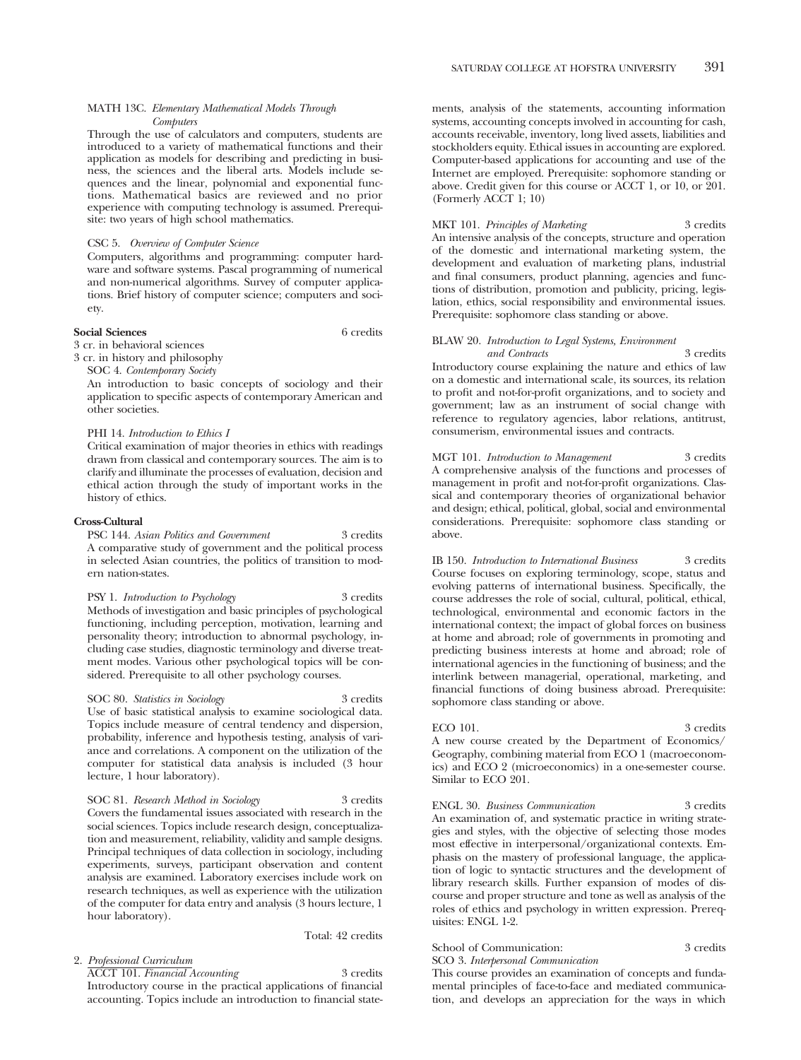# MATH 13C. *Elementary Mathematical Models Through Computers*

Through the use of calculators and computers, students are introduced to a variety of mathematical functions and their application as models for describing and predicting in business, the sciences and the liberal arts. Models include sequences and the linear, polynomial and exponential functions. Mathematical basics are reviewed and no prior experience with computing technology is assumed. Prerequisite: two years of high school mathematics.

# CSC 5. *Overview of Computer Science*

Computers, algorithms and programming: computer hardware and software systems. Pascal programming of numerical and non-numerical algorithms. Survey of computer applications. Brief history of computer science; computers and society.

# **Social Sciences** 6 credits

3 cr. in behavioral sciences

3 cr. in history and philosophy

SOC 4. *Contemporary Society*

An introduction to basic concepts of sociology and their application to specific aspects of contemporary American and other societies.

### PHI 14. *Introduction to Ethics I*

Critical examination of major theories in ethics with readings drawn from classical and contemporary sources. The aim is to clarify and illuminate the processes of evaluation, decision and ethical action through the study of important works in the history of ethics.

# **Cross-Cultural**

PSC 144. *Asian Politics and Government* 3 credits A comparative study of government and the political process in selected Asian countries, the politics of transition to modern nation-states.

PSY 1. *Introduction to Psychology* 3 credits Methods of investigation and basic principles of psychological functioning, including perception, motivation, learning and personality theory; introduction to abnormal psychology, including case studies, diagnostic terminology and diverse treatment modes. Various other psychological topics will be considered. Prerequisite to all other psychology courses.

SOC 80. *Statistics in Sociology* 3 credits Use of basic statistical analysis to examine sociological data. Topics include measure of central tendency and dispersion, probability, inference and hypothesis testing, analysis of variance and correlations. A component on the utilization of the computer for statistical data analysis is included (3 hour lecture, 1 hour laboratory).

SOC 81. *Research Method in Sociology* 3 credits Covers the fundamental issues associated with research in the social sciences. Topics include research design, conceptualization and measurement, reliability, validity and sample designs. Principal techniques of data collection in sociology, including experiments, surveys, participant observation and content analysis are examined. Laboratory exercises include work on research techniques, as well as experience with the utilization of the computer for data entry and analysis (3 hours lecture, 1 hour laboratory).

Total: 42 credits

# 2. *Professional Curriculum*

ACCT 101. *Financial Accounting* 3 credits Introductory course in the practical applications of financial accounting. Topics include an introduction to financial statements, analysis of the statements, accounting information systems, accounting concepts involved in accounting for cash, accounts receivable, inventory, long lived assets, liabilities and stockholders equity. Ethical issues in accounting are explored. Computer-based applications for accounting and use of the Internet are employed. Prerequisite: sophomore standing or above. Credit given for this course or ACCT 1, or 10, or 201. (Formerly ACCT 1; 10)

MKT 101. *Principles of Marketing* 3 credits An intensive analysis of the concepts, structure and operation of the domestic and international marketing system, the development and evaluation of marketing plans, industrial and final consumers, product planning, agencies and functions of distribution, promotion and publicity, pricing, legislation, ethics, social responsibility and environmental issues. Prerequisite: sophomore class standing or above.

# BLAW 20. *Introduction to Legal Systems, Environment*

*and Contracts* 3 credits Introductory course explaining the nature and ethics of law on a domestic and international scale, its sources, its relation to profit and not-for-profit organizations, and to society and government; law as an instrument of social change with reference to regulatory agencies, labor relations, antitrust, consumerism, environmental issues and contracts.

MGT 101. *Introduction to Management* 3 credits A comprehensive analysis of the functions and processes of management in profit and not-for-profit organizations. Classical and contemporary theories of organizational behavior and design; ethical, political, global, social and environmental considerations. Prerequisite: sophomore class standing or above.

IB 150. *Introduction to International Business* 3 credits Course focuses on exploring terminology, scope, status and evolving patterns of international business. Specifically, the course addresses the role of social, cultural, political, ethical, technological, environmental and economic factors in the international context; the impact of global forces on business at home and abroad; role of governments in promoting and predicting business interests at home and abroad; role of international agencies in the functioning of business; and the interlink between managerial, operational, marketing, and financial functions of doing business abroad. Prerequisite: sophomore class standing or above.

ECO 101. 3 credits A new course created by the Department of Economics/ Geography, combining material from ECO 1 (macroeconomics) and ECO 2 (microeconomics) in a one-semester course. Similar to ECO 201.

ENGL 30. *Business Communication* 3 credits An examination of, and systematic practice in writing strategies and styles, with the objective of selecting those modes most effective in interpersonal/organizational contexts. Emphasis on the mastery of professional language, the application of logic to syntactic structures and the development of library research skills. Further expansion of modes of discourse and proper structure and tone as well as analysis of the roles of ethics and psychology in written expression. Prerequisites: ENGL 1-2.

School of Communication: 3 credits SCO 3. *Interpersonal Communication*

This course provides an examination of concepts and fundamental principles of face-to-face and mediated communication, and develops an appreciation for the ways in which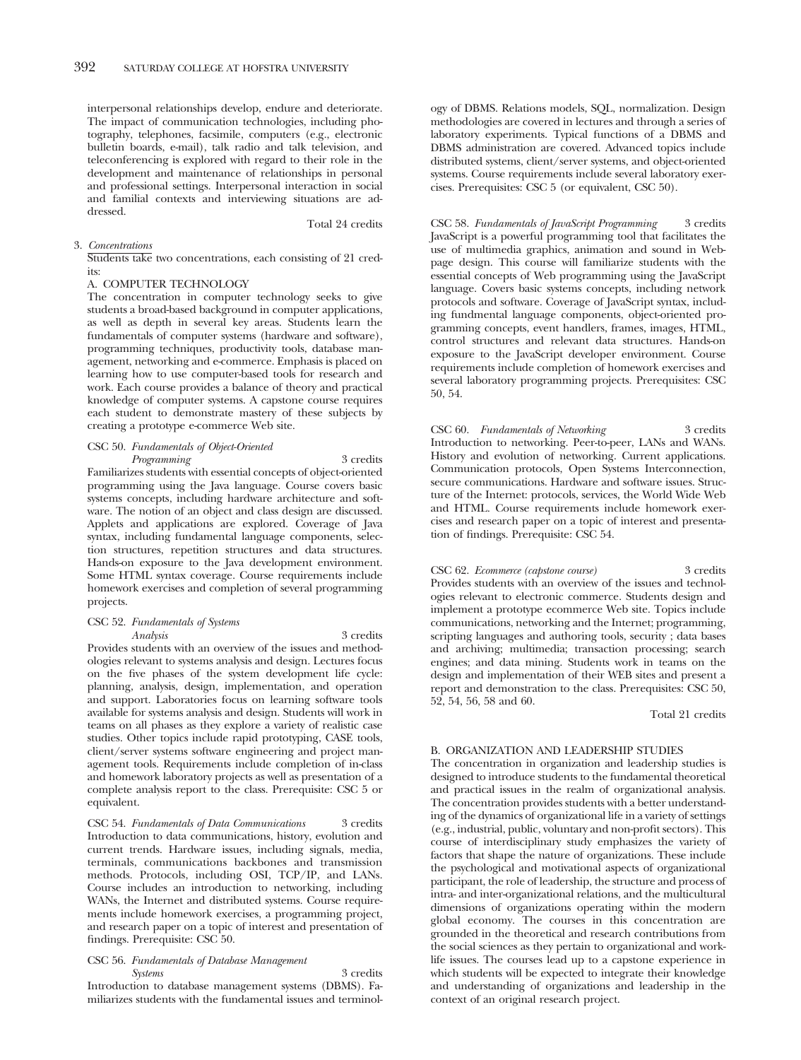interpersonal relationships develop, endure and deteriorate. The impact of communication technologies, including photography, telephones, facsimile, computers (e.g., electronic bulletin boards, e-mail), talk radio and talk television, and teleconferencing is explored with regard to their role in the development and maintenance of relationships in personal and professional settings. Interpersonal interaction in social and familial contexts and interviewing situations are addressed. Total 24 credits

# 3. *Concentrations*

Students take two concentrations, each consisting of 21 credits:

# A. COMPUTER TECHNOLOGY

The concentration in computer technology seeks to give students a broad-based background in computer applications, as well as depth in several key areas. Students learn the fundamentals of computer systems (hardware and software), programming techniques, productivity tools, database management, networking and e-commerce. Emphasis is placed on learning how to use computer-based tools for research and work. Each course provides a balance of theory and practical knowledge of computer systems. A capstone course requires each student to demonstrate mastery of these subjects by creating a prototype e-commerce Web site.

## CSC 50. *Fundamentals of Object-Oriented Programming* 3 credits

Familiarizes students with essential concepts of object-oriented programming using the Java language. Course covers basic systems concepts, including hardware architecture and software. The notion of an object and class design are discussed. Applets and applications are explored. Coverage of Java syntax, including fundamental language components, selection structures, repetition structures and data structures. Hands-on exposure to the Java development environment. Some HTML syntax coverage. Course requirements include homework exercises and completion of several programming projects.

# CSC 52. *Fundamentals of Systems*

*Analysis* 3 credits Provides students with an overview of the issues and methodologies relevant to systems analysis and design. Lectures focus on the five phases of the system development life cycle: planning, analysis, design, implementation, and operation and support. Laboratories focus on learning software tools available for systems analysis and design. Students will work in teams on all phases as they explore a variety of realistic case studies. Other topics include rapid prototyping, CASE tools, client/server systems software engineering and project management tools. Requirements include completion of in-class and homework laboratory projects as well as presentation of a complete analysis report to the class. Prerequisite: CSC 5 or equivalent.

CSC 54. *Fundamentals of Data Communications* 3 credits Introduction to data communications, history, evolution and current trends. Hardware issues, including signals, media, terminals, communications backbones and transmission methods. Protocols, including OSI, TCP/IP, and LANs. Course includes an introduction to networking, including WANs, the Internet and distributed systems. Course requirements include homework exercises, a programming project, and research paper on a topic of interest and presentation of findings. Prerequisite: CSC 50.

# CSC 56. *Fundamentals of Database Management Systems* 3 credits

Introduction to database management systems (DBMS). Familiarizes students with the fundamental issues and terminology of DBMS. Relations models, SQL, normalization. Design methodologies are covered in lectures and through a series of laboratory experiments. Typical functions of a DBMS and DBMS administration are covered. Advanced topics include distributed systems, client/server systems, and object-oriented systems. Course requirements include several laboratory exercises. Prerequisites: CSC 5 (or equivalent, CSC 50).

CSC 58. *Fundamentals of JavaScript Programming* 3 credits JavaScript is a powerful programming tool that facilitates the use of multimedia graphics, animation and sound in Webpage design. This course will familiarize students with the essential concepts of Web programming using the JavaScript language. Covers basic systems concepts, including network protocols and software. Coverage of JavaScript syntax, including fundmental language components, object-oriented programming concepts, event handlers, frames, images, HTML, control structures and relevant data structures. Hands-on exposure to the JavaScript developer environment. Course requirements include completion of homework exercises and several laboratory programming projects. Prerequisites: CSC 50, 54.

CSC 60. Fundamentals of Networking 3 credits Introduction to networking. Peer-to-peer, LANs and WANs. History and evolution of networking. Current applications. Communication protocols, Open Systems Interconnection, secure communications. Hardware and software issues. Structure of the Internet: protocols, services, the World Wide Web and HTML. Course requirements include homework exercises and research paper on a topic of interest and presentation of findings. Prerequisite: CSC 54.

CSC 62. *Ecommerce (capstone course)* 3 credits Provides students with an overview of the issues and technologies relevant to electronic commerce. Students design and implement a prototype ecommerce Web site. Topics include communications, networking and the Internet; programming, scripting languages and authoring tools, security ; data bases and archiving; multimedia; transaction processing; search engines; and data mining. Students work in teams on the design and implementation of their WEB sites and present a report and demonstration to the class. Prerequisites: CSC 50, 52, 54, 56, 58 and 60.

Total 21 credits

# B. ORGANIZATION AND LEADERSHIP STUDIES

The concentration in organization and leadership studies is designed to introduce students to the fundamental theoretical and practical issues in the realm of organizational analysis. The concentration provides students with a better understanding of the dynamics of organizational life in a variety of settings (e.g., industrial, public, voluntary and non-profit sectors). This course of interdisciplinary study emphasizes the variety of factors that shape the nature of organizations. These include the psychological and motivational aspects of organizational participant, the role of leadership, the structure and process of intra- and inter-organizational relations, and the multicultural dimensions of organizations operating within the modern global economy. The courses in this concentration are grounded in the theoretical and research contributions from the social sciences as they pertain to organizational and worklife issues. The courses lead up to a capstone experience in which students will be expected to integrate their knowledge and understanding of organizations and leadership in the context of an original research project.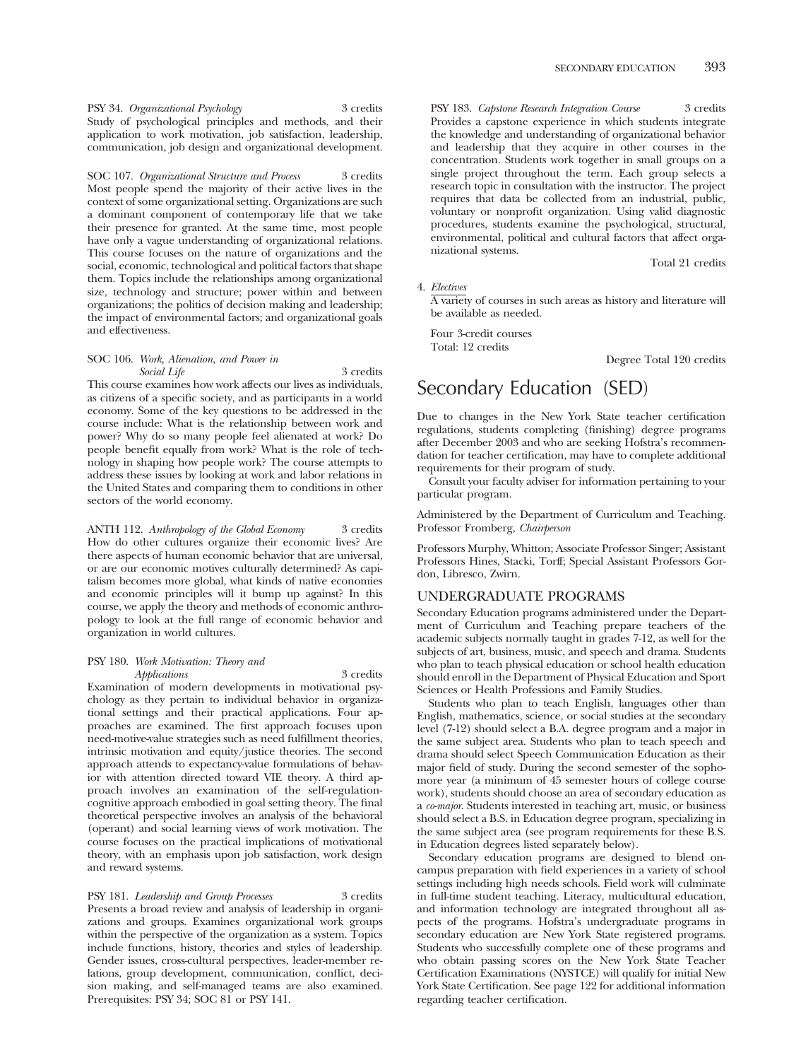PSY 34. *Organizational Psychology* 3 credits Study of psychological principles and methods, and their application to work motivation, job satisfaction, leadership, communication, job design and organizational development.

SOC 107. *Organizational Structure and Process* 3 credits Most people spend the majority of their active lives in the context of some organizational setting. Organizations are such a dominant component of contemporary life that we take their presence for granted. At the same time, most people have only a vague understanding of organizational relations. This course focuses on the nature of organizations and the social, economic, technological and political factors that shape them. Topics include the relationships among organizational size, technology and structure; power within and between organizations; the politics of decision making and leadership; the impact of environmental factors; and organizational goals and effectiveness.

# SOC 106. *Work, Alienation, and Power in Social Life* 3 credits

This course examines how work affects our lives as individuals, as citizens of a specific society, and as participants in a world economy. Some of the key questions to be addressed in the course include: What is the relationship between work and power? Why do so many people feel alienated at work? Do people benefit equally from work? What is the role of technology in shaping how people work? The course attempts to address these issues by looking at work and labor relations in the United States and comparing them to conditions in other sectors of the world economy.

ANTH 112. *Anthropology of the Global Economy* 3 credits How do other cultures organize their economic lives? Are there aspects of human economic behavior that are universal, or are our economic motives culturally determined? As capitalism becomes more global, what kinds of native economies and economic principles will it bump up against? In this course, we apply the theory and methods of economic anthropology to look at the full range of economic behavior and organization in world cultures.

# PSY 180. *Work Motivation: Theory and Applications* 3 credits

Examination of modern developments in motivational psychology as they pertain to individual behavior in organizational settings and their practical applications. Four approaches are examined. The first approach focuses upon need-motive-value strategies such as need fulfillment theories, intrinsic motivation and equity/justice theories. The second approach attends to expectancy-value formulations of behavior with attention directed toward VIE theory. A third approach involves an examination of the self-regulationcognitive approach embodied in goal setting theory. The final theoretical perspective involves an analysis of the behavioral (operant) and social learning views of work motivation. The course focuses on the practical implications of motivational theory, with an emphasis upon job satisfaction, work design and reward systems.

PSY 181. *Leadership and Group Processes* 3 credits Presents a broad review and analysis of leadership in organizations and groups. Examines organizational work groups within the perspective of the organization as a system. Topics include functions, history, theories and styles of leadership. Gender issues, cross-cultural perspectives, leader-member relations, group development, communication, conflict, decision making, and self-managed teams are also examined. Prerequisites: PSY 34; SOC 81 or PSY 141.

PSY 183. *Capstone Research Integration Course* 3 credits Provides a capstone experience in which students integrate the knowledge and understanding of organizational behavior and leadership that they acquire in other courses in the concentration. Students work together in small groups on a single project throughout the term. Each group selects a research topic in consultation with the instructor. The project requires that data be collected from an industrial, public, voluntary or nonprofit organization. Using valid diagnostic procedures, students examine the psychological, structural, environmental, political and cultural factors that affect organizational systems.

Total 21 credits

# 4. *Electives*

A variety of courses in such areas as history and literature will be available as needed.

Four 3-credit courses Total: 12 credits

Degree Total 120 credits

# Secondary Education (SED)

Due to changes in the New York State teacher certification regulations, students completing (finishing) degree programs after December 2003 and who are seeking Hofstra's recommendation for teacher certification, may have to complete additional requirements for their program of study.

Consult your faculty adviser for information pertaining to your particular program.

Administered by the Department of Curriculum and Teaching. Professor Fromberg, *Chairperson*

Professors Murphy, Whitton; Associate Professor Singer; Assistant Professors Hines, Stacki, Torff; Special Assistant Professors Gordon, Libresco, Zwirn.

# UNDERGRADUATE PROGRAMS

Secondary Education programs administered under the Department of Curriculum and Teaching prepare teachers of the academic subjects normally taught in grades 7-12, as well for the subjects of art, business, music, and speech and drama. Students who plan to teach physical education or school health education should enroll in the Department of Physical Education and Sport Sciences or Health Professions and Family Studies.

Students who plan to teach English, languages other than English, mathematics, science, or social studies at the secondary level (7-12) should select a B.A. degree program and a major in the same subject area. Students who plan to teach speech and drama should select Speech Communication Education as their major field of study. During the second semester of the sophomore year (a minimum of 45 semester hours of college course work), students should choose an area of secondary education as a *co-major*. Students interested in teaching art, music, or business should select a B.S. in Education degree program, specializing in the same subject area (see program requirements for these B.S. in Education degrees listed separately below).

Secondary education programs are designed to blend oncampus preparation with field experiences in a variety of school settings including high needs schools. Field work will culminate in full-time student teaching. Literacy, multicultural education, and information technology are integrated throughout all aspects of the programs. Hofstra's undergraduate programs in secondary education are New York State registered programs. Students who successfully complete one of these programs and who obtain passing scores on the New York State Teacher Certification Examinations (NYSTCE) will qualify for initial New York State Certification. See page 122 for additional information regarding teacher certification.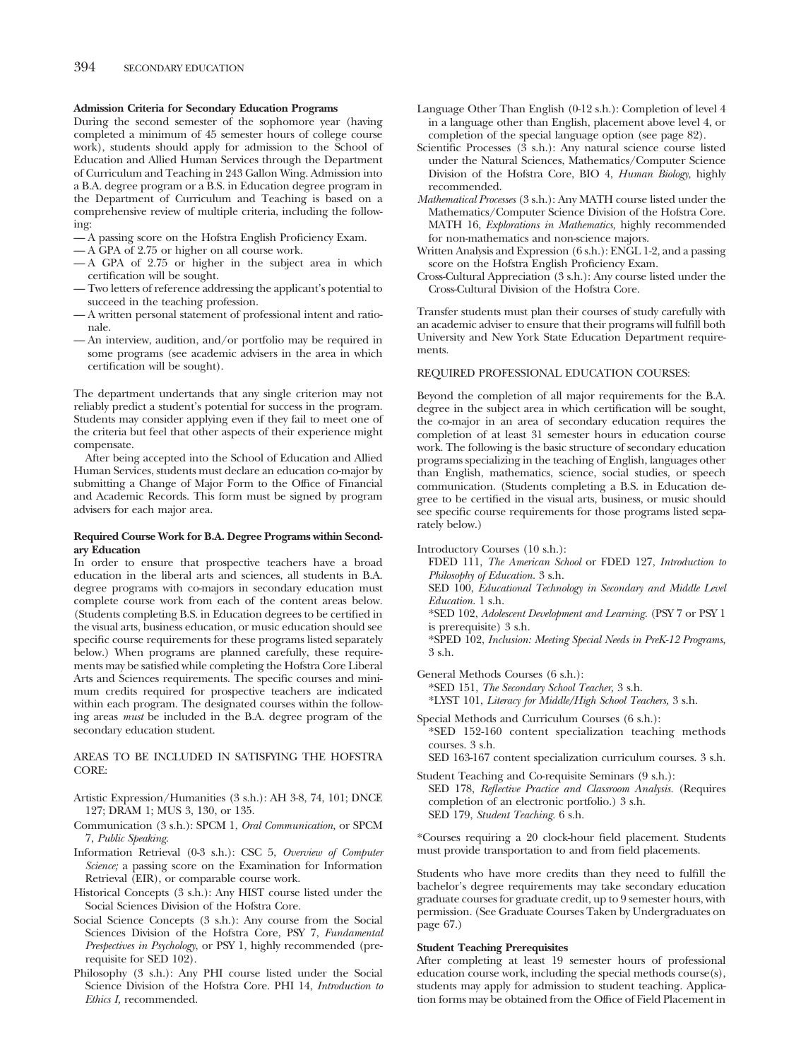# **Admission Criteria for Secondary Education Programs**

During the second semester of the sophomore year (having completed a minimum of 45 semester hours of college course work), students should apply for admission to the School of Education and Allied Human Services through the Department of Curriculum and Teaching in 243 Gallon Wing. Admission into a B.A. degree program or a B.S. in Education degree program in the Department of Curriculum and Teaching is based on a comprehensive review of multiple criteria, including the following:

- A passing score on the Hofstra English Proficiency Exam.
- A GPA of 2.75 or higher on all course work.
- A GPA of 2.75 or higher in the subject area in which certification will be sought.
- Two letters of reference addressing the applicant's potential to succeed in the teaching profession.
- A written personal statement of professional intent and rationale.
- An interview, audition, and/or portfolio may be required in some programs (see academic advisers in the area in which certification will be sought).

The department undertands that any single criterion may not reliably predict a student's potential for success in the program. Students may consider applying even if they fail to meet one of the criteria but feel that other aspects of their experience might compensate.

After being accepted into the School of Education and Allied Human Services, students must declare an education co-major by submitting a Change of Major Form to the Office of Financial and Academic Records. This form must be signed by program advisers for each major area.

# **Required Course Work for B.A. Degree Programs within Secondary Education**

In order to ensure that prospective teachers have a broad education in the liberal arts and sciences, all students in B.A. degree programs with co-majors in secondary education must complete course work from each of the content areas below. (Students completing B.S. in Education degrees to be certified in the visual arts, business education, or music education should see specific course requirements for these programs listed separately below.) When programs are planned carefully, these requirements may be satisfied while completing the Hofstra Core Liberal Arts and Sciences requirements. The specific courses and minimum credits required for prospective teachers are indicated within each program. The designated courses within the following areas *must* be included in the B.A. degree program of the secondary education student.

AREAS TO BE INCLUDED IN SATISFYING THE HOFSTRA CORE:

- Artistic Expression/Humanities (3 s.h.): AH 3-8, 74, 101; DNCE 127; DRAM 1; MUS 3, 130, or 135.
- Communication (3 s.h.): SPCM 1, *Oral Communication,* or SPCM 7, *Public Speaking*.
- Information Retrieval (0-3 s.h.): CSC 5, *Overview of Computer Science;* a passing score on the Examination for Information Retrieval (EIR), or comparable course work.
- Historical Concepts (3 s.h.): Any HIST course listed under the Social Sciences Division of the Hofstra Core.
- Social Science Concepts (3 s.h.): Any course from the Social Sciences Division of the Hofstra Core, PSY 7, *Fundamental Prespectives in Psychology*, or PSY 1, highly recommended (prerequisite for SED 102).
- Philosophy (3 s.h.): Any PHI course listed under the Social Science Division of the Hofstra Core. PHI 14, *Introduction to Ethics I,* recommended.
- Language Other Than English (0-12 s.h.): Completion of level 4 in a language other than English, placement above level 4, or completion of the special language option (see page 82).
- Scientific Processes (3 s.h.): Any natural science course listed under the Natural Sciences, Mathematics/Computer Science Division of the Hofstra Core, BIO 4, *Human Biology,* highly recommended.
- *Mathematical Processes* (3 s.h.): Any MATH course listed under the Mathematics/Computer Science Division of the Hofstra Core. MATH 16, *Explorations in Mathematics,* highly recommended for non-mathematics and non-science majors.
- Written Analysis and Expression (6 s.h.): ENGL 1-2, and a passing score on the Hofstra English Proficiency Exam.
- Cross-Cultural Appreciation (3 s.h.): Any course listed under the Cross-Cultural Division of the Hofstra Core.

Transfer students must plan their courses of study carefully with an academic adviser to ensure that their programs will fulfill both University and New York State Education Department requirements.

# REQUIRED PROFESSIONAL EDUCATION COURSES:

Beyond the completion of all major requirements for the B.A. degree in the subject area in which certification will be sought, the co-major in an area of secondary education requires the completion of at least 31 semester hours in education course work. The following is the basic structure of secondary education programs specializing in the teaching of English, languages other than English, mathematics, science, social studies, or speech communication. (Students completing a B.S. in Education degree to be certified in the visual arts, business, or music should see specific course requirements for those programs listed separately below.)

Introductory Courses (10 s.h.):

- FDED 111, *The American School* or FDED 127, *Introduction to Philosophy of Education.* 3 s.h.
- SED 100, *Educational Technology in Secondary and Middle Level Education.* 1 s.h.

\*SED 102, *Adolescent Development and Learning.* (PSY 7 or PSY 1 is prerequisite) 3 s.h.

\*SPED 102, *Inclusion: Meeting Special Needs in PreK-12 Programs,* 3 s.h.

General Methods Courses (6 s.h.):

- \*SED 151, *The Secondary School Teacher,* 3 s.h. \*LYST 101, *Literacy for Middle/High School Teachers,* 3 s.h.
- Special Methods and Curriculum Courses (6 s.h.): \*SED 152-160 content specialization teaching methods courses. 3 s.h.

SED 163-167 content specialization curriculum courses. 3 s.h.

Student Teaching and Co-requisite Seminars (9 s.h.): SED 178, *Reflective Practice and Classroom Analysis.* (Requires completion of an electronic portfolio.) 3 s.h. SED 179, *Student Teaching.* 6 s.h.

\*Courses requiring a 20 clock-hour field placement. Students must provide transportation to and from field placements.

Students who have more credits than they need to fulfill the bachelor's degree requirements may take secondary education graduate courses for graduate credit, up to 9 semester hours, with permission. (See Graduate Courses Taken by Undergraduates on page 67.)

# **Student Teaching Prerequisites**

After completing at least 19 semester hours of professional education course work, including the special methods course(s), students may apply for admission to student teaching. Application forms may be obtained from the Office of Field Placement in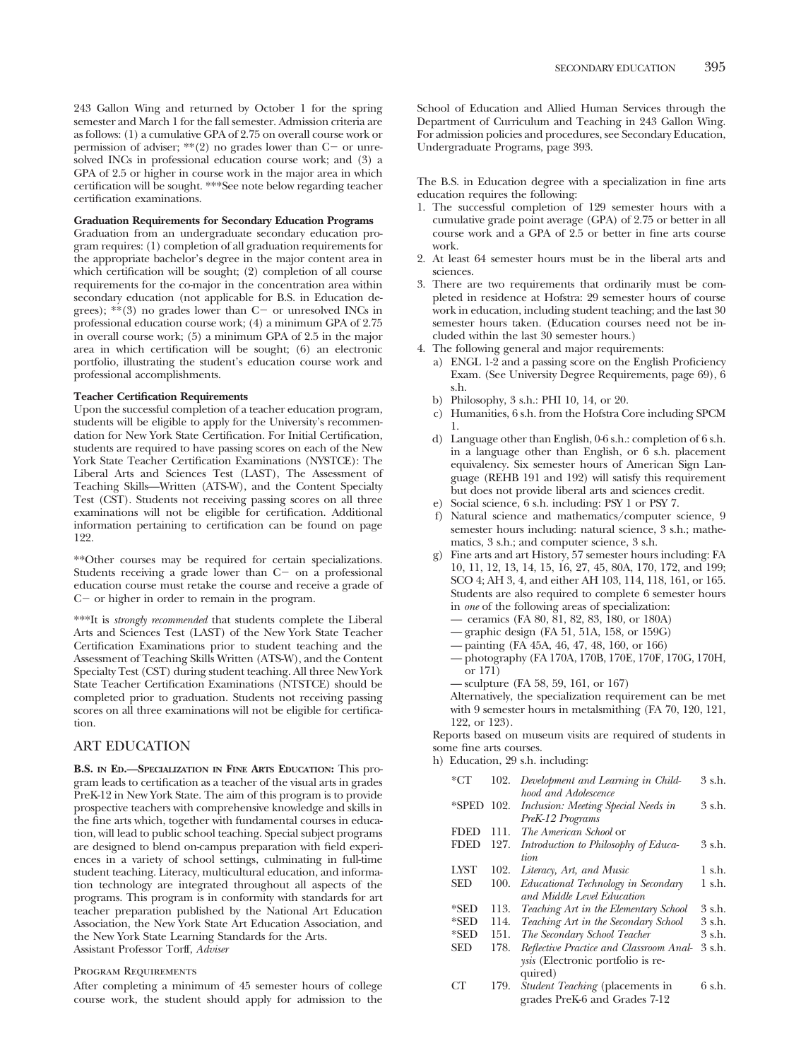243 Gallon Wing and returned by October 1 for the spring semester and March 1 for the fall semester. Admission criteria are as follows: (1) a cumulative GPA of 2.75 on overall course work or permission of adviser;  $**(2)$  no grades lower than C- or unresolved INCs in professional education course work; and (3) a GPA of 2.5 or higher in course work in the major area in which certification will be sought. \*\*\*See note below regarding teacher certification examinations.

# **Graduation Requirements for Secondary Education Programs**

Graduation from an undergraduate secondary education program requires: (1) completion of all graduation requirements for the appropriate bachelor's degree in the major content area in which certification will be sought; (2) completion of all course requirements for the co-major in the concentration area within secondary education (not applicable for B.S. in Education degrees);  $**$ (3) no grades lower than C- or unresolved INCs in professional education course work; (4) a minimum GPA of 2.75 in overall course work; (5) a minimum GPA of 2.5 in the major area in which certification will be sought; (6) an electronic portfolio, illustrating the student's education course work and professional accomplishments.

# **Teacher Certification Requirements**

Upon the successful completion of a teacher education program, students will be eligible to apply for the University's recommendation for New York State Certification. For Initial Certification, students are required to have passing scores on each of the New York State Teacher Certification Examinations (NYSTCE): The Liberal Arts and Sciences Test (LAST), The Assessment of Teaching Skills—Written (ATS-W), and the Content Specialty Test (CST). Students not receiving passing scores on all three examinations will not be eligible for certification. Additional information pertaining to certification can be found on page 122.

\*\*Other courses may be required for certain specializations. Students receiving a grade lower than  $C$  - on a professional education course must retake the course and receive a grade of  $C$  - or higher in order to remain in the program.

\*\*\*It is *strongly recommended* that students complete the Liberal Arts and Sciences Test (LAST) of the New York State Teacher Certification Examinations prior to student teaching and the Assessment of Teaching Skills Written (ATS-W), and the Content Specialty Test (CST) during student teaching. All three New York State Teacher Certification Examinations (NTSTCE) should be completed prior to graduation. Students not receiving passing scores on all three examinations will not be eligible for certification.

# ART EDUCATION

**B.S. IN ED.—SPECIALIZATION IN FINE ARTS EDUCATION:** This program leads to certification as a teacher of the visual arts in grades PreK-12 in New York State. The aim of this program is to provide prospective teachers with comprehensive knowledge and skills in the fine arts which, together with fundamental courses in education, will lead to public school teaching. Special subject programs are designed to blend on-campus preparation with field experiences in a variety of school settings, culminating in full-time student teaching. Literacy, multicultural education, and information technology are integrated throughout all aspects of the programs. This program is in conformity with standards for art teacher preparation published by the National Art Education Association, the New York State Art Education Association, and the New York State Learning Standards for the Arts. Assistant Professor Torff, *Adviser*

# Program Requirements

After completing a minimum of 45 semester hours of college course work, the student should apply for admission to the School of Education and Allied Human Services through the Department of Curriculum and Teaching in 243 Gallon Wing. For admission policies and procedures, see Secondary Education, Undergraduate Programs, page 393.

The B.S. in Education degree with a specialization in fine arts education requires the following:

- 1. The successful completion of 129 semester hours with a cumulative grade point average (GPA) of 2.75 or better in all course work and a GPA of 2.5 or better in fine arts course work.
- 2. At least 64 semester hours must be in the liberal arts and sciences.
- 3. There are two requirements that ordinarily must be completed in residence at Hofstra: 29 semester hours of course work in education, including student teaching; and the last 30 semester hours taken. (Education courses need not be included within the last 30 semester hours.)
- 4. The following general and major requirements:
	- a) ENGL 1-2 and a passing score on the English Proficiency Exam. (See University Degree Requirements, page 69), 6 s.h.
	- b) Philosophy, 3 s.h.: PHI 10, 14, or 20.
	- c) Humanities, 6 s.h. from the Hofstra Core including SPCM 1.
	- d) Language other than English, 0-6 s.h.: completion of 6 s.h. in a language other than English, or 6 s.h. placement equivalency. Six semester hours of American Sign Language (REHB 191 and 192) will satisfy this requirement but does not provide liberal arts and sciences credit.
	- e) Social science, 6 s.h. including: PSY 1 or PSY 7.
	- f) Natural science and mathematics/computer science, 9 semester hours including: natural science, 3 s.h.; mathematics, 3 s.h.; and computer science, 3 s.h.
	- g) Fine arts and art History, 57 semester hours including: FA 10, 11, 12, 13, 14, 15, 16, 27, 45, 80A, 170, 172, and 199; SCO 4; AH 3, 4, and either AH 103, 114, 118, 161, or 165. Students are also required to complete 6 semester hours in *one* of the following areas of specialization:
		- ceramics (FA 80, 81, 82, 83, 180, or 180A)
		- graphic design (FA 51, 51A, 158, or 159G)
		- painting (FA 45A, 46, 47, 48, 160, or 166)
		- photography (FA 170A, 170B, 170E, 170F, 170G, 170H, or 171)

— sculpture (FA 58, 59, 161, or 167)

Alternatively, the specialization requirement can be met with 9 semester hours in metalsmithing (FA 70, 120, 121, 122, or 123).

Reports based on museum visits are required of students in some fine arts courses.

h) Education, 29 s.h. including:

| $*CT$       | 102. | Development and Learning in Child-      | 3 s.h. |
|-------------|------|-----------------------------------------|--------|
|             |      | hood and Adolescence                    |        |
| *SPED       | 102. | Inclusion: Meeting Special Needs in     | 3 s.h. |
|             |      | PreK-12 Programs                        |        |
| <b>FDED</b> | 111. | The American School or                  |        |
| <b>FDED</b> | 127. | Introduction to Philosophy of Educa-    | 3 s.h. |
|             |      | tion.                                   |        |
| <b>LYST</b> | 102. | Literacy, Art, and Music                | 1 s.h. |
| <b>SED</b>  | 100. | Educational Technology in Secondary     | 1 s.h. |
|             |      | and Middle Level Education              |        |
| $*$ SED     | 113. | Teaching Art in the Elementary School   | 3 s.h. |
| $*$ SED     | 114. | Teaching Art in the Secondary School    | 3 s.h. |
| $*$ SED     | 151. | The Secondary School Teacher            | 3 s.h. |
| <b>SED</b>  | 178. | Reflective Practice and Classroom Anal- | 3 s.h. |
|             |      | ysis (Electronic portfolio is re-       |        |
|             |      | quired)                                 |        |
| CТ          | 179. | <i>Student Teaching</i> (placements in  | 6 s.h. |
|             |      | grades PreK-6 and Grades 7-12           |        |
|             |      |                                         |        |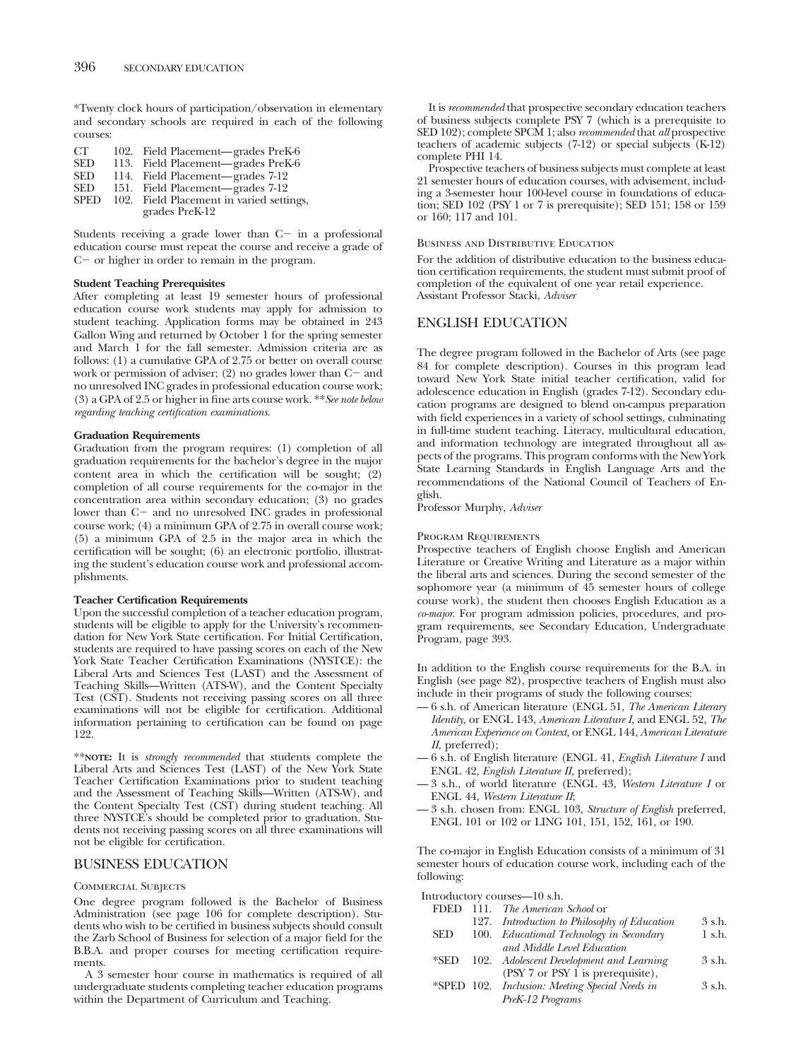\*Twenty clock hours of participation/observation in elementary and secondary schools are required in each of the following courses:

| CT.         | 102. Field Placement—grades PreK-6                         |
|-------------|------------------------------------------------------------|
| <b>SED</b>  | 113. Field Placement-grades PreK-6                         |
| <b>SED</b>  | 114. Field Placement—grades 7-12                           |
| <b>SED</b>  | 151. Field Placement—grades 7-12                           |
| <b>SPED</b> | 102. Field Placement in varied settings,<br>grades PreK-12 |
|             |                                                            |

Students receiving a grade lower than  $C$  in a professional education course must repeat the course and receive a grade of  $C$  - or higher in order to remain in the program.

# **Student Teaching Prerequisites**

After completing at least 19 semester hours of professional education course work students may apply for admission to student teaching. Application forms may be obtained in 243 Gallon Wing and returned by October 1 for the spring semester and March 1 for the fall semester. Admission criteria are as follows: (1) a cumulative GPA of 2.75 or better on overall course work or permission of adviser;  $(2)$  no grades lower than  $C$  and no unresolved INC grades in professional education course work; (3) a GPA of 2.5 or higher in fine arts course work. \*\**See note below regarding teaching certification examinations.*

# **Graduation Requirements**

Graduation from the program requires: (1) completion of all graduation requirements for the bachelor's degree in the major content area in which the certification will be sought; (2) completion of all course requirements for the co-major in the concentration area within secondary education; (3) no grades lower than C- and no unresolved INC grades in professional course work; (4) a minimum GPA of 2.75 in overall course work; (5) a minimum GPA of 2.5 in the major area in which the certification will be sought; (6) an electronic portfolio, illustrating the student's education course work and professional accomplishments.

# **Teacher Certification Requirements**

Upon the successful completion of a teacher education program, students will be eligible to apply for the University's recommendation for New York State certification. For Initial Certification, students are required to have passing scores on each of the New York State Teacher Certification Examinations (NYSTCE): the Liberal Arts and Sciences Test (LAST) and the Assessment of Teaching Skills—Written (ATS-W), and the Content Specialty Test (CST). Students not receiving passing scores on all three examinations will not be eligible for certification. Additional information pertaining to certification can be found on page 122.

\*\***NOTE:** It is *strongly recommended* that students complete the Liberal Arts and Sciences Test (LAST) of the New York State Teacher Certification Examinations prior to student teaching and the Assessment of Teaching Skills—Written (ATS-W), and the Content Specialty Test (CST) during student teaching. All three NYSTCE's should be completed prior to graduation. Students not receiving passing scores on all three examinations will not be eligible for certification.

# BUSINESS EDUCATION

# Commercial Subjects

One degree program followed is the Bachelor of Business Administration (see page 106 for complete description). Students who wish to be certified in business subjects should consult the Zarb School of Business for selection of a major field for the B.B.A. and proper courses for meeting certification requirements.

A 3 semester hour course in mathematics is required of all undergraduate students completing teacher education programs within the Department of Curriculum and Teaching.

It is *recommended* that prospective secondary education teachers of business subjects complete PSY 7 (which is a prerequisite to SED 102); complete SPCM 1; also *recommended* that *all* prospective teachers of academic subjects (7-12) or special subjects (K-12) complete PHI 14.

Prospective teachers of business subjects must complete at least 21 semester hours of education courses, with advisement, including a 3-semester hour 100-level course in foundations of education; SED 102 (PSY 1 or 7 is prerequisite); SED 151; 158 or 159 or 160; 117 and 101.

# Business and Distributive Education

For the addition of distributive education to the business education certification requirements, the student must submit proof of completion of the equivalent of one year retail experience. Assistant Professor Stacki, *Adviser*

# ENGLISH EDUCATION

The degree program followed in the Bachelor of Arts (see page 84 for complete description). Courses in this program lead toward New York State initial teacher certification, valid for adolescence education in English (grades 7-12). Secondary education programs are designed to blend on-campus preparation with field experiences in a variety of school settings, culminating in full-time student teaching. Literacy, multicultural education, and information technology are integrated throughout all aspects of the programs. This program conforms with the New York State Learning Standards in English Language Arts and the recommendations of the National Council of Teachers of English.

Professor Murphy, *Adviser*

### Program Requirements

Prospective teachers of English choose English and American Literature or Creative Writing and Literature as a major within the liberal arts and sciences. During the second semester of the sophomore year (a minimum of 45 semester hours of college course work), the student then chooses English Education as a *co-major*. For program admission policies, procedures, and program requirements, see Secondary Education, Undergraduate Program, page 393.

In addition to the English course requirements for the B.A. in English (see page 82), prospective teachers of English must also include in their programs of study the following courses:

- 6 s.h. of American literature (ENGL 51, *The American Literary Identity,* or ENGL 143, *American Literature I,* and ENGL 52, *The American Experience on Context,* or ENGL 144, *American Literature II,* preferred);
- 6 s.h. of English literature (ENGL 41, *English Literature I* and ENGL 42, *English Literature II,* preferred);
- 3 s.h., of world literature (ENGL 43, *Western Literature I* or ENGL 44, *Western Literature II*;
- 3 s.h. chosen from: ENGL 103, *Structure of English* preferred, ENGL 101 or 102 or LING 101, 151, 152, 161, or 190.

The co-major in English Education consists of a minimum of 31 semester hours of education course work, including each of the following:

Introductory courses—10 s.h.

|            | FDED 111. The American School or               |        |
|------------|------------------------------------------------|--------|
|            | 127. Introduction to Philosophy of Education   | 3 s.h. |
| <b>SED</b> | 100. Educational Technology in Secondary       | 1 s.h. |
|            | and Middle Level Education                     |        |
| *SED       | 102. Adolescent Development and Learning       | 3 s.h. |
|            | (PSY 7 or PSY 1 is prerequisite),              |        |
|            | *SPED 102. Inclusion: Meeting Special Needs in | 3 s.h. |
|            | PreK-12 Programs                               |        |
|            |                                                |        |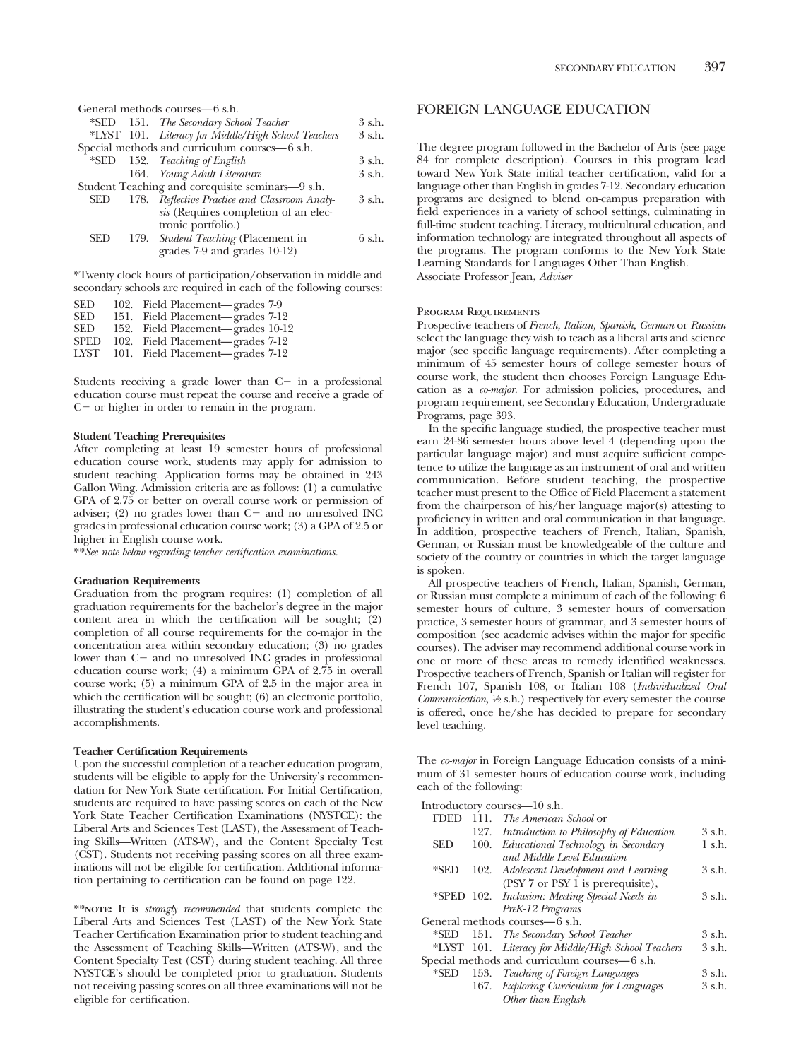|            | General methods courses—6 s.h.                             |          |
|------------|------------------------------------------------------------|----------|
|            | *SED 151. The Secondary School Teacher                     | 3 s.h.   |
|            | *LYST 101. Literacy for Middle/High School Teachers        | 3 s.h.   |
|            | Special methods and curriculum courses-6 s.h.              |          |
|            | *SED 152. Teaching of English                              | 3 s.h.   |
|            | 164. Young Adult Literature                                | 3 s.h.   |
|            | Student Teaching and corequisite seminars—9 s.h.           |          |
| <b>SED</b> | 178. Reflective Practice and Classroom Analy-              | 3 s.h.   |
|            | sis (Requires completion of an elec-<br>tronic portfolio.) |          |
| <b>SED</b> | 179. Student Teaching (Placement in                        | $6$ s.h. |
|            | grades 7-9 and grades 10-12)                               |          |

\*Twenty clock hours of participation/observation in middle and secondary schools are required in each of the following courses:

| <b>SED</b><br>102. Field Placement—grades 7-9     |  |
|---------------------------------------------------|--|
| <b>SED</b><br>Field Placement—grades 7-12<br>151. |  |
| <b>SED</b><br>152. Field Placement—grades 10-12   |  |
| <b>SPED</b><br>102. Field Placement—grades 7-12   |  |
| 101. Field Placement—grades 7-12<br>LYST          |  |

Students receiving a grade lower than  $C$  in a professional education course must repeat the course and receive a grade of  $C$  - or higher in order to remain in the program.

# **Student Teaching Prerequisites**

After completing at least 19 semester hours of professional education course work, students may apply for admission to student teaching. Application forms may be obtained in 243 Gallon Wing. Admission criteria are as follows: (1) a cumulative GPA of 2.75 or better on overall course work or permission of adviser; (2) no grades lower than  $C-$  and no unresolved INC grades in professional education course work; (3) a GPA of 2.5 or higher in English course work.

\*\**See note below regarding teacher certification examinations.*

## **Graduation Requirements**

Graduation from the program requires: (1) completion of all graduation requirements for the bachelor's degree in the major content area in which the certification will be sought;  $(2)$ completion of all course requirements for the co-major in the concentration area within secondary education; (3) no grades lower than  $C-$  and no unresolved INC grades in professional education course work; (4) a minimum GPA of 2.75 in overall course work; (5) a minimum GPA of 2.5 in the major area in which the certification will be sought; (6) an electronic portfolio, illustrating the student's education course work and professional accomplishments.

# **Teacher Certification Requirements**

Upon the successful completion of a teacher education program, students will be eligible to apply for the University's recommendation for New York State certification. For Initial Certification, students are required to have passing scores on each of the New York State Teacher Certification Examinations (NYSTCE): the Liberal Arts and Sciences Test (LAST), the Assessment of Teaching Skills—Written (ATS-W), and the Content Specialty Test (CST). Students not receiving passing scores on all three examinations will not be eligible for certification. Additional information pertaining to certification can be found on page 122.

\*\***NOTE:** It is *strongly recommended* that students complete the Liberal Arts and Sciences Test (LAST) of the New York State Teacher Certification Examination prior to student teaching and the Assessment of Teaching Skills—Written (ATS-W), and the Content Specialty Test (CST) during student teaching. All three NYSTCE's should be completed prior to graduation. Students not receiving passing scores on all three examinations will not be eligible for certification.

# FOREIGN LANGUAGE EDUCATION

The degree program followed in the Bachelor of Arts (see page 84 for complete description). Courses in this program lead toward New York State initial teacher certification, valid for a language other than English in grades 7-12. Secondary education programs are designed to blend on-campus preparation with field experiences in a variety of school settings, culminating in full-time student teaching. Literacy, multicultural education, and information technology are integrated throughout all aspects of the programs. The program conforms to the New York State Learning Standards for Languages Other Than English. Associate Professor Jean, *Adviser*

# Program Requirements

Prospective teachers of *French, Italian, Spanish, German* or *Russian* select the language they wish to teach as a liberal arts and science major (see specific language requirements). After completing a minimum of 45 semester hours of college semester hours of course work, the student then chooses Foreign Language Education as a *co-major.* For admission policies, procedures, and program requirement, see Secondary Education, Undergraduate Programs, page 393.

In the specific language studied, the prospective teacher must earn 24-36 semester hours above level 4 (depending upon the particular language major) and must acquire sufficient competence to utilize the language as an instrument of oral and written communication. Before student teaching, the prospective teacher must present to the Office of Field Placement a statement from the chairperson of his/her language major(s) attesting to proficiency in written and oral communication in that language. In addition, prospective teachers of French, Italian, Spanish, German, or Russian must be knowledgeable of the culture and society of the country or countries in which the target language is spoken.

All prospective teachers of French, Italian, Spanish, German, or Russian must complete a minimum of each of the following: 6 semester hours of culture, 3 semester hours of conversation practice, 3 semester hours of grammar, and 3 semester hours of composition (see academic advises within the major for specific courses). The adviser may recommend additional course work in one or more of these areas to remedy identified weaknesses. Prospective teachers of French, Spanish or Italian will register for French 107, Spanish 108, or Italian 108 (*Individualized Oral Communication,* <sup>1</sup>/<sub>2</sub> s.h.) respectively for every semester the course is offered, once he/she has decided to prepare for secondary level teaching.

The *co-major* in Foreign Language Education consists of a minimum of 31 semester hours of education course work, including each of the following:

Introductory courses—10 s.h.

| <b>FDED</b> |      | 111. <i>The American School</i> or                  |             |
|-------------|------|-----------------------------------------------------|-------------|
|             |      | 127. Introduction to Philosophy of Education        | 3 s.h.      |
| <b>SED</b>  | 100. | Educational Technology in Secondary                 | $1$ s.h.    |
|             |      | and Middle Level Education                          |             |
| *SED        |      | 102. Adolescent Development and Learning            | 3 s.h.      |
|             |      | (PSY 7 or PSY 1 is prerequisite),                   |             |
|             |      | *SPED 102. Inclusion: Meeting Special Needs in      | 3 s.h.      |
|             |      | PreK-12 Programs                                    |             |
|             |      | General methods courses—6 s.h.                      |             |
| *SED        |      | 151. The Secondary School Teacher                   | $3$ s.h.    |
|             |      | *LYST 101. Literacy for Middle/High School Teachers | $3 \,$ s.h. |
|             |      | Special methods and curriculum courses—6 s.h.       |             |
| *SED        |      | 153. Teaching of Foreign Languages                  | 3 s.h.      |
|             |      | 167. Exploring Curriculum for Languages             | 3 s.h.      |
|             |      | Other than English                                  |             |
|             |      |                                                     |             |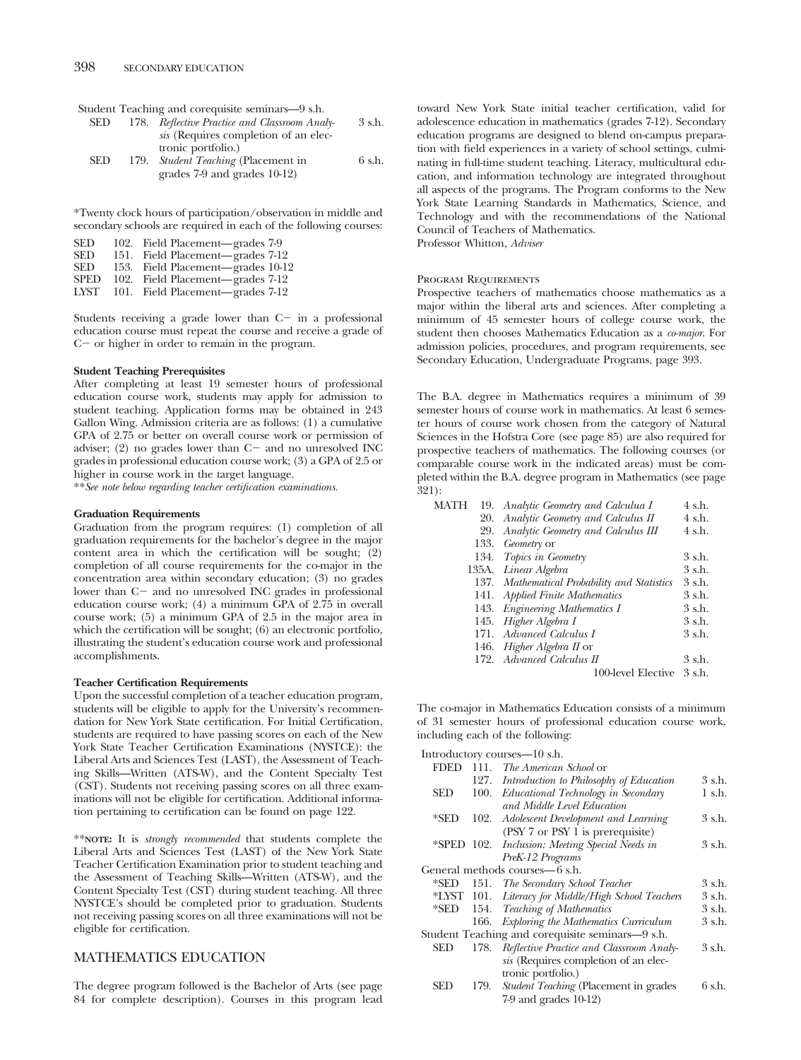Student Teaching and corequisite seminars—9 s.h.

| <b>SED</b> |      | 178. Reflective Practice and Classroom Analy- | 3 s.h. |
|------------|------|-----------------------------------------------|--------|
|            |      | sis (Requires completion of an elec-          |        |
|            |      | tronic portfolio.)                            |        |
| <b>SED</b> | 179. | <i>Student Teaching</i> (Placement in         | 6 s.h. |
|            |      | grades 7-9 and grades 10-12)                  |        |

\*Twenty clock hours of participation/observation in middle and secondary schools are required in each of the following courses:

| <b>SED</b>  | 102. Field Placement—grades 7-9   |
|-------------|-----------------------------------|
| <b>SED</b>  | 151. Field Placement—grades 7-12  |
| <b>SED</b>  | 153. Field Placement—grades 10-12 |
| <b>SPED</b> | 102. Field Placement—grades 7-12  |
| LYST        | 101. Field Placement—grades 7-12  |

Students receiving a grade lower than  $C$  in a professional education course must repeat the course and receive a grade of  $C$  - or higher in order to remain in the program.

# **Student Teaching Prerequisites**

After completing at least 19 semester hours of professional education course work, students may apply for admission to student teaching. Application forms may be obtained in 243 Gallon Wing. Admission criteria are as follows: (1) a cumulative GPA of 2.75 or better on overall course work or permission of adviser; (2) no grades lower than  $C$  and no unresolved INC grades in professional education course work; (3) a GPA of 2.5 or higher in course work in the target language.

\*\**See note below regarding teacher certification examinations.*

# **Graduation Requirements**

Graduation from the program requires: (1) completion of all graduation requirements for the bachelor's degree in the major content area in which the certification will be sought; (2) completion of all course requirements for the co-major in the concentration area within secondary education; (3) no grades lower than C- and no unresolved INC grades in professional education course work; (4) a minimum GPA of 2.75 in overall course work; (5) a minimum GPA of 2.5 in the major area in which the certification will be sought; (6) an electronic portfolio, illustrating the student's education course work and professional accomplishments.

# **Teacher Certification Requirements**

Upon the successful completion of a teacher education program, students will be eligible to apply for the University's recommendation for New York State certification. For Initial Certification, students are required to have passing scores on each of the New York State Teacher Certification Examinations (NYSTCE): the Liberal Arts and Sciences Test (LAST), the Assessment of Teaching Skills—Written (ATS-W), and the Content Specialty Test (CST). Students not receiving passing scores on all three examinations will not be eligible for certification. Additional information pertaining to certification can be found on page 122.

\*\***NOTE:** It is *strongly recommended* that students complete the Liberal Arts and Sciences Test (LAST) of the New York State Teacher Certification Examination prior to student teaching and the Assessment of Teaching Skills—Written (ATS-W), and the Content Specialty Test (CST) during student teaching. All three NYSTCE's should be completed prior to graduation. Students not receiving passing scores on all three examinations will not be eligible for certification.

# MATHEMATICS EDUCATION

The degree program followed is the Bachelor of Arts (see page 84 for complete description). Courses in this program lead toward New York State initial teacher certification, valid for adolescence education in mathematics (grades 7-12). Secondary education programs are designed to blend on-campus preparation with field experiences in a variety of school settings, culminating in full-time student teaching. Literacy, multicultural education, and information technology are integrated throughout all aspects of the programs. The Program conforms to the New York State Learning Standards in Mathematics, Science, and Technology and with the recommendations of the National Council of Teachers of Mathematics. Professor Whitton, *Adviser*

## Program Requirements

Prospective teachers of mathematics choose mathematics as a major within the liberal arts and sciences. After completing a minimum of 45 semester hours of college course work, the student then chooses Mathematics Education as a *co-major*. For admission policies, procedures, and program requirements, see Secondary Education, Undergraduate Programs, page 393.

The B.A. degree in Mathematics requires a minimum of 39 semester hours of course work in mathematics. At least 6 semester hours of course work chosen from the category of Natural Sciences in the Hofstra Core (see page 85) are also required for prospective teachers of mathematics. The following courses (or comparable course work in the indicated areas) must be completed within the B.A. degree program in Mathematics (see page  $\frac{1}{321}$ :

| MATH |     | 19. Analytic Geometry and Calculua I         | 4 s.h.   |
|------|-----|----------------------------------------------|----------|
|      |     | 20. Analytic Geometry and Calculus II        | 4 s.h.   |
|      | 29. | Analytic Geometry and Calculus III           | 4 s.h.   |
|      |     | 133. Geometry or                             |          |
|      |     | 134. Topics in Geometry                      | 3 s.h.   |
|      |     | 135A. Linear Algebra                         | 3 s.h.   |
|      |     | 137. Mathematical Probability and Statistics | 3 s.h.   |
|      |     | 141. Applied Finite Mathematics              | 3 s.h.   |
|      |     | 143. Engineering Mathematics I               | 3 s.h.   |
|      |     | 145. Higher Algebra I                        | 3 s.h.   |
|      |     | 171. Advanced Calculus I                     | 3 s.h.   |
|      |     | 146. <i>Higher Algebra II</i> or             |          |
|      |     | 172. Advanced Calculus II                    | 3 s.h.   |
|      |     | 100-level Elective                           | $3$ s.h. |
|      |     |                                              |          |

The co-major in Mathematics Education consists of a minimum of 31 semester hours of professional education course work, including each of the following:

Introductory courses—10 s.h. FDED 111. *The American School* or 127. *Introduction to Philosophy of Education* 3 s.h. SED 100. *Educational Technology in Secondary and Middle Level Education* 1 s.h. \*SED 102. *Adolescent Development and Learning* (PSY 7 or PSY 1 is prerequisite) 3 s.h. \*SPED 102. *Inclusion: Meeting Special Needs in PreK-12 Programs* 3 s.h. General methods courses—6 s.h. \*SED 151. *The Secondary School Teacher* 3 s.h. \*LYST 101. *Literacy for Middle/High School Teachers* 3 s.h. \*SED 154. *Teaching of Mathematics* 3 s.h. 166. *Exploring the Mathematics Curriculum* 3 s.h. Student Teaching and corequisite seminars—9 s.h. SED 178. *Reflective Practice and Classroom Analysis* (Requires completion of an electronic portfolio.) 3 s.h. SED 179. *Student Teaching* (Placement in grades 7-9 and grades 10-12) 6 s.h.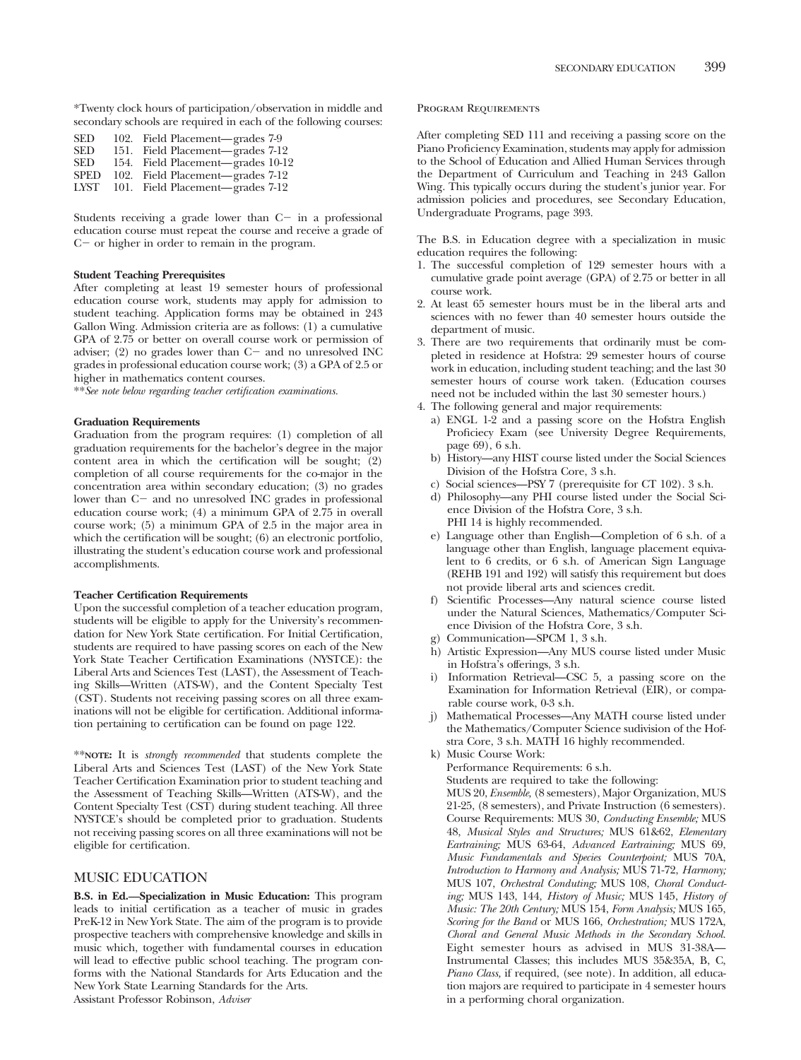\*Twenty clock hours of participation/observation in middle and secondary schools are required in each of the following courses:

| <b>SED</b>  | 102. Field Placement—grades 7-9   |
|-------------|-----------------------------------|
| <b>SED</b>  | 151. Field Placement—grades 7-12  |
| <b>SED</b>  | 154. Field Placement—grades 10-12 |
| <b>SPED</b> | 102. Field Placement—grades 7-12  |
| LYST        | 101. Field Placement—grades 7-12  |

Students receiving a grade lower than  $C$  in a professional education course must repeat the course and receive a grade of  $C$  – or higher in order to remain in the program.

# **Student Teaching Prerequisites**

After completing at least 19 semester hours of professional education course work, students may apply for admission to student teaching. Application forms may be obtained in 243 Gallon Wing. Admission criteria are as follows: (1) a cumulative GPA of 2.75 or better on overall course work or permission of adviser;  $(2)$  no grades lower than  $C$  and no unresolved INC grades in professional education course work; (3) a GPA of 2.5 or higher in mathematics content courses.

\*\**See note below regarding teacher certification examinations.*

# **Graduation Requirements**

Graduation from the program requires: (1) completion of all graduation requirements for the bachelor's degree in the major content area in which the certification will be sought; (2) completion of all course requirements for the co-major in the concentration area within secondary education; (3) no grades lower than C- and no unresolved INC grades in professional education course work; (4) a minimum GPA of 2.75 in overall course work; (5) a minimum GPA of 2.5 in the major area in which the certification will be sought; (6) an electronic portfolio, illustrating the student's education course work and professional accomplishments.

## **Teacher Certification Requirements**

Upon the successful completion of a teacher education program, students will be eligible to apply for the University's recommendation for New York State certification. For Initial Certification, students are required to have passing scores on each of the New York State Teacher Certification Examinations (NYSTCE): the Liberal Arts and Sciences Test (LAST), the Assessment of Teaching Skills—Written (ATS-W), and the Content Specialty Test (CST). Students not receiving passing scores on all three examinations will not be eligible for certification. Additional information pertaining to certification can be found on page 122.

\*\***NOTE:** It is *strongly recommended* that students complete the Liberal Arts and Sciences Test (LAST) of the New York State Teacher Certification Examination prior to student teaching and the Assessment of Teaching Skills—Written (ATS-W), and the Content Specialty Test (CST) during student teaching. All three NYSTCE's should be completed prior to graduation. Students not receiving passing scores on all three examinations will not be eligible for certification.

# MUSIC EDUCATION

**B.S. in Ed.—Specialization in Music Education:** This program leads to initial certification as a teacher of music in grades PreK-12 in New York State. The aim of the program is to provide prospective teachers with comprehensive knowledge and skills in music which, together with fundamental courses in education will lead to effective public school teaching. The program conforms with the National Standards for Arts Education and the New York State Learning Standards for the Arts. Assistant Professor Robinson, *Adviser*

# Program Requirements

After completing SED 111 and receiving a passing score on the Piano Proficiency Examination, students may apply for admission to the School of Education and Allied Human Services through the Department of Curriculum and Teaching in 243 Gallon Wing. This typically occurs during the student's junior year. For admission policies and procedures, see Secondary Education, Undergraduate Programs, page 393.

The B.S. in Education degree with a specialization in music education requires the following:

- 1. The successful completion of 129 semester hours with a cumulative grade point average (GPA) of 2.75 or better in all course work.
- 2. At least 65 semester hours must be in the liberal arts and sciences with no fewer than 40 semester hours outside the department of music.
- 3. There are two requirements that ordinarily must be completed in residence at Hofstra: 29 semester hours of course work in education, including student teaching; and the last 30 semester hours of course work taken. (Education courses need not be included within the last 30 semester hours.)
- 4. The following general and major requirements:
	- a) ENGL 1-2 and a passing score on the Hofstra English Proficiecy Exam (see University Degree Requirements, page 69), 6 s.h.
	- b) History—any HIST course listed under the Social Sciences Division of the Hofstra Core, 3 s.h.
	- c) Social sciences—PSY 7 (prerequisite for CT 102). 3 s.h.
	- d) Philosophy—any PHI course listed under the Social Science Division of the Hofstra Core, 3 s.h. PHI 14 is highly recommended.
	- e) Language other than English—Completion of 6 s.h. of a language other than English, language placement equivalent to 6 credits, or 6 s.h. of American Sign Language (REHB 191 and 192) will satisfy this requirement but does not provide liberal arts and sciences credit.
	- f) Scientific Processes—Any natural science course listed under the Natural Sciences, Mathematics/Computer Science Division of the Hofstra Core, 3 s.h.
	- g) Communication—SPCM 1, 3 s.h.
	- h) Artistic Expression—Any MUS course listed under Music in Hofstra's offerings, 3 s.h.
	- Information Retrieval—CSC 5, a passing score on the Examination for Information Retrieval (EIR), or comparable course work, 0-3 s.h.
	- j) Mathematical Processes—Any MATH course listed under the Mathematics/Computer Science sudivision of the Hofstra Core, 3 s.h. MATH 16 highly recommended.
	- k) Music Course Work: Performance Requirements: 6 s.h. Students are required to take the following: MUS 20, *Ensemble,* (8 semesters), Major Organization, MUS 21-25, (8 semesters), and Private Instruction (6 semesters). Course Requirements: MUS 30, *Conducting Ensemble;* MUS 48, *Musical Styles and Structures;* MUS 61&62, *Elementary Eartraining;* MUS 63-64, *Advanced Eartraining;* MUS 69, *Music Fundamentals and Species Counterpoint;* MUS 70A, *Introduction to Harmony and Analysis;* MUS 71-72, *Harmony;* MUS 107, *Orchestral Conduting;* MUS 108, *Choral Conducting;* MUS 143, 144, *History of Music;* MUS 145, *History of Music: The 20th Century;* MUS 154, *Form Analysis;* MUS 165, *Scoring for the Band* or MUS 166, *Orchestration;* MUS 172A, *Choral and General Music Methods in the Secondary School.* Eight semester hours as advised in MUS 31-38A— Instrumental Classes; this includes MUS 35&35A, B, C, *Piano Class,* if required, (see note). In addition, all education majors are required to participate in 4 semester hours in a performing choral organization.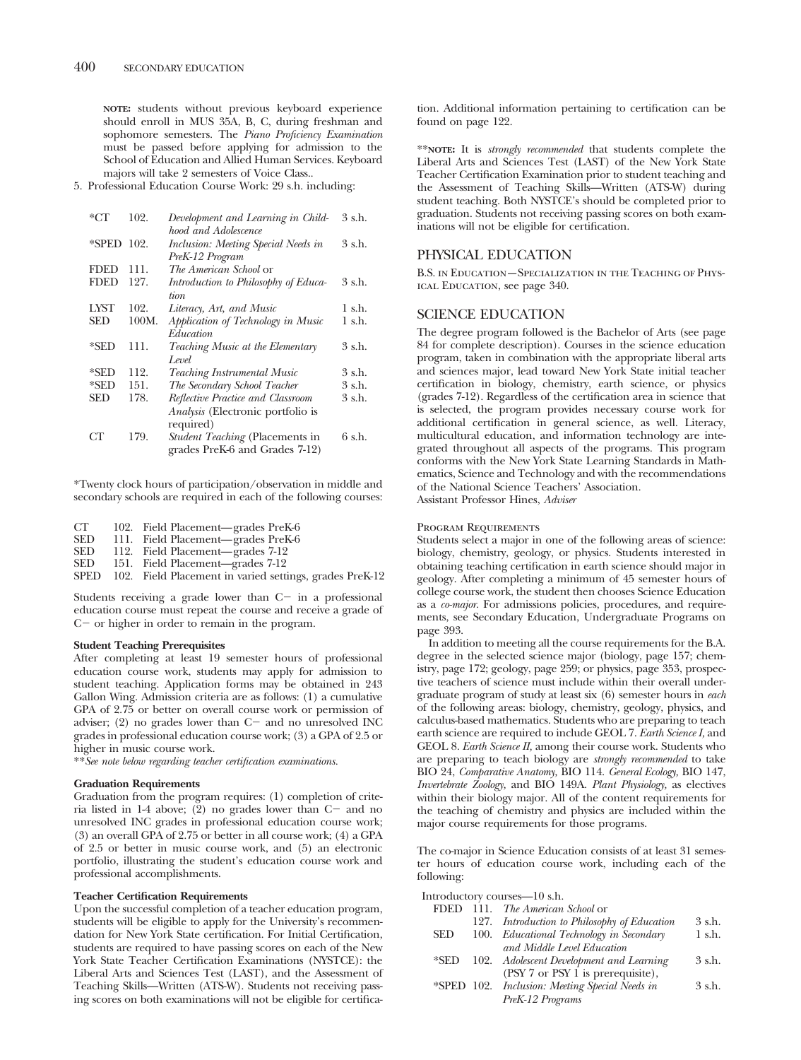**NOTE:** students without previous keyboard experience should enroll in MUS 35A, B, C, during freshman and sophomore semesters. The *Piano Proficiency Examination* must be passed before applying for admission to the School of Education and Allied Human Services. Keyboard majors will take 2 semesters of Voice Class..

5. Professional Education Course Work: 29 s.h. including:

| $*$ CT      | 102.  | Development and Learning in Child-       | 3 s.h. |
|-------------|-------|------------------------------------------|--------|
|             |       | hood and Adolescence                     |        |
| *SPED 102.  |       | Inclusion: Meeting Special Needs in      | 3 s.h. |
|             |       | PreK-12 Program                          |        |
| <b>FDED</b> | 111.  | <i>The American School</i> or            |        |
| <b>FDED</b> | 127.  | Introduction to Philosophy of Educa-     | 3 s.h. |
|             |       | tion                                     |        |
| LYST        | 102.  | Literacy, Art, and Music                 | 1 s.h. |
| SED         | 100M. | Application of Technology in Music       | 1 s.h. |
|             |       | Education                                |        |
| *SED        | 111.  | Teaching Music at the Elementary         | 3 s.h. |
|             |       | Level                                    |        |
| $*$ SED     | 112.  | <b>Teaching Instrumental Music</b>       | 3 s.h. |
| *SED        | 151.  | The Secondary School Teacher             | 3 s.h. |
| SED         | 178.  | Reflective Practice and Classroom        | 3 s.h. |
|             |       | <i>Analysis</i> (Electronic portfolio is |        |
|             |       | required)                                |        |
| CТ          | 179.  | <i>Student Teaching</i> (Placements in   | 6 s.h. |
|             |       | grades PreK-6 and Grades 7-12)           |        |

\*Twenty clock hours of participation/observation in middle and secondary schools are required in each of the following courses:

| CT.  | 102. Field Placement—grades PreK-6                      |
|------|---------------------------------------------------------|
| SED  | 111. Field Placement—grades PreK-6                      |
| SED  | 112. Field Placement—grades 7-12                        |
| SED  | 151. Field Placement—grades 7-12                        |
| SPED | 102. Field Placement in varied settings, grades PreK-12 |

Students receiving a grade lower than  $C$  in a professional education course must repeat the course and receive a grade of  $C$  - or higher in order to remain in the program.

# **Student Teaching Prerequisites**

After completing at least 19 semester hours of professional education course work, students may apply for admission to student teaching. Application forms may be obtained in 243 Gallon Wing. Admission criteria are as follows: (1) a cumulative GPA of 2.75 or better on overall course work or permission of adviser;  $(2)$  no grades lower than  $C-$  and no unresolved INC grades in professional education course work; (3) a GPA of 2.5 or higher in music course work.

\*\**See note below regarding teacher certification examinations.*

# **Graduation Requirements**

Graduation from the program requires: (1) completion of criteria listed in  $1-4$  above; (2) no grades lower than  $C$  and no unresolved INC grades in professional education course work; (3) an overall GPA of 2.75 or better in all course work; (4) a GPA of 2.5 or better in music course work, and (5) an electronic portfolio, illustrating the student's education course work and professional accomplishments.

# **Teacher Certification Requirements**

Upon the successful completion of a teacher education program, students will be eligible to apply for the University's recommendation for New York State certification. For Initial Certification, students are required to have passing scores on each of the New York State Teacher Certification Examinations (NYSTCE): the Liberal Arts and Sciences Test (LAST), and the Assessment of Teaching Skills—Written (ATS-W). Students not receiving passing scores on both examinations will not be eligible for certification. Additional information pertaining to certification can be found on page 122.

\*\***NOTE:** It is *strongly recommended* that students complete the Liberal Arts and Sciences Test (LAST) of the New York State Teacher Certification Examination prior to student teaching and the Assessment of Teaching Skills—Written (ATS-W) during student teaching. Both NYSTCE's should be completed prior to graduation. Students not receiving passing scores on both examinations will not be eligible for certification.

# PHYSICAL EDUCATION

B.S. in Education—Specialization in the Teaching of Physical Education, see page 340.

# SCIENCE EDUCATION

The degree program followed is the Bachelor of Arts (see page 84 for complete description). Courses in the science education program, taken in combination with the appropriate liberal arts and sciences major, lead toward New York State initial teacher certification in biology, chemistry, earth science, or physics (grades 7-12). Regardless of the certification area in science that is selected, the program provides necessary course work for additional certification in general science, as well. Literacy, multicultural education, and information technology are integrated throughout all aspects of the programs. This program conforms with the New York State Learning Standards in Mathematics, Science and Technology and with the recommendations of the National Science Teachers' Association. Assistant Professor Hines, *Adviser*

# Program Requirements

Students select a major in one of the following areas of science: biology, chemistry, geology, or physics. Students interested in obtaining teaching certification in earth science should major in geology. After completing a minimum of 45 semester hours of college course work, the student then chooses Science Education as a *co-major.* For admissions policies, procedures, and requirements, see Secondary Education, Undergraduate Programs on page 393.

In addition to meeting all the course requirements for the B.A. degree in the selected science major (biology, page 157; chemistry, page 172; geology, page 259; or physics, page 353, prospective teachers of science must include within their overall undergraduate program of study at least six (6) semester hours in *each* of the following areas: biology, chemistry, geology, physics, and calculus-based mathematics. Students who are preparing to teach earth science are required to include GEOL 7. *Earth Science I,* and GEOL 8. *Earth Science II,* among their course work. Students who are preparing to teach biology are *strongly recommended* to take BIO 24, *Comparative Anatomy,* BIO 114. *General Ecology,* BIO 147, *Invertebrate Zoology,* and BIO 149A. *Plant Physiology,* as electives within their biology major. All of the content requirements for the teaching of chemistry and physics are included within the major course requirements for those programs.

The co-major in Science Education consists of at least 31 semester hours of education course work, including each of the following:

Introductory courses—10 s.h.

|            | FDED 111. The American School or               |          |
|------------|------------------------------------------------|----------|
|            | 127. Introduction to Philosophy of Education   | 3 s.h.   |
| <b>SED</b> | 100. Educational Technology in Secondary       | $1$ s.h. |
|            | and Middle Level Education                     |          |
| *SED       | 102. Adolescent Development and Learning       | 3 s.h.   |
|            | (PSY 7 or PSY 1 is prerequisite),              |          |
|            | *SPED 102. Inclusion: Meeting Special Needs in | 3 s.h.   |
|            | PreK-12 Programs                               |          |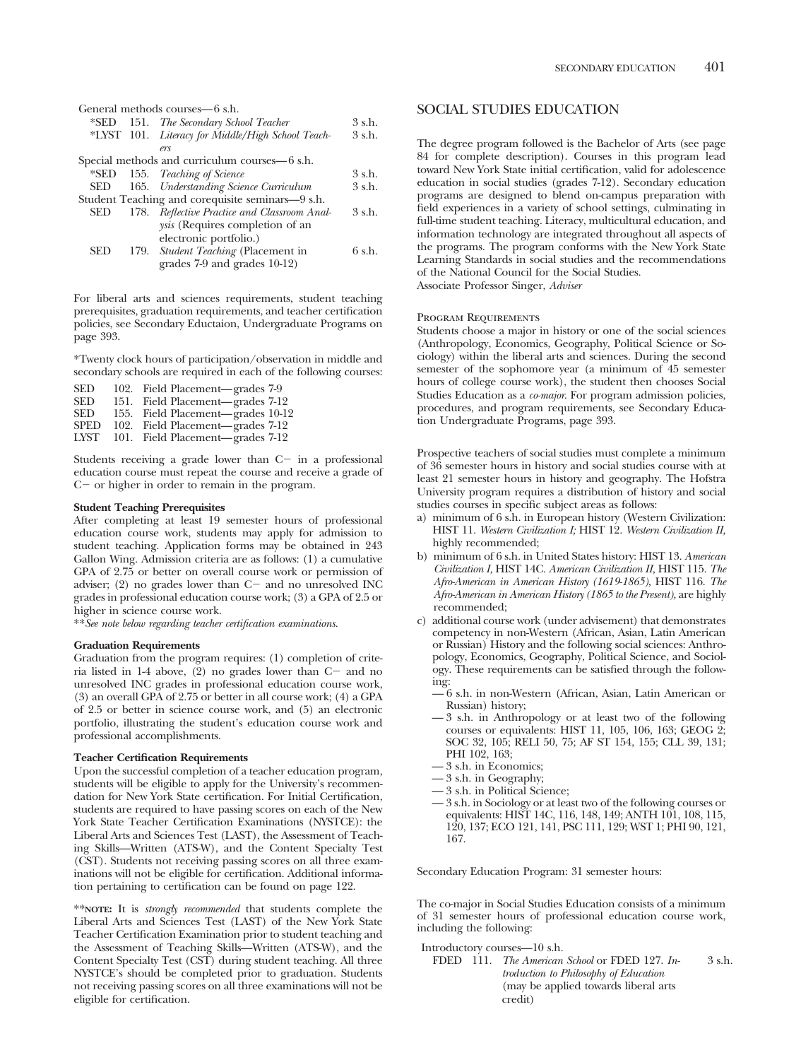| General methods courses—6 s.h.         |                                                                                                                                                                                                                                                                                                                                                                   |  |  |
|----------------------------------------|-------------------------------------------------------------------------------------------------------------------------------------------------------------------------------------------------------------------------------------------------------------------------------------------------------------------------------------------------------------------|--|--|
|                                        | 3 s.h.                                                                                                                                                                                                                                                                                                                                                            |  |  |
|                                        | 3 s.h.                                                                                                                                                                                                                                                                                                                                                            |  |  |
| ers                                    |                                                                                                                                                                                                                                                                                                                                                                   |  |  |
|                                        |                                                                                                                                                                                                                                                                                                                                                                   |  |  |
|                                        | 3 s.h.                                                                                                                                                                                                                                                                                                                                                            |  |  |
|                                        | 3 s.h.                                                                                                                                                                                                                                                                                                                                                            |  |  |
|                                        |                                                                                                                                                                                                                                                                                                                                                                   |  |  |
|                                        | 3 s.h.                                                                                                                                                                                                                                                                                                                                                            |  |  |
| <i>ysis</i> (Requires completion of an |                                                                                                                                                                                                                                                                                                                                                                   |  |  |
| electronic portfolio.)                 |                                                                                                                                                                                                                                                                                                                                                                   |  |  |
|                                        | 6 s.h.                                                                                                                                                                                                                                                                                                                                                            |  |  |
| grades 7-9 and grades 10-12)           |                                                                                                                                                                                                                                                                                                                                                                   |  |  |
|                                        | *SED 151. The Secondary School Teacher<br>*LYST 101. Literacy for Middle/High School Teach-<br>Special methods and curriculum courses—6 s.h.<br>*SED 155. Teaching of Science<br>165. Understanding Science Curriculum<br>Student Teaching and corequisite seminars-9 s.h.<br>178. Reflective Practice and Classroom Anal-<br>179. Student Teaching (Placement in |  |  |

For liberal arts and sciences requirements, student teaching prerequisites, graduation requirements, and teacher certification policies, see Secondary Eductaion, Undergraduate Programs on page 393.

\*Twenty clock hours of participation/observation in middle and secondary schools are required in each of the following courses:

| SED         | 102. Field Placement—grades 7-9   |  |
|-------------|-----------------------------------|--|
| SED         | 151. Field Placement—grades 7-12  |  |
| SED         | 155. Field Placement—grades 10-12 |  |
| <b>SPED</b> | 102. Field Placement—grades 7-12  |  |
| LYST        | 101. Field Placement—grades 7-12  |  |

Students receiving a grade lower than  $C$  in a professional education course must repeat the course and receive a grade of  $C$  – or higher in order to remain in the program.

# **Student Teaching Prerequisites**

After completing at least 19 semester hours of professional education course work, students may apply for admission to student teaching. Application forms may be obtained in 243 Gallon Wing. Admission criteria are as follows: (1) a cumulative GPA of 2.75 or better on overall course work or permission of adviser; (2) no grades lower than  $C-$  and no unresolved INC grades in professional education course work; (3) a GPA of 2.5 or higher in science course work.

\*\**See note below regarding teacher certification examinations.*

# **Graduation Requirements**

Graduation from the program requires: (1) completion of criteria listed in  $1-4$  above,  $(2)$  no grades lower than  $C-$  and no unresolved INC grades in professional education course work, (3) an overall GPA of 2.75 or better in all course work; (4) a GPA of 2.5 or better in science course work, and (5) an electronic portfolio, illustrating the student's education course work and professional accomplishments.

### **Teacher Certification Requirements**

Upon the successful completion of a teacher education program, students will be eligible to apply for the University's recommendation for New York State certification. For Initial Certification, students are required to have passing scores on each of the New York State Teacher Certification Examinations (NYSTCE): the Liberal Arts and Sciences Test (LAST), the Assessment of Teaching Skills—Written (ATS-W), and the Content Specialty Test (CST). Students not receiving passing scores on all three examinations will not be eligible for certification. Additional information pertaining to certification can be found on page 122.

\*\***NOTE:** It is *strongly recommended* that students complete the Liberal Arts and Sciences Test (LAST) of the New York State Teacher Certification Examination prior to student teaching and the Assessment of Teaching Skills—Written (ATS-W), and the Content Specialty Test (CST) during student teaching. All three NYSTCE's should be completed prior to graduation. Students not receiving passing scores on all three examinations will not be eligible for certification.

# SOCIAL STUDIES EDUCATION

The degree program followed is the Bachelor of Arts (see page 84 for complete description). Courses in this program lead toward New York State initial certification, valid for adolescence education in social studies (grades 7-12). Secondary education programs are designed to blend on-campus preparation with field experiences in a variety of school settings, culminating in full-time student teaching. Literacy, multicultural education, and information technology are integrated throughout all aspects of the programs. The program conforms with the New York State Learning Standards in social studies and the recommendations of the National Council for the Social Studies.

Associate Professor Singer, *Adviser*

### PROGRAM REQUIREMENTS

Students choose a major in history or one of the social sciences (Anthropology, Economics, Geography, Political Science or Sociology) within the liberal arts and sciences. During the second semester of the sophomore year (a minimum of 45 semester hours of college course work), the student then chooses Social Studies Education as a *co-major*. For program admission policies, procedures, and program requirements, see Secondary Education Undergraduate Programs, page 393.

Prospective teachers of social studies must complete a minimum of 36 semester hours in history and social studies course with at least 21 semester hours in history and geography. The Hofstra University program requires a distribution of history and social studies courses in specific subject areas as follows:

- a) minimum of 6 s.h. in European history (Western Civilization: HIST 11. *Western Civilization I;* HIST 12. *Western Civilization II,* highly recommended;
- b) minimum of 6 s.h. in United States history: HIST 13. *American Civilization I,* HIST 14C. *American Civilization II,* HIST 115. *The Afro-American in American History (1619-1865),* HIST 116. *The Afro-American in American History (1865 to the Present),* are highly recommended;
- c) additional course work (under advisement) that demonstrates competency in non-Western (African, Asian, Latin American or Russian) History and the following social sciences: Anthropology, Economics, Geography, Political Science, and Sociology. These requirements can be satisfied through the following:
	- 6 s.h. in non-Western (African, Asian, Latin American or Russian) history;
	- 3 s.h. in Anthropology or at least two of the following courses or equivalents: HIST 11, 105, 106, 163; GEOG 2; SOC 32, 105; RELI 50, 75; AF ST 154, 155; CLL 39, 131; PHI 102, 163;
	- 3 s.h. in Economics;
	- 3 s.h. in Geography;
	- 3 s.h. in Political Science;
	- 3 s.h. in Sociology or at least two of the following courses or equivalents: HIST 14C, 116, 148, 149; ANTH 101, 108, 115, 120, 137; ECO 121, 141, PSC 111, 129; WST 1; PHI 90, 121, 167.

Secondary Education Program: 31 semester hours:

The co-major in Social Studies Education consists of a minimum of 31 semester hours of professional education course work, including the following:

Introductory courses—10 s.h.

FDED 111. *The American School* or FDED 127. *Introduction to Philosophy of Education* (may be applied towards liberal arts credit) 3 s.h.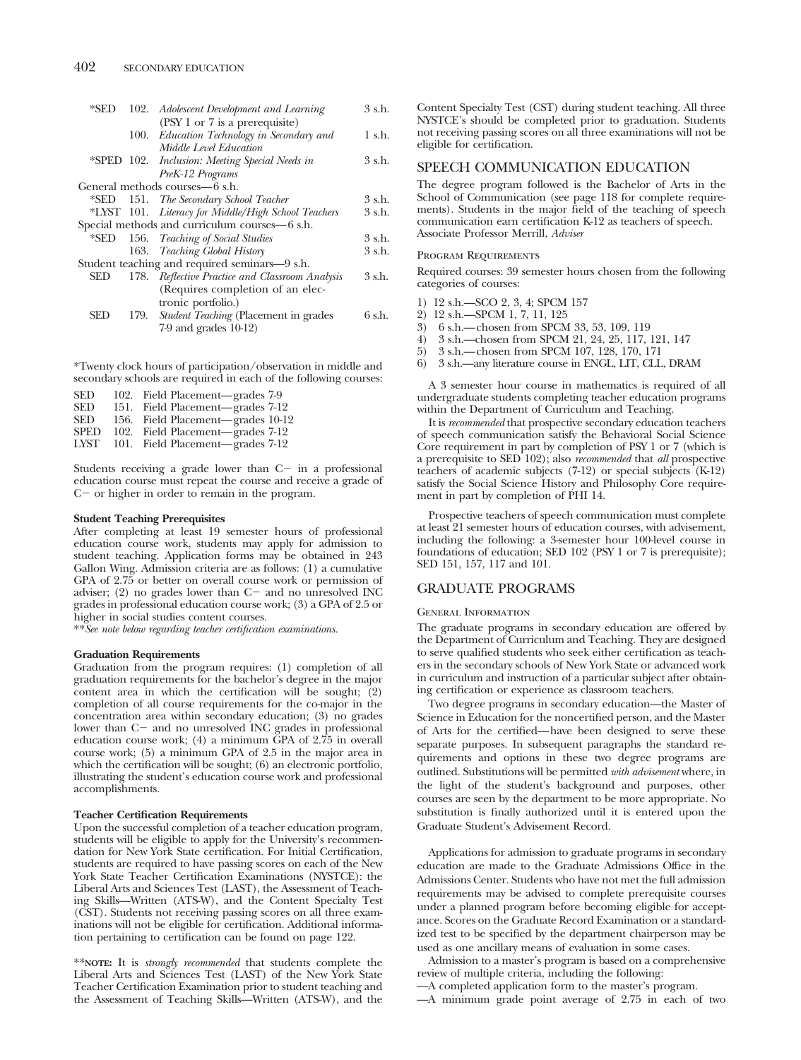| *SED       | 102. Adolescent Development and Learning            | 3 s.h. |
|------------|-----------------------------------------------------|--------|
|            | (PSY 1 or 7 is a prerequisite)                      |        |
|            | 100. Education Technology in Secondary and          | 1 s.h. |
|            | Middle Level Education                              |        |
|            | *SPED 102. Inclusion: Meeting Special Needs in      | 3 s.h. |
|            | PreK-12 Programs                                    |        |
|            | General methods courses—6 s.h.                      |        |
|            | *SED 151. The Secondary School Teacher              | 3 s.h. |
|            | *LYST 101. Literacy for Middle/High School Teachers | 3 s.h. |
|            | Special methods and curriculum courses-6 s.h.       |        |
| *SED       | 156. Teaching of Social Studies                     | 3 s.h. |
|            | 163. Teaching Global History                        | 3 s.h. |
|            | Student teaching and required seminars—9 s.h.       |        |
| <b>SED</b> | 178. Reflective Practice and Classroom Analysis     | 3 s.h. |
|            | (Requires completion of an elec-                    |        |
|            | tronic portfolio.)                                  |        |
| SED        | 179. Student Teaching (Placement in grades          | 6 s.h. |
|            | $7-9$ and grades $10-12$ )                          |        |
|            |                                                     |        |

\*Twenty clock hours of participation/observation in middle and secondary schools are required in each of the following courses:

| SED  | 102. Field Placement—grades 7-9   |
|------|-----------------------------------|
| SED  | 151. Field Placement—grades 7-12  |
| SED  | 156. Field Placement—grades 10-12 |
| SPED | 102. Field Placement—grades 7-12  |
| LYST | 101. Field Placement—grades 7-12  |
|      |                                   |

Students receiving a grade lower than  $C$  in a professional education course must repeat the course and receive a grade of  $C$  – or higher in order to remain in the program.

# **Student Teaching Prerequisites**

After completing at least 19 semester hours of professional education course work, students may apply for admission to student teaching. Application forms may be obtained in 243 Gallon Wing. Admission criteria are as follows: (1) a cumulative GPA of 2.75 or better on overall course work or permission of adviser;  $(2)$  no grades lower than  $C$  and no unresolved INC grades in professional education course work; (3) a GPA of 2.5 or higher in social studies content courses.

\*\**See note below regarding teacher certification examinations.*

## **Graduation Requirements**

Graduation from the program requires: (1) completion of all graduation requirements for the bachelor's degree in the major content area in which the certification will be sought;  $(2)$ completion of all course requirements for the co-major in the concentration area within secondary education; (3) no grades lower than C- and no unresolved INC grades in professional education course work; (4) a minimum GPA of 2.75 in overall course work; (5) a minimum GPA of 2.5 in the major area in which the certification will be sought; (6) an electronic portfolio, illustrating the student's education course work and professional accomplishments.

# **Teacher Certification Requirements**

Upon the successful completion of a teacher education program, students will be eligible to apply for the University's recommendation for New York State certification. For Initial Certification, students are required to have passing scores on each of the New York State Teacher Certification Examinations (NYSTCE): the Liberal Arts and Sciences Test (LAST), the Assessment of Teaching Skills—Written (ATS-W), and the Content Specialty Test (CST). Students not receiving passing scores on all three examinations will not be eligible for certification. Additional information pertaining to certification can be found on page 122.

\*\***NOTE:** It is *strongly recommended* that students complete the Liberal Arts and Sciences Test (LAST) of the New York State Teacher Certification Examination prior to student teaching and the Assessment of Teaching Skills—Written (ATS-W), and the

Content Specialty Test (CST) during student teaching. All three NYSTCE's should be completed prior to graduation. Students not receiving passing scores on all three examinations will not be eligible for certification.

# SPEECH COMMUNICATION EDUCATION

The degree program followed is the Bachelor of Arts in the School of Communication (see page 118 for complete requirements). Students in the major field of the teaching of speech communication earn certification K-12 as teachers of speech. Associate Professor Merrill, *Adviser*

### Program Requirements

Required courses: 39 semester hours chosen from the following categories of courses:

- 1) 12 s.h.—SCO 2, 3, 4; SPCM 157
- 2) 12 s.h.—SPCM 1, 7, 11, 125
- 3) 6 s.h.—chosen from SPCM 33, 53, 109, 119<br>4) 3 s.h.—chosen from SPCM 21, 24, 25, 117,
- 4) 3 s.h.—chosen from SPCM 21, 24, 25, 117, 121, 147
- 5) 3 s.h.—chosen from SPCM 107, 128, 170, 171
- 6) 3 s.h.—any literature course in ENGL, LIT, CLL, DRAM

A 3 semester hour course in mathematics is required of all undergraduate students completing teacher education programs within the Department of Curriculum and Teaching.

It is *recommended* that prospective secondary education teachers of speech communication satisfy the Behavioral Social Science Core requirement in part by completion of PSY 1 or 7 (which is a prerequisite to SED 102); also *recommended* that *all* prospective teachers of academic subjects (7-12) or special subjects (K-12) satisfy the Social Science History and Philosophy Core requirement in part by completion of PHI 14.

Prospective teachers of speech communication must complete at least 21 semester hours of education courses, with advisement, including the following: a 3-semester hour 100-level course in foundations of education; SED 102 (PSY 1 or 7 is prerequisite); SED 151, 157, 117 and 101.

# GRADUATE PROGRAMS

### General Information

The graduate programs in secondary education are offered by the Department of Curriculum and Teaching. They are designed to serve qualified students who seek either certification as teachers in the secondary schools of New York State or advanced work in curriculum and instruction of a particular subject after obtaining certification or experience as classroom teachers.

Two degree programs in secondary education—the Master of Science in Education for the noncertified person, and the Master of Arts for the certified—have been designed to serve these separate purposes. In subsequent paragraphs the standard requirements and options in these two degree programs are outlined. Substitutions will be permitted *with advisement* where, in the light of the student's background and purposes, other courses are seen by the department to be more appropriate. No substitution is finally authorized until it is entered upon the Graduate Student's Advisement Record.

Applications for admission to graduate programs in secondary education are made to the Graduate Admissions Office in the Admissions Center. Students who have not met the full admission requirements may be advised to complete prerequisite courses under a planned program before becoming eligible for acceptance. Scores on the Graduate Record Examination or a standardized test to be specified by the department chairperson may be used as one ancillary means of evaluation in some cases.

Admission to a master's program is based on a comprehensive review of multiple criteria, including the following:

—A completed application form to the master's program.

—A minimum grade point average of 2.75 in each of two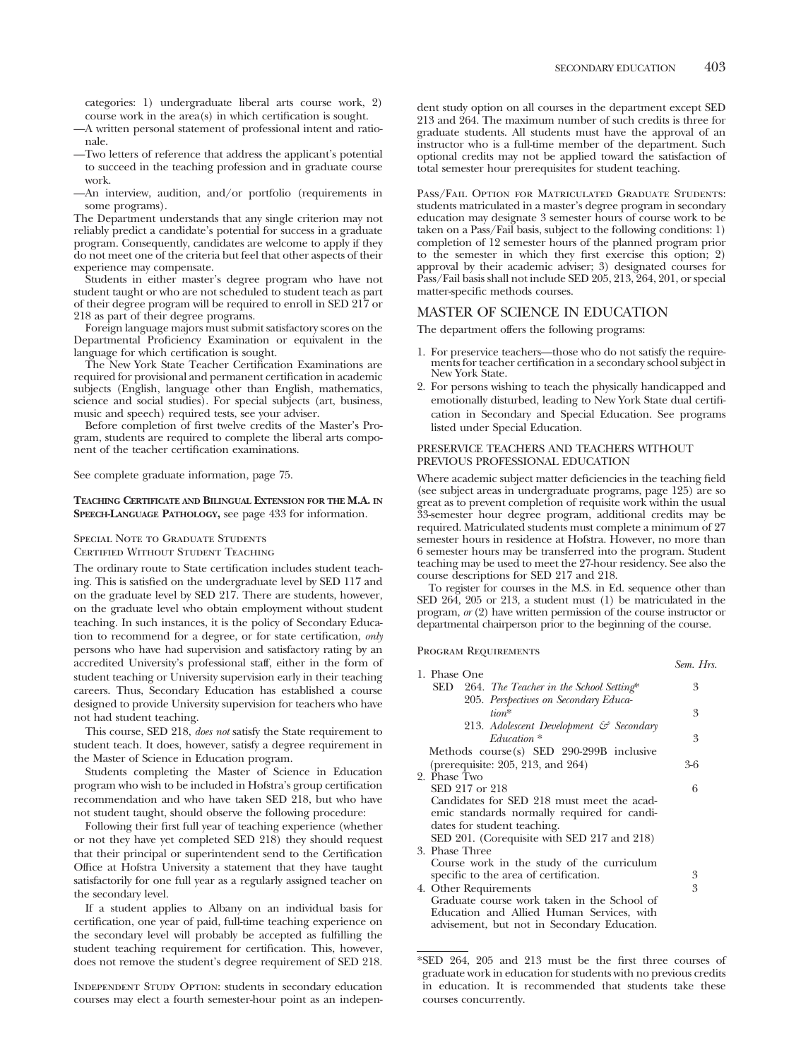categories: 1) undergraduate liberal arts course work, 2) course work in the area(s) in which certification is sought.

- —A written personal statement of professional intent and rationale.
- —Two letters of reference that address the applicant's potential to succeed in the teaching profession and in graduate course work.
- —An interview, audition, and/or portfolio (requirements in some programs).

The Department understands that any single criterion may not reliably predict a candidate's potential for success in a graduate program. Consequently, candidates are welcome to apply if they do not meet one of the criteria but feel that other aspects of their experience may compensate.

Students in either master's degree program who have not student taught or who are not scheduled to student teach as part of their degree program will be required to enroll in SED 217 or 218 as part of their degree programs.

Foreign language majors must submit satisfactory scores on the Departmental Proficiency Examination or equivalent in the language for which certification is sought.

The New York State Teacher Certification Examinations are required for provisional and permanent certification in academic subjects (English, language other than English, mathematics, science and social studies). For special subjects (art, business, music and speech) required tests, see your adviser.

Before completion of first twelve credits of the Master's Program, students are required to complete the liberal arts component of the teacher certification examinations.

See complete graduate information, page 75.

# **TEACHING CERTIFICATE AND BILINGUAL EXTENSION FOR THE M.A. IN SPEECH-LANGUAGE PATHOLOGY,** see page 433 for information.

## SPECIAL NOTE TO GRADUATE STUDENTS

Certified Without Student Teaching

The ordinary route to State certification includes student teaching. This is satisfied on the undergraduate level by SED 117 and on the graduate level by SED 217. There are students, however, on the graduate level who obtain employment without student teaching. In such instances, it is the policy of Secondary Education to recommend for a degree, or for state certification, *only* persons who have had supervision and satisfactory rating by an accredited University's professional staff, either in the form of student teaching or University supervision early in their teaching careers. Thus, Secondary Education has established a course designed to provide University supervision for teachers who have not had student teaching.

This course, SED 218, *does not* satisfy the State requirement to student teach. It does, however, satisfy a degree requirement in the Master of Science in Education program.

Students completing the Master of Science in Education program who wish to be included in Hofstra's group certification recommendation and who have taken SED 218, but who have not student taught, should observe the following procedure:

Following their first full year of teaching experience (whether or not they have yet completed SED 218) they should request that their principal or superintendent send to the Certification Office at Hofstra University a statement that they have taught satisfactorily for one full year as a regularly assigned teacher on the secondary level.

If a student applies to Albany on an individual basis for certification, one year of paid, full-time teaching experience on the secondary level will probably be accepted as fulfilling the student teaching requirement for certification. This, however, does not remove the student's degree requirement of SED 218.

Independent Study Option: students in secondary education courses may elect a fourth semester-hour point as an independent study option on all courses in the department except SED 213 and 264. The maximum number of such credits is three for graduate students. All students must have the approval of an instructor who is a full-time member of the department. Such optional credits may not be applied toward the satisfaction of total semester hour prerequisites for student teaching.

Pass/Fail Option for Matriculated Graduate Students: students matriculated in a master's degree program in secondary education may designate 3 semester hours of course work to be taken on a Pass/Fail basis, subject to the following conditions: 1) completion of 12 semester hours of the planned program prior to the semester in which they first exercise this option; 2) approval by their academic adviser; 3) designated courses for Pass/Fail basis shall not include SED 205, 213, 264, 201, or special matter-specific methods courses.

# MASTER OF SCIENCE IN EDUCATION

The department offers the following programs:

- 1. For preservice teachers—those who do not satisfy the require- ments for teacher certification in a secondary school subject in New York State.
- 2. For persons wishing to teach the physically handicapped and emotionally disturbed, leading to New York State dual certification in Secondary and Special Education. See programs listed under Special Education.

# PRESERVICE TEACHERS AND TEACHERS WITHOUT PREVIOUS PROFESSIONAL EDUCATION

Where academic subject matter deficiencies in the teaching field (see subject areas in undergraduate programs, page 125) are so great as to prevent completion of requisite work within the usual 33-semester hour degree program, additional credits may be required. Matriculated students must complete a minimum of 27 semester hours in residence at Hofstra. However, no more than 6 semester hours may be transferred into the program. Student teaching may be used to meet the 27-hour residency. See also the course descriptions for SED 217 and 218.

To register for courses in the M.S. in Ed. sequence other than SED 264, 205 or 213, a student must (1) be matriculated in the program, *or* (2) have written permission of the course instructor or departmental chairperson prior to the beginning of the course.

Program Requirements

| 1. Phase One                                                                                                                                                            | Sem. Hrs. |
|-------------------------------------------------------------------------------------------------------------------------------------------------------------------------|-----------|
| SED 264. The Teacher in the School Setting*                                                                                                                             | 3         |
| 205. Perspectives on Secondary Educa-<br>$tion*$                                                                                                                        | 3         |
| 213. Adolescent Development & Secondary                                                                                                                                 |           |
| $Education*$                                                                                                                                                            | 3         |
| Methods course(s) SED $290-299B$ inclusive<br>(prerequisite: 205, 213, and 264)                                                                                         | 3-6       |
| 2. Phase Two<br>SED 217 or 218                                                                                                                                          | 6         |
| Candidates for SED 218 must meet the acad-<br>emic standards normally required for candi-<br>dates for student teaching.<br>SED 201. (Corequisite with SED 217 and 218) |           |
| 3. Phase Three                                                                                                                                                          |           |
| Course work in the study of the curriculum<br>specific to the area of certification.<br>4. Other Requirements<br>Graduate course work taken in the School of            | 3<br>3    |
| Education and Allied Human Services, with<br>advisement, but not in Secondary Education.                                                                                |           |

<sup>\*</sup>SED 264, 205 and 213 must be the first three courses of graduate work in education for students with no previous credits in education. It is recommended that students take these courses concurrently.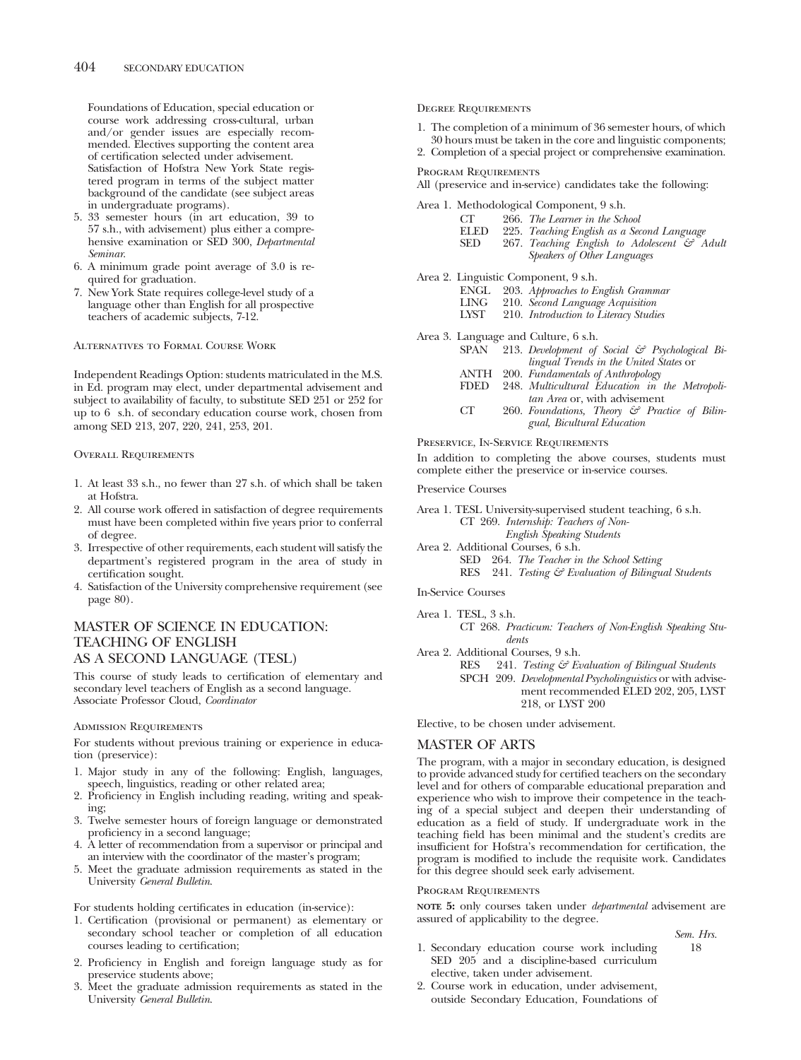Foundations of Education, special education or course work addressing cross-cultural, urban and/or gender issues are especially recommended. Electives supporting the content area of certification selected under advisement. Satisfaction of Hofstra New York State registered program in terms of the subject matter background of the candidate (see subject areas in undergraduate programs).

- 5. 33 semester hours (in art education, 39 to 57 s.h., with advisement) plus either a comprehensive examination or SED 300, *Departmental Seminar*.
- 6. A minimum grade point average of 3.0 is required for graduation.
- 7. New York State requires college-level study of a language other than English for all prospective teachers of academic subjects, 7-12.

# Alternatives to Formal Course Work

Independent Readings Option: students matriculated in the M.S. in Ed. program may elect, under departmental advisement and subject to availability of faculty, to substitute SED 251 or 252 for up to 6 s.h. of secondary education course work, chosen from among SED 213, 207, 220, 241, 253, 201.

# Overall Requirements

- 1. At least 33 s.h., no fewer than 27 s.h. of which shall be taken at Hofstra.
- 2. All course work offered in satisfaction of degree requirements must have been completed within five years prior to conferral of degree.
- 3. Irrespective of other requirements, each student will satisfy the department's registered program in the area of study in certification sought.
- 4. Satisfaction of the University comprehensive requirement (see page 80).

# MASTER OF SCIENCE IN EDUCATION: TEACHING OF ENGLISH AS A SECOND LANGUAGE (TESL)

This course of study leads to certification of elementary and secondary level teachers of English as a second language. Associate Professor Cloud, *Coordinator*

# Admission Requirements

For students without previous training or experience in education (preservice):

- 1. Major study in any of the following: English, languages, speech, linguistics, reading or other related area;
- 2. Proficiency in English including reading, writing and speaking;
- 3. Twelve semester hours of foreign language or demonstrated proficiency in a second language;
- 4. A letter of recommendation from a supervisor or principal and an interview with the coordinator of the master's program;
- 5. Meet the graduate admission requirements as stated in the University *General Bulletin*.

## For students holding certificates in education (in-service):

- 1. Certification (provisional or permanent) as elementary or secondary school teacher or completion of all education courses leading to certification;
- 2. Proficiency in English and foreign language study as for preservice students above;
- 3. Meet the graduate admission requirements as stated in the University *General Bulletin*.

# Degree Requirements

1. The completion of a minimum of 36 semester hours, of which

30 hours must be taken in the core and linguistic components; 2. Completion of a special project or comprehensive examination.

Program Requirements

All (preservice and in-service) candidates take the following:

Area 1. Methodological Component, 9 s.h.

| <b>CT</b> | 266. The Learner in the School |  |
|-----------|--------------------------------|--|
|-----------|--------------------------------|--|

ELED SED 225. *Teaching English as a Second Language* 267. *Teaching English to Adolescent & Adult Speakers of Other Languages*

Area 2. Linguistic Component, 9 s.h.

| ENGL |  | 203. Approaches to English Grammar |  |  |  |
|------|--|------------------------------------|--|--|--|
|------|--|------------------------------------|--|--|--|

- 
- LING 210. *Second Language Acquisition* 210. *Introduction* to Literacy Studies

Area 3. Language and Culture, 6 s.h.

- SPAN 213. *Development of Social & Psychological Bilingual Trends in the United States* or
- ANTH 200. *Fundamentals of Anthropology*
- FDED 248. *Multicultural Education in the Metropolitan Area* or, with advisement
- CT 260. *Foundations, Theory & Practice of Bilingual, Bicultural Education*

Preservice, In-Service Requirements

In addition to completing the above courses, students must complete either the preservice or in-service courses.

### Preservice Courses

Area 1. TESL University-supervised student teaching, 6 s.h. CT 269. *Internship: Teachers of Non-English Speaking Students*

- Area 2. Additional Courses, 6 s.h.
	- SED 264. *The Teacher in the School Setting*

RES 241. *Testing & Evaluation of Bilingual Students*

In-Service Courses

Area 1. TESL, 3 s.h.

CT 268. *Practicum: Teachers of Non-English Speaking Students*

Area 2. Additional Courses, 9 s.h.

RES 241. *Testing & Evaluation of Bilingual Students* SPCH 209. *Developmental Psycholinguistics* or with advisement recommended ELED 202, 205, LYST 218, or LYST 200

Elective, to be chosen under advisement.

# MASTER OF ARTS

The program, with a major in secondary education, is designed to provide advanced study for certified teachers on the secondary level and for others of comparable educational preparation and experience who wish to improve their competence in the teaching of a special subject and deepen their understanding of education as a field of study. If undergraduate work in the teaching field has been minimal and the student's credits are insufficient for Hofstra's recommendation for certification, the program is modified to include the requisite work. Candidates for this degree should seek early advisement.

# Program Requirements

**NOTE 5:** only courses taken under *departmental* advisement are assured of applicability to the degree.

# *Sem. Hrs.*

- 1. Secondary education course work including SED 205 and a discipline-based curriculum elective, taken under advisement.
- 2. Course work in education, under advisement, outside Secondary Education, Foundations of

18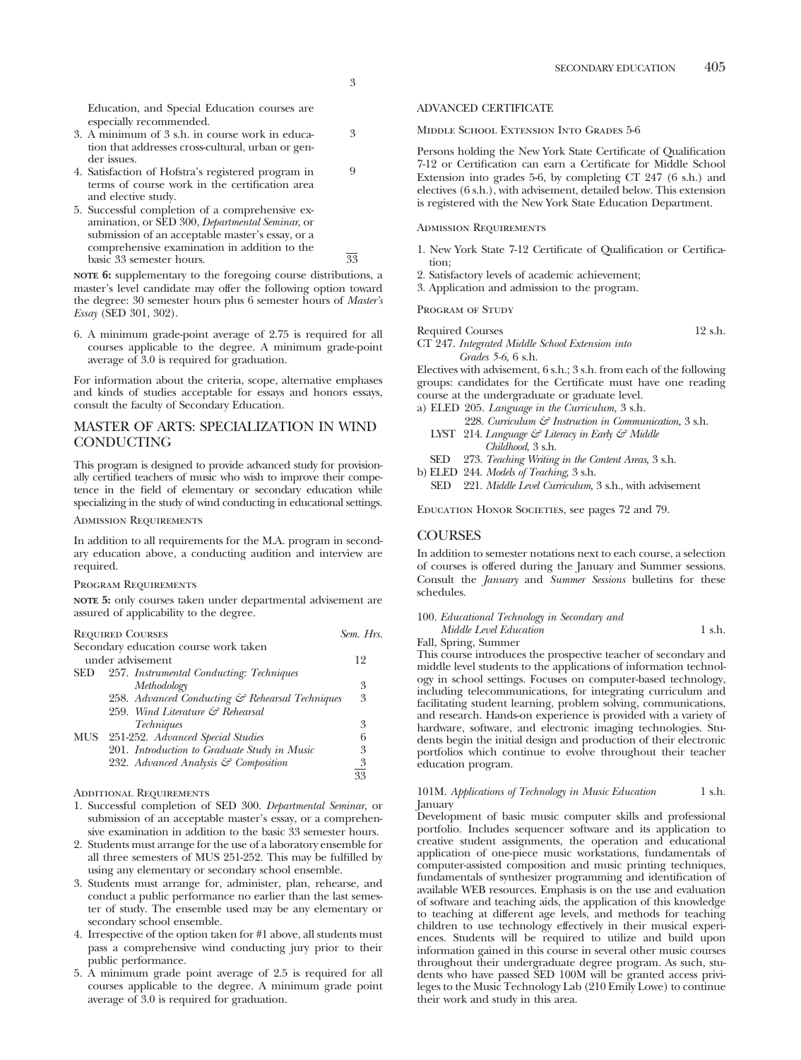3

9

Education, and Special Education courses are especially recommended.

- 3. A minimum of 3 s.h. in course work in education that addresses cross-cultural, urban or gender issues.
- 4. Satisfaction of Hofstra's registered program in terms of course work in the certification area and elective study.
- 5. Successful completion of a comprehensive examination, or SED 300, *Departmental Seminar*, or submission of an acceptable master's essay, or a comprehensive examination in addition to the basic 33 semester hours. 33

**NOTE 6:** supplementary to the foregoing course distributions, a master's level candidate may offer the following option toward the degree: 30 semester hours plus 6 semester hours of *Master's Essay* (SED 301, 302).

6. A minimum grade-point average of 2.75 is required for all courses applicable to the degree. A minimum grade-point average of 3.0 is required for graduation.

For information about the criteria, scope, alternative emphases and kinds of studies acceptable for essays and honors essays, consult the faculty of Secondary Education.

# MASTER OF ARTS: SPECIALIZATION IN WIND CONDUCTING

This program is designed to provide advanced study for provisionally certified teachers of music who wish to improve their competence in the field of elementary or secondary education while specializing in the study of wind conducting in educational settings.

# Admission Requirements

In addition to all requirements for the M.A. program in secondary education above, a conducting audition and interview are required.

## Program Requirements

**NOTE 5:** only courses taken under departmental advisement are assured of applicability to the degree.

| <b>REQUIRED COURSES</b>                         |                |  |
|-------------------------------------------------|----------------|--|
| Secondary education course work taken           |                |  |
| under advisement                                | 12             |  |
| 257. Instrumental Conducting: Techniques<br>SED |                |  |
| Methodology                                     | 3              |  |
| 258. Advanced Conducting & Rehearsal Techniques | 3              |  |
| 259. Wind Literature & Rehearsal                |                |  |
| <i>Techniques</i>                               | 3              |  |
| <b>MUS</b><br>251-252. Advanced Special Studies | 6              |  |
| 201. Introduction to Graduate Study in Music    | 3              |  |
| 232. Advanced Analysis & Composition            | $\frac{3}{33}$ |  |
|                                                 |                |  |

ADDITIONAL REQUIREMENTS

- 1. Successful completion of SED 300. *Departmental Seminar*, or submission of an acceptable master's essay, or a comprehensive examination in addition to the basic 33 semester hours.
- 2. Students must arrange for the use of a laboratory ensemble for all three semesters of MUS 251-252. This may be fulfilled by using any elementary or secondary school ensemble.
- 3. Students must arrange for, administer, plan, rehearse, and conduct a public performance no earlier than the last semester of study. The ensemble used may be any elementary or secondary school ensemble.
- 4. Irrespective of the option taken for #1 above, all students must pass a comprehensive wind conducting jury prior to their public performance.
- 5. A minimum grade point average of 2.5 is required for all courses applicable to the degree. A minimum grade point average of 3.0 is required for graduation.

# ADVANCED CERTIFICATE

Middle School Extension Into Grades 5-6

Persons holding the New York State Certificate of Qualification 7-12 or Certification can earn a Certificate for Middle School Extension into grades 5-6, by completing CT 247 (6 s.h.) and electives (6 s.h.), with advisement, detailed below. This extension is registered with the New York State Education Department.

### Admission Requirements

- 1. New York State 7-12 Certificate of Qualification or Certification;
- 2. Satisfactory levels of academic achievement;
- 3. Application and admission to the program.

### PROGRAM OF STUDY

Required Courses 12 s.h.

CT 247. *Integrated Middle School Extension into Grades 5-6,* 6 s.h.

Electives with advisement, 6 s.h.; 3 s.h. from each of the following groups: candidates for the Certificate must have one reading course at the undergraduate or graduate level.

- a) ELED 205. *Language in the Curriculum,* 3 s.h.
	- 228. *Curriculum & Instruction in Communication,* 3 s.h. LYST 214. *Language & Literacy in Early & Middle Childhood,* 3 s.h.
- SED 273. *Teaching Writing in the Content Areas,* 3 s.h.
- b) ELED 244. *Models of Teaching,* 3 s.h.
	- SED 221. *Middle Level Curriculum,* 3 s.h., with advisement

Education Honor Societies, see pages 72 and 79.

# COURSES

In addition to semester notations next to each course, a selection of courses is offered during the January and Summer sessions. Consult the *January* and *Summer Sessions* bulletins for these schedules.

# 100. *Educational Technology in Secondary and*

*Middle Level Education* 1 s.h.

Fall, Spring, Summer

This course introduces the prospective teacher of secondary and middle level students to the applications of information technology in school settings. Focuses on computer-based technology, including telecommunications, for integrating curriculum and facilitating student learning, problem solving, communications, and research. Hands-on experience is provided with a variety of hardware, software, and electronic imaging technologies. Students begin the initial design and production of their electronic portfolios which continue to evolve throughout their teacher education program.

# 101M. *Applications of Technology in Music Education* 1 s.h. January

Development of basic music computer skills and professional portfolio. Includes sequencer software and its application to creative student assignments, the operation and educational application of one-piece music workstations, fundamentals of computer-assisted composition and music printing techniques, fundamentals of synthesizer programming and identification of available WEB resources. Emphasis is on the use and evaluation of software and teaching aids, the application of this knowledge to teaching at different age levels, and methods for teaching children to use technology effectively in their musical experiences. Students will be required to utilize and build upon information gained in this course in several other music courses throughout their undergraduate degree program. As such, students who have passed SED 100M will be granted access privileges to the Music Technology Lab (210 Emily Lowe) to continue their work and study in this area.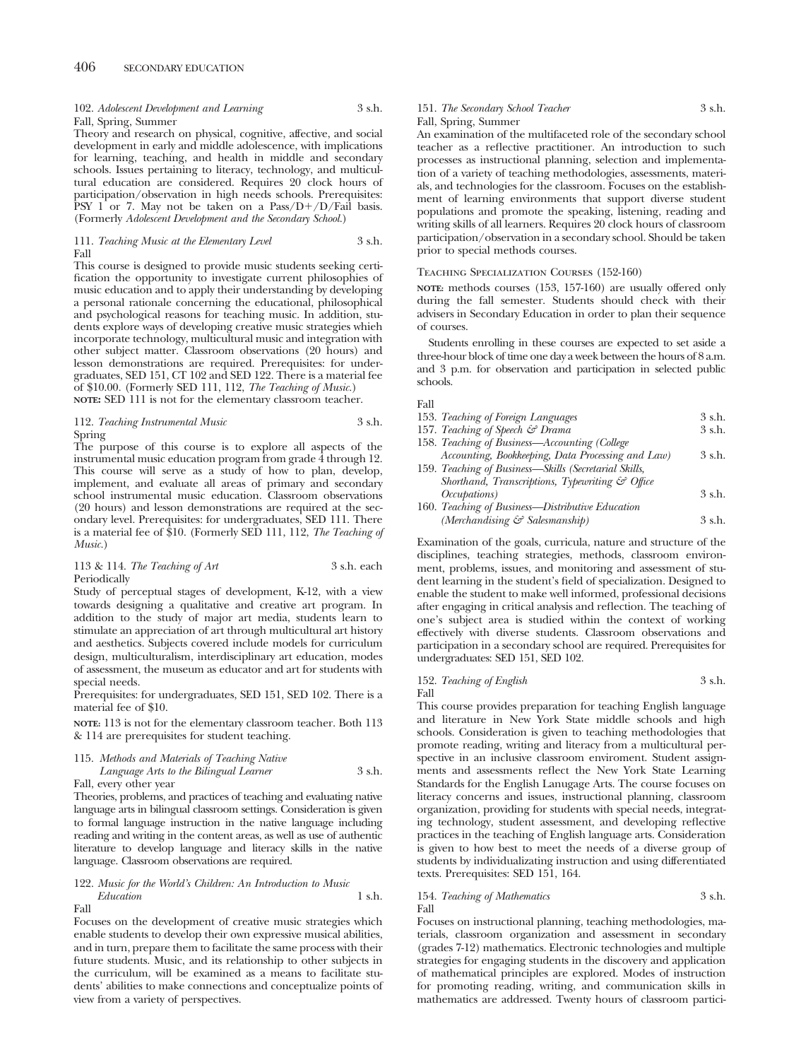# 102. *Adolescent Development and Learning* 3 s.h. Fall, Spring, Summer

Theory and research on physical, cognitive, affective, and social development in early and middle adolescence, with implications for learning, teaching, and health in middle and secondary schools. Issues pertaining to literacy, technology, and multicultural education are considered. Requires 20 clock hours of participation/observation in high needs schools. Prerequisites: PSY 1 or 7. May not be taken on a Pass/D+/D/Fail basis. (Formerly *Adolescent Development and the Secondary School.*)

### 111. *Teaching Music at the Elementary Level* 3 s.h. Fall

This course is designed to provide music students seeking certification the opportunity to investigate current philosophies of music education and to apply their understanding by developing a personal rationale concerning the educational, philosophical and psychological reasons for teaching music. In addition, students explore ways of developing creative music strategies whieh incorporate technology, multicultural music and integration with other subject matter. Classroom observations (20 hours) and lesson demonstrations are required. Prerequisites: for undergraduates, SED 151, CT 102 and SED 122. There is a material fee of \$10.00. (Formerly SED 111, 112, *The Teaching of Music.*) **NOTE:** SED 111 is not for the elementary classroom teacher.

# 112. *Teaching Instrumental Music* 3 s.h. Spring

The purpose of this course is to explore all aspects of the instrumental music education program from grade 4 through 12. This course will serve as a study of how to plan, develop, implement, and evaluate all areas of primary and secondary school instrumental music education. Classroom observations (20 hours) and lesson demonstrations are required at the secondary level. Prerequisites: for undergraduates, SED 111. There is a material fee of \$10. (Formerly SED 111, 112, *The Teaching of Music.*)

### 113 & 114. *The Teaching of Art* 3 s.h. each Periodically

Study of perceptual stages of development, K-12, with a view towards designing a qualitative and creative art program. In addition to the study of major art media, students learn to stimulate an appreciation of art through multicultural art history and aesthetics. Subjects covered include models for curriculum design, multiculturalism, interdisciplinary art education, modes of assessment, the museum as educator and art for students with special needs.

# Prerequisites: for undergraduates, SED 151, SED 102. There is a material fee of \$10.

**NOTE:** 113 is not for the elementary classroom teacher. Both 113 & 114 are prerequisites for student teaching.

# 115. *Methods and Materials of Teaching Native*

# *Language Arts to the Bilingual Learner* 3 s.h. Fall, every other year

Theories, problems, and practices of teaching and evaluating native language arts in bilingual classroom settings. Consideration is given to formal language instruction in the native language including reading and writing in the content areas, as well as use of authentic literature to develop language and literacy skills in the native language. Classroom observations are required.

# 122. *Music for the World's Children: An Introduction to Music Education* 1 s.h.

Fall

Focuses on the development of creative music strategies which enable students to develop their own expressive musical abilities, and in turn, prepare them to facilitate the same process with their future students. Music, and its relationship to other subjects in the curriculum, will be examined as a means to facilitate students' abilities to make connections and conceptualize points of view from a variety of perspectives.

# 151. *The Secondary School Teacher* 3 s.h. Fall, Spring, Summer

An examination of the multifaceted role of the secondary school teacher as a reflective practitioner. An introduction to such processes as instructional planning, selection and implementation of a variety of teaching methodologies, assessments, materials, and technologies for the classroom. Focuses on the establishment of learning environments that support diverse student populations and promote the speaking, listening, reading and writing skills of all learners. Requires 20 clock hours of classroom participation/observation in a secondary school. Should be taken prior to special methods courses.

# Teaching Specialization Courses (152-160)

**NOTE:** methods courses (153, 157-160) are usually offered only during the fall semester. Students should check with their advisers in Secondary Education in order to plan their sequence of courses.

Students enrolling in these courses are expected to set aside a three-hour block of time one day a week between the hours of 8 a.m. and 3 p.m. for observation and participation in selected public schools.

# Fall

| 153. Teaching of Foreign Languages                          | 3 s.h.   |
|-------------------------------------------------------------|----------|
| 157. Teaching of Speech & Drama                             | 3 s.h.   |
| 158. Teaching of Business-Accounting (College               |          |
| Accounting, Bookkeeping, Data Processing and Law)           | 3 s.h.   |
| 159. Teaching of Business—Skills (Secretarial Skills,       |          |
| Shorthand, Transcriptions, Typewriting $\mathcal{C}$ Office |          |
| <i>Occupations</i> )                                        | $3$ s.h. |
| 160. Teaching of Business-Distributive Education            |          |
| (Merchandising & Salesmanship)                              | $3$ s h  |

Examination of the goals, curricula, nature and structure of the disciplines, teaching strategies, methods, classroom environment, problems, issues, and monitoring and assessment of student learning in the student's field of specialization. Designed to enable the student to make well informed, professional decisions after engaging in critical analysis and reflection. The teaching of one's subject area is studied within the context of working effectively with diverse students. Classroom observations and participation in a secondary school are required. Prerequisites for undergraduates: SED 151, SED 102.

### 152. *Teaching of English* 3 s.h. Fall

This course provides preparation for teaching English language and literature in New York State middle schools and high schools. Consideration is given to teaching methodologies that promote reading, writing and literacy from a multicultural perspective in an inclusive classroom enviroment. Student assignments and assessments reflect the New York State Learning Standards for the English Lanugage Arts. The course focuses on literacy concerns and issues, instructional planning, classroom organization, providing for students with special needs, integrating technology, student assessment, and developing reflective practices in the teaching of English language arts. Consideration is given to how best to meet the needs of a diverse group of students by individualizating instruction and using differentiated texts. Prerequisites: SED 151, 164.

# 154. *Teaching of Mathematics* 3 s.h. Fall

Focuses on instructional planning, teaching methodologies, materials, classroom organization and assessment in secondary (grades 7-12) mathematics. Electronic technologies and multiple strategies for engaging students in the discovery and application of mathematical principles are explored. Modes of instruction for promoting reading, writing, and communication skills in mathematics are addressed. Twenty hours of classroom partici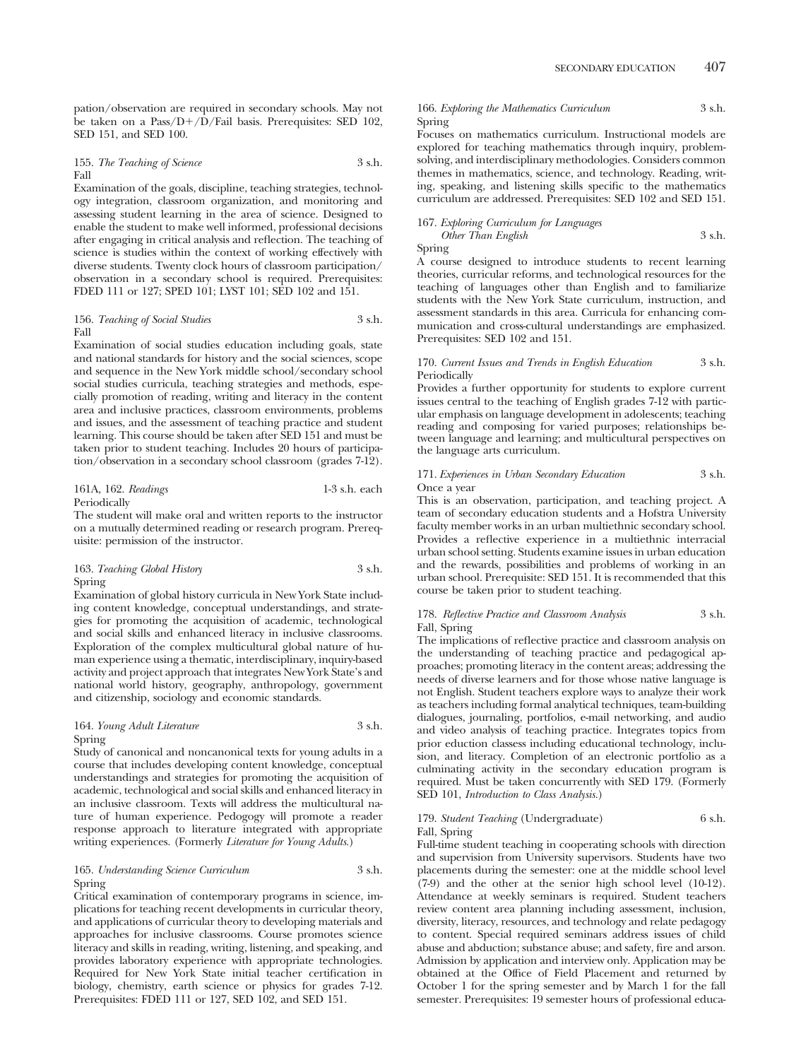pation/observation are required in secondary schools. May not be taken on a Pass/D+/D/Fail basis. Prerequisites: SED 102, SED 151, and SED 100.

### 155. *The Teaching of Science* 3 s.h. Fall

Examination of the goals, discipline, teaching strategies, technology integration, classroom organization, and monitoring and assessing student learning in the area of science. Designed to enable the student to make well informed, professional decisions after engaging in critical analysis and reflection. The teaching of science is studies within the context of working effectively with diverse students. Twenty clock hours of classroom participation/ observation in a secondary school is required. Prerequisites: FDED 111 or 127; SPED 101; LYST 101; SED 102 and 151.

### 156. *Teaching of Social Studies* 3 s.h. Fall

Examination of social studies education including goals, state and national standards for history and the social sciences, scope and sequence in the New York middle school/secondary school social studies curricula, teaching strategies and methods, especially promotion of reading, writing and literacy in the content area and inclusive practices, classroom environments, problems and issues, and the assessment of teaching practice and student learning. This course should be taken after SED 151 and must be taken prior to student teaching. Includes 20 hours of participation/observation in a secondary school classroom (grades 7-12).

# 161A, 162. *Readings* 1-3 s.h. each Periodically

The student will make oral and written reports to the instructor on a mutually determined reading or research program. Prerequisite: permission of the instructor.

# 163. *Teaching Global History* 3 s.h. Spring

Examination of global history curricula in New York State including content knowledge, conceptual understandings, and strategies for promoting the acquisition of academic, technological and social skills and enhanced literacy in inclusive classrooms. Exploration of the complex multicultural global nature of human experience using a thematic, interdisciplinary, inquiry-based activity and project approach that integrates New York State's and national world history, geography, anthropology, government and citizenship, sociology and economic standards.

### 164. *Young Adult Literature* 3 s.h. Spring

Study of canonical and noncanonical texts for young adults in a course that includes developing content knowledge, conceptual understandings and strategies for promoting the acquisition of academic, technological and social skills and enhanced literacy in an inclusive classroom. Texts will address the multicultural nature of human experience. Pedogogy will promote a reader response approach to literature integrated with appropriate writing experiences. (Formerly *Literature for Young Adults.*)

# 165. *Understanding Science Curriculum* 3 s.h. Spring

Critical examination of contemporary programs in science, implications for teaching recent developments in curricular theory, and applications of curricular theory to developing materials and approaches for inclusive classrooms. Course promotes science literacy and skills in reading, writing, listening, and speaking, and provides laboratory experience with appropriate technologies. Required for New York State initial teacher certification in biology, chemistry, earth science or physics for grades 7-12. Prerequisites: FDED 111 or 127, SED 102, and SED 151.

# 166. *Exploring the Mathematics Curriculum* 3 s.h. Spring

Focuses on mathematics curriculum. Instructional models are explored for teaching mathematics through inquiry, problemsolving, and interdisciplinary methodologies. Considers common themes in mathematics, science, and technology. Reading, writing, speaking, and listening skills specific to the mathematics curriculum are addressed. Prerequisites: SED 102 and SED 151.

# 167. *Exploring Curriculum for Languages Other Than English* 3 s.h.

Spring

A course designed to introduce students to recent learning theories, curricular reforms, and technological resources for the teaching of languages other than English and to familiarize students with the New York State curriculum, instruction, and assessment standards in this area. Curricula for enhancing communication and cross-cultural understandings are emphasized. Prerequisites: SED 102 and 151.

# 170. *Current Issues and Trends in English Education* 3 s.h. Periodically

Provides a further opportunity for students to explore current issues central to the teaching of English grades 7-12 with particular emphasis on language development in adolescents; teaching reading and composing for varied purposes; relationships between language and learning; and multicultural perspectives on the language arts curriculum.

# 171. *Experiences in Urban Secondary Education* 3 s.h. Once a year

This is an observation, participation, and teaching project. A team of secondary education students and a Hofstra University faculty member works in an urban multiethnic secondary school. Provides a reflective experience in a multiethnic interracial urban school setting. Students examine issues in urban education and the rewards, possibilities and problems of working in an urban school. Prerequisite: SED 151. It is recommended that this course be taken prior to student teaching.

# 178. *Reflective Practice and Classroom Analysis* 3 s.h. Fall, Spring

The implications of reflective practice and classroom analysis on the understanding of teaching practice and pedagogical approaches; promoting literacy in the content areas; addressing the needs of diverse learners and for those whose native language is not English. Student teachers explore ways to analyze their work as teachers including formal analytical techniques, team-building dialogues, journaling, portfolios, e-mail networking, and audio and video analysis of teaching practice. Integrates topics from prior eduction classess including educational technology, inclusion, and literacy. Completion of an electronic portfolio as a culminating activity in the secondary education program is required. Must be taken concurrently with SED 179. (Formerly SED 101, *Introduction to Class Analysis.*)

# 179. *Student Teaching* (Undergraduate) 6 s.h. Fall, Spring

Full-time student teaching in cooperating schools with direction and supervision from University supervisors. Students have two placements during the semester: one at the middle school level (7-9) and the other at the senior high school level (10-12). Attendance at weekly seminars is required. Student teachers review content area planning including assessment, inclusion, diversity, literacy, resources, and technology and relate pedagogy to content. Special required seminars address issues of child abuse and abduction; substance abuse; and safety, fire and arson. Admission by application and interview only. Application may be obtained at the Office of Field Placement and returned by October 1 for the spring semester and by March 1 for the fall semester. Prerequisites: 19 semester hours of professional educa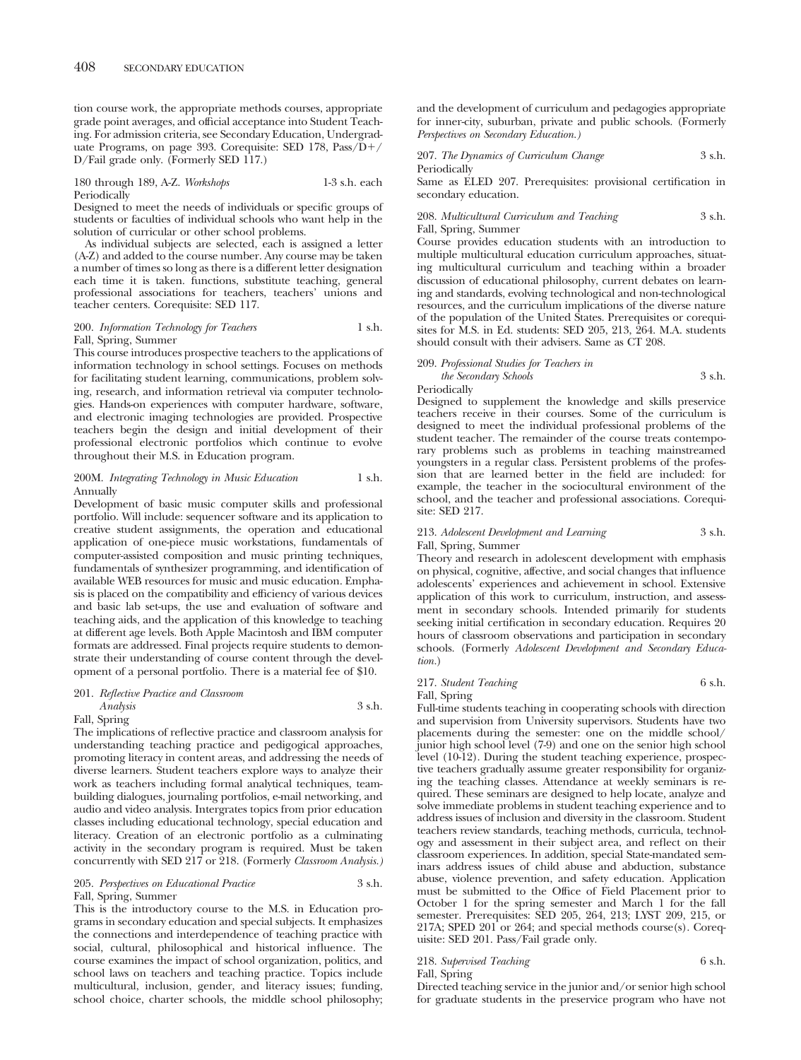tion course work, the appropriate methods courses, appropriate grade point averages, and official acceptance into Student Teaching. For admission criteria, see Secondary Education, Undergraduate Programs, on page 393. Corequisite: SED 178, Pass/D-/ D/Fail grade only. (Formerly SED 117.)

## 180 through 189, A-Z. *Workshops* 1-3 s.h. each Periodically

Designed to meet the needs of individuals or specific groups of students or faculties of individual schools who want help in the solution of curricular or other school problems.

As individual subjects are selected, each is assigned a letter (A-Z) and added to the course number. Any course may be taken a number of times so long as there is a different letter designation each time it is taken. functions, substitute teaching, general professional associations for teachers, teachers' unions and teacher centers. Corequisite: SED 117.

# 200. *Information Technology for Teachers* 1 s.h. Fall, Spring, Summer

This course introduces prospective teachers to the applications of information technology in school settings. Focuses on methods for facilitating student learning, communications, problem solving, research, and information retrieval via computer technologies. Hands-on experiences with computer hardware, software, and electronic imaging technologies are provided. Prospective teachers begin the design and initial development of their professional electronic portfolios which continue to evolve throughout their M.S. in Education program.

# 200M. *Integrating Technology in Music Education* 1 s.h. Annually

Development of basic music computer skills and professional portfolio. Will include: sequencer software and its application to creative student assignments, the operation and educational application of one-piece music workstations, fundamentals of computer-assisted composition and music printing techniques, fundamentals of synthesizer programming, and identification of available WEB resources for music and music education. Emphasis is placed on the compatibility and efficiency of various devices and basic lab set-ups, the use and evaluation of software and teaching aids, and the application of this knowledge to teaching at different age levels. Both Apple Macintosh and IBM computer formats are addressed. Final projects require students to demonstrate their understanding of course content through the development of a personal portfolio. There is a material fee of \$10.

# 201. *Reflective Practice and Classroom Analysis* 3 s.h. Fall, Spring

The implications of reflective practice and classroom analysis for understanding teaching practice and pedigogical approaches, promoting literacy in content areas, and addressing the needs of diverse learners. Student teachers explore ways to analyze their work as teachers including formal analytical techniques, teambuilding dialogues, journaling portfolios, e-mail networking, and audio and video analysis. Intergrates topics from prior education classes including educational technology, special education and literacy. Creation of an electronic portfolio as a culminating activity in the secondary program is required. Must be taken concurrently with SED 217 or 218. (Formerly *Classroom Analysis.)*

# 205. *Perspectives on Educational Practice* 3 s.h. Fall, Spring, Summer

This is the introductory course to the M.S. in Education programs in secondary education and special subjects. It emphasizes the connections and interdependence of teaching practice with social, cultural, philosophical and historical influence. The course examines the impact of school organization, politics, and school laws on teachers and teaching practice. Topics include multicultural, inclusion, gender, and literacy issues; funding, school choice, charter schools, the middle school philosophy;

and the development of curriculum and pedagogies appropriate for inner-city, suburban, private and public schools. (Formerly *Perspectives on Secondary Education.)*

207. *The Dynamics of Curriculum Change* 3 s.h. Periodically

Same as ELED 207. Prerequisites: provisional certification in secondary education.

208. *Multicultural Curriculum and Teaching* 3 s.h. Fall, Spring, Summer

Course provides education students with an introduction to multiple multicultural education curriculum approaches, situating multicultural curriculum and teaching within a broader discussion of educational philosophy, current debates on learning and standards, evolving technological and non-technological resources, and the curriculum implications of the diverse nature of the population of the United States. Prerequisites or corequisites for M.S. in Ed. students: SED 205, 213, 264. M.A. students should consult with their advisers. Same as CT 208.

# 209. *Professional Studies for Teachers in*

*the Secondary Schools* 3 s.h. Periodically

Designed to supplement the knowledge and skills preservice teachers receive in their courses. Some of the curriculum is designed to meet the individual professional problems of the student teacher. The remainder of the course treats contemporary problems such as problems in teaching mainstreamed youngsters in a regular class. Persistent problems of the profession that are learned better in the field are included: for example, the teacher in the sociocultural environment of the school, and the teacher and professional associations. Corequisite: SED 217.

# 213. *Adolescent Development and Learning* 3 s.h. Fall, Spring, Summer

Theory and research in adolescent development with emphasis on physical, cognitive, affective, and social changes that influence adolescents' experiences and achievement in school. Extensive application of this work to curriculum, instruction, and assessment in secondary schools. Intended primarily for students seeking initial certification in secondary education. Requires 20 hours of classroom observations and participation in secondary schools. (Formerly *Adolescent Development and Secondary Education.*)

# 217. *Student Teaching* 6 s.h. Fall, Spring

Full-time students teaching in cooperating schools with direction and supervision from University supervisors. Students have two placements during the semester: one on the middle school/ junior high school level (7-9) and one on the senior high school level (10-12). During the student teaching experience, prospective teachers gradually assume greater responsibility for organizing the teaching classes. Attendance at weekly seminars is required. These seminars are designed to help locate, analyze and solve immediate problems in student teaching experience and to address issues of inclusion and diversity in the classroom. Student teachers review standards, teaching methods, curricula, technology and assessment in their subject area, and reflect on their classroom experiences. In addition, special State-mandated seminars address issues of child abuse and abduction, substance abuse, violence prevention, and safety education. Application must be submitted to the Office of Field Placement prior to October 1 for the spring semester and March 1 for the fall semester. Prerequisites: SED 205, 264, 213; LYST 209, 215, or 217A; SPED 201 or 264; and special methods course(s). Corequisite: SED 201. Pass/Fail grade only.

# 218. Supervised Teaching 6 s.h.

Fall, Spring

Directed teaching service in the junior and/or senior high school for graduate students in the preservice program who have not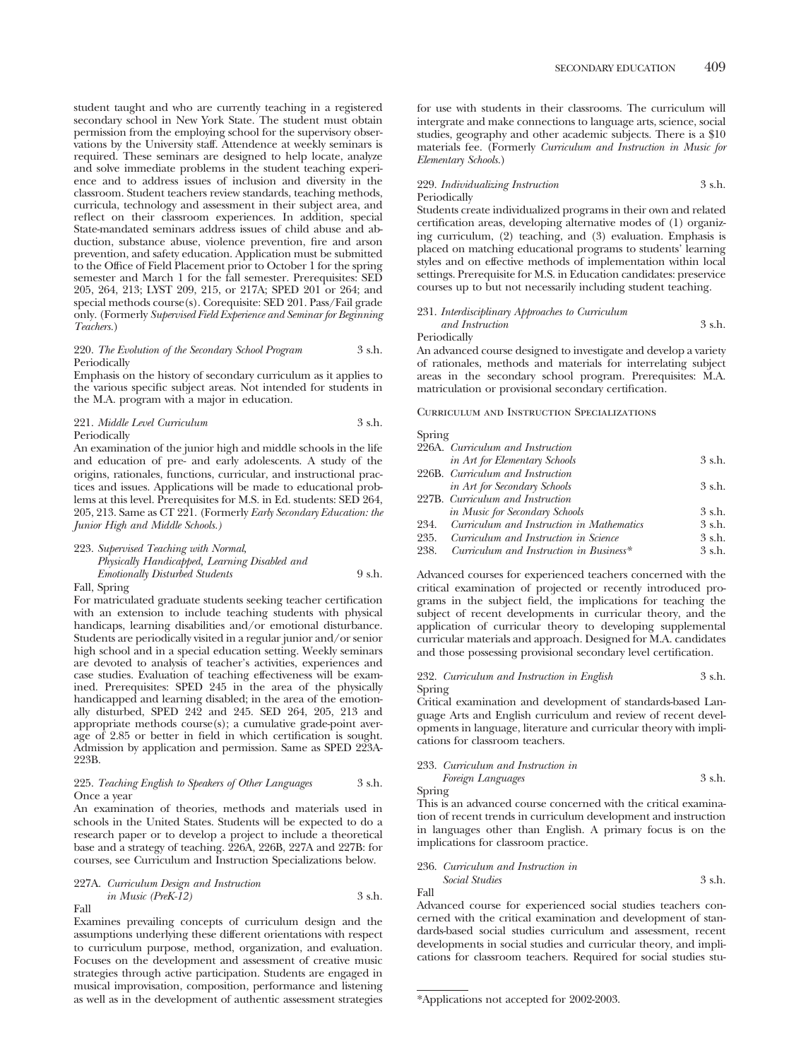student taught and who are currently teaching in a registered secondary school in New York State. The student must obtain permission from the employing school for the supervisory observations by the University staff. Attendence at weekly seminars is required. These seminars are designed to help locate, analyze and solve immediate problems in the student teaching experience and to address issues of inclusion and diversity in the classroom. Student teachers review standards, teaching methods, curricula, technology and assessment in their subject area, and reflect on their classroom experiences. In addition, special State-mandated seminars address issues of child abuse and abduction, substance abuse, violence prevention, fire and arson prevention, and safety education. Application must be submitted to the Office of Field Placement prior to October 1 for the spring semester and March 1 for the fall semester. Prerequisites: SED 205, 264, 213; LYST 209, 215, or 217A; SPED 201 or 264; and special methods course(s). Corequisite: SED 201. Pass/Fail grade only. (Formerly *Supervised Field Experience and Seminar for Beginning Teachers.*)

# 220. *The Evolution of the Secondary School Program* 3 s.h. Periodically

Emphasis on the history of secondary curriculum as it applies to the various specific subject areas. Not intended for students in the M.A. program with a major in education.

221. *Middle Level Curriculum* 3 s.h. Periodically

An examination of the junior high and middle schools in the life and education of pre- and early adolescents. A study of the origins, rationales, functions, curricular, and instructional practices and issues. Applications will be made to educational problems at this level. Prerequisites for M.S. in Ed. students: SED 264, 205, 213. Same as CT 221. (Formerly *Early Secondary Education: the Junior High and Middle Schools.)*

# 223. *Supervised Teaching with Normal, Physically Handicapped, Learning Disabled and Emotionally Disturbed Students* 9 s.h.

Fall, Spring

For matriculated graduate students seeking teacher certification with an extension to include teaching students with physical handicaps, learning disabilities and/or emotional disturbance. Students are periodically visited in a regular junior and/or senior high school and in a special education setting. Weekly seminars are devoted to analysis of teacher's activities, experiences and case studies. Evaluation of teaching effectiveness will be examined. Prerequisites: SPED 245 in the area of the physically handicapped and learning disabled; in the area of the emotionally disturbed, SPED 242 and 245. SED 264, 205, 213 and appropriate methods course(s); a cumulative grade-point average of 2.85 or better in field in which certification is sought. Admission by application and permission. Same as SPED 223A-223B.

### 225. *Teaching English to Speakers of Other Languages* 3 s.h. Once a year

An examination of theories, methods and materials used in schools in the United States. Students will be expected to do a research paper or to develop a project to include a theoretical base and a strategy of teaching. 226A, 226B, 227A and 227B: for courses, see Curriculum and Instruction Specializations below.

227A. *Curriculum Design and Instruction in Music (PreK-12)* 3 s.h. Fall

Examines prevailing concepts of curriculum design and the assumptions underlying these different orientations with respect to curriculum purpose, method, organization, and evaluation. Focuses on the development and assessment of creative music strategies through active participation. Students are engaged in musical improvisation, composition, performance and listening as well as in the development of authentic assessment strategies for use with students in their classrooms. The curriculum will intergrate and make connections to language arts, science, social studies, geography and other academic subjects. There is a \$10 materials fee. (Formerly *Curriculum and Instruction in Music for Elementary Schools.*)

# 229. *Individualizing Instruction* 3 s.h. Periodically

Students create individualized programs in their own and related certification areas, developing alternative modes of (1) organizing curriculum, (2) teaching, and (3) evaluation. Emphasis is placed on matching educational programs to students' learning styles and on effective methods of implementation within local settings. Prerequisite for M.S. in Education candidates: preservice courses up to but not necessarily including student teaching.

## 231. *Interdisciplinary Approaches to Curriculum and Instruction* 3 s.h.

Periodically

An advanced course designed to investigate and develop a variety of rationales, methods and materials for interrelating subject areas in the secondary school program. Prerequisites: M.A. matriculation or provisional secondary certification.

Curriculum and Instruction Specializations

# Spring

|      | 226A. Curriculum and Instruction          |          |
|------|-------------------------------------------|----------|
|      | in Art for Elementary Schools             | 3 s.h.   |
|      | 226B. Curriculum and Instruction          |          |
|      | in Art for Secondary Schools              | $3$ s.h. |
|      | 227B. Curriculum and Instruction          |          |
|      | in Music for Secondary Schools            | 3 s.h.   |
| 234. | Curriculum and Instruction in Mathematics | 3 s.h.   |
| 235. | Curriculum and Instruction in Science     | 3 s.h.   |
| 238. | Curriculum and Instruction in Business*   | 3 s.h.   |
|      |                                           |          |

Advanced courses for experienced teachers concerned with the critical examination of projected or recently introduced programs in the subject field, the implications for teaching the subject of recent developments in curricular theory, and the application of curricular theory to developing supplemental curricular materials and approach. Designed for M.A. candidates and those possessing provisional secondary level certification.

# 232. *Curriculum and Instruction in English* 3 s.h. Spring

Critical examination and development of standards-based Language Arts and English curriculum and review of recent developments in language, literature and curricular theory with implications for classroom teachers.

# 233. *Curriculum and Instruction in Foreign Languages* 3 s.h.

Spring

Fall

This is an advanced course concerned with the critical examination of recent trends in curriculum development and instruction in languages other than English. A primary focus is on the implications for classroom practice.

# 236. *Curriculum and Instruction in*

*Social Studies* 3 s.h.

Advanced course for experienced social studies teachers concerned with the critical examination and development of standards-based social studies curriculum and assessment, recent developments in social studies and curricular theory, and implications for classroom teachers. Required for social studies stu-

<sup>\*</sup>Applications not accepted for 2002-2003.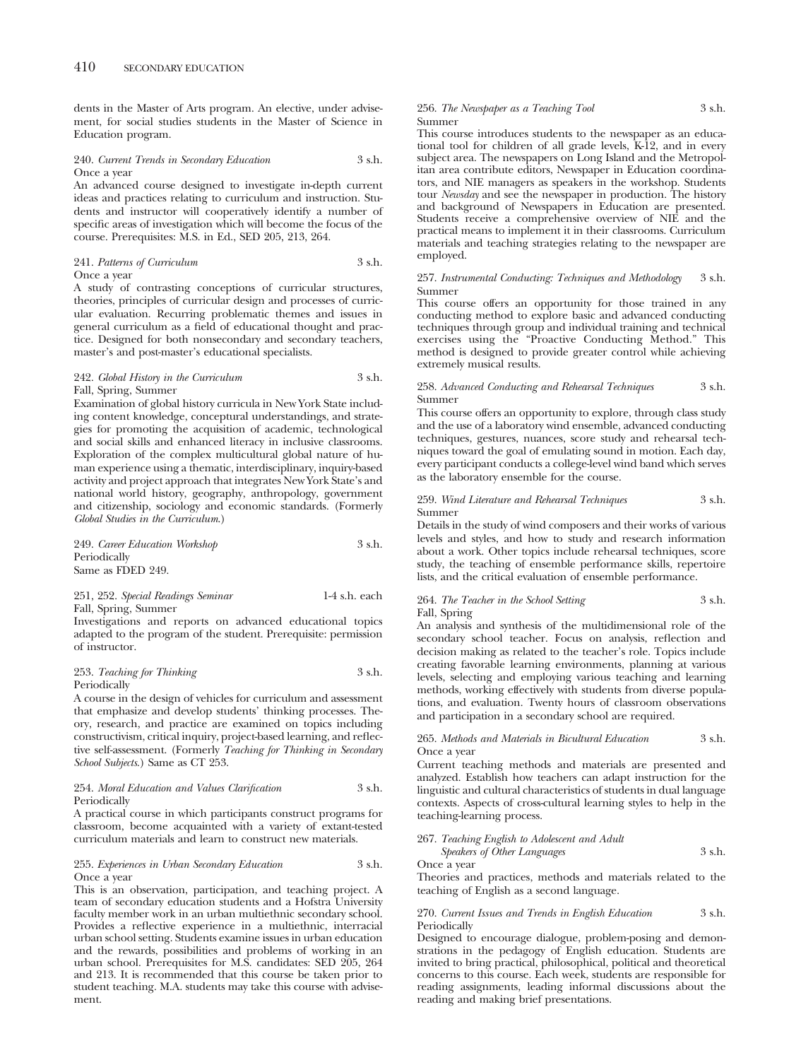dents in the Master of Arts program. An elective, under advisement, for social studies students in the Master of Science in Education program.

# 240. *Current Trends in Secondary Education* 3 s.h. Once a year

An advanced course designed to investigate in-depth current ideas and practices relating to curriculum and instruction. Students and instructor will cooperatively identify a number of specific areas of investigation which will become the focus of the course. Prerequisites: M.S. in Ed., SED 205, 213, 264.

241. *Patterns of Curriculum* 3 s.h. Once a year

A study of contrasting conceptions of curricular structures, theories, principles of curricular design and processes of curricular evaluation. Recurring problematic themes and issues in general curriculum as a field of educational thought and practice. Designed for both nonsecondary and secondary teachers, master's and post-master's educational specialists.

# 242. *Global History in the Curriculum* 3 s.h. Fall, Spring, Summer

Examination of global history curricula in New York State including content knowledge, conceptural understandings, and strategies for promoting the acquisition of academic, technological and social skills and enhanced literacy in inclusive classrooms. Exploration of the complex multicultural global nature of human experience using a thematic, interdisciplinary, inquiry-based activity and project approach that integrates New York State's and national world history, geography, anthropology, government and citizenship, sociology and economic standards. (Formerly *Global Studies in the Curriculum*.)

| 249. Career Education Workshop | 3 s.h. |
|--------------------------------|--------|
| Periodically                   |        |
| Same as FDED 249.              |        |

251, 252. *Special Readings Seminar* 1-4 s.h. each Fall, Spring, Summer

Investigations and reports on advanced educational topics adapted to the program of the student. Prerequisite: permission of instructor.

253. *Teaching for Thinking* 3 s.h. Periodically

A course in the design of vehicles for curriculum and assessment that emphasize and develop students' thinking processes. Theory, research, and practice are examined on topics including constructivism, critical inquiry, project-based learning, and reflective self-assessment. (Formerly *Teaching for Thinking in Secondary School Subjects*.) Same as CT 253.

# 254. *Moral Education and Values Clarification* 3 s.h. Periodically

A practical course in which participants construct programs for classroom, become acquainted with a variety of extant-tested curriculum materials and learn to construct new materials.

# 255. *Experiences in Urban Secondary Education* 3 s.h. Once a year

This is an observation, participation, and teaching project. A team of secondary education students and a Hofstra University faculty member work in an urban multiethnic secondary school. Provides a reflective experience in a multiethnic, interracial urban school setting. Students examine issues in urban education and the rewards, possibilities and problems of working in an urban school. Prerequisites for M.S. candidates: SED 205, 264 and 213. It is recommended that this course be taken prior to student teaching. M.A. students may take this course with advisement.

### 256. *The Newspaper as a Teaching Tool* 3 s.h. Summer

This course introduces students to the newspaper as an educational tool for children of all grade levels,  $\overline{k-1}2$ , and in every subject area. The newspapers on Long Island and the Metropolitan area contribute editors, Newspaper in Education coordinators, and NIE managers as speakers in the workshop. Students tour *Newsday* and see the newspaper in production. The history and background of Newspapers in Education are presented. Students receive a comprehensive overview of NIE and the practical means to implement it in their classrooms. Curriculum materials and teaching strategies relating to the newspaper are employed.

## 257. *Instrumental Conducting: Techniques and Methodology* 3 s.h. Summer

This course offers an opportunity for those trained in any conducting method to explore basic and advanced conducting techniques through group and individual training and technical exercises using the "Proactive Conducting Method." This method is designed to provide greater control while achieving extremely musical results.

### 258. *Advanced Conducting and Rehearsal Techniques* 3 s.h. Summer

This course offers an opportunity to explore, through class study and the use of a laboratory wind ensemble, advanced conducting techniques, gestures, nuances, score study and rehearsal techniques toward the goal of emulating sound in motion. Each day, every participant conducts a college-level wind band which serves as the laboratory ensemble for the course.

# 259. *Wind Literature and Rehearsal Techniques* 3 s.h. Summer

Details in the study of wind composers and their works of various levels and styles, and how to study and research information about a work. Other topics include rehearsal techniques, score study, the teaching of ensemble performance skills, repertoire lists, and the critical evaluation of ensemble performance.

# 264. *The Teacher in the School Setting* 3 s.h. Fall, Spring

An analysis and synthesis of the multidimensional role of the secondary school teacher. Focus on analysis, reflection and decision making as related to the teacher's role. Topics include creating favorable learning environments, planning at various levels, selecting and employing various teaching and learning methods, working effectively with students from diverse populations, and evaluation. Twenty hours of classroom observations and participation in a secondary school are required.

# 265. *Methods and Materials in Bicultural Education* 3 s.h. Once a year

Current teaching methods and materials are presented and analyzed. Establish how teachers can adapt instruction for the linguistic and cultural characteristics of students in dual language contexts. Aspects of cross-cultural learning styles to help in the teaching-learning process.

# 267. *Teaching English to Adolescent and Adult*

*Speakers of Other Languages* 3 s.h. Once a year

Theories and practices, methods and materials related to the teaching of English as a second language.

# 270. *Current Issues and Trends in English Education* 3 s.h. Periodically

Designed to encourage dialogue, problem-posing and demonstrations in the pedagogy of English education. Students are invited to bring practical, philosophical, political and theoretical concerns to this course. Each week, students are responsible for reading assignments, leading informal discussions about the reading and making brief presentations.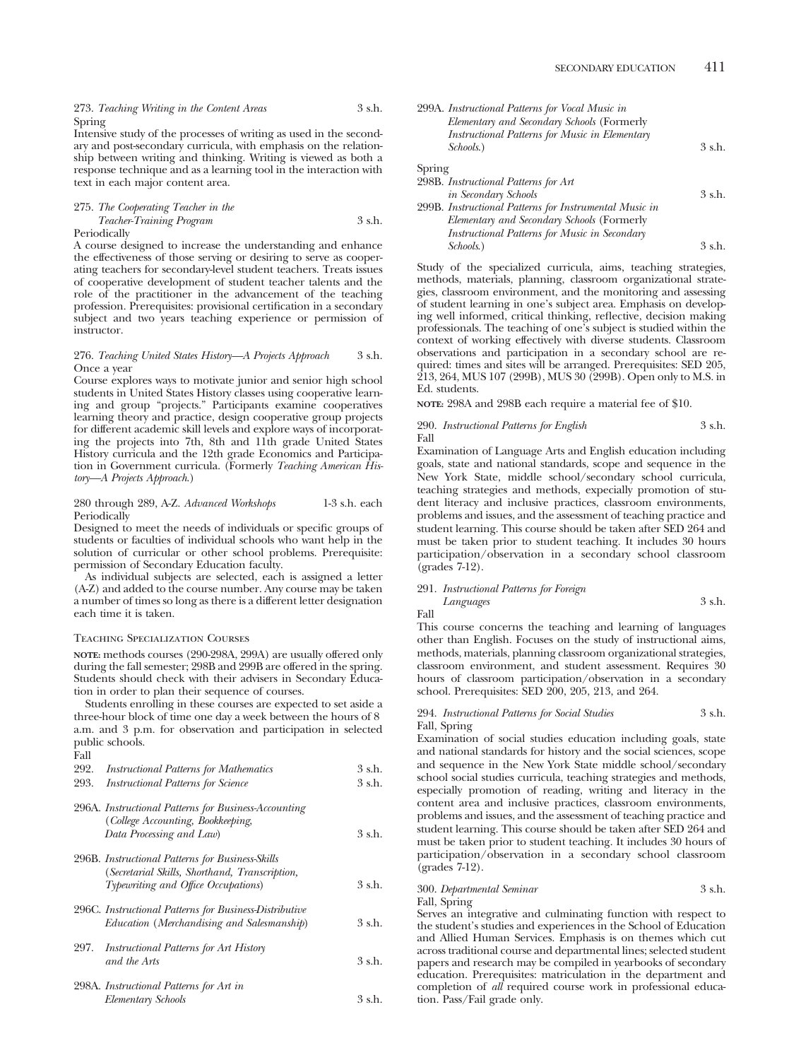273. *Teaching Writing in the Content Areas* 3 s.h. Spring

Intensive study of the processes of writing as used in the secondary and post-secondary curricula, with emphasis on the relationship between writing and thinking. Writing is viewed as both a response technique and as a learning tool in the interaction with text in each major content area.

# 275. *The Cooperating Teacher in the Teacher-Training Program* 3 s.h. Periodically

A course designed to increase the understanding and enhance the effectiveness of those serving or desiring to serve as cooperating teachers for secondary-level student teachers. Treats issues of cooperative development of student teacher talents and the role of the practitioner in the advancement of the teaching profession. Prerequisites: provisional certification in a secondary subject and two years teaching experience or permission of instructor.

#### 276. *Teaching United States History—A Projects Approach* 3 s.h. Once a year

Course explores ways to motivate junior and senior high school students in United States History classes using cooperative learning and group "projects." Participants examine cooperatives learning theory and practice, design cooperative group projects for different academic skill levels and explore ways of incorporating the projects into 7th, 8th and 11th grade United States History curricula and the 12th grade Economics and Participation in Government curricula. (Formerly *Teaching American History—A Projects Approach*.)

# 280 through 289, A-Z. *Advanced Workshops* 1-3 s.h. each **Periodically**

Designed to meet the needs of individuals or specific groups of students or faculties of individual schools who want help in the solution of curricular or other school problems. Prerequisite: permission of Secondary Education faculty.

As individual subjects are selected, each is assigned a letter (A-Z) and added to the course number. Any course may be taken a number of times so long as there is a different letter designation each time it is taken.

# Teaching Specialization Courses

**NOTE:** methods courses (290-298A, 299A) are usually offered only during the fall semester; 298B and 299B are offered in the spring. Students should check with their advisers in Secondary Education in order to plan their sequence of courses.

Students enrolling in these courses are expected to set aside a three-hour block of time one day a week between the hours of 8 a.m. and 3 p.m. for observation and participation in selected public schools. Fall

| 292.<br>293. | <b>Instructional Patterns for Mathematics</b><br><b>Instructional Patterns for Science</b>         | 3 s.h.<br>3 s.h. |
|--------------|----------------------------------------------------------------------------------------------------|------------------|
|              | 296A. Instructional Patterns for Business-Accounting<br>(College Accounting, Bookkeeping,          |                  |
|              | Data Processing and Law)                                                                           | 3 s.h.           |
|              | 296B. Instructional Patterns for Business-Skills<br>(Secretarial Skills, Shorthand, Transcription, |                  |
|              | Typewriting and Office Occupations)                                                                | 3 s.h.           |
|              | 296C. Instructional Patterns for Business-Distributive                                             |                  |
|              | Education (Merchandising and Salesmanship)                                                         | 3 s.h.           |
| 297.         | Instructional Patterns for Art History<br>and the Arts                                             | 3 s.h.           |
|              | 298A. Instructional Patterns for Art in                                                            |                  |
|              | Elementary Schools                                                                                 | 3 s.h.           |

| 299A. Instructional Patterns for Vocal Music in |        |
|-------------------------------------------------|--------|
| Elementary and Secondary Schools (Formerly      |        |
| Instructional Patterns for Music in Elementary  |        |
| <i>Schools.</i> )                               | 3 s.h. |
| Spring                                          |        |

| 298B. Instructional Patterns for Art                   |        |
|--------------------------------------------------------|--------|
| <i>in Secondary Schools</i>                            | 3 s.h. |
| 299B. Instructional Patterns for Instrumental Music in |        |
| Elementary and Secondary Schools (Formerly             |        |
| Instructional Patterns for Music in Secondary          |        |
| Schools.)                                              | 3 s.h. |
|                                                        |        |

Study of the specialized curricula, aims, teaching strategies, methods, materials, planning, classroom organizational strategies, classroom environment, and the monitoring and assessing of student learning in one's subject area. Emphasis on developing well informed, critical thinking, reflective, decision making professionals. The teaching of one's subject is studied within the context of working effectively with diverse students. Classroom observations and participation in a secondary school are required: times and sites will be arranged. Prerequisites: SED 205, 213, 264, MUS 107 (299B), MUS 30 (299B). Open only to M.S. in Ed. students.

**NOTE:** 298A and 298B each require a material fee of \$10.

290. *Instructional Patterns for English* 3 s.h. Fall

Examination of Language Arts and English education including goals, state and national standards, scope and sequence in the New York State, middle school/secondary school curricula, teaching strategies and methods, expecially promotion of student literacy and inclusive practices, classroom environments, problems and issues, and the assessment of teaching practice and student learning. This course should be taken after SED 264 and must be taken prior to student teaching. It includes 30 hours participation/observation in a secondary school classroom (grades 7-12).

291. *Instructional Patterns for Foreign Languages* 3 s.h.

Fall

This course concerns the teaching and learning of languages other than English. Focuses on the study of instructional aims, methods, materials, planning classroom organizational strategies, classroom environment, and student assessment. Requires 30 hours of classroom participation/observation in a secondary school. Prerequisites: SED 200, 205, 213, and 264.

#### 294. *Instructional Patterns for Social Studies* 3 s.h. Fall, Spring

Examination of social studies education including goals, state and national standards for history and the social sciences, scope and sequence in the New York State middle school/secondary school social studies curricula, teaching strategies and methods, especially promotion of reading, writing and literacy in the content area and inclusive practices, classroom environments, problems and issues, and the assessment of teaching practice and student learning. This course should be taken after SED 264 and must be taken prior to student teaching. It includes 30 hours of participation/observation in a secondary school classroom (grades 7-12).

# 300. *Departmental Seminar* 3 s.h. Fall, Spring

Serves an integrative and culminating function with respect to the student's studies and experiences in the School of Education and Allied Human Services. Emphasis is on themes which cut across traditional course and departmental lines; selected student papers and research may be compiled in yearbooks of secondary education. Prerequisites: matriculation in the department and completion of *all* required course work in professional education. Pass/Fail grade only.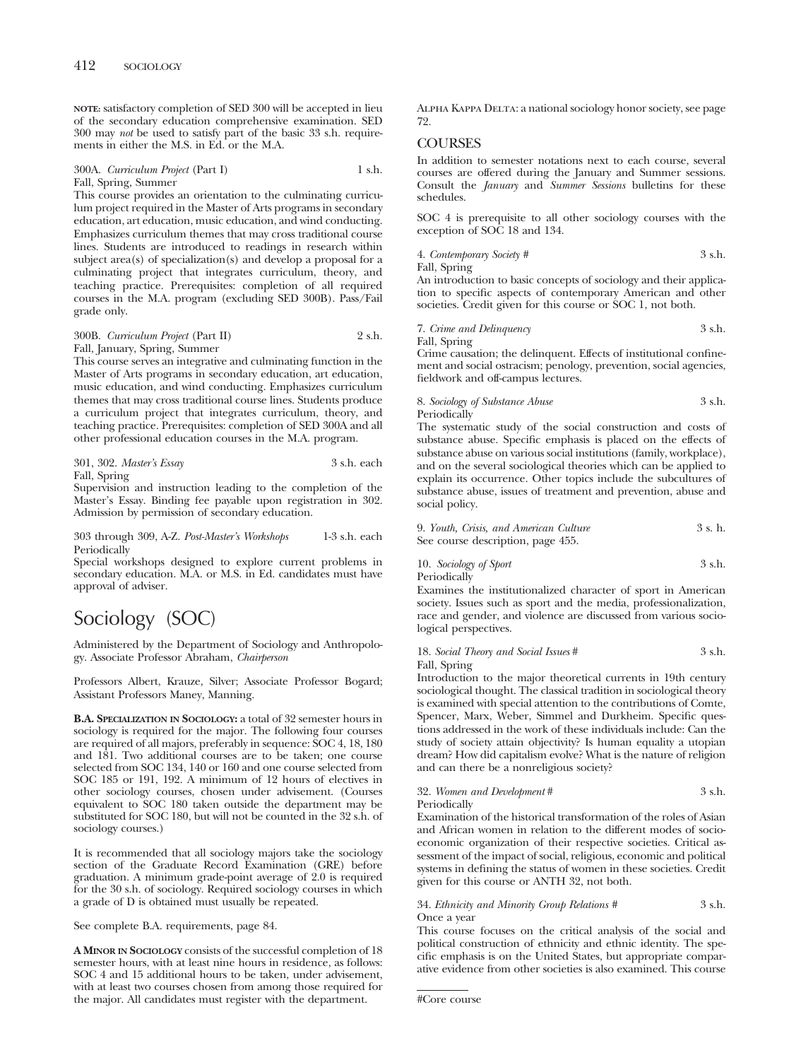**NOTE:** satisfactory completion of SED 300 will be accepted in lieu of the secondary education comprehensive examination. SED 300 may *not* be used to satisfy part of the basic 33 s.h. requirements in either the M.S. in Ed. or the M.A.

300A. *Curriculum Project* (Part I) 1 s.h. Fall, Spring, Summer

This course provides an orientation to the culminating curriculum project required in the Master of Arts programs in secondary education, art education, music education, and wind conducting. Emphasizes curriculum themes that may cross traditional course lines. Students are introduced to readings in research within subject area(s) of specialization(s) and develop a proposal for a culminating project that integrates curriculum, theory, and teaching practice. Prerequisites: completion of all required courses in the M.A. program (excluding SED 300B). Pass/Fail grade only.

# 300B. *Curriculum Project* (Part II) 2 s.h. Fall, January, Spring, Summer

This course serves an integrative and culminating function in the Master of Arts programs in secondary education, art education, music education, and wind conducting. Emphasizes curriculum themes that may cross traditional course lines. Students produce a curriculum project that integrates curriculum, theory, and teaching practice. Prerequisites: completion of SED 300A and all other professional education courses in the M.A. program.

|              | $301, 302$ . Master's Essay | 3 s.h. each |  |
|--------------|-----------------------------|-------------|--|
| Fall, Spring |                             |             |  |

Supervision and instruction leading to the completion of the Master's Essay. Binding fee payable upon registration in 302. Admission by permission of secondary education.

#### 303 through 309, A-Z. *Post-Master's Workshops* 1-3 s.h. each Periodically

Special workshops designed to explore current problems in secondary education. M.A. or M.S. in Ed. candidates must have approval of adviser.

# Sociology (SOC)

Administered by the Department of Sociology and Anthropology. Associate Professor Abraham, *Chairperson*

Professors Albert, Krauze, Silver; Associate Professor Bogard; Assistant Professors Maney, Manning.

**B.A. SPECIALIZATION IN SOCIOLOGY:** a total of 32 semester hours in sociology is required for the major. The following four courses are required of all majors, preferably in sequence: SOC 4, 18, 180 and 181. Two additional courses are to be taken; one course selected from SOC 134, 140 or 160 and one course selected from SOC 185 or 191, 192. A minimum of 12 hours of electives in other sociology courses, chosen under advisement. (Courses equivalent to SOC 180 taken outside the department may be substituted for SOC 180, but will not be counted in the 32 s.h. of sociology courses.)

It is recommended that all sociology majors take the sociology section of the Graduate Record Examination (GRE) before graduation. A minimum grade-point average of 2.0 is required for the 30 s.h. of sociology. Required sociology courses in which a grade of D is obtained must usually be repeated.

See complete B.A. requirements, page 84.

**A MINOR IN SOCIOLOGY** consists of the successful completion of 18 semester hours, with at least nine hours in residence, as follows: SOC 4 and 15 additional hours to be taken, under advisement, with at least two courses chosen from among those required for the major. All candidates must register with the department.

Alpha Kappa Delta: a national sociology honor society, see page 72.

# **COURSES**

In addition to semester notations next to each course, several courses are offered during the January and Summer sessions. Consult the *January* and *Summer Sessions* bulletins for these schedules.

SOC 4 is prerequisite to all other sociology courses with the exception of SOC 18 and 134.

4. *Contemporary Society #* 3 s.h.

Fall, Spring

An introduction to basic concepts of sociology and their application to specific aspects of contemporary American and other societies. Credit given for this course or SOC 1, not both.

7. *Crime and Delinquency* 3 s.h. Fall, Spring

Crime causation; the delinquent. Effects of institutional confinement and social ostracism; penology, prevention, social agencies, fieldwork and off-campus lectures.

# 8. *Sociology of Substance Abuse* 3 s.h. Periodically

The systematic study of the social construction and costs of substance abuse. Specific emphasis is placed on the effects of substance abuse on various social institutions (family, workplace), and on the several sociological theories which can be applied to explain its occurrence. Other topics include the subcultures of substance abuse, issues of treatment and prevention, abuse and social policy.

| 9. Youth, Crisis, and American Culture | 3 s. h. |
|----------------------------------------|---------|
| See course description, page 455.      |         |

10. *Sociology of Sport* 3 s.h. Periodically

Examines the institutionalized character of sport in American society. Issues such as sport and the media, professionalization, race and gender, and violence are discussed from various sociological perspectives.

# 18. *Social Theory and Social Issues* # 3 s.h. Fall, Spring

Introduction to the major theoretical currents in 19th century sociological thought. The classical tradition in sociological theory is examined with special attention to the contributions of Comte, Spencer, Marx, Weber, Simmel and Durkheim. Specific questions addressed in the work of these individuals include: Can the study of society attain objectivity? Is human equality a utopian dream? How did capitalism evolve? What is the nature of religion and can there be a nonreligious society?

32. *Women and Development* # 3 s.h. Periodically

Examination of the historical transformation of the roles of Asian and African women in relation to the different modes of socioeconomic organization of their respective societies. Critical assessment of the impact of social, religious, economic and political systems in defining the status of women in these societies. Credit given for this course or ANTH 32, not both.

# 34. *Ethnicity and Minority Group Relations #* 3 s.h. Once a year

This course focuses on the critical analysis of the social and political construction of ethnicity and ethnic identity. The specific emphasis is on the United States, but appropriate comparative evidence from other societies is also examined. This course

```
#Core course
```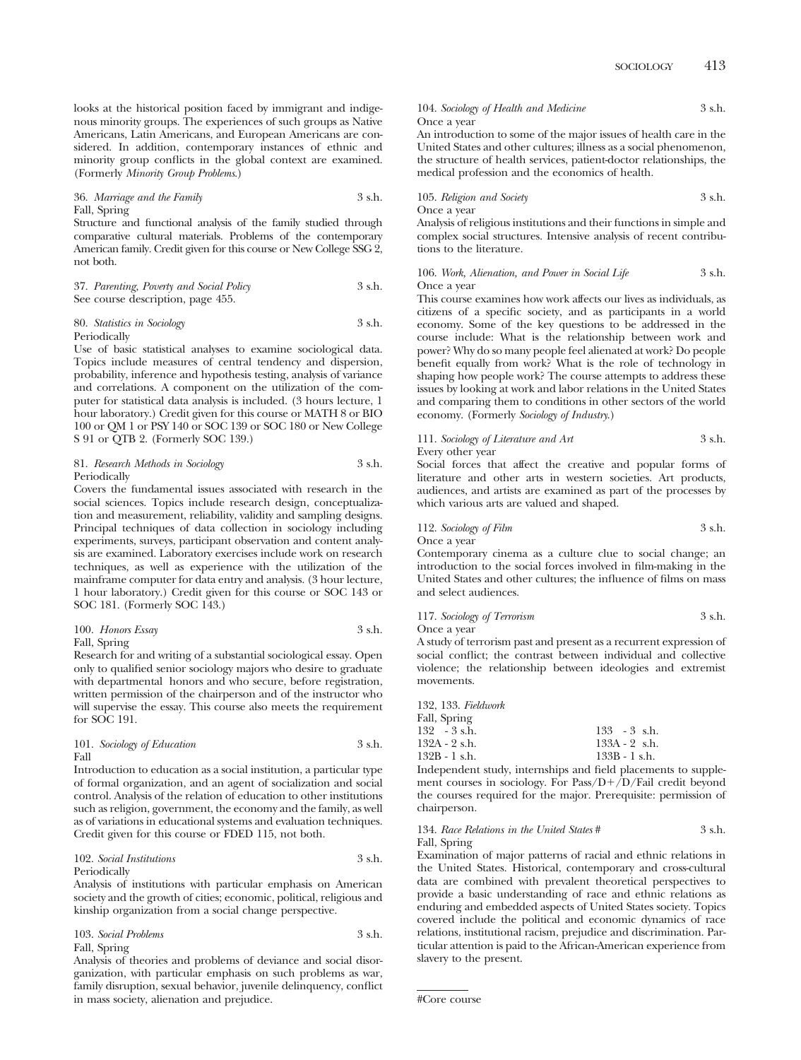looks at the historical position faced by immigrant and indigenous minority groups. The experiences of such groups as Native Americans, Latin Americans, and European Americans are considered. In addition, contemporary instances of ethnic and minority group conflicts in the global context are examined. (Formerly *Minority Group Problems*.)

36. *Marriage and the Family* 3 s.h. Fall, Spring

Structure and functional analysis of the family studied through comparative cultural materials. Problems of the contemporary American family. Credit given for this course or New College SSG 2, not both.

37. *Parenting, Poverty and Social Policy* 3 s.h. See course description, page 455.

80. *Statistics in Sociology* 3 s.h. Periodically

Use of basic statistical analyses to examine sociological data. Topics include measures of central tendency and dispersion, probability, inference and hypothesis testing, analysis of variance and correlations. A component on the utilization of the computer for statistical data analysis is included. (3 hours lecture, 1 hour laboratory.) Credit given for this course or MATH 8 or BIO 100 or QM 1 or PSY 140 or SOC 139 or SOC 180 or New College S 91 or QTB 2. (Formerly SOC 139.)

# 81. *Research Methods in Sociology* 3 s.h. Periodically

Covers the fundamental issues associated with research in the social sciences. Topics include research design, conceptualization and measurement, reliability, validity and sampling designs. Principal techniques of data collection in sociology including experiments, surveys, participant observation and content analysis are examined. Laboratory exercises include work on research techniques, as well as experience with the utilization of the mainframe computer for data entry and analysis. (3 hour lecture, 1 hour laboratory.) Credit given for this course or SOC 143 or SOC 181. (Formerly SOC 143.)

100. *Honors Essay* 3 s.h.

Fall, Spring

Research for and writing of a substantial sociological essay. Open only to qualified senior sociology majors who desire to graduate with departmental honors and who secure, before registration, written permission of the chairperson and of the instructor who will supervise the essay. This course also meets the requirement for SOC 191.

# 101. *Sociology of Education* 3 s.h. Fall

Introduction to education as a social institution, a particular type of formal organization, and an agent of socialization and social control. Analysis of the relation of education to other institutions such as religion, government, the economy and the family, as well as of variations in educational systems and evaluation techniques. Credit given for this course or FDED 115, not both.

#### 102. *Social Institutions* 3 s.h. Periodically

Analysis of institutions with particular emphasis on American society and the growth of cities; economic, political, religious and kinship organization from a social change perspective.

103. *Social Problems* 3 s.h. Fall, Spring

Analysis of theories and problems of deviance and social disorganization, with particular emphasis on such problems as war, family disruption, sexual behavior, juvenile delinquency, conflict in mass society, alienation and prejudice.

104. *Sociology of Health and Medicine* 3 s.h. Once a year

An introduction to some of the major issues of health care in the United States and other cultures; illness as a social phenomenon, the structure of health services, patient-doctor relationships, the medical profession and the economics of health.

105. *Religion and Society* 3 s.h. Once a year

Analysis of religious institutions and their functions in simple and complex social structures. Intensive analysis of recent contributions to the literature.

### 106. Work, Alienation, and Power in Social Life 3 s.h. Once a year

This course examines how work affects our lives as individuals, as citizens of a specific society, and as participants in a world economy. Some of the key questions to be addressed in the course include: What is the relationship between work and power? Why do so many people feel alienated at work? Do people benefit equally from work? What is the role of technology in shaping how people work? The course attempts to address these issues by looking at work and labor relations in the United States and comparing them to conditions in other sectors of the world economy. (Formerly *Sociology of Industry*.)

111. *Sociology of Literature and Art* 3 s.h.

Every other year

Social forces that affect the creative and popular forms of literature and other arts in western societies. Art products, audiences, and artists are examined as part of the processes by which various arts are valued and shaped.

112. *Sociology of Film* 3 s.h. Once a year

Contemporary cinema as a culture clue to social change; an introduction to the social forces involved in film-making in the United States and other cultures; the influence of films on mass and select audiences.

117. *Sociology of Terrorism* 3 s.h. Once a year

A study of terrorism past and present as a recurrent expression of social conflict; the contrast between individual and collective violence; the relationship between ideologies and extremist movements.

| 132, 133. Fieldwork |                 |
|---------------------|-----------------|
| Fall, Spring        |                 |
| $132 - 3$ s.h.      | $133 - 3$ s.h.  |
| 132A - 2 s.h.       | $133A - 2$ s.h. |
| 132B - 1 s.h.       | $133B - 1$ s.h. |
|                     |                 |

Independent study, internships and field placements to supplement courses in sociology. For Pass/D+/D/Fail credit beyond the courses required for the major. Prerequisite: permission of chairperson.

134. *Race Relations in the United States* # 3 s.h. Fall, Spring

Examination of major patterns of racial and ethnic relations in the United States. Historical, contemporary and cross-cultural data are combined with prevalent theoretical perspectives to provide a basic understanding of race and ethnic relations as enduring and embedded aspects of United States society. Topics covered include the political and economic dynamics of race relations, institutional racism, prejudice and discrimination. Particular attention is paid to the African-American experience from slavery to the present.

<sup>#</sup>Core course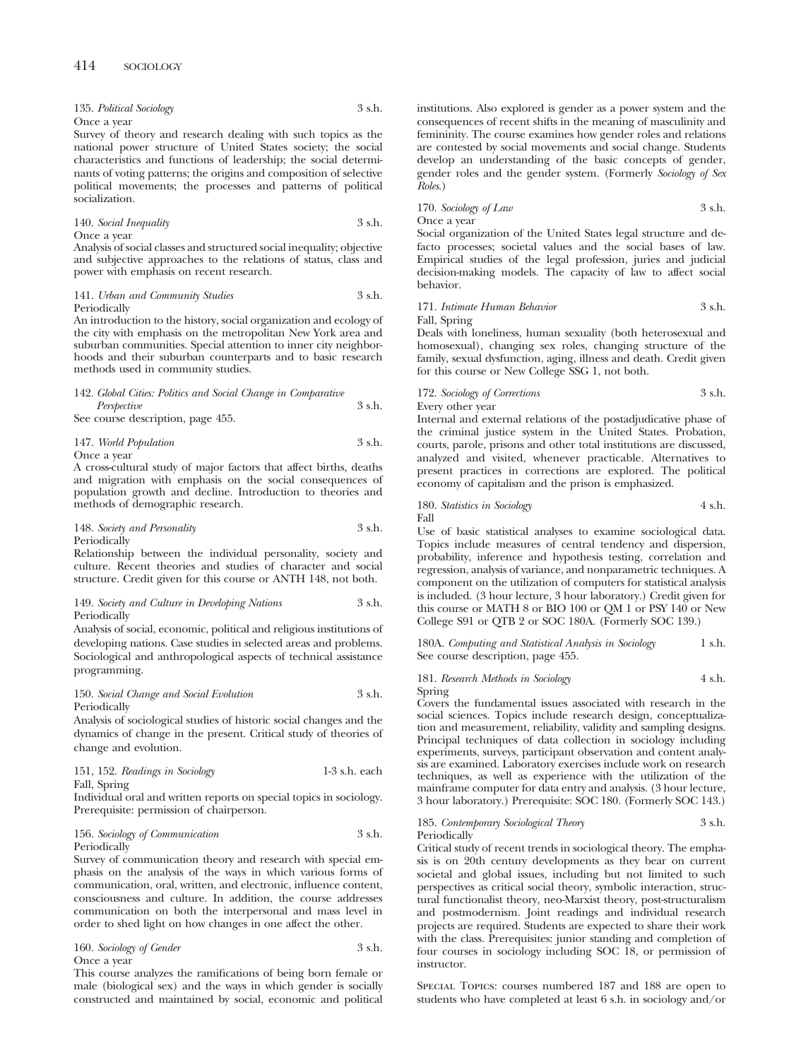| 135. Political Sociology | 3 s.h. |
|--------------------------|--------|
| Once a year              |        |

Survey of theory and research dealing with such topics as the national power structure of United States society; the social characteristics and functions of leadership; the social determinants of voting patterns; the origins and composition of selective political movements; the processes and patterns of political socialization.

#### 140. *Social Inequality* 3 s.h. Once a year

Analysis of social classes and structured social inequality; objective and subjective approaches to the relations of status, class and power with emphasis on recent research.

#### 141. *Urban and Community Studies* 3 s.h. Periodically

An introduction to the history, social organization and ecology of the city with emphasis on the metropolitan New York area and suburban communities. Special attention to inner city neighborhoods and their suburban counterparts and to basic research methods used in community studies.

# 142. *Global Cities: Politics and Social Change in Comparative Perspective* 3 s.h.

See course description, page 455.

# 147. *World Population* 3 s.h. Once a year

A cross-cultural study of major factors that affect births, deaths and migration with emphasis on the social consequences of population growth and decline. Introduction to theories and methods of demographic research.

148. *Society and Personality* 3 s.h. Periodically

Relationship between the individual personality, society and culture. Recent theories and studies of character and social structure. Credit given for this course or ANTH 148, not both.

149. *Society and Culture in Developing Nations* 3 s.h. Periodically

Analysis of social, economic, political and religious institutions of developing nations. Case studies in selected areas and problems. Sociological and anthropological aspects of technical assistance programming.

150. *Social Change and Social Evolution* 3 s.h. Periodically

Analysis of sociological studies of historic social changes and the dynamics of change in the present. Critical study of theories of change and evolution.

| 151, 152. Readings in Sociology | 1-3 s.h. each |
|---------------------------------|---------------|
| Fall, Spring                    |               |

Individual oral and written reports on special topics in sociology. Prerequisite: permission of chairperson.

# 156. *Sociology of Communication* 3 s.h. Periodically

Survey of communication theory and research with special emphasis on the analysis of the ways in which various forms of communication, oral, written, and electronic, influence content, consciousness and culture. In addition, the course addresses communication on both the interpersonal and mass level in order to shed light on how changes in one affect the other.

160. *Sociology of Gender* 3 s.h. Once a year

This course analyzes the ramifications of being born female or male (biological sex) and the ways in which gender is socially constructed and maintained by social, economic and political institutions. Also explored is gender as a power system and the consequences of recent shifts in the meaning of masculinity and femininity. The course examines how gender roles and relations are contested by social movements and social change. Students develop an understanding of the basic concepts of gender, gender roles and the gender system. (Formerly *Sociology of Sex Roles*.)

170. *Sociology of Law* 3 s.h. Once a year

Social organization of the United States legal structure and defacto processes; societal values and the social bases of law. Empirical studies of the legal profession, juries and judicial decision-making models. The capacity of law to affect social behavior.

# 171. *Intimate Human Behavior* 3 s.h. Fall, Spring

Deals with loneliness, human sexuality (both heterosexual and homosexual), changing sex roles, changing structure of the family, sexual dysfunction, aging, illness and death. Credit given for this course or New College SSG 1, not both.

172. *Sociology of Corrections* 3 s.h. Every other year

Internal and external relations of the postadjudicative phase of the criminal justice system in the United States. Probation, courts, parole, prisons and other total institutions are discussed, analyzed and visited, whenever practicable. Alternatives to present practices in corrections are explored. The political economy of capitalism and the prison is emphasized.

180. *Statistics in Sociology* 4 s.h. Fall

Use of basic statistical analyses to examine sociological data. Topics include measures of central tendency and dispersion, probability, inference and hypothesis testing, correlation and regression, analysis of variance, and nonparametric techniques. A component on the utilization of computers for statistical analysis is included. (3 hour lecture, 3 hour laboratory.) Credit given for this course or MATH 8 or BIO 100 or QM 1 or PSY 140 or New College S91 or QTB 2 or SOC 180A. (Formerly SOC 139.)

180A. *Computing and Statistical Analysis in Sociology* 1 s.h. See course description, page 455.

# 181. *Research Methods in Sociology* 4 s.h. Spring

Covers the fundamental issues associated with research in the social sciences. Topics include research design, conceptualization and measurement, reliability, validity and sampling designs. Principal techniques of data collection in sociology including experiments, surveys, participant observation and content analysis are examined. Laboratory exercises include work on research techniques, as well as experience with the utilization of the mainframe computer for data entry and analysis. (3 hour lecture, 3 hour laboratory.) Prerequisite: SOC 180. (Formerly SOC 143.)

# 185. *Contemporary Sociological Theory* 3 s.h. Periodically

Critical study of recent trends in sociological theory. The emphasis is on 20th century developments as they bear on current societal and global issues, including but not limited to such perspectives as critical social theory, symbolic interaction, structural functionalist theory, neo-Marxist theory, post-structuralism and postmodernism. Joint readings and individual research projects are required. Students are expected to share their work with the class. Prerequisites: junior standing and completion of four courses in sociology including SOC 18, or permission of instructor.

Special Topics: courses numbered 187 and 188 are open to students who have completed at least 6 s.h. in sociology and/or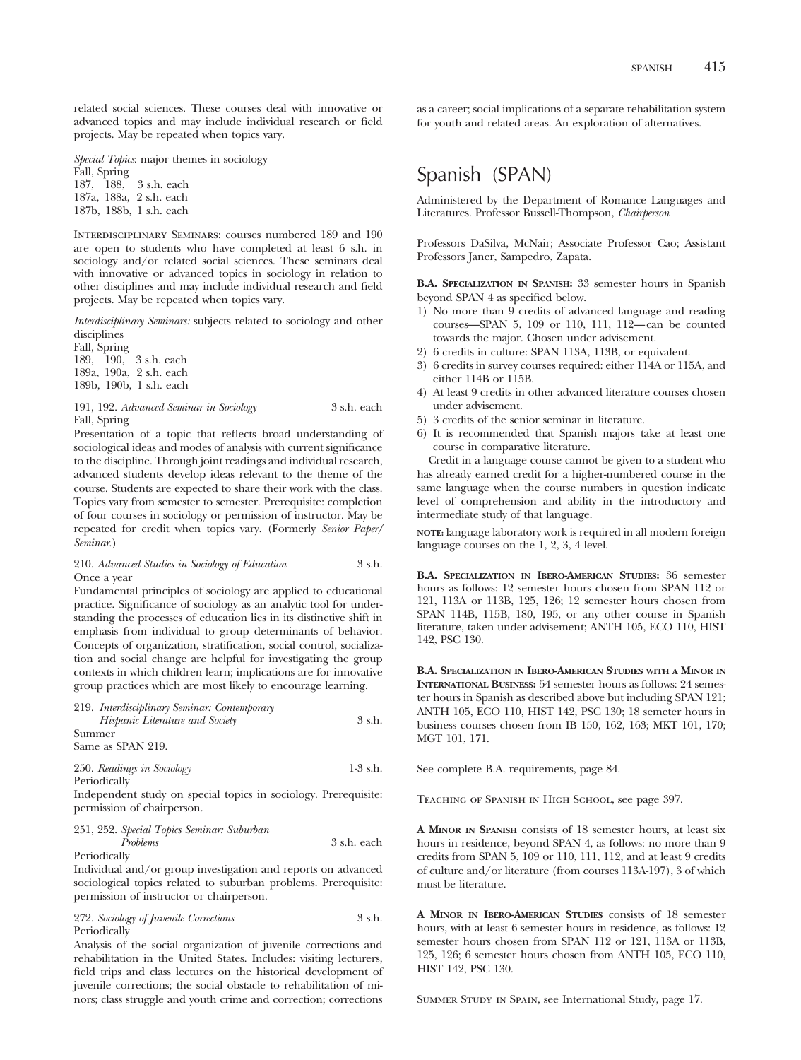related social sciences. These courses deal with innovative or advanced topics and may include individual research or field projects. May be repeated when topics vary.

*Special Topics*: major themes in sociology Fall, Spring 187, 188, 3 s.h. each 187a, 188a, 2 s.h. each 187b, 188b, 1 s.h. each

Interdisciplinary Seminars: courses numbered 189 and 190 are open to students who have completed at least 6 s.h. in sociology and/or related social sciences. These seminars deal with innovative or advanced topics in sociology in relation to other disciplines and may include individual research and field projects. May be repeated when topics vary.

*Interdisciplinary Seminars:* subjects related to sociology and other disciplines

Fall, Spring 189, 190, 3 s.h. each 189a, 190a, 2 s.h. each 189b, 190b, 1 s.h. each

191, 192. *Advanced Seminar in Sociology* 3 s.h. each Fall, Spring

Presentation of a topic that reflects broad understanding of sociological ideas and modes of analysis with current significance to the discipline. Through joint readings and individual research, advanced students develop ideas relevant to the theme of the course. Students are expected to share their work with the class. Topics vary from semester to semester. Prerequisite: completion of four courses in sociology or permission of instructor. May be repeated for credit when topics vary. (Formerly *Senior Paper/ Seminar*.)

# 210. *Advanced Studies in Sociology of Education* 3 s.h. Once a year

Fundamental principles of sociology are applied to educational practice. Significance of sociology as an analytic tool for understanding the processes of education lies in its distinctive shift in emphasis from individual to group determinants of behavior. Concepts of organization, stratification, social control, socialization and social change are helpful for investigating the group contexts in which children learn; implications are for innovative group practices which are most likely to encourage learning.

| 219. Interdisciplinary Seminar: Contemporary |            |
|----------------------------------------------|------------|
| Hispanic Literature and Society              | 3 s.h.     |
| Summer                                       |            |
| Same as SPAN 219.                            |            |
| 250. Readings in Sociology                   | $1-3$ s.h. |
| Periodically                                 |            |

Independent study on special topics in sociology. Prerequisite: permission of chairperson.

| 251, 252. Special Topics Seminar: Suburban |             |
|--------------------------------------------|-------------|
| <i>Problems</i>                            | 3 s.h. each |
| Periodically                               |             |

Individual and/or group investigation and reports on advanced sociological topics related to suburban problems. Prerequisite: permission of instructor or chairperson.

|              | 272. Sociology of Juvenile Corrections | $3$ s.h. |
|--------------|----------------------------------------|----------|
| Periodically |                                        |          |

Analysis of the social organization of juvenile corrections and rehabilitation in the United States. Includes: visiting lecturers, field trips and class lectures on the historical development of juvenile corrections; the social obstacle to rehabilitation of minors; class struggle and youth crime and correction; corrections

as a career; social implications of a separate rehabilitation system for youth and related areas. An exploration of alternatives.

# Spanish (SPAN)

Administered by the Department of Romance Languages and Literatures. Professor Bussell-Thompson, *Chairperson*

Professors DaSilva, McNair; Associate Professor Cao; Assistant Professors Janer, Sampedro, Zapata.

**B.A. SPECIALIZATION IN SPANISH:** 33 semester hours in Spanish beyond SPAN 4 as specified below.

- 1) No more than 9 credits of advanced language and reading courses—SPAN 5, 109 or 110, 111, 112—can be counted towards the major. Chosen under advisement.
- 2) 6 credits in culture: SPAN 113A, 113B, or equivalent.
- 3) 6 credits in survey courses required: either 114A or 115A, and either 114B or 115B.
- 4) At least 9 credits in other advanced literature courses chosen under advisement.
- 5) 3 credits of the senior seminar in literature.
- 6) It is recommended that Spanish majors take at least one course in comparative literature.

Credit in a language course cannot be given to a student who has already earned credit for a higher-numbered course in the same language when the course numbers in question indicate level of comprehension and ability in the introductory and intermediate study of that language.

**NOTE:** language laboratory work is required in all modern foreign language courses on the 1, 2, 3, 4 level.

**B.A. SPECIALIZATION IN IBERO-AMERICAN STUDIES:** 36 semester hours as follows: 12 semester hours chosen from SPAN 112 or 121, 113A or 113B, 125, 126; 12 semester hours chosen from SPAN 114B, 115B, 180, 195, or any other course in Spanish literature, taken under advisement; ANTH 105, ECO 110, HIST 142, PSC 130.

**B.A. SPECIALIZATION IN IBERO-AMERICAN STUDIES WITH A MINOR IN INTERNATIONAL BUSINESS:** 54 semester hours as follows: 24 semester hours in Spanish as described above but including SPAN 121; ANTH 105, ECO 110, HIST 142, PSC 130; 18 semeter hours in business courses chosen from IB 150, 162, 163; MKT 101, 170; MGT 101, 171.

See complete B.A. requirements, page 84.

Teaching of Spanish in High School, see page 397.

**A MINOR IN SPANISH** consists of 18 semester hours, at least six hours in residence, beyond SPAN 4, as follows: no more than 9 credits from SPAN 5, 109 or 110, 111, 112, and at least 9 credits of culture and/or literature (from courses 113A-197), 3 of which must be literature.

**A MINOR IN IBERO-AMERICAN STUDIES** consists of 18 semester hours, with at least 6 semester hours in residence, as follows: 12 semester hours chosen from SPAN 112 or 121, 113A or 113B, 125, 126; 6 semester hours chosen from ANTH 105, ECO 110, HIST 142, PSC 130.

Summer Study in Spain, see International Study, page 17.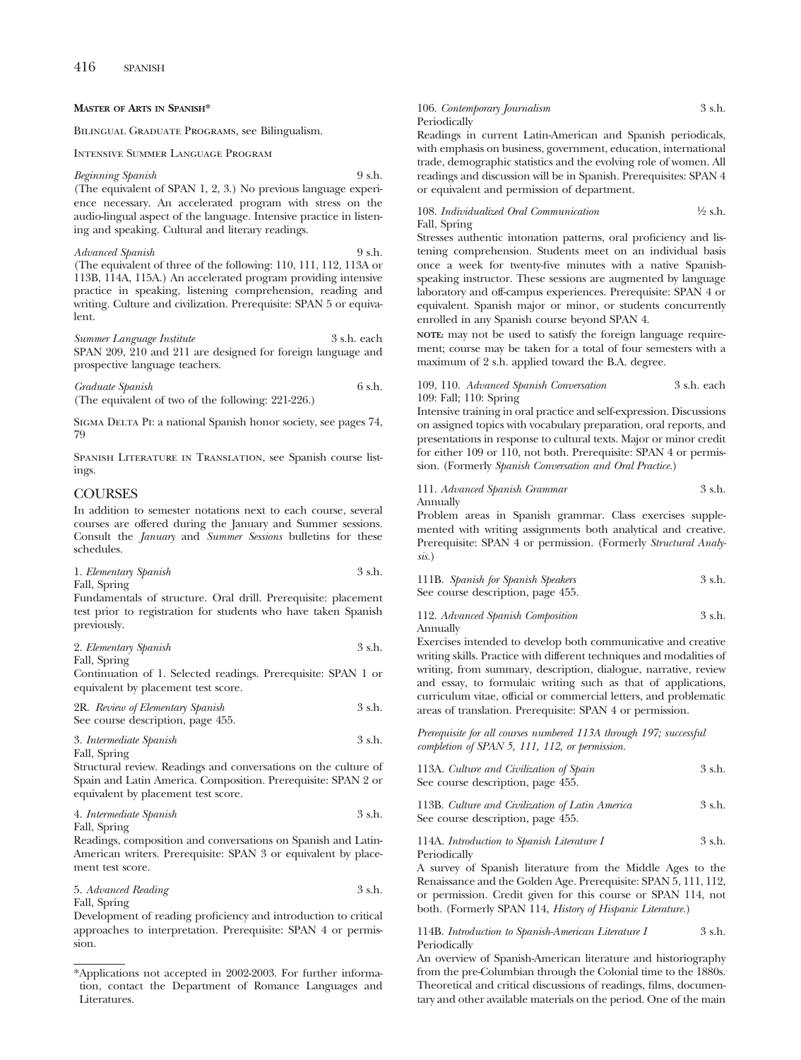# **MASTER OF ARTS IN SPANISH\***

Bilingual Graduate Programs, see Bilingualism.

Intensive Summer Language Program

#### *Beginning Spanish* 9 s.h.

(The equivalent of SPAN 1, 2, 3.) No previous language experience necessary. An accelerated program with stress on the audio-lingual aspect of the language. Intensive practice in listening and speaking. Cultural and literary readings.

*Advanced Spanish* 9 s.h. (The equivalent of three of the following: 110, 111, 112, 113A or 113B, 114A, 115A.) An accelerated program providing intensive practice in speaking, listening comprehension, reading and writing. Culture and civilization. Prerequisite: SPAN 5 or equivalent.

*Summer Language Institute* 3 s.h. each SPAN 209, 210 and 211 are designed for foreign language and prospective language teachers.

*Graduate Spanish* 6 s.h. (The equivalent of two of the following: 221-226.)

SIGMA DELTA PI: a national Spanish honor society, see pages 74, 79

Spanish Literature in Translation, see Spanish course listings.

# COURSES

In addition to semester notations next to each course, several courses are offered during the January and Summer sessions. Consult the *January* and *Summer Sessions* bulletins for these schedules.

| 1. Elementary Spanish | 3 s.h. |
|-----------------------|--------|
| Fall, Spring          |        |

Fundamentals of structure. Oral drill. Prerequisite: placement test prior to registration for students who have taken Spanish previously.

| 2. Elementary Spanish |  | 3 s.h. |
|-----------------------|--|--------|
|                       |  |        |

Fall, Spring

Continuation of 1. Selected readings. Prerequisite: SPAN 1 or equivalent by placement test score.

| 2R. Review of Elementary Spanish  | 3 s.h. |
|-----------------------------------|--------|
| See course description, page 455. |        |

3. *Intermediate Spanish* 3 s.h. Fall, Spring

Structural review. Readings and conversations on the culture of Spain and Latin America. Composition. Prerequisite: SPAN 2 or equivalent by placement test score.

# 4. *Intermediate Spanish* 3 s.h. Fall, Spring

Readings, composition and conversations on Spanish and Latin-American writers. Prerequisite: SPAN 3 or equivalent by placement test score.

5. *Advanced Reading* 3 s.h. Fall, Spring

Development of reading proficiency and introduction to critical approaches to interpretation. Prerequisite: SPAN 4 or permission.

# 106. *Contemporary Journalism* 3 s.h. Periodically Readings in current Latin-American and Spanish periodicals,

with emphasis on business, government, education, international trade, demographic statistics and the evolving role of women. All readings and discussion will be in Spanish. Prerequisites: SPAN 4 or equivalent and permission of department.

108. *Individualized Oral Communication* <sup>1</sup>/<sub>2</sub> s.h. Fall, Spring

Stresses authentic intonation patterns, oral proficiency and listening comprehension. Students meet on an individual basis once a week for twenty-five minutes with a native Spanishspeaking instructor. These sessions are augmented by language laboratory and off-campus experiences. Prerequisite: SPAN 4 or equivalent. Spanish major or minor, or students concurrently enrolled in any Spanish course beyond SPAN 4.

**NOTE:** may not be used to satisfy the foreign language requirement; course may be taken for a total of four semesters with a maximum of 2 s.h. applied toward the B.A. degree.

# 109, 110. *Advanced Spanish Conversation* 3 s.h. each 109: Fall; 110: Spring

Intensive training in oral practice and self-expression. Discussions on assigned topics with vocabulary preparation, oral reports, and presentations in response to cultural texts. Major or minor credit for either 109 or 110, not both. Prerequisite: SPAN 4 or permission. (Formerly *Spanish Conversation and Oral Practice.*)

111. *Advanced Spanish Grammar* 3 s.h. Annually

Problem areas in Spanish grammar. Class exercises supplemented with writing assignments both analytical and creative. Prerequisite: SPAN 4 or permission. (Formerly *Structural Analysis.*)

| 111B. Spanish for Spanish Speakers | 3 s.h. |
|------------------------------------|--------|
| See course description, page 455.  |        |

112. *Advanced Spanish Composition* 3 s.h. Annually

Exercises intended to develop both communicative and creative writing skills. Practice with different techniques and modalities of writing, from summary, description, dialogue, narrative, review and essay, to formulaic writing such as that of applications, curriculum vitae, official or commercial letters, and problematic areas of translation. Prerequisite: SPAN 4 or permission.

*Prerequisite for all courses numbered 113A through 197; successful completion of SPAN 5, 111, 112, or permission.*

| 113A. Culture and Civilization of Spain         | 3 s.h. |
|-------------------------------------------------|--------|
| See course description, page 455.               |        |
| 113B. Culture and Civilization of Latin America | 3 s.h. |
| See course description, page 455.               |        |

114A. *Introduction to Spanish Literature I* 3 s.h. Periodically

A survey of Spanish literature from the Middle Ages to the Renaissance and the Golden Age. Prerequisite: SPAN 5, 111, 112, or permission. Credit given for this course or SPAN 114, not both. (Formerly SPAN 114, *History of Hispanic Literature.*)

114B. *Introduction to Spanish-American Literature I* 3 s.h. Periodically

An overview of Spanish-American literature and historiography from the pre-Columbian through the Colonial time to the 1880s. Theoretical and critical discussions of readings, films, documentary and other available materials on the period. One of the main

<sup>\*</sup>Applications not accepted in 2002-2003. For further information, contact the Department of Romance Languages and Literatures.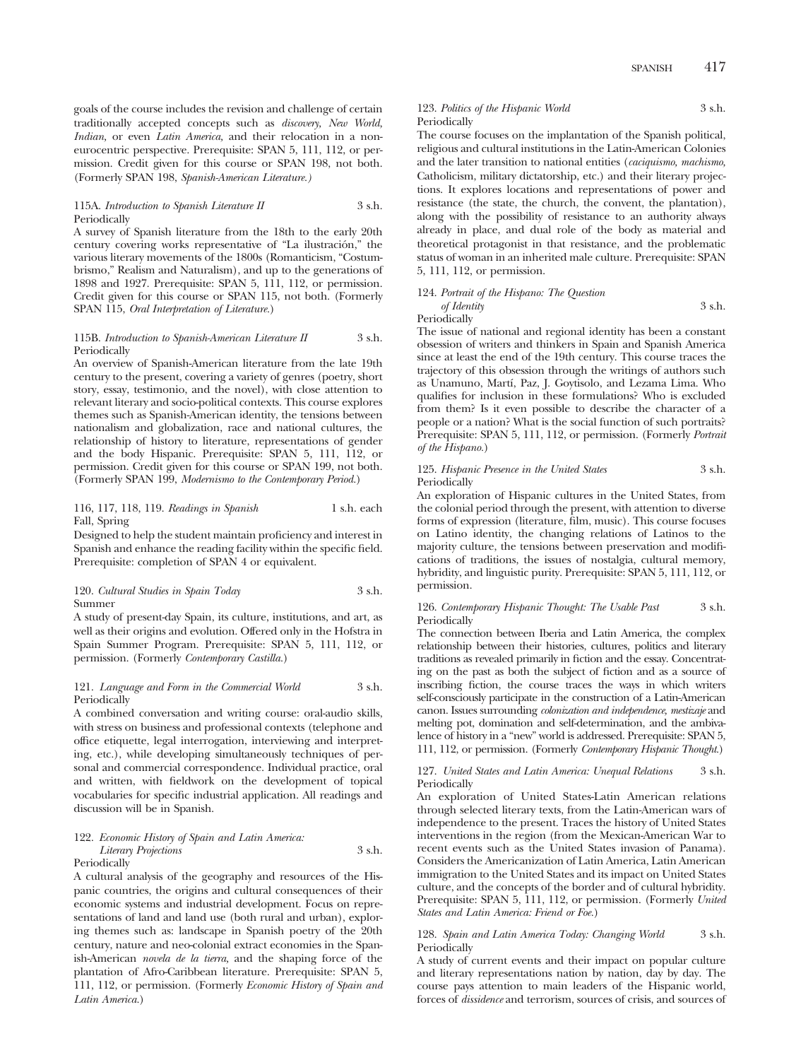goals of the course includes the revision and challenge of certain traditionally accepted concepts such as *discovery, New World, Indian,* or even *Latin America,* and their relocation in a noneurocentric perspective. Prerequisite: SPAN 5, 111, 112, or permission. Credit given for this course or SPAN 198, not both. (Formerly SPAN 198, *Spanish-American Literature.)*

# 115A. *Introduction to Spanish Literature II* 3 s.h. Periodically

A survey of Spanish literature from the 18th to the early 20th century covering works representative of "La ilustración," the various literary movements of the 1800s (Romanticism, "Costumbrismo," Realism and Naturalism), and up to the generations of 1898 and 1927. Prerequisite: SPAN 5, 111, 112, or permission. Credit given for this course or SPAN 115, not both. (Formerly SPAN 115, *Oral Interpretation of Literature.*)

# 115B. *Introduction to Spanish-American Literature II* 3 s.h. Periodically

An overview of Spanish-American literature from the late 19th century to the present, covering a variety of genres (poetry, short story, essay, testimonio, and the novel), with close attention to relevant literary and socio-political contexts. This course explores themes such as Spanish-American identity, the tensions between nationalism and globalization, race and national cultures, the relationship of history to literature, representations of gender and the body Hispanic. Prerequisite: SPAN 5, 111, 112, or permission. Credit given for this course or SPAN 199, not both. (Formerly SPAN 199, *Modernismo to the Contemporary Period.*)

# 116, 117, 118, 119. *Readings in Spanish* 1 s.h. each Fall, Spring

Designed to help the student maintain proficiency and interest in Spanish and enhance the reading facility within the specific field. Prerequisite: completion of SPAN 4 or equivalent.

# 120. *Cultural Studies in Spain Today* 3 s.h. Summer

A study of present-day Spain, its culture, institutions, and art, as well as their origins and evolution. Offered only in the Hofstra in Spain Summer Program. Prerequisite: SPAN 5, 111, 112, or permission. (Formerly *Contemporary Castilla.*)

# 121. *Language and Form in the Commercial World* 3 s.h. Periodically

A combined conversation and writing course: oral-audio skills, with stress on business and professional contexts (telephone and office etiquette, legal interrogation, interviewing and interpreting, etc.), while developing simultaneously techniques of personal and commercial correspondence. Individual practice, oral and written, with fieldwork on the development of topical vocabularies for specific industrial application. All readings and discussion will be in Spanish.

# 122. *Economic History of Spain and Latin America: Literary Projections* 3 s.h. Periodically

A cultural analysis of the geography and resources of the Hispanic countries, the origins and cultural consequences of their economic systems and industrial development. Focus on representations of land and land use (both rural and urban), exploring themes such as: landscape in Spanish poetry of the 20th century, nature and neo-colonial extract economies in the Spanish-American *novela de la tierra,* and the shaping force of the plantation of Afro-Caribbean literature. Prerequisite: SPAN 5, 111, 112, or permission. (Formerly *Economic History of Spain and Latin America.*)

123. Politics of the Hispanic World 3 s.h. Periodically

The course focuses on the implantation of the Spanish political, religious and cultural institutions in the Latin-American Colonies and the later transition to national entities (*caciquismo, machismo,* Catholicism, military dictatorship, etc.) and their literary projections. It explores locations and representations of power and resistance (the state, the church, the convent, the plantation), along with the possibility of resistance to an authority always already in place, and dual role of the body as material and theoretical protagonist in that resistance, and the problematic status of woman in an inherited male culture. Prerequisite: SPAN 5, 111, 112, or permission.

#### 124. *Portrait of the Hispano: The Question of Identity* 3 s.h.

Periodically

The issue of national and regional identity has been a constant obsession of writers and thinkers in Spain and Spanish America since at least the end of the 19th century. This course traces the trajectory of this obsession through the writings of authors such as Unamuno, Martí, Paz, J. Goytisolo, and Lezama Lima. Who qualifies for inclusion in these formulations? Who is excluded from them? Is it even possible to describe the character of a people or a nation? What is the social function of such portraits? Prerequisite: SPAN 5, 111, 112, or permission. (Formerly *Portrait of the Hispano.*)

### 125. *Hispanic Presence in the United States* 3 s.h. Periodically

An exploration of Hispanic cultures in the United States, from the colonial period through the present, with attention to diverse forms of expression (literature, film, music). This course focuses on Latino identity, the changing relations of Latinos to the majority culture, the tensions between preservation and modifications of traditions, the issues of nostalgia, cultural memory, hybridity, and linguistic purity. Prerequisite: SPAN 5, 111, 112, or permission.

# 126. *Contemporary Hispanic Thought: The Usable Past* 3 s.h. Periodically

The connection between Iberia and Latin America, the complex relationship between their histories, cultures, politics and literary traditions as revealed primarily in fiction and the essay. Concentrating on the past as both the subject of fiction and as a source of inscribing fiction, the course traces the ways in which writers self-consciously participate in the construction of a Latin-American canon. Issues surrounding *colonization and independence, mestizaje* and melting pot, domination and self-determination, and the ambivalence of history in a "new" world is addressed. Prerequisite: SPAN 5, 111, 112, or permission. (Formerly *Contemporary Hispanic Thought.*)

127. *United States and Latin America: Unequal Relations* 3 s.h. Periodically

An exploration of United States-Latin American relations through selected literary texts, from the Latin-American wars of independence to the present. Traces the history of United States interventions in the region (from the Mexican-American War to recent events such as the United States invasion of Panama). Considers the Americanization of Latin America, Latin American immigration to the United States and its impact on United States culture, and the concepts of the border and of cultural hybridity. Prerequisite: SPAN 5, 111, 112, or permission. (Formerly *United States and Latin America: Friend or Foe.*)

# 128. *Spain and Latin America Today: Changing World* 3 s.h. Periodically

A study of current events and their impact on popular culture and literary representations nation by nation, day by day. The course pays attention to main leaders of the Hispanic world, forces of *dissidence* and terrorism, sources of crisis, and sources of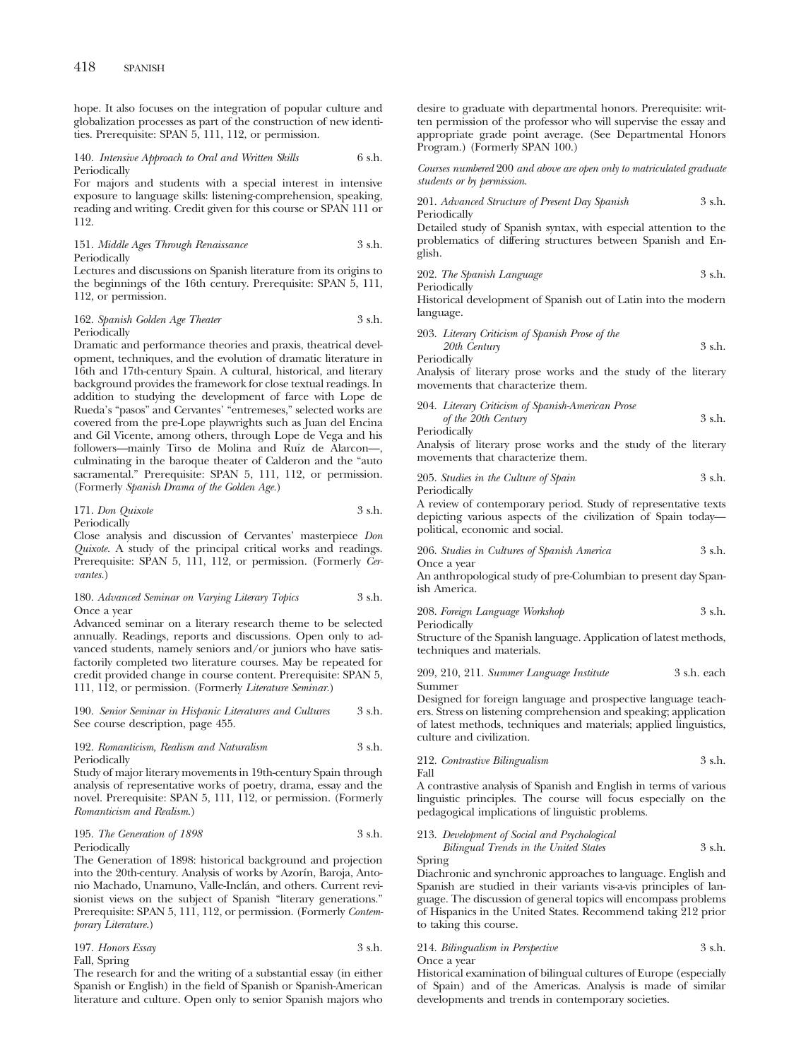hope. It also focuses on the integration of popular culture and globalization processes as part of the construction of new identities. Prerequisite: SPAN 5, 111, 112, or permission.

#### 140. *Intensive Approach to Oral and Written Skills* 6 s.h. Periodically

For majors and students with a special interest in intensive exposure to language skills: listening-comprehension, speaking, reading and writing. Credit given for this course or SPAN 111 or 112.

151. *Middle Ages Through Renaissance* 3 s.h. Periodically

Lectures and discussions on Spanish literature from its origins to the beginnings of the 16th century. Prerequisite: SPAN 5, 111, 112, or permission.

# 162. *Spanish Golden Age Theater* 3 s.h. Periodically

Dramatic and performance theories and praxis, theatrical development, techniques, and the evolution of dramatic literature in 16th and 17th-century Spain. A cultural, historical, and literary background provides the framework for close textual readings. In addition to studying the development of farce with Lope de Rueda's "pasos" and Cervantes' "entremeses," selected works are covered from the pre-Lope playwrights such as Juan del Encina and Gil Vicente, among others, through Lope de Vega and his followers—mainly Tirso de Molina and Ruíz de Alarcon—, culminating in the baroque theater of Calderon and the "auto sacramental." Prerequisite: SPAN 5, 111, 112, or permission. (Formerly *Spanish Drama of the Golden Age.*)

### 171. *Don Quixote* 3 s.h. Periodically

Close analysis and discussion of Cervantes' masterpiece *Don Quixote.* A study of the principal critical works and readings. Prerequisite: SPAN 5, 111, 112, or permission. (Formerly *Cervantes.*)

#### 180. *Advanced Seminar on Varying Literary Topics* 3 s.h. Once a year

Advanced seminar on a literary research theme to be selected annually. Readings, reports and discussions. Open only to advanced students, namely seniors and/or juniors who have satisfactorily completed two literature courses. May be repeated for credit provided change in course content. Prerequisite: SPAN 5, 111, 112, or permission. (Formerly *Literature Seminar.*)

190. *Senior Seminar in Hispanic Literatures and Cultures* 3 s.h. See course description, page 455.

# 192. *Romanticism, Realism and Naturalism* 3 s.h. Periodically

Study of major literary movements in 19th-century Spain through analysis of representative works of poetry, drama, essay and the novel. Prerequisite: SPAN 5, 111, 112, or permission. (Formerly *Romanticism and Realism.*)

### 195. *The Generation of 1898* 3 s.h. Periodically

The Generation of 1898: historical background and projection into the 20th-century. Analysis of works by Azorín, Baroja, Antonio Machado, Unamuno, Valle-Inclán, and others. Current revisionist views on the subject of Spanish "literary generations." Prerequisite: SPAN 5, 111, 112, or permission. (Formerly *Contemporary Literature.*)

| 197. Honors Essay | 3 s.h. |
|-------------------|--------|
| Fall, Spring      |        |

The research for and the writing of a substantial essay (in either Spanish or English) in the field of Spanish or Spanish-American literature and culture. Open only to senior Spanish majors who desire to graduate with departmental honors. Prerequisite: written permission of the professor who will supervise the essay and appropriate grade point average. (See Departmental Honors Program.) (Formerly SPAN 100.)

*Courses numbered* 200 *and above are open only to matriculated graduate students or by permission*.

201. *Advanced Structure of Present Day Spanish* 
$$
3 \, \text{s.h.}
$$
 Periodically

Detailed study of Spanish syntax, with especial attention to the problematics of differing structures between Spanish and English.

202. *The Spanish Language* 3 s.h.

Periodically

Historical development of Spanish out of Latin into the modern language.

203. *Literary Criticism of Spanish Prose of the 20th Century* 3 s.h. Periodically

Analysis of literary prose works and the study of the literary movements that characterize them.

204. *Literary Criticism of Spanish-American Prose*

| of the 20th Century | 3 s.h. |
|---------------------|--------|
| Periodically        |        |

Analysis of literary prose works and the study of the literary movements that characterize them.

205. *Studies in the Culture of Spain* 3 s.h.

Periodically

A review of contemporary period. Study of representative texts depicting various aspects of the civilization of Spain today political, economic and social.

206. *Studies in Cultures of Spanish America* 3 s.h. Once a year

An anthropological study of pre-Columbian to present day Spanish America.

208. *Foreign Language Workshop* 3 s.h. Periodically

Structure of the Spanish language. Application of latest methods, techniques and materials.

209, 210, 211. *Summer Language Institute* 3 s.h. each Summer

Designed for foreign language and prospective language teachers. Stress on listening comprehension and speaking; application of latest methods, techniques and materials; applied linguistics, culture and civilization.

#### 212. *Contrastive Bilingualism* 3 s.h. Fall

A contrastive analysis of Spanish and English in terms of various linguistic principles. The course will focus especially on the pedagogical implications of linguistic problems.

# 213. *Development of Social and Psychological Bilingual Trends in the United States* 3 s.h.

Spring

Diachronic and synchronic approaches to language. English and Spanish are studied in their variants vis-a-vis principles of language. The discussion of general topics will encompass problems of Hispanics in the United States. Recommend taking 212 prior to taking this course.

# 214. *Bilingualism in Perspective* 3 s.h. Once a year

Historical examination of bilingual cultures of Europe (especially of Spain) and of the Americas. Analysis is made of similar developments and trends in contemporary societies.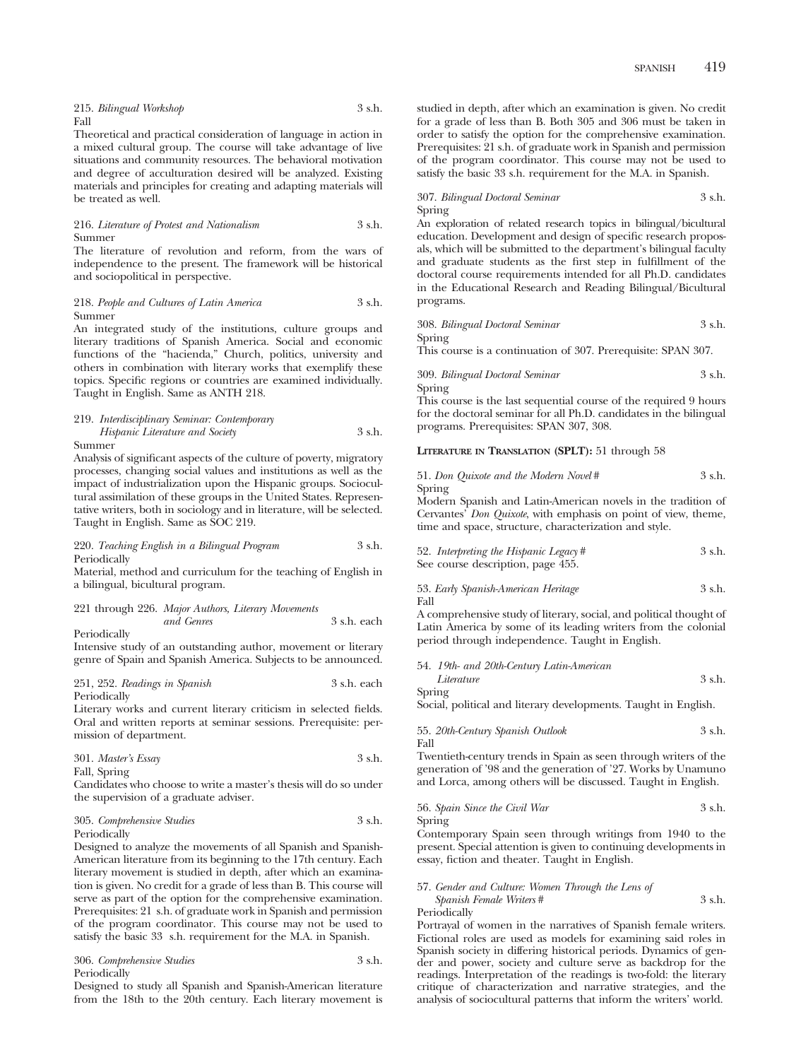|      | 215. Bilingual Workshop | 3 s.h. |
|------|-------------------------|--------|
| Fall |                         |        |

Theoretical and practical consideration of language in action in a mixed cultural group. The course will take advantage of live situations and community resources. The behavioral motivation and degree of acculturation desired will be analyzed. Existing materials and principles for creating and adapting materials will be treated as well.

#### 216. *Literature of Protest and Nationalism* 3 s.h. Summer

The literature of revolution and reform, from the wars of independence to the present. The framework will be historical and sociopolitical in perspective.

# 218. *People and Cultures of Latin America* 3 s.h. Summer

An integrated study of the institutions, culture groups and literary traditions of Spanish America. Social and economic functions of the "hacienda," Church, politics, university and others in combination with literary works that exemplify these topics. Specific regions or countries are examined individually. Taught in English. Same as ANTH 218.

219. *Interdisciplinary Seminar: Contemporary Hispanic Literature and Society* 3 s.h.

Summer

Analysis of significant aspects of the culture of poverty, migratory processes, changing social values and institutions as well as the impact of industrialization upon the Hispanic groups. Sociocultural assimilation of these groups in the United States. Representative writers, both in sociology and in literature, will be selected. Taught in English. Same as SOC 219.

# 220. *Teaching English in a Bilingual Program* 3 s.h. Periodically

Material, method and curriculum for the teaching of English in a bilingual, bicultural program.

221 through 226. *Major Authors, Literary Movements and Genres* 3 s.h. each Periodically

Intensive study of an outstanding author, movement or literary genre of Spain and Spanish America. Subjects to be announced.

251, 252. *Readings in Spanish* 3 s.h. each Periodically

Literary works and current literary criticism in selected fields. Oral and written reports at seminar sessions. Prerequisite: permission of department.

$$
301. Master's \, \text{Essay} \qquad \qquad 3 \, \text{s.h.}
$$

Fall, Spring

Candidates who choose to write a master's thesis will do so under the supervision of a graduate adviser.

# 305. *Comprehensive Studies* 3 s.h. Periodically

Designed to analyze the movements of all Spanish and Spanish-American literature from its beginning to the 17th century. Each literary movement is studied in depth, after which an examination is given. No credit for a grade of less than B. This course will serve as part of the option for the comprehensive examination. Prerequisites: 21 s.h. of graduate work in Spanish and permission of the program coordinator. This course may not be used to satisfy the basic 33 s.h. requirement for the M.A. in Spanish.

| 306. Comprehensive Studies | 3 s.h. |
|----------------------------|--------|
| Periodically               |        |

Designed to study all Spanish and Spanish-American literature from the 18th to the 20th century. Each literary movement is studied in depth, after which an examination is given. No credit for a grade of less than B. Both 305 and 306 must be taken in order to satisfy the option for the comprehensive examination. Prerequisites: 21 s.h. of graduate work in Spanish and permission of the program coordinator. This course may not be used to satisfy the basic 33 s.h. requirement for the M.A. in Spanish.

307. *Bilingual Doctoral Seminar* 3 s.h. Spring

An exploration of related research topics in bilingual/bicultural education. Development and design of specific research proposals, which will be submitted to the department's bilingual faculty and graduate students as the first step in fulfillment of the doctoral course requirements intended for all Ph.D. candidates in the Educational Research and Reading Bilingual/Bicultural programs.

308. *Bilingual Doctoral Seminar* 3 s.h. Spring

This course is a continuation of 307. Prerequisite: SPAN 307.

309. *Bilingual Doctoral Seminar* 3 s.h. Spring

This course is the last sequential course of the required 9 hours for the doctoral seminar for all Ph.D. candidates in the bilingual programs. Prerequisites: SPAN 307, 308.

**LITERATURE IN TRANSLATION (SPLT):** 51 through 58

|        | 51. Don Quixote and the Modern Novel# | 3 s.h. |
|--------|---------------------------------------|--------|
| Spring |                                       |        |

Modern Spanish and Latin-American novels in the tradition of Cervantes' *Don Quixote*, with emphasis on point of view, theme, time and space, structure, characterization and style.

| 52. Interpreting the Hispanic Legacy # | 3 s.h. |
|----------------------------------------|--------|
| See course description, page 455.      |        |

53. *Early Spanish-American Heritage* 3 s.h. Fall

A comprehensive study of literary, social, and political thought of Latin America by some of its leading writers from the colonial period through independence. Taught in English.

54. *19th- and 20th-Century Latin-American*

*Literature* 3 s.h. Spring

Social, political and literary developments. Taught in English.

55. *20th-Century Spanish Outlook* 3 s.h. Fall

Twentieth-century trends in Spain as seen through writers of the generation of '98 and the generation of '27. Works by Unamuno and Lorca, among others will be discussed. Taught in English.

56. *Spain Since the Civil War* 3 s.h. Spring

Contemporary Spain seen through writings from 1940 to the present. Special attention is given to continuing developments in essay, fiction and theater. Taught in English.

57. *Gender and Culture: Women Through the Lens of Spanish Female Writers* # 3 s.h.

Periodically

Portrayal of women in the narratives of Spanish female writers. Fictional roles are used as models for examining said roles in Spanish society in differing historical periods. Dynamics of gender and power, society and culture serve as backdrop for the readings. Interpretation of the readings is two-fold: the literary critique of characterization and narrative strategies, and the analysis of sociocultural patterns that inform the writers' world.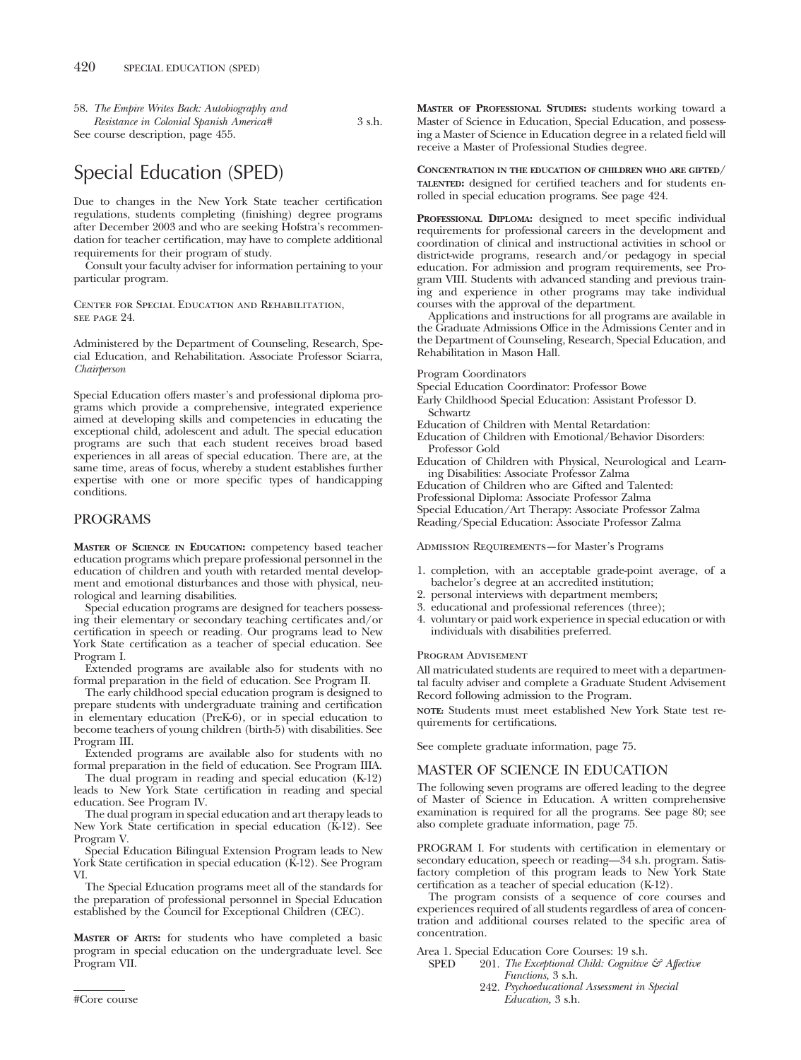58. *The Empire Writes Back: Autobiography and Resistance in Colonial Spanish America#* 3 s.h. See course description, page 455.

# Special Education (SPED)

Due to changes in the New York State teacher certification regulations, students completing (finishing) degree programs after December 2003 and who are seeking Hofstra's recommendation for teacher certification, may have to complete additional requirements for their program of study.

Consult your faculty adviser for information pertaining to your particular program.

Center for Special Education and Rehabilitation, see page 94

Administered by the Department of Counseling, Research, Special Education, and Rehabilitation. Associate Professor Sciarra, *Chairperson*

Special Education offers master's and professional diploma programs which provide a comprehensive, integrated experience aimed at developing skills and competencies in educating the exceptional child, adolescent and adult. The special education programs are such that each student receives broad based experiences in all areas of special education. There are, at the same time, areas of focus, whereby a student establishes further expertise with one or more specific types of handicapping conditions.

# PROGRAMS

**MASTER OF SCIENCE IN EDUCATION:** competency based teacher education programs which prepare professional personnel in the education of children and youth with retarded mental development and emotional disturbances and those with physical, neurological and learning disabilities.

Special education programs are designed for teachers possessing their elementary or secondary teaching certificates and/or certification in speech or reading. Our programs lead to New York State certification as a teacher of special education. See Program I.

Extended programs are available also for students with no formal preparation in the field of education. See Program II.

The early childhood special education program is designed to prepare students with undergraduate training and certification in elementary education (PreK-6), or in special education to become teachers of young children (birth-5) with disabilities. See Program III.

Extended programs are available also for students with no formal preparation in the field of education. See Program IIIA.

The dual program in reading and special education (K-12) leads to New York State certification in reading and special education. See Program IV.

The dual program in special education and art therapy leads to New York State certification in special education (K-12). See Program V.

Special Education Bilingual Extension Program leads to New York State certification in special education (K-12). See Program VI.

The Special Education programs meet all of the standards for the preparation of professional personnel in Special Education established by the Council for Exceptional Children (CEC).

**MASTER OF ARTS:** for students who have completed a basic program in special education on the undergraduate level. See Program VII.

**MASTER OF PROFESSIONAL STUDIES:** students working toward a Master of Science in Education, Special Education, and possessing a Master of Science in Education degree in a related field will receive a Master of Professional Studies degree.

**CONCENTRATION IN THE EDUCATION OF CHILDREN WHO ARE GIFTED/ TALENTED:** designed for certified teachers and for students enrolled in special education programs. See page 424.

**PROFESSIONAL DIPLOMA:** designed to meet specific individual requirements for professional careers in the development and coordination of clinical and instructional activities in school or district-wide programs, research and/or pedagogy in special education. For admission and program requirements, see Program VIII. Students with advanced standing and previous training and experience in other programs may take individual courses with the approval of the department.

Applications and instructions for all programs are available in the Graduate Admissions Office in the Admissions Center and in the Department of Counseling, Research, Special Education, and Rehabilitation in Mason Hall.

Program Coordinators

- Special Education Coordinator: Professor Bowe
- Early Childhood Special Education: Assistant Professor D. Schwartz
- Education of Children with Mental Retardation:
- Education of Children with Emotional/Behavior Disorders: Professor Gold
- Education of Children with Physical, Neurological and Learning Disabilities: Associate Professor Zalma
- Education of Children who are Gifted and Talented:
- Professional Diploma: Associate Professor Zalma
- Special Education/Art Therapy: Associate Professor Zalma

Reading/Special Education: Associate Professor Zalma

Admission Requirements—for Master's Programs

- 1. completion, with an acceptable grade-point average, of a bachelor's degree at an accredited institution;
- 2. personal interviews with department members;
- 3. educational and professional references (three);
- 4. voluntary or paid work experience in special education or with individuals with disabilities preferred.

### Program Advisement

All matriculated students are required to meet with a departmental faculty adviser and complete a Graduate Student Advisement Record following admission to the Program.

**NOTE:** Students must meet established New York State test requirements for certifications.

See complete graduate information, page 75.

# MASTER OF SCIENCE IN EDUCATION

The following seven programs are offered leading to the degree of Master of Science in Education. A written comprehensive examination is required for all the programs. See page 80; see also complete graduate information, page 75.

PROGRAM I. For students with certification in elementary or secondary education, speech or reading—34 s.h. program. Satisfactory completion of this program leads to New York State certification as a teacher of special education (K-12).

The program consists of a sequence of core courses and experiences required of all students regardless of area of concentration and additional courses related to the specific area of concentration.

Area 1. Special Education Core Courses: 19 s.h.<br>SPED 201 The Exceptional Child: Coenitive

201. *The Exceptional Child: Cognitive & Affective Functions,* 3 s.h.

242. *Psychoeducational Assessment in Special* #Core course *Education,* 3 s.h.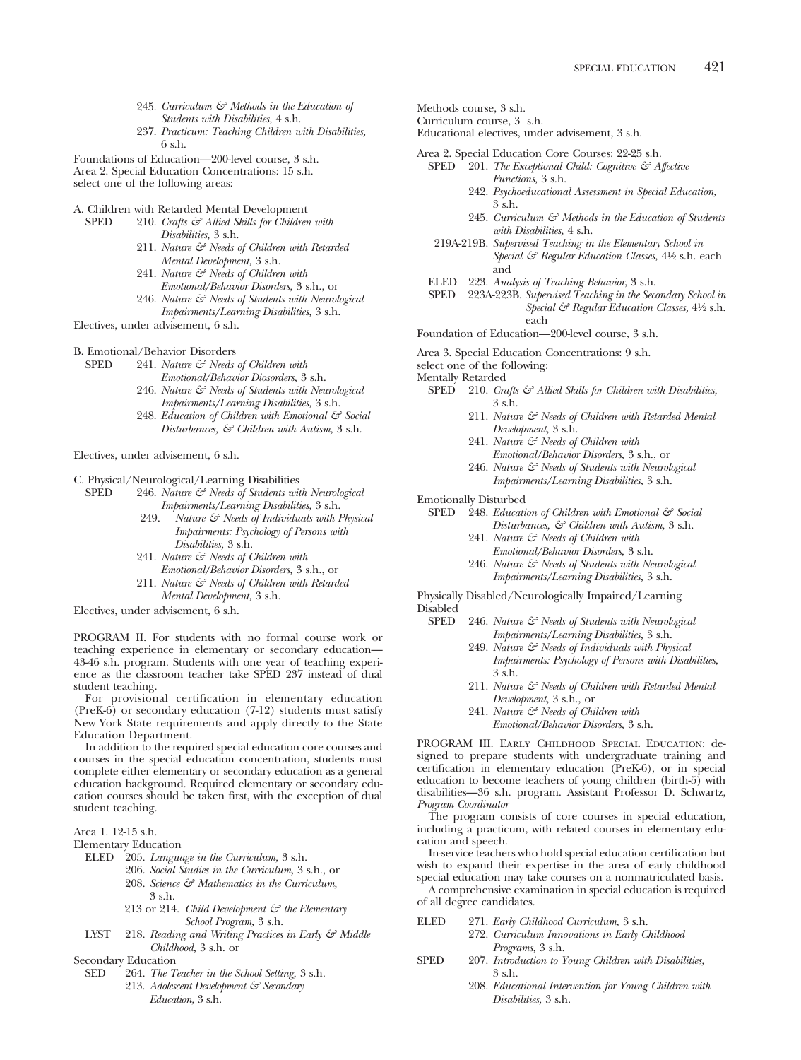- 245. *Curriculum & Methods in the Education of Students with Disabilities,* 4 s.h.
- 237. *Practicum: Teaching Children with Disabilities,* 6 s.h.

Foundations of Education—200-level course, 3 s.h. Area 2. Special Education Concentrations: 15 s.h.

select one of the following areas:

- A. Children with Retarded Mental Development<br>SPED 210 Crafts  $\xi \vec{\tau}$  Allied Skills for Children
	- 210. *Crafts & Allied Skills for Children with Disabilities,* 3 s.h.
		- 211. *Nature & Needs of Children with Retarded Mental Development,* 3 s.h.
		- 241. *Nature & Needs of Children with Emotional/Behavior Disorders,* 3 s.h., or
		- 246. *Nature & Needs of Students with Neurological*
- *Impairments/Learning Disabilities,* 3 s.h. Electives, under advisement, 6 s.h.
- 
- B. Emotional/Behavior Disorders<br>SPED 241 Nature  $\zeta \overline{\tau}$  Needs 241. *Nature & Needs of Children with* 
	- *Emotional/Behavior Diosorders,* 3 s.h.
	- 246. *Nature & Needs of Students with Neurological Impairments/Learning Disabilities,* 3 s.h.
	- 248. *Education of Children with Emotional & Social Disturbances, & Children with Autism,* 3 s.h.

Electives, under advisement, 6 s.h.

- C. Physical/Neurological/Learning Disabilities
	- SPED 246. *Nature & Needs of Students with Neurological Impairments/Learning Disabilities,* 3 s.h.
		- 249. *Nature & Needs of Individuals with Physical Impairments: Psychology of Persons with Disabilities,* 3 s.h.
		- 241. *Nature & Needs of Children with Emotional/Behavior Disorders,* 3 s.h., or
		- 211. *Nature & Needs of Children with Retarded Mental Development,* 3 s.h.

Electives, under advisement, 6 s.h.

PROGRAM II. For students with no formal course work or teaching experience in elementary or secondary education— 43-46 s.h. program. Students with one year of teaching experience as the classroom teacher take SPED 237 instead of dual student teaching.

For provisional certification in elementary education (PreK-6) or secondary education (7-12) students must satisfy New York State requirements and apply directly to the State Education Department.

In addition to the required special education core courses and courses in the special education concentration, students must complete either elementary or secondary education as a general education background. Required elementary or secondary education courses should be taken first, with the exception of dual student teaching.

Area 1. 12-15 s.h.

Elementary Education

- ELED 205. *Language in the Curriculum,* 3 s.h.
	- 206. *Social Studies in the Curriculum,* 3 s.h., or 208. *Science & Mathematics in the Curriculum,* 3 s.h.
	- 213 or 214. *Child Development & the Elementary School Program,* 3 s.h.
- LYST 218. *Reading and Writing Practices in Early & Middle Childhood,* 3 s.h. or

Secondary Education

SED 264. *The Teacher in the School Setting,* 3 s.h. 213. *Adolescent Development & Secondary Education,* 3 s.h.

- Methods course, 3 s.h.
- Curriculum course, 3 s.h.
- Educational electives, under advisement, 3 s.h.

Area 2. Special Education Core Courses: 22-25 s.h.

- SPED <sup>201</sup>. *The Exceptional Child: Cognitive & Affective Functions,* 3 s.h.
	- 242. *Psychoeducational Assessment in Special Education,* 3 s.h.
	- 245. *Curriculum & Methods in the Education of Students with Disabilities,* 4 s.h.
- 219A-219B. *Supervised Teaching in the Elementary School in Special & Regular Education Classes,* 41⁄2 s.h. each and
- ELED 223. *Analysis of Teaching Behavior*, 3 s.h.
- SPED 223A-223B. *Supervised Teaching in the Secondary School in Special & Regular Education Classes,* 41⁄2 s.h. each
- Foundation of Education—200-level course, 3 s.h.
- Area 3. Special Education Concentrations: 9 s.h.

select one of the following:

Mentally Retarded

- SPED 210. *Crafts*  $\mathcal{F}$  Allied Skills for Children with Disabilities, 3 s.h.
	- 211. *Nature & Needs of Children with Retarded Mental Development,* 3 s.h.
	- 241. *Nature & Needs of Children with Emotional/Behavior Disorders,* 3 s.h., or
	- 246. *Nature & Needs of Students with Neurological Impairments/Learning Disabilities,* 3 s.h.
- Emotionally Disturbed
	- SPED 248. *Education of Children with Emotional & Social Disturbances, & Children with Autism,* 3 s.h.
		- 241. *Nature & Needs of Children with Emotional/Behavior Disorders,* 3 s.h.
		- 246. *Nature & Needs of Students with Neurological Impairments/Learning Disabilities,* 3 s.h.

Physically Disabled/Neurologically Impaired/Learning Disabled

- 246. *Nature & Needs of Students with Neurological Impairments/Learning Disabilities,* 3 s.h.
	- 249. *Nature & Needs of Individuals with Physical Impairments: Psychology of Persons with Disabilities,* 3 s.h.
	- 211. *Nature & Needs of Children with Retarded Mental Development,* 3 s.h., or
	- 241. *Nature & Needs of Children with Emotional/Behavior Disorders,* 3 s.h.
	-

PROGRAM III. Early Childhood Special Education: designed to prepare students with undergraduate training and certification in elementary education (PreK-6), or in special education to become teachers of young children (birth-5) with disabilities—36 s.h. program. Assistant Professor D. Schwartz, *Program Coordinator*

The program consists of core courses in special education, including a practicum, with related courses in elementary education and speech.

In-service teachers who hold special education certification but wish to expand their expertise in the area of early childhood special education may take courses on a nonmatriculated basis.

A comprehensive examination in special education is required of all degree candidates.

- ELED 271. *Early Childhood Curriculum,* 3 s.h.
	- 272. *Curriculum Innovations in Early Childhood Programs,* 3 s.h.
- SPED 207. *Introduction to Young Children with Disabilities,* 3 s.h.
	- 208. *Educational Intervention for Young Children with Disabilities,* 3 s.h.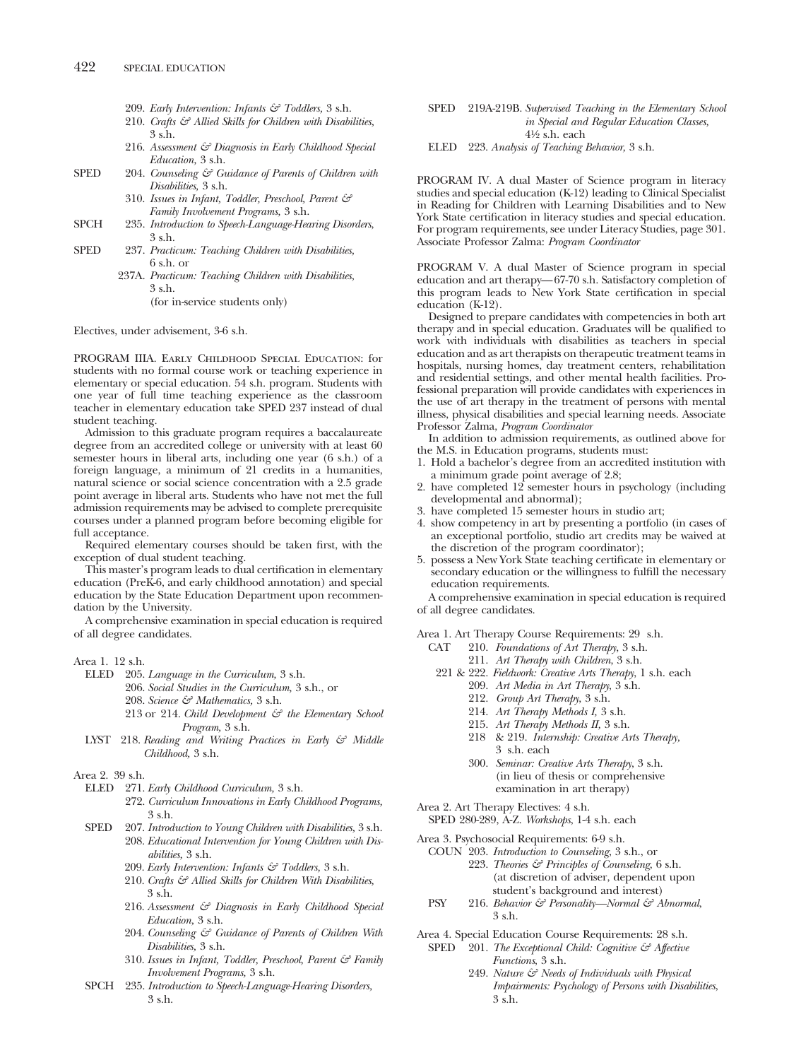- 209. *Early Intervention: Infants & Toddlers,* 3 s.h.
- 210. *Crafts & Allied Skills for Children with Disabilities,* 3 s.h.
- 216. *Assessment & Diagnosis in Early Childhood Special Education,* 3 s.h.
- SPED 204. *Counseling & Guidance of Parents of Children with Disabilities,* 3 s.h.
	- 310. *Issues in Infant, Toddler, Preschool, Parent & Family Involvement Programs,* 3 s.h.
- SPCH 235. *Introduction to Speech-Language-Hearing Disorders*, 3 s.h.
- SPED 237. *Practicum: Teaching Children with Disabilities,* 6 s.h. or
	- 237A. *Practicum: Teaching Children with Disabilities,* 3 s.h.

(for in-service students only)

Electives, under advisement, 3-6 s.h.

PROGRAM IIIA. Early Childhood Special Education: for students with no formal course work or teaching experience in elementary or special education. 54 s.h. program. Students with one year of full time teaching experience as the classroom teacher in elementary education take SPED 237 instead of dual student teaching.

Admission to this graduate program requires a baccalaureate degree from an accredited college or university with at least 60 semester hours in liberal arts, including one year (6 s.h.) of a foreign language, a minimum of 21 credits in a humanities, natural science or social science concentration with a 2.5 grade point average in liberal arts. Students who have not met the full admission requirements may be advised to complete prerequisite courses under a planned program before becoming eligible for full acceptance.

Required elementary courses should be taken first, with the exception of dual student teaching.

This master's program leads to dual certification in elementary education (PreK-6, and early childhood annotation) and special education by the State Education Department upon recommendation by the University.

A comprehensive examination in special education is required of all degree candidates.

- Area 1. 12 s.h.
	- ELED 205. *Language in the Curriculum,* 3 s.h.
		- 206. *Social Studies in the Curriculum,* 3 s.h., or
		- 208. *Science & Mathematics,* 3 s.h.
		- 213 or 214. *Child Development & the Elementary School Program,* 3 s.h.
	- LYST 218. *Reading and Writing Practices in Early & Middle Childhood,* 3 s.h.
- Area 2. 39 s.h.
	- ELED 271. *Early Childhood Curriculum,* 3 s.h.
		- 272. *Curriculum Innovations in Early Childhood Programs,* 3 s.h.
	- SPED 207. *Introduction to Young Children with Disabilities,* 3 s.h.
		- 208. *Educational Intervention for Young Children with Disabilities,* 3 s.h.
		- 209. *Early Intervention: Infants & Toddlers,* 3 s.h.
		- 210. *Crafts & Allied Skills for Children With Disabilities,* 3 s.h.
		- 216. *Assessment & Diagnosis in Early Childhood Special Education,* 3 s.h.
		- 204. *Counseling & Guidance of Parents of Children With Disabilities,* 3 s.h.
		- 310. *Issues in Infant, Toddler, Preschool, Parent & Family Involvement Programs,* 3 s.h.
	- SPCH 235. *Introduction to Speech-Language-Hearing Disorders,* 3 s.h.
- SPED 219A-219B. *Supervised Teaching in the Elementary School in Special and Regular Education Classes,* 41⁄2 s.h. each
- ELED 223. *Analysis of Teaching Behavior,* 3 s.h.

PROGRAM IV. A dual Master of Science program in literacy studies and special education (K-12) leading to Clinical Specialist in Reading for Children with Learning Disabilities and to New York State certification in literacy studies and special education. For program requirements, see under Literacy Studies, page 301. Associate Professor Zalma: *Program Coordinator*

PROGRAM V. A dual Master of Science program in special education and art therapy—67-70 s.h. Satisfactory completion of this program leads to New York State certification in special education (K-12).

Designed to prepare candidates with competencies in both art therapy and in special education. Graduates will be qualified to work with individuals with disabilities as teachers in special education and as art therapists on therapeutic treatment teams in hospitals, nursing homes, day treatment centers, rehabilitation and residential settings, and other mental health facilities. Professional preparation will provide candidates with experiences in the use of art therapy in the treatment of persons with mental illness, physical disabilities and special learning needs. Associate Professor Zalma, *Program Coordinator*

In addition to admission requirements, as outlined above for the M.S. in Education programs, students must:

- 1. Hold a bachelor's degree from an accredited institution with a minimum grade point average of 2.8;
- 2. have completed 12 semester hours in psychology (including developmental and abnormal);
- 3. have completed 15 semester hours in studio art;
- 4. show competency in art by presenting a portfolio (in cases of an exceptional portfolio, studio art credits may be waived at the discretion of the program coordinator);
- 5. possess a New York State teaching certificate in elementary or secondary education or the willingness to fulfill the necessary education requirements.

A comprehensive examination in special education is required of all degree candidates.

Area 1. Art Therapy Course Requirements: 29 s.h.

- CAT 210. *Foundations of Art Therapy*, 3 s.h.
	- 211. *Art Therapy with Children*, 3 s.h.
	- 221 & 222. *Fieldwork: Creative Arts Therapy*, 1 s.h. each
		- 209. *Art Media in Art Therapy*, 3 s.h.
			- 212. *Group Art Therapy*, 3 s.h.
			- 214. *Art Therapy Methods I,* 3 s.h.
			- 215. *Art Therapy Methods II,* 3 s.h.
		- 218 & 219. *Internship: Creative Arts Therapy,* 3 s.h. each
		- 300. *Seminar: Creative Arts Therapy*, 3 s.h. (in lieu of thesis or comprehensive examination in art therapy)
- Area 2. Art Therapy Electives: 4 s.h.
- SPED 280-289, A-Z. *Workshops*, 1-4 s.h. each
- Area 3. Psychosocial Requirements: 6-9 s.h.
	- COUN 203. *Introduction to Counseling*, 3 s.h., or 223. *Theories & Principles of Counseling*, 6 s.h. (at discretion of adviser, dependent upon student's background and interest)
	- PSY 216. *Behavior & Personality—Normal & Abnormal*, 3 s.h.
- Area 4. Special Education Course Requirements: 28 s.h.
	- SPED 201. *The Exceptional Child: Cognitive & Affective Functions*, 3 s.h.
		- 249. *Nature & Needs of Individuals with Physical Impairments: Psychology of Persons with Disabilities*, 3 s.h.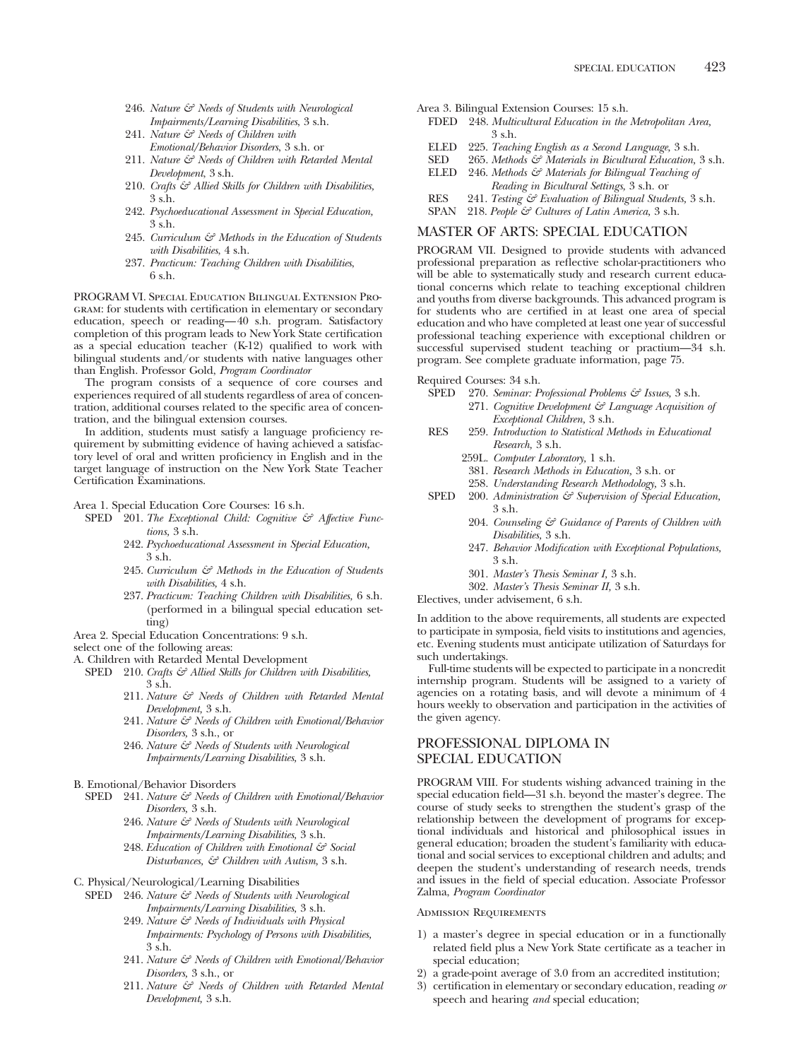- 246. *Nature & Needs of Students with Neurological Impairments/Learning Disabilities*, 3 s.h.
- 241. *Nature & Needs of Children with Emotional/Behavior Disorders*, 3 s.h. or
- 211. *Nature & Needs of Children with Retarded Mental Development*, 3 s.h.
- 210. *Crafts & Allied Skills for Children with Disabilities,* 3 s.h.
- 242. *Psychoeducational Assessment in Special Education,* 3 s.h.
- 245. *Curriculum & Methods in the Education of Students with Disabilities*, 4 s.h.
- 237. *Practicum: Teaching Children with Disabilities*, 6 s.h.

PROGRAM VI. Special Education Bilingual Extension Program: for students with certification in elementary or secondary education, speech or reading—40 s.h. program. Satisfactory completion of this program leads to New York State certification as a special education teacher  $(K-12)$  qualified to work with bilingual students and/or students with native languages other than English. Professor Gold, *Program Coordinator*

The program consists of a sequence of core courses and experiences required of all students regardless of area of concentration, additional courses related to the specific area of concentration, and the bilingual extension courses.

In addition, students must satisfy a language proficiency requirement by submitting evidence of having achieved a satisfactory level of oral and written proficiency in English and in the target language of instruction on the New York State Teacher Certification Examinations.

Area 1. Special Education Core Courses: 16 s.h.

- SPED 201. *The Exceptional Child: Cognitive & Affective Functions,* 3 s.h.
	- 242. *Psychoeducational Assessment in Special Education,* 3 s.h.
	- 245. *Curriculum & Methods in the Education of Students with Disabilities,* 4 s.h.
	- 237. *Practicum: Teaching Children with Disabilities,* 6 s.h. (performed in a bilingual special education setting)
- Area 2. Special Education Concentrations: 9 s.h.

select one of the following areas:

A. Children with Retarded Mental Development

- SPED 210. *Crafts & Allied Skills for Children with Disabilities,* 3 s.h.
	- 211. *Nature & Needs of Children with Retarded Mental Development,* 3 s.h.
	- 241. *Nature & Needs of Children with Emotional/Behavior Disorders,* 3 s.h., or
	- 246. *Nature & Needs of Students with Neurological Impairments/Learning Disabilities,* 3 s.h.
- B. Emotional/Behavior Disorders
	- SPED 241. *Nature & Needs of Children with Emotional/Behavior Disorders,* 3 s.h.
		- 246. *Nature & Needs of Students with Neurological Impairments/Learning Disabilities,* 3 s.h.
		- 248. *Education of Children with Emotional & Social Disturbances, & Children with Autism,* 3 s.h.
- C. Physical/Neurological/Learning Disabilities
	- SPED 246. *Nature & Needs of Students with Neurological Impairments/Learning Disabilities,* 3 s.h.
		- 249. *Nature & Needs of Individuals with Physical Impairments: Psychology of Persons with Disabilities,* 3 s.h.
		- 241. *Nature & Needs of Children with Emotional/Behavior Disorders,* 3 s.h., or
		- 211. *Nature & Needs of Children with Retarded Mental Development,* 3 s.h.
- Area 3. Bilingual Extension Courses: 15 s.h.
- FDED 248. *Multicultural Education in the Metropolitan Area,* 3 s.h.
- ELED 225. *Teaching English as a Second Language,* 3 s.h.
- 265. *Methods*  $\mathcal{F}$  *Materials in Bicultural Education*, 3 s.h.
- ELED 246. *Methods & Materials for Bilingual Teaching of Reading in Bicultural Settings,* 3 s.h. or RES 241. *Testing & Evaluation of Bilingual Students,* 3 s.h.
- SPAN 218. *People & Cultures of Latin America,* 3 s.h.
- 

# MASTER OF ARTS: SPECIAL EDUCATION

PROGRAM VII. Designed to provide students with advanced professional preparation as reflective scholar-practitioners who will be able to systematically study and research current educational concerns which relate to teaching exceptional children and youths from diverse backgrounds. This advanced program is for students who are certified in at least one area of special education and who have completed at least one year of successful professional teaching experience with exceptional children or successful supervised student teaching or practium—34 s.h. program. See complete graduate information, page 75.

Required Courses: 34 s.h.

- SPED 270. *Seminar: Professional Problems & Issues,* 3 s.h. 271. *Cognitive Development & Language Acquisition of*
- *Exceptional Children,* 3 s.h. RES 259. *Introduction to Statistical Methods in Educational Research,* 3 s.h.
	- 259L. *Computer Laboratory,* 1 s.h.
	- 381. *Research Methods in Education,* 3 s.h. or
	- 258. *Understanding Research Methodology,* 3 s.h.
- SPED 200. *Administration*  $\mathcal{C}$  Supervision of Special Education, 3 s.h.
	- 204. *Counseling & Guidance of Parents of Children with Disabilities,* 3 s.h.
		- 247. *Behavior Modification with Exceptional Populations,* 3 s.h.
		- 301. *Master's Thesis Seminar I,* 3 s.h.
		- 302. *Master's Thesis Seminar II,* 3 s.h.

Electives, under advisement, 6 s.h.

In addition to the above requirements, all students are expected to participate in symposia, field visits to institutions and agencies, etc. Evening students must anticipate utilization of Saturdays for such undertakings.

Full-time students will be expected to participate in a noncredit internship program. Students will be assigned to a variety of agencies on a rotating basis, and will devote a minimum of 4 hours weekly to observation and participation in the activities of the given agency.

# PROFESSIONAL DIPLOMA IN SPECIAL EDUCATION

PROGRAM VIII. For students wishing advanced training in the special education field—31 s.h. beyond the master's degree. The course of study seeks to strengthen the student's grasp of the relationship between the development of programs for exceptional individuals and historical and philosophical issues in general education; broaden the student's familiarity with educational and social services to exceptional children and adults; and deepen the student's understanding of research needs, trends and issues in the field of special education. Associate Professor Zalma, *Program Coordinator*

# Admission Requirements

- 1) a master's degree in special education or in a functionally related field plus a New York State certificate as a teacher in special education;
- 2) a grade-point average of 3.0 from an accredited institution;
- 3) certification in elementary or secondary education, reading *or* speech and hearing *and* special education;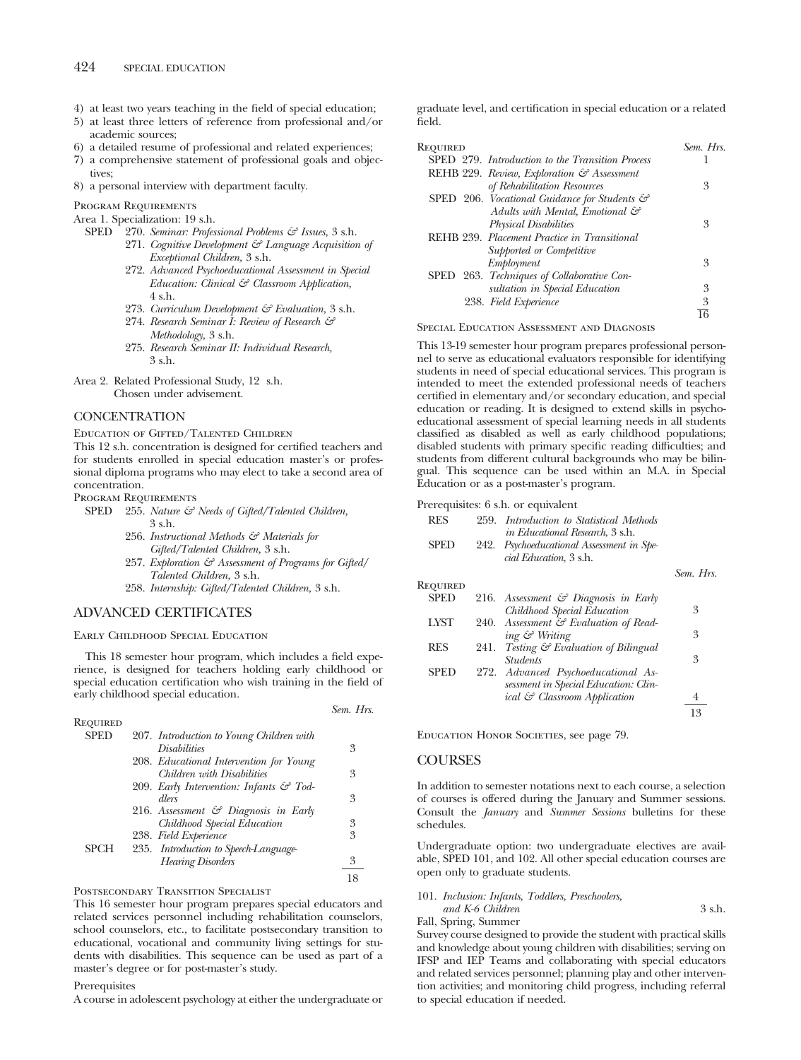- 4) at least two years teaching in the field of special education;
- 5) at least three letters of reference from professional and/or academic sources;
- 6) a detailed resume of professional and related experiences;
- 7) a comprehensive statement of professional goals and objectives;
- 8) a personal interview with department faculty.

Program Requirements

Area 1. Specialization: 19 s.h.

- SPED 270. *Seminar: Professional Problems & Issues,* 3 s.h.
	- 271. *Cognitive Development & Language Acquisition of Exceptional Children,* 3 s.h.
	- 272. *Advanced Psychoeducational Assessment in Special Education: Clinical & Classroom Application,* 4 s.h.
	- 273. *Curriculum Development & Evaluation,* 3 s.h.
	- 274. *Research Seminar I: Review of Research & Methodology,* 3 s.h.
	- 275. *Research Seminar II: Individual Research,* 3 s.h.

Area 2. Related Professional Study, 12 s.h. Chosen under advisement.

# **CONCENTRATION**

Education of Gifted/Talented Children

This 12 s.h. concentration is designed for certified teachers and for students enrolled in special education master's or professional diploma programs who may elect to take a second area of concentration.

Program Requirements

- SPED 255. *Nature & Needs of Gifted/Talented Children,* 3 s.h.
	- 256. *Instructional Methods & Materials for Gifted/Talented Children,* 3 s.h.
	- 257. *Exploration & Assessment of Programs for Gifted/ Talented Children,* 3 s.h.
	- 258. *Internship: Gifted/Talented Children,* 3 s.h.

# ADVANCED CERTIFICATES

# Early Childhood Special Education

This 18 semester hour program, which includes a field experience, is designed for teachers holding early childhood or special education certification who wish training in the field of early childhood special education.

| REQUIRED    |                                                     |    |
|-------------|-----------------------------------------------------|----|
| <b>SPED</b> | 207. Introduction to Young Children with            |    |
|             | <i>Disabilities</i>                                 | 3  |
|             | 208. Educational Intervention for Young             |    |
|             | Children with Disabilities                          | 3  |
|             | 209. Early Intervention: Infants $\mathcal{C}$ Tod- |    |
|             | dlers                                               | 3  |
|             | 216. Assessment $\mathcal G$ Diagnosis in Early     |    |
|             | Childhood Special Education                         | 3  |
|             | 238. Field Experience                               | 3  |
| <b>SPCH</b> | 235. Introduction to Speech-Language-               |    |
|             | <b>Hearing Disorders</b>                            | 3  |
|             |                                                     | 18 |

# Postsecondary Transition Specialist

This 16 semester hour program prepares special educators and related services personnel including rehabilitation counselors, school counselors, etc., to facilitate postsecondary transition to educational, vocational and community living settings for students with disabilities. This sequence can be used as part of a master's degree or for post-master's study.

#### Prerequisites

A course in adolescent psychology at either the undergraduate or

graduate level, and certification in special education or a related field.

| Required                                                   | Sem. Hrs. |
|------------------------------------------------------------|-----------|
| SPED 279. Introduction to the Transition Process           |           |
| REHB 229. Review, Exploration & Assessment                 |           |
| of Rehabilitation Resources                                | 3         |
| SPED 206. Vocational Guidance for Students $\mathcal{C}^2$ |           |
| Adults with Mental, Emotional &                            |           |
| <b>Physical Disabilities</b>                               | 3         |
| REHB 239. Placement Practice in Transitional               |           |
| Supported or Competitive                                   |           |
| Employment                                                 | 3         |
| SPED 263. Techniques of Collaborative Con-                 |           |
| sultation in Special Education                             | 3         |
| 238. Field Experience                                      | 3         |
|                                                            |           |
|                                                            |           |

Special Education Assessment and Diagnosis

This 13-19 semester hour program prepares professional personnel to serve as educational evaluators responsible for identifying students in need of special educational services. This program is intended to meet the extended professional needs of teachers certified in elementary and/or secondary education, and special education or reading. It is designed to extend skills in psychoeducational assessment of special learning needs in all students classified as disabled as well as early childhood populations; disabled students with primary specific reading difficulties; and students from different cultural backgrounds who may be bilingual. This sequence can be used within an M.A. in Special Education or as a post-master's program.

Prerequisites: 6 s.h. or equivalent

| <b>RES</b>  |      | 259. Introduction to Statistical Methods<br><i>in Educational Research</i> , 3 s.h. |           |
|-------------|------|-------------------------------------------------------------------------------------|-----------|
| SPED        |      | 242. Psychoeducational Assessment in Spe-<br>cial Education, 3 s.h.                 |           |
|             |      |                                                                                     | Sem. Hrs. |
| Required    |      |                                                                                     |           |
| <b>SPED</b> |      | 216. Assessment $\mathcal O$ Diagnosis in Early                                     |           |
|             |      | Childhood Special Education                                                         | 3         |
| <b>LYST</b> |      | 240. Assessment & Evaluation of Read-                                               |           |
|             |      | ing & Writing                                                                       | 3         |
| <b>RES</b>  | 241. | Testing & Evaluation of Bilingual                                                   |           |
|             |      | <i><u><b>Students</b></u></i>                                                       | 3         |
| SPED        |      | 272. Advanced Psychoeducational As-                                                 |           |
|             |      | sessment in Special Education: Clin-                                                |           |
|             |      | ical & Classroom Application                                                        | 4         |
|             |      |                                                                                     | 13        |

Education Honor Societies, see page 79.

# **COURSES**

*Sem. Hrs.*

In addition to semester notations next to each course, a selection of courses is offered during the January and Summer sessions. Consult the *January* and *Summer Sessions* bulletins for these schedules.

Undergraduate option: two undergraduate electives are available, SPED 101, and 102. All other special education courses are open only to graduate students.

# 101. *Inclusion: Infants, Toddlers, Preschoolers,*

| and K-6 Children     |  |  | 3 s.h. |
|----------------------|--|--|--------|
| Fall, Spring, Summer |  |  |        |
|                      |  |  |        |

Survey course designed to provide the student with practical skills and knowledge about young children with disabilities; serving on IFSP and IEP Teams and collaborating with special educators and related services personnel; planning play and other intervention activities; and monitoring child progress, including referral to special education if needed.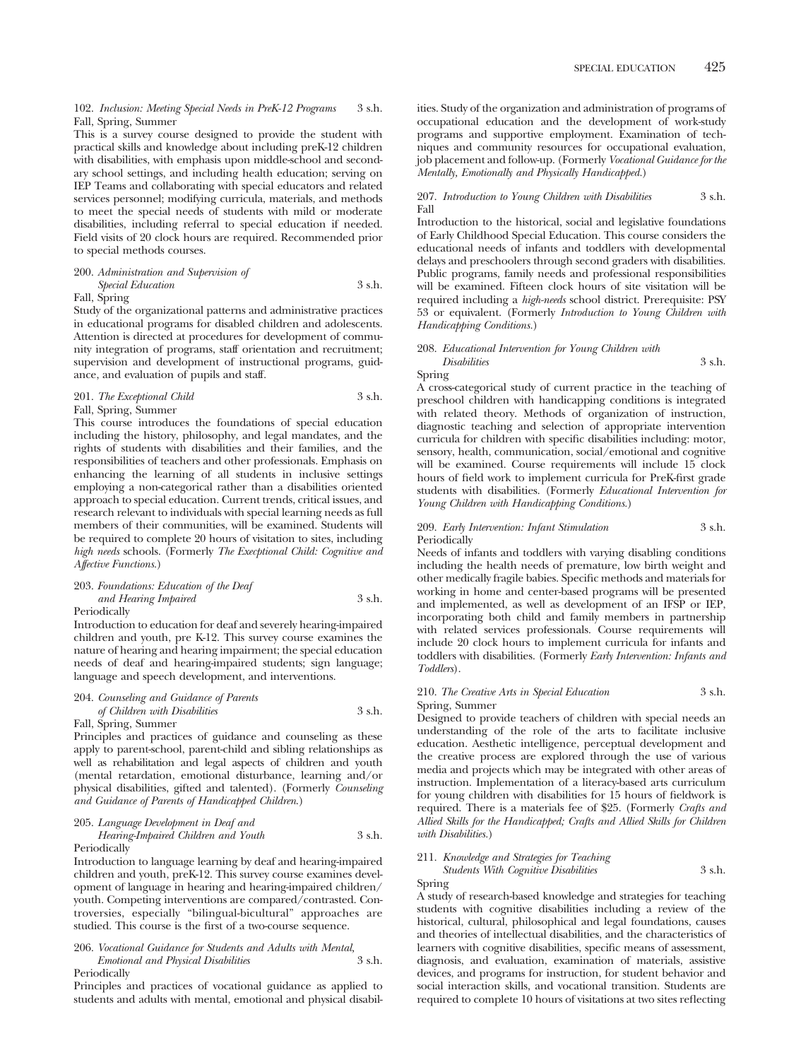102. *Inclusion: Meeting Special Needs in PreK-12 Programs* 3 s.h. Fall, Spring, Summer

This is a survey course designed to provide the student with practical skills and knowledge about including preK-12 children with disabilities, with emphasis upon middle-school and secondary school settings, and including health education; serving on IEP Teams and collaborating with special educators and related services personnel; modifying curricula, materials, and methods to meet the special needs of students with mild or moderate disabilities, including referral to special education if needed. Field visits of 20 clock hours are required. Recommended prior to special methods courses.

200. *Administration and Supervision of Special Education* 3 s.h. Fall, Spring

Study of the organizational patterns and administrative practices in educational programs for disabled children and adolescents. Attention is directed at procedures for development of community integration of programs, staff orientation and recruitment; supervision and development of instructional programs, guidance, and evaluation of pupils and staff.

201. *The Exceptional Child* 3 s.h. Fall, Spring, Summer

This course introduces the foundations of special education including the history, philosophy, and legal mandates, and the rights of students with disabilities and their families, and the responsibilities of teachers and other professionals. Emphasis on enhancing the learning of all students in inclusive settings employing a non-categorical rather than a disabilities oriented approach to special education. Current trends, critical issues, and research relevant to individuals with special learning needs as full members of their communities, will be examined. Students will be required to complete 20 hours of visitation to sites, including *high needs* schools. (Formerly *The Execptional Child: Cognitive and Affective Functions.*)

# 203. *Foundations: Education of the Deaf and Hearing Impaired* 3 s.h.

Periodically

Introduction to education for deaf and severely hearing-impaired children and youth, pre K-12. This survey course examines the nature of hearing and hearing impairment; the special education needs of deaf and hearing-impaired students; sign language; language and speech development, and interventions.

204. *Counseling and Guidance of Parents of Children with Disabilities* 3 s.h. Fall, Spring, Summer

Principles and practices of guidance and counseling as these apply to parent-school, parent-child and sibling relationships as well as rehabilitation and legal aspects of children and youth (mental retardation, emotional disturbance, learning and/or physical disabilities, gifted and talented). (Formerly *Counseling and Guidance of Parents of Handicapped Children*.)

# 205. *Language Development in Deaf and*

*Hearing-Impaired Children and Youth* 3 s.h. Periodically

Introduction to language learning by deaf and hearing-impaired children and youth, preK-12. This survey course examines development of language in hearing and hearing-impaired children/ youth. Competing interventions are compared/contrasted. Controversies, especially "bilingual-bicultural" approaches are studied. This course is the first of a two-course sequence.

# 206. *Vocational Guidance for Students and Adults with Mental, Emotional and Physical Disabilities* 3 s.h. Periodically

Principles and practices of vocational guidance as applied to students and adults with mental, emotional and physical disabilities. Study of the organization and administration of programs of occupational education and the development of work-study programs and supportive employment. Examination of techniques and community resources for occupational evaluation, job placement and follow-up. (Formerly *Vocational Guidance for the Mentally, Emotionally and Physically Handicapped.*)

### 207. *Introduction to Young Children with Disabilities* 3 s.h. Fall

Introduction to the historical, social and legislative foundations of Early Childhood Special Education. This course considers the educational needs of infants and toddlers with developmental delays and preschoolers through second graders with disabilities. Public programs, family needs and professional responsibilities will be examined. Fifteen clock hours of site visitation will be required including a *high-needs* school district. Prerequisite: PSY 53 or equivalent. (Formerly *Introduction to Young Children with Handicapping Conditions.*)

#### 208. *Educational Intervention for Young Children with Disabilities* 3 s.h.

Spring

A cross-categorical study of current practice in the teaching of preschool children with handicapping conditions is integrated with related theory. Methods of organization of instruction, diagnostic teaching and selection of appropriate intervention curricula for children with specific disabilities including: motor, sensory, health, communication, social/emotional and cognitive will be examined. Course requirements will include 15 clock hours of field work to implement curricula for PreK-first grade students with disabilities. (Formerly *Educational Intervention for Young Children with Handicapping Conditions.*)

#### 209. *Early Intervention: Infant Stimulation* 3 s.h. Periodically

Needs of infants and toddlers with varying disabling conditions including the health needs of premature, low birth weight and other medically fragile babies. Specific methods and materials for working in home and center-based programs will be presented and implemented, as well as development of an IFSP or IEP, incorporating both child and family members in partnership with related services professionals. Course requirements will include 20 clock hours to implement curricula for infants and toddlers with disabilities. (Formerly *Early Intervention: Infants and Toddlers*).

# 210. *The Creative Arts in Special Education* 3 s.h. Spring, Summer

Designed to provide teachers of children with special needs an understanding of the role of the arts to facilitate inclusive education. Aesthetic intelligence, perceptual development and the creative process are explored through the use of various media and projects which may be integrated with other areas of instruction. Implementation of a literacy-based arts curriculum for young children with disabilities for 15 hours of fieldwork is required. There is a materials fee of \$25. (Formerly *Crafts and Allied Skills for the Handicapped; Crafts and Allied Skills for Children with Disabilities.*)

# 211. *Knowledge and Strategies for Teaching Students With Cognitive Disabilities* 3 s.h.

# Spring

A study of research-based knowledge and strategies for teaching students with cognitive disabilities including a review of the historical, cultural, philosophical and legal foundations, causes and theories of intellectual disabilities, and the characteristics of learners with cognitive disabilities, specific means of assessment, diagnosis, and evaluation, examination of materials, assistive devices, and programs for instruction, for student behavior and social interaction skills, and vocational transition. Students are required to complete 10 hours of visitations at two sites reflecting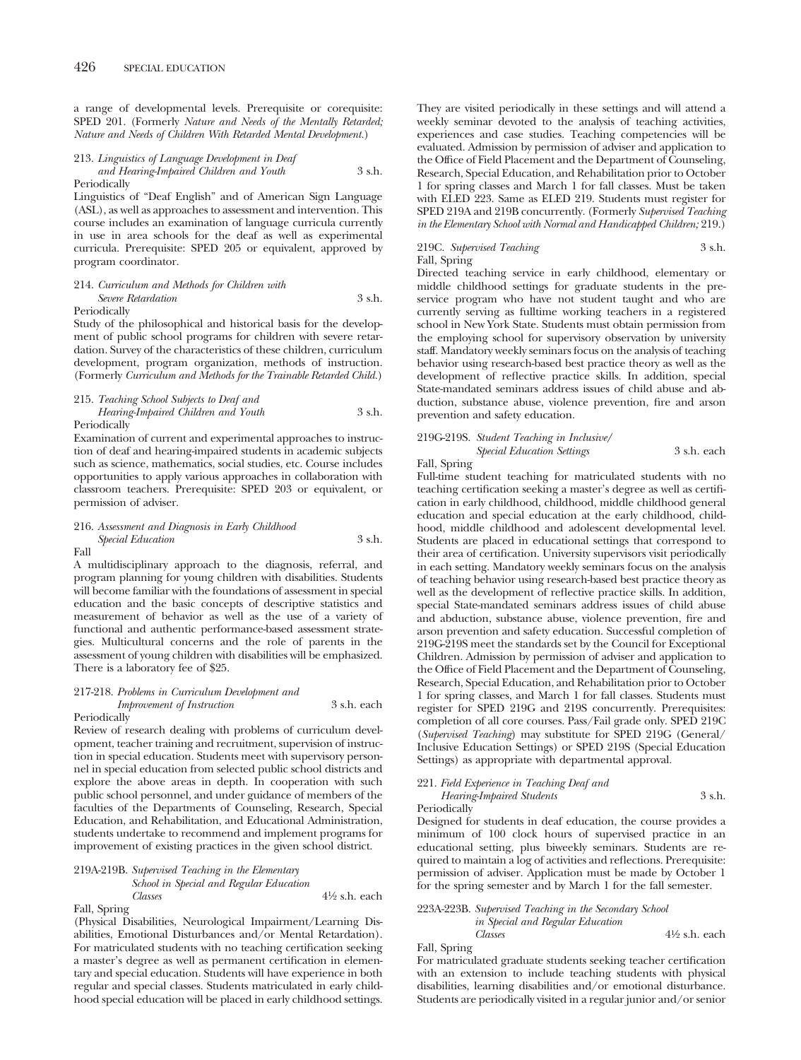a range of developmental levels. Prerequisite or corequisite: SPED 201. (Formerly *Nature and Needs of the Mentally Retarded; Nature and Needs of Children With Retarded Mental Development.*)

213. *Linguistics of Language Development in Deaf and Hearing-Impaired Children and Youth* 3 s.h. Periodically

Linguistics of "Deaf English" and of American Sign Language (ASL), as well as approaches to assessment and intervention. This course includes an examination of language curricula currently in use in area schools for the deaf as well as experimental curricula. Prerequisite: SPED 205 or equivalent, approved by program coordinator.

214. *Curriculum and Methods for Children with Severe Retardation* 3 s.h.

Periodically

Study of the philosophical and historical basis for the development of public school programs for children with severe retardation. Survey of the characteristics of these children, curriculum development, program organization, methods of instruction. (Formerly *Curriculum and Methods for the Trainable Retarded Child.*)

215. *Teaching School Subjects to Deaf and Hearing-Impaired Children and Youth* 3 s.h. Periodically

Examination of current and experimental approaches to instruction of deaf and hearing-impaired students in academic subjects such as science, mathematics, social studies, etc. Course includes opportunities to apply various approaches in collaboration with classroom teachers. Prerequisite: SPED 203 or equivalent, or permission of adviser.

# 216. *Assessment and Diagnosis in Early Childhood Special Education* 3 s.h. Fall

A multidisciplinary approach to the diagnosis, referral, and program planning for young children with disabilities. Students will become familiar with the foundations of assessment in special education and the basic concepts of descriptive statistics and measurement of behavior as well as the use of a variety of functional and authentic performance-based assessment strategies. Multicultural concerns and the role of parents in the assessment of young children with disabilities will be emphasized. There is a laboratory fee of \$25.

# 217-218. *Problems in Curriculum Development and Improvement of Instruction* 3 s.h. each

#### Periodically

Review of research dealing with problems of curriculum development, teacher training and recruitment, supervision of instruction in special education. Students meet with supervisory personnel in special education from selected public school districts and explore the above areas in depth. In cooperation with such public school personnel, and under guidance of members of the faculties of the Departments of Counseling, Research, Special Education, and Rehabilitation, and Educational Administration, students undertake to recommend and implement programs for improvement of existing practices in the given school district.

# 219A-219B. *Supervised Teaching in the Elementary School in Special and Regular Education Classes* 41⁄2 s.h. each Fall, Spring

(Physical Disabilities, Neurological Impairment/Learning Disabilities, Emotional Disturbances and/or Mental Retardation). For matriculated students with no teaching certification seeking a master's degree as well as permanent certification in elementary and special education. Students will have experience in both regular and special classes. Students matriculated in early childhood special education will be placed in early childhood settings.

They are visited periodically in these settings and will attend a weekly seminar devoted to the analysis of teaching activities, experiences and case studies. Teaching competencies will be evaluated. Admission by permission of adviser and application to the Office of Field Placement and the Department of Counseling, Research, Special Education, and Rehabilitation prior to October 1 for spring classes and March 1 for fall classes. Must be taken with ELED 223. Same as ELED 219. Students must register for SPED 219A and 219B concurrently. (Formerly *Supervised Teaching in the Elementary School with Normal and Handicapped Children;* 219.)

219C. Supervised Teaching 3 s.h. Fall, Spring

Directed teaching service in early childhood, elementary or middle childhood settings for graduate students in the preservice program who have not student taught and who are currently serving as fulltime working teachers in a registered school in New York State. Students must obtain permission from the employing school for supervisory observation by university staff. Mandatory weekly seminars focus on the analysis of teaching behavior using research-based best practice theory as well as the development of reflective practice skills. In addition, special State-mandated seminars address issues of child abuse and abduction, substance abuse, violence prevention, fire and arson prevention and safety education.

# 219G-219S. *Student Teaching in Inclusive/ Special Education Settings* 3 s.h. each

# Fall, Spring

Full-time student teaching for matriculated students with no teaching certification seeking a master's degree as well as certification in early childhood, childhood, middle childhood general education and special education at the early childhood, childhood, middle childhood and adolescent developmental level. Students are placed in educational settings that correspond to their area of certification. University supervisors visit periodically in each setting. Mandatory weekly seminars focus on the analysis of teaching behavior using research-based best practice theory as well as the development of reflective practice skills. In addition, special State-mandated seminars address issues of child abuse and abduction, substance abuse, violence prevention, fire and arson prevention and safety education. Successful completion of 219G-219S meet the standards set by the Council for Exceptional Children. Admission by permission of adviser and application to the Office of Field Placement and the Department of Counseling, Research, Special Education, and Rehabilitation prior to October 1 for spring classes, and March 1 for fall classes. Students must register for SPED 219G and 219S concurrently. Prerequisites: completion of all core courses. Pass/Fail grade only. SPED 219C (*Supervised Teaching*) may substitute for SPED 219G (General/ Inclusive Education Settings) or SPED 219S (Special Education Settings) as appropriate with departmental approval.

# 221. *Field Experience in Teaching Deaf and Hearing-Impaired Students* 3 s.h.

Periodically

Designed for students in deaf education, the course provides a minimum of 100 clock hours of supervised practice in an educational setting, plus biweekly seminars. Students are required to maintain a log of activities and reflections. Prerequisite: permission of adviser. Application must be made by October 1 for the spring semester and by March 1 for the fall semester.

# 223A-223B. *Supervised Teaching in the Secondary School in Special and Regular Education Classes* 41⁄2 s.h. each

Fall, Spring

For matriculated graduate students seeking teacher certification with an extension to include teaching students with physical disabilities, learning disabilities and/or emotional disturbance. Students are periodically visited in a regular junior and/or senior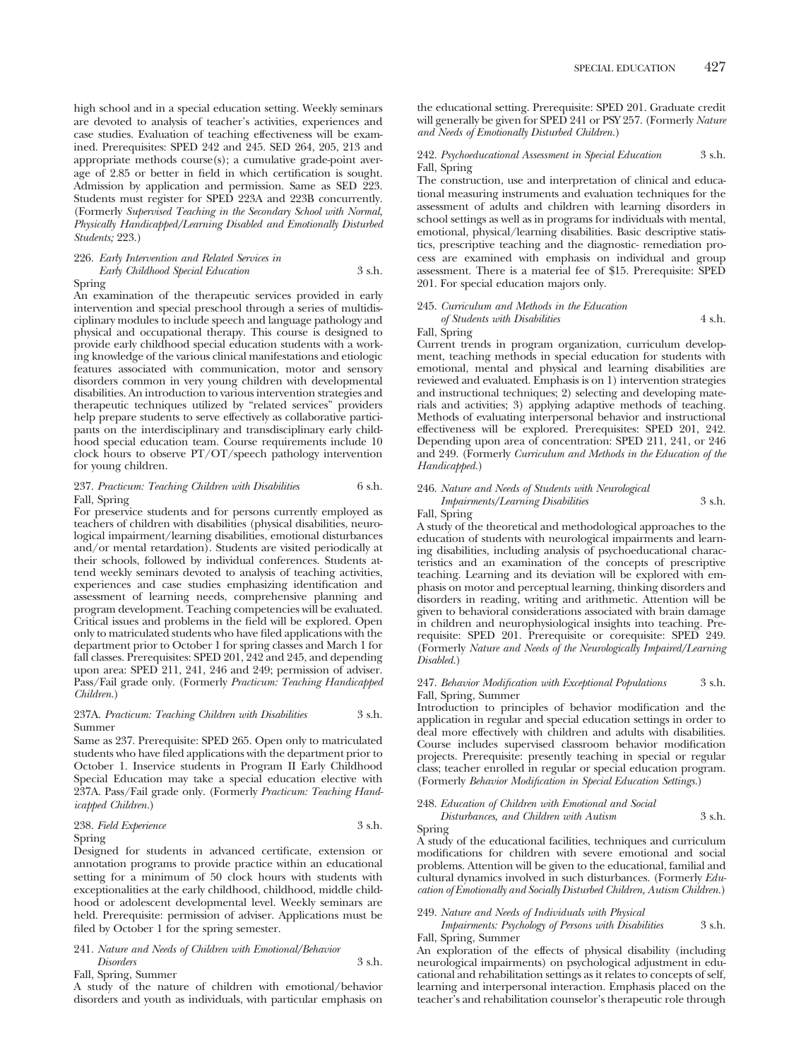high school and in a special education setting. Weekly seminars are devoted to analysis of teacher's activities, experiences and case studies. Evaluation of teaching effectiveness will be examined. Prerequisites: SPED 242 and 245. SED 264, 205, 213 and appropriate methods course(s); a cumulative grade-point average of 2.85 or better in field in which certification is sought. Admission by application and permission. Same as SED 223. Students must register for SPED 223A and 223B concurrently. (Formerly *Supervised Teaching in the Secondary School with Normal, Physically Handicapped/Learning Disabled and Emotionally Disturbed Students;* 223.)

# 226. *Early Intervention and Related Services in Early Childhood Special Education* 3 s.h. Spring

An examination of the therapeutic services provided in early intervention and special preschool through a series of multidisciplinary modules to include speech and language pathology and physical and occupational therapy. This course is designed to provide early childhood special education students with a working knowledge of the various clinical manifestations and etiologic features associated with communication, motor and sensory disorders common in very young children with developmental disabilities. An introduction to various intervention strategies and therapeutic techniques utilized by "related services" providers help prepare students to serve effectively as collaborative participants on the interdisciplinary and transdisciplinary early childhood special education team. Course requirements include 10 clock hours to observe PT/OT/speech pathology intervention for young children.

# 237. *Practicum: Teaching Children with Disabilities* 6 s.h. Fall, Spring

For preservice students and for persons currently employed as teachers of children with disabilities (physical disabilities, neurological impairment/learning disabilities, emotional disturbances and/or mental retardation). Students are visited periodically at their schools, followed by individual conferences. Students attend weekly seminars devoted to analysis of teaching activities, experiences and case studies emphasizing identification and assessment of learning needs, comprehensive planning and program development. Teaching competencies will be evaluated. Critical issues and problems in the field will be explored. Open only to matriculated students who have filed applications with the department prior to October 1 for spring classes and March 1 for fall classes. Prerequisites: SPED 201, 242 and 245, and depending upon area: SPED 211, 241, 246 and 249; permission of adviser. Pass/Fail grade only. (Formerly *Practicum: Teaching Handicapped Children.*)

# 237A. *Practicum: Teaching Children with Disabilities* 3 s.h. Summer

Same as 237. Prerequisite: SPED 265. Open only to matriculated students who have filed applications with the department prior to October 1. Inservice students in Program II Early Childhood Special Education may take a special education elective with 237A. Pass/Fail grade only. (Formerly *Practicum: Teaching Handicapped Children.*)

# 238. *Field Experience* 3 s.h.

Spring

Designed for students in advanced certificate, extension or annotation programs to provide practice within an educational setting for a minimum of 50 clock hours with students with exceptionalities at the early childhood, childhood, middle childhood or adolescent developmental level. Weekly seminars are held. Prerequisite: permission of adviser. Applications must be filed by October 1 for the spring semester.

# 241. *Nature and Needs of Children with Emotional/Behavior Disorders* 3 s.h.

Fall, Spring, Summer

A study of the nature of children with emotional/behavior disorders and youth as individuals, with particular emphasis on the educational setting. Prerequisite: SPED 201. Graduate credit will generally be given for SPED 241 or PSY 257. (Formerly *Nature and Needs of Emotionally Disturbed Children.*)

# 242. *Psychoeducational Assessment in Special Education* 3 s.h. Fall, Spring

The construction, use and interpretation of clinical and educational measuring instruments and evaluation techniques for the assessment of adults and children with learning disorders in school settings as well as in programs for individuals with mental, emotional, physical/learning disabilities. Basic descriptive statistics, prescriptive teaching and the diagnostic- remediation process are examined with emphasis on individual and group assessment. There is a material fee of \$15. Prerequisite: SPED 201. For special education majors only.

# 245. *Curriculum and Methods in the Education of Students with Disabilities* 4 s.h.

#### Fall, Spring

Current trends in program organization, curriculum development, teaching methods in special education for students with emotional, mental and physical and learning disabilities are reviewed and evaluated. Emphasis is on 1) intervention strategies and instructional techniques; 2) selecting and developing materials and activities; 3) applying adaptive methods of teaching. Methods of evaluating interpersonal behavior and instructional effectiveness will be explored. Prerequisites: SPED 201, 242. Depending upon area of concentration: SPED 211, 241, or 246 and 249. (Formerly *Curriculum and Methods in the Education of the Handicapped.*)

# 246. *Nature and Needs of Students with Neurological Impairments/Learning Disabilities* 3 s.h.

Fall, Spring

A study of the theoretical and methodological approaches to the education of students with neurological impairments and learning disabilities, including analysis of psychoeducational characteristics and an examination of the concepts of prescriptive teaching. Learning and its deviation will be explored with emphasis on motor and perceptual learning, thinking disorders and disorders in reading, writing and arithmetic. Attention will be given to behavioral considerations associated with brain damage in children and neurophysiological insights into teaching. Prerequisite: SPED 201. Prerequisite or corequisite: SPED 249. (Formerly *Nature and Needs of the Neurologically Impaired/Learning Disabled.*)

#### 247. *Behavior Modification with Exceptional Populations* 3 s.h. Fall, Spring, Summer

Introduction to principles of behavior modification and the application in regular and special education settings in order to deal more effectively with children and adults with disabilities. Course includes supervised classroom behavior modification projects. Prerequisite: presently teaching in special or regular class; teacher enrolled in regular or special education program. (Formerly *Behavior Modification in Special Education Settings.*)

# 248. *Education of Children with Emotional and Social*

*Disturbances, and Children with Autism* 3 s.h. Spring

A study of the educational facilities, techniques and curriculum modifications for children with severe emotional and social problems. Attention will be given to the educational, familial and cultural dynamics involved in such disturbances. (Formerly *Education of Emotionally and Socially Disturbed Children, Autism Children.*)

# 249. *Nature and Needs of Individuals with Physical*

*Impairments: Psychology of Persons with Disabilities* 3 s.h. Fall, Spring, Summer

An exploration of the effects of physical disability (including neurological impairments) on psychological adjustment in educational and rehabilitation settings as it relates to concepts of self, learning and interpersonal interaction. Emphasis placed on the teacher's and rehabilitation counselor's therapeutic role through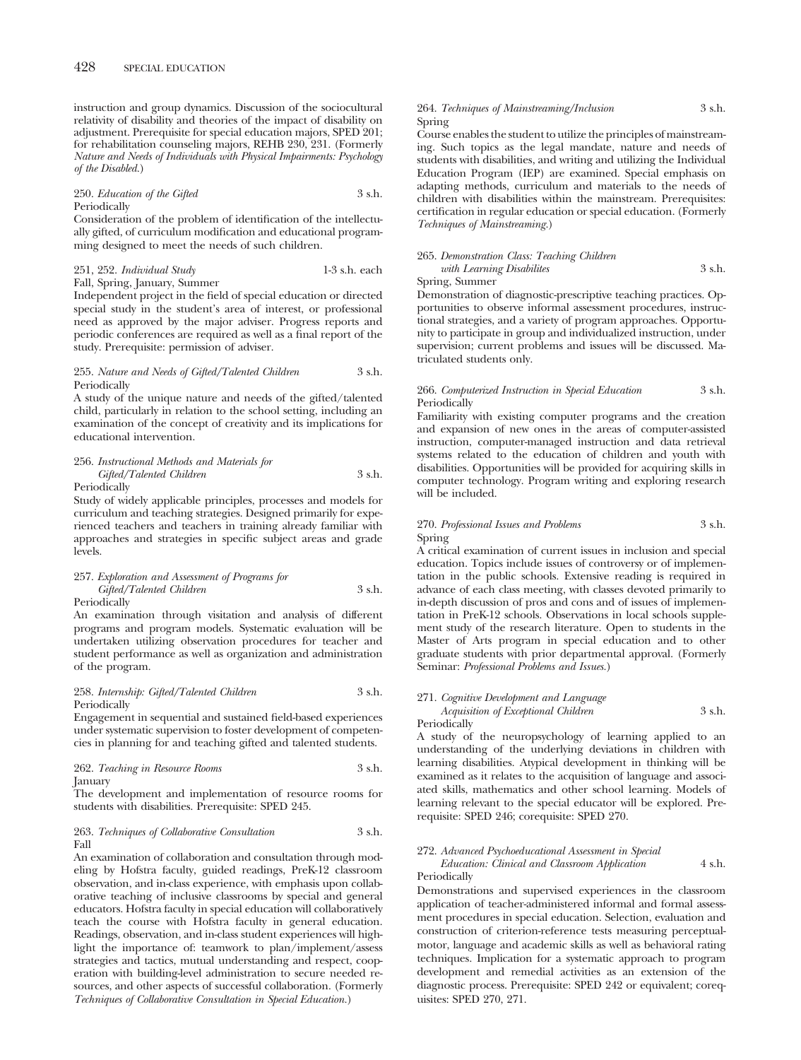instruction and group dynamics. Discussion of the sociocultural relativity of disability and theories of the impact of disability on adjustment. Prerequisite for special education majors, SPED 201; for rehabilitation counseling majors, REHB 230, 231. (Formerly *Nature and Needs of Individuals with Physical Impairments: Psychology of the Disabled.*)

250. *Education of the Gifted* 3 s.h. Periodically

Consideration of the problem of identification of the intellectually gifted, of curriculum modification and educational programming designed to meet the needs of such children.

# 251, 252. *Individual Study* 1-3 s.h. each Fall, Spring, January, Summer

Independent project in the field of special education or directed special study in the student's area of interest, or professional need as approved by the major adviser. Progress reports and periodic conferences are required as well as a final report of the study. Prerequisite: permission of adviser.

#### 255. *Nature and Needs of Gifted/Talented Children* 3 s.h. Periodically

A study of the unique nature and needs of the gifted/talented child, particularly in relation to the school setting, including an examination of the concept of creativity and its implications for educational intervention.

# 256. *Instructional Methods and Materials for Gifted/Talented Children* 3 s.h.

Periodically

Study of widely applicable principles, processes and models for curriculum and teaching strategies. Designed primarily for experienced teachers and teachers in training already familiar with approaches and strategies in specific subject areas and grade levels.

# 257. *Exploration and Assessment of Programs for Gifted/Talented Children* 3 s.h.

Periodically

An examination through visitation and analysis of different programs and program models. Systematic evaluation will be undertaken utilizing observation procedures for teacher and student performance as well as organization and administration of the program.

# 258. *Internship: Gifted/Talented Children* 3 s.h. Periodically

Engagement in sequential and sustained field-based experiences under systematic supervision to foster development of competencies in planning for and teaching gifted and talented students.

262. *Teaching in Resource Rooms* 3 s.h. January

The development and implementation of resource rooms for students with disabilities. Prerequisite: SPED 245.

### 263. *Techniques of Collaborative Consultation* 3 s.h. Fall

An examination of collaboration and consultation through modeling by Hofstra faculty, guided readings, PreK-12 classroom observation, and in-class experience, with emphasis upon collaborative teaching of inclusive classrooms by special and general educators. Hofstra faculty in special education will collaboratively teach the course with Hofstra faculty in general education. Readings, observation, and in-class student experiences will highlight the importance of: teamwork to plan/implement/assess strategies and tactics, mutual understanding and respect, cooperation with building-level administration to secure needed resources, and other aspects of successful collaboration. (Formerly *Techniques of Collaborative Consultation in Special Education.*)

# 264. *Techniques of Mainstreaming/Inclusion* 3 s.h. Spring

Course enables the student to utilize the principles of mainstreaming. Such topics as the legal mandate, nature and needs of students with disabilities, and writing and utilizing the Individual Education Program (IEP) are examined. Special emphasis on adapting methods, curriculum and materials to the needs of children with disabilities within the mainstream. Prerequisites: certification in regular education or special education. (Formerly *Techniques of Mainstreaming.*)

# 265. *Demonstration Class: Teaching Children with Learning Disabilites* 3 s.h.

Spring, Summer

Demonstration of diagnostic-prescriptive teaching practices. Opportunities to observe informal assessment procedures, instructional strategies, and a variety of program approaches. Opportunity to participate in group and individualized instruction, under supervision; current problems and issues will be discussed. Matriculated students only.

# 266. *Computerized Instruction in Special Education* 3 s.h. Periodically

Familiarity with existing computer programs and the creation and expansion of new ones in the areas of computer-assisted instruction, computer-managed instruction and data retrieval systems related to the education of children and youth with disabilities. Opportunities will be provided for acquiring skills in computer technology. Program writing and exploring research will be included.

# 270. *Professional Issues and Problems* 3 s.h. Spring

A critical examination of current issues in inclusion and special education. Topics include issues of controversy or of implementation in the public schools. Extensive reading is required in advance of each class meeting, with classes devoted primarily to in-depth discussion of pros and cons and of issues of implementation in PreK-12 schools. Observations in local schools supplement study of the research literature. Open to students in the Master of Arts program in special education and to other graduate students with prior departmental approval. (Formerly Seminar: *Professional Problems and Issues.*)

### 271. *Cognitive Development and Language*

*Acquisition of Exceptional Children* 3 s.h. Periodically

A study of the neuropsychology of learning applied to an understanding of the underlying deviations in children with learning disabilities. Atypical development in thinking will be examined as it relates to the acquisition of language and associated skills, mathematics and other school learning. Models of learning relevant to the special educator will be explored. Prerequisite: SPED 246; corequisite: SPED 270.

#### 272. *Advanced Psychoeducational Assessment in Special*

*Education: Clinical and Classroom Application* 4 s.h. Periodically

Demonstrations and supervised experiences in the classroom application of teacher-administered informal and formal assessment procedures in special education. Selection, evaluation and construction of criterion-reference tests measuring perceptualmotor, language and academic skills as well as behavioral rating techniques. Implication for a systematic approach to program development and remedial activities as an extension of the diagnostic process. Prerequisite: SPED 242 or equivalent; corequisites: SPED 270, 271.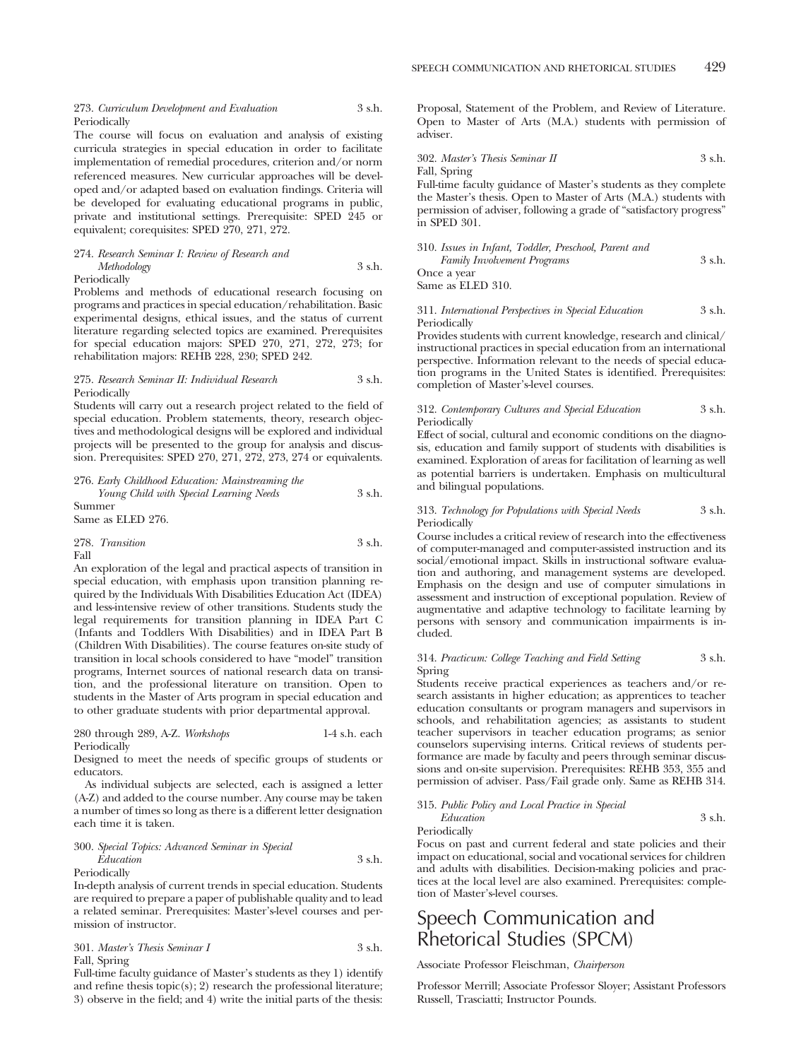### 273. *Curriculum Development and Evaluation* 3 s.h. Periodically

The course will focus on evaluation and analysis of existing curricula strategies in special education in order to facilitate implementation of remedial procedures, criterion and/or norm referenced measures. New curricular approaches will be developed and/or adapted based on evaluation findings. Criteria will be developed for evaluating educational programs in public, private and institutional settings. Prerequisite: SPED 245 or equivalent; corequisites: SPED 270, 271, 272.

# 274. *Research Seminar I: Review of Research and Methodology* 3 s.h. Periodically

Problems and methods of educational research focusing on programs and practices in special education/rehabilitation. Basic experimental designs, ethical issues, and the status of current literature regarding selected topics are examined. Prerequisites for special education majors: SPED 270, 271, 272, 273; for rehabilitation majors: REHB 228, 230; SPED 242.

#### 275. *Research Seminar II: Individual Research* 3 s.h. Periodically

Students will carry out a research project related to the field of special education. Problem statements, theory, research objectives and methodological designs will be explored and individual projects will be presented to the group for analysis and discussion. Prerequisites: SPED 270, 271, 272, 273, 274 or equivalents.

276. *Early Childhood Education: Mainstreaming the Young Child with Special Learning Needs* 3 s.h. Summer

Same as ELED 276.

|      | 278. Transition | 3 s.h. |
|------|-----------------|--------|
| Fall |                 |        |

An exploration of the legal and practical aspects of transition in special education, with emphasis upon transition planning required by the Individuals With Disabilities Education Act (IDEA) and less-intensive review of other transitions. Students study the legal requirements for transition planning in IDEA Part C (Infants and Toddlers With Disabilities) and in IDEA Part B (Children With Disabilities). The course features on-site study of transition in local schools considered to have "model" transition programs, Internet sources of national research data on transition, and the professional literature on transition. Open to students in the Master of Arts program in special education and to other graduate students with prior departmental approval.

| 280 through 289, A-Z. Workshops | $1-4$ s.h. each |
|---------------------------------|-----------------|
| Periodically                    |                 |

Designed to meet the needs of specific groups of students or educators.

As individual subjects are selected, each is assigned a letter (A-Z) and added to the course number. Any course may be taken a number of times so long as there is a different letter designation each time it is taken.

#### 300. *Special Topics: Advanced Seminar in Special Education* 3 s.h.

Periodically

In-depth analysis of current trends in special education. Students are required to prepare a paper of publishable quality and to lead a related seminar. Prerequisites: Master's-level courses and permission of instructor.

| 301. Master's Thesis Seminar I | 3 s.h. |
|--------------------------------|--------|
| Fall, Spring                   |        |

Full-time faculty guidance of Master's students as they 1) identify and refine thesis topic(s); 2) research the professional literature; 3) observe in the field; and 4) write the initial parts of the thesis: Proposal, Statement of the Problem, and Review of Literature. Open to Master of Arts (M.A.) students with permission of adviser.

302. *Master's Thesis Seminar II* 3 s.h. Fall, Spring

Full-time faculty guidance of Master's students as they complete the Master's thesis. Open to Master of Arts (M.A.) students with permission of adviser, following a grade of "satisfactory progress" in SPED 301.

| 310. Issues in Infant, Toddler, Preschool, Parent and |        |
|-------------------------------------------------------|--------|
| <b>Family Involvement Programs</b>                    | 3 s.h. |
| Once a year                                           |        |
| Same as ELED 310.                                     |        |

# 311. *International Perspectives in Special Education* 3 s.h. Periodically

Provides students with current knowledge, research and clinical/ instructional practices in special education from an international perspective. Information relevant to the needs of special education programs in the United States is identified. Prerequisites: completion of Master's-level courses.

### 312. *Contemporary Cultures and Special Education* 3 s.h. Periodically

Effect of social, cultural and economic conditions on the diagnosis, education and family support of students with disabilities is examined. Exploration of areas for facilitation of learning as well as potential barriers is undertaken. Emphasis on multicultural and bilingual populations.

#### 313. *Technology for Populations with Special Needs* 3 s.h. Periodically

Course includes a critical review of research into the effectiveness of computer-managed and computer-assisted instruction and its social/emotional impact. Skills in instructional software evaluation and authoring, and management systems are developed. Emphasis on the design and use of computer simulations in assessment and instruction of exceptional population. Review of augmentative and adaptive technology to facilitate learning by persons with sensory and communication impairments is included.

# 314. *Practicum: College Teaching and Field Setting* 3 s.h. Spring

Students receive practical experiences as teachers and/or research assistants in higher education; as apprentices to teacher education consultants or program managers and supervisors in schools, and rehabilitation agencies; as assistants to student teacher supervisors in teacher education programs; as senior counselors supervising interns. Critical reviews of students performance are made by faculty and peers through seminar discussions and on-site supervision. Prerequisites: REHB 353, 355 and permission of adviser. Pass/Fail grade only. Same as REHB 314.

315. *Public Policy and Local Practice in Special*

*Education* 3 s.h. Periodically

Focus on past and current federal and state policies and their impact on educational, social and vocational services for children and adults with disabilities. Decision-making policies and practices at the local level are also examined. Prerequisites: completion of Master's-level courses.

# Speech Communication and Rhetorical Studies (SPCM)

Associate Professor Fleischman, *Chairperson*

Professor Merrill; Associate Professor Sloyer; Assistant Professors Russell, Trasciatti; Instructor Pounds.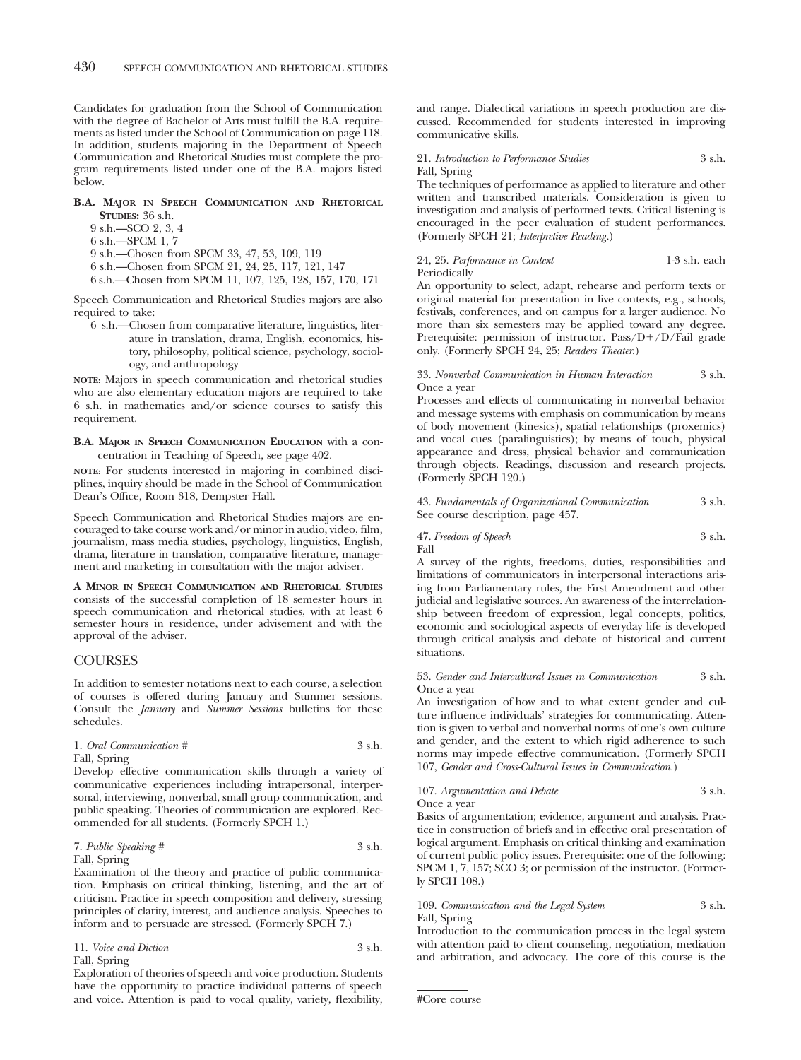Candidates for graduation from the School of Communication with the degree of Bachelor of Arts must fulfill the B.A. requirements as listed under the School of Communication on page 118. In addition, students majoring in the Department of Speech Communication and Rhetorical Studies must complete the program requirements listed under one of the B.A. majors listed below.

# **B.A. MAJOR IN SPEECH COMMUNICATION AND RHETORICAL STUDIES:** 36 s.h.

- 9 s.h.—SCO 2, 3, 4
- 6 s.h.—SPCM 1, 7
- 9 s.h.—Chosen from SPCM 33, 47, 53, 109, 119
- 6 s.h.—Chosen from SPCM 21, 24, 25, 117, 121, 147
- 6 s.h.—Chosen from SPCM 11, 107, 125, 128, 157, 170, 171

Speech Communication and Rhetorical Studies majors are also required to take:

6 s.h.—Chosen from comparative literature, linguistics, literature in translation, drama, English, economics, history, philosophy, political science, psychology, sociology, and anthropology

**NOTE:** Majors in speech communication and rhetorical studies who are also elementary education majors are required to take 6 s.h. in mathematics and/or science courses to satisfy this requirement.

# **B.A. MAJOR IN SPEECH COMMUNICATION EDUCATION** with a concentration in Teaching of Speech, see page 402.

**NOTE:** For students interested in majoring in combined disciplines, inquiry should be made in the School of Communication Dean's Office, Room 318, Dempster Hall.

Speech Communication and Rhetorical Studies majors are encouraged to take course work and/or minor in audio, video, film, journalism, mass media studies, psychology, linguistics, English, drama, literature in translation, comparative literature, management and marketing in consultation with the major adviser.

**A MINOR IN SPEECH COMMUNICATION AND RHETORICAL STUDIES** consists of the successful completion of 18 semester hours in speech communication and rhetorical studies, with at least 6 semester hours in residence, under advisement and with the approval of the adviser.

# **COURSES**

In addition to semester notations next to each course, a selection of courses is offered during January and Summer sessions. Consult the *January* and *Summer Sessions* bulletins for these schedules.

# 1. *Oral Communication #* 3 s.h. Fall, Spring

Develop effective communication skills through a variety of communicative experiences including intrapersonal, interpersonal, interviewing, nonverbal, small group communication, and public speaking. Theories of communication are explored. Recommended for all students. (Formerly SPCH 1.)

# 7. *Public Speaking #* 3 s.h.

#### Fall, Spring

Examination of the theory and practice of public communication. Emphasis on critical thinking, listening, and the art of criticism. Practice in speech composition and delivery, stressing principles of clarity, interest, and audience analysis. Speeches to inform and to persuade are stressed. (Formerly SPCH 7.)

11. *Voice and Diction* 3 s.h. Fall, Spring

Exploration of theories of speech and voice production. Students have the opportunity to practice individual patterns of speech and voice. Attention is paid to vocal quality, variety, flexibility,

and range. Dialectical variations in speech production are discussed. Recommended for students interested in improving communicative skills.

# 21. *Introduction to Performance Studies* 3 s.h. Fall, Spring

The techniques of performance as applied to literature and other written and transcribed materials. Consideration is given to investigation and analysis of performed texts. Critical listening is encouraged in the peer evaluation of student performances. (Formerly SPCH 21; *Interpretive Reading.*)

### 24, 25. *Performance in Context* 1-3 s.h. each Periodically

An opportunity to select, adapt, rehearse and perform texts or original material for presentation in live contexts, e.g., schools, festivals, conferences, and on campus for a larger audience. No more than six semesters may be applied toward any degree. Prerequisite: permission of instructor. Pass/D+/D/Fail grade only. (Formerly SPCH 24, 25; *Readers Theater.*)

# 33. *Nonverbal Communication in Human Interaction* 3 s.h. Once a year

Processes and effects of communicating in nonverbal behavior and message systems with emphasis on communication by means of body movement (kinesics), spatial relationships (proxemics) and vocal cues (paralinguistics); by means of touch, physical appearance and dress, physical behavior and communication through objects. Readings, discussion and research projects. (Formerly SPCH 120.)

| 43. Fundamentals of Organizational Communication | 3 s.h. |
|--------------------------------------------------|--------|
| See course description, page 457.                |        |

#### 47. *Freedom of Speech* 3 s.h. Fall

A survey of the rights, freedoms, duties, responsibilities and limitations of communicators in interpersonal interactions arising from Parliamentary rules, the First Amendment and other judicial and legislative sources. An awareness of the interrelationship between freedom of expression, legal concepts, politics, economic and sociological aspects of everyday life is developed through critical analysis and debate of historical and current situations.

## 53. *Gender and Intercultural Issues in Communication* 3 s.h. Once a year

An investigation of how and to what extent gender and culture influence individuals' strategies for communicating. Attention is given to verbal and nonverbal norms of one's own culture and gender, and the extent to which rigid adherence to such norms may impede effective communication. (Formerly SPCH 107, *Gender and Cross-Cultural Issues in Communication.*)

### 107. *Argumentation and Debate* 3 s.h. Once a year

Basics of argumentation; evidence, argument and analysis. Practice in construction of briefs and in effective oral presentation of logical argument. Emphasis on critical thinking and examination of current public policy issues. Prerequisite: one of the following: SPCM 1, 7, 157; SCO 3; or permission of the instructor. (Formerly SPCH 108.)

# 109. *Communication and the Legal System* 3 s.h. Fall, Spring

Introduction to the communication process in the legal system with attention paid to client counseling, negotiation, mediation and arbitration, and advocacy. The core of this course is the

<sup>#</sup>Core course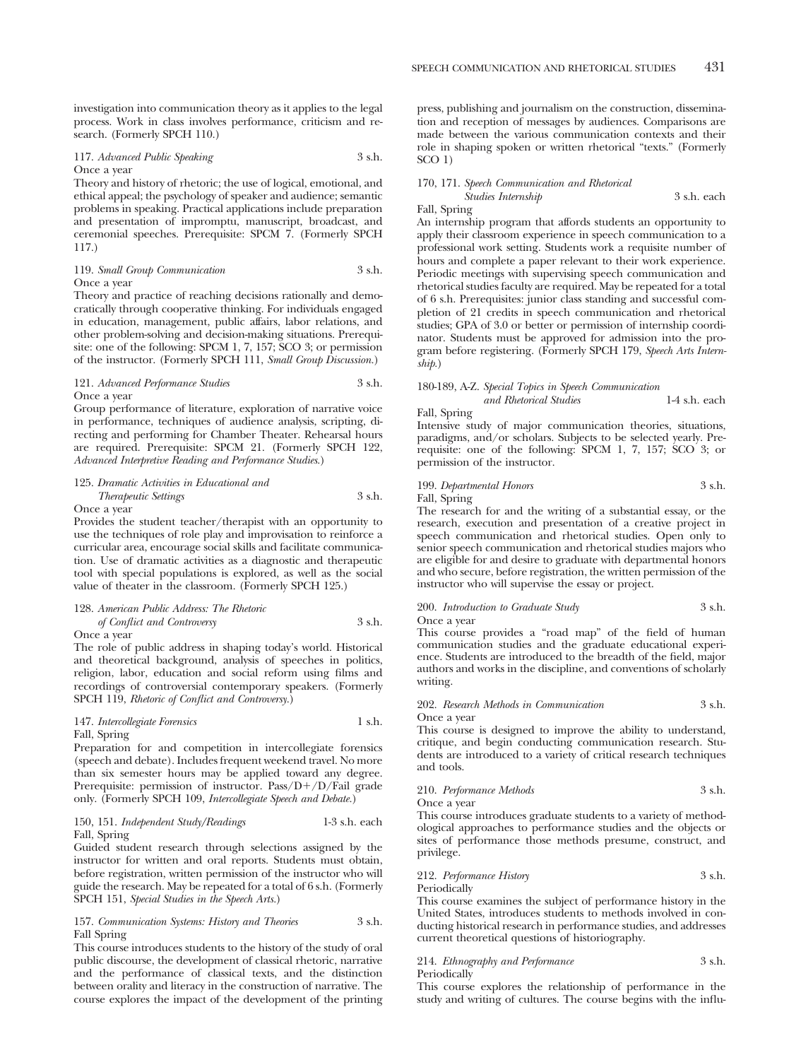investigation into communication theory as it applies to the legal process. Work in class involves performance, criticism and research. (Formerly SPCH 110.)

#### 117. *Advanced Public Speaking* 3 s.h. Once a year

Theory and history of rhetoric; the use of logical, emotional, and ethical appeal; the psychology of speaker and audience; semantic problems in speaking. Practical applications include preparation and presentation of impromptu, manuscript, broadcast, and ceremonial speeches. Prerequisite: SPCM 7. (Formerly SPCH 117.)

#### 119. *Small Group Communication* 3 s.h. Once a year

Theory and practice of reaching decisions rationally and democratically through cooperative thinking. For individuals engaged in education, management, public affairs, labor relations, and other problem-solving and decision-making situations. Prerequisite: one of the following: SPCM 1, 7, 157; SCO 3; or permission of the instructor. (Formerly SPCH 111, *Small Group Discussion.*)

#### 121. *Advanced Performance Studies* 3 s.h. Once a year

Group performance of literature, exploration of narrative voice in performance, techniques of audience analysis, scripting, directing and performing for Chamber Theater. Rehearsal hours are required. Prerequisite: SPCM 21. (Formerly SPCH 122, *Advanced Interpretive Reading and Performance Studies.*)

# 125. *Dramatic Activities in Educational and Therapeutic Settings* 3 s.h.

Once a year

Provides the student teacher/therapist with an opportunity to use the techniques of role play and improvisation to reinforce a curricular area, encourage social skills and facilitate communication. Use of dramatic activities as a diagnostic and therapeutic tool with special populations is explored, as well as the social value of theater in the classroom. (Formerly SPCH 125.)

# 128. *American Public Address: The Rhetoric of Conflict and Controversy* 3 s.h.

Once a year

The role of public address in shaping today's world. Historical and theoretical background, analysis of speeches in politics, religion, labor, education and social reform using films and recordings of controversial contemporary speakers. (Formerly SPCH 119, *Rhetoric of Conflict and Controversy.*)

#### 147. *Intercollegiate Forensics* 1 s.h. Fall, Spring

Preparation for and competition in intercollegiate forensics (speech and debate). Includes frequent weekend travel. No more than six semester hours may be applied toward any degree. Prerequisite: permission of instructor. Pass/D+/D/Fail grade only. (Formerly SPCH 109, *Intercollegiate Speech and Debate.*)

# 150, 151. *Independent Study/Readings* 1-3 s.h. each Fall, Spring

Guided student research through selections assigned by the instructor for written and oral reports. Students must obtain, before registration, written permission of the instructor who will guide the research. May be repeated for a total of 6 s.h. (Formerly SPCH 151, *Special Studies in the Speech Arts.*)

#### 157. *Communication Systems: History and Theories* 3 s.h. Fall Spring

This course introduces students to the history of the study of oral public discourse, the development of classical rhetoric, narrative and the performance of classical texts, and the distinction between orality and literacy in the construction of narrative. The course explores the impact of the development of the printing press, publishing and journalism on the construction, dissemination and reception of messages by audiences. Comparisons are made between the various communication contexts and their role in shaping spoken or written rhetorical "texts." (Formerly SCO 1)

# 170, 171. *Speech Communication and Rhetorical*

*Studies Internship* 3 s.h. each Fall, Spring

An internship program that affords students an opportunity to apply their classroom experience in speech communication to a professional work setting. Students work a requisite number of hours and complete a paper relevant to their work experience. Periodic meetings with supervising speech communication and rhetorical studies faculty are required. May be repeated for a total of 6 s.h. Prerequisites: junior class standing and successful completion of 21 credits in speech communication and rhetorical studies; GPA of 3.0 or better or permission of internship coordinator. Students must be approved for admission into the program before registering. (Formerly SPCH 179, *Speech Arts Internship.*)

# 180-189, A-Z. *Special Topics in Speech Communication*

*and Rhetorical Studies* 1-4 s.h. each Fall, Spring

Intensive study of major communication theories, situations, paradigms, and/or scholars. Subjects to be selected yearly. Prerequisite: one of the following: SPCM 1, 7, 157; SCO 3; or permission of the instructor.

# 199. *Departmental Honors* 3 s.h. Fall, Spring

The research for and the writing of a substantial essay, or the research, execution and presentation of a creative project in speech communication and rhetorical studies. Open only to senior speech communication and rhetorical studies majors who are eligible for and desire to graduate with departmental honors and who secure, before registration, the written permission of the instructor who will supervise the essay or project.

# 200. *Introduction to Graduate Study* 3 s.h.

Once a year

This course provides a "road map" of the field of human communication studies and the graduate educational experience. Students are introduced to the breadth of the field, major authors and works in the discipline, and conventions of scholarly writing.

# 202. *Research Methods in Communication* 3 s.h.

Once a year

This course is designed to improve the ability to understand, critique, and begin conducting communication research. Students are introduced to a variety of critical research techniques and tools.

# 210. *Performance Methods* 3 s.h.

Once a year

This course introduces graduate students to a variety of methodological approaches to performance studies and the objects or sites of performance those methods presume, construct, and privilege.

212. *Performance History* 3 s.h.

Periodically

This course examines the subject of performance history in the United States, introduces students to methods involved in conducting historical research in performance studies, and addresses current theoretical questions of historiography.

# 214. *Ethnography and Performance* 3 s.h.

Periodically

This course explores the relationship of performance in the study and writing of cultures. The course begins with the influ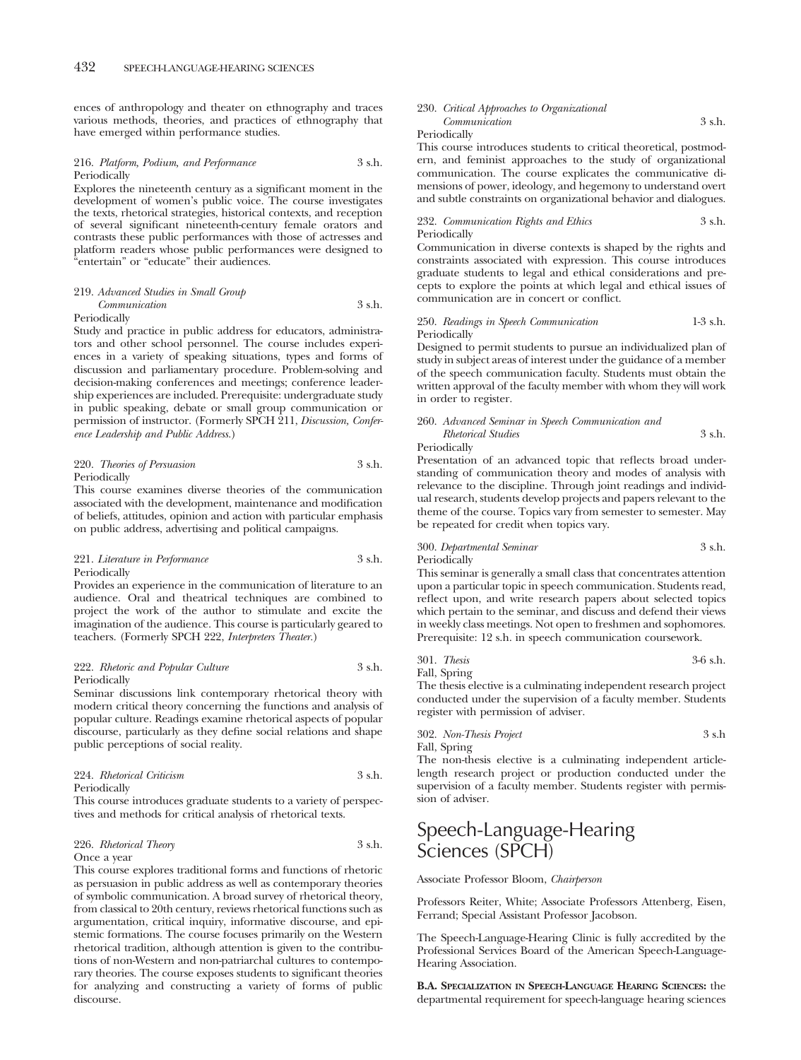ences of anthropology and theater on ethnography and traces various methods, theories, and practices of ethnography that have emerged within performance studies.

## 216. *Platform, Podium, and Performance* 3 s.h. Periodically

Explores the nineteenth century as a significant moment in the development of women's public voice. The course investigates the texts, rhetorical strategies, historical contexts, and reception of several significant nineteenth-century female orators and contrasts these public performances with those of actresses and platform readers whose public performances were designed to "entertain" or "educate" their audiences.

#### 219. *Advanced Studies in Small Group Communication* 3 s.h.

#### Periodically

Study and practice in public address for educators, administrators and other school personnel. The course includes experiences in a variety of speaking situations, types and forms of discussion and parliamentary procedure. Problem-solving and decision-making conferences and meetings; conference leadership experiences are included. Prerequisite: undergraduate study in public speaking, debate or small group communication or permission of instructor. (Formerly SPCH 211, *Discussion, Conference Leadership and Public Address.*)

#### 220. *Theories of Persuasion* 3 s.h. Periodically

This course examines diverse theories of the communication associated with the development, maintenance and modification of beliefs, attitudes, opinion and action with particular emphasis on public address, advertising and political campaigns.

## 221. *Literature in Performance* 3 s.h. Periodically

Provides an experience in the communication of literature to an audience. Oral and theatrical techniques are combined to project the work of the author to stimulate and excite the imagination of the audience. This course is particularly geared to teachers. (Formerly SPCH 222, *Interpreters Theater.*)

#### 222. *Rhetoric and Popular Culture* 3 s.h. Periodically

Seminar discussions link contemporary rhetorical theory with modern critical theory concerning the functions and analysis of popular culture. Readings examine rhetorical aspects of popular discourse, particularly as they define social relations and shape public perceptions of social reality.

224. *Rhetorical Criticism* 3 s.h.

Periodically

This course introduces graduate students to a variety of perspectives and methods for critical analysis of rhetorical texts.

# 226. *Rhetorical Theory* 3 s.h. Once a year

This course explores traditional forms and functions of rhetoric as persuasion in public address as well as contemporary theories of symbolic communication. A broad survey of rhetorical theory, from classical to 20th century, reviews rhetorical functions such as argumentation, critical inquiry, informative discourse, and epistemic formations. The course focuses primarily on the Western rhetorical tradition, although attention is given to the contributions of non-Western and non-patriarchal cultures to contemporary theories. The course exposes students to significant theories for analyzing and constructing a variety of forms of public discourse.

#### 230. *Critical Approaches to Organizational Communication* 3 s.h.

Periodically

This course introduces students to critical theoretical, postmodern, and feminist approaches to the study of organizational communication. The course explicates the communicative dimensions of power, ideology, and hegemony to understand overt and subtle constraints on organizational behavior and dialogues.

#### 232. *Communication Rights and Ethics* 3 s.h. Periodically

Communication in diverse contexts is shaped by the rights and constraints associated with expression. This course introduces graduate students to legal and ethical considerations and precepts to explore the points at which legal and ethical issues of communication are in concert or conflict.

# 250. *Readings in Speech Communication* 1-3 s.h. Periodically

Designed to permit students to pursue an individualized plan of study in subject areas of interest under the guidance of a member of the speech communication faculty. Students must obtain the written approval of the faculty member with whom they will work in order to register.

260. *Advanced Seminar in Speech Communication and Rhetorical Studies* 3 s.h.

Periodically

Presentation of an advanced topic that reflects broad understanding of communication theory and modes of analysis with relevance to the discipline. Through joint readings and individual research, students develop projects and papers relevant to the theme of the course. Topics vary from semester to semester. May be repeated for credit when topics vary.

# 300. *Departmental Seminar* 3 s.h. Periodically

This seminar is generally a small class that concentrates attention upon a particular topic in speech communication. Students read, reflect upon, and write research papers about selected topics which pertain to the seminar, and discuss and defend their views in weekly class meetings. Not open to freshmen and sophomores. Prerequisite: 12 s.h. in speech communication coursework.

# 301. *Thesis* 3-6 s.h. Fall, Spring

The thesis elective is a culminating independent research project conducted under the supervision of a faculty member. Students register with permission of adviser.

302. *Non-Thesis Project* 3 s.h Fall, Spring

The non-thesis elective is a culminating independent articlelength research project or production conducted under the supervision of a faculty member. Students register with permission of adviser.

# Speech-Language-Hearing Sciences (SPCH)

Associate Professor Bloom, *Chairperson*

Professors Reiter, White; Associate Professors Attenberg, Eisen, Ferrand; Special Assistant Professor Jacobson.

The Speech-Language-Hearing Clinic is fully accredited by the Professional Services Board of the American Speech-Language-Hearing Association.

**B.A. SPECIALIZATION IN SPEECH-LANGUAGE HEARING SCIENCES:** the departmental requirement for speech-language hearing sciences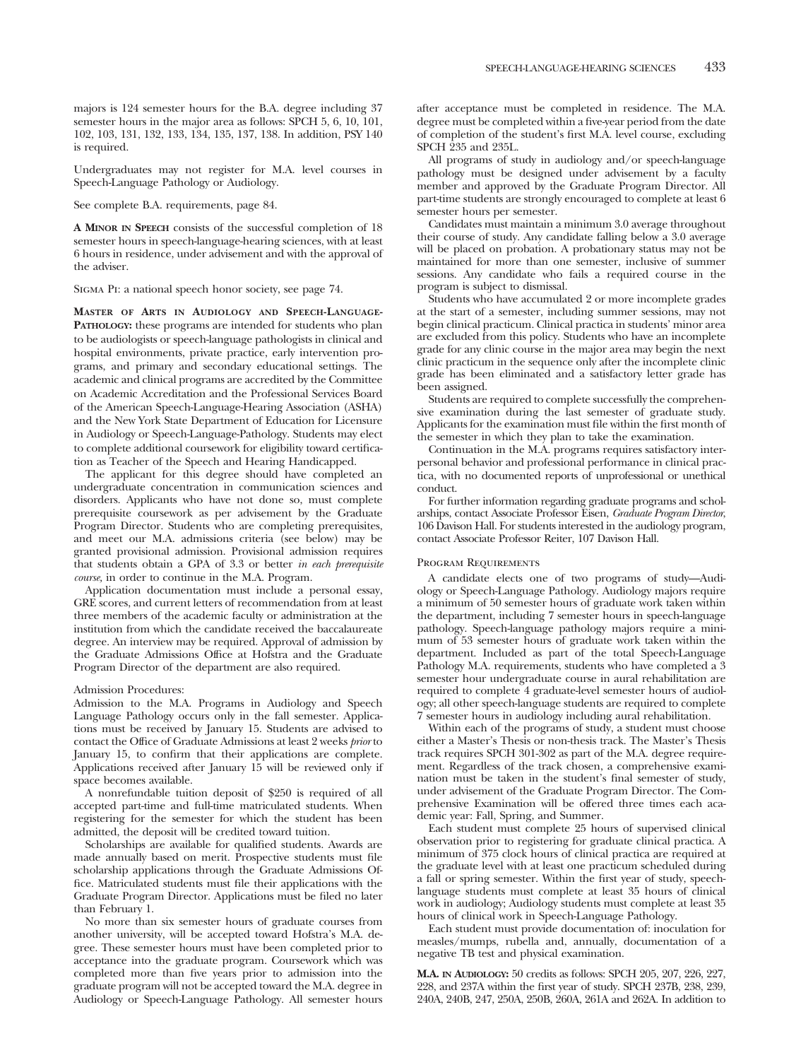majors is 124 semester hours for the B.A. degree including 37 semester hours in the major area as follows: SPCH 5, 6, 10, 101, 102, 103, 131, 132, 133, 134, 135, 137, 138. In addition, PSY 140 is required.

Undergraduates may not register for M.A. level courses in Speech-Language Pathology or Audiology.

See complete B.A. requirements, page 84.

**A MINOR IN SPEECH** consists of the successful completion of 18 semester hours in speech-language-hearing sciences, with at least 6 hours in residence, under advisement and with the approval of the adviser.

Sigma Pi: a national speech honor society, see page 74.

**MASTER OF ARTS IN AUDIOLOGY AND SPEECH-LANGUAGE-PATHOLOGY:** these programs are intended for students who plan to be audiologists or speech-language pathologists in clinical and hospital environments, private practice, early intervention programs, and primary and secondary educational settings. The academic and clinical programs are accredited by the Committee on Academic Accreditation and the Professional Services Board of the American Speech-Language-Hearing Association (ASHA) and the New York State Department of Education for Licensure in Audiology or Speech-Language-Pathology. Students may elect to complete additional coursework for eligibility toward certification as Teacher of the Speech and Hearing Handicapped.

The applicant for this degree should have completed an undergraduate concentration in communication sciences and disorders. Applicants who have not done so, must complete prerequisite coursework as per advisement by the Graduate Program Director. Students who are completing prerequisites, and meet our M.A. admissions criteria (see below) may be granted provisional admission. Provisional admission requires that students obtain a GPA of 3.3 or better *in each prerequisite course,* in order to continue in the M.A. Program.

Application documentation must include a personal essay, GRE scores, and current letters of recommendation from at least three members of the academic faculty or administration at the institution from which the candidate received the baccalaureate degree. An interview may be required. Approval of admission by the Graduate Admissions Office at Hofstra and the Graduate Program Director of the department are also required.

# Admission Procedures:

Admission to the M.A. Programs in Audiology and Speech Language Pathology occurs only in the fall semester. Applications must be received by January 15. Students are advised to contact the Office of Graduate Admissions at least 2 weeks *prior* to January 15, to confirm that their applications are complete. Applications received after January 15 will be reviewed only if space becomes available.

A nonrefundable tuition deposit of \$250 is required of all accepted part-time and full-time matriculated students. When registering for the semester for which the student has been admitted, the deposit will be credited toward tuition.

Scholarships are available for qualified students. Awards are made annually based on merit. Prospective students must file scholarship applications through the Graduate Admissions Office. Matriculated students must file their applications with the Graduate Program Director. Applications must be filed no later than February 1.

No more than six semester hours of graduate courses from another university, will be accepted toward Hofstra's M.A. degree. These semester hours must have been completed prior to acceptance into the graduate program. Coursework which was completed more than five years prior to admission into the graduate program will not be accepted toward the M.A. degree in Audiology or Speech-Language Pathology. All semester hours

after acceptance must be completed in residence. The M.A. degree must be completed within a five-year period from the date of completion of the student's first M.A. level course, excluding SPCH 235 and 235L.

All programs of study in audiology and/or speech-language pathology must be designed under advisement by a faculty member and approved by the Graduate Program Director. All part-time students are strongly encouraged to complete at least 6 semester hours per semester.

Candidates must maintain a minimum 3.0 average throughout their course of study. Any candidate falling below a 3.0 average will be placed on probation. A probationary status may not be maintained for more than one semester, inclusive of summer sessions. Any candidate who fails a required course in the program is subject to dismissal.

Students who have accumulated 2 or more incomplete grades at the start of a semester, including summer sessions, may not begin clinical practicum. Clinical practica in students' minor area are excluded from this policy. Students who have an incomplete grade for any clinic course in the major area may begin the next clinic practicum in the sequence only after the incomplete clinic grade has been eliminated and a satisfactory letter grade has been assigned.

Students are required to complete successfully the comprehensive examination during the last semester of graduate study. Applicants for the examination must file within the first month of the semester in which they plan to take the examination.

Continuation in the M.A. programs requires satisfactory interpersonal behavior and professional performance in clinical practica, with no documented reports of unprofessional or unethical conduct.

For further information regarding graduate programs and scholarships, contact Associate Professor Eisen, *Graduate Program Director*, 106 Davison Hall. For students interested in the audiology program, contact Associate Professor Reiter, 107 Davison Hall.

## Program Requirements

A candidate elects one of two programs of study—Audiology or Speech-Language Pathology. Audiology majors require a minimum of 50 semester hours of graduate work taken within the department, including 7 semester hours in speech-language pathology. Speech-language pathology majors require a minimum of 53 semester hours of graduate work taken within the department. Included as part of the total Speech-Language Pathology M.A. requirements, students who have completed a 3 semester hour undergraduate course in aural rehabilitation are required to complete 4 graduate-level semester hours of audiology; all other speech-language students are required to complete 7 semester hours in audiology including aural rehabilitation.

Within each of the programs of study, a student must choose either a Master's Thesis or non-thesis track. The Master's Thesis track requires SPCH 301-302 as part of the M.A. degree requirement. Regardless of the track chosen, a comprehensive examination must be taken in the student's final semester of study, under advisement of the Graduate Program Director. The Comprehensive Examination will be offered three times each academic year: Fall, Spring, and Summer.

Each student must complete 25 hours of supervised clinical observation prior to registering for graduate clinical practica. A minimum of 375 clock hours of clinical practica are required at the graduate level with at least one practicum scheduled during a fall or spring semester. Within the first year of study, speechlanguage students must complete at least 35 hours of clinical work in audiology; Audiology students must complete at least 35 hours of clinical work in Speech-Language Pathology.

Each student must provide documentation of: inoculation for measles/mumps, rubella and, annually, documentation of a negative TB test and physical examination.

**M.A. IN AUDIOLOGY:** 50 credits as follows: SPCH 205, 207, 226, 227, 228, and 237A within the first year of study. SPCH 237B, 238, 239, 240A, 240B, 247, 250A, 250B, 260A, 261A and 262A. In addition to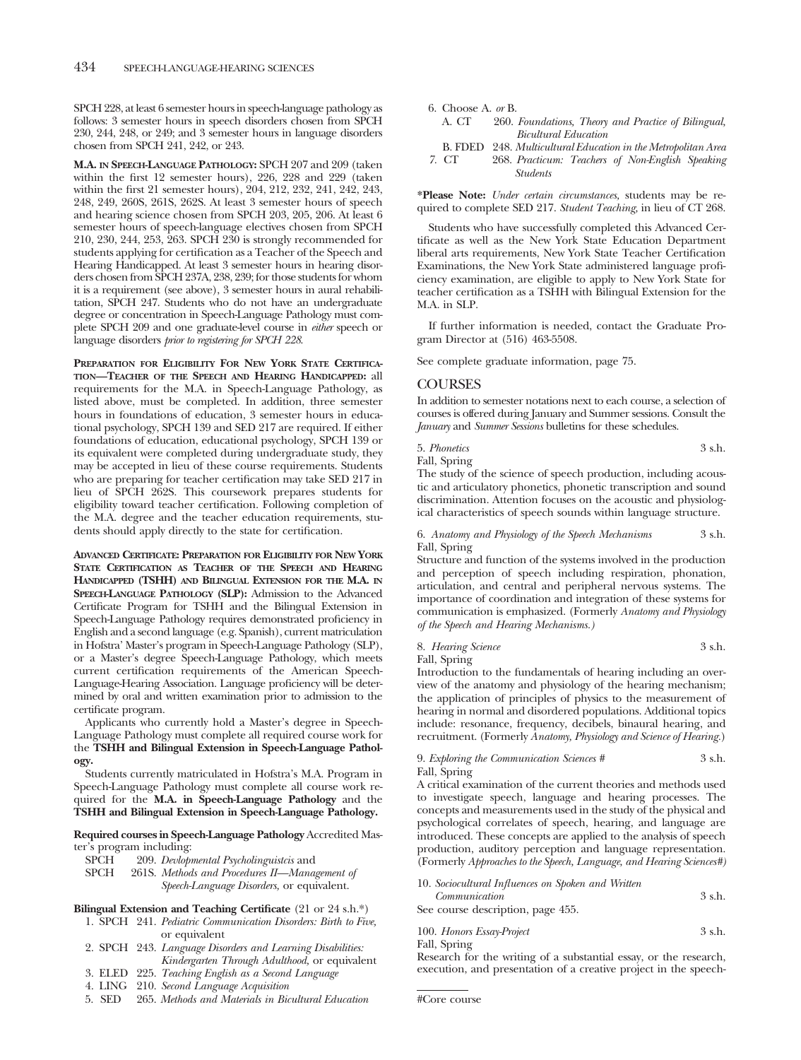SPCH 228, at least 6 semester hours in speech-language pathology as follows: 3 semester hours in speech disorders chosen from SPCH 230, 244, 248, or 249; and 3 semester hours in language disorders chosen from SPCH 241, 242, or 243.

**M.A. IN SPEECH-LANGUAGE PATHOLOGY:** SPCH 207 and 209 (taken within the first 12 semester hours), 226, 228 and 229 (taken within the first 21 semester hours), 204, 212, 232, 241, 242, 243, 248, 249, 260S, 261S, 262S. At least 3 semester hours of speech and hearing science chosen from SPCH 203, 205, 206. At least 6 semester hours of speech-language electives chosen from SPCH 210, 230, 244, 253, 263. SPCH 230 is strongly recommended for students applying for certification as a Teacher of the Speech and Hearing Handicapped. At least 3 semester hours in hearing disorders chosen from SPCH 237A, 238, 239; for those students for whom it is a requirement (see above), 3 semester hours in aural rehabilitation, SPCH 247. Students who do not have an undergraduate degree or concentration in Speech-Language Pathology must complete SPCH 209 and one graduate-level course in *either* speech or language disorders *prior to registering for SPCH 228*.

**PREPARATION FOR ELIGIBILITY FOR NEW YORK STATE CERTIFICA-TION—TEACHER OF THE SPEECH AND HEARING HANDICAPPED:** all requirements for the M.A. in Speech-Language Pathology, as listed above, must be completed. In addition, three semester hours in foundations of education, 3 semester hours in educational psychology, SPCH 139 and SED 217 are required. If either foundations of education, educational psychology, SPCH 139 or its equivalent were completed during undergraduate study, they may be accepted in lieu of these course requirements. Students who are preparing for teacher certification may take SED 217 in lieu of SPCH 262S. This coursework prepares students for eligibility toward teacher certification. Following completion of the M.A. degree and the teacher education requirements, students should apply directly to the state for certification.

**ADVANCED CERTIFICATE: PREPARATION FOR ELIGIBILITY FOR NEW YORK STATE CERTIFICATION AS TEACHER OF THE SPEECH AND HEARING HANDICAPPED (TSHH) AND BILINGUAL EXTENSION FOR THE M.A. IN SPEECH-LANGUAGE PATHOLOGY (SLP):** Admission to the Advanced Certificate Program for TSHH and the Bilingual Extension in Speech-Language Pathology requires demonstrated proficiency in English and a second language (e.g. Spanish), current matriculation in Hofstra' Master's program in Speech-Language Pathology (SLP), or a Master's degree Speech-Language Pathology, which meets current certification requirements of the American Speech-Language-Hearing Association. Language proficiency will be determined by oral and written examination prior to admission to the certificate program.

Applicants who currently hold a Master's degree in Speech-Language Pathology must complete all required course work for the **TSHH and Bilingual Extension in Speech-Language Pathology.**

Students currently matriculated in Hofstra's M.A. Program in Speech-Language Pathology must complete all course work required for the **M.A. in Speech-Language Pathology** and the **TSHH and Bilingual Extension in Speech-Language Pathology.**

**Required courses in Speech-Language Pathology** Accredited Master's program including:

SPCH 209. *Devlopmental Psycholinguistcis* and

261S. Methods and Procedures II—Management of *Speech-Language Disorders,* or equivalent.

# **Bilingual Extension and Teaching Certificate** (21 or 24 s.h.\*)

- 1. SPCH 241. *Pediatric Communication Disorders: Birth to Five,* or equivalent
- 2. SPCH 243. *Language Disorders and Learning Disabilities: Kindergarten Through Adulthood,* or equivalent
- 3. ELED 225. *Teaching English as a Second Language*
- 4. LING 210. *Second Language Acquisition*
- 5. SED 265. *Methods and Materials in Bicultural Education*

| 6. Choose A. $or B$ . |                                                               |
|-----------------------|---------------------------------------------------------------|
| A. CT                 | 260. Foundations, Theory and Practice of Bilingual,           |
|                       | <b>Bicultural Education</b>                                   |
|                       | B. FDED 248. Multicultural Education in the Metropolitan Area |
| 7. CT                 | 268. Practicum: Teachers of Non-English Speaking              |
|                       | <b>Students</b>                                               |

**\*Please Note:** *Under certain circumstances,* students may be required to complete SED 217. *Student Teaching,* in lieu of CT 268.

Students who have successfully completed this Advanced Certificate as well as the New York State Education Department liberal arts requirements, New York State Teacher Certification Examinations, the New York State administered language proficiency examination, are eligible to apply to New York State for teacher certification as a TSHH with Bilingual Extension for the M.A. in SLP.

If further information is needed, contact the Graduate Program Director at (516) 463-5508.

See complete graduate information, page 75.

# COURSES

In addition to semester notations next to each course, a selection of courses is offered during January and Summer sessions. Consult the *January* and *Summer Sessions* bulletins for these schedules.

5. *Phonetics* 3 s.h. Fall, Spring

The study of the science of speech production, including acoustic and articulatory phonetics, phonetic transcription and sound discrimination. Attention focuses on the acoustic and physiological characteristics of speech sounds within language structure.

# 6. *Anatomy and Physiology of the Speech Mechanisms* 3 s.h. Fall, Spring

Structure and function of the systems involved in the production and perception of speech including respiration, phonation, articulation, and central and peripheral nervous systems. The importance of coordination and integration of these systems for communication is emphasized. (Formerly *Anatomy and Physiology of the Speech and Hearing Mechanisms.)*

# 8. *Hearing Science* 3 s.h.

Fall, Spring

Introduction to the fundamentals of hearing including an overview of the anatomy and physiology of the hearing mechanism; the application of principles of physics to the measurement of hearing in normal and disordered populations. Additional topics include: resonance, frequency, decibels, binaural hearing, and recruitment. (Formerly *Anatomy, Physiology and Science of Hearing.*)

# 9. *Exploring the Communication Sciences* # 3 s.h.

Fall, Spring

A critical examination of the current theories and methods used to investigate speech, language and hearing processes. The concepts and measurements used in the study of the physical and psychological correlates of speech, hearing, and language are introduced. These concepts are applied to the analysis of speech production, auditory perception and language representation. (Formerly *Approaches to the Speech, Language, and Hearing Sciences#)*

| 10. Sociocultural Influences on Spoken and Written |          |
|----------------------------------------------------|----------|
| Communication                                      | $3$ s.h. |
| See course description, page 455.                  |          |

# 100. *Honors Essay-Project* 3 s.h. Fall, Spring

Research for the writing of a substantial essay, or the research, execution, and presentation of a creative project in the speech-

#Core course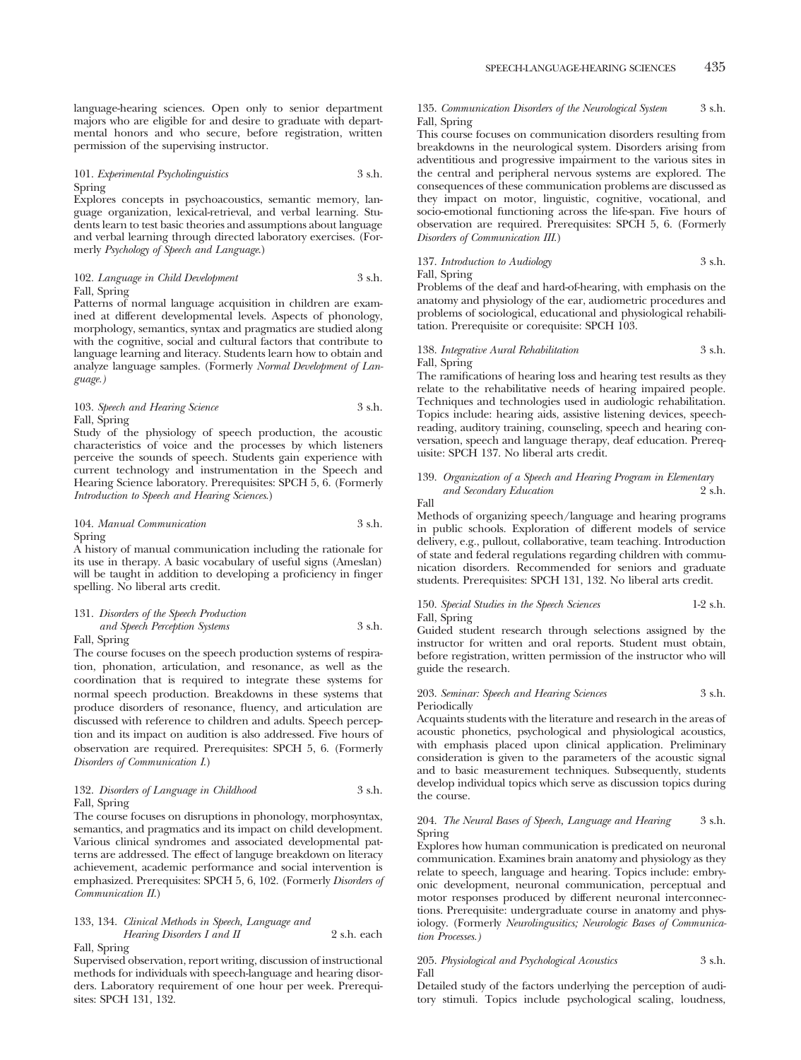language-hearing sciences. Open only to senior department majors who are eligible for and desire to graduate with departmental honors and who secure, before registration, written permission of the supervising instructor.

### 101. *Experimental Psycholinguistics* 3 s.h. Spring

Explores concepts in psychoacoustics, semantic memory, language organization, lexical-retrieval, and verbal learning. Students learn to test basic theories and assumptions about language and verbal learning through directed laboratory exercises. (Formerly *Psychology of Speech and Language*.)

# 102. *Language in Child Development* 3 s.h. Fall, Spring

Patterns of normal language acquisition in children are examined at different developmental levels. Aspects of phonology, morphology, semantics, syntax and pragmatics are studied along with the cognitive, social and cultural factors that contribute to language learning and literacy. Students learn how to obtain and analyze language samples. (Formerly *Normal Development of Language.)*

103. *Speech and Hearing Science* 3 s.h. Fall, Spring

Study of the physiology of speech production, the acoustic characteristics of voice and the processes by which listeners perceive the sounds of speech. Students gain experience with current technology and instrumentation in the Speech and Hearing Science laboratory. Prerequisites: SPCH 5, 6. (Formerly *Introduction to Speech and Hearing Sciences*.)

# 104. *Manual Communication* 3 s.h. Spring

A history of manual communication including the rationale for its use in therapy. A basic vocabulary of useful signs (Ameslan) will be taught in addition to developing a proficiency in finger spelling. No liberal arts credit.

# 131. *Disorders of the Speech Production and Speech Perception Systems* 3 s.h.

Fall, Spring

The course focuses on the speech production systems of respiration, phonation, articulation, and resonance, as well as the coordination that is required to integrate these systems for normal speech production. Breakdowns in these systems that produce disorders of resonance, fluency, and articulation are discussed with reference to children and adults. Speech perception and its impact on audition is also addressed. Five hours of observation are required. Prerequisites: SPCH 5, 6. (Formerly *Disorders of Communication I*.)

# 132. *Disorders of Language in Childhood* 3 s.h. Fall, Spring

The course focuses on disruptions in phonology, morphosyntax, semantics, and pragmatics and its impact on child development. Various clinical syndromes and associated developmental patterns are addressed. The effect of languge breakdown on literacy achievement, academic performance and social intervention is emphasized. Prerequisites: SPCH 5, 6, 102. (Formerly *Disorders of Communication II*.)

# 133, 134. *Clinical Methods in Speech, Language and Hearing Disorders I and II* 2 s.h. each Fall, Spring

Supervised observation, report writing, discussion of instructional methods for individuals with speech-language and hearing disorders. Laboratory requirement of one hour per week. Prerequisites: SPCH 131, 132.

# 135. *Communication Disorders of the Neurological System* 3 s.h. Fall, Spring

This course focuses on communication disorders resulting from breakdowns in the neurological system. Disorders arising from adventitious and progressive impairment to the various sites in the central and peripheral nervous systems are explored. The consequences of these communication problems are discussed as they impact on motor, linguistic, cognitive, vocational, and socio-emotional functioning across the life-span. Five hours of observation are required. Prerequisites: SPCH 5, 6. (Formerly *Disorders of Communication III*.)

137. *Introduction to Audiology* 3 s.h. Fall, Spring

Problems of the deaf and hard-of-hearing, with emphasis on the anatomy and physiology of the ear, audiometric procedures and problems of sociological, educational and physiological rehabilitation. Prerequisite or corequisite: SPCH 103.

# 138. *Integrative Aural Rehabilitation* 3 s.h. Fall, Spring

The ramifications of hearing loss and hearing test results as they relate to the rehabilitative needs of hearing impaired people. Techniques and technologies used in audiologic rehabilitation. Topics include: hearing aids, assistive listening devices, speechreading, auditory training, counseling, speech and hearing conversation, speech and language therapy, deaf education. Prerequisite: SPCH 137. No liberal arts credit.

# 139. *Organization of a Speech and Hearing Program in Elementary and Secondary Education*

Fall

Methods of organizing speech/language and hearing programs in public schools. Exploration of different models of service delivery, e.g., pullout, collaborative, team teaching. Introduction of state and federal regulations regarding children with communication disorders. Recommended for seniors and graduate students. Prerequisites: SPCH 131, 132. No liberal arts credit.

# 150. *Special Studies in the Speech Sciences* 1-2 s.h. Fall, Spring

Guided student research through selections assigned by the instructor for written and oral reports. Student must obtain, before registration, written permission of the instructor who will guide the research.

# 203. *Seminar: Speech and Hearing Sciences* 3 s.h. Periodically

Acquaints students with the literature and research in the areas of acoustic phonetics, psychological and physiological acoustics, with emphasis placed upon clinical application. Preliminary consideration is given to the parameters of the acoustic signal and to basic measurement techniques. Subsequently, students develop individual topics which serve as discussion topics during the course.

# 204. *The Neural Bases of Speech, Language and Hearing* 3 s.h. Spring

Explores how human communication is predicated on neuronal communication. Examines brain anatomy and physiology as they relate to speech, language and hearing. Topics include: embryonic development, neuronal communication, perceptual and motor responses produced by different neuronal interconnections. Prerequisite: undergraduate course in anatomy and physiology. (Formerly *Neurolingusitics; Neurologic Bases of Communication Processes.)*

# 205. *Physiological and Psychological Acoustics* 3 s.h. Fall

Detailed study of the factors underlying the perception of auditory stimuli. Topics include psychological scaling, loudness,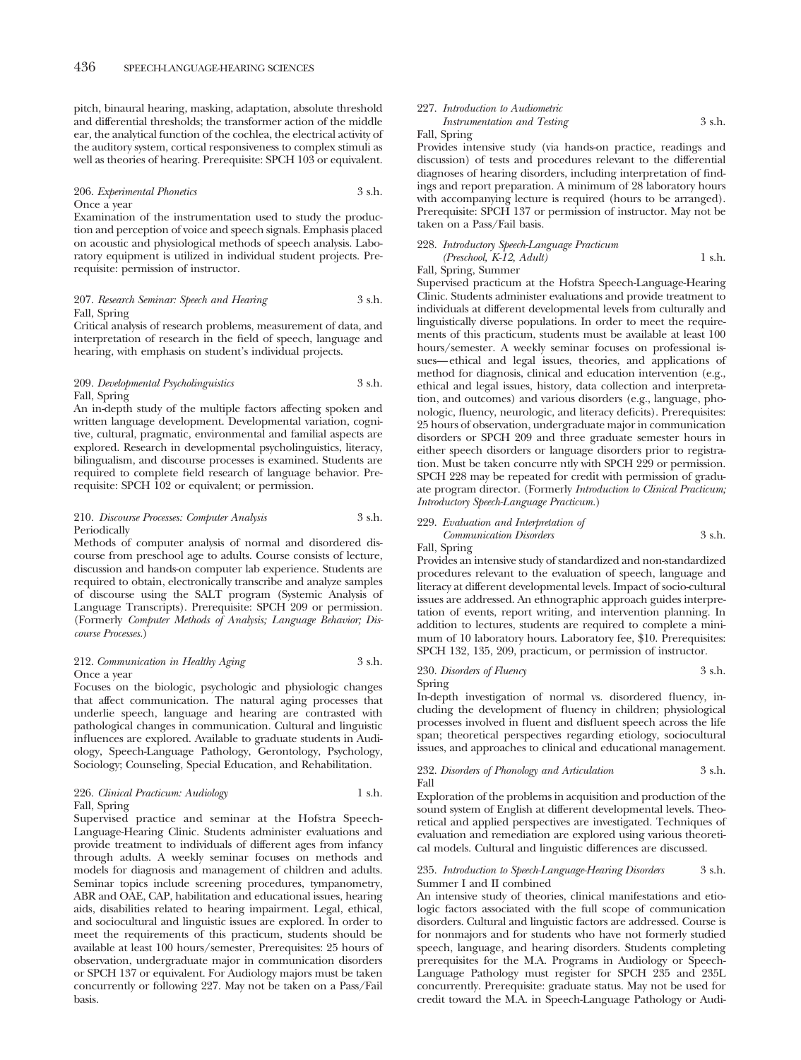pitch, binaural hearing, masking, adaptation, absolute threshold and differential thresholds; the transformer action of the middle ear, the analytical function of the cochlea, the electrical activity of the auditory system, cortical responsiveness to complex stimuli as well as theories of hearing. Prerequisite: SPCH 103 or equivalent.

### 206. *Experimental Phonetics* 3 s.h. Once a year

Examination of the instrumentation used to study the production and perception of voice and speech signals. Emphasis placed on acoustic and physiological methods of speech analysis. Laboratory equipment is utilized in individual student projects. Prerequisite: permission of instructor.

# 207. *Research Seminar: Speech and Hearing* 3 s.h. Fall, Spring

Critical analysis of research problems, measurement of data, and interpretation of research in the field of speech, language and hearing, with emphasis on student's individual projects.

# 209. *Developmental Psycholinguistics* 3 s.h. Fall, Spring

An in-depth study of the multiple factors affecting spoken and written language development. Developmental variation, cognitive, cultural, pragmatic, environmental and familial aspects are explored. Research in developmental psycholinguistics, literacy, bilingualism, and discourse processes is examined. Students are required to complete field research of language behavior. Prerequisite: SPCH 102 or equivalent; or permission.

# 210. *Discourse Processes: Computer Analysis* 3 s.h. Periodically

Methods of computer analysis of normal and disordered discourse from preschool age to adults. Course consists of lecture, discussion and hands-on computer lab experience. Students are required to obtain, electronically transcribe and analyze samples of discourse using the SALT program (Systemic Analysis of Language Transcripts). Prerequisite: SPCH 209 or permission. (Formerly *Computer Methods of Analysis; Language Behavior; Discourse Processes.*)

# 212. *Communication in Healthy Aging* 3 s.h. Once a year

Focuses on the biologic, psychologic and physiologic changes that affect communication. The natural aging processes that underlie speech, language and hearing are contrasted with pathological changes in communication. Cultural and linguistic influences are explored. Available to graduate students in Audiology, Speech-Language Pathology, Gerontology, Psychology, Sociology; Counseling, Special Education, and Rehabilitation.

## 226. *Clinical Practicum: Audiology* 1 s.h. Fall, Spring

Supervised practice and seminar at the Hofstra Speech-Language-Hearing Clinic. Students administer evaluations and provide treatment to individuals of different ages from infancy through adults. A weekly seminar focuses on methods and models for diagnosis and management of children and adults. Seminar topics include screening procedures, tympanometry, ABR and OAE, CAP, habilitation and educational issues, hearing aids, disabilities related to hearing impairment. Legal, ethical, and sociocultural and linguistic issues are explored. In order to meet the requirements of this practicum, students should be available at least 100 hours/semester, Prerequisites: 25 hours of observation, undergraduate major in communication disorders or SPCH 137 or equivalent. For Audiology majors must be taken concurrently or following 227. May not be taken on a Pass/Fail basis.

# 227. *Introduction to Audiometric Instrumentation and Testing* 3 s.h.

# Fall, Spring

Provides intensive study (via hands-on practice, readings and discussion) of tests and procedures relevant to the differential diagnoses of hearing disorders, including interpretation of findings and report preparation. A minimum of 28 laboratory hours with accompanying lecture is required (hours to be arranged). Prerequisite: SPCH 137 or permission of instructor. May not be taken on a Pass/Fail basis.

# 228. *Introductory Speech-Language Practicum (Preschool, K-12, Adult)* 1 s.h.

Fall, Spring, Summer

Supervised practicum at the Hofstra Speech-Language-Hearing Clinic. Students administer evaluations and provide treatment to individuals at different developmental levels from culturally and linguistically diverse populations. In order to meet the requirements of this practicum, students must be available at least 100 hours/semester. A weekly seminar focuses on professional issues—ethical and legal issues, theories, and applications of method for diagnosis, clinical and education intervention (e.g., ethical and legal issues, history, data collection and interpretation, and outcomes) and various disorders (e.g., language, phonologic, fluency, neurologic, and literacy deficits). Prerequisites: 25 hours of observation, undergraduate major in communication disorders or SPCH 209 and three graduate semester hours in either speech disorders or language disorders prior to registration. Must be taken concurre ntly with SPCH 229 or permission. SPCH 228 may be repeated for credit with permission of graduate program director. (Formerly *Introduction to Clinical Practicum; Introductory Speech-Language Practicum.*)

# 229. *Evaluation and Interpretation of*

# *Communication Disorders* 3 s.h. Fall, Spring

Provides an intensive study of standardized and non-standardized procedures relevant to the evaluation of speech, language and literacy at different developmental levels. Impact of socio-cultural issues are addressed. An ethnographic approach guides interpretation of events, report writing, and intervention planning. In addition to lectures, students are required to complete a minimum of 10 laboratory hours. Laboratory fee, \$10. Prerequisites: SPCH 132, 135, 209, practicum, or permission of instructor.

# 230. *Disorders of Fluency* 3 s.h. Spring

In-depth investigation of normal vs. disordered fluency, including the development of fluency in children; physiological processes involved in fluent and disfluent speech across the life span; theoretical perspectives regarding etiology, sociocultural issues, and approaches to clinical and educational management.

232. *Disorders of Phonology and Articulation* 3 s.h. Fall

Exploration of the problems in acquisition and production of the sound system of English at different developmental levels. Theoretical and applied perspectives are investigated. Techniques of evaluation and remediation are explored using various theoretical models. Cultural and linguistic differences are discussed.

#### 235. *Introduction to Speech-Language-Hearing Disorders* 3 s.h. Summer I and II combined

An intensive study of theories, clinical manifestations and etiologic factors associated with the full scope of communication disorders. Cultural and linguistic factors are addressed. Course is for nonmajors and for students who have not formerly studied speech, language, and hearing disorders. Students completing prerequisites for the M.A. Programs in Audiology or Speech-Language Pathology must register for SPCH 235 and 235L concurrently. Prerequisite: graduate status. May not be used for credit toward the M.A. in Speech-Language Pathology or Audi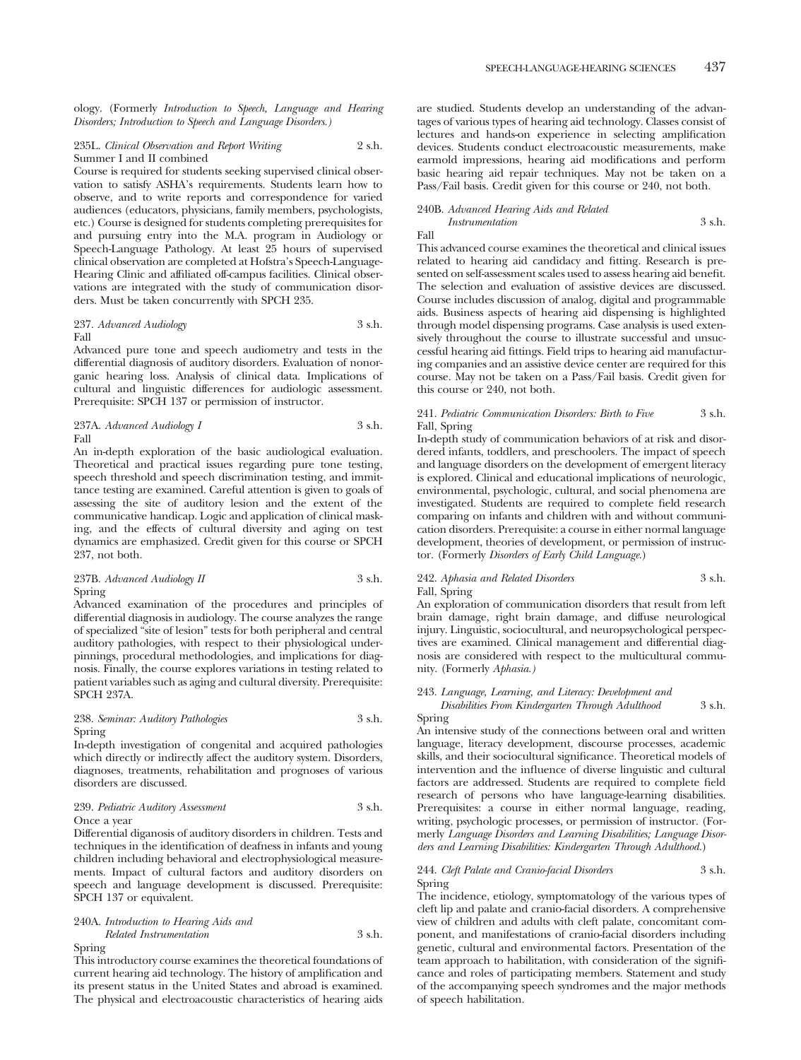ology. (Formerly *Introduction to Speech, Language and Hearing Disorders; Introduction to Speech and Language Disorders.)*

# 235L. *Clinical Observation and Report Writing* 2 s.h. Summer I and II combined

Course is required for students seeking supervised clinical observation to satisfy ASHA's requirements. Students learn how to observe, and to write reports and correspondence for varied audiences (educators, physicians, family members, psychologists, etc.) Course is designed for students completing prerequisites for and pursuing entry into the M.A. program in Audiology or Speech-Language Pathology. At least 25 hours of supervised clinical observation are completed at Hofstra's Speech-Language-Hearing Clinic and affiliated off-campus facilities. Clinical observations are integrated with the study of communication disorders. Must be taken concurrently with SPCH 235.

# 237. *Advanced Audiology* 3 s.h. Fall

Advanced pure tone and speech audiometry and tests in the differential diagnosis of auditory disorders. Evaluation of nonorganic hearing loss. Analysis of clinical data. Implications of cultural and linguistic differences for audiologic assessment. Prerequisite: SPCH 137 or permission of instructor.

237A. *Advanced Audiology I* 3 s.h. Fall

An in-depth exploration of the basic audiological evaluation. Theoretical and practical issues regarding pure tone testing, speech threshold and speech discrimination testing, and immittance testing are examined. Careful attention is given to goals of assessing the site of auditory lesion and the extent of the communicative handicap. Logic and application of clinical masking, and the effects of cultural diversity and aging on test dynamics are emphasized. Credit given for this course or SPCH 237, not both.

# 237B. *Advanced Audiology II* 3 s.h. Spring

Advanced examination of the procedures and principles of differential diagnosis in audiology. The course analyzes the range of specialized "site of lesion" tests for both peripheral and central auditory pathologies, with respect to their physiological underpinnings, procedural methodologies, and implications for diagnosis. Finally, the course explores variations in testing related to patient variables such as aging and cultural diversity. Prerequisite: SPCH 237A.

# 238. *Seminar: Auditory Pathologies* 3 s.h. Spring

In-depth investigation of congenital and acquired pathologies which directly or indirectly affect the auditory system. Disorders, diagnoses, treatments, rehabilitation and prognoses of various disorders are discussed.

### 239. *Pediatric Auditory Assessment* 3 s.h. Once a year

Differential diganosis of auditory disorders in children. Tests and techniques in the identification of deafness in infants and young children including behavioral and electrophysiological measurements. Impact of cultural factors and auditory disorders on speech and language development is discussed. Prerequisite: SPCH 137 or equivalent.

# 240A. *Introduction to Hearing Aids and Related Instrumentation* 3 s.h. Spring

This introductory course examines the theoretical foundations of current hearing aid technology. The history of amplification and its present status in the United States and abroad is examined. The physical and electroacoustic characteristics of hearing aids

are studied. Students develop an understanding of the advantages of various types of hearing aid technology. Classes consist of lectures and hands-on experience in selecting amplification devices. Students conduct electroacoustic measurements, make earmold impressions, hearing aid modifications and perform basic hearing aid repair techniques. May not be taken on a Pass/Fail basis. Credit given for this course or 240, not both.

#### 240B. *Advanced Hearing Aids and Related Instrumentation* 3 s.h.

Fall

This advanced course examines the theoretical and clinical issues related to hearing aid candidacy and fitting. Research is presented on self-assessment scales used to assess hearing aid benefit. The selection and evaluation of assistive devices are discussed. Course includes discussion of analog, digital and programmable aids. Business aspects of hearing aid dispensing is highlighted through model dispensing programs. Case analysis is used extensively throughout the course to illustrate successful and unsuccessful hearing aid fittings. Field trips to hearing aid manufacturing companies and an assistive device center are required for this course. May not be taken on a Pass/Fail basis. Credit given for this course or 240, not both.

# 241. *Pediatric Communication Disorders: Birth to Five* 3 s.h. Fall, Spring

In-depth study of communication behaviors of at risk and disordered infants, toddlers, and preschoolers. The impact of speech and language disorders on the development of emergent literacy is explored. Clinical and educational implications of neurologic, environmental, psychologic, cultural, and social phenomena are investigated. Students are required to complete field research comparing on infants and children with and without communication disorders. Prerequisite: a course in either normal language development, theories of development, or permission of instructor. (Formerly *Disorders of Early Child Language.*)

# 242. *Aphasia and Related Disorders* 3 s.h. Fall, Spring

An exploration of communication disorders that result from left brain damage, right brain damage, and diffuse neurological injury. Linguistic, sociocultural, and neuropsychological perspectives are examined. Clinical management and differential diagnosis are considered with respect to the multicultural community. (Formerly *Aphasia.)*

# 243. *Language, Learning, and Literacy: Development and Disabilities From Kindergarten Through Adulthood* 3 s.h.

Spring

An intensive study of the connections between oral and written language, literacy development, discourse processes, academic skills, and their sociocultural significance. Theoretical models of intervention and the influence of diverse linguistic and cultural factors are addressed. Students are required to complete field research of persons who have language-learning disabilities. Prerequisites: a course in either normal language, reading, writing, psychologic processes, or permission of instructor. (Formerly *Language Disorders and Learning Disabilities; Language Disorders and Learning Disabilities: Kindergarten Through Adulthood.*)

# 244. *Cleft Palate and Cranio-facial Disorders* 3 s.h. Spring

The incidence, etiology, symptomatology of the various types of cleft lip and palate and cranio-facial disorders. A comprehensive view of children and adults with cleft palate, concomitant component, and manifestations of cranio-facial disorders including genetic, cultural and environmental factors. Presentation of the team approach to habilitation, with consideration of the significance and roles of participating members. Statement and study of the accompanying speech syndromes and the major methods of speech habilitation.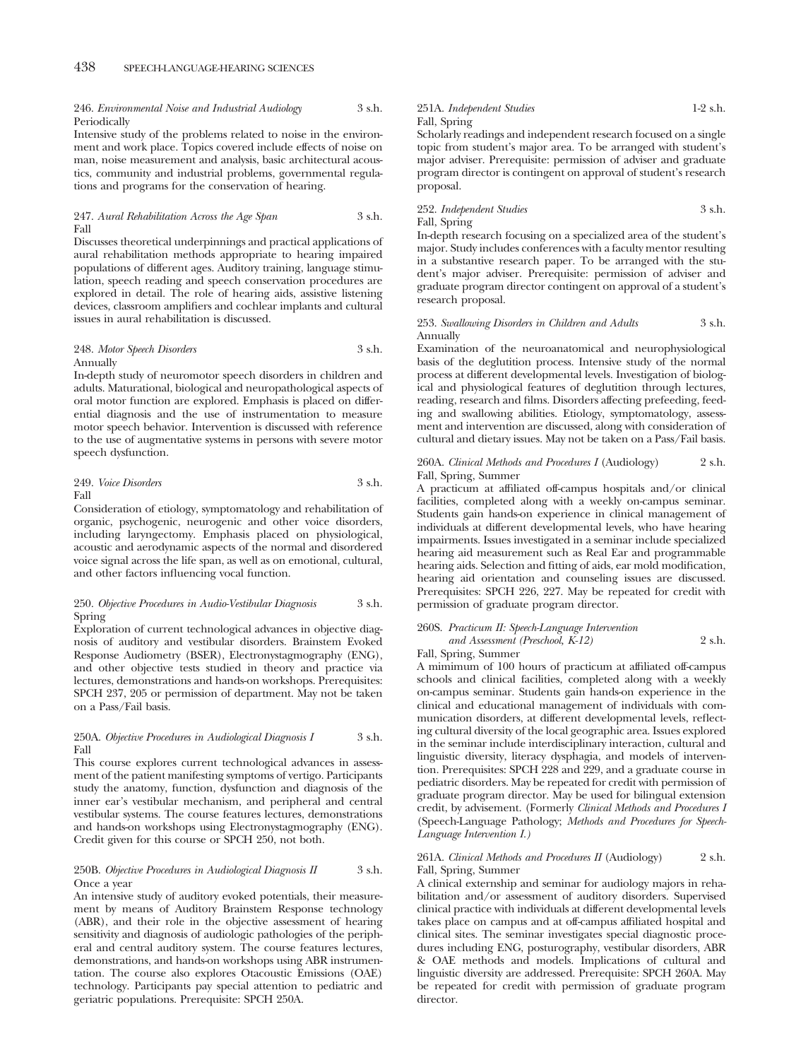246. *Environmental Noise and Industrial Audiology* 3 s.h. Periodically

Intensive study of the problems related to noise in the environment and work place. Topics covered include effects of noise on man, noise measurement and analysis, basic architectural acoustics, community and industrial problems, governmental regulations and programs for the conservation of hearing.

### 247. *Aural Rehabilitation Across the Age Span* 3 s.h. Fall

Discusses theoretical underpinnings and practical applications of aural rehabilitation methods appropriate to hearing impaired populations of different ages. Auditory training, language stimulation, speech reading and speech conservation procedures are explored in detail. The role of hearing aids, assistive listening devices, classroom amplifiers and cochlear implants and cultural issues in aural rehabilitation is discussed.

#### 248. *Motor Speech Disorders* 3 s.h. Annually

In-depth study of neuromotor speech disorders in children and adults. Maturational, biological and neuropathological aspects of oral motor function are explored. Emphasis is placed on differential diagnosis and the use of instrumentation to measure motor speech behavior. Intervention is discussed with reference to the use of augmentative systems in persons with severe motor speech dysfunction.

249. *Voice Disorders* 3 s.h. Fall

Consideration of etiology, symptomatology and rehabilitation of organic, psychogenic, neurogenic and other voice disorders, including laryngectomy. Emphasis placed on physiological, acoustic and aerodynamic aspects of the normal and disordered voice signal across the life span, as well as on emotional, cultural, and other factors influencing vocal function.

# 250. *Objective Procedures in Audio-Vestibular Diagnosis* 3 s.h. Spring

Exploration of current technological advances in objective diagnosis of auditory and vestibular disorders. Brainstem Evoked Response Audiometry (BSER), Electronystagmography (ENG), and other objective tests studied in theory and practice via lectures, demonstrations and hands-on workshops. Prerequisites: SPCH 237, 205 or permission of department. May not be taken on a Pass/Fail basis.

# 250A. *Objective Procedures in Audiological Diagnosis I* 3 s.h. Fall

This course explores current technological advances in assessment of the patient manifesting symptoms of vertigo. Participants study the anatomy, function, dysfunction and diagnosis of the inner ear's vestibular mechanism, and peripheral and central vestibular systems. The course features lectures, demonstrations and hands-on workshops using Electronystagmography (ENG). Credit given for this course or SPCH 250, not both.

## 250B. *Objective Procedures in Audiological Diagnosis II* 3 s.h. Once a year

An intensive study of auditory evoked potentials, their measurement by means of Auditory Brainstem Response technology (ABR), and their role in the objective assessment of hearing sensitivity and diagnosis of audiologic pathologies of the peripheral and central auditory system. The course features lectures, demonstrations, and hands-on workshops using ABR instrumentation. The course also explores Otacoustic Emissions (OAE) technology. Participants pay special attention to pediatric and geriatric populations. Prerequisite: SPCH 250A.

# 251A. *Independent Studies* 1-2 s.h. Fall, Spring

Scholarly readings and independent research focused on a single topic from student's major area. To be arranged with student's major adviser. Prerequisite: permission of adviser and graduate program director is contingent on approval of student's research proposal.

# 252. *Independent Studies* 3 s.h. Fall, Spring

In-depth research focusing on a specialized area of the student's major. Study includes conferences with a faculty mentor resulting in a substantive research paper. To be arranged with the student's major adviser. Prerequisite: permission of adviser and graduate program director contingent on approval of a student's research proposal.

# 253. *Swallowing Disorders in Children and Adults* 3 s.h. Annually

Examination of the neuroanatomical and neurophysiological basis of the deglutition process. Intensive study of the normal process at different developmental levels. Investigation of biological and physiological features of deglutition through lectures, reading, research and films. Disorders affecting prefeeding, feeding and swallowing abilities. Etiology, symptomatology, assessment and intervention are discussed, along with consideration of cultural and dietary issues. May not be taken on a Pass/Fail basis.

# 260A. *Clinical Methods and Procedures I* (Audiology) 2 s.h. Fall, Spring, Summer

A practicum at affiliated off-campus hospitals and/or clinical facilities, completed along with a weekly on-campus seminar. Students gain hands-on experience in clinical management of individuals at different developmental levels, who have hearing impairments. Issues investigated in a seminar include specialized hearing aid measurement such as Real Ear and programmable hearing aids. Selection and fitting of aids, ear mold modification, hearing aid orientation and counseling issues are discussed. Prerequisites: SPCH 226, 227. May be repeated for credit with permission of graduate program director.

# 260S. *Practicum II: Speech-Language Intervention*

*and Assessment (Preschool, K-12)* 2 s.h.

# Fall, Spring, Summer

A mimimum of 100 hours of practicum at affiliated off-campus schools and clinical facilities, completed along with a weekly on-campus seminar. Students gain hands-on experience in the clinical and educational management of individuals with communication disorders, at different developmental levels, reflecting cultural diversity of the local geographic area. Issues explored in the seminar include interdisciplinary interaction, cultural and linguistic diversity, literacy dysphagia, and models of intervention. Prerequisites: SPCH 228 and 229, and a graduate course in pediatric disorders. May be repeated for credit with permission of graduate program director. May be used for bilingual extension credit, by advisement. (Formerly *Clinical Methods and Procedures I* (Speech-Language Pathology; *Methods and Procedures for Speech-Language Intervention I.)*

# 261A. *Clinical Methods and Procedures II* (Audiology) 2 s.h. Fall, Spring, Summer

A clinical externship and seminar for audiology majors in rehabilitation and/or assessment of auditory disorders. Supervised clinical practice with individuals at different developmental levels takes place on campus and at off-campus affiliated hospital and clinical sites. The seminar investigates special diagnostic procedures including ENG, posturography, vestibular disorders, ABR & OAE methods and models. Implications of cultural and linguistic diversity are addressed. Prerequisite: SPCH 260A. May be repeated for credit with permission of graduate program director.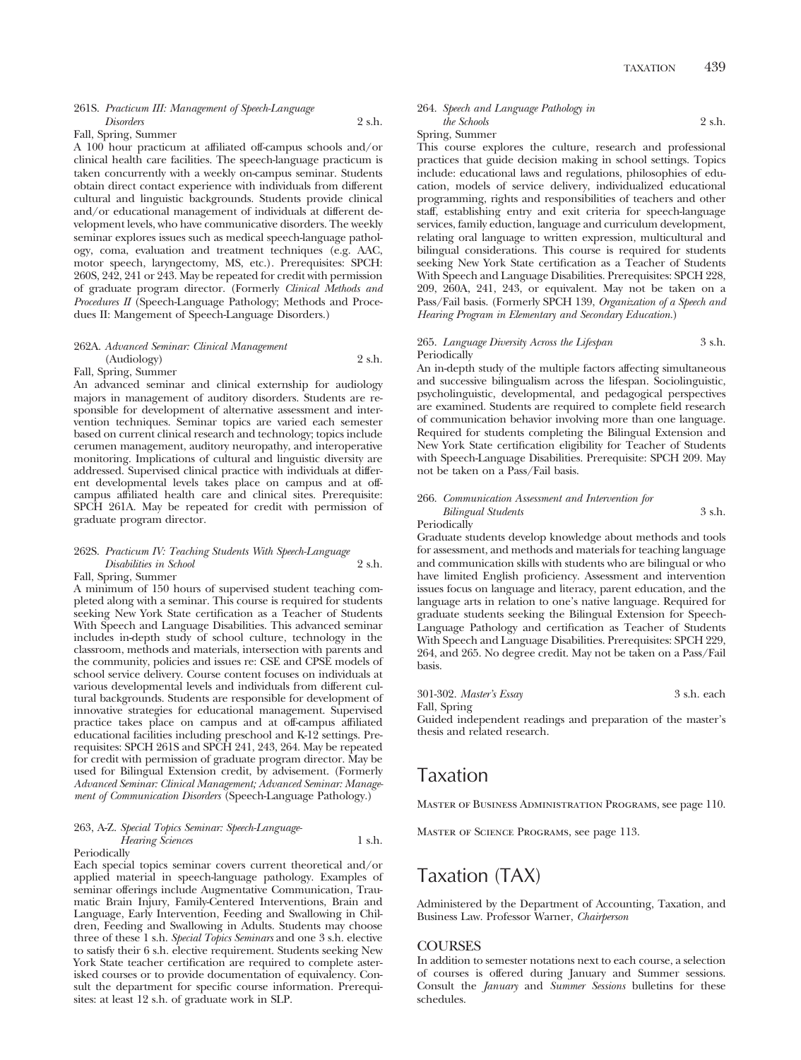# 261S. *Practicum III: Management of Speech-Language Disorders* 2 s.h.

Fall, Spring, Summer

A 100 hour practicum at affiliated off-campus schools and/or clinical health care facilities. The speech-language practicum is taken concurrently with a weekly on-campus seminar. Students obtain direct contact experience with individuals from different cultural and linguistic backgrounds. Students provide clinical and/or educational management of individuals at different development levels, who have communicative disorders. The weekly seminar explores issues such as medical speech-language pathology, coma, evaluation and treatment techniques (e.g. AAC, motor speech, laryngectomy, MS, etc.). Prerequisites: SPCH: 260S, 242, 241 or 243. May be repeated for credit with permission of graduate program director. (Formerly *Clinical Methods and Procedures II* (Speech-Language Pathology; Methods and Procedues II: Mangement of Speech-Language Disorders.)

# 262A. *Advanced Seminar: Clinical Management* (Audiology) 2 s.h.

Fall, Spring, Summer

An advanced seminar and clinical externship for audiology majors in management of auditory disorders. Students are responsible for development of alternative assessment and intervention techniques. Seminar topics are varied each semester based on current clinical research and technology; topics include cerumen management, auditory neuropathy, and interoperative monitoring. Implications of cultural and linguistic diversity are addressed. Supervised clinical practice with individuals at different developmental levels takes place on campus and at offcampus affiliated health care and clinical sites. Prerequisite: SPCH 261A. May be repeated for credit with permission of graduate program director.

# 262S. *Practicum IV: Teaching Students With Speech-Language Disabilities in School* 2 s.h.

Fall, Spring, Summer

A minimum of 150 hours of supervised student teaching completed along with a seminar. This course is required for students seeking New York State certification as a Teacher of Students With Speech and Language Disabilities. This advanced seminar includes in-depth study of school culture, technology in the classroom, methods and materials, intersection with parents and the community, policies and issues re: CSE and CPSE models of school service delivery. Course content focuses on individuals at various developmental levels and individuals from different cultural backgrounds. Students are responsible for development of innovative strategies for educational management. Supervised practice takes place on campus and at off-campus affiliated educational facilities including preschool and K-12 settings. Prerequisites: SPCH 261S and SPCH 241, 243, 264. May be repeated for credit with permission of graduate program director. May be used for Bilingual Extension credit, by advisement. (Formerly *Advanced Seminar: Clinical Management; Advanced Seminar: Management of Communication Disorders* (Speech-Language Pathology.)

# 263, A-Z. *Special Topics Seminar: Speech-Language-Hearing Sciences* 1 s.h. Periodically

Each special topics seminar covers current theoretical and/or applied material in speech-language pathology. Examples of seminar offerings include Augmentative Communication, Traumatic Brain Injury, Family-Centered Interventions, Brain and Language, Early Intervention, Feeding and Swallowing in Children, Feeding and Swallowing in Adults. Students may choose three of these 1 s.h. *Special Topics Seminars* and one 3 s.h. elective to satisfy their 6 s.h. elective requirement. Students seeking New York State teacher certification are required to complete asterisked courses or to provide documentation of equivalency. Consult the department for specific course information. Prerequisites: at least 12 s.h. of graduate work in SLP.

#### 264. *Speech and Language Pathology in the Schools* 2 s.h.

Spring, Summer

This course explores the culture, research and professional practices that guide decision making in school settings. Topics include: educational laws and regulations, philosophies of education, models of service delivery, individualized educational programming, rights and responsibilities of teachers and other staff, establishing entry and exit criteria for speech-language services, family eduction, language and curriculum development, relating oral language to written expression, multicultural and bilingual considerations. This course is required for students seeking New York State certification as a Teacher of Students With Speech and Language Disabilities. Prerequisites: SPCH 228, 209, 260A, 241, 243, or equivalent. May not be taken on a Pass/Fail basis. (Formerly SPCH 139, *Organization of a Speech and Hearing Program in Elementary and Secondary Education.*)

# 265. *Language Diversity Across the Lifespan* 3 s.h. Periodically

An in-depth study of the multiple factors affecting simultaneous and successive bilingualism across the lifespan. Sociolinguistic, psycholinguistic, developmental, and pedagogical perspectives are examined. Students are required to complete field research of communication behavior involving more than one language. Required for students completing the Bilingual Extension and New York State certification eligibility for Teacher of Students with Speech-Language Disabilities. Prerequisite: SPCH 209. May not be taken on a Pass/Fail basis.

# 266. *Communication Assessment and Intervention for Bilingual Students* 3 s.h.

**Periodically** 

Graduate students develop knowledge about methods and tools for assessment, and methods and materials for teaching language and communication skills with students who are bilingual or who have limited English proficiency. Assessment and intervention issues focus on language and literacy, parent education, and the language arts in relation to one's native language. Required for graduate students seeking the Bilingual Extension for Speech-Language Pathology and certification as Teacher of Students With Speech and Language Disabilities. Prerequisites: SPCH 229, 264, and 265. No degree credit. May not be taken on a Pass/Fail basis.

301-302. *Master's Essay* 3 s.h. each Fall, Spring Guided independent readings and preparation of the master's thesis and related research.

# Taxation

Master of Business Administration Programs, see page 110.

Master of Science Programs, see page 113.

# Taxation (TAX)

Administered by the Department of Accounting, Taxation, and Business Law. Professor Warner, *Chairperson*

# COURSES

In addition to semester notations next to each course, a selection of courses is offered during January and Summer sessions. Consult the *January* and *Summer Sessions* bulletins for these schedules.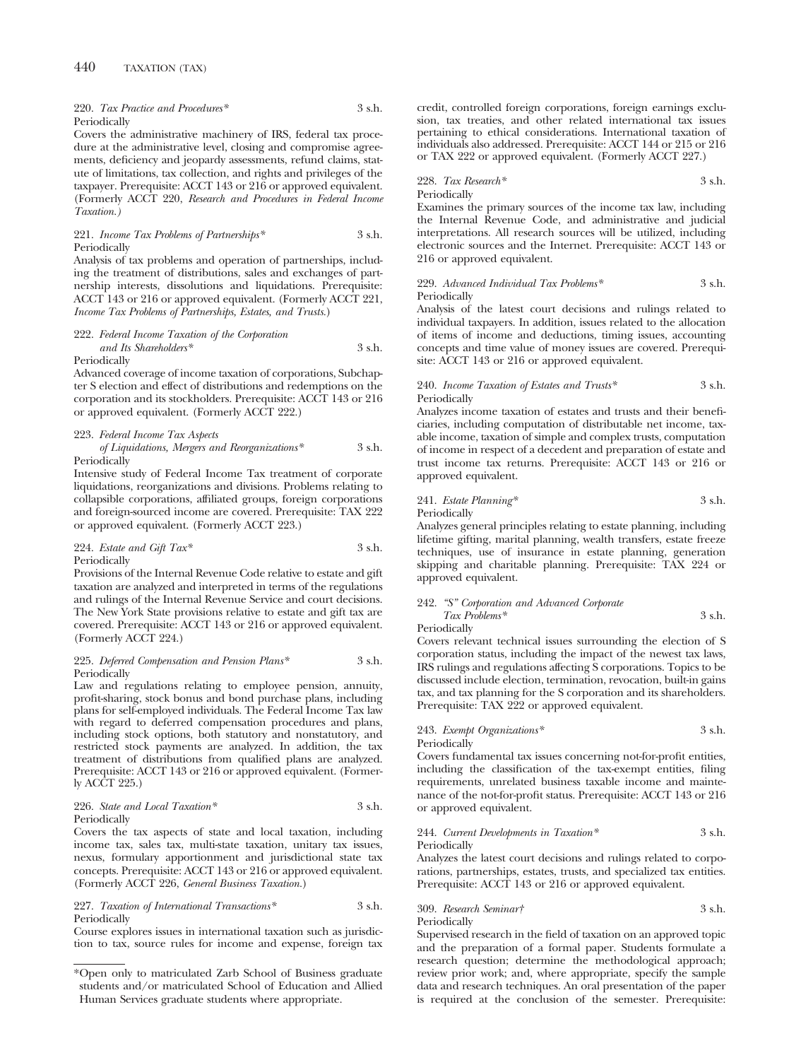220. *Tax Practice and Procedures\** 3 s.h. Periodically

Covers the administrative machinery of IRS, federal tax procedure at the administrative level, closing and compromise agreements, deficiency and jeopardy assessments, refund claims, statute of limitations, tax collection, and rights and privileges of the taxpayer. Prerequisite: ACCT 143 or 216 or approved equivalent. (Formerly ACCT 220, *Research and Procedures in Federal Income Taxation.)*

### 221. *Income Tax Problems of Partnerships\** 3 s.h. Periodically

Analysis of tax problems and operation of partnerships, including the treatment of distributions, sales and exchanges of partnership interests, dissolutions and liquidations. Prerequisite: ACCT 143 or 216 or approved equivalent. (Formerly ACCT 221, *Income Tax Problems of Partnerships, Estates, and Trusts.*)

### 222. *Federal Income Taxation of the Corporation and Its Shareholders\** 3 s.h. Periodically

Advanced coverage of income taxation of corporations, Subchapter S election and effect of distributions and redemptions on the corporation and its stockholders. Prerequisite: ACCT 143 or 216 or approved equivalent. (Formerly ACCT 222.)

# 223. *Federal Income Tax Aspects*

#### *of Liquidations, Mergers and Reorganizations\** 3 s.h. Periodically

Intensive study of Federal Income Tax treatment of corporate liquidations, reorganizations and divisions. Problems relating to collapsible corporations, affiliated groups, foreign corporations and foreign-sourced income are covered. Prerequisite: TAX 222 or approved equivalent. (Formerly ACCT 223.)

224. *Estate and Gift Tax\** 3 s.h. Periodically

Provisions of the Internal Revenue Code relative to estate and gift taxation are analyzed and interpreted in terms of the regulations and rulings of the Internal Revenue Service and court decisions. The New York State provisions relative to estate and gift tax are covered. Prerequisite: ACCT 143 or 216 or approved equivalent. (Formerly ACCT 224.)

# 225. *Deferred Compensation and Pension Plans\** 3 s.h. Periodically

Law and regulations relating to employee pension, annuity, profit-sharing, stock bonus and bond purchase plans, including plans for self-employed individuals. The Federal Income Tax law with regard to deferred compensation procedures and plans, including stock options, both statutory and nonstatutory, and restricted stock payments are analyzed. In addition, the tax treatment of distributions from qualified plans are analyzed. Prerequisite: ACCT 143 or 216 or approved equivalent. (Formerly ACCT 225.)

# 226. *State and Local Taxation\** 3 s.h. Periodically

Covers the tax aspects of state and local taxation, including income tax, sales tax, multi-state taxation, unitary tax issues, nexus, formulary apportionment and jurisdictional state tax concepts. Prerequisite: ACCT 143 or 216 or approved equivalent. (Formerly ACCT 226, *General Business Taxation.*)

### 227. *Taxation of International Transactions\** 3 s.h. Periodically

Course explores issues in international taxation such as jurisdiction to tax, source rules for income and expense, foreign tax credit, controlled foreign corporations, foreign earnings exclusion, tax treaties, and other related international tax issues pertaining to ethical considerations. International taxation of individuals also addressed. Prerequisite: ACCT 144 or 215 or 216 or TAX 222 or approved equivalent. (Formerly ACCT 227.)

# 228. *Tax Research\** 3 s.h. Periodically

Examines the primary sources of the income tax law, including the Internal Revenue Code, and administrative and judicial interpretations. All research sources will be utilized, including electronic sources and the Internet. Prerequisite: ACCT 143 or 216 or approved equivalent.

#### 229. *Advanced Individual Tax Problems\** 3 s.h. Periodically

Analysis of the latest court decisions and rulings related to individual taxpayers. In addition, issues related to the allocation of items of income and deductions, timing issues, accounting concepts and time value of money issues are covered. Prerequisite: ACCT 143 or 216 or approved equivalent.

# 240. *Income Taxation of Estates and Trusts\** 3 s.h. Periodically

Analyzes income taxation of estates and trusts and their beneficiaries, including computation of distributable net income, taxable income, taxation of simple and complex trusts, computation of income in respect of a decedent and preparation of estate and trust income tax returns. Prerequisite: ACCT 143 or 216 or approved equivalent.

241. *Estate Planning\** 3 s.h. Periodically

Analyzes general principles relating to estate planning, including lifetime gifting, marital planning, wealth transfers, estate freeze techniques, use of insurance in estate planning, generation skipping and charitable planning. Prerequisite: TAX 224 or approved equivalent.

# 242. *"S" Corporation and Advanced Corporate Tax Problems\** 3 s.h. Periodically

Covers relevant technical issues surrounding the election of S corporation status, including the impact of the newest tax laws, IRS rulings and regulations affecting S corporations. Topics to be discussed include election, termination, revocation, built-in gains tax, and tax planning for the S corporation and its shareholders. Prerequisite: TAX 222 or approved equivalent.

# 243. *Exempt Organizations\** 3 s.h. Periodically

Covers fundamental tax issues concerning not-for-profit entities, including the classification of the tax-exempt entities, filing requirements, unrelated business taxable income and maintenance of the not-for-profit status. Prerequisite: ACCT 143 or 216 or approved equivalent.

#### 244. *Current Developments in Taxation\** 3 s.h. Periodically

Analyzes the latest court decisions and rulings related to corporations, partnerships, estates, trusts, and specialized tax entities. Prerequisite: ACCT 143 or 216 or approved equivalent.

# 309. *Research Seminar†* 3 s.h. Periodically

Supervised research in the field of taxation on an approved topic and the preparation of a formal paper. Students formulate a research question; determine the methodological approach; review prior work; and, where appropriate, specify the sample data and research techniques. An oral presentation of the paper is required at the conclusion of the semester. Prerequisite:

<sup>\*</sup>Open only to matriculated Zarb School of Business graduate students and/or matriculated School of Education and Allied Human Services graduate students where appropriate.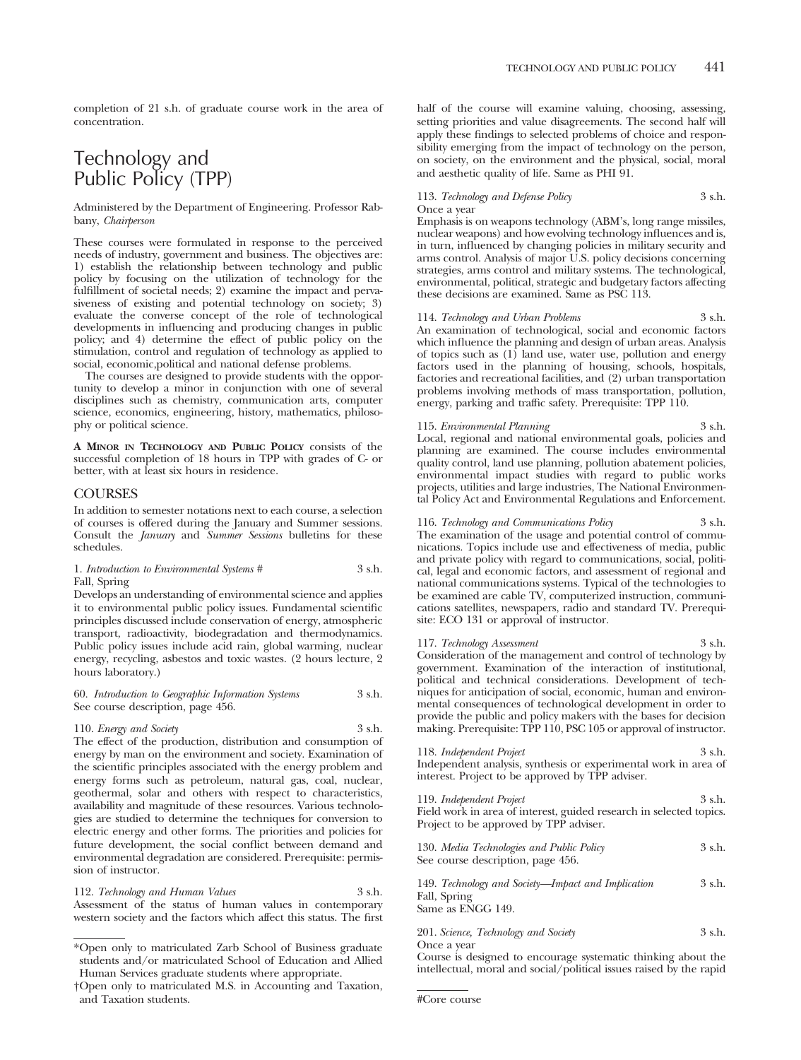completion of 21 s.h. of graduate course work in the area of concentration.

# Technology and Public Policy (TPP)

Administered by the Department of Engineering. Professor Rabbany, *Chairperson*

These courses were formulated in response to the perceived needs of industry, government and business. The objectives are: 1) establish the relationship between technology and public policy by focusing on the utilization of technology for the fulfillment of societal needs; 2) examine the impact and pervasiveness of existing and potential technology on society; 3) evaluate the converse concept of the role of technological developments in influencing and producing changes in public policy; and 4) determine the effect of public policy on the stimulation, control and regulation of technology as applied to social, economic,political and national defense problems.

The courses are designed to provide students with the opportunity to develop a minor in conjunction with one of several disciplines such as chemistry, communication arts, computer science, economics, engineering, history, mathematics, philosophy or political science.

**A MINOR IN TECHNOLOGY AND PUBLIC POLICY** consists of the successful completion of 18 hours in TPP with grades of C- or better, with at least six hours in residence.

# COURSES

In addition to semester notations next to each course, a selection of courses is offered during the January and Summer sessions. Consult the *January* and *Summer Sessions* bulletins for these schedules.

# 1. *Introduction to Environmental Systems* # 3 s.h. Fall, Spring

Develops an understanding of environmental science and applies it to environmental public policy issues. Fundamental scientific principles discussed include conservation of energy, atmospheric transport, radioactivity, biodegradation and thermodynamics. Public policy issues include acid rain, global warming, nuclear energy, recycling, asbestos and toxic wastes. (2 hours lecture, 2 hours laboratory.)

| 60. Introduction to Geographic Information Systems | 3 s.h. |
|----------------------------------------------------|--------|
| See course description, page 456.                  |        |

110. *Energy and Society* 3 s.h.

The effect of the production, distribution and consumption of energy by man on the environment and society. Examination of the scientific principles associated with the energy problem and energy forms such as petroleum, natural gas, coal, nuclear, geothermal, solar and others with respect to characteristics, availability and magnitude of these resources. Various technologies are studied to determine the techniques for conversion to electric energy and other forms. The priorities and policies for future development, the social conflict between demand and environmental degradation are considered. Prerequisite: permission of instructor.

112. *Technology and Human Values* 3 s.h. Assessment of the status of human values in contemporary western society and the factors which affect this status. The first half of the course will examine valuing, choosing, assessing, setting priorities and value disagreements. The second half will apply these findings to selected problems of choice and responsibility emerging from the impact of technology on the person, on society, on the environment and the physical, social, moral and aesthetic quality of life. Same as PHI 91.

# 113. *Technology and Defense Policy* 3 s.h. Once a year

Emphasis is on weapons technology (ABM's, long range missiles, nuclear weapons) and how evolving technology influences and is, in turn, influenced by changing policies in military security and arms control. Analysis of major U.S. policy decisions concerning strategies, arms control and military systems. The technological, environmental, political, strategic and budgetary factors affecting these decisions are examined. Same as PSC 113.

114. *Technology and Urban Problems* 3 s.h. An examination of technological, social and economic factors which influence the planning and design of urban areas. Analysis of topics such as  $(1)$  land use, water use, pollution and energy factors used in the planning of housing, schools, hospitals, factories and recreational facilities, and (2) urban transportation problems involving methods of mass transportation, pollution, energy, parking and traffic safety. Prerequisite: TPP 110.

# 115. *Environmental Planning* 3 s.h.

Local, regional and national environmental goals, policies and planning are examined. The course includes environmental quality control, land use planning, pollution abatement policies, environmental impact studies with regard to public works projects, utilities and large industries, The National Environmental Policy Act and Environmental Regulations and Enforcement.

116. *Technology and Communications Policy* 3 s.h. The examination of the usage and potential control of communications. Topics include use and effectiveness of media, public and private policy with regard to communications, social, political, legal and economic factors, and assessment of regional and national communications systems. Typical of the technologies to be examined are cable TV, computerized instruction, communications satellites, newspapers, radio and standard TV. Prerequisite: ECO 131 or approval of instructor.

117. *Technology Assessment* 3 s.h. Consideration of the management and control of technology by government. Examination of the interaction of institutional, political and technical considerations. Development of techniques for anticipation of social, economic, human and environmental consequences of technological development in order to provide the public and policy makers with the bases for decision making. Prerequisite: TPP 110, PSC 105 or approval of instructor.

| 118. Independent Project                                                                                                                    | 3 s.h. |
|---------------------------------------------------------------------------------------------------------------------------------------------|--------|
| Independent analysis, synthesis or experimental work in area of                                                                             |        |
| interest. Project to be approved by TPP adviser.                                                                                            |        |
| 119. Independent Project<br>THE TERM CONTROL CONTROL TO THE TERM OF THE TERM OF THE TERM OF THE TERM OF THE TERM OF THE TERM OF THE TERM OF | 3 s.h. |

|  | Field work in area of interest, guided research in selected topics. |  |  |  |
|--|---------------------------------------------------------------------|--|--|--|
|  | Project to be approved by TPP adviser.                              |  |  |  |

| 130. Media Technologies and Public Policy | 3 s.h. |
|-------------------------------------------|--------|
| See course description, page 456.         |        |

149. *Technology and Society—Impact and Implication* 3 s.h. Fall, Spring Same as ENGG 149.

201. *Science, Technology and Society* 3 s.h. Once a year

Course is designed to encourage systematic thinking about the intellectual, moral and social/political issues raised by the rapid

<sup>\*</sup>Open only to matriculated Zarb School of Business graduate students and/or matriculated School of Education and Allied Human Services graduate students where appropriate.

<sup>†</sup>Open only to matriculated M.S. in Accounting and Taxation, and Taxation students.  $\# \text{Core course}$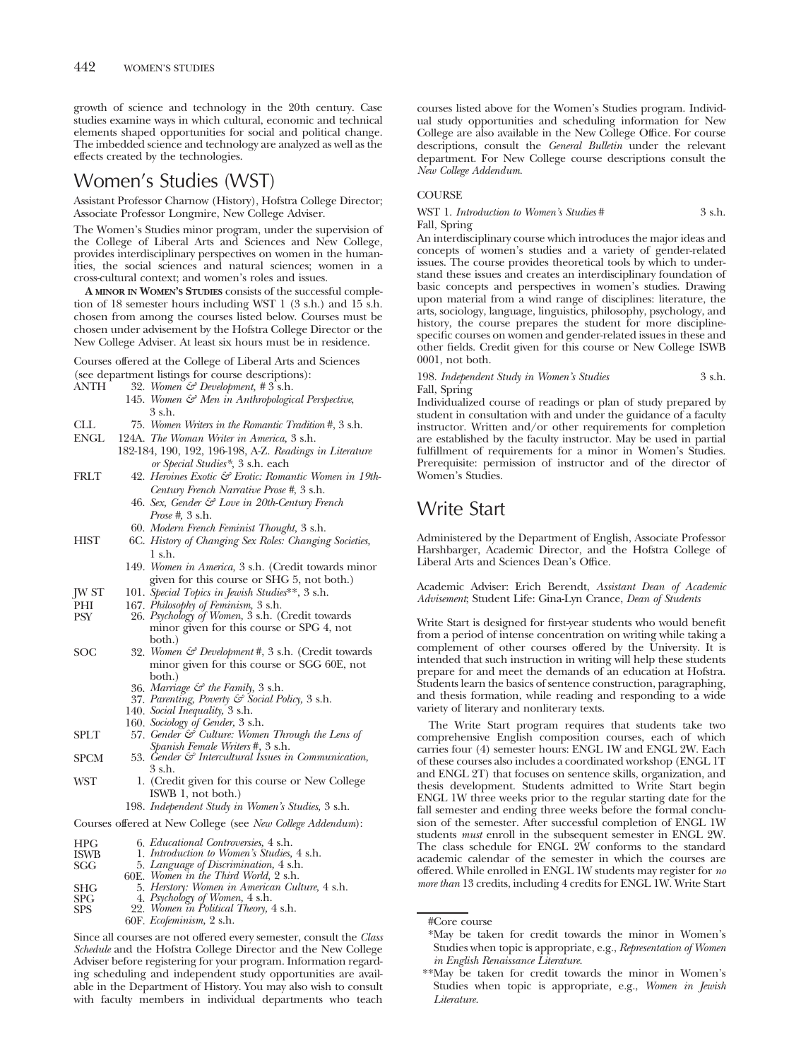growth of science and technology in the 20th century. Case studies examine ways in which cultural, economic and technical elements shaped opportunities for social and political change. The imbedded science and technology are analyzed as well as the effects created by the technologies.

# Women's Studies (WST)

Assistant Professor Charnow (History), Hofstra College Director; Associate Professor Longmire, New College Adviser.

The Women's Studies minor program, under the supervision of the College of Liberal Arts and Sciences and New College, provides interdisciplinary perspectives on women in the humanities, the social sciences and natural sciences; women in a cross-cultural context; and women's roles and issues.

**A MINOR IN WOMEN'S STUDIES** consists of the successful completion of 18 semester hours including WST 1 (3 s.h.) and 15 s.h. chosen from among the courses listed below. Courses must be chosen under advisement by the Hofstra College Director or the New College Adviser. At least six hours must be in residence.

Courses offered at the College of Liberal Arts and Sciences (see department listings for course descriptions):

- ANTH 32. *Women & Development, #* 3 s.h.
	- 145. *Women & Men in Anthropological Perspective*, 3 s.h.
- CLL 75. *Women Writers in the Romantic Tradition* #, 3 s.h.
- ENGL 124A. *The Woman Writer in America,* 3 s.h.
	- 182-184, 190, 192, 196-198, A-Z. *Readings in Literature or Special Studies\*,* 3 s.h. each
- FRLT 42. *Heroines Exotic & Erotic: Romantic Women in 19th-Century French Narrative Prose #*, 3 s.h.
	- 46. *Sex, Gender & Love in 20th-Century French Prose #,* 3 s.h.
	- 60. *Modern French Feminist Thought,* 3 s.h.
- HIST 6C. *History of Changing Sex Roles: Changing Societies,* 1 s.h.
	- 149. *Women in America,* 3 s.h. (Credit towards minor given for this course or SHG 5, not both.)
- JW ST 101. *Special Topics in Jewish Studies*\*\*, 3 s.h.
- 
- PHI 167. *Philosophy of Feminism,* 3 s.h. PSY 26. *Psychology of Women,* 3 s.h. (Credit towards minor given for this course or SPG 4, not both.)
- SOC 32. *Women & Development* #, 3 s.h. (Credit towards minor given for this course or SGG 60E, not both.)
	- 36. *Marriage & the Family,* 3 s.h.
	- 37. *Parenting, Poverty & Social Policy,* 3 s.h.
	- 140. *Social Inequality,* 3 s.h.
	- 160. *Sociology of Gender,* 3 s.h.
- SPLT 57. *Gender*  $\mathcal{E}^{\circ}$  *Culture: Women Through the Lens of Spanish Female Writers* #, 3 s.h.
- SPCM 53. *Gender & Intercultural Issues in Communication,* 3 s.h.
- WST 1. (Credit given for this course or New College ISWB 1, not both.)
	- 198. *Independent Study in Women's Studies,* 3 s.h.

Courses offered at New College (see *New College Addendum*):

- 
- HPG 6. *Educational Controversies,* 4 s.h. ISWB 1. *Introduction to Women's Studies,* 4 s.h.
	- SGG 5. *Language of Discrimination,* 4 s.h.
	- 60E. *Women in the Third World,* 2 s.h.
- SHG 5. *Herstory: Women in American Culture,* 4 s.h.
- 
- SPG 4. *Psychology of Women,* 4 s.h. SPS 22. *Women in Political Theory,* 4 s.h.

Since all courses are not offered every semester, consult the *Class Schedule* and the Hofstra College Director and the New College Adviser before registering for your program. Information regarding scheduling and independent study opportunities are available in the Department of History. You may also wish to consult with faculty members in individual departments who teach

courses listed above for the Women's Studies program. Individual study opportunities and scheduling information for New College are also available in the New College Office. For course descriptions, consult the *General Bulletin* under the relevant department. For New College course descriptions consult the *New College Addendum.*

# **COURSE**

WST 1. *Introduction to Women's Studies* # 3 s.h.

Fall, Spring

An interdisciplinary course which introduces the major ideas and concepts of women's studies and a variety of gender-related issues. The course provides theoretical tools by which to understand these issues and creates an interdisciplinary foundation of basic concepts and perspectives in women's studies. Drawing upon material from a wind range of disciplines: literature, the arts, sociology, language, linguistics, philosophy, psychology, and history, the course prepares the student for more disciplinespecific courses on women and gender-related issues in these and other fields. Credit given for this course or New College ISWB 0001, not both.

198. *Independent Study in Women's Studies* 3 s.h. Fall, Spring

Individualized course of readings or plan of study prepared by student in consultation with and under the guidance of a faculty instructor. Written and/or other requirements for completion are established by the faculty instructor. May be used in partial fulfillment of requirements for a minor in Women's Studies. Prerequisite: permission of instructor and of the director of Women's Studies.

# Write Start

Administered by the Department of English, Associate Professor Harshbarger, Academic Director, and the Hofstra College of Liberal Arts and Sciences Dean's Office.

Academic Adviser: Erich Berendt, *Assistant Dean of Academic Advisement*; Student Life: Gina-Lyn Crance, *Dean of Students*

Write Start is designed for first-year students who would benefit from a period of intense concentration on writing while taking a complement of other courses offered by the University. It is intended that such instruction in writing will help these students prepare for and meet the demands of an education at Hofstra. Students learn the basics of sentence construction, paragraphing, and thesis formation, while reading and responding to a wide variety of literary and nonliterary texts.

The Write Start program requires that students take two comprehensive English composition courses, each of which carries four (4) semester hours: ENGL 1W and ENGL 2W. Each of these courses also includes a coordinated workshop (ENGL 1T and ENGL 2T) that focuses on sentence skills, organization, and thesis development. Students admitted to Write Start begin ENGL 1W three weeks prior to the regular starting date for the fall semester and ending three weeks before the formal conclusion of the semester. After successful completion of ENGL 1W students *must* enroll in the subsequent semester in ENGL 2W. The class schedule for ENGL 2W conforms to the standard academic calendar of the semester in which the courses are offered. While enrolled in ENGL 1W students may register for *no more than* 13 credits, including 4 credits for ENGL 1W. Write Start

- #Core course
- \*May be taken for credit towards the minor in Women's Studies when topic is appropriate, e.g., *Representation of Women in English Renaissance Literature.*
- \*\*May be taken for credit towards the minor in Women's Studies when topic is appropriate, e.g., *Women in Jewish Literature.*

<sup>60</sup>F. *Ecofeminism,* 2 s.h.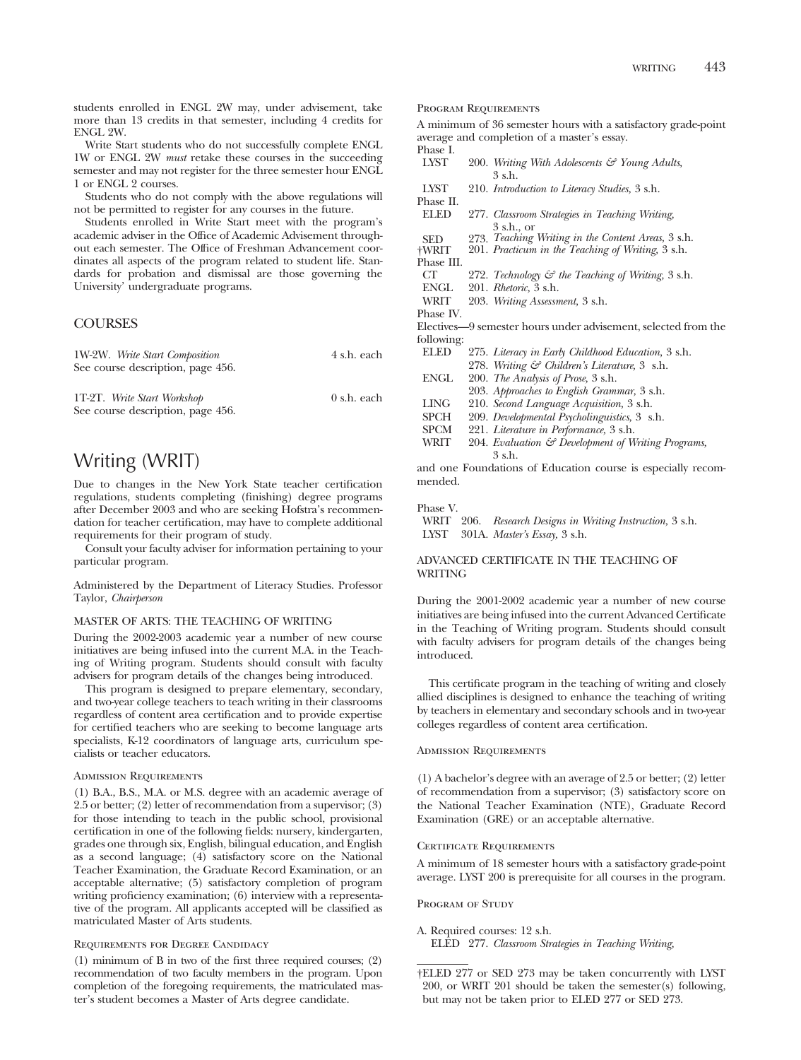students enrolled in ENGL 2W may, under advisement, take more than 13 credits in that semester, including 4 credits for ENGL 2W.

Write Start students who do not successfully complete ENGL 1W or ENGL 2W *must* retake these courses in the succeeding semester and may not register for the three semester hour ENGL 1 or ENGL 2 courses.

Students who do not comply with the above regulations will not be permitted to register for any courses in the future.

Students enrolled in Write Start meet with the program's academic adviser in the Office of Academic Advisement throughout each semester. The Office of Freshman Advancement coordinates all aspects of the program related to student life. Standards for probation and dismissal are those governing the University' undergraduate programs.

# **COURSES**

| 1W-2W. Write Start Composition    | 4 s.h. each           |
|-----------------------------------|-----------------------|
| See course description, page 456. |                       |
|                                   |                       |
| 1T-2T. Write Start Workshop       | $0 \text{ s.h.}$ each |
| See course description, page 456. |                       |

# Writing (WRIT)

Due to changes in the New York State teacher certification regulations, students completing (finishing) degree programs after December 2003 and who are seeking Hofstra's recommendation for teacher certification, may have to complete additional requirements for their program of study.

Consult your faculty adviser for information pertaining to your particular program.

Administered by the Department of Literacy Studies. Professor Taylor, *Chairperson*

# MASTER OF ARTS: THE TEACHING OF WRITING

During the 2002-2003 academic year a number of new course initiatives are being infused into the current M.A. in the Teaching of Writing program. Students should consult with faculty advisers for program details of the changes being introduced.

This program is designed to prepare elementary, secondary, and two-year college teachers to teach writing in their classrooms regardless of content area certification and to provide expertise for certified teachers who are seeking to become language arts specialists, K-12 coordinators of language arts, curriculum specialists or teacher educators.

# Admission Requirements

(1) B.A., B.S., M.A. or M.S. degree with an academic average of 2.5 or better; (2) letter of recommendation from a supervisor; (3) for those intending to teach in the public school, provisional certification in one of the following fields: nursery, kindergarten, grades one through six, English, bilingual education, and English as a second language; (4) satisfactory score on the National Teacher Examination, the Graduate Record Examination, or an acceptable alternative; (5) satisfactory completion of program writing proficiency examination; (6) interview with a representative of the program. All applicants accepted will be classified as matriculated Master of Arts students.

# Requirements for Degree Candidacy

(1) minimum of B in two of the first three required courses; (2) recommendation of two faculty members in the program. Upon completion of the foregoing requirements, the matriculated master's student becomes a Master of Arts degree candidate.

Program Requirements

A minimum of 36 semester hours with a satisfactory grade-point average and completion of a master's essay.

- Phase I.<br>LYST 200. *Writing With Adolescents & Young Adults*, 3 s.h.
- LYST 210. *Introduction to Literacy Studies,* 3 s.h.
- Phase II.<br>ELED 277. Classroom Strategies in Teaching Writing,  $3$  sh or
- SED 273. *Teaching Writing in the Content Areas,* 3 s.h.
- †WRIT 201. *Practicum in the Teaching of Writing,* 3 s.h.
- Phase III.<br>CT
- CT 272. *Technology & the Teaching of Writing,* 3 s.h.
- ENGL 201. *Rhetoric,* 3 s.h.
- WRIT 203. *Writing Assessment,* 3 s.h.
- Phase IV.

Electives—9 semester hours under advisement, selected from the following:

ELED 275. *Literacy in Early Childhood Education,* 3 s.h. 278. *Writing & Children's Literature,* 3 s.h. ENGL 200. *The Analysis of Prose,* 3 s.h. 203. *Approaches to English Grammar,* 3 s.h. LING 210. *Second Language Acquisition,* 3 s.h. SPCH 209. *Developmental Psycholinguistics,* 3 s.h. SPCM 221. *Literature in Performance*, 3 s.h.<br>WRIT 204. *Evaluation & Development of* W 204. *Evaluation & Development of Writing Programs,* 3 s.h.

and one Foundations of Education course is especially recommended.

#### Phase V.

WRIT 206. *Research Designs in Writing Instruction,* 3 s.h. LYST 301A. *Master's Essay,* 3 s.h.

# ADVANCED CERTIFICATE IN THE TEACHING OF WRITING

During the 2001-2002 academic year a number of new course initiatives are being infused into the current Advanced Certificate in the Teaching of Writing program. Students should consult with faculty advisers for program details of the changes being introduced.

This certificate program in the teaching of writing and closely allied disciplines is designed to enhance the teaching of writing by teachers in elementary and secondary schools and in two-year colleges regardless of content area certification.

# Admission Requirements

(1) A bachelor's degree with an average of 2.5 or better; (2) letter of recommendation from a supervisor; (3) satisfactory score on the National Teacher Examination (NTE), Graduate Record Examination (GRE) or an acceptable alternative.

#### CERTIFICATE REQUIREMENTS

A minimum of 18 semester hours with a satisfactory grade-point average. LYST 200 is prerequisite for all courses in the program.

PROGRAM OF STUDY

A. Required courses: 12 s.h. ELED 277. *Classroom Strategies in Teaching Writing,*

<sup>†</sup>ELED 277 or SED 273 may be taken concurrently with LYST 200, or WRIT 201 should be taken the semester(s) following, but may not be taken prior to ELED 277 or SED 273.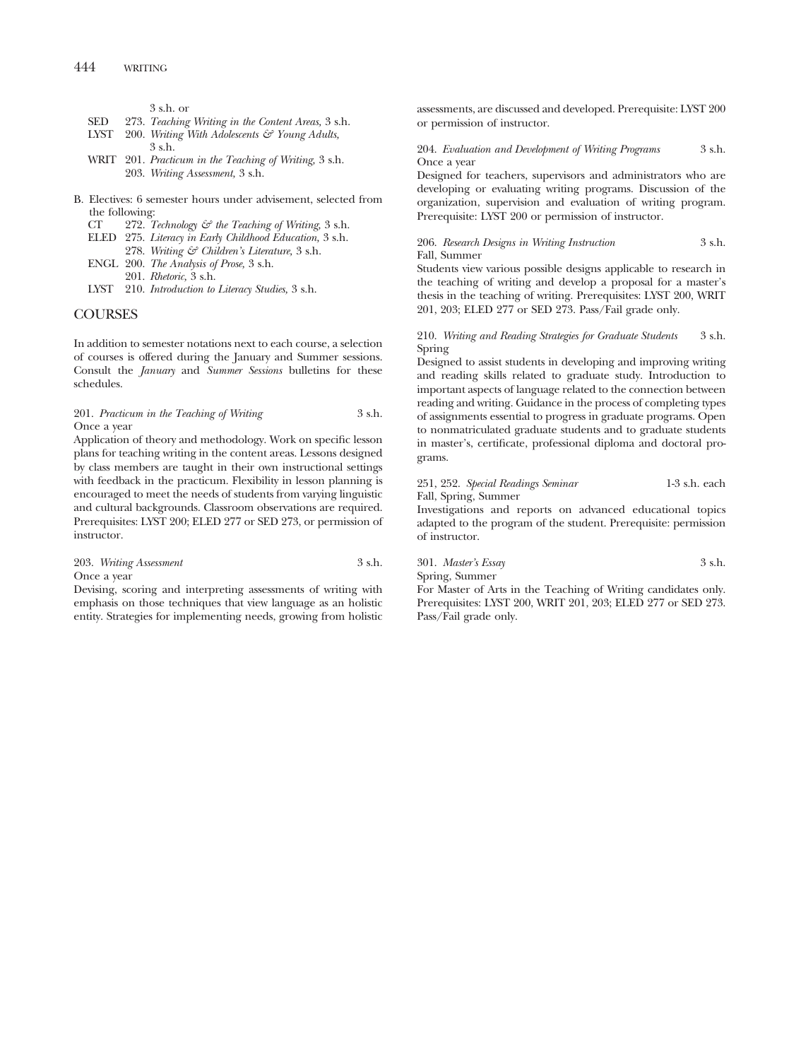3 s.h. or

- SED 273. *Teaching Writing in the Content Areas,* 3 s.h.
- LYST 200. *Writing With Adolescents & Young Adults,* 3 s.h.
- WRIT 201. *Practicum in the Teaching of Writing,* 3 s.h. 203. *Writing Assessment,* 3 s.h.
- B. Electives: 6 semester hours under advisement, selected from the following:<br> $CT = 272.7$ 
	- CT 272. *Technology & the Teaching of Writing,* 3 s.h.
	- ELED 275. *Literacy in Early Childhood Education,* 3 s.h.
	- 278. *Writing & Children's Literature,* 3 s.h. ENGL 200. *The Analysis of Prose,* 3 s.h.
	- 201. *Rhetoric,* 3 s.h.
	- LYST 210. *Introduction to Literacy Studies,* 3 s.h.

# **COURSES**

In addition to semester notations next to each course, a selection of courses is offered during the January and Summer sessions. Consult the *January* and *Summer Sessions* bulletins for these schedules.

201. *Practicum in the Teaching of Writing* 3 s.h. Once a year

Application of theory and methodology. Work on specific lesson plans for teaching writing in the content areas. Lessons designed by class members are taught in their own instructional settings with feedback in the practicum. Flexibility in lesson planning is encouraged to meet the needs of students from varying linguistic and cultural backgrounds. Classroom observations are required. Prerequisites: LYST 200; ELED 277 or SED 273, or permission of instructor.

| 203. Writing Assessment | 3 s.h. |
|-------------------------|--------|
| Once a year             |        |

Devising, scoring and interpreting assessments of writing with emphasis on those techniques that view language as an holistic entity. Strategies for implementing needs, growing from holistic

assessments, are discussed and developed. Prerequisite: LYST 200 or permission of instructor.

204. *Evaluation and Development of Writing Programs* 3 s.h. Once a year

Designed for teachers, supervisors and administrators who are developing or evaluating writing programs. Discussion of the organization, supervision and evaluation of writing program. Prerequisite: LYST 200 or permission of instructor.

206. *Research Designs in Writing Instruction* 3 s.h. Fall, Summer

Students view various possible designs applicable to research in the teaching of writing and develop a proposal for a master's thesis in the teaching of writing. Prerequisites: LYST 200, WRIT 201, 203; ELED 277 or SED 273. Pass/Fail grade only.

210. *Writing and Reading Strategies for Graduate Students* 3 s.h. Spring

Designed to assist students in developing and improving writing and reading skills related to graduate study. Introduction to important aspects of language related to the connection between reading and writing. Guidance in the process of completing types of assignments essential to progress in graduate programs. Open to nonmatriculated graduate students and to graduate students in master's, certificate, professional diploma and doctoral programs.

251, 252. *Special Readings Seminar* 1-3 s.h. each Fall, Spring, Summer

Investigations and reports on advanced educational topics adapted to the program of the student. Prerequisite: permission of instructor.

301. *Master's Essay* 3 s.h. Spring, Summer For Master of Arts in the Teaching of Writing candidates only. Prerequisites: LYST 200, WRIT 201, 203; ELED 277 or SED 273. Pass/Fail grade only.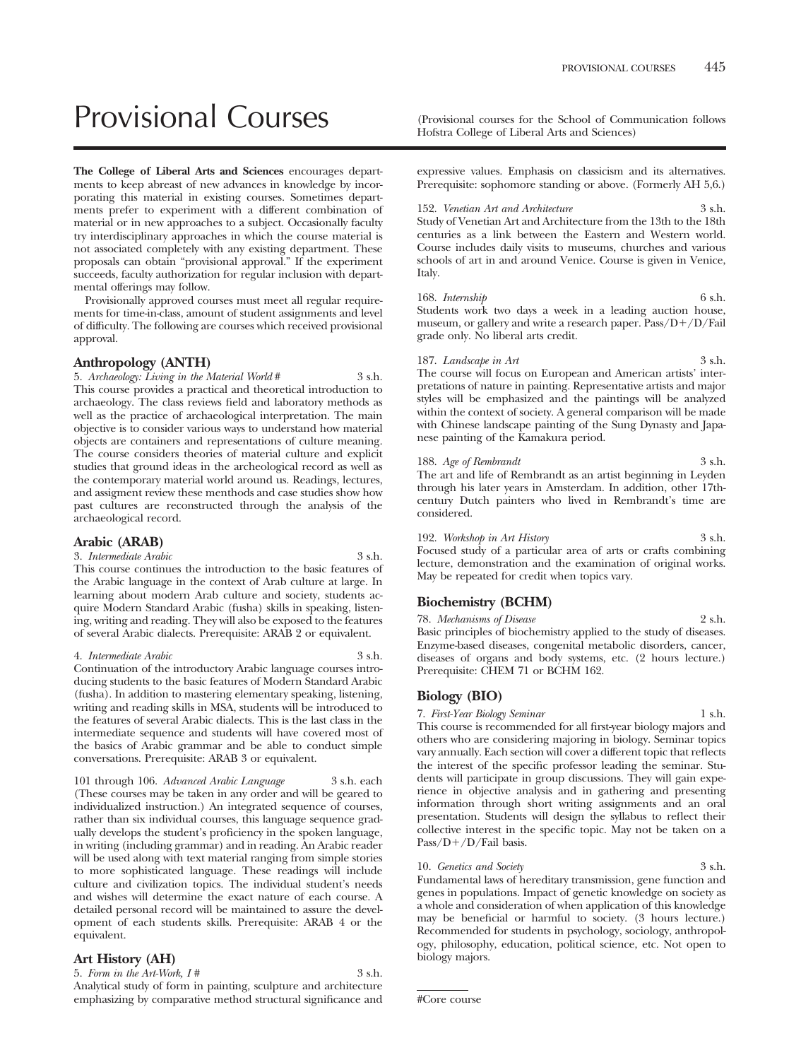# Provisional Courses (Provisional courses for the School of Communication follows

**The College of Liberal Arts and Sciences** encourages departments to keep abreast of new advances in knowledge by incorporating this material in existing courses. Sometimes departments prefer to experiment with a different combination of material or in new approaches to a subject. Occasionally faculty try interdisciplinary approaches in which the course material is not associated completely with any existing department. These proposals can obtain "provisional approval." If the experiment succeeds, faculty authorization for regular inclusion with departmental offerings may follow.

Provisionally approved courses must meet all regular requirements for time-in-class, amount of student assignments and level of difficulty. The following are courses which received provisional approval.

# **Anthropology (ANTH)**

5. *Archaeology: Living in the Material World* # 3 s.h. This course provides a practical and theoretical introduction to archaeology. The class reviews field and laboratory methods as well as the practice of archaeological interpretation. The main objective is to consider various ways to understand how material objects are containers and representations of culture meaning. The course considers theories of material culture and explicit studies that ground ideas in the archeological record as well as the contemporary material world around us. Readings, lectures, and assigment review these menthods and case studies show how past cultures are reconstructed through the analysis of the archaeological record.

# **Arabic (ARAB)**

3. *Intermediate Arabic* 3 s.h.

This course continues the introduction to the basic features of the Arabic language in the context of Arab culture at large. In learning about modern Arab culture and society, students acquire Modern Standard Arabic (fusha) skills in speaking, listening, writing and reading. They will also be exposed to the features of several Arabic dialects. Prerequisite: ARAB 2 or equivalent.

#### 4. *Intermediate Arabic* 3 s.h.

Continuation of the introductory Arabic language courses introducing students to the basic features of Modern Standard Arabic (fusha). In addition to mastering elementary speaking, listening, writing and reading skills in MSA, students will be introduced to the features of several Arabic dialects. This is the last class in the intermediate sequence and students will have covered most of the basics of Arabic grammar and be able to conduct simple conversations. Prerequisite: ARAB 3 or equivalent.

101 through 106. *Advanced Arabic Language* 3 s.h. each (These courses may be taken in any order and will be geared to individualized instruction.) An integrated sequence of courses, rather than six individual courses, this language sequence gradually develops the student's proficiency in the spoken language, in writing (including grammar) and in reading. An Arabic reader will be used along with text material ranging from simple stories to more sophisticated language. These readings will include culture and civilization topics. The individual student's needs and wishes will determine the exact nature of each course. A detailed personal record will be maintained to assure the development of each students skills. Prerequisite: ARAB 4 or the equivalent.

# **Art History (AH)**

5. *Form in the Art-Work, I #* 3 s.h. Analytical study of form in painting, sculpture and architecture emphasizing by comparative method structural significance and Hofstra College of Liberal Arts and Sciences)

expressive values. Emphasis on classicism and its alternatives. Prerequisite: sophomore standing or above. (Formerly AH 5,6.)

152. *Venetian Art and Architecture* 3 s.h. Study of Venetian Art and Architecture from the 13th to the 18th centuries as a link between the Eastern and Western world. Course includes daily visits to museums, churches and various schools of art in and around Venice. Course is given in Venice, Italy.

168. *Internship* 6 s.h. Students work two days a week in a leading auction house, museum, or gallery and write a research paper. Pass/D+/D/Fail grade only. No liberal arts credit.

187. *Landscape in Art* 3 s.h. The course will focus on European and American artists' interpretations of nature in painting. Representative artists and major styles will be emphasized and the paintings will be analyzed within the context of society. A general comparison will be made with Chinese landscape painting of the Sung Dynasty and Japanese painting of the Kamakura period.

188. *Age of Rembrandt* 3 s.h. The art and life of Rembrandt as an artist beginning in Leyden through his later years in Amsterdam. In addition, other 17thcentury Dutch painters who lived in Rembrandt's time are considered.

192. *Workshop in Art History* 3 s.h. Focused study of a particular area of arts or crafts combining lecture, demonstration and the examination of original works. May be repeated for credit when topics vary.

# **Biochemistry (BCHM)**

78. *Mechanisms of Disease* 2 s.h. Basic principles of biochemistry applied to the study of diseases. Enzyme-based diseases, congenital metabolic disorders, cancer, diseases of organs and body systems, etc. (2 hours lecture.) Prerequisite: CHEM 71 or BCHM 162.

# **Biology (BIO)**

7. *First-Year Biology Seminar* 1 s.h. This course is recommended for all first-year biology majors and others who are considering majoring in biology. Seminar topics vary annually. Each section will cover a different topic that reflects the interest of the specific professor leading the seminar. Students will participate in group discussions. They will gain experience in objective analysis and in gathering and presenting information through short writing assignments and an oral presentation. Students will design the syllabus to reflect their collective interest in the specific topic. May not be taken on a Pass/D+/D/Fail basis.

10. *Genetics and Society* 3 s.h. Fundamental laws of hereditary transmission, gene function and genes in populations. Impact of genetic knowledge on society as a whole and consideration of when application of this knowledge may be beneficial or harmful to society. (3 hours lecture.) Recommended for students in psychology, sociology, anthropology, philosophy, education, political science, etc. Not open to biology majors.

#Core course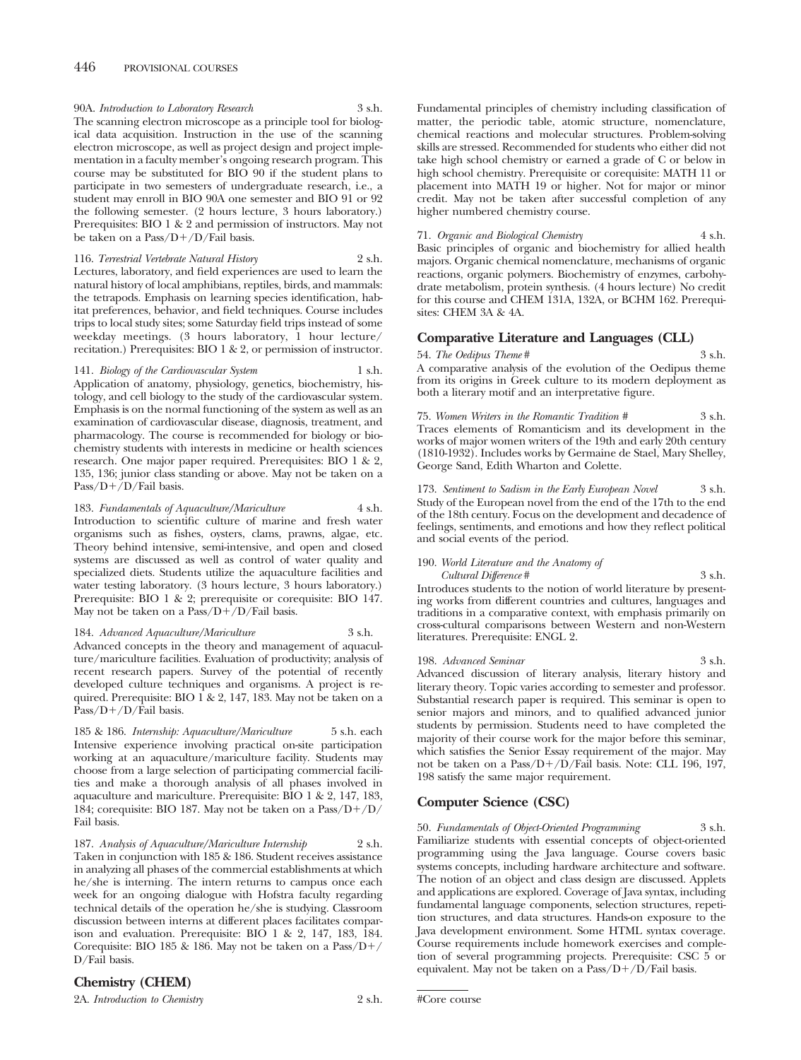90A. *Introduction to Laboratory Research* 3 s.h. The scanning electron microscope as a principle tool for biological data acquisition. Instruction in the use of the scanning electron microscope, as well as project design and project implementation in a faculty member's ongoing research program. This course may be substituted for BIO 90 if the student plans to participate in two semesters of undergraduate research, i.e., a student may enroll in BIO 90A one semester and BIO 91 or 92 the following semester. (2 hours lecture, 3 hours laboratory.) Prerequisites: BIO 1 & 2 and permission of instructors. May not be taken on a Pass/D+/D/Fail basis.

116. *Terrestrial Vertebrate Natural History* 2 s.h.

Lectures, laboratory, and field experiences are used to learn the natural history of local amphibians, reptiles, birds, and mammals: the tetrapods. Emphasis on learning species identification, habitat preferences, behavior, and field techniques. Course includes trips to local study sites; some Saturday field trips instead of some weekday meetings. (3 hours laboratory, 1 hour lecture/ recitation.) Prerequisites: BIO 1 & 2, or permission of instructor.

141. *Biology of the Cardiovascular System* 1 s.h. Application of anatomy, physiology, genetics, biochemistry, histology, and cell biology to the study of the cardiovascular system. Emphasis is on the normal functioning of the system as well as an examination of cardiovascular disease, diagnosis, treatment, and pharmacology. The course is recommended for biology or biochemistry students with interests in medicine or health sciences research. One major paper required. Prerequisites: BIO 1 & 2, 135, 136; junior class standing or above. May not be taken on a Pass/D+/D/Fail basis.

183. *Fundamentals of Aquaculture/Mariculture* 4 s.h. Introduction to scientific culture of marine and fresh water organisms such as fishes, oysters, clams, prawns, algae, etc. Theory behind intensive, semi-intensive, and open and closed systems are discussed as well as control of water quality and specialized diets. Students utilize the aquaculture facilities and water testing laboratory. (3 hours lecture, 3 hours laboratory.) Prerequisite: BIO 1 & 2; prerequisite or corequisite: BIO 147. May not be taken on a Pass/D+/D/Fail basis.

184. *Advanced Aquaculture/Mariculture* 3 s.h. Advanced concepts in the theory and management of aquaculture/mariculture facilities. Evaluation of productivity; analysis of recent research papers. Survey of the potential of recently developed culture techniques and organisms. A project is required. Prerequisite: BIO 1 & 2, 147, 183. May not be taken on a Pass/D+/D/Fail basis.

185 & 186. *Internship: Aquaculture/Mariculture* 5 s.h. each Intensive experience involving practical on-site participation working at an aquaculture/mariculture facility. Students may choose from a large selection of participating commercial facilities and make a thorough analysis of all phases involved in aquaculture and mariculture. Prerequisite: BIO 1 & 2, 147, 183, 184; corequisite: BIO 187. May not be taken on a Pass/D+/D/ Fail basis.

187. *Analysis of Aquaculture/Mariculture Internship* 2 s.h. Taken in conjunction with 185 & 186. Student receives assistance in analyzing all phases of the commercial establishments at which he/she is interning. The intern returns to campus once each week for an ongoing dialogue with Hofstra faculty regarding technical details of the operation he/she is studying. Classroom discussion between interns at different places facilitates comparison and evaluation. Prerequisite: BIO 1 & 2, 147, 183, 184. Corequisite: BIO 185 & 186. May not be taken on a Pass/D-/ D/Fail basis.

## **Chemistry (CHEM)**

2A. *Introduction to Chemistry* 2 s.h.

Fundamental principles of chemistry including classification of matter, the periodic table, atomic structure, nomenclature, chemical reactions and molecular structures. Problem-solving skills are stressed. Recommended for students who either did not take high school chemistry or earned a grade of C or below in high school chemistry. Prerequisite or corequisite: MATH 11 or placement into MATH 19 or higher. Not for major or minor credit. May not be taken after successful completion of any higher numbered chemistry course.

71. *Organic and Biological Chemistry* 4 s.h. Basic principles of organic and biochemistry for allied health majors. Organic chemical nomenclature, mechanisms of organic reactions, organic polymers. Biochemistry of enzymes, carbohydrate metabolism, protein synthesis. (4 hours lecture) No credit for this course and CHEM 131A, 132A, or BCHM 162. Prerequisites: CHEM 3A & 4A.

# **Comparative Literature and Languages (CLL)**

54. *The Oedipus Theme* # 3 s.h. A comparative analysis of the evolution of the Oedipus theme from its origins in Greek culture to its modern deployment as both a literary motif and an interpretative figure.

75. *Women Writers in the Romantic Tradition #* 3 s.h. Traces elements of Romanticism and its development in the works of major women writers of the 19th and early 20th century (1810-1932). Includes works by Germaine de Stael, Mary Shelley, George Sand, Edith Wharton and Colette.

173. *Sentiment to Sadism in the Early European Novel* 3 s.h. Study of the European novel from the end of the 17th to the end of the 18th century. Focus on the development and decadence of feelings, sentiments, and emotions and how they reflect political and social events of the period.

## 190. *World Literature and the Anatomy of*

*Cultural Difference* # 3 s.h. Introduces students to the notion of world literature by presenting works from different countries and cultures, languages and traditions in a comparative context, with emphasis primarily on cross-cultural comparisons between Western and non-Western literatures. Prerequisite: ENGL 2.

198. *Advanced Seminar* 3 s.h. Advanced discussion of literary analysis, literary history and literary theory. Topic varies according to semester and professor. Substantial research paper is required. This seminar is open to senior majors and minors, and to qualified advanced junior students by permission. Students need to have completed the majority of their course work for the major before this seminar, which satisfies the Senior Essay requirement of the major. May not be taken on a Pass/D-/D/Fail basis. Note: CLL 196, 197, 198 satisfy the same major requirement.

# **Computer Science (CSC)**

50. *Fundamentals of Object-Oriented Programming* 3 s.h. Familiarize students with essential concepts of object-oriented programming using the Java language. Course covers basic systems concepts, including hardware architecture and software. The notion of an object and class design are discussed. Applets and applications are explored. Coverage of Java syntax, including fundamental language components, selection structures, repetition structures, and data structures. Hands-on exposure to the Java development environment. Some HTML syntax coverage. Course requirements include homework exercises and completion of several programming projects. Prerequisite: CSC 5 or equivalent. May not be taken on a Pass/D+/D/Fail basis.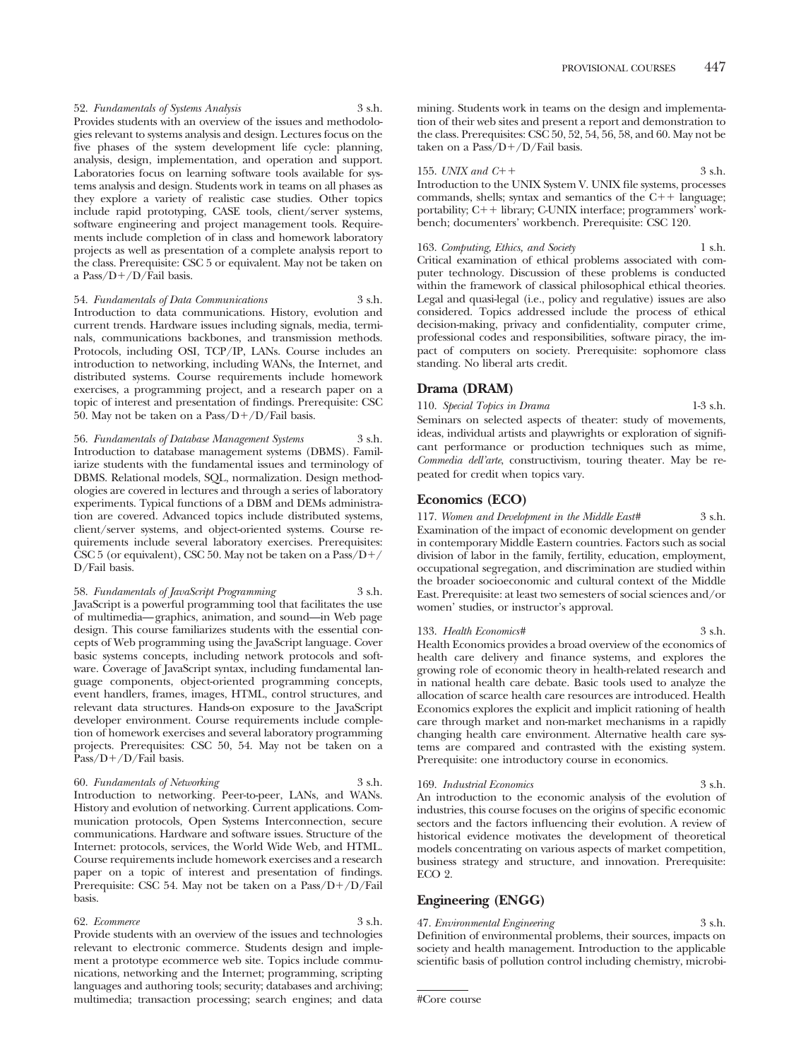52. *Fundamentals of Systems Analysis* 3 s.h. Provides students with an overview of the issues and methodologies relevant to systems analysis and design. Lectures focus on the five phases of the system development life cycle: planning, analysis, design, implementation, and operation and support. Laboratories focus on learning software tools available for systems analysis and design. Students work in teams on all phases as they explore a variety of realistic case studies. Other topics include rapid prototyping, CASE tools, client/server systems, software engineering and project management tools. Requirements include completion of in class and homework laboratory projects as well as presentation of a complete analysis report to the class. Prerequisite: CSC 5 or equivalent. May not be taken on a Pass/D-/D/Fail basis.

54. *Fundamentals of Data Communications* 3 s.h. Introduction to data communications. History, evolution and

current trends. Hardware issues including signals, media, terminals, communications backbones, and transmission methods. Protocols, including OSI, TCP/IP, LANs. Course includes an introduction to networking, including WANs, the Internet, and distributed systems. Course requirements include homework exercises, a programming project, and a research paper on a topic of interest and presentation of findings. Prerequisite: CSC 50. May not be taken on a Pass/D+/D/Fail basis.

56. *Fundamentals of Database Management Systems* 3 s.h. Introduction to database management systems (DBMS). Familiarize students with the fundamental issues and terminology of DBMS. Relational models, SQL, normalization. Design methodologies are covered in lectures and through a series of laboratory experiments. Typical functions of a DBM and DEMs administration are covered. Advanced topics include distributed systems, client/server systems, and object-oriented systems. Course requirements include several laboratory exercises. Prerequisites: CSC 5 (or equivalent), CSC 50. May not be taken on a Pass/D-/ D/Fail basis.

58. *Fundamentals of JavaScript Programming* 3 s.h. JavaScript is a powerful programming tool that facilitates the use of multimedia—graphics, animation, and sound—in Web page design. This course familiarizes students with the essential concepts of Web programming using the JavaScript language. Cover basic systems concepts, including network protocols and software. Coverage of JavaScript syntax, including fundamental language components, object-oriented programming concepts, event handlers, frames, images, HTML, control structures, and relevant data structures. Hands-on exposure to the JavaScript developer environment. Course requirements include completion of homework exercises and several laboratory programming projects. Prerequisites: CSC 50, 54. May not be taken on a Pass/D+/D/Fail basis.

## 60. *Fundamentals of Networking* 3 s.h.

Introduction to networking. Peer-to-peer, LANs, and WANs. History and evolution of networking. Current applications. Communication protocols, Open Systems Interconnection, secure communications. Hardware and software issues. Structure of the Internet: protocols, services, the World Wide Web, and HTML. Course requirements include homework exercises and a research paper on a topic of interest and presentation of findings. Prerequisite: CSC 54. May not be taken on a Pass/D+/D/Fail basis.

#### 62. *Ecommerce*

Provide students with an overview of the issues and technologies relevant to electronic commerce. Students design and implement a prototype ecommerce web site. Topics include communications, networking and the Internet; programming, scripting languages and authoring tools; security; databases and archiving; multimedia; transaction processing; search engines; and data

mining. Students work in teams on the design and implementation of their web sites and present a report and demonstration to the class. Prerequisites: CSC 50, 52, 54, 56, 58, and 60. May not be taken on a Pass/D+/D/Fail basis.

#### 155. *UNIX and C*++

 $+$  3 s.h. Introduction to the UNIX System V. UNIX file systems, processes commands, shells; syntax and semantics of the  $C++$  language; portability; C++ library; C-UNIX interface; programmers' workbench; documenters' workbench. Prerequisite: CSC 120.

163. *Computing, Ethics, and Society* 1 s.h. Critical examination of ethical problems associated with computer technology. Discussion of these problems is conducted within the framework of classical philosophical ethical theories. Legal and quasi-legal (i.e., policy and regulative) issues are also considered. Topics addressed include the process of ethical decision-making, privacy and confidentiality, computer crime, professional codes and responsibilities, software piracy, the impact of computers on society. Prerequisite: sophomore class standing. No liberal arts credit.

## **Drama (DRAM)**

110. *Special Topics in Drama* 1-3 s.h. Seminars on selected aspects of theater: study of movements, ideas, individual artists and playwrights or exploration of significant performance or production techniques such as mime, *Commedia dell'arte*, constructivism, touring theater. May be repeated for credit when topics vary.

## **Economics (ECO)**

117. *Women and Development in the Middle East#* 3 s.h. Examination of the impact of economic development on gender in contemporary Middle Eastern countries. Factors such as social division of labor in the family, fertility, education, employment, occupational segregation, and discrimination are studied within the broader socioeconomic and cultural context of the Middle East. Prerequisite: at least two semesters of social sciences and/or women' studies, or instructor's approval.

133. *Health Economics#* 3 s.h. Health Economics provides a broad overview of the economics of health care delivery and finance systems, and explores the growing role of economic theory in health-related research and in national health care debate. Basic tools used to analyze the allocation of scarce health care resources are introduced. Health Economics explores the explicit and implicit rationing of health care through market and non-market mechanisms in a rapidly changing health care environment. Alternative health care systems are compared and contrasted with the existing system. Prerequisite: one introductory course in economics.

#### 169. *Industrial Economics* 3 s.h.

An introduction to the economic analysis of the evolution of industries, this course focuses on the origins of specific economic sectors and the factors influencing their evolution. A review of historical evidence motivates the development of theoretical models concentrating on various aspects of market competition, business strategy and structure, and innovation. Prerequisite: ECO 2.

## **Engineering (ENGG)**

47. *Environmental Engineering* 3 s.h. Definition of environmental problems, their sources, impacts on society and health management. Introduction to the applicable scientific basis of pollution control including chemistry, microbi-

<sup>#</sup>Core course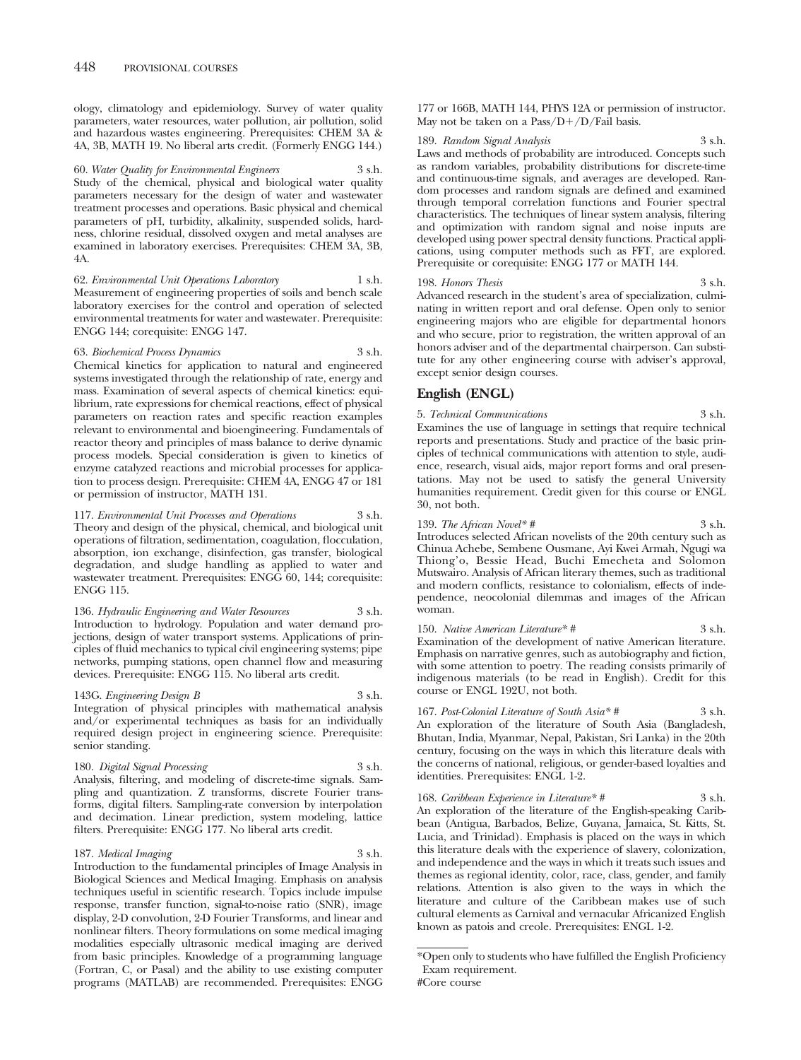ology, climatology and epidemiology. Survey of water quality parameters, water resources, water pollution, air pollution, solid and hazardous wastes engineering. Prerequisites: CHEM 3A & 4A, 3B, MATH 19. No liberal arts credit. (Formerly ENGG 144.)

60. *Water Quality for Environmental Engineers* 3 s.h. Study of the chemical, physical and biological water quality parameters necessary for the design of water and wastewater treatment processes and operations. Basic physical and chemical parameters of pH, turbidity, alkalinity, suspended solids, hardness, chlorine residual, dissolved oxygen and metal analyses are examined in laboratory exercises. Prerequisites: CHEM 3A, 3B, 4A.

62. *Environmental Unit Operations Laboratory* 1 s.h. Measurement of engineering properties of soils and bench scale laboratory exercises for the control and operation of selected environmental treatments for water and wastewater. Prerequisite: ENGG 144; corequisite: ENGG 147.

63. *Biochemical Process Dynamics* 3 s.h. Chemical kinetics for application to natural and engineered systems investigated through the relationship of rate, energy and mass. Examination of several aspects of chemical kinetics: equilibrium, rate expressions for chemical reactions, effect of physical parameters on reaction rates and specific reaction examples relevant to environmental and bioengineering. Fundamentals of reactor theory and principles of mass balance to derive dynamic process models. Special consideration is given to kinetics of enzyme catalyzed reactions and microbial processes for application to process design. Prerequisite: CHEM 4A, ENGG 47 or 181 or permission of instructor, MATH 131.

117. *Environmental Unit Processes and Operations* 3 s.h. Theory and design of the physical, chemical, and biological unit operations of filtration, sedimentation, coagulation, flocculation, absorption, ion exchange, disinfection, gas transfer, biological degradation, and sludge handling as applied to water and wastewater treatment. Prerequisites: ENGG 60, 144; corequisite: ENGG 115.

136. *Hydraulic Engineering and Water Resources* 3 s.h. Introduction to hydrology. Population and water demand projections, design of water transport systems. Applications of principles of fluid mechanics to typical civil engineering systems; pipe networks, pumping stations, open channel flow and measuring devices. Prerequisite: ENGG 115. No liberal arts credit.

#### 143G. *Engineering Design B* 3 s.h.

Integration of physical principles with mathematical analysis and/or experimental techniques as basis for an individually required design project in engineering science. Prerequisite: senior standing.

## 180. *Digital Signal Processing* 3 s.h.

Analysis, filtering, and modeling of discrete-time signals. Sampling and quantization. Z transforms, discrete Fourier transforms, digital filters. Sampling-rate conversion by interpolation and decimation. Linear prediction, system modeling, lattice filters. Prerequisite: ENGG 177. No liberal arts credit.

#### 187. *Medical Imaging* 3 s.h.

Introduction to the fundamental principles of Image Analysis in Biological Sciences and Medical Imaging. Emphasis on analysis techniques useful in scientific research. Topics include impulse response, transfer function, signal-to-noise ratio (SNR), image display, 2-D convolution, 2-D Fourier Transforms, and linear and nonlinear filters. Theory formulations on some medical imaging modalities especially ultrasonic medical imaging are derived from basic principles. Knowledge of a programming language (Fortran, C, or Pasal) and the ability to use existing computer programs (MATLAB) are recommended. Prerequisites: ENGG 177 or 166B, MATH 144, PHYS 12A or permission of instructor. May not be taken on a Pass/D+/D/Fail basis.

#### 189. *Random Signal Analysis* 3 s.h.

Laws and methods of probability are introduced. Concepts such as random variables, probability distributions for discrete-time and continuous-time signals, and averages are developed. Random processes and random signals are defined and examined through temporal correlation functions and Fourier spectral characteristics. The techniques of linear system analysis, filtering and optimization with random signal and noise inputs are developed using power spectral density functions. Practical applications, using computer methods such as FFT, are explored. Prerequisite or corequisite: ENGG 177 or MATH 144.

#### 198. *Honors Thesis* 3 s.h.

Advanced research in the student's area of specialization, culminating in written report and oral defense. Open only to senior engineering majors who are eligible for departmental honors and who secure, prior to registration, the written approval of an honors adviser and of the departmental chairperson. Can substitute for any other engineering course with adviser's approval, except senior design courses.

## **English (ENGL)**

5. *Technical Communications* 3 s.h. Examines the use of language in settings that require technical reports and presentations. Study and practice of the basic principles of technical communications with attention to style, audience, research, visual aids, major report forms and oral presentations. May not be used to satisfy the general University humanities requirement. Credit given for this course or ENGL 30, not both.

139. *The African Novel\* #* 3 s.h. Introduces selected African novelists of the 20th century such as Chinua Achebe, Sembene Ousmane, Ayi Kwei Armah, Ngugi wa Thiong'o, Bessie Head, Buchi Emecheta and Solomon Mutswairo. Analysis of African literary themes, such as traditional and modern conflicts, resistance to colonialism, effects of independence, neocolonial dilemmas and images of the African woman.

150. *Native American Literature*\* # 3 s.h. Examination of the development of native American literature. Emphasis on narrative genres, such as autobiography and fiction, with some attention to poetry. The reading consists primarily of indigenous materials (to be read in English). Credit for this course or ENGL 192U, not both.

167. *Post-Colonial Literature of South Asia\* #* 3 s.h. An exploration of the literature of South Asia (Bangladesh, Bhutan, India, Myanmar, Nepal, Pakistan, Sri Lanka) in the 20th century, focusing on the ways in which this literature deals with the concerns of national, religious, or gender-based loyalties and identities. Prerequisites: ENGL 1-2.

168. *Caribbean Experience in Literature\* #* 3 s.h. An exploration of the literature of the English-speaking Caribbean (Antigua, Barbados, Belize, Guyana, Jamaica, St. Kitts, St. Lucia, and Trinidad). Emphasis is placed on the ways in which this literature deals with the experience of slavery, colonization, and independence and the ways in which it treats such issues and themes as regional identity, color, race, class, gender, and family relations. Attention is also given to the ways in which the literature and culture of the Caribbean makes use of such cultural elements as Carnival and vernacular Africanized English known as patois and creole. Prerequisites: ENGL 1-2.

\*Open only to students who have fulfilled the English Proficiency Exam requirement.

<sup>#</sup>Core course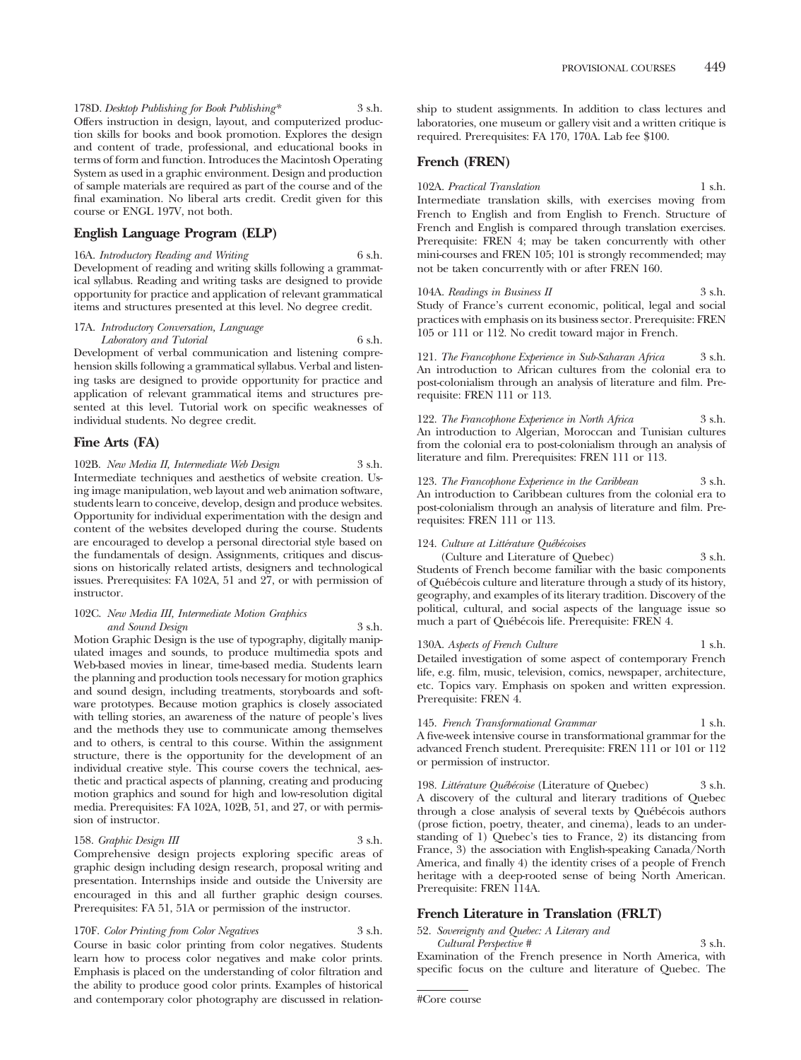178D. *Desktop Publishing for Book Publishing\** 3 s.h. Offers instruction in design, layout, and computerized production skills for books and book promotion. Explores the design and content of trade, professional, and educational books in terms of form and function. Introduces the Macintosh Operating System as used in a graphic environment. Design and production of sample materials are required as part of the course and of the final examination. No liberal arts credit. Credit given for this course or ENGL 197V, not both.

## **English Language Program (ELP)**

16A. *Introductory Reading and Writing* 6 s.h. Development of reading and writing skills following a grammatical syllabus. Reading and writing tasks are designed to provide opportunity for practice and application of relevant grammatical items and structures presented at this level. No degree credit.

## 17A. *Introductory Conversation, Language Laboratory and Tutorial* 6 s.h.

Development of verbal communication and listening comprehension skills following a grammatical syllabus. Verbal and listening tasks are designed to provide opportunity for practice and application of relevant grammatical items and structures presented at this level. Tutorial work on specific weaknesses of individual students. No degree credit.

## **Fine Arts (FA)**

102B. *New Media II, Intermediate Web Design* 3 s.h. Intermediate techniques and aesthetics of website creation. Using image manipulation, web layout and web animation software, students learn to conceive, develop, design and produce websites. Opportunity for individual experimentation with the design and content of the websites developed during the course. Students are encouraged to develop a personal directorial style based on the fundamentals of design. Assignments, critiques and discussions on historically related artists, designers and technological issues. Prerequisites: FA 102A, 51 and 27, or with permission of instructor.

#### 102C. *New Media III, Intermediate Motion Graphics and Sound Design* 3 s.h.

Motion Graphic Design is the use of typography, digitally manipulated images and sounds, to produce multimedia spots and Web-based movies in linear, time-based media. Students learn the planning and production tools necessary for motion graphics and sound design, including treatments, storyboards and software prototypes. Because motion graphics is closely associated with telling stories, an awareness of the nature of people's lives and the methods they use to communicate among themselves and to others, is central to this course. Within the assignment structure, there is the opportunity for the development of an individual creative style. This course covers the technical, aesthetic and practical aspects of planning, creating and producing motion graphics and sound for high and low-resolution digital media. Prerequisites: FA 102A, 102B, 51, and 27, or with permission of instructor.

#### 158. *Graphic Design III* 3 s.h.

Comprehensive design projects exploring specific areas of graphic design including design research, proposal writing and presentation. Internships inside and outside the University are encouraged in this and all further graphic design courses. Prerequisites: FA 51, 51A or permission of the instructor.

#### 170F. *Color Printing from Color Negatives* 3 s.h.

Course in basic color printing from color negatives. Students learn how to process color negatives and make color prints. Emphasis is placed on the understanding of color filtration and the ability to produce good color prints. Examples of historical and contemporary color photography are discussed in relationship to student assignments. In addition to class lectures and laboratories, one museum or gallery visit and a written critique is required. Prerequisites: FA 170, 170A. Lab fee \$100.

## **French (FREN)**

102A. *Practical Translation* 1 s.h. Intermediate translation skills, with exercises moving from French to English and from English to French. Structure of French and English is compared through translation exercises. Prerequisite: FREN 4; may be taken concurrently with other mini-courses and FREN 105; 101 is strongly recommended; may not be taken concurrently with or after FREN 160.

104A. *Readings in Business II* 3 s.h. Study of France's current economic, political, legal and social practices with emphasis on its business sector. Prerequisite: FREN 105 or 111 or 112. No credit toward major in French.

121. *The Francophone Experience in Sub-Saharan Africa* 3 s.h. An introduction to African cultures from the colonial era to post-colonialism through an analysis of literature and film. Prerequisite: FREN 111 or 113.

122. *The Francophone Experience in North Africa* 3 s.h. An introduction to Algerian, Moroccan and Tunisian cultures from the colonial era to post-colonialism through an analysis of literature and film. Prerequisites: FREN 111 or 113.

123. *The Francophone Experience in the Caribbean* 3 s.h. An introduction to Caribbean cultures from the colonial era to post-colonialism through an analysis of literature and film. Prerequisites: FREN 111 or 113.

#### 124. Culture at Littérature Québécoises

(Culture and Literature of Quebec) 3 s.h. Students of French become familiar with the basic components of Québécois culture and literature through a study of its history, geography, and examples of its literary tradition. Discovery of the political, cultural, and social aspects of the language issue so much a part of Québécois life. Prerequisite: FREN 4.

#### 130A. *Aspects of French Culture* 1 s.h.

Detailed investigation of some aspect of contemporary French life, e.g. film, music, television, comics, newspaper, architecture, etc. Topics vary. Emphasis on spoken and written expression. Prerequisite: FREN 4.

145. *French Transformational Grammar* 1 s.h. A five-week intensive course in transformational grammar for the advanced French student. Prerequisite: FREN 111 or 101 or 112 or permission of instructor.

198. *Littérature Québécoise* (Literature of Quebec) 3 s.h. A discovery of the cultural and literary traditions of Quebec through a close analysis of several texts by Québécois authors (prose fiction, poetry, theater, and cinema), leads to an understanding of 1) Quebec's ties to France, 2) its distancing from France, 3) the association with English-speaking Canada/North America, and finally 4) the identity crises of a people of French heritage with a deep-rooted sense of being North American. Prerequisite: FREN 114A.

## **French Literature in Translation (FRLT)**

52. *Sovereignty and Quebec: A Literary and*

*Cultural Perspective #* 3 s.h. Examination of the French presence in North America, with specific focus on the culture and literature of Quebec. The

#Core course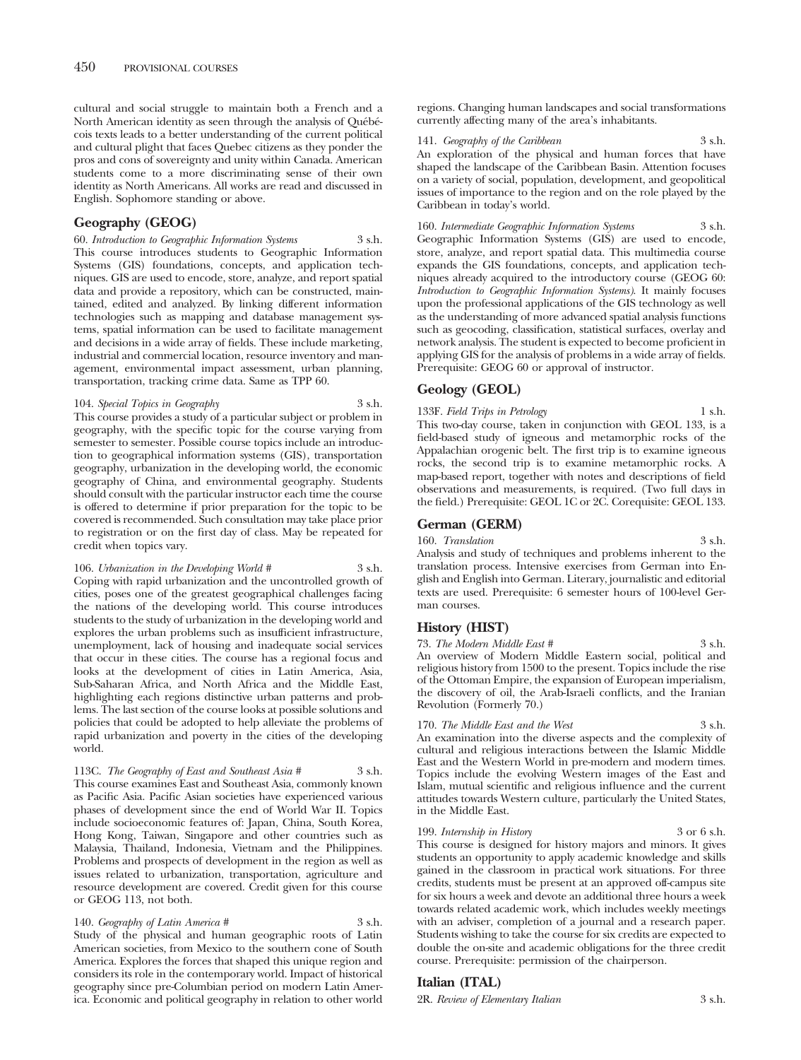cultural and social struggle to maintain both a French and a North American identity as seen through the analysis of Québécois texts leads to a better understanding of the current political and cultural plight that faces Quebec citizens as they ponder the pros and cons of sovereignty and unity within Canada. American students come to a more discriminating sense of their own identity as North Americans. All works are read and discussed in English. Sophomore standing or above.

## **Geography (GEOG)**

60. *Introduction to Geographic Information Systems* 3 s.h. This course introduces students to Geographic Information Systems (GIS) foundations, concepts, and application techniques. GIS are used to encode, store, analyze, and report spatial data and provide a repository, which can be constructed, maintained, edited and analyzed. By linking different information technologies such as mapping and database management systems, spatial information can be used to facilitate management and decisions in a wide array of fields. These include marketing, industrial and commercial location, resource inventory and management, environmental impact assessment, urban planning, transportation, tracking crime data. Same as TPP 60.

## 104. *Special Topics in Geography* 3 s.h.

This course provides a study of a particular subject or problem in geography, with the specific topic for the course varying from semester to semester. Possible course topics include an introduction to geographical information systems (GIS), transportation geography, urbanization in the developing world, the economic geography of China, and environmental geography. Students should consult with the particular instructor each time the course is offered to determine if prior preparation for the topic to be covered is recommended. Such consultation may take place prior to registration or on the first day of class. May be repeated for credit when topics vary.

106. *Urbanization in the Developing World #* 3 s.h. Coping with rapid urbanization and the uncontrolled growth of cities, poses one of the greatest geographical challenges facing the nations of the developing world. This course introduces students to the study of urbanization in the developing world and explores the urban problems such as insufficient infrastructure, unemployment, lack of housing and inadequate social services that occur in these cities. The course has a regional focus and looks at the development of cities in Latin America, Asia, Sub-Saharan Africa, and North Africa and the Middle East, highlighting each regions distinctive urban patterns and problems. The last section of the course looks at possible solutions and policies that could be adopted to help alleviate the problems of rapid urbanization and poverty in the cities of the developing world.

113C. *The Geography of East and Southeast Asia #* 3 s.h. This course examines East and Southeast Asia, commonly known as Pacific Asia. Pacific Asian societies have experienced various phases of development since the end of World War II. Topics include socioeconomic features of: Japan, China, South Korea, Hong Kong, Taiwan, Singapore and other countries such as Malaysia, Thailand, Indonesia, Vietnam and the Philippines. Problems and prospects of development in the region as well as issues related to urbanization, transportation, agriculture and resource development are covered. Credit given for this course or GEOG 113, not both.

140. *Geography of Latin America* # 3 s.h. Study of the physical and human geographic roots of Latin American societies, from Mexico to the southern cone of South America. Explores the forces that shaped this unique region and considers its role in the contemporary world. Impact of historical geography since pre-Columbian period on modern Latin America. Economic and political geography in relation to other world regions. Changing human landscapes and social transformations currently affecting many of the area's inhabitants.

141. *Geography of the Caribbean* 3 s.h. An exploration of the physical and human forces that have shaped the landscape of the Caribbean Basin. Attention focuses on a variety of social, population, development, and geopolitical issues of importance to the region and on the role played by the Caribbean in today's world.

160. *Intermediate Geographic Information Systems* 3 s.h. Geographic Information Systems (GIS) are used to encode, store, analyze, and report spatial data. This multimedia course expands the GIS foundations, concepts, and application techniques already acquired to the introductory course (GEOG 60: *Introduction to Geographic Information Systems)*. It mainly focuses upon the professional applications of the GIS technology as well as the understanding of more advanced spatial analysis functions such as geocoding, classification, statistical surfaces, overlay and network analysis. The student is expected to become proficient in applying GIS for the analysis of problems in a wide array of fields. Prerequisite: GEOG 60 or approval of instructor.

## **Geology (GEOL)**

133F. *Field Trips in Petrology* 1 s.h. This two-day course, taken in conjunction with GEOL 133, is a field-based study of igneous and metamorphic rocks of the Appalachian orogenic belt. The first trip is to examine igneous rocks, the second trip is to examine metamorphic rocks. A map-based report, together with notes and descriptions of field observations and measurements, is required. (Two full days in the field.) Prerequisite: GEOL 1C or 2C. Corequisite: GEOL 133.

## **German (GERM)**

160. *Translation* 3 s.h.

Analysis and study of techniques and problems inherent to the translation process. Intensive exercises from German into English and English into German. Literary, journalistic and editorial texts are used. Prerequisite: 6 semester hours of 100-level German courses.

## **History (HIST)**

73. *The Modern Middle East* # 3 s.h. An overview of Modern Middle Eastern social, political and religious history from 1500 to the present. Topics include the rise of the Ottoman Empire, the expansion of European imperialism, the discovery of oil, the Arab-Israeli conflicts, and the Iranian Revolution (Formerly 70.)

170. *The Middle East and the West* 3 s.h. An examination into the diverse aspects and the complexity of cultural and religious interactions between the Islamic Middle East and the Western World in pre-modern and modern times. Topics include the evolving Western images of the East and Islam, mutual scientific and religious influence and the current attitudes towards Western culture, particularly the United States, in the Middle East.

199. *Internship in History* 3 or 6 s.h. This course is designed for history majors and minors. It gives students an opportunity to apply academic knowledge and skills gained in the classroom in practical work situations. For three credits, students must be present at an approved off-campus site for six hours a week and devote an additional three hours a week towards related academic work, which includes weekly meetings with an adviser, completion of a journal and a research paper. Students wishing to take the course for six credits are expected to double the on-site and academic obligations for the three credit course. Prerequisite: permission of the chairperson.

## **Italian (ITAL)**

2R. *Review of Elementary Italian* 3 s.h.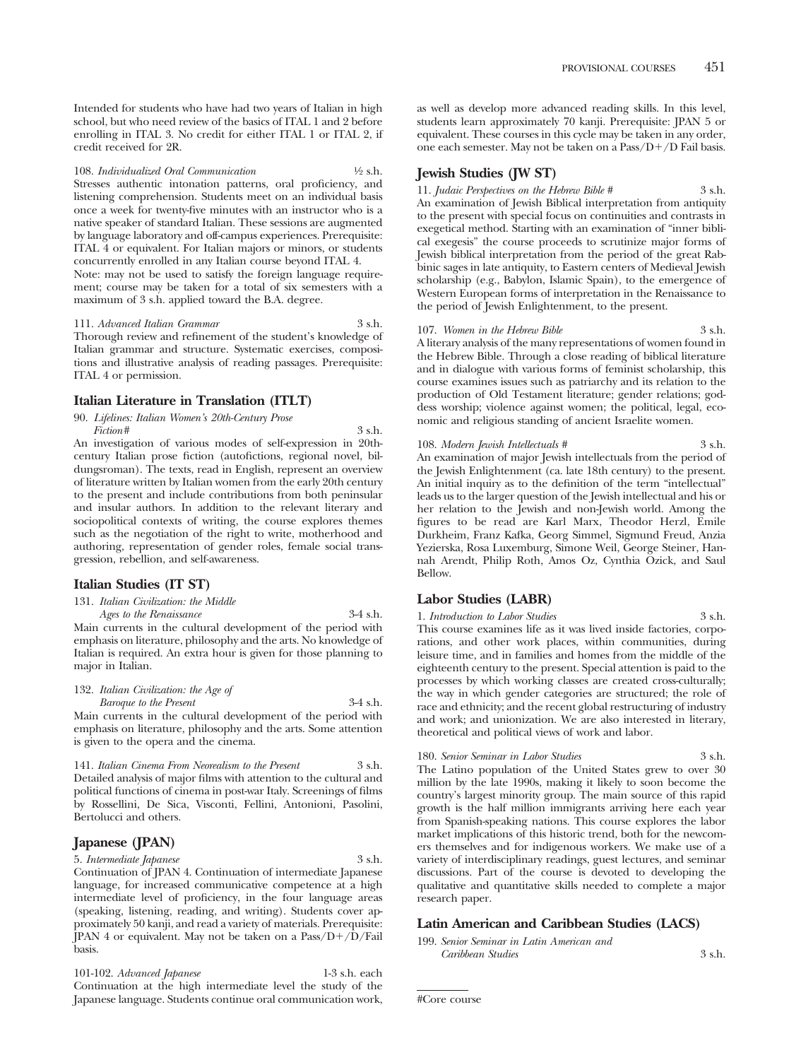Intended for students who have had two years of Italian in high school, but who need review of the basics of ITAL 1 and 2 before enrolling in ITAL 3. No credit for either ITAL 1 or ITAL 2, if credit received for 2R.

108. *Individualized Oral Communication* 1⁄2 s.h. Stresses authentic intonation patterns, oral proficiency, and listening comprehension. Students meet on an individual basis once a week for twenty-five minutes with an instructor who is a native speaker of standard Italian. These sessions are augmented by language laboratory and off-campus experiences. Prerequisite: ITAL 4 or equivalent. For Italian majors or minors, or students concurrently enrolled in any Italian course beyond ITAL 4.

Note: may not be used to satisfy the foreign language requirement; course may be taken for a total of six semesters with a maximum of 3 s.h. applied toward the B.A. degree.

111. *Advanced Italian Grammar* 3 s.h. Thorough review and refinement of the student's knowledge of Italian grammar and structure. Systematic exercises, compositions and illustrative analysis of reading passages. Prerequisite: ITAL 4 or permission.

## **Italian Literature in Translation (ITLT)**

90. *Lifelines: Italian Women's 20th-Century Prose Fiction*# 3 s.h.

An investigation of various modes of self-expression in 20thcentury Italian prose fiction (autofictions, regional novel, bildungsroman). The texts, read in English, represent an overview of literature written by Italian women from the early 20th century to the present and include contributions from both peninsular and insular authors. In addition to the relevant literary and sociopolitical contexts of writing, the course explores themes such as the negotiation of the right to write, motherhood and authoring, representation of gender roles, female social transgression, rebellion, and self-awareness.

## **Italian Studies (IT ST)**

## 131. *Italian Civilization: the Middle*

*Ages to the Renaissance* 3-4 s.h. Main currents in the cultural development of the period with emphasis on literature, philosophy and the arts. No knowledge of Italian is required. An extra hour is given for those planning to major in Italian.

## 132. *Italian Civilization: the Age of*

*Baroque to the Present* 3-4 s.h. Main currents in the cultural development of the period with emphasis on literature, philosophy and the arts. Some attention is given to the opera and the cinema.

141. *Italian Cinema From Neorealism to the Present* 3 s.h. Detailed analysis of major films with attention to the cultural and political functions of cinema in post-war Italy. Screenings of films by Rossellini, De Sica, Visconti, Fellini, Antonioni, Pasolini, Bertolucci and others.

## **Japanese (JPAN)**

5. *Intermediate Japanese* 3 s.h.

Continuation of JPAN 4. Continuation of intermediate Japanese language, for increased communicative competence at a high intermediate level of proficiency, in the four language areas (speaking, listening, reading, and writing). Students cover approximately 50 kanji, and read a variety of materials. Prerequisite: JPAN 4 or equivalent. May not be taken on a Pass/D+/D/Fail basis.

101-102. *Advanced Japanese* 1-3 s.h. each Continuation at the high intermediate level the study of the Japanese language. Students continue oral communication work,

as well as develop more advanced reading skills. In this level, students learn approximately 70 kanji. Prerequisite: JPAN 5 or equivalent. These courses in this cycle may be taken in any order, one each semester. May not be taken on a Pass/D-/D Fail basis.

## **Jewish Studies (JW ST)**

11. *Judaic Perspectives on the Hebrew Bible* # 3 s.h. An examination of Jewish Biblical interpretation from antiquity to the present with special focus on continuities and contrasts in exegetical method. Starting with an examination of "inner biblical exegesis" the course proceeds to scrutinize major forms of Jewish biblical interpretation from the period of the great Rabbinic sages in late antiquity, to Eastern centers of Medieval Jewish scholarship (e.g., Babylon, Islamic Spain), to the emergence of Western European forms of interpretation in the Renaissance to the period of Jewish Enlightenment, to the present.

## 107. *Women in the Hebrew Bible* 3 s.h.

A literary analysis of the many representations of women found in the Hebrew Bible. Through a close reading of biblical literature and in dialogue with various forms of feminist scholarship, this course examines issues such as patriarchy and its relation to the production of Old Testament literature; gender relations; goddess worship; violence against women; the political, legal, economic and religious standing of ancient Israelite women.

108. *Modern Jewish Intellectuals #* 3 s.h. An examination of major Jewish intellectuals from the period of the Jewish Enlightenment (ca. late 18th century) to the present. An initial inquiry as to the definition of the term "intellectual" leads us to the larger question of the Jewish intellectual and his or her relation to the Jewish and non-Jewish world. Among the figures to be read are Karl Marx, Theodor Herzl, Emile Durkheim, Franz Kafka, Georg Simmel, Sigmund Freud, Anzia Yezierska, Rosa Luxemburg, Simone Weil, George Steiner, Hannah Arendt, Philip Roth, Amos Oz, Cynthia Ozick, and Saul Bellow.

## **Labor Studies (LABR)**

1. *Introduction to Labor Studies* 3 s.h. This course examines life as it was lived inside factories, corporations, and other work places, within communities, during leisure time, and in families and homes from the middle of the eighteenth century to the present. Special attention is paid to the processes by which working classes are created cross-culturally; the way in which gender categories are structured; the role of race and ethnicity; and the recent global restructuring of industry and work; and unionization. We are also interested in literary, theoretical and political views of work and labor.

## 180. *Senior Seminar in Labor Studies* 3 s.h.

The Latino population of the United States grew to over 30 million by the late 1990s, making it likely to soon become the country's largest minority group. The main source of this rapid growth is the half million immigrants arriving here each year from Spanish-speaking nations. This course explores the labor market implications of this historic trend, both for the newcomers themselves and for indigenous workers. We make use of a variety of interdisciplinary readings, guest lectures, and seminar discussions. Part of the course is devoted to developing the qualitative and quantitative skills needed to complete a major research paper.

## **Latin American and Caribbean Studies (LACS)**

199. *Senior Seminar in Latin American and Caribbean Studies* 3 s.h.

#Core course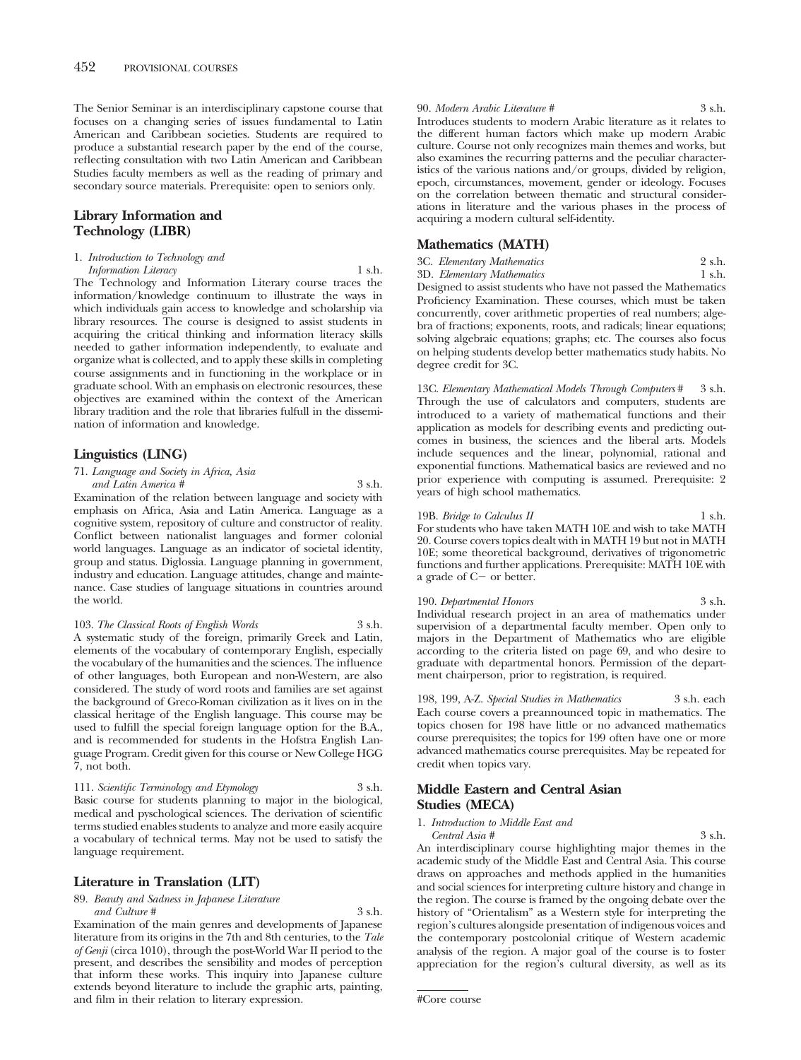The Senior Seminar is an interdisciplinary capstone course that focuses on a changing series of issues fundamental to Latin American and Caribbean societies. Students are required to produce a substantial research paper by the end of the course, reflecting consultation with two Latin American and Caribbean Studies faculty members as well as the reading of primary and secondary source materials. Prerequisite: open to seniors only.

## **Library Information and Technology (LIBR)**

1. *Introduction to Technology and*

*Information Literacy* 1 s.h.

The Technology and Information Literary course traces the information/knowledge continuum to illustrate the ways in which individuals gain access to knowledge and scholarship via library resources. The course is designed to assist students in acquiring the critical thinking and information literacy skills needed to gather information independently, to evaluate and organize what is collected, and to apply these skills in completing course assignments and in functioning in the workplace or in graduate school. With an emphasis on electronic resources, these objectives are examined within the context of the American library tradition and the role that libraries fulfull in the dissemination of information and knowledge.

## **Linguistics (LING)**

71. *Language and Society in Africa, Asia and Latin America #* 3 s.h.

Examination of the relation between language and society with emphasis on Africa, Asia and Latin America. Language as a cognitive system, repository of culture and constructor of reality. Conflict between nationalist languages and former colonial world languages. Language as an indicator of societal identity, group and status. Diglossia. Language planning in government, industry and education. Language attitudes, change and maintenance. Case studies of language situations in countries around the world.

103. *The Classical Roots of English Words* 3 s.h. A systematic study of the foreign, primarily Greek and Latin, elements of the vocabulary of contemporary English, especially the vocabulary of the humanities and the sciences. The influence of other languages, both European and non-Western, are also considered. The study of word roots and families are set against the background of Greco-Roman civilization as it lives on in the classical heritage of the English language. This course may be used to fulfill the special foreign language option for the B.A., and is recommended for students in the Hofstra English Language Program. Credit given for this course or New College HGG 7, not both.

111. Scientific Terminology and Etymology

Basic course for students planning to major in the biological, medical and pyschological sciences. The derivation of scientific terms studied enables students to analyze and more easily acquire a vocabulary of technical terms. May not be used to satisfy the language requirement.

## **Literature in Translation (LIT)**

89. *Beauty and Sadness in Japanese Literature and Culture #* 3 s.h.

Examination of the main genres and developments of Japanese literature from its origins in the 7th and 8th centuries, to the *Tale of Genji* (circa 1010), through the post-World War II period to the present, and describes the sensibility and modes of perception that inform these works. This inquiry into Japanese culture extends beyond literature to include the graphic arts, painting, and film in their relation to literary expression.

#### 90. *Modern Arabic Literature #* 3 s.h.

Introduces students to modern Arabic literature as it relates to the different human factors which make up modern Arabic culture. Course not only recognizes main themes and works, but also examines the recurring patterns and the peculiar characteristics of the various nations and/or groups, divided by religion, epoch, circumstances, movement, gender or ideology. Focuses on the correlation between thematic and structural considerations in literature and the various phases in the process of acquiring a modern cultural self-identity.

## **Mathematics (MATH)**

3C. *Elementary Mathematics* 2 s.h. 3D. *Elementary Mathematics* 

Designed to assist students who have not passed the Mathematics Proficiency Examination. These courses, which must be taken concurrently, cover arithmetic properties of real numbers; algebra of fractions; exponents, roots, and radicals; linear equations; solving algebraic equations; graphs; etc. The courses also focus on helping students develop better mathematics study habits. No degree credit for 3C.

13C. *Elementary Mathematical Models Through Computers* # 3 s.h. Through the use of calculators and computers, students are introduced to a variety of mathematical functions and their application as models for describing events and predicting outcomes in business, the sciences and the liberal arts. Models include sequences and the linear, polynomial, rational and exponential functions. Mathematical basics are reviewed and no prior experience with computing is assumed. Prerequisite: 2 years of high school mathematics.

#### 19B. *Bridge to Calculus II* 1 s.h. For students who have taken MATH 10E and wish to take MATH 20. Course covers topics dealt with in MATH 19 but not in MATH 10E; some theoretical background, derivatives of trigonometric functions and further applications. Prerequisite: MATH 10E with a grade of  $C$  – or better.

#### 190. *Departmental Honors* 3 s.h. Individual research project in an area of mathematics under supervision of a departmental faculty member. Open only to majors in the Department of Mathematics who are eligible according to the criteria listed on page 69, and who desire to graduate with departmental honors. Permission of the department chairperson, prior to registration, is required.

198, 199, A-Z. *Special Studies in Mathematics* 3 s.h. each Each course covers a preannounced topic in mathematics. The topics chosen for 198 have little or no advanced mathematics course prerequisites; the topics for 199 often have one or more advanced mathematics course prerequisites. May be repeated for credit when topics vary.

# **Middle Eastern and Central Asian Studies (MECA)**

1. *Introduction to Middle East and*

*Central Asia*  $\#$  3 s.h. An interdisciplinary course highlighting major themes in the academic study of the Middle East and Central Asia. This course draws on approaches and methods applied in the humanities and social sciences for interpreting culture history and change in the region. The course is framed by the ongoing debate over the history of "Orientalism" as a Western style for interpreting the region's cultures alongside presentation of indigenous voices and the contemporary postcolonial critique of Western academic analysis of the region. A major goal of the course is to foster appreciation for the region's cultural diversity, as well as its

<sup>#</sup>Core course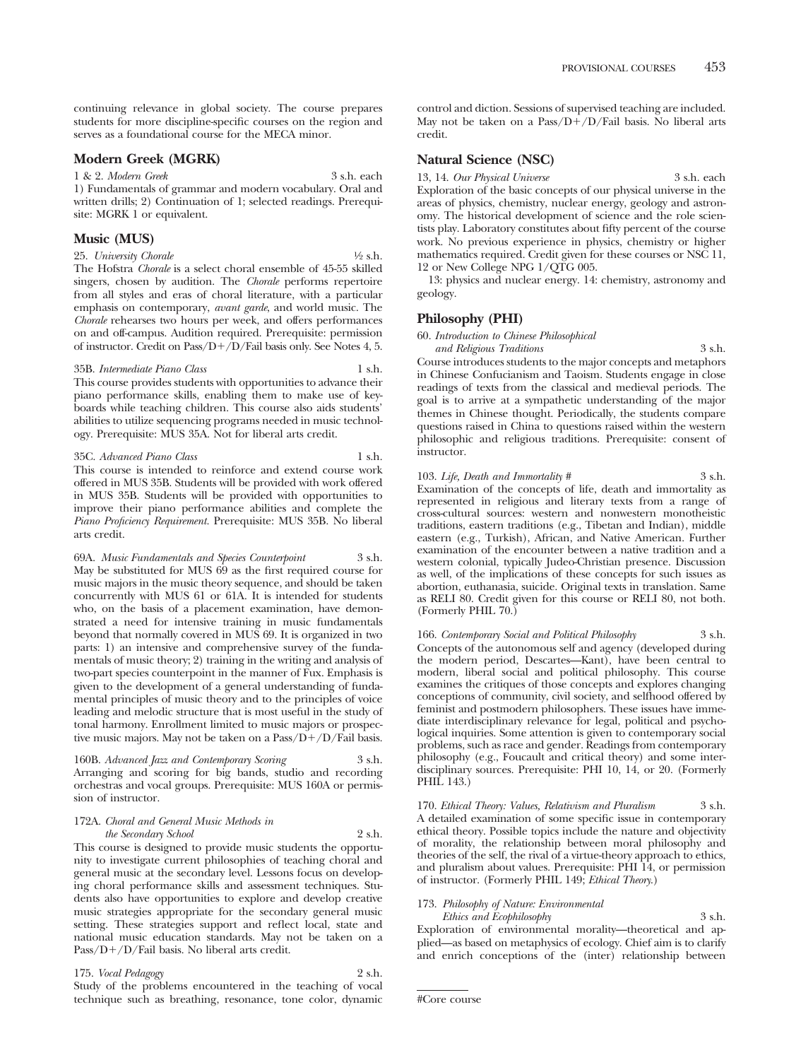continuing relevance in global society. The course prepares students for more discipline-specific courses on the region and serves as a foundational course for the MECA minor.

## **Modern Greek (MGRK)**

1 & 2. *Modern Greek* 3 s.h. each 1) Fundamentals of grammar and modern vocabulary. Oral and written drills; 2) Continuation of 1; selected readings. Prerequisite: MGRK 1 or equivalent.

# **Music (MUS)**

25. *University Chorale* 1/2 s.h.

The Hofstra *Chorale* is a select choral ensemble of 45-55 skilled singers, chosen by audition. The *Chorale* performs repertoire from all styles and eras of choral literature, with a particular emphasis on contemporary, *avant garde*, and world music. The *Chorale* rehearses two hours per week, and offers performances on and off-campus. Audition required. Prerequisite: permission of instructor. Credit on Pass/D-/D/Fail basis only. See Notes 4, 5.

#### 35B. *Intermediate Piano Class* 1 s.h.

This course provides students with opportunities to advance their piano performance skills, enabling them to make use of keyboards while teaching children. This course also aids students' abilities to utilize sequencing programs needed in music technology. Prerequisite: MUS 35A. Not for liberal arts credit.

35C. *Advanced Piano Class* 1 s.h. This course is intended to reinforce and extend course work offered in MUS 35B. Students will be provided with work offered in MUS 35B. Students will be provided with opportunities to improve their piano performance abilities and complete the *Piano Proficiency Requirement.* Prerequisite: MUS 35B. No liberal arts credit.

69A. *Music Fundamentals and Species Counterpoint* 3 s.h. May be substituted for MUS 69 as the first required course for music majors in the music theory sequence, and should be taken concurrently with MUS 61 or 61A. It is intended for students who, on the basis of a placement examination, have demonstrated a need for intensive training in music fundamentals beyond that normally covered in MUS 69. It is organized in two parts: 1) an intensive and comprehensive survey of the fundamentals of music theory; 2) training in the writing and analysis of two-part species counterpoint in the manner of Fux. Emphasis is given to the development of a general understanding of fundamental principles of music theory and to the principles of voice leading and melodic structure that is most useful in the study of tonal harmony. Enrollment limited to music majors or prospective music majors. May not be taken on a Pass/D+/D/Fail basis.

160B. Advanced Jazz and Contemporary Scoring Arranging and scoring for big bands, studio and recording orchestras and vocal groups. Prerequisite: MUS 160A or permission of instructor.

#### 172A. *Choral and General Music Methods in the Secondary School* 2 s.h.

This course is designed to provide music students the opportunity to investigate current philosophies of teaching choral and general music at the secondary level. Lessons focus on developing choral performance skills and assessment techniques. Students also have opportunities to explore and develop creative music strategies appropriate for the secondary general music setting. These strategies support and reflect local, state and national music education standards. May not be taken on a Pass/D+/D/Fail basis. No liberal arts credit.

#### 175. *Vocal Pedagogy* 2 s.h. Study of the problems encountered in the teaching of vocal technique such as breathing, resonance, tone color, dynamic

control and diction. Sessions of supervised teaching are included. May not be taken on a Pass/D+/D/Fail basis. No liberal arts credit.

## **Natural Science (NSC)**

13, 14. *Our Physical Universe* 3 s.h. each Exploration of the basic concepts of our physical universe in the areas of physics, chemistry, nuclear energy, geology and astronomy. The historical development of science and the role scientists play. Laboratory constitutes about fifty percent of the course work. No previous experience in physics, chemistry or higher mathematics required. Credit given for these courses or NSC 11, 12 or New College NPG 1/QTG 005.

13: physics and nuclear energy. 14: chemistry, astronomy and geology.

## **Philosophy (PHI)**

60. *Introduction to Chinese Philosophical*

*and Religious Traditions* 3 s.h. Course introduces students to the major concepts and metaphors in Chinese Confucianism and Taoism. Students engage in close readings of texts from the classical and medieval periods. The goal is to arrive at a sympathetic understanding of the major themes in Chinese thought. Periodically, the students compare questions raised in China to questions raised within the western philosophic and religious traditions. Prerequisite: consent of instructor.

#### 103. *Life, Death and Immortality* # 3 s.h.

Examination of the concepts of life, death and immortality as represented in religious and literary texts from a range of cross-cultural sources: western and nonwestern monotheistic traditions, eastern traditions (e.g., Tibetan and Indian), middle eastern (e.g., Turkish), African, and Native American. Further examination of the encounter between a native tradition and a western colonial, typically Judeo-Christian presence. Discussion as well, of the implications of these concepts for such issues as abortion, euthanasia, suicide. Original texts in translation. Same as RELI 80. Credit given for this course or RELI 80, not both. (Formerly PHIL 70.)

166. *Contemporary Social and Political Philosophy* 3 s.h. Concepts of the autonomous self and agency (developed during the modern period, Descartes—Kant), have been central to modern, liberal social and political philosophy. This course examines the critiques of those concepts and explores changing conceptions of community, civil society, and selfhood offered by feminist and postmodern philosophers. These issues have immediate interdisciplinary relevance for legal, political and psychological inquiries. Some attention is given to contemporary social problems, such as race and gender. Readings from contemporary philosophy (e.g., Foucault and critical theory) and some interdisciplinary sources. Prerequisite: PHI 10, 14, or 20. (Formerly PHIL 143.)

170. *Ethical Theory: Values, Relativism and Pluralism* 3 s.h. A detailed examination of some specific issue in contemporary ethical theory. Possible topics include the nature and objectivity of morality, the relationship between moral philosophy and theories of the self, the rival of a virtue-theory approach to ethics, and pluralism about values. Prerequisite: PHI 14, or permission of instructor. (Formerly PHIL 149; *Ethical Theory*.)

## 173. *Philosophy of Nature: Environmental*

*Ethics and Ecophilosophy* 3 s.h.

Exploration of environmental morality—theoretical and applied—as based on metaphysics of ecology. Chief aim is to clarify and enrich conceptions of the (inter) relationship between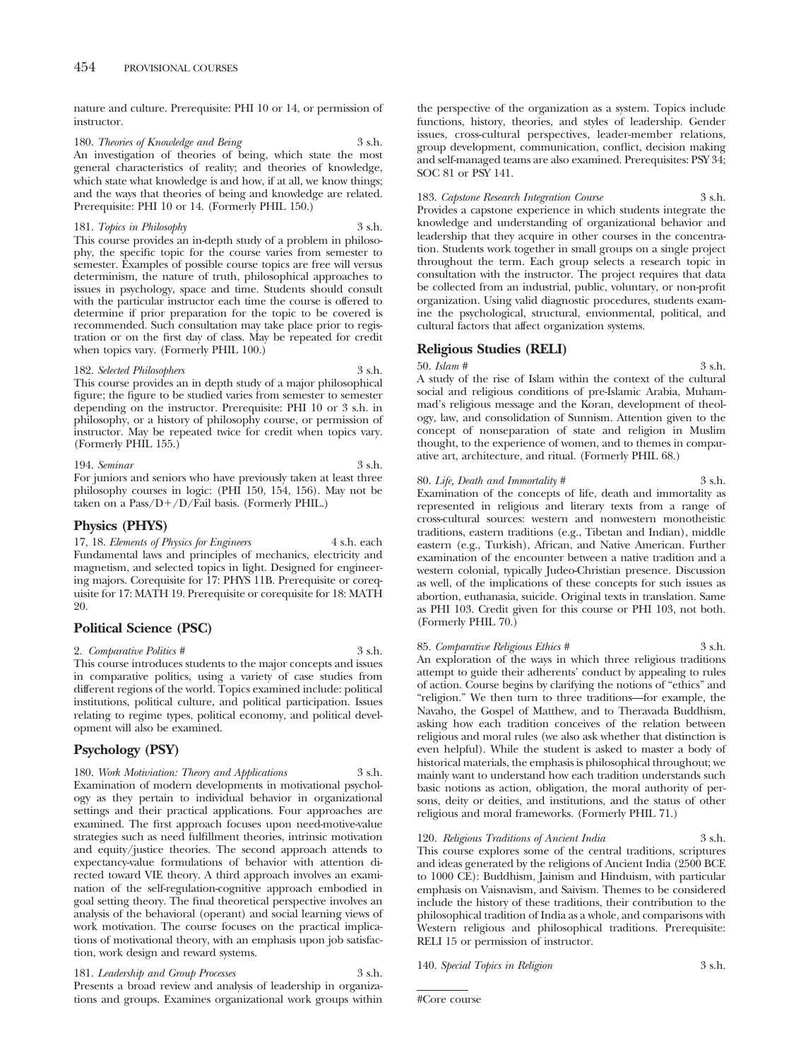nature and culture. Prerequisite: PHI 10 or 14, or permission of instructor.

180. *Theories of Knowledge and Being* 3 s.h. An investigation of theories of being, which state the most general characteristics of reality; and theories of knowledge, which state what knowledge is and how, if at all, we know things; and the ways that theories of being and knowledge are related. Prerequisite: PHI 10 or 14. (Formerly PHIL 150.)

# 181. *Topics in Philosophy* 3 s.h.

This course provides an in-depth study of a problem in philosophy, the specific topic for the course varies from semester to semester. Examples of possible course topics are free will versus determinism, the nature of truth, philosophical approaches to issues in psychology, space and time. Students should consult with the particular instructor each time the course is offered to determine if prior preparation for the topic to be covered is recommended. Such consultation may take place prior to registration or on the first day of class. May be repeated for credit when topics vary. (Formerly PHIL 100.)

#### 182. *Selected Philosophers* 3 s.h.

This course provides an in depth study of a major philosophical figure; the figure to be studied varies from semester to semester depending on the instructor. Prerequisite: PHI 10 or 3 s.h. in philosophy, or a history of philosophy course, or permission of instructor. May be repeated twice for credit when topics vary. (Formerly PHIL 155.)

#### 194. *Seminar* 3 s.h.

For juniors and seniors who have previously taken at least three philosophy courses in logic: (PHI 150, 154, 156). May not be taken on a Pass/D+/D/Fail basis. (Formerly PHIL.)

## **Physics (PHYS)**

17, 18. *Elements of Physics for Engineers* 4 s.h. each Fundamental laws and principles of mechanics, electricity and magnetism, and selected topics in light. Designed for engineering majors. Corequisite for 17: PHYS 11B. Prerequisite or corequisite for 17: MATH 19. Prerequisite or corequisite for 18: MATH 20.

## **Political Science (PSC)**

2. *Comparative Politics #* 3 s.h.

This course introduces students to the major concepts and issues in comparative politics, using a variety of case studies from different regions of the world. Topics examined include: political institutions, political culture, and political participation. Issues relating to regime types, political economy, and political development will also be examined.

## **Psychology (PSY)**

180. *Work Motiviation: Theory and Applications* 3 s.h. Examination of modern developments in motivational psychology as they pertain to individual behavior in organizational settings and their practical applications. Four approaches are examined. The first approach focuses upon need-motive-value strategies such as need fulfillment theories, intrinsic motivation and equity/justice theories. The second approach attends to expectancy-value formulations of behavior with attention directed toward VIE theory. A third approach involves an examination of the self-regulation-cognitive approach embodied in goal setting theory. The final theoretical perspective involves an analysis of the behavioral (operant) and social learning views of work motivation. The course focuses on the practical implications of motivational theory, with an emphasis upon job satisfaction, work design and reward systems.

181. *Leadership and Group Processes* 3 s.h. Presents a broad review and analysis of leadership in organizations and groups. Examines organizational work groups within the perspective of the organization as a system. Topics include functions, history, theories, and styles of leadership. Gender issues, cross-cultural perspectives, leader-member relations, group development, communication, conflict, decision making and self-managed teams are also examined. Prerequisites: PSY 34; SOC 81 or PSY 141.

## 183. *Capstone Research Integration Course* 3 s.h.

Provides a capstone experience in which students integrate the knowledge and understanding of organizational behavior and leadership that they acquire in other courses in the concentration. Students work together in small groups on a single project throughout the term. Each group selects a research topic in consultation with the instructor. The project requires that data be collected from an industrial, public, voluntary, or non-profit organization. Using valid diagnostic procedures, students examine the psychological, structural, envionmental, political, and cultural factors that affect organization systems.

## **Religious Studies (RELI)**

50. *Islam #* 3 s.h.

A study of the rise of Islam within the context of the cultural social and religious conditions of pre-Islamic Arabia, Muhammad's religious message and the Koran, development of theology, law, and consolidation of Sunnism. Attention given to the concept of nonseparation of state and religion in Muslim thought, to the experience of women, and to themes in comparative art, architecture, and ritual. (Formerly PHIL 68.)

#### 80. *Life, Death and Immortality* # 3 s.h.

Examination of the concepts of life, death and immortality as represented in religious and literary texts from a range of cross-cultural sources: western and nonwestern monotheistic traditions, eastern traditions (e.g., Tibetan and Indian), middle eastern (e.g., Turkish), African, and Native American. Further examination of the encounter between a native tradition and a western colonial, typically Judeo-Christian presence. Discussion as well, of the implications of these concepts for such issues as abortion, euthanasia, suicide. Original texts in translation. Same as PHI 103. Credit given for this course or PHI 103, not both. (Formerly PHIL 70.)

## 85. *Comparative Religious Ethics* # An exploration of the ways in which three religious traditions

attempt to guide their adherents' conduct by appealing to rules of action. Course begins by clarifying the notions of "ethics" and "religion." We then turn to three traditions—for example, the Navaho, the Gospel of Matthew, and to Theravada Buddhism, asking how each tradition conceives of the relation between religious and moral rules (we also ask whether that distinction is even helpful). While the student is asked to master a body of historical materials, the emphasis is philosophical throughout; we mainly want to understand how each tradition understands such basic notions as action, obligation, the moral authority of persons, deity or deities, and institutions, and the status of other religious and moral frameworks. (Formerly PHIL 71.)

120. *Religious Traditions of Ancient India* 3 s.h.

This course explores some of the central traditions, scriptures and ideas generated by the religions of Ancient India (2500 BCE to 1000 CE): Buddhism, Jainism and Hinduism, with particular emphasis on Vaisnavism, and Saivism. Themes to be considered include the history of these traditions, their contribution to the philosophical tradition of India as a whole, and comparisons with Western religious and philosophical traditions. Prerequisite: RELI 15 or permission of instructor.

140. *Special Topics in Religion* 3 s.h.

#Core course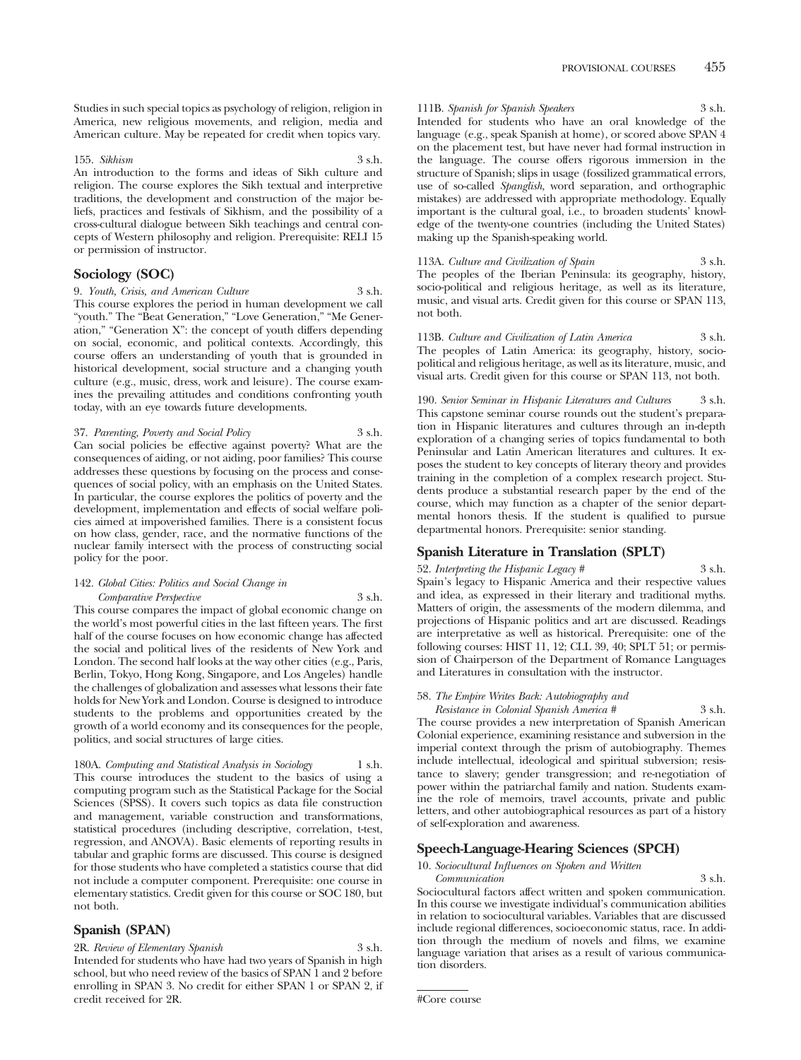Studies in such special topics as psychology of religion, religion in America, new religious movements, and religion, media and American culture. May be repeated for credit when topics vary.

#### 155. *Sikhism* 3 s.h.

An introduction to the forms and ideas of Sikh culture and religion. The course explores the Sikh textual and interpretive traditions, the development and construction of the major beliefs, practices and festivals of Sikhism, and the possibility of a cross-cultural dialogue between Sikh teachings and central concepts of Western philosophy and religion. Prerequisite: RELI 15 or permission of instructor.

## **Sociology (SOC)**

9. *Youth, Crisis, and American Culture* 3 s.h. This course explores the period in human development we call "youth." The "Beat Generation," "Love Generation," "Me Generation," "Generation X": the concept of youth differs depending on social, economic, and political contexts. Accordingly, this course offers an understanding of youth that is grounded in historical development, social structure and a changing youth culture (e.g., music, dress, work and leisure). The course examines the prevailing attitudes and conditions confronting youth today, with an eye towards future developments.

#### 37. *Parenting, Poverty and Social Policy* 3 s.h.

Can social policies be effective against poverty? What are the consequences of aiding, or not aiding, poor families? This course addresses these questions by focusing on the process and consequences of social policy, with an emphasis on the United States. In particular, the course explores the politics of poverty and the development, implementation and effects of social welfare policies aimed at impoverished families. There is a consistent focus on how class, gender, race, and the normative functions of the nuclear family intersect with the process of constructing social policy for the poor.

#### 142. *Global Cities: Politics and Social Change in Comparative Perspective* 3 s.h.

This course compares the impact of global economic change on the world's most powerful cities in the last fifteen years. The first half of the course focuses on how economic change has affected the social and political lives of the residents of New York and London. The second half looks at the way other cities (e.g., Paris, Berlin, Tokyo, Hong Kong, Singapore, and Los Angeles) handle the challenges of globalization and assesses what lessons their fate holds for New York and London. Course is designed to introduce students to the problems and opportunities created by the growth of a world economy and its consequences for the people, politics, and social structures of large cities.

## 180A. *Computing and Statistical Analysis in Sociology* 1 s.h.

This course introduces the student to the basics of using a computing program such as the Statistical Package for the Social Sciences (SPSS). It covers such topics as data file construction and management, variable construction and transformations, statistical procedures (including descriptive, correlation, t-test, regression, and ANOVA). Basic elements of reporting results in tabular and graphic forms are discussed. This course is designed for those students who have completed a statistics course that did not include a computer component. Prerequisite: one course in elementary statistics. Credit given for this course or SOC 180, but not both.

## **Spanish (SPAN)**

2R. *Review of Elementary Spanish* 3 s.h. Intended for students who have had two years of Spanish in high school, but who need review of the basics of SPAN 1 and 2 before enrolling in SPAN 3. No credit for either SPAN 1 or SPAN 2, if credit received for 2R.

#### 111B. *Spanish for Spanish Speakers* 3 s.h.

Intended for students who have an oral knowledge of the language (e.g., speak Spanish at home), or scored above SPAN 4 on the placement test, but have never had formal instruction in the language. The course offers rigorous immersion in the structure of Spanish; slips in usage (fossilized grammatical errors, use of so-called *Spanglish,* word separation, and orthographic mistakes) are addressed with appropriate methodology. Equally important is the cultural goal, i.e., to broaden students' knowledge of the twenty-one countries (including the United States) making up the Spanish-speaking world.

113A. *Culture and Civilization of Spain* 3 s.h. The peoples of the Iberian Peninsula: its geography, history, socio-political and religious heritage, as well as its literature, music, and visual arts. Credit given for this course or SPAN 113, not both.

113B. *Culture and Civilization of Latin America* 3 s.h. The peoples of Latin America: its geography, history, sociopolitical and religious heritage, as well as its literature, music, and visual arts. Credit given for this course or SPAN 113, not both.

190. *Senior Seminar in Hispanic Literatures and Cultures* 3 s.h. This capstone seminar course rounds out the student's preparation in Hispanic literatures and cultures through an in-depth exploration of a changing series of topics fundamental to both Peninsular and Latin American literatures and cultures. It exposes the student to key concepts of literary theory and provides training in the completion of a complex research project. Students produce a substantial research paper by the end of the course, which may function as a chapter of the senior departmental honors thesis. If the student is qualified to pursue departmental honors. Prerequisite: senior standing.

#### **Spanish Literature in Translation (SPLT)**

#### 52. *Interpreting the Hispanic Legacy* # 3 s.h.

Spain's legacy to Hispanic America and their respective values and idea, as expressed in their literary and traditional myths. Matters of origin, the assessments of the modern dilemma, and projections of Hispanic politics and art are discussed. Readings are interpretative as well as historical. Prerequisite: one of the following courses: HIST 11, 12; CLL 39, 40; SPLT 51; or permission of Chairperson of the Department of Romance Languages and Literatures in consultation with the instructor.

#### 58. *The Empire Writes Back: Autobiography and*

*Resistance in Colonial Spanish America #* 3 s.h. The course provides a new interpretation of Spanish American Colonial experience, examining resistance and subversion in the imperial context through the prism of autobiography. Themes include intellectual, ideological and spiritual subversion; resistance to slavery; gender transgression; and re-negotiation of power within the patriarchal family and nation. Students examine the role of memoirs, travel accounts, private and public letters, and other autobiographical resources as part of a history of self-exploration and awareness.

## **Speech-Language-Hearing Sciences (SPCH)**

## 10. *Sociocultural Influences on Spoken and Written*

*Communication* 3 s.h. Sociocultural factors affect written and spoken communication. In this course we investigate individual's communication abilities in relation to sociocultural variables. Variables that are discussed include regional differences, socioeconomic status, race. In addition through the medium of novels and films, we examine language variation that arises as a result of various communication disorders.

<sup>#</sup>Core course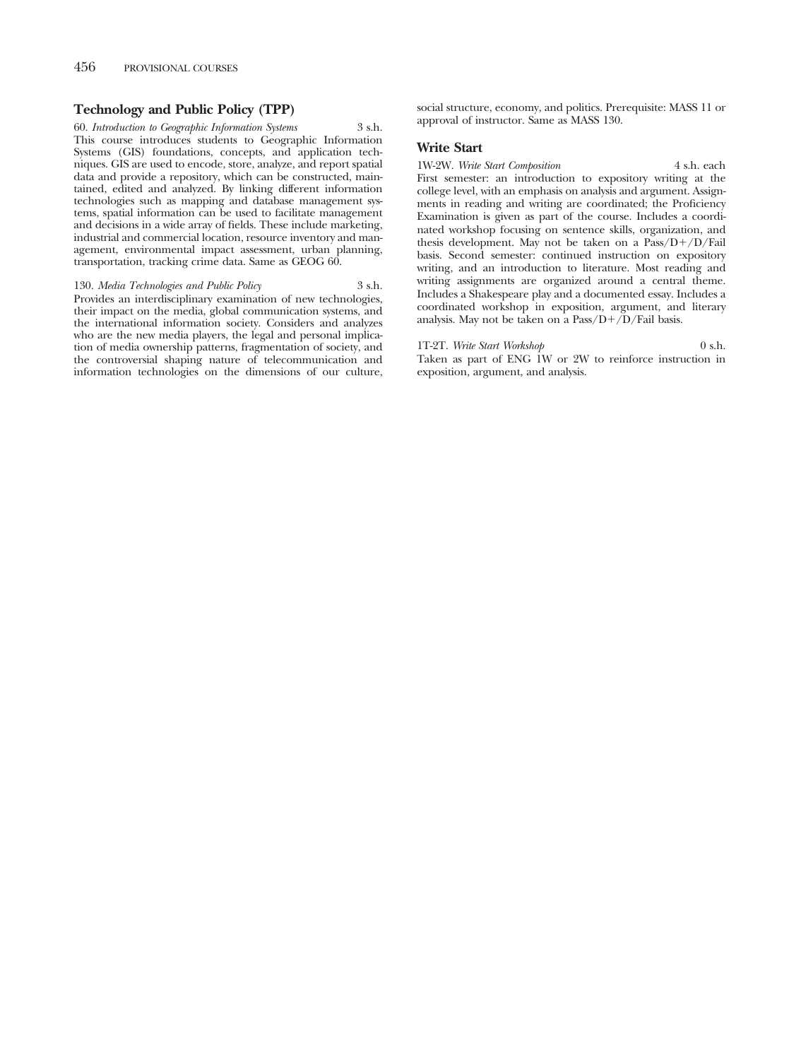## **Technology and Public Policy (TPP)**

60. *Introduction to Geographic Information Systems* 3 s.h. This course introduces students to Geographic Information Systems (GIS) foundations, concepts, and application techniques. GIS are used to encode, store, analyze, and report spatial data and provide a repository, which can be constructed, maintained, edited and analyzed. By linking different information technologies such as mapping and database management systems, spatial information can be used to facilitate management and decisions in a wide array of fields. These include marketing, industrial and commercial location, resource inventory and management, environmental impact assessment, urban planning, transportation, tracking crime data. Same as GEOG 60.

130. *Media Technologies and Public Policy* 3 s.h. Provides an interdisciplinary examination of new technologies, their impact on the media, global communication systems, and the international information society. Considers and analyzes who are the new media players, the legal and personal implication of media ownership patterns, fragmentation of society, and the controversial shaping nature of telecommunication and information technologies on the dimensions of our culture, social structure, economy, and politics. Prerequisite: MASS 11 or approval of instructor. Same as MASS 130.

#### **Write Start**

1W-2W. *Write Start Composition* 4 s.h. each First semester: an introduction to expository writing at the college level, with an emphasis on analysis and argument. Assignments in reading and writing are coordinated; the Proficiency Examination is given as part of the course. Includes a coordinated workshop focusing on sentence skills, organization, and thesis development. May not be taken on a Pass/D+/D/Fail basis. Second semester: continued instruction on expository writing, and an introduction to literature. Most reading and writing assignments are organized around a central theme. Includes a Shakespeare play and a documented essay. Includes a coordinated workshop in exposition, argument, and literary analysis. May not be taken on a Pass/D+/D/Fail basis.

1T-2T. Write Start Workshop 0 s.h. Taken as part of ENG 1W or 2W to reinforce instruction in exposition, argument, and analysis.